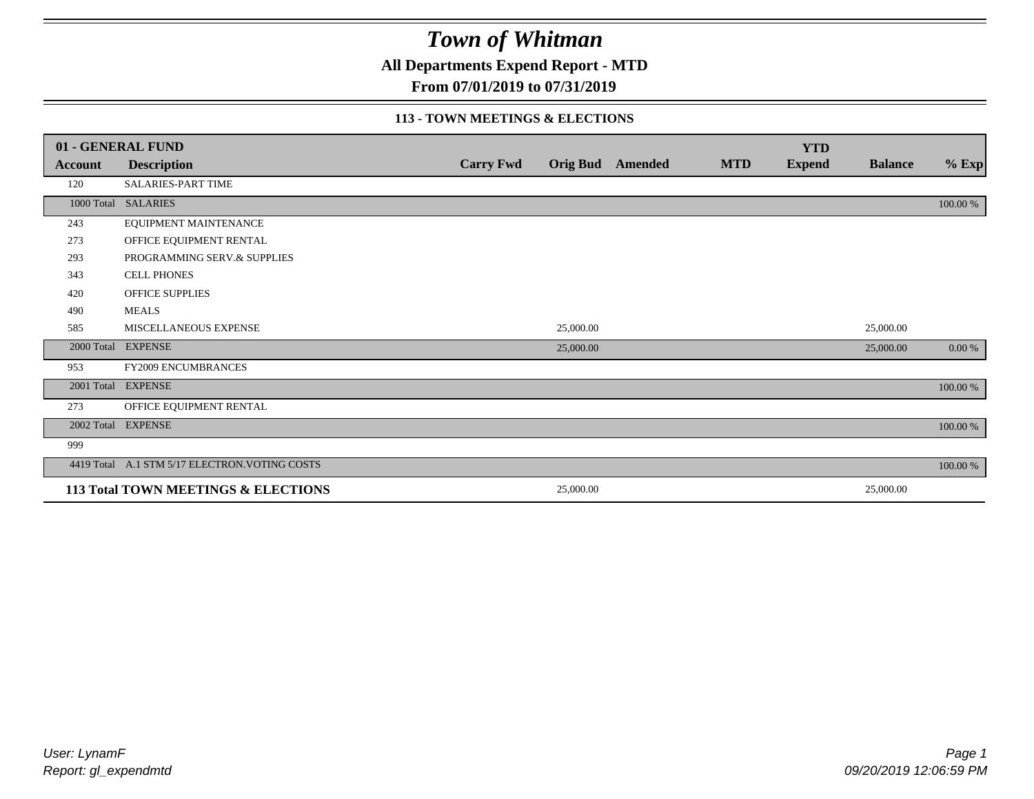**All Departments Expend Report - MTD**

**From 07/01/2019 to 07/31/2019**

### **113 - TOWN MEETINGS & ELECTIONS**

|         | 01 - GENERAL FUND                              |                  |                 |         |            | <b>YTD</b>    |                |           |
|---------|------------------------------------------------|------------------|-----------------|---------|------------|---------------|----------------|-----------|
| Account | <b>Description</b>                             | <b>Carry Fwd</b> | <b>Orig Bud</b> | Amended | <b>MTD</b> | <b>Expend</b> | <b>Balance</b> | $%$ Exp   |
| 120     | <b>SALARIES-PART TIME</b>                      |                  |                 |         |            |               |                |           |
|         | 1000 Total SALARIES                            |                  |                 |         |            |               |                | 100.00 %  |
| 243     | EQUIPMENT MAINTENANCE                          |                  |                 |         |            |               |                |           |
| 273     | OFFICE EQUIPMENT RENTAL                        |                  |                 |         |            |               |                |           |
| 293     | PROGRAMMING SERV.& SUPPLIES                    |                  |                 |         |            |               |                |           |
| 343     | <b>CELL PHONES</b>                             |                  |                 |         |            |               |                |           |
| 420     | <b>OFFICE SUPPLIES</b>                         |                  |                 |         |            |               |                |           |
| 490     | <b>MEALS</b>                                   |                  |                 |         |            |               |                |           |
| 585     | MISCELLANEOUS EXPENSE                          |                  | 25,000.00       |         |            |               | 25,000.00      |           |
|         | 2000 Total EXPENSE                             |                  | 25,000.00       |         |            |               | 25,000.00      | $0.00 \%$ |
| 953     | FY2009 ENCUMBRANCES                            |                  |                 |         |            |               |                |           |
|         | 2001 Total EXPENSE                             |                  |                 |         |            |               |                | 100.00 %  |
| 273     | OFFICE EQUIPMENT RENTAL                        |                  |                 |         |            |               |                |           |
|         | 2002 Total EXPENSE                             |                  |                 |         |            |               |                | 100.00 %  |
| 999     |                                                |                  |                 |         |            |               |                |           |
|         | 4419 Total A.1 STM 5/17 ELECTRON. VOTING COSTS |                  |                 |         |            |               |                | 100.00 %  |
|         | 113 Total TOWN MEETINGS & ELECTIONS            |                  | 25,000.00       |         |            |               | 25,000.00      |           |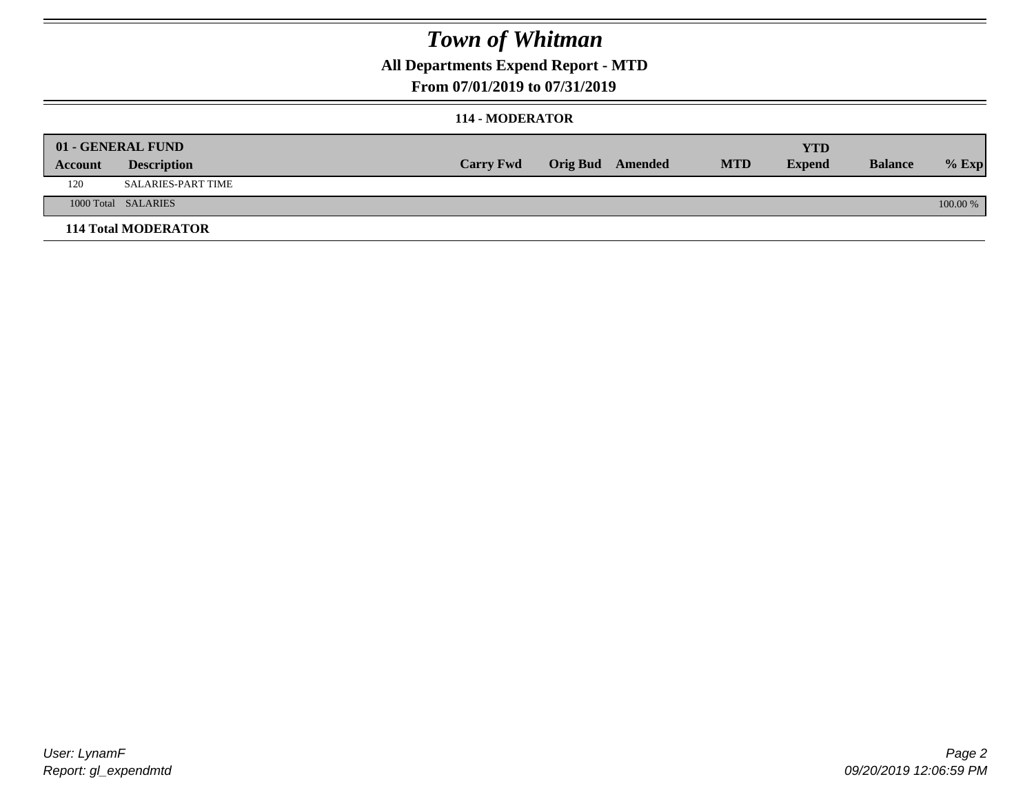### **All Departments Expend Report - MTD**

### **From 07/01/2019 to 07/31/2019**

#### **114 - MODERATOR**

|         | 01 - GENERAL FUND          |                  |                         |            | YTD           |                |            |
|---------|----------------------------|------------------|-------------------------|------------|---------------|----------------|------------|
| Account | <b>Description</b>         | <b>Carry Fwd</b> | <b>Orig Bud</b> Amended | <b>MTD</b> | <b>Expend</b> | <b>Balance</b> | $%$ Exp    |
| 120     | SALARIES-PART TIME         |                  |                         |            |               |                |            |
|         | 1000 Total SALARIES        |                  |                         |            |               |                | $100.00\%$ |
|         | <b>114 Total MODERATOR</b> |                  |                         |            |               |                |            |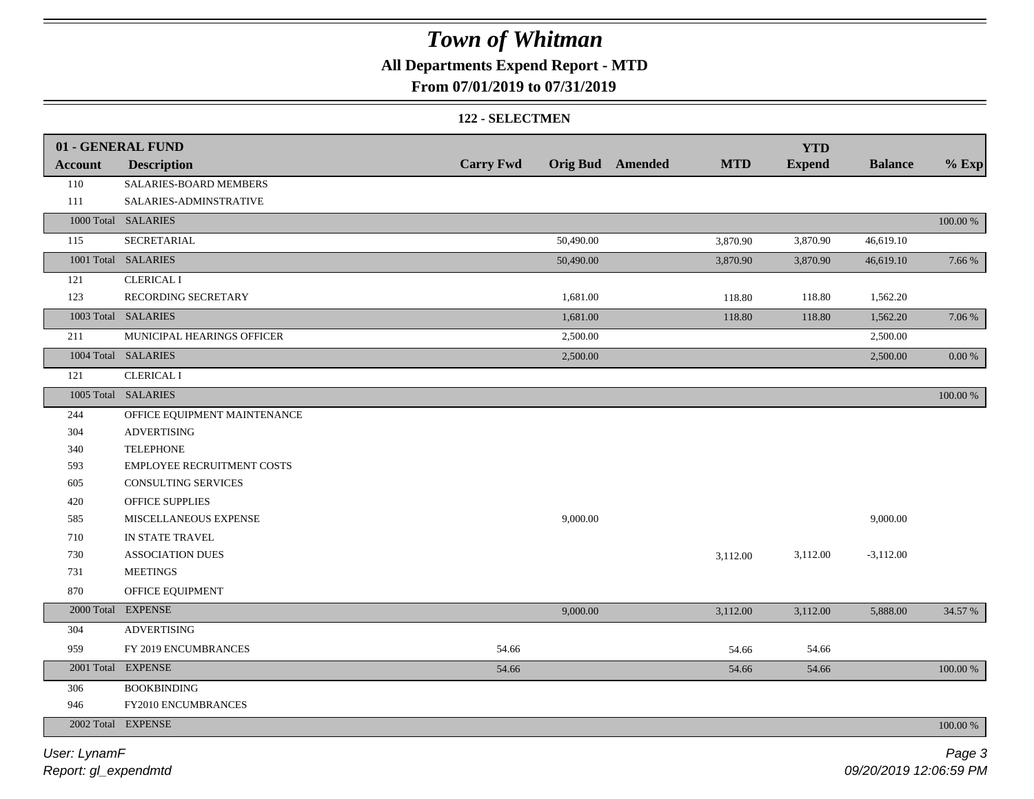### **All Departments Expend Report - MTD**

### **From 07/01/2019 to 07/31/2019**

#### **122 - SELECTMEN**

|                | 01 - GENERAL FUND                 |                  |                                       | <b>YTD</b>    |                |             |
|----------------|-----------------------------------|------------------|---------------------------------------|---------------|----------------|-------------|
| <b>Account</b> | <b>Description</b>                | <b>Carry Fwd</b> | <b>Orig Bud</b> Amended<br><b>MTD</b> | <b>Expend</b> | <b>Balance</b> | $%$ Exp     |
| 110            | SALARIES-BOARD MEMBERS            |                  |                                       |               |                |             |
| 111            | SALARIES-ADMINSTRATIVE            |                  |                                       |               |                |             |
|                | 1000 Total SALARIES               |                  |                                       |               |                | $100.00~\%$ |
| 115            | SECRETARIAL                       | 50,490.00        | 3,870.90                              | 3,870.90      | 46,619.10      |             |
|                | 1001 Total SALARIES               | 50,490.00        | 3,870.90                              | 3,870.90      | 46,619.10      | 7.66 %      |
| 121            | <b>CLERICAL I</b>                 |                  |                                       |               |                |             |
| 123            | RECORDING SECRETARY               | 1,681.00         | 118.80                                | 118.80        | 1,562.20       |             |
|                | 1003 Total SALARIES               | 1,681.00         | 118.80                                | 118.80        | 1,562.20       | 7.06 %      |
| 211            | MUNICIPAL HEARINGS OFFICER        | 2,500.00         |                                       |               | 2,500.00       |             |
|                | 1004 Total SALARIES               | 2,500.00         |                                       |               | 2,500.00       | 0.00 %      |
| 121            | <b>CLERICAL I</b>                 |                  |                                       |               |                |             |
|                | 1005 Total SALARIES               |                  |                                       |               |                | 100.00 %    |
| 244            | OFFICE EQUIPMENT MAINTENANCE      |                  |                                       |               |                |             |
| 304            | <b>ADVERTISING</b>                |                  |                                       |               |                |             |
| 340            | <b>TELEPHONE</b>                  |                  |                                       |               |                |             |
| 593            | <b>EMPLOYEE RECRUITMENT COSTS</b> |                  |                                       |               |                |             |
| 605            | <b>CONSULTING SERVICES</b>        |                  |                                       |               |                |             |
| 420            | OFFICE SUPPLIES                   |                  |                                       |               |                |             |
| 585            | MISCELLANEOUS EXPENSE             | 9,000.00         |                                       |               | 9,000.00       |             |
| 710            | IN STATE TRAVEL                   |                  |                                       |               |                |             |
| 730            | <b>ASSOCIATION DUES</b>           |                  | 3,112.00                              | 3,112.00      | $-3,112.00$    |             |
| 731            | <b>MEETINGS</b>                   |                  |                                       |               |                |             |
| 870            | OFFICE EQUIPMENT                  |                  |                                       |               |                |             |
|                | 2000 Total EXPENSE                | 9,000.00         | 3,112.00                              | 3,112.00      | 5,888.00       | 34.57 %     |
| 304            | <b>ADVERTISING</b>                |                  |                                       |               |                |             |
| 959            | FY 2019 ENCUMBRANCES              | 54.66            | 54.66                                 | 54.66         |                |             |
|                | 2001 Total EXPENSE                | 54.66            | 54.66                                 | 54.66         |                | 100.00 %    |
| 306            | <b>BOOKBINDING</b>                |                  |                                       |               |                |             |
| 946            | FY2010 ENCUMBRANCES               |                  |                                       |               |                |             |
|                | 2002 Total EXPENSE                |                  |                                       |               |                | 100.00 %    |
|                |                                   |                  |                                       |               |                |             |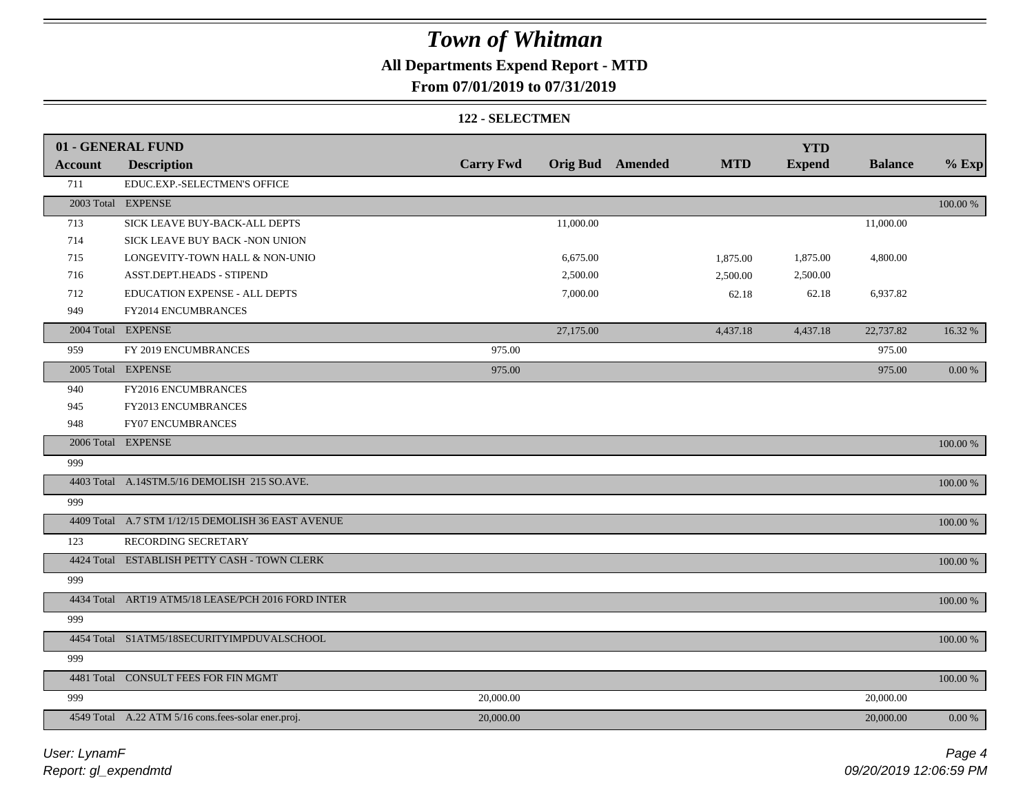## **All Departments Expend Report - MTD**

### **From 07/01/2019 to 07/31/2019**

#### **122 - SELECTMEN**

|                | 01 - GENERAL FUND                                   |                  |           |                         |            | <b>YTD</b>    |                |             |
|----------------|-----------------------------------------------------|------------------|-----------|-------------------------|------------|---------------|----------------|-------------|
| <b>Account</b> | <b>Description</b>                                  | <b>Carry Fwd</b> |           | <b>Orig Bud</b> Amended | <b>MTD</b> | <b>Expend</b> | <b>Balance</b> | $%$ Exp     |
| 711            | EDUC.EXP.-SELECTMEN'S OFFICE                        |                  |           |                         |            |               |                |             |
|                | 2003 Total EXPENSE                                  |                  |           |                         |            |               |                | $100.00~\%$ |
| 713            | SICK LEAVE BUY-BACK-ALL DEPTS                       |                  | 11,000.00 |                         |            |               | 11,000.00      |             |
| 714            | SICK LEAVE BUY BACK -NON UNION                      |                  |           |                         |            |               |                |             |
| 715            | LONGEVITY-TOWN HALL & NON-UNIO                      |                  | 6,675.00  |                         | 1,875.00   | 1,875.00      | 4,800.00       |             |
| 716            | ASST.DEPT.HEADS - STIPEND                           |                  | 2,500.00  |                         | 2,500.00   | 2,500.00      |                |             |
| 712            | EDUCATION EXPENSE - ALL DEPTS                       |                  | 7,000.00  |                         | 62.18      | 62.18         | 6,937.82       |             |
| 949            | FY2014 ENCUMBRANCES                                 |                  |           |                         |            |               |                |             |
|                | 2004 Total EXPENSE                                  |                  | 27,175.00 |                         | 4,437.18   | 4,437.18      | 22,737.82      | 16.32 %     |
| 959            | FY 2019 ENCUMBRANCES                                | 975.00           |           |                         |            |               | 975.00         |             |
|                | 2005 Total EXPENSE                                  | 975.00           |           |                         |            |               | 975.00         | $0.00\,\%$  |
| 940            | FY2016 ENCUMBRANCES                                 |                  |           |                         |            |               |                |             |
| 945            | FY2013 ENCUMBRANCES                                 |                  |           |                         |            |               |                |             |
| 948            | <b>FY07 ENCUMBRANCES</b>                            |                  |           |                         |            |               |                |             |
|                | 2006 Total EXPENSE                                  |                  |           |                         |            |               |                | 100.00 %    |
| 999            |                                                     |                  |           |                         |            |               |                |             |
|                | 4403 Total A.14STM.5/16 DEMOLISH 215 SO.AVE.        |                  |           |                         |            |               |                | 100.00 %    |
| 999            |                                                     |                  |           |                         |            |               |                |             |
|                | 4409 Total A.7 STM 1/12/15 DEMOLISH 36 EAST AVENUE  |                  |           |                         |            |               |                | 100.00 %    |
| 123            | RECORDING SECRETARY                                 |                  |           |                         |            |               |                |             |
|                | 4424 Total ESTABLISH PETTY CASH - TOWN CLERK        |                  |           |                         |            |               |                | 100.00 %    |
| 999            |                                                     |                  |           |                         |            |               |                |             |
|                | 4434 Total ART19 ATM5/18 LEASE/PCH 2016 FORD INTER  |                  |           |                         |            |               |                | 100.00 %    |
| 999            |                                                     |                  |           |                         |            |               |                |             |
|                | 4454 Total S1ATM5/18SECURITYIMPDUVALSCHOOL          |                  |           |                         |            |               |                | 100.00 %    |
| 999            |                                                     |                  |           |                         |            |               |                |             |
|                | 4481 Total CONSULT FEES FOR FIN MGMT                |                  |           |                         |            |               |                | 100.00 %    |
| 999            |                                                     | 20,000.00        |           |                         |            |               | 20,000.00      |             |
|                | 4549 Total A.22 ATM 5/16 cons.fees-solar ener.proj. | 20,000.00        |           |                         |            |               | 20,000.00      | 0.00 %      |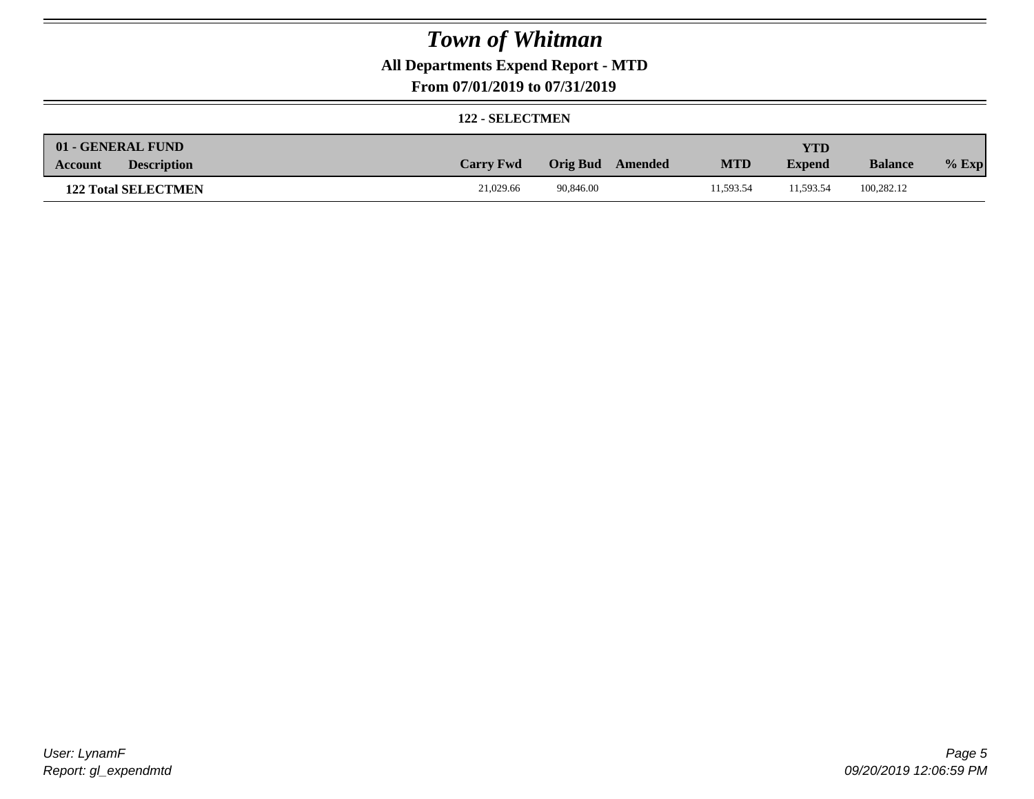### **All Departments Expend Report - MTD**

### **From 07/01/2019 to 07/31/2019**

#### **122 - SELECTMEN**

| 01 - GENERAL FUND             |                  |           |         |            | <b>YTD</b>    |                |         |
|-------------------------------|------------------|-----------|---------|------------|---------------|----------------|---------|
| <b>Description</b><br>Account | <b>Carry Fwd</b> | Orig Bud  | Amended | <b>MTD</b> | <b>Expend</b> | <b>Balance</b> | $%$ Exp |
| <b>122 Total SELECTMEN</b>    | 21,029.66        | 90.846.00 |         | 11.593.54  | 11.593.54     | 100.282.12     |         |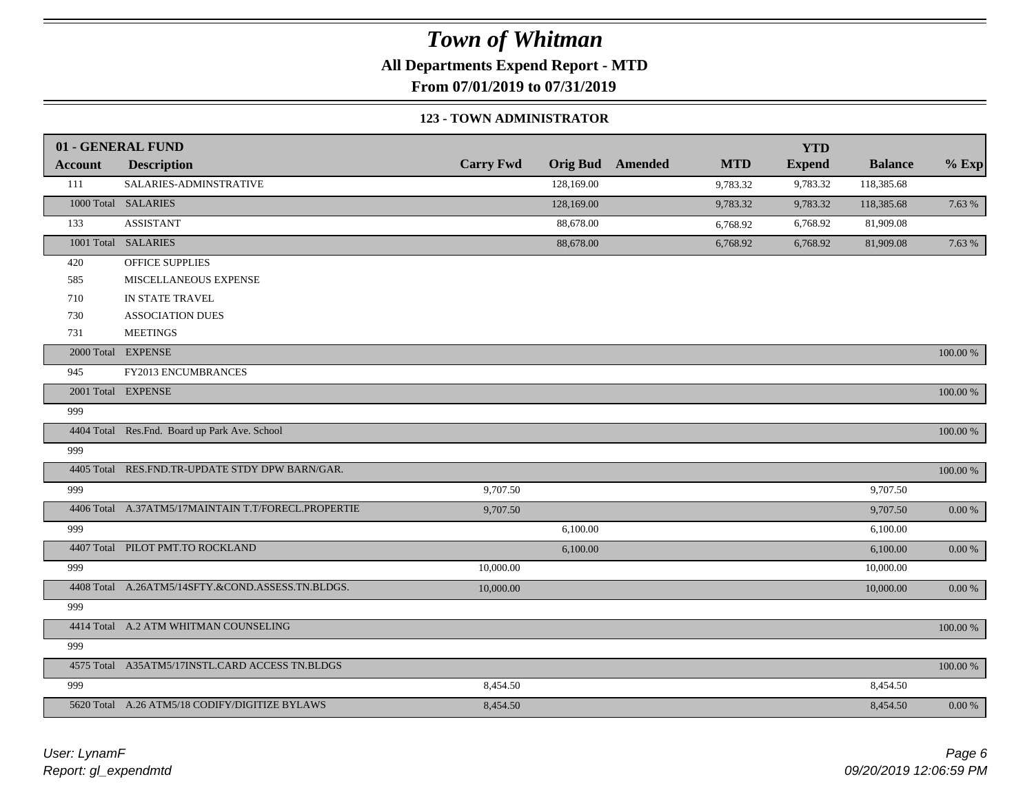**All Departments Expend Report - MTD**

**From 07/01/2019 to 07/31/2019**

#### **123 - TOWN ADMINISTRATOR**

|         | 01 - GENERAL FUND                                   |                  |                 |         |            | <b>YTD</b>    |                |             |
|---------|-----------------------------------------------------|------------------|-----------------|---------|------------|---------------|----------------|-------------|
| Account | <b>Description</b>                                  | <b>Carry Fwd</b> | <b>Orig Bud</b> | Amended | <b>MTD</b> | <b>Expend</b> | <b>Balance</b> | $%$ Exp     |
| 111     | SALARIES-ADMINSTRATIVE                              |                  | 128,169.00      |         | 9,783.32   | 9,783.32      | 118,385.68     |             |
|         | 1000 Total SALARIES                                 |                  | 128,169.00      |         | 9,783.32   | 9,783.32      | 118,385.68     | 7.63 %      |
| 133     | <b>ASSISTANT</b>                                    |                  | 88,678.00       |         | 6,768.92   | 6,768.92      | 81,909.08      |             |
|         | 1001 Total SALARIES                                 |                  | 88,678.00       |         | 6,768.92   | 6,768.92      | 81,909.08      | 7.63 %      |
| 420     | OFFICE SUPPLIES                                     |                  |                 |         |            |               |                |             |
| 585     | MISCELLANEOUS EXPENSE                               |                  |                 |         |            |               |                |             |
| 710     | IN STATE TRAVEL                                     |                  |                 |         |            |               |                |             |
| 730     | <b>ASSOCIATION DUES</b>                             |                  |                 |         |            |               |                |             |
| 731     | <b>MEETINGS</b>                                     |                  |                 |         |            |               |                |             |
|         | 2000 Total EXPENSE                                  |                  |                 |         |            |               |                | 100.00 %    |
| 945     | FY2013 ENCUMBRANCES                                 |                  |                 |         |            |               |                |             |
|         | 2001 Total EXPENSE                                  |                  |                 |         |            |               |                | $100.00~\%$ |
| 999     |                                                     |                  |                 |         |            |               |                |             |
|         | 4404 Total Res.Fnd. Board up Park Ave. School       |                  |                 |         |            |               |                | $100.00~\%$ |
| 999     |                                                     |                  |                 |         |            |               |                |             |
|         | 4405 Total RES.FND.TR-UPDATE STDY DPW BARN/GAR.     |                  |                 |         |            |               |                | $100.00~\%$ |
| 999     |                                                     | 9,707.50         |                 |         |            |               | 9,707.50       |             |
|         | 4406 Total A.37ATM5/17MAINTAIN T.T/FORECL.PROPERTIE | 9,707.50         |                 |         |            |               | 9,707.50       | $0.00~\%$   |
| 999     |                                                     |                  | 6,100.00        |         |            |               | 6,100.00       |             |
|         | 4407 Total PILOT PMT.TO ROCKLAND                    |                  | 6,100.00        |         |            |               | 6,100.00       | $0.00~\%$   |
| 999     |                                                     | 10,000.00        |                 |         |            |               | 10,000.00      |             |
|         | 4408 Total A.26ATM5/14SFTY.&COND.ASSESS.TN.BLDGS.   | 10,000.00        |                 |         |            |               | 10,000.00      | $0.00~\%$   |
| 999     |                                                     |                  |                 |         |            |               |                |             |
|         | 4414 Total A.2 ATM WHITMAN COUNSELING               |                  |                 |         |            |               |                | 100.00 %    |
| 999     |                                                     |                  |                 |         |            |               |                |             |
|         | 4575 Total A35ATM5/17INSTL.CARD ACCESS TN.BLDGS     |                  |                 |         |            |               |                | 100.00 %    |
| 999     |                                                     | 8,454.50         |                 |         |            |               | 8,454.50       |             |
|         | 5620 Total A.26 ATM5/18 CODIFY/DIGITIZE BYLAWS      | 8,454.50         |                 |         |            |               | 8,454.50       | 0.00 %      |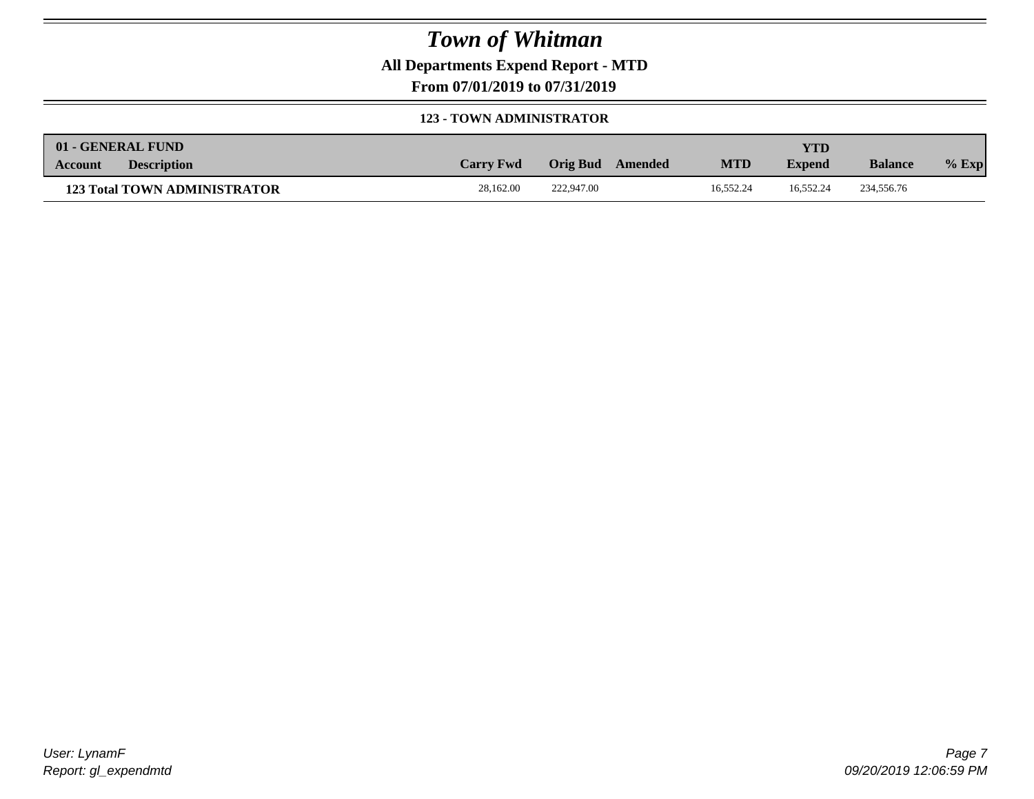**All Departments Expend Report - MTD**

**From 07/01/2019 to 07/31/2019**

#### **123 - TOWN ADMINISTRATOR**

| 01 - GENERAL FUND |                                     |                  |                     |            | <b>YTD</b>    |                |         |
|-------------------|-------------------------------------|------------------|---------------------|------------|---------------|----------------|---------|
| Account           | <b>Description</b>                  | <b>Carry Fwd</b> | Orig Bud<br>Amended | <b>MTD</b> | <b>Expend</b> | <b>Balance</b> | $%$ Exp |
|                   | <b>123 Total TOWN ADMINISTRATOR</b> | 28,162.00        | 222,947.00          | 16.552.24  | 16.552.24     | 234,556.76     |         |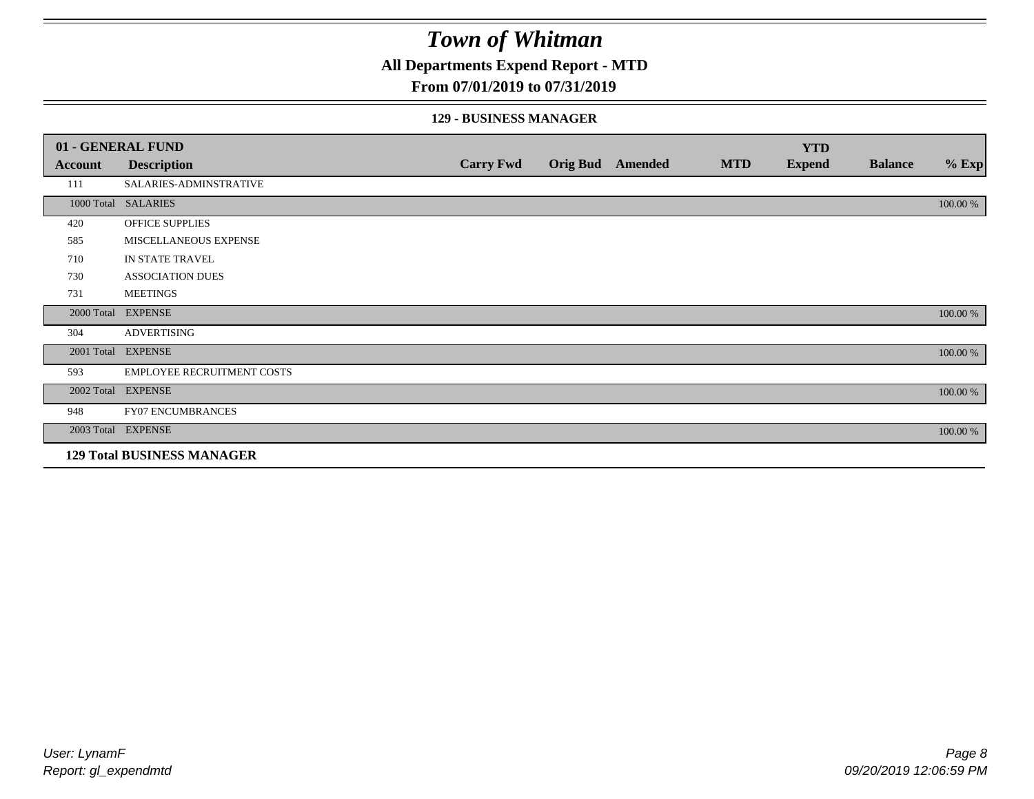**All Departments Expend Report - MTD**

### **From 07/01/2019 to 07/31/2019**

#### **129 - BUSINESS MANAGER**

|            | 01 - GENERAL FUND                 |                  |                 |         |            | <b>YTD</b>    |                |          |
|------------|-----------------------------------|------------------|-----------------|---------|------------|---------------|----------------|----------|
| Account    | <b>Description</b>                | <b>Carry Fwd</b> | <b>Orig Bud</b> | Amended | <b>MTD</b> | <b>Expend</b> | <b>Balance</b> | $%$ Exp  |
| 111        | SALARIES-ADMINSTRATIVE            |                  |                 |         |            |               |                |          |
|            | 1000 Total SALARIES               |                  |                 |         |            |               |                | 100.00 % |
| 420        | OFFICE SUPPLIES                   |                  |                 |         |            |               |                |          |
| 585        | MISCELLANEOUS EXPENSE             |                  |                 |         |            |               |                |          |
| 710        | IN STATE TRAVEL                   |                  |                 |         |            |               |                |          |
| 730        | <b>ASSOCIATION DUES</b>           |                  |                 |         |            |               |                |          |
| 731        | <b>MEETINGS</b>                   |                  |                 |         |            |               |                |          |
| 2000 Total | <b>EXPENSE</b>                    |                  |                 |         |            |               |                | 100.00 % |
| 304        | <b>ADVERTISING</b>                |                  |                 |         |            |               |                |          |
| 2001 Total | <b>EXPENSE</b>                    |                  |                 |         |            |               |                | 100.00 % |
| 593        | <b>EMPLOYEE RECRUITMENT COSTS</b> |                  |                 |         |            |               |                |          |
|            | 2002 Total EXPENSE                |                  |                 |         |            |               |                | 100.00 % |
| 948        | <b>FY07 ENCUMBRANCES</b>          |                  |                 |         |            |               |                |          |
|            | 2003 Total EXPENSE                |                  |                 |         |            |               |                | 100.00 % |
|            | <b>129 Total BUSINESS MANAGER</b> |                  |                 |         |            |               |                |          |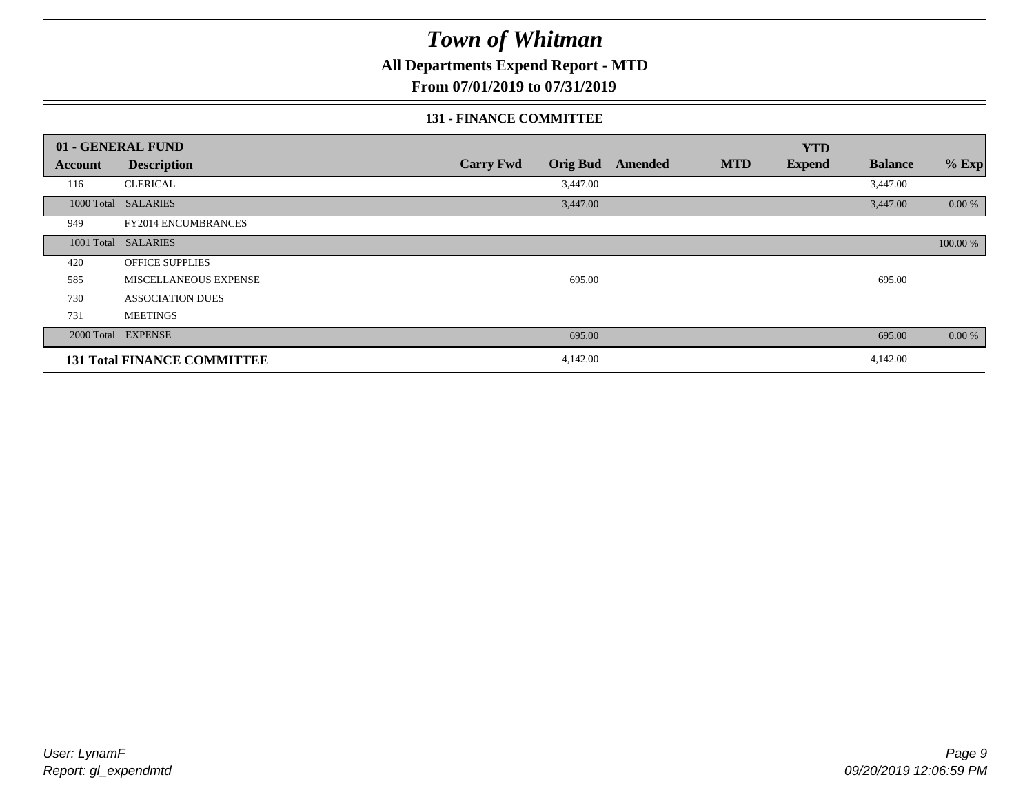**All Departments Expend Report - MTD**

**From 07/01/2019 to 07/31/2019**

### **131 - FINANCE COMMITTEE**

|         | 01 - GENERAL FUND                  |                                     |                | <b>YTD</b>                  |                |           |
|---------|------------------------------------|-------------------------------------|----------------|-----------------------------|----------------|-----------|
| Account | <b>Description</b>                 | <b>Carry Fwd</b><br><b>Orig Bud</b> | <b>Amended</b> | <b>MTD</b><br><b>Expend</b> | <b>Balance</b> | $%$ Exp   |
| 116     | <b>CLERICAL</b>                    | 3,447.00                            |                |                             | 3,447.00       |           |
|         | 1000 Total SALARIES                | 3,447.00                            |                |                             | 3,447.00       | 0.00 %    |
| 949     | FY2014 ENCUMBRANCES                |                                     |                |                             |                |           |
|         | 1001 Total SALARIES                |                                     |                |                             |                | 100.00 %  |
| 420     | <b>OFFICE SUPPLIES</b>             |                                     |                |                             |                |           |
| 585     | MISCELLANEOUS EXPENSE              | 695.00                              |                |                             | 695.00         |           |
| 730     | <b>ASSOCIATION DUES</b>            |                                     |                |                             |                |           |
| 731     | <b>MEETINGS</b>                    |                                     |                |                             |                |           |
|         | 2000 Total EXPENSE                 | 695.00                              |                |                             | 695.00         | $0.00 \%$ |
|         | <b>131 Total FINANCE COMMITTEE</b> | 4,142.00                            |                |                             | 4,142.00       |           |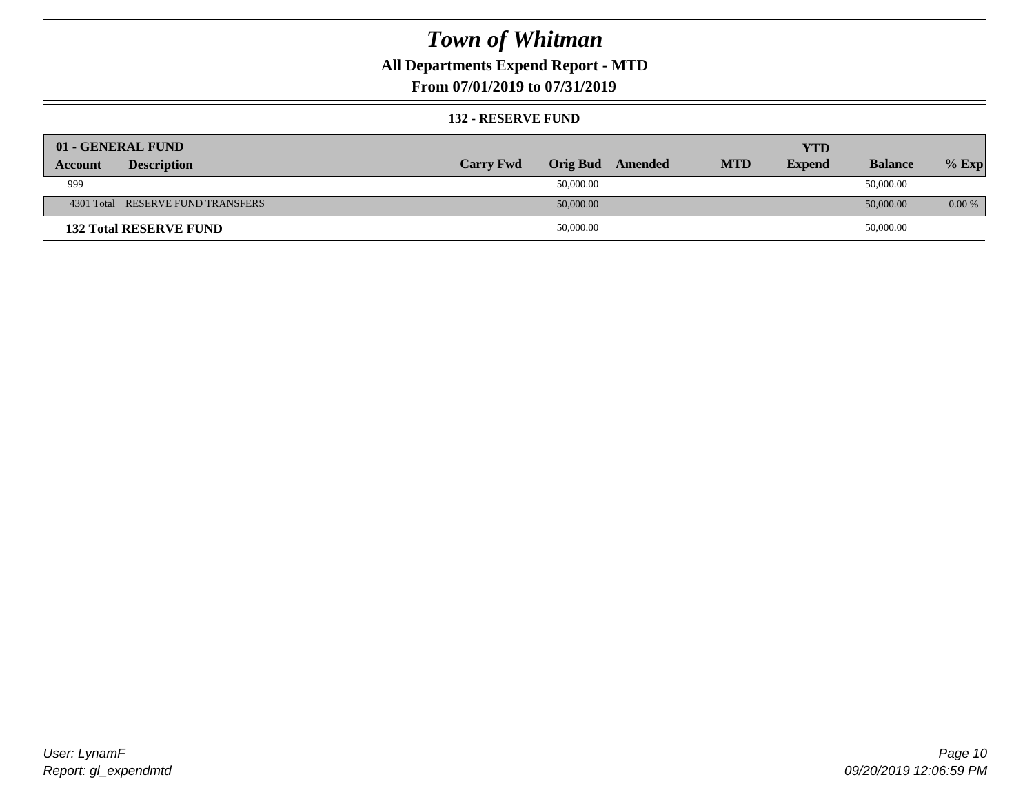### **All Departments Expend Report - MTD**

**From 07/01/2019 to 07/31/2019**

#### **132 - RESERVE FUND**

| 01 - GENERAL FUND                 |                  |                 |         |            | <b>YTD</b>    |                |          |
|-----------------------------------|------------------|-----------------|---------|------------|---------------|----------------|----------|
| <b>Description</b><br>Account     | <b>Carry Fwd</b> | <b>Orig Bud</b> | Amended | <b>MTD</b> | <b>Expend</b> | <b>Balance</b> | $%$ Exp  |
| 999                               |                  | 50,000.00       |         |            |               | 50,000.00      |          |
| 4301 Total RESERVE FUND TRANSFERS |                  | 50,000.00       |         |            |               | 50,000.00      | $0.00\%$ |
| <b>132 Total RESERVE FUND</b>     |                  | 50,000.00       |         |            |               | 50,000.00      |          |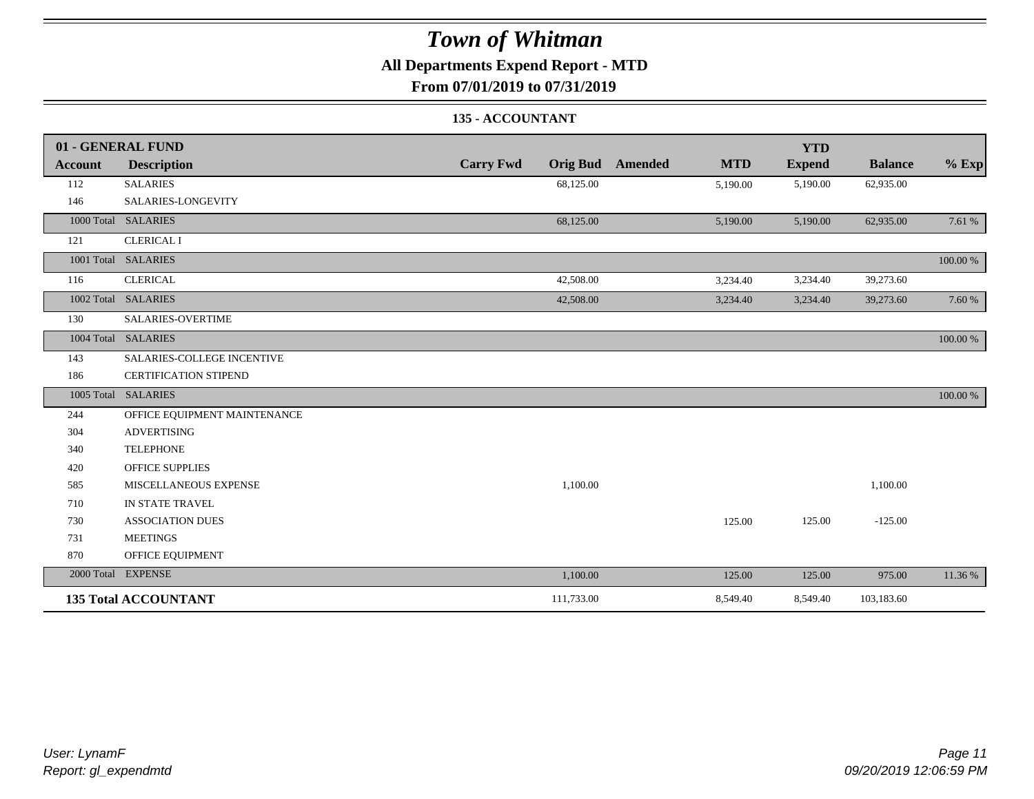### **All Departments Expend Report - MTD**

**From 07/01/2019 to 07/31/2019**

### **135 - ACCOUNTANT**

|                | 01 - GENERAL FUND            |                  |                                       | <b>YTD</b>    |                |             |
|----------------|------------------------------|------------------|---------------------------------------|---------------|----------------|-------------|
| <b>Account</b> | <b>Description</b>           | <b>Carry Fwd</b> | <b>Orig Bud</b> Amended<br><b>MTD</b> | <b>Expend</b> | <b>Balance</b> | $%$ Exp     |
| 112            | <b>SALARIES</b>              | 68,125.00        | 5,190.00                              | 5,190.00      | 62,935.00      |             |
| 146            | SALARIES-LONGEVITY           |                  |                                       |               |                |             |
|                | 1000 Total SALARIES          | 68,125.00        | 5,190.00                              | 5,190.00      | 62,935.00      | 7.61 %      |
| 121            | <b>CLERICAL I</b>            |                  |                                       |               |                |             |
|                | 1001 Total SALARIES          |                  |                                       |               |                | 100.00 %    |
| 116            | <b>CLERICAL</b>              | 42,508.00        | 3,234.40                              | 3,234.40      | 39,273.60      |             |
|                | 1002 Total SALARIES          | 42,508.00        | 3,234.40                              | 3,234.40      | 39,273.60      | 7.60 %      |
| 130            | <b>SALARIES-OVERTIME</b>     |                  |                                       |               |                |             |
|                | 1004 Total SALARIES          |                  |                                       |               |                | 100.00 %    |
| 143            | SALARIES-COLLEGE INCENTIVE   |                  |                                       |               |                |             |
| 186            | <b>CERTIFICATION STIPEND</b> |                  |                                       |               |                |             |
|                | 1005 Total SALARIES          |                  |                                       |               |                | $100.00~\%$ |
| 244            | OFFICE EQUIPMENT MAINTENANCE |                  |                                       |               |                |             |
| 304            | <b>ADVERTISING</b>           |                  |                                       |               |                |             |
| 340            | <b>TELEPHONE</b>             |                  |                                       |               |                |             |
| 420            | <b>OFFICE SUPPLIES</b>       |                  |                                       |               |                |             |
| 585            | MISCELLANEOUS EXPENSE        | 1,100.00         |                                       |               | 1,100.00       |             |
| 710            | IN STATE TRAVEL              |                  |                                       |               |                |             |
| 730            | <b>ASSOCIATION DUES</b>      |                  | 125.00                                | 125.00        | $-125.00$      |             |
| 731            | <b>MEETINGS</b>              |                  |                                       |               |                |             |
| 870            | OFFICE EQUIPMENT             |                  |                                       |               |                |             |
|                | 2000 Total EXPENSE           | 1,100.00         | 125.00                                | 125.00        | 975.00         | 11.36 %     |
|                | <b>135 Total ACCOUNTANT</b>  | 111,733.00       | 8,549.40                              | 8,549.40      | 103,183.60     |             |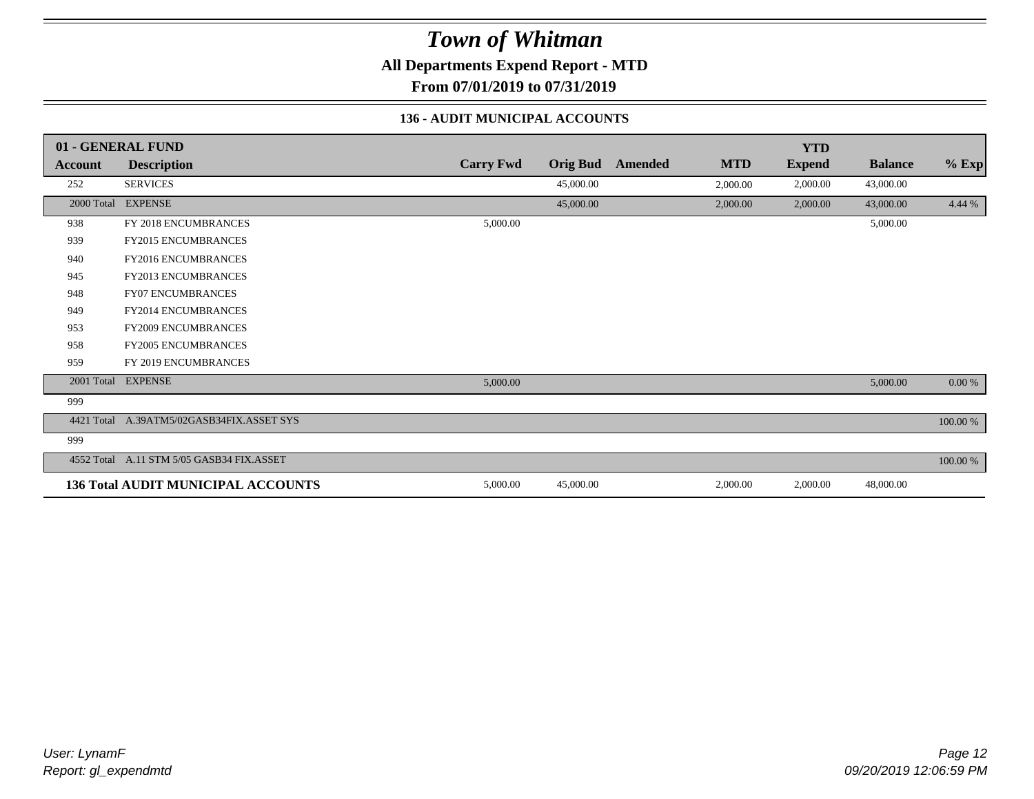**All Departments Expend Report - MTD**

**From 07/01/2019 to 07/31/2019**

### **136 - AUDIT MUNICIPAL ACCOUNTS**

|                | 01 - GENERAL FUND                         |                  |                 |         |            | <b>YTD</b>    |                |          |
|----------------|-------------------------------------------|------------------|-----------------|---------|------------|---------------|----------------|----------|
| <b>Account</b> | <b>Description</b>                        | <b>Carry Fwd</b> | <b>Orig Bud</b> | Amended | <b>MTD</b> | <b>Expend</b> | <b>Balance</b> | $%$ Exp  |
| 252            | <b>SERVICES</b>                           |                  | 45,000.00       |         | 2,000.00   | 2,000.00      | 43,000.00      |          |
| 2000 Total     | <b>EXPENSE</b>                            |                  | 45,000.00       |         | 2,000.00   | 2,000.00      | 43,000.00      | 4.44 %   |
| 938            | FY 2018 ENCUMBRANCES                      | 5,000.00         |                 |         |            |               | 5,000.00       |          |
| 939            | <b>FY2015 ENCUMBRANCES</b>                |                  |                 |         |            |               |                |          |
| 940            | <b>FY2016 ENCUMBRANCES</b>                |                  |                 |         |            |               |                |          |
| 945            | FY2013 ENCUMBRANCES                       |                  |                 |         |            |               |                |          |
| 948            | <b>FY07 ENCUMBRANCES</b>                  |                  |                 |         |            |               |                |          |
| 949            | FY2014 ENCUMBRANCES                       |                  |                 |         |            |               |                |          |
| 953            | <b>FY2009 ENCUMBRANCES</b>                |                  |                 |         |            |               |                |          |
| 958            | <b>FY2005 ENCUMBRANCES</b>                |                  |                 |         |            |               |                |          |
| 959            | FY 2019 ENCUMBRANCES                      |                  |                 |         |            |               |                |          |
| 2001 Total     | <b>EXPENSE</b>                            | 5,000.00         |                 |         |            |               | 5,000.00       | $0.00\%$ |
| 999            |                                           |                  |                 |         |            |               |                |          |
| 4421 Total     | A.39ATM5/02GASB34FIX.ASSET SYS            |                  |                 |         |            |               |                | 100.00 % |
| 999            |                                           |                  |                 |         |            |               |                |          |
| 4552 Total     | A.11 STM 5/05 GASB34 FIX.ASSET            |                  |                 |         |            |               |                | 100.00 % |
|                | <b>136 Total AUDIT MUNICIPAL ACCOUNTS</b> | 5,000.00         | 45,000.00       |         | 2,000.00   | 2,000.00      | 48,000.00      |          |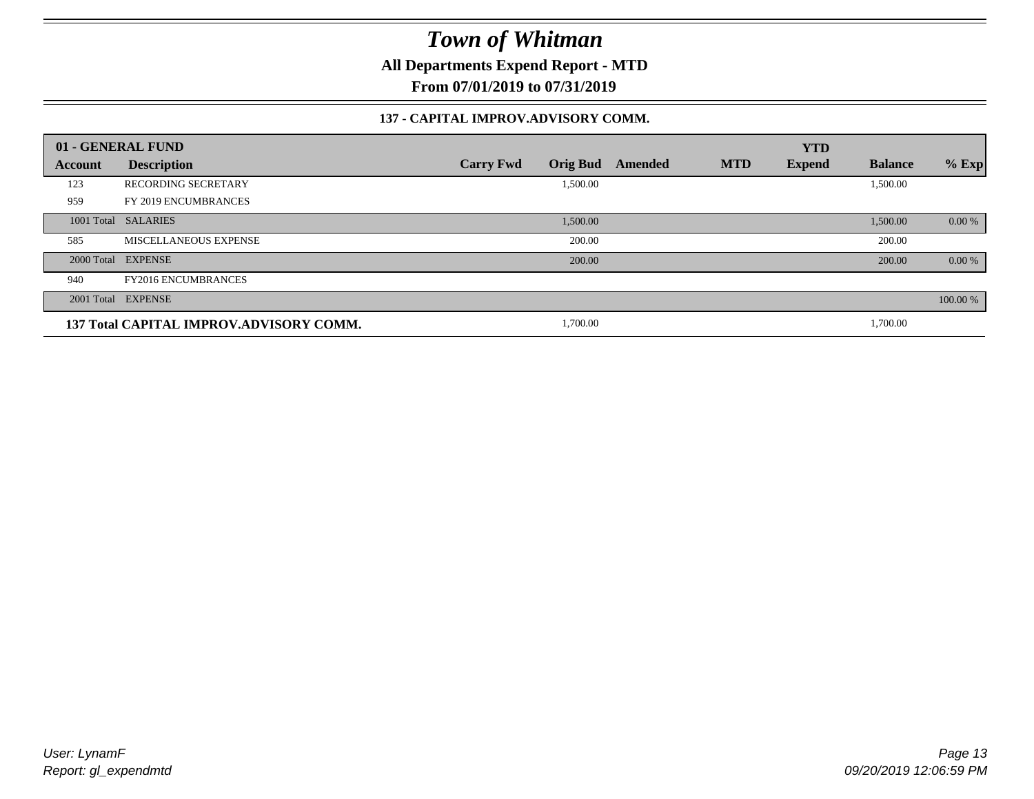**All Departments Expend Report - MTD**

**From 07/01/2019 to 07/31/2019**

#### **137 - CAPITAL IMPROV.ADVISORY COMM.**

|         | 01 - GENERAL FUND                       |                                     |         |            | <b>YTD</b>    |                |          |
|---------|-----------------------------------------|-------------------------------------|---------|------------|---------------|----------------|----------|
| Account | <b>Description</b>                      | <b>Orig Bud</b><br><b>Carry Fwd</b> | Amended | <b>MTD</b> | <b>Expend</b> | <b>Balance</b> | $%$ Exp  |
| 123     | <b>RECORDING SECRETARY</b>              | 1,500.00                            |         |            |               | 1,500.00       |          |
| 959     | FY 2019 ENCUMBRANCES                    |                                     |         |            |               |                |          |
|         | 1001 Total SALARIES                     | 1,500.00                            |         |            |               | 1,500.00       | 0.00 %   |
| 585     | MISCELLANEOUS EXPENSE                   | 200.00                              |         |            |               | 200.00         |          |
|         | 2000 Total EXPENSE                      | 200.00                              |         |            |               | 200.00         | 0.00 %   |
| 940     | <b>FY2016 ENCUMBRANCES</b>              |                                     |         |            |               |                |          |
|         | 2001 Total EXPENSE                      |                                     |         |            |               |                | 100.00 % |
|         | 137 Total CAPITAL IMPROV.ADVISORY COMM. | 1,700.00                            |         |            |               | 1,700.00       |          |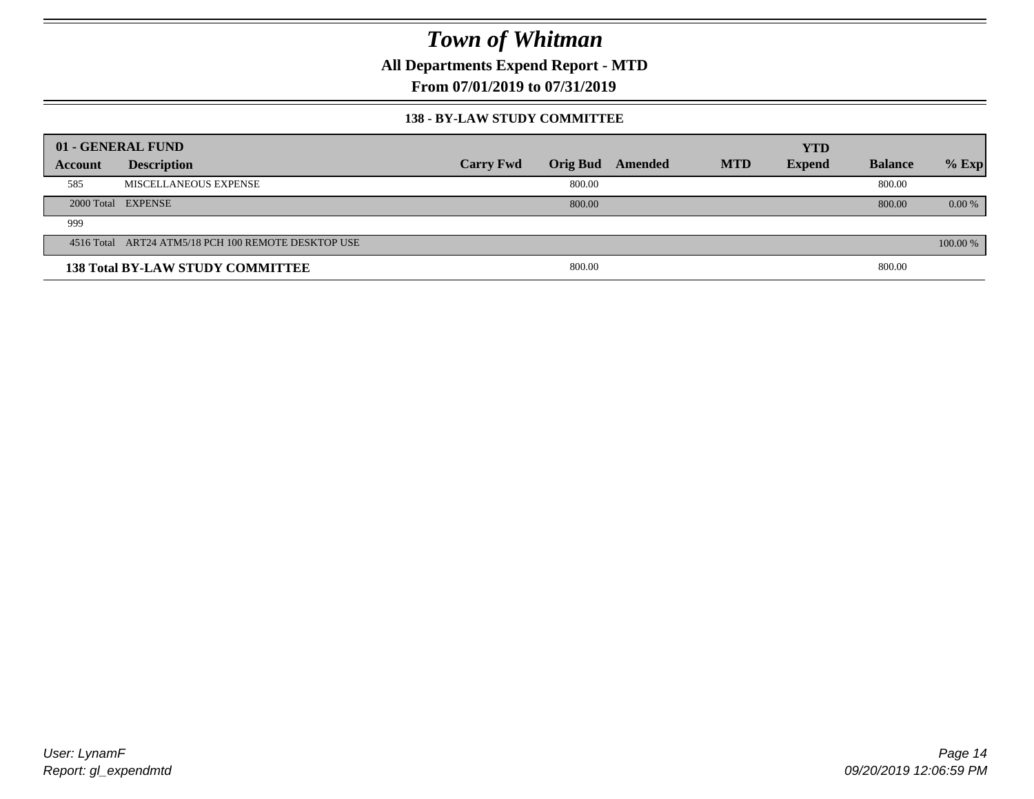**All Departments Expend Report - MTD**

**From 07/01/2019 to 07/31/2019**

#### **138 - BY-LAW STUDY COMMITTEE**

|         | 01 - GENERAL FUND                                   |                  |        |                  |            | <b>YTD</b>    |                |          |
|---------|-----------------------------------------------------|------------------|--------|------------------|------------|---------------|----------------|----------|
| Account | <b>Description</b>                                  | <b>Carry Fwd</b> |        | Orig Bud Amended | <b>MTD</b> | <b>Expend</b> | <b>Balance</b> | $%$ Exp  |
| 585     | MISCELLANEOUS EXPENSE                               |                  | 800.00 |                  |            |               | 800.00         |          |
|         | 2000 Total EXPENSE                                  |                  | 800.00 |                  |            |               | 800.00         | $0.00\%$ |
| 999     |                                                     |                  |        |                  |            |               |                |          |
|         | 4516 Total ART24 ATM5/18 PCH 100 REMOTE DESKTOP USE |                  |        |                  |            |               |                | 100.00 % |
|         | <b>138 Total BY-LAW STUDY COMMITTEE</b>             |                  | 800.00 |                  |            |               | 800.00         |          |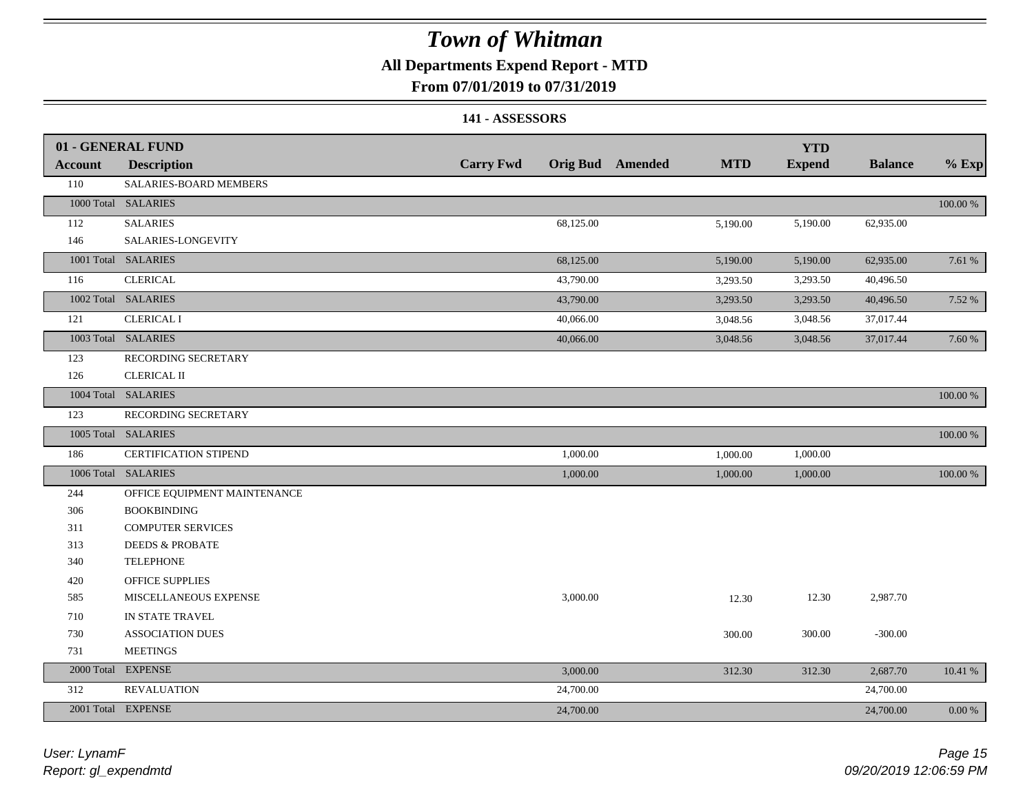### **All Departments Expend Report - MTD**

### **From 07/01/2019 to 07/31/2019**

#### **141 - ASSESSORS**

|                | 01 - GENERAL FUND            |                  |                                | <b>YTD</b>    |                |             |
|----------------|------------------------------|------------------|--------------------------------|---------------|----------------|-------------|
| <b>Account</b> | <b>Description</b>           | <b>Carry Fwd</b> | Orig Bud Amended<br><b>MTD</b> | <b>Expend</b> | <b>Balance</b> | $%$ Exp     |
| 110            | SALARIES-BOARD MEMBERS       |                  |                                |               |                |             |
|                | 1000 Total SALARIES          |                  |                                |               |                | 100.00 %    |
| 112            | <b>SALARIES</b>              | 68,125.00        | 5,190.00                       | 5,190.00      | 62,935.00      |             |
| 146            | SALARIES-LONGEVITY           |                  |                                |               |                |             |
|                | 1001 Total SALARIES          | 68,125.00        | 5,190.00                       | 5,190.00      | 62,935.00      | 7.61 %      |
| 116            | <b>CLERICAL</b>              | 43,790.00        | 3,293.50                       | 3,293.50      | 40,496.50      |             |
|                | 1002 Total SALARIES          | 43,790.00        | 3,293.50                       | 3,293.50      | 40,496.50      | 7.52 %      |
| 121            | <b>CLERICAL I</b>            | 40,066.00        | 3,048.56                       | 3,048.56      | 37,017.44      |             |
|                | 1003 Total SALARIES          | 40,066.00        | 3,048.56                       | 3,048.56      | 37,017.44      | 7.60 %      |
| 123            | RECORDING SECRETARY          |                  |                                |               |                |             |
| 126            | <b>CLERICAL II</b>           |                  |                                |               |                |             |
|                | 1004 Total SALARIES          |                  |                                |               |                | 100.00 %    |
| 123            | RECORDING SECRETARY          |                  |                                |               |                |             |
|                | 1005 Total SALARIES          |                  |                                |               |                | $100.00~\%$ |
| 186            | CERTIFICATION STIPEND        | 1,000.00         | 1,000.00                       | 1,000.00      |                |             |
|                | 1006 Total SALARIES          | 1,000.00         | 1,000.00                       | 1,000.00      |                | 100.00 %    |
| 244            | OFFICE EQUIPMENT MAINTENANCE |                  |                                |               |                |             |
| 306            | <b>BOOKBINDING</b>           |                  |                                |               |                |             |
| 311            | <b>COMPUTER SERVICES</b>     |                  |                                |               |                |             |
| 313            | <b>DEEDS &amp; PROBATE</b>   |                  |                                |               |                |             |
| 340            | <b>TELEPHONE</b>             |                  |                                |               |                |             |
| 420            | <b>OFFICE SUPPLIES</b>       |                  |                                |               |                |             |
| 585            | MISCELLANEOUS EXPENSE        | 3,000.00         | 12.30                          | 12.30         | 2,987.70       |             |
| 710            | IN STATE TRAVEL              |                  |                                |               |                |             |
| 730            | <b>ASSOCIATION DUES</b>      |                  | 300.00                         | 300.00        | $-300.00$      |             |
| 731            | <b>MEETINGS</b>              |                  |                                |               |                |             |
| 2000 Total     | <b>EXPENSE</b>               | 3,000.00         | 312.30                         | 312.30        | 2,687.70       | 10.41 %     |
| 312            | <b>REVALUATION</b>           | 24,700.00        |                                |               | 24,700.00      |             |
|                | 2001 Total EXPENSE           | 24,700.00        |                                |               | 24,700.00      | 0.00 %      |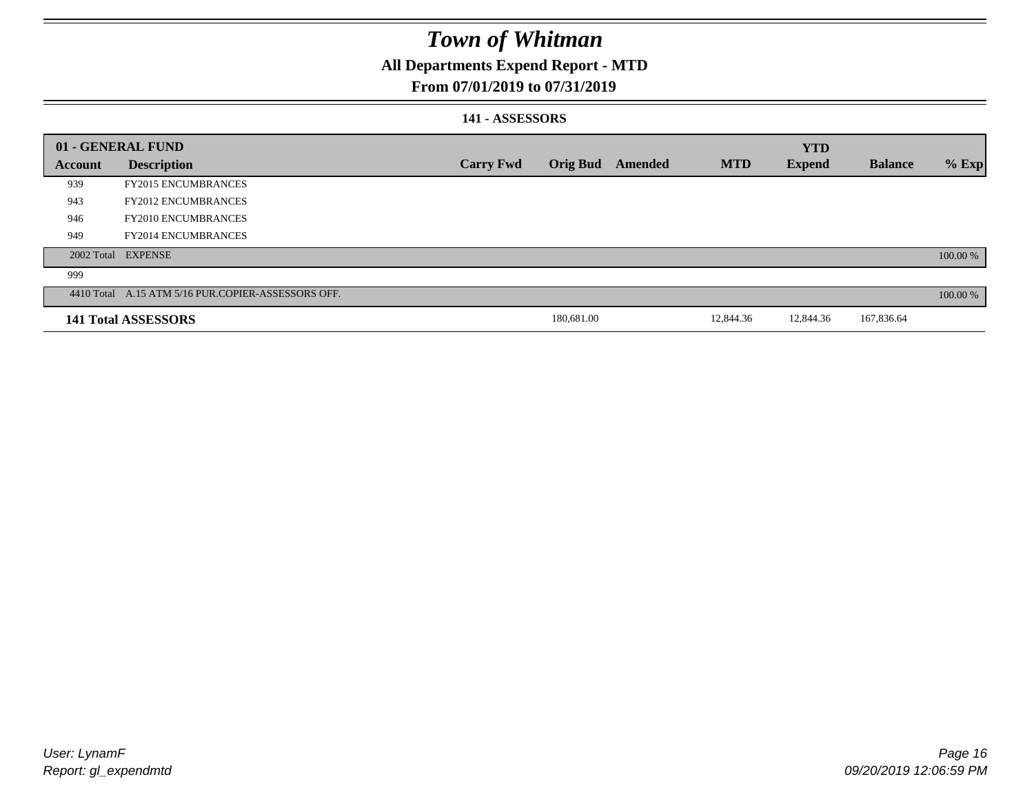### **All Departments Expend Report - MTD**

### **From 07/01/2019 to 07/31/2019**

#### **141 - ASSESSORS**

|                | 01 - GENERAL FUND                                  |                  |                 |         |            | <b>YTD</b>    |                |          |
|----------------|----------------------------------------------------|------------------|-----------------|---------|------------|---------------|----------------|----------|
| <b>Account</b> | <b>Description</b>                                 | <b>Carry Fwd</b> | <b>Orig Bud</b> | Amended | <b>MTD</b> | <b>Expend</b> | <b>Balance</b> | $%$ Exp  |
| 939            | <b>FY2015 ENCUMBRANCES</b>                         |                  |                 |         |            |               |                |          |
| 943            | <b>FY2012 ENCUMBRANCES</b>                         |                  |                 |         |            |               |                |          |
| 946            | <b>FY2010 ENCUMBRANCES</b>                         |                  |                 |         |            |               |                |          |
| 949            | <b>FY2014 ENCUMBRANCES</b>                         |                  |                 |         |            |               |                |          |
|                | 2002 Total EXPENSE                                 |                  |                 |         |            |               |                | 100.00 % |
| 999            |                                                    |                  |                 |         |            |               |                |          |
|                | 4410 Total A.15 ATM 5/16 PUR.COPIER-ASSESSORS OFF. |                  |                 |         |            |               |                | 100.00 % |
|                | 141 Total ASSESSORS                                |                  | 180,681.00      |         | 12,844.36  | 12,844.36     | 167,836.64     |          |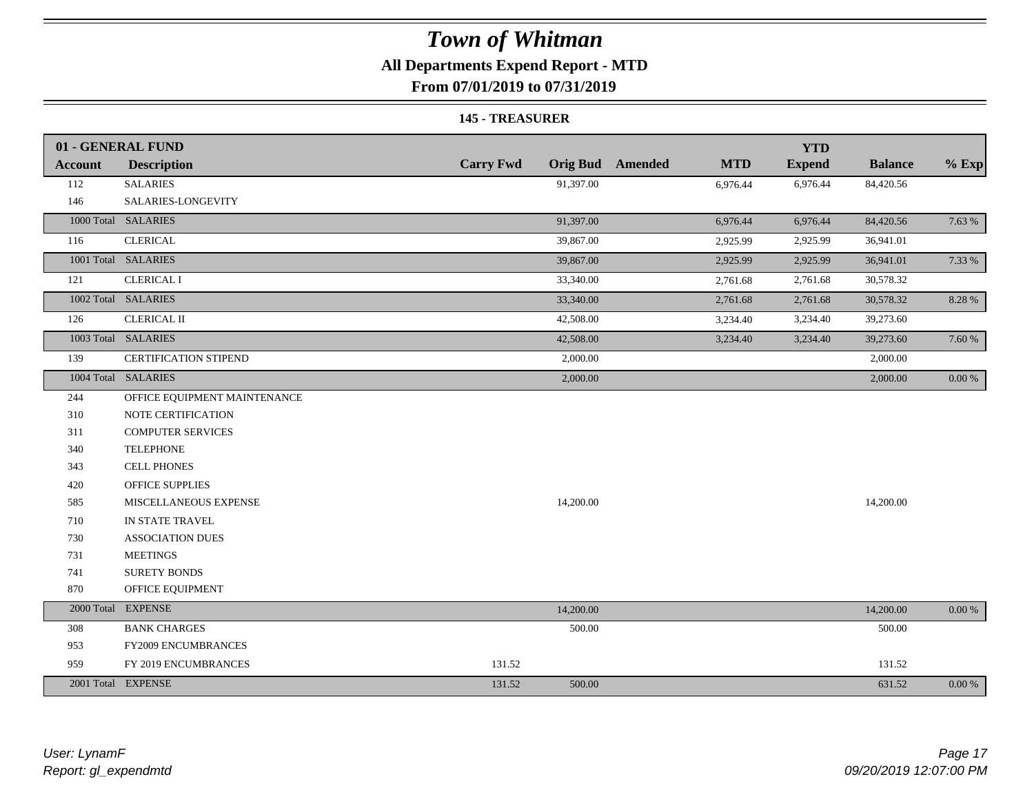## **All Departments Expend Report - MTD**

**From 07/01/2019 to 07/31/2019**

#### **145 - TREASURER**

|                | 01 - GENERAL FUND            |                  |                         |            | <b>YTD</b>    |                |            |
|----------------|------------------------------|------------------|-------------------------|------------|---------------|----------------|------------|
| <b>Account</b> | <b>Description</b>           | <b>Carry Fwd</b> | <b>Orig Bud</b> Amended | <b>MTD</b> | <b>Expend</b> | <b>Balance</b> | $%$ Exp    |
| 112            | <b>SALARIES</b>              | 91,397.00        |                         | 6,976.44   | 6,976.44      | 84,420.56      |            |
| 146            | SALARIES-LONGEVITY           |                  |                         |            |               |                |            |
|                | 1000 Total SALARIES          | 91,397.00        |                         | 6,976.44   | 6,976.44      | 84,420.56      | 7.63 %     |
| 116            | <b>CLERICAL</b>              | 39,867.00        |                         | 2,925.99   | 2,925.99      | 36,941.01      |            |
|                | 1001 Total SALARIES          | 39,867.00        |                         | 2,925.99   | 2,925.99      | 36,941.01      | 7.33 %     |
| 121            | <b>CLERICAL I</b>            | 33,340.00        |                         | 2,761.68   | 2,761.68      | 30,578.32      |            |
|                | 1002 Total SALARIES          | 33,340.00        |                         | 2,761.68   | 2,761.68      | 30,578.32      | 8.28 %     |
| 126            | <b>CLERICAL II</b>           | 42,508.00        |                         | 3,234.40   | 3,234.40      | 39,273.60      |            |
|                | 1003 Total SALARIES          | 42,508.00        |                         | 3,234.40   | 3,234.40      | 39,273.60      | 7.60 %     |
| 139            | <b>CERTIFICATION STIPEND</b> | 2,000.00         |                         |            |               | 2,000.00       |            |
|                | 1004 Total SALARIES          | 2,000.00         |                         |            |               | 2,000.00       | $0.00 \%$  |
| 244            | OFFICE EQUIPMENT MAINTENANCE |                  |                         |            |               |                |            |
| 310            | NOTE CERTIFICATION           |                  |                         |            |               |                |            |
| 311            | <b>COMPUTER SERVICES</b>     |                  |                         |            |               |                |            |
| 340            | <b>TELEPHONE</b>             |                  |                         |            |               |                |            |
| 343            | <b>CELL PHONES</b>           |                  |                         |            |               |                |            |
| 420            | <b>OFFICE SUPPLIES</b>       |                  |                         |            |               |                |            |
| 585            | MISCELLANEOUS EXPENSE        | 14,200.00        |                         |            |               | 14,200.00      |            |
| 710            | IN STATE TRAVEL              |                  |                         |            |               |                |            |
| 730            | <b>ASSOCIATION DUES</b>      |                  |                         |            |               |                |            |
| 731            | <b>MEETINGS</b>              |                  |                         |            |               |                |            |
| 741            | <b>SURETY BONDS</b>          |                  |                         |            |               |                |            |
| 870            | OFFICE EQUIPMENT             |                  |                         |            |               |                |            |
|                | 2000 Total EXPENSE           | 14,200.00        |                         |            |               | 14,200.00      | $0.00\ \%$ |
| 308            | <b>BANK CHARGES</b>          | 500.00           |                         |            |               | 500.00         |            |
| 953            | FY2009 ENCUMBRANCES          |                  |                         |            |               |                |            |
| 959            | FY 2019 ENCUMBRANCES         | 131.52           |                         |            |               | 131.52         |            |
|                | 2001 Total EXPENSE           | 500.00<br>131.52 |                         |            |               | 631.52         | 0.00 %     |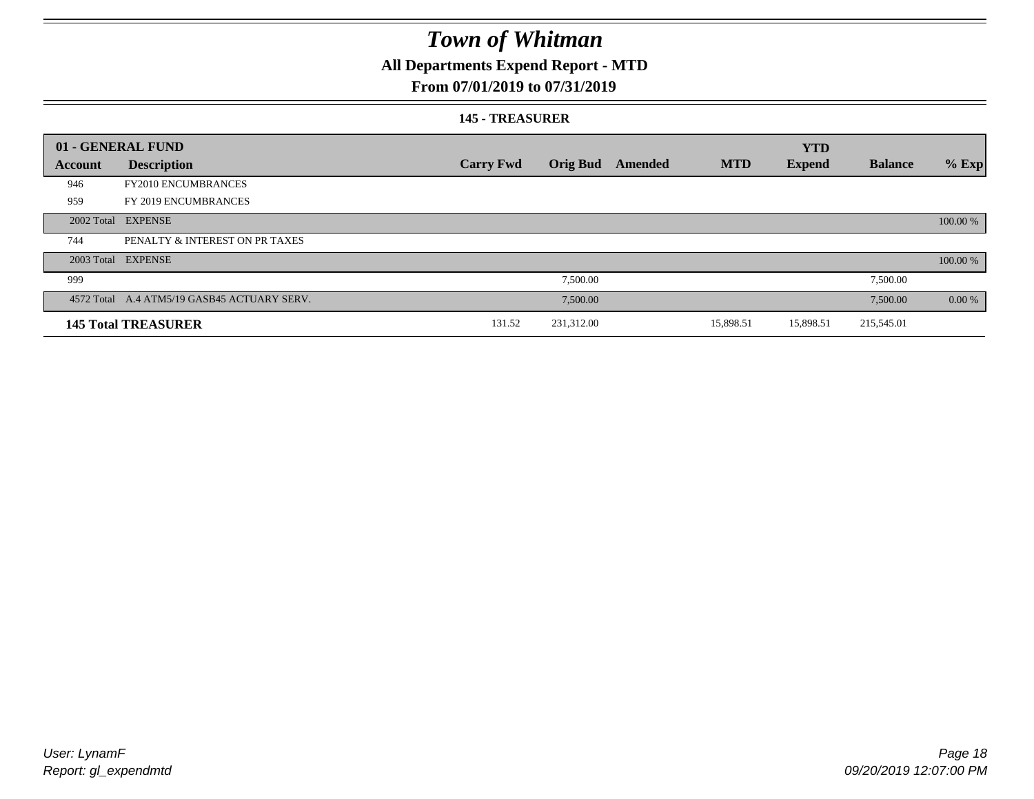## **All Departments Expend Report - MTD**

### **From 07/01/2019 to 07/31/2019**

#### **145 - TREASURER**

|         | 01 - GENERAL FUND                           |                  |                 |         |            | <b>YTD</b>    |                |          |
|---------|---------------------------------------------|------------------|-----------------|---------|------------|---------------|----------------|----------|
| Account | <b>Description</b>                          | <b>Carry Fwd</b> | <b>Orig Bud</b> | Amended | <b>MTD</b> | <b>Expend</b> | <b>Balance</b> | $%$ Exp  |
| 946     | <b>FY2010 ENCUMBRANCES</b>                  |                  |                 |         |            |               |                |          |
| 959     | FY 2019 ENCUMBRANCES                        |                  |                 |         |            |               |                |          |
|         | 2002 Total EXPENSE                          |                  |                 |         |            |               |                | 100.00 % |
| 744     | PENALTY & INTEREST ON PR TAXES              |                  |                 |         |            |               |                |          |
|         | 2003 Total EXPENSE                          |                  |                 |         |            |               |                | 100.00 % |
| 999     |                                             |                  | 7,500.00        |         |            |               | 7,500.00       |          |
|         | 4572 Total A.4 ATM5/19 GASB45 ACTUARY SERV. |                  | 7,500.00        |         |            |               | 7,500.00       | 0.00 %   |
|         | <b>145 Total TREASURER</b>                  | 131.52           | 231,312.00      |         | 15,898.51  | 15,898.51     | 215,545.01     |          |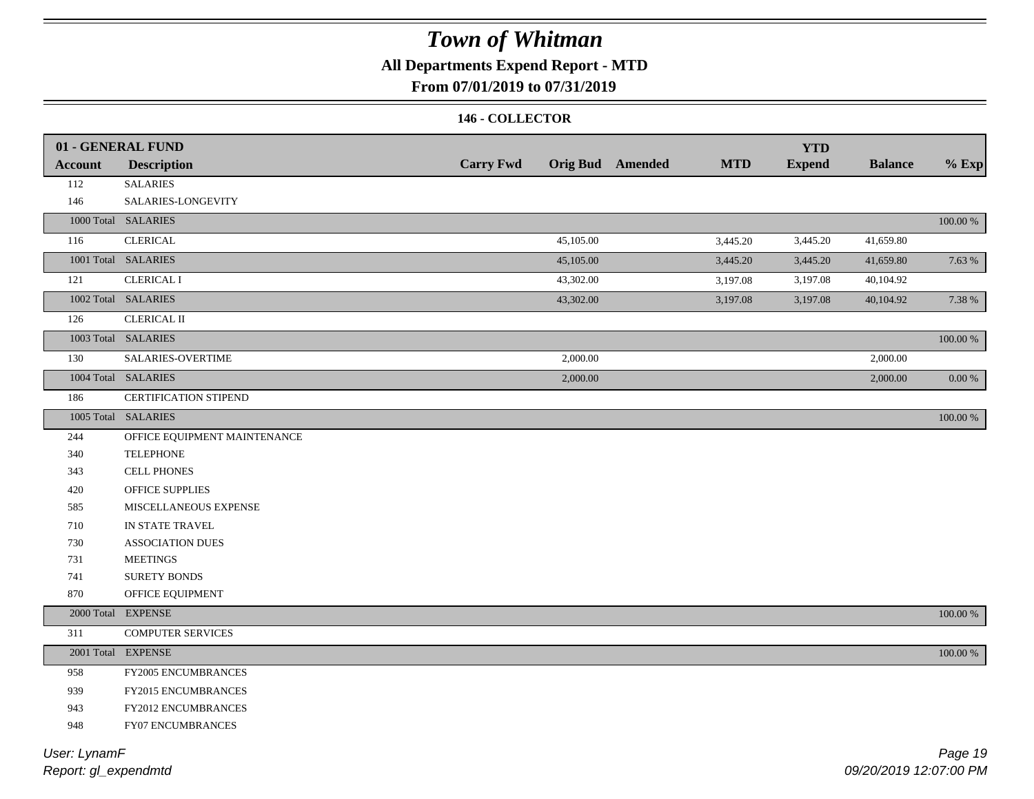## **All Departments Expend Report - MTD**

### **From 07/01/2019 to 07/31/2019**

#### **146 - COLLECTOR**

|                | 01 - GENERAL FUND            |                  |           |                         |            | <b>YTD</b>    |                |             |
|----------------|------------------------------|------------------|-----------|-------------------------|------------|---------------|----------------|-------------|
| <b>Account</b> | <b>Description</b>           | <b>Carry Fwd</b> |           | <b>Orig Bud</b> Amended | <b>MTD</b> | <b>Expend</b> | <b>Balance</b> | $%$ Exp     |
| 112            | <b>SALARIES</b>              |                  |           |                         |            |               |                |             |
| 146            | SALARIES-LONGEVITY           |                  |           |                         |            |               |                |             |
|                | 1000 Total SALARIES          |                  |           |                         |            |               |                | $100.00~\%$ |
| 116            | <b>CLERICAL</b>              |                  | 45,105.00 |                         | 3,445.20   | 3,445.20      | 41,659.80      |             |
|                | 1001 Total SALARIES          |                  | 45,105.00 |                         | 3,445.20   | 3,445.20      | 41,659.80      | 7.63 %      |
| 121            | <b>CLERICAL I</b>            |                  | 43,302.00 |                         | 3,197.08   | 3,197.08      | 40,104.92      |             |
|                | 1002 Total SALARIES          |                  | 43,302.00 |                         | 3,197.08   | 3,197.08      | 40,104.92      | 7.38 %      |
| 126            | <b>CLERICAL II</b>           |                  |           |                         |            |               |                |             |
|                | 1003 Total SALARIES          |                  |           |                         |            |               |                | 100.00 %    |
| 130            | SALARIES-OVERTIME            |                  | 2,000.00  |                         |            |               | 2,000.00       |             |
|                | 1004 Total SALARIES          |                  | 2,000.00  |                         |            |               | 2,000.00       | $0.00\ \%$  |
| 186            | <b>CERTIFICATION STIPEND</b> |                  |           |                         |            |               |                |             |
|                | 1005 Total SALARIES          |                  |           |                         |            |               |                | 100.00 %    |
| 244            | OFFICE EQUIPMENT MAINTENANCE |                  |           |                         |            |               |                |             |
| 340            | <b>TELEPHONE</b>             |                  |           |                         |            |               |                |             |
| 343            | <b>CELL PHONES</b>           |                  |           |                         |            |               |                |             |
| 420            | OFFICE SUPPLIES              |                  |           |                         |            |               |                |             |
| 585            | MISCELLANEOUS EXPENSE        |                  |           |                         |            |               |                |             |
| 710            | IN STATE TRAVEL              |                  |           |                         |            |               |                |             |
| 730            | <b>ASSOCIATION DUES</b>      |                  |           |                         |            |               |                |             |
| 731            | <b>MEETINGS</b>              |                  |           |                         |            |               |                |             |
| 741            | SURETY BONDS                 |                  |           |                         |            |               |                |             |
| 870            | OFFICE EQUIPMENT             |                  |           |                         |            |               |                |             |
|                | 2000 Total EXPENSE           |                  |           |                         |            |               |                | $100.00~\%$ |
| 311            | <b>COMPUTER SERVICES</b>     |                  |           |                         |            |               |                |             |
|                | 2001 Total EXPENSE           |                  |           |                         |            |               |                | $100.00~\%$ |
| 958            | FY2005 ENCUMBRANCES          |                  |           |                         |            |               |                |             |
| 939            | FY2015 ENCUMBRANCES          |                  |           |                         |            |               |                |             |
| 943            | FY2012 ENCUMBRANCES          |                  |           |                         |            |               |                |             |
| 948            | FY07 ENCUMBRANCES            |                  |           |                         |            |               |                |             |
|                |                              |                  |           |                         |            |               |                |             |

*Report: gl\_expendmtd User: LynamF*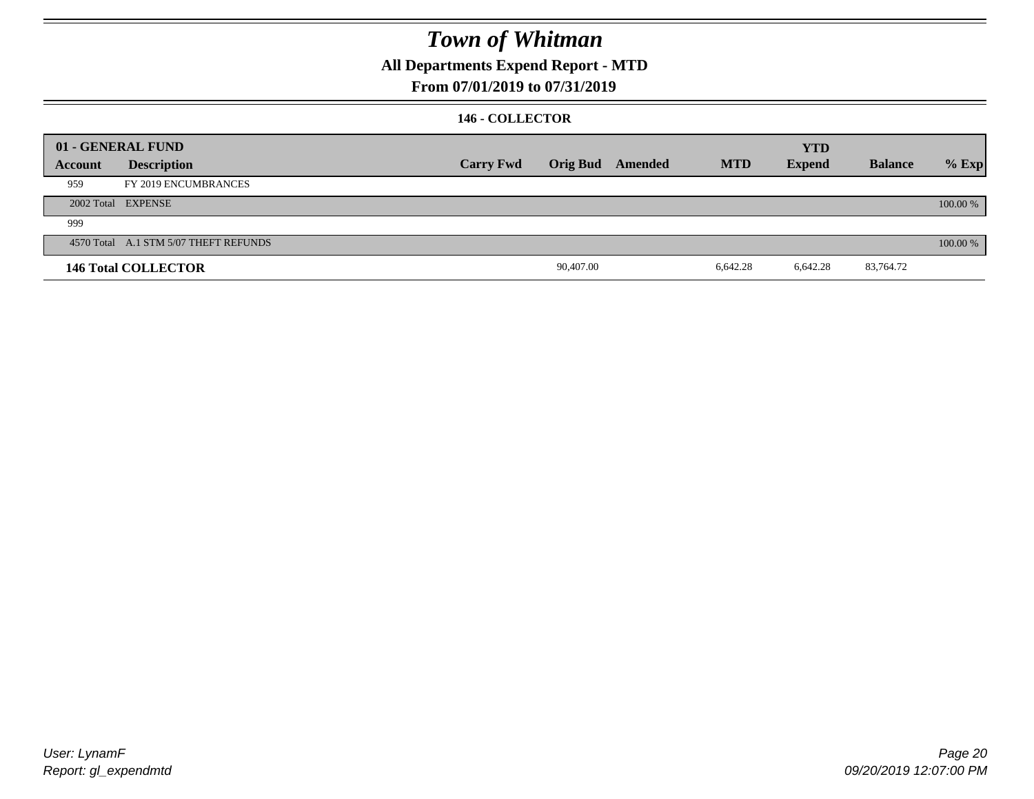**All Departments Expend Report - MTD**

### **From 07/01/2019 to 07/31/2019**

#### **146 - COLLECTOR**

|         | 01 - GENERAL FUND                     |                  |                 |         |            | <b>YTD</b>    |                |          |
|---------|---------------------------------------|------------------|-----------------|---------|------------|---------------|----------------|----------|
| Account | <b>Description</b>                    | <b>Carry Fwd</b> | <b>Orig Bud</b> | Amended | <b>MTD</b> | <b>Expend</b> | <b>Balance</b> | $%$ Exp  |
| 959     | FY 2019 ENCUMBRANCES                  |                  |                 |         |            |               |                |          |
|         | 2002 Total EXPENSE                    |                  |                 |         |            |               |                | 100.00 % |
| 999     |                                       |                  |                 |         |            |               |                |          |
|         | 4570 Total A.1 STM 5/07 THEFT REFUNDS |                  |                 |         |            |               |                | 100.00 % |
|         | <b>146 Total COLLECTOR</b>            |                  | 90,407.00       |         | 6,642.28   | 6,642.28      | 83,764.72      |          |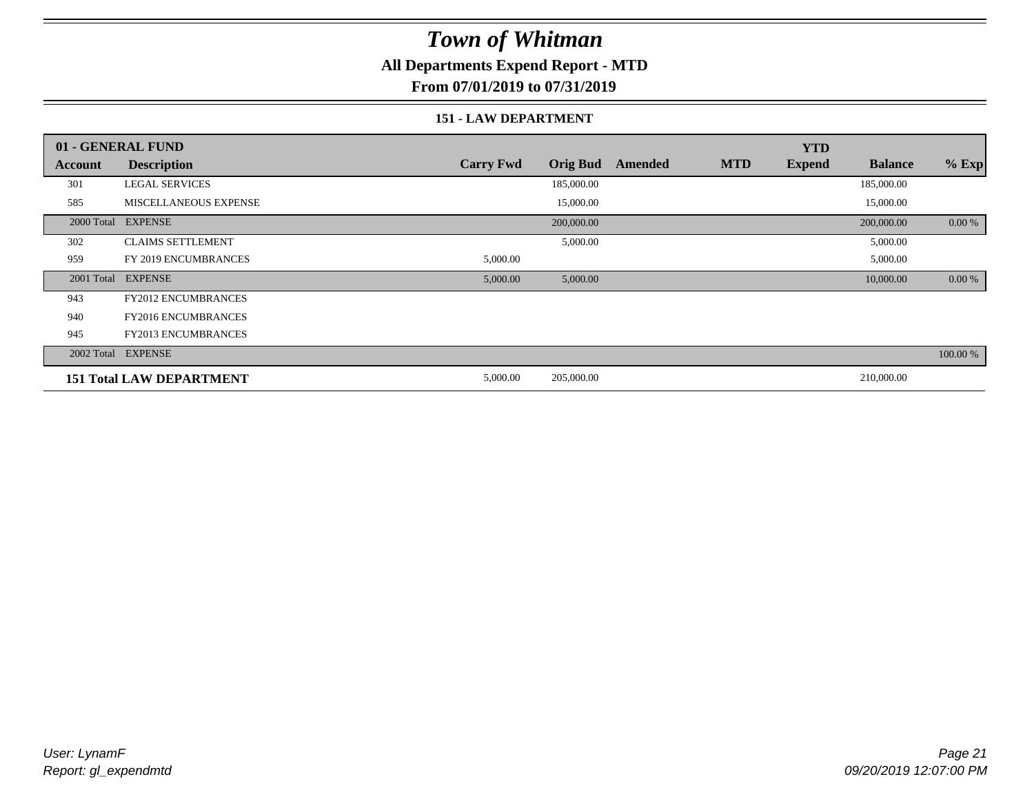### **All Departments Expend Report - MTD**

**From 07/01/2019 to 07/31/2019**

#### **151 - LAW DEPARTMENT**

|            | 01 - GENERAL FUND               |                  |                 |         |            | <b>YTD</b>    |                |          |
|------------|---------------------------------|------------------|-----------------|---------|------------|---------------|----------------|----------|
| Account    | <b>Description</b>              | <b>Carry Fwd</b> | <b>Orig Bud</b> | Amended | <b>MTD</b> | <b>Expend</b> | <b>Balance</b> | $%$ Exp  |
| 301        | <b>LEGAL SERVICES</b>           |                  | 185,000.00      |         |            |               | 185,000.00     |          |
| 585        | <b>MISCELLANEOUS EXPENSE</b>    |                  | 15,000.00       |         |            |               | 15,000.00      |          |
| 2000 Total | <b>EXPENSE</b>                  |                  | 200,000.00      |         |            |               | 200,000.00     | 0.00 %   |
| 302        | <b>CLAIMS SETTLEMENT</b>        |                  | 5,000.00        |         |            |               | 5,000.00       |          |
| 959        | FY 2019 ENCUMBRANCES            | 5,000.00         |                 |         |            |               | 5,000.00       |          |
| 2001 Total | <b>EXPENSE</b>                  | 5,000.00         | 5,000.00        |         |            |               | 10,000.00      | 0.00 %   |
| 943        | FY2012 ENCUMBRANCES             |                  |                 |         |            |               |                |          |
| 940        | <b>FY2016 ENCUMBRANCES</b>      |                  |                 |         |            |               |                |          |
| 945        | <b>FY2013 ENCUMBRANCES</b>      |                  |                 |         |            |               |                |          |
| 2002 Total | <b>EXPENSE</b>                  |                  |                 |         |            |               |                | 100.00 % |
|            | <b>151 Total LAW DEPARTMENT</b> | 5,000.00         | 205,000.00      |         |            |               | 210,000.00     |          |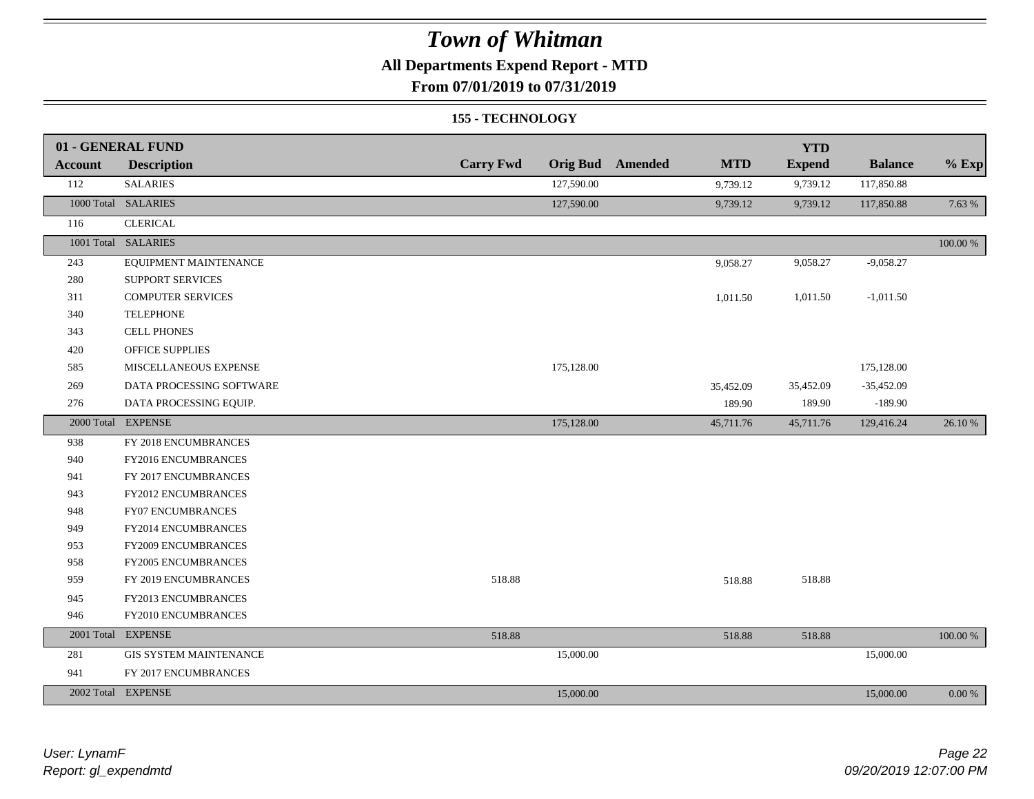### **All Departments Expend Report - MTD**

### **From 07/01/2019 to 07/31/2019**

#### **155 - TECHNOLOGY**

|         | 01 - GENERAL FUND             |                  |            |                         |            | <b>YTD</b>    |                |             |
|---------|-------------------------------|------------------|------------|-------------------------|------------|---------------|----------------|-------------|
| Account | <b>Description</b>            | <b>Carry Fwd</b> |            | <b>Orig Bud</b> Amended | <b>MTD</b> | <b>Expend</b> | <b>Balance</b> | $%$ Exp     |
| 112     | <b>SALARIES</b>               |                  | 127,590.00 |                         | 9,739.12   | 9,739.12      | 117,850.88     |             |
|         | 1000 Total SALARIES           |                  | 127,590.00 |                         | 9,739.12   | 9,739.12      | 117,850.88     | 7.63 %      |
| 116     | <b>CLERICAL</b>               |                  |            |                         |            |               |                |             |
|         | 1001 Total SALARIES           |                  |            |                         |            |               |                | $100.00~\%$ |
| 243     | EQUIPMENT MAINTENANCE         |                  |            |                         | 9,058.27   | 9,058.27      | $-9,058.27$    |             |
| 280     | <b>SUPPORT SERVICES</b>       |                  |            |                         |            |               |                |             |
| 311     | <b>COMPUTER SERVICES</b>      |                  |            |                         | 1,011.50   | 1,011.50      | $-1,011.50$    |             |
| 340     | <b>TELEPHONE</b>              |                  |            |                         |            |               |                |             |
| 343     | <b>CELL PHONES</b>            |                  |            |                         |            |               |                |             |
| 420     | OFFICE SUPPLIES               |                  |            |                         |            |               |                |             |
| 585     | MISCELLANEOUS EXPENSE         |                  | 175,128.00 |                         |            |               | 175,128.00     |             |
| 269     | DATA PROCESSING SOFTWARE      |                  |            |                         | 35,452.09  | 35,452.09     | $-35,452.09$   |             |
| 276     | DATA PROCESSING EQUIP.        |                  |            |                         | 189.90     | 189.90        | $-189.90$      |             |
|         | 2000 Total EXPENSE            |                  | 175,128.00 |                         | 45,711.76  | 45,711.76     | 129,416.24     | 26.10 %     |
| 938     | FY 2018 ENCUMBRANCES          |                  |            |                         |            |               |                |             |
| 940     | FY2016 ENCUMBRANCES           |                  |            |                         |            |               |                |             |
| 941     | FY 2017 ENCUMBRANCES          |                  |            |                         |            |               |                |             |
| 943     | FY2012 ENCUMBRANCES           |                  |            |                         |            |               |                |             |
| 948     | FY07 ENCUMBRANCES             |                  |            |                         |            |               |                |             |
| 949     | FY2014 ENCUMBRANCES           |                  |            |                         |            |               |                |             |
| 953     | FY2009 ENCUMBRANCES           |                  |            |                         |            |               |                |             |
| 958     | <b>FY2005 ENCUMBRANCES</b>    |                  |            |                         |            |               |                |             |
| 959     | FY 2019 ENCUMBRANCES          | 518.88           |            |                         | 518.88     | 518.88        |                |             |
| 945     | FY2013 ENCUMBRANCES           |                  |            |                         |            |               |                |             |
| 946     | FY2010 ENCUMBRANCES           |                  |            |                         |            |               |                |             |
|         | 2001 Total EXPENSE            | 518.88           |            |                         | 518.88     | 518.88        |                | 100.00 %    |
| 281     | <b>GIS SYSTEM MAINTENANCE</b> |                  | 15,000.00  |                         |            |               | 15,000.00      |             |
| 941     | FY 2017 ENCUMBRANCES          |                  |            |                         |            |               |                |             |
|         | 2002 Total EXPENSE            |                  | 15,000.00  |                         |            |               | 15,000.00      | $0.00\ \%$  |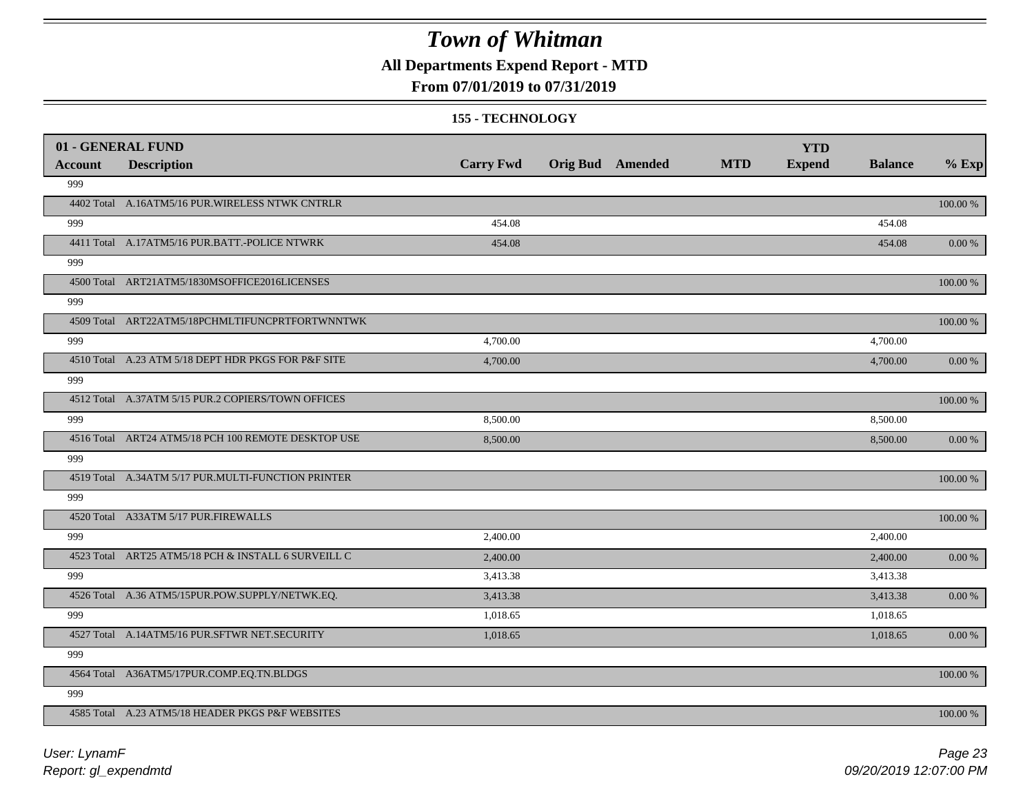**All Departments Expend Report - MTD**

### **From 07/01/2019 to 07/31/2019**

#### **155 - TECHNOLOGY**

|                | 01 - GENERAL FUND                                   |                  |                         |            | <b>YTD</b>    |                |             |
|----------------|-----------------------------------------------------|------------------|-------------------------|------------|---------------|----------------|-------------|
| <b>Account</b> | <b>Description</b>                                  | <b>Carry Fwd</b> | <b>Orig Bud</b> Amended | <b>MTD</b> | <b>Expend</b> | <b>Balance</b> | $%$ Exp     |
| 999            |                                                     |                  |                         |            |               |                |             |
|                | 4402 Total A.16ATM5/16 PUR. WIRELESS NTWK CNTRLR    |                  |                         |            |               |                | $100.00~\%$ |
| 999            |                                                     | 454.08           |                         |            |               | 454.08         |             |
|                | 4411 Total A.17ATM5/16 PUR.BATT.-POLICE NTWRK       | 454.08           |                         |            |               | 454.08         | 0.00 %      |
| 999            |                                                     |                  |                         |            |               |                |             |
|                | 4500 Total ART21ATM5/1830MSOFFICE2016LICENSES       |                  |                         |            |               |                | $100.00~\%$ |
| 999            |                                                     |                  |                         |            |               |                |             |
|                | 4509 Total ART22ATM5/18PCHMLTIFUNCPRTFORTWNNTWK     |                  |                         |            |               |                | 100.00 %    |
| 999            |                                                     | 4,700.00         |                         |            |               | 4,700.00       |             |
|                | 4510 Total A.23 ATM 5/18 DEPT HDR PKGS FOR P&F SITE | 4,700.00         |                         |            |               | 4,700.00       | $0.00\,\%$  |
| 999            |                                                     |                  |                         |            |               |                |             |
|                | 4512 Total A.37ATM 5/15 PUR.2 COPIERS/TOWN OFFICES  |                  |                         |            |               |                | 100.00 %    |
| 999            |                                                     | 8,500.00         |                         |            |               | 8,500.00       |             |
|                | 4516 Total ART24 ATM5/18 PCH 100 REMOTE DESKTOP USE | 8,500.00         |                         |            |               | 8,500.00       | $0.00\,\%$  |
| 999            |                                                     |                  |                         |            |               |                |             |
|                | 4519 Total A.34ATM 5/17 PUR.MULTI-FUNCTION PRINTER  |                  |                         |            |               |                | 100.00 %    |
| 999            |                                                     |                  |                         |            |               |                |             |
|                | 4520 Total A33ATM 5/17 PUR.FIREWALLS                |                  |                         |            |               |                | $100.00~\%$ |
| 999            |                                                     | 2,400.00         |                         |            |               | 2,400.00       |             |
|                | 4523 Total ART25 ATM5/18 PCH & INSTALL 6 SURVEILL C | 2,400.00         |                         |            |               | 2,400.00       | 0.00 %      |
| 999            |                                                     | 3,413.38         |                         |            |               | 3,413.38       |             |
|                | 4526 Total A.36 ATM5/15PUR.POW.SUPPLY/NETWK.EQ.     | 3,413.38         |                         |            |               | 3,413.38       | $0.00\,\%$  |
| 999            |                                                     | 1,018.65         |                         |            |               | 1,018.65       |             |
|                | 4527 Total A.14ATM5/16 PUR.SFTWR NET.SECURITY       | 1,018.65         |                         |            |               | 1,018.65       | 0.00 %      |
| 999            |                                                     |                  |                         |            |               |                |             |
|                | 4564 Total A36ATM5/17PUR.COMP.EQ.TN.BLDGS           |                  |                         |            |               |                | $100.00~\%$ |
| 999            |                                                     |                  |                         |            |               |                |             |
|                | 4585 Total A.23 ATM5/18 HEADER PKGS P&F WEBSITES    |                  |                         |            |               |                | 100.00 %    |
|                |                                                     |                  |                         |            |               |                |             |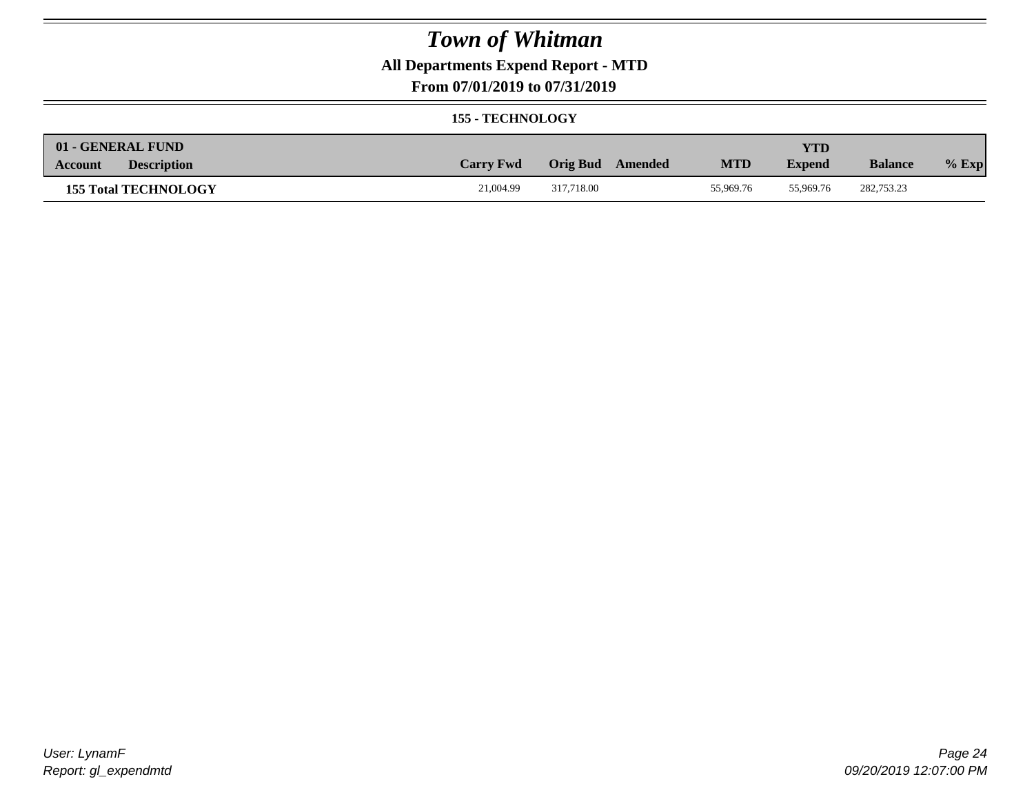### **All Departments Expend Report - MTD**

### **From 07/01/2019 to 07/31/2019**

#### **155 - TECHNOLOGY**

| 01 - GENERAL FUND             |                  |                  |            | <b>YTD</b>    |                |         |
|-------------------------------|------------------|------------------|------------|---------------|----------------|---------|
| <b>Description</b><br>Account | <b>Carry Fwd</b> | Orig Bud Amended | <b>MTD</b> | <b>Expend</b> | <b>Balance</b> | $%$ Exp |
| <b>155 Total TECHNOLOGY</b>   | 21,004.99        | 317.718.00       | 55,969.76  | 55,969.76     | 282,753.23     |         |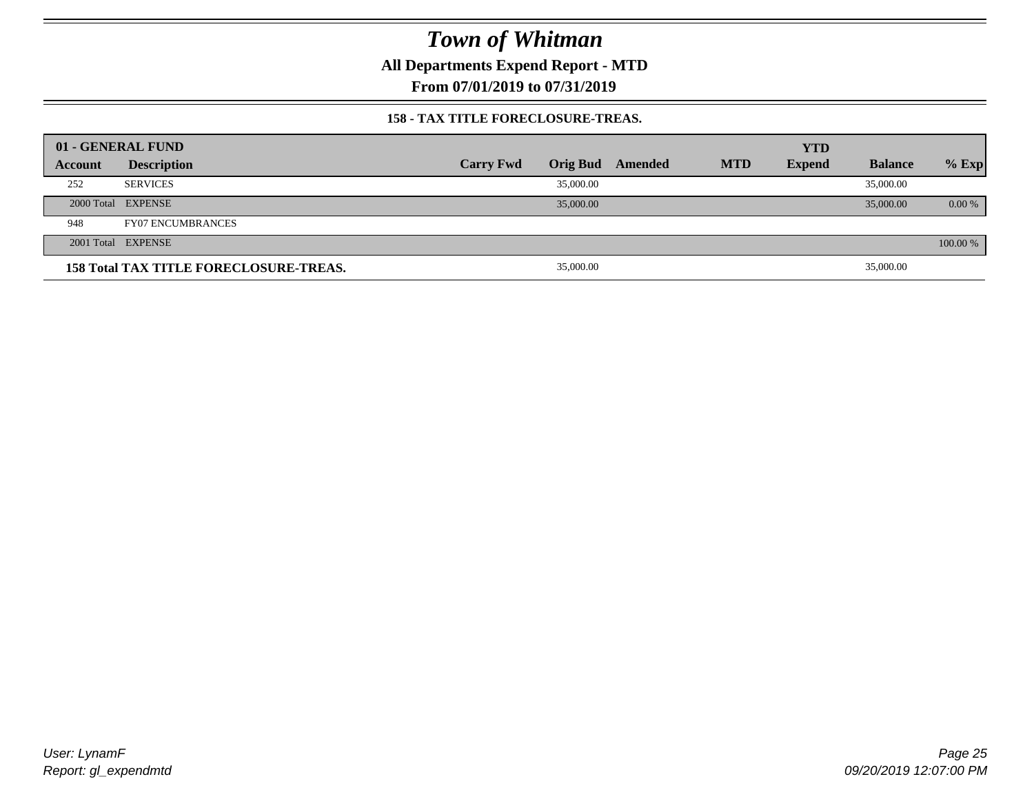**All Departments Expend Report - MTD**

**From 07/01/2019 to 07/31/2019**

#### **158 - TAX TITLE FORECLOSURE-TREAS.**

|         | 01 - GENERAL FUND                             |                  |           |                         |            | <b>YTD</b>    |                |          |
|---------|-----------------------------------------------|------------------|-----------|-------------------------|------------|---------------|----------------|----------|
| Account | <b>Description</b>                            | <b>Carry Fwd</b> |           | <b>Orig Bud Amended</b> | <b>MTD</b> | <b>Expend</b> | <b>Balance</b> | $%$ Exp  |
| 252     | <b>SERVICES</b>                               |                  | 35,000.00 |                         |            |               | 35,000.00      |          |
|         | 2000 Total EXPENSE                            |                  | 35,000.00 |                         |            |               | 35,000.00      | $0.00\%$ |
| 948     | <b>FY07 ENCUMBRANCES</b>                      |                  |           |                         |            |               |                |          |
|         | 2001 Total EXPENSE                            |                  |           |                         |            |               |                | 100.00 % |
|         | <b>158 Total TAX TITLE FORECLOSURE-TREAS.</b> |                  | 35,000.00 |                         |            |               | 35,000.00      |          |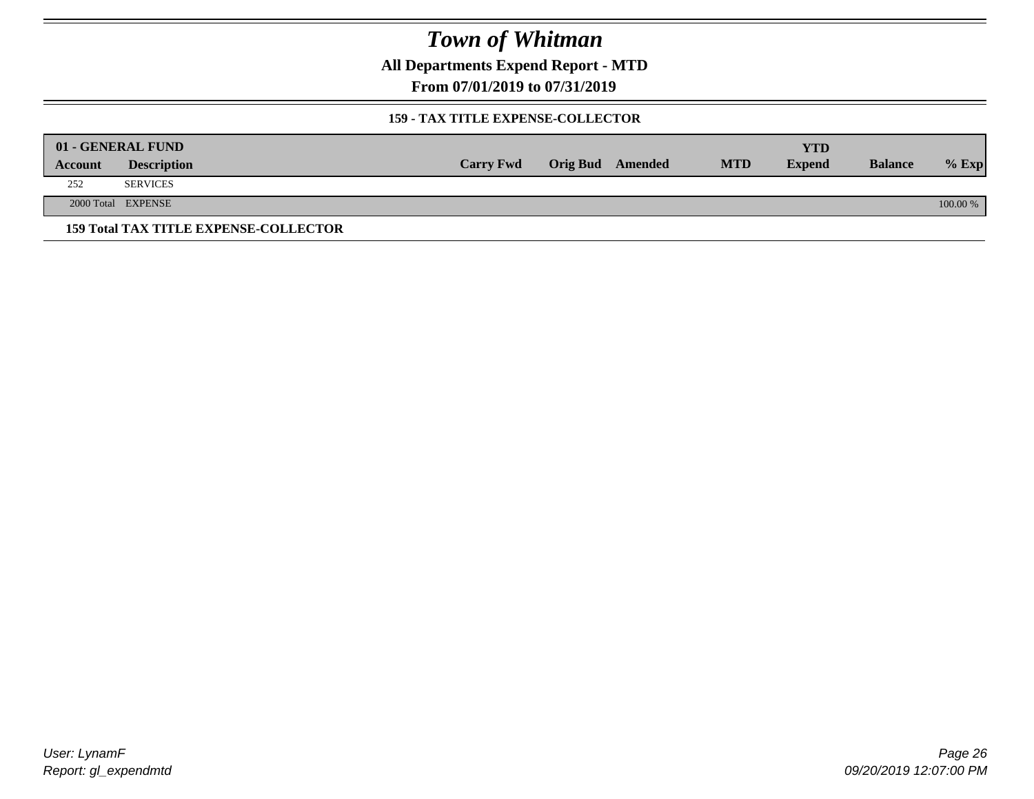**All Departments Expend Report - MTD**

**From 07/01/2019 to 07/31/2019**

#### **159 - TAX TITLE EXPENSE-COLLECTOR**

|         | 01 - GENERAL FUND                            |                  |                         |            | YTD           |                |          |
|---------|----------------------------------------------|------------------|-------------------------|------------|---------------|----------------|----------|
| Account | <b>Description</b>                           | <b>Carry Fwd</b> | <b>Orig Bud</b> Amended | <b>MTD</b> | <b>Expend</b> | <b>Balance</b> | $%$ Exp  |
| 252     | <b>SERVICES</b>                              |                  |                         |            |               |                |          |
|         | 2000 Total EXPENSE                           |                  |                         |            |               |                | 100.00 % |
|         | <b>159 Total TAX TITLE EXPENSE-COLLECTOR</b> |                  |                         |            |               |                |          |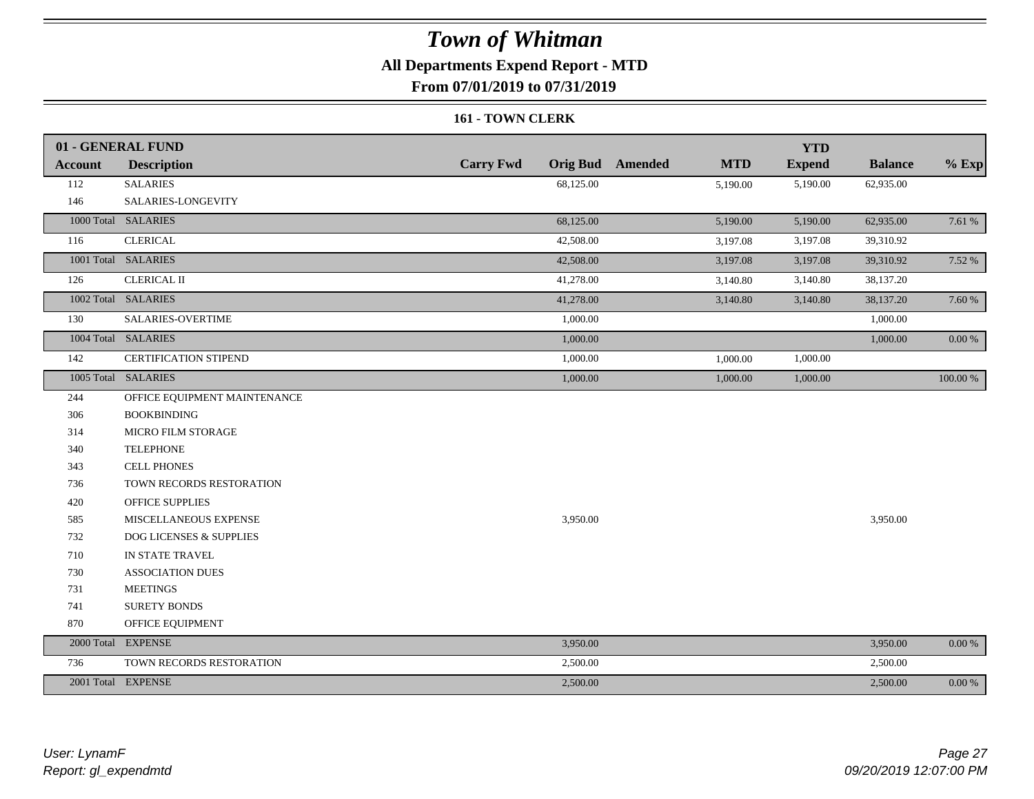### **All Departments Expend Report - MTD**

**From 07/01/2019 to 07/31/2019**

#### **161 - TOWN CLERK**

|                | 01 - GENERAL FUND            |                  |                                       | <b>YTD</b>    |                |          |
|----------------|------------------------------|------------------|---------------------------------------|---------------|----------------|----------|
| <b>Account</b> | <b>Description</b>           | <b>Carry Fwd</b> | <b>Orig Bud</b> Amended<br><b>MTD</b> | <b>Expend</b> | <b>Balance</b> | $%$ Exp  |
| 112            | <b>SALARIES</b>              | 68,125.00        | 5,190.00                              | 5,190.00      | 62,935.00      |          |
| 146            | SALARIES-LONGEVITY           |                  |                                       |               |                |          |
|                | 1000 Total SALARIES          | 68,125.00        | 5,190.00                              | 5,190.00      | 62,935.00      | 7.61 %   |
| 116            | <b>CLERICAL</b>              | 42,508.00        | 3,197.08                              | 3,197.08      | 39,310.92      |          |
|                | 1001 Total SALARIES          | 42,508.00        | 3,197.08                              | 3,197.08      | 39,310.92      | 7.52 %   |
| 126            | <b>CLERICAL II</b>           | 41,278.00        | 3,140.80                              | 3,140.80      | 38,137.20      |          |
|                | 1002 Total SALARIES          | 41,278.00        | 3,140.80                              | 3,140.80      | 38,137.20      | 7.60 %   |
| 130            | SALARIES-OVERTIME            | 1,000.00         |                                       |               | 1,000.00       |          |
|                | 1004 Total SALARIES          | 1,000.00         |                                       |               | 1,000.00       | 0.00 %   |
| 142            | <b>CERTIFICATION STIPEND</b> | 1,000.00         | 1,000.00                              | 1,000.00      |                |          |
|                | 1005 Total SALARIES          | 1,000.00         | 1,000.00                              | 1,000.00      |                | 100.00 % |
| 244            | OFFICE EQUIPMENT MAINTENANCE |                  |                                       |               |                |          |
| 306            | <b>BOOKBINDING</b>           |                  |                                       |               |                |          |
| 314            | MICRO FILM STORAGE           |                  |                                       |               |                |          |
| 340            | <b>TELEPHONE</b>             |                  |                                       |               |                |          |
| 343            | <b>CELL PHONES</b>           |                  |                                       |               |                |          |
| 736            | TOWN RECORDS RESTORATION     |                  |                                       |               |                |          |
| 420            | <b>OFFICE SUPPLIES</b>       |                  |                                       |               |                |          |
| 585            | MISCELLANEOUS EXPENSE        | 3,950.00         |                                       |               | 3,950.00       |          |
| 732            | DOG LICENSES & SUPPLIES      |                  |                                       |               |                |          |
| 710            | IN STATE TRAVEL              |                  |                                       |               |                |          |
| 730            | <b>ASSOCIATION DUES</b>      |                  |                                       |               |                |          |
| 731            | <b>MEETINGS</b>              |                  |                                       |               |                |          |
| 741            | <b>SURETY BONDS</b>          |                  |                                       |               |                |          |
| 870            | OFFICE EQUIPMENT             |                  |                                       |               |                |          |
|                | 2000 Total EXPENSE           | 3,950.00         |                                       |               | 3,950.00       | $0.00\%$ |
| 736            | TOWN RECORDS RESTORATION     | 2,500.00         |                                       |               | 2,500.00       |          |
|                | 2001 Total EXPENSE           | 2,500.00         |                                       |               | 2,500.00       | 0.00 %   |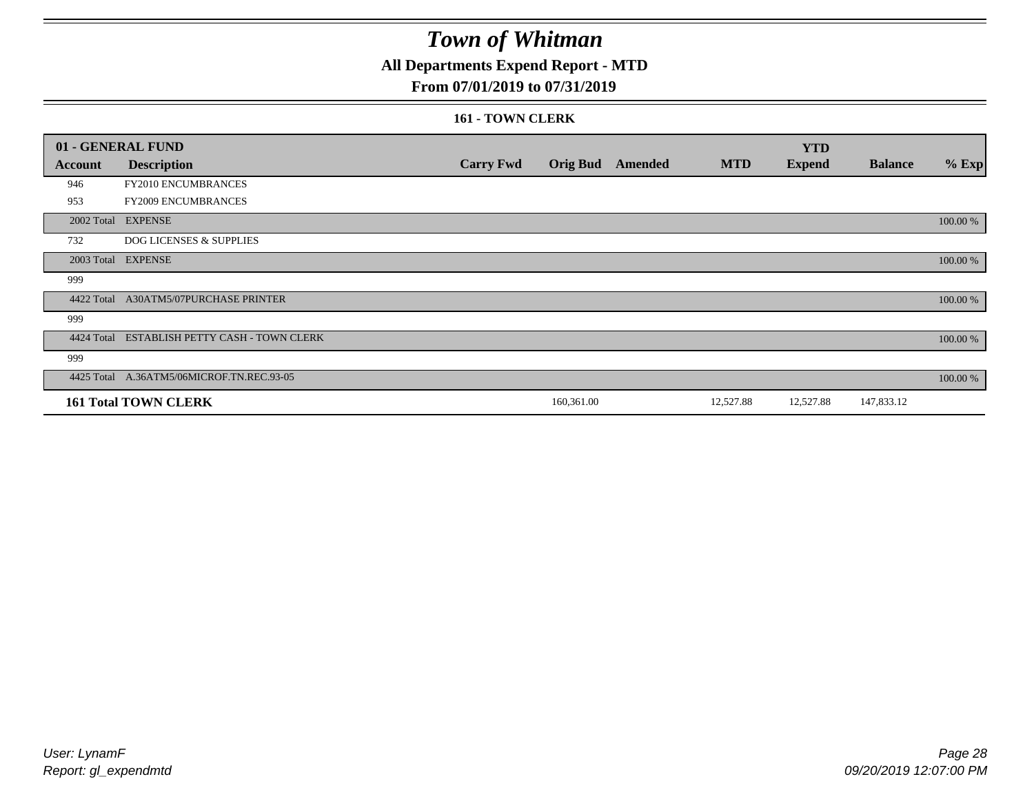## **All Departments Expend Report - MTD**

### **From 07/01/2019 to 07/31/2019**

#### **161 - TOWN CLERK**

|            | 01 - GENERAL FUND                            |                  |            |                         |            | <b>YTD</b>    |                |          |
|------------|----------------------------------------------|------------------|------------|-------------------------|------------|---------------|----------------|----------|
| Account    | <b>Description</b>                           | <b>Carry Fwd</b> |            | <b>Orig Bud</b> Amended | <b>MTD</b> | <b>Expend</b> | <b>Balance</b> | $%$ Exp  |
| 946        | FY2010 ENCUMBRANCES                          |                  |            |                         |            |               |                |          |
| 953        | FY2009 ENCUMBRANCES                          |                  |            |                         |            |               |                |          |
|            | 2002 Total EXPENSE                           |                  |            |                         |            |               |                | 100.00 % |
| 732        | <b>DOG LICENSES &amp; SUPPLIES</b>           |                  |            |                         |            |               |                |          |
|            | 2003 Total EXPENSE                           |                  |            |                         |            |               |                | 100.00 % |
| 999        |                                              |                  |            |                         |            |               |                |          |
| 4422 Total | <b>A30ATM5/07PURCHASE PRINTER</b>            |                  |            |                         |            |               |                | 100.00 % |
| 999        |                                              |                  |            |                         |            |               |                |          |
|            | 4424 Total ESTABLISH PETTY CASH - TOWN CLERK |                  |            |                         |            |               |                | 100.00 % |
| 999        |                                              |                  |            |                         |            |               |                |          |
|            | 4425 Total A.36ATM5/06MICROF.TN.REC.93-05    |                  |            |                         |            |               |                | 100.00 % |
|            | <b>161 Total TOWN CLERK</b>                  |                  | 160,361.00 |                         | 12,527.88  | 12,527.88     | 147,833.12     |          |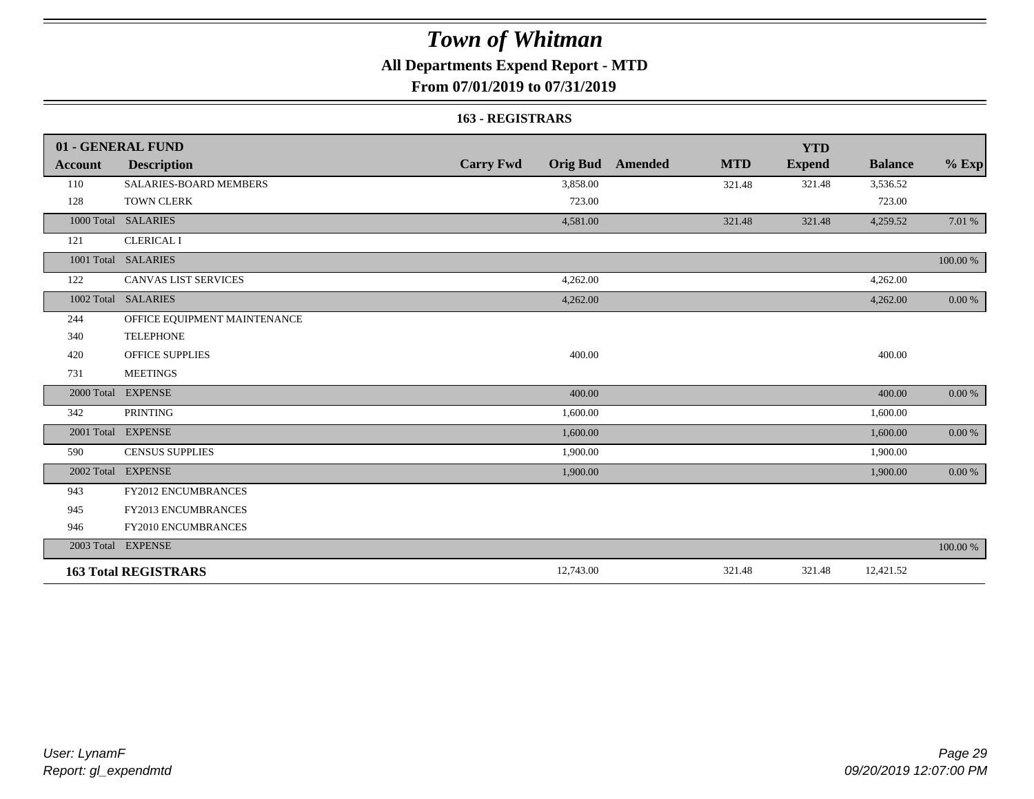## **All Departments Expend Report - MTD**

### **From 07/01/2019 to 07/31/2019**

#### **163 - REGISTRARS**

|                | 01 - GENERAL FUND            |                                     |                              | <b>YTD</b>    |                |            |
|----------------|------------------------------|-------------------------------------|------------------------------|---------------|----------------|------------|
| <b>Account</b> | <b>Description</b>           | <b>Carry Fwd</b><br><b>Orig Bud</b> | <b>MTD</b><br><b>Amended</b> | <b>Expend</b> | <b>Balance</b> | $%$ Exp    |
| 110            | SALARIES-BOARD MEMBERS       | 3,858.00                            | 321.48                       | 321.48        | 3,536.52       |            |
| 128            | <b>TOWN CLERK</b>            | 723.00                              |                              |               | 723.00         |            |
|                | 1000 Total SALARIES          | 4,581.00                            | 321.48                       | 321.48        | 4,259.52       | 7.01 %     |
| 121            | <b>CLERICAL I</b>            |                                     |                              |               |                |            |
|                | 1001 Total SALARIES          |                                     |                              |               |                | 100.00 %   |
| 122            | <b>CANVAS LIST SERVICES</b>  | 4,262.00                            |                              |               | 4,262.00       |            |
|                | 1002 Total SALARIES          | 4,262.00                            |                              |               | 4,262.00       | 0.00 %     |
| 244            | OFFICE EQUIPMENT MAINTENANCE |                                     |                              |               |                |            |
| 340            | <b>TELEPHONE</b>             |                                     |                              |               |                |            |
| 420            | <b>OFFICE SUPPLIES</b>       | 400.00                              |                              |               | 400.00         |            |
| 731            | <b>MEETINGS</b>              |                                     |                              |               |                |            |
|                | 2000 Total EXPENSE           | 400.00                              |                              |               | 400.00         | 0.00 %     |
| 342            | <b>PRINTING</b>              | 1,600.00                            |                              |               | 1,600.00       |            |
|                | 2001 Total EXPENSE           | 1,600.00                            |                              |               | 1,600.00       | $0.00\ \%$ |
| 590            | <b>CENSUS SUPPLIES</b>       | 1,900.00                            |                              |               | 1,900.00       |            |
|                | 2002 Total EXPENSE           | 1,900.00                            |                              |               | 1,900.00       | 0.00 %     |
| 943            | <b>FY2012 ENCUMBRANCES</b>   |                                     |                              |               |                |            |
| 945            | FY2013 ENCUMBRANCES          |                                     |                              |               |                |            |
| 946            | FY2010 ENCUMBRANCES          |                                     |                              |               |                |            |
|                | 2003 Total EXPENSE           |                                     |                              |               |                | 100.00 %   |
|                | <b>163 Total REGISTRARS</b>  | 12,743.00                           | 321.48                       | 321.48        | 12,421.52      |            |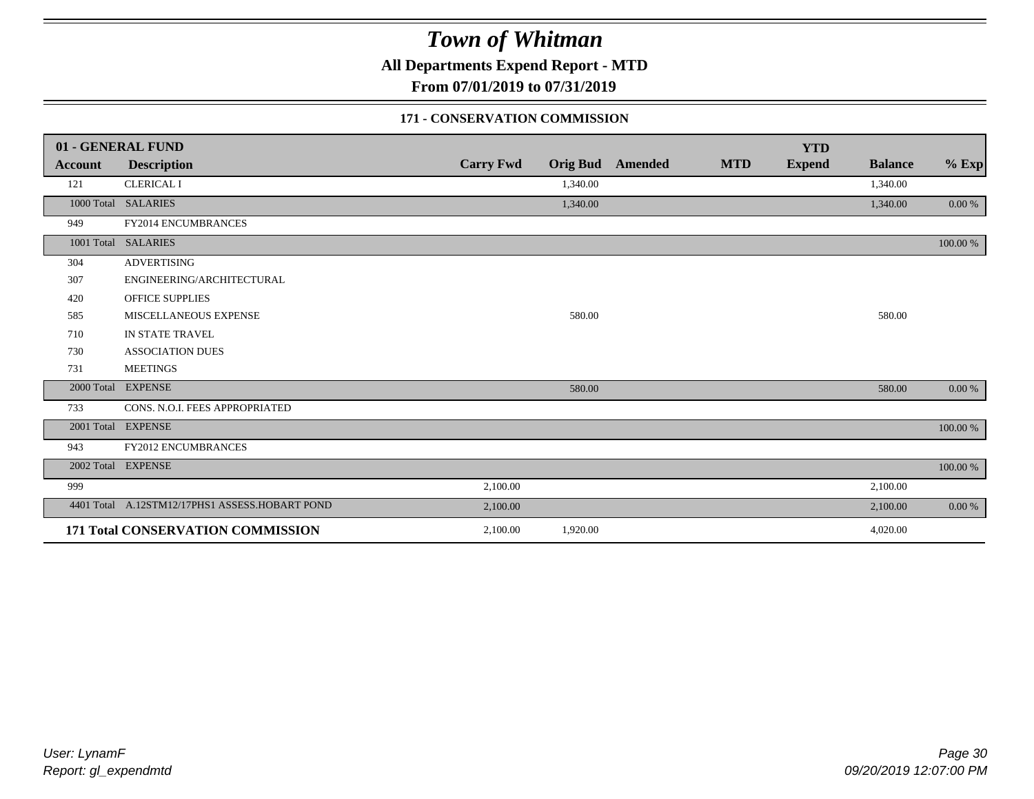**All Departments Expend Report - MTD**

**From 07/01/2019 to 07/31/2019**

#### **171 - CONSERVATION COMMISSION**

|            | 01 - GENERAL FUND                              |                  |          |                         |            | <b>YTD</b>    |                |           |
|------------|------------------------------------------------|------------------|----------|-------------------------|------------|---------------|----------------|-----------|
| Account    | <b>Description</b>                             | <b>Carry Fwd</b> |          | <b>Orig Bud</b> Amended | <b>MTD</b> | <b>Expend</b> | <b>Balance</b> | $%$ Exp   |
| 121        | <b>CLERICAL I</b>                              |                  | 1,340.00 |                         |            |               | 1,340.00       |           |
|            | 1000 Total SALARIES                            |                  | 1,340.00 |                         |            |               | 1,340.00       | $0.00 \%$ |
| 949        | FY2014 ENCUMBRANCES                            |                  |          |                         |            |               |                |           |
|            | 1001 Total SALARIES                            |                  |          |                         |            |               |                | 100.00 %  |
| 304        | <b>ADVERTISING</b>                             |                  |          |                         |            |               |                |           |
| 307        | ENGINEERING/ARCHITECTURAL                      |                  |          |                         |            |               |                |           |
| 420        | <b>OFFICE SUPPLIES</b>                         |                  |          |                         |            |               |                |           |
| 585        | MISCELLANEOUS EXPENSE                          |                  | 580.00   |                         |            |               | 580.00         |           |
| 710        | IN STATE TRAVEL                                |                  |          |                         |            |               |                |           |
| 730        | <b>ASSOCIATION DUES</b>                        |                  |          |                         |            |               |                |           |
| 731        | <b>MEETINGS</b>                                |                  |          |                         |            |               |                |           |
| 2000 Total | <b>EXPENSE</b>                                 |                  | 580.00   |                         |            |               | 580.00         | 0.00 %    |
| 733        | CONS. N.O.I. FEES APPROPRIATED                 |                  |          |                         |            |               |                |           |
|            | 2001 Total EXPENSE                             |                  |          |                         |            |               |                | 100.00 %  |
| 943        | FY2012 ENCUMBRANCES                            |                  |          |                         |            |               |                |           |
|            | 2002 Total EXPENSE                             |                  |          |                         |            |               |                | 100.00 %  |
| 999        |                                                | 2,100.00         |          |                         |            |               | 2,100.00       |           |
|            | 4401 Total A.12STM12/17PHS1 ASSESS.HOBART POND | 2,100.00         |          |                         |            |               | 2,100.00       | 0.00 %    |
|            | <b>171 Total CONSERVATION COMMISSION</b>       | 2,100.00         | 1,920.00 |                         |            |               | 4,020.00       |           |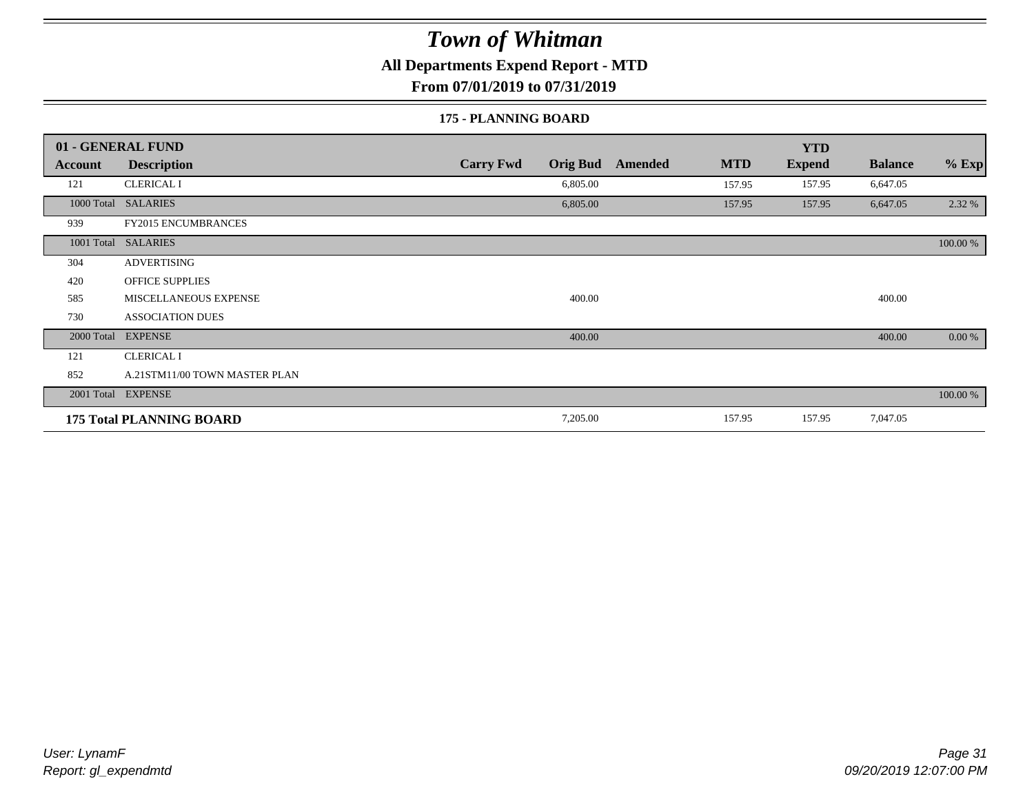**All Departments Expend Report - MTD**

**From 07/01/2019 to 07/31/2019**

#### **175 - PLANNING BOARD**

|                | 01 - GENERAL FUND               |                                     |                       | <b>YTD</b>    |                |          |
|----------------|---------------------------------|-------------------------------------|-----------------------|---------------|----------------|----------|
| <b>Account</b> | <b>Description</b>              | <b>Carry Fwd</b><br><b>Orig Bud</b> | <b>MTD</b><br>Amended | <b>Expend</b> | <b>Balance</b> | $%$ Exp  |
| 121            | <b>CLERICAL I</b>               | 6,805.00                            | 157.95                | 157.95        | 6,647.05       |          |
|                | 1000 Total SALARIES             | 6,805.00                            | 157.95                | 157.95        | 6,647.05       | 2.32 %   |
| 939            | <b>FY2015 ENCUMBRANCES</b>      |                                     |                       |               |                |          |
| 1001 Total     | <b>SALARIES</b>                 |                                     |                       |               |                | 100.00 % |
| 304            | <b>ADVERTISING</b>              |                                     |                       |               |                |          |
| 420            | <b>OFFICE SUPPLIES</b>          |                                     |                       |               |                |          |
| 585            | MISCELLANEOUS EXPENSE           | 400.00                              |                       |               | 400.00         |          |
| 730            | <b>ASSOCIATION DUES</b>         |                                     |                       |               |                |          |
| 2000 Total     | <b>EXPENSE</b>                  | 400.00                              |                       |               | 400.00         | 0.00 %   |
| 121            | <b>CLERICAL I</b>               |                                     |                       |               |                |          |
| 852            | A.21STM11/00 TOWN MASTER PLAN   |                                     |                       |               |                |          |
|                | 2001 Total EXPENSE              |                                     |                       |               |                | 100.00 % |
|                | <b>175 Total PLANNING BOARD</b> | 7,205.00                            | 157.95                | 157.95        | 7,047.05       |          |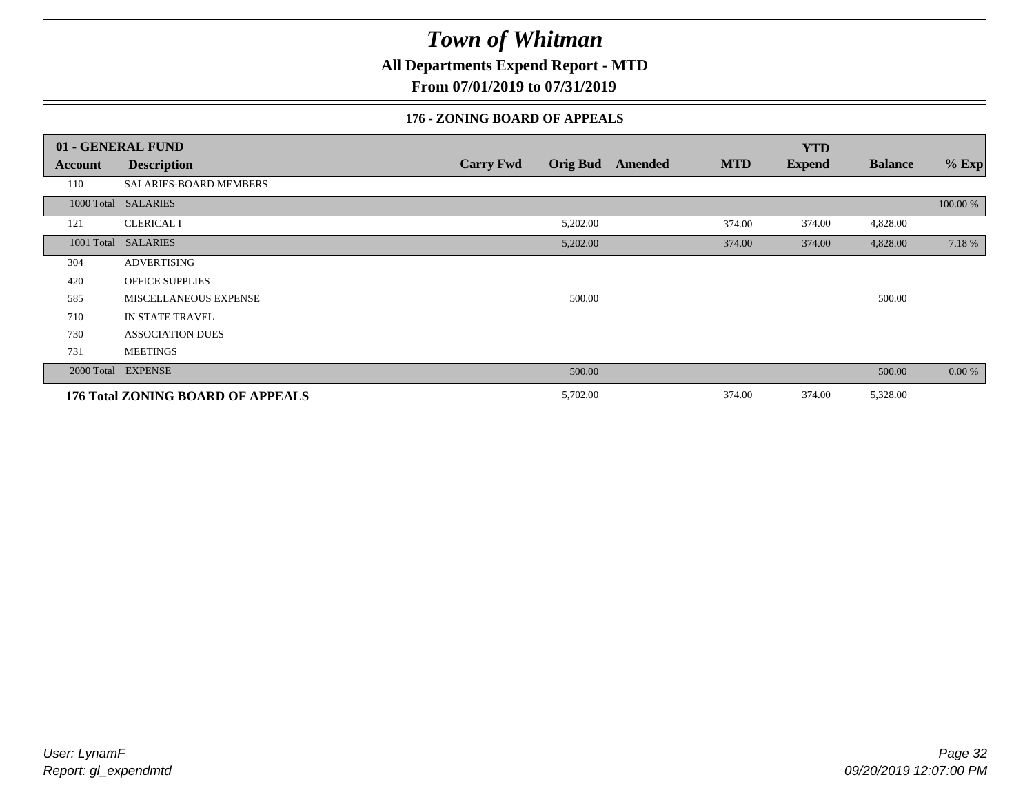**All Departments Expend Report - MTD**

**From 07/01/2019 to 07/31/2019**

### **176 - ZONING BOARD OF APPEALS**

|            | 01 - GENERAL FUND                 |                                     |                              | <b>YTD</b>    |                |          |
|------------|-----------------------------------|-------------------------------------|------------------------------|---------------|----------------|----------|
| Account    | <b>Description</b>                | <b>Carry Fwd</b><br><b>Orig Bud</b> | <b>MTD</b><br><b>Amended</b> | <b>Expend</b> | <b>Balance</b> | $%$ Exp  |
| 110        | SALARIES-BOARD MEMBERS            |                                     |                              |               |                |          |
|            | 1000 Total SALARIES               |                                     |                              |               |                | 100.00 % |
| 121        | <b>CLERICAL I</b>                 | 5,202.00                            | 374.00                       | 374.00        | 4,828.00       |          |
| 1001 Total | <b>SALARIES</b>                   | 5,202.00                            | 374.00                       | 374.00        | 4,828.00       | 7.18 %   |
| 304        | <b>ADVERTISING</b>                |                                     |                              |               |                |          |
| 420        | <b>OFFICE SUPPLIES</b>            |                                     |                              |               |                |          |
| 585        | MISCELLANEOUS EXPENSE             | 500.00                              |                              |               | 500.00         |          |
| 710        | <b>IN STATE TRAVEL</b>            |                                     |                              |               |                |          |
| 730        | <b>ASSOCIATION DUES</b>           |                                     |                              |               |                |          |
| 731        | <b>MEETINGS</b>                   |                                     |                              |               |                |          |
|            | 2000 Total EXPENSE                | 500.00                              |                              |               | 500.00         | $0.00\%$ |
|            | 176 Total ZONING BOARD OF APPEALS | 5,702.00                            | 374.00                       | 374.00        | 5,328.00       |          |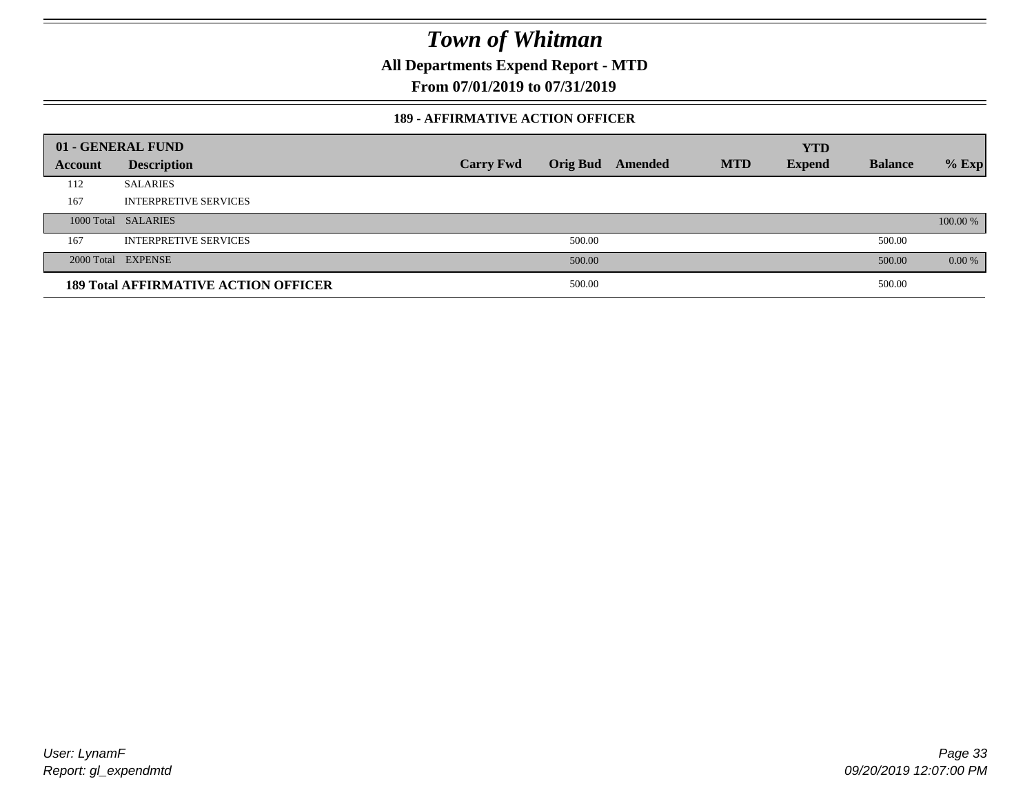**All Departments Expend Report - MTD**

**From 07/01/2019 to 07/31/2019**

#### **189 - AFFIRMATIVE ACTION OFFICER**

|         | 01 - GENERAL FUND                           |                  |        |                         |            | <b>YTD</b>    |                |          |
|---------|---------------------------------------------|------------------|--------|-------------------------|------------|---------------|----------------|----------|
| Account | <b>Description</b>                          | <b>Carry Fwd</b> |        | <b>Orig Bud</b> Amended | <b>MTD</b> | <b>Expend</b> | <b>Balance</b> | $%$ Exp  |
| 112     | <b>SALARIES</b>                             |                  |        |                         |            |               |                |          |
| 167     | <b>INTERPRETIVE SERVICES</b>                |                  |        |                         |            |               |                |          |
|         | 1000 Total SALARIES                         |                  |        |                         |            |               |                | 100.00 % |
| 167     | <b>INTERPRETIVE SERVICES</b>                |                  | 500.00 |                         |            |               | 500.00         |          |
|         | 2000 Total EXPENSE                          |                  | 500.00 |                         |            |               | 500.00         | 0.00 %   |
|         | <b>189 Total AFFIRMATIVE ACTION OFFICER</b> |                  | 500.00 |                         |            |               | 500.00         |          |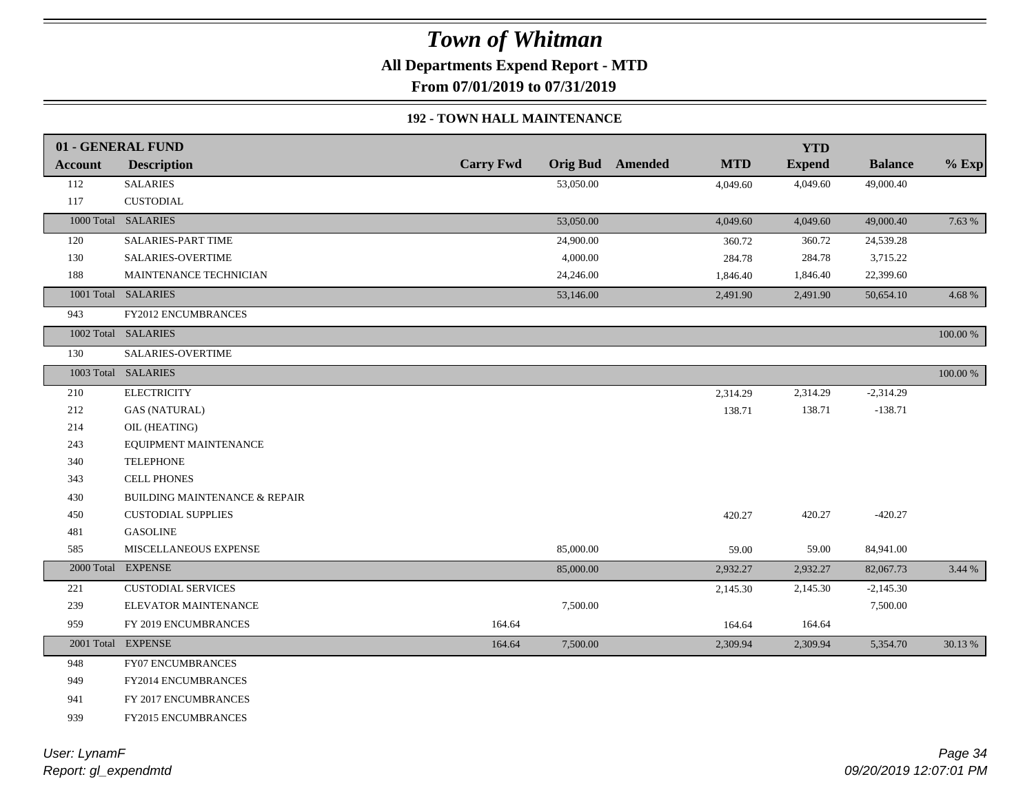**All Departments Expend Report - MTD**

**From 07/01/2019 to 07/31/2019**

### **192 - TOWN HALL MAINTENANCE**

|                | 01 - GENERAL FUND             |                  |           |                         |            | <b>YTD</b>    |                |             |
|----------------|-------------------------------|------------------|-----------|-------------------------|------------|---------------|----------------|-------------|
| <b>Account</b> | <b>Description</b>            | <b>Carry Fwd</b> |           | <b>Orig Bud</b> Amended | <b>MTD</b> | <b>Expend</b> | <b>Balance</b> | $%$ Exp     |
| 112            | <b>SALARIES</b>               |                  | 53,050.00 |                         | 4,049.60   | 4,049.60      | 49,000.40      |             |
| 117            | <b>CUSTODIAL</b>              |                  |           |                         |            |               |                |             |
|                | 1000 Total SALARIES           |                  | 53,050.00 |                         | 4,049.60   | 4,049.60      | 49,000.40      | 7.63 %      |
| 120            | SALARIES-PART TIME            |                  | 24,900.00 |                         | 360.72     | 360.72        | 24,539.28      |             |
| 130            | <b>SALARIES-OVERTIME</b>      |                  | 4,000.00  |                         | 284.78     | 284.78        | 3,715.22       |             |
| 188            | MAINTENANCE TECHNICIAN        |                  | 24,246.00 |                         | 1,846.40   | 1,846.40      | 22,399.60      |             |
|                | 1001 Total SALARIES           |                  | 53,146.00 |                         | 2,491.90   | 2,491.90      | 50,654.10      | 4.68%       |
| 943            | <b>FY2012 ENCUMBRANCES</b>    |                  |           |                         |            |               |                |             |
|                | 1002 Total SALARIES           |                  |           |                         |            |               |                | 100.00 %    |
| 130            | SALARIES-OVERTIME             |                  |           |                         |            |               |                |             |
|                | 1003 Total SALARIES           |                  |           |                         |            |               |                | $100.00~\%$ |
| 210            | <b>ELECTRICITY</b>            |                  |           |                         | 2,314.29   | 2,314.29      | $-2,314.29$    |             |
| 212            | <b>GAS (NATURAL)</b>          |                  |           |                         | 138.71     | 138.71        | $-138.71$      |             |
| 214            | OIL (HEATING)                 |                  |           |                         |            |               |                |             |
| 243            | EQUIPMENT MAINTENANCE         |                  |           |                         |            |               |                |             |
| 340            | <b>TELEPHONE</b>              |                  |           |                         |            |               |                |             |
| 343            | <b>CELL PHONES</b>            |                  |           |                         |            |               |                |             |
| 430            | BUILDING MAINTENANCE & REPAIR |                  |           |                         |            |               |                |             |
| 450            | <b>CUSTODIAL SUPPLIES</b>     |                  |           |                         | 420.27     | 420.27        | $-420.27$      |             |
| 481            | <b>GASOLINE</b>               |                  |           |                         |            |               |                |             |
| 585            | MISCELLANEOUS EXPENSE         |                  | 85,000.00 |                         | 59.00      | 59.00         | 84,941.00      |             |
|                | 2000 Total EXPENSE            |                  | 85,000.00 |                         | 2,932.27   | 2,932.27      | 82,067.73      | 3.44 %      |
| 221            | <b>CUSTODIAL SERVICES</b>     |                  |           |                         | 2,145.30   | 2,145.30      | $-2,145.30$    |             |
| 239            | ELEVATOR MAINTENANCE          |                  | 7,500.00  |                         |            |               | 7,500.00       |             |
| 959            | FY 2019 ENCUMBRANCES          | 164.64           |           |                         | 164.64     | 164.64        |                |             |
|                | 2001 Total EXPENSE            | 164.64           | 7,500.00  |                         | 2,309.94   | 2,309.94      | 5,354.70       | 30.13 %     |
| 948            | <b>FY07 ENCUMBRANCES</b>      |                  |           |                         |            |               |                |             |
| 949            | FY2014 ENCUMBRANCES           |                  |           |                         |            |               |                |             |
| 941            | FY 2017 ENCUMBRANCES          |                  |           |                         |            |               |                |             |
| 939            | <b>FY2015 ENCUMBRANCES</b>    |                  |           |                         |            |               |                |             |
|                |                               |                  |           |                         |            |               |                |             |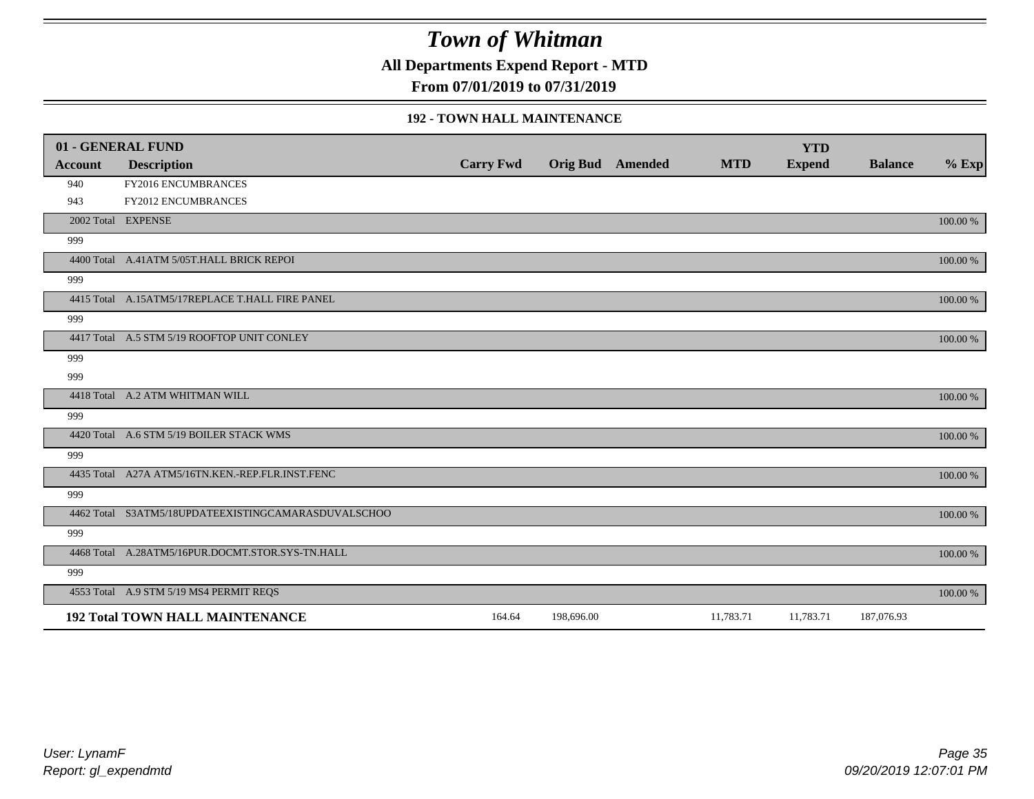**All Departments Expend Report - MTD**

**From 07/01/2019 to 07/31/2019**

#### **192 - TOWN HALL MAINTENANCE**

|                | 01 - GENERAL FUND                                   |                  |                         |            | <b>YTD</b>    |                |          |
|----------------|-----------------------------------------------------|------------------|-------------------------|------------|---------------|----------------|----------|
| <b>Account</b> | <b>Description</b>                                  | <b>Carry Fwd</b> | <b>Orig Bud</b> Amended | <b>MTD</b> | <b>Expend</b> | <b>Balance</b> | $%$ Exp  |
| 940            | FY2016 ENCUMBRANCES                                 |                  |                         |            |               |                |          |
| 943            | <b>FY2012 ENCUMBRANCES</b>                          |                  |                         |            |               |                |          |
|                | 2002 Total EXPENSE                                  |                  |                         |            |               |                | 100.00 % |
| 999            |                                                     |                  |                         |            |               |                |          |
|                | 4400 Total A.41ATM 5/05T.HALL BRICK REPOI           |                  |                         |            |               |                | 100.00 % |
| 999            |                                                     |                  |                         |            |               |                |          |
|                | 4415 Total A.15ATM5/17REPLACE T.HALL FIRE PANEL     |                  |                         |            |               |                | 100.00 % |
| 999            |                                                     |                  |                         |            |               |                |          |
|                | 4417 Total A.5 STM 5/19 ROOFTOP UNIT CONLEY         |                  |                         |            |               |                | 100.00 % |
| 999            |                                                     |                  |                         |            |               |                |          |
| 999            |                                                     |                  |                         |            |               |                |          |
|                | 4418 Total A.2 ATM WHITMAN WILL                     |                  |                         |            |               |                | 100.00 % |
| 999            |                                                     |                  |                         |            |               |                |          |
|                | 4420 Total A.6 STM 5/19 BOILER STACK WMS            |                  |                         |            |               |                | 100.00 % |
| 999            |                                                     |                  |                         |            |               |                |          |
|                | 4435 Total A27A ATM5/16TN.KEN.-REP.FLR.INST.FENC    |                  |                         |            |               |                | 100.00 % |
| 999            |                                                     |                  |                         |            |               |                |          |
|                | 4462 Total S3ATM5/18UPDATEEXISTINGCAMARASDUVALSCHOO |                  |                         |            |               |                | 100.00 % |
| 999            |                                                     |                  |                         |            |               |                |          |
|                | 4468 Total A.28ATM5/16PUR.DOCMT.STOR.SYS-TN.HALL    |                  |                         |            |               |                | 100.00 % |
| 999            |                                                     |                  |                         |            |               |                |          |
|                | 4553 Total A.9 STM 5/19 MS4 PERMIT REQS             |                  |                         |            |               |                | 100.00 % |
|                | <b>192 Total TOWN HALL MAINTENANCE</b>              | 164.64           | 198,696.00              | 11,783.71  | 11,783.71     | 187,076.93     |          |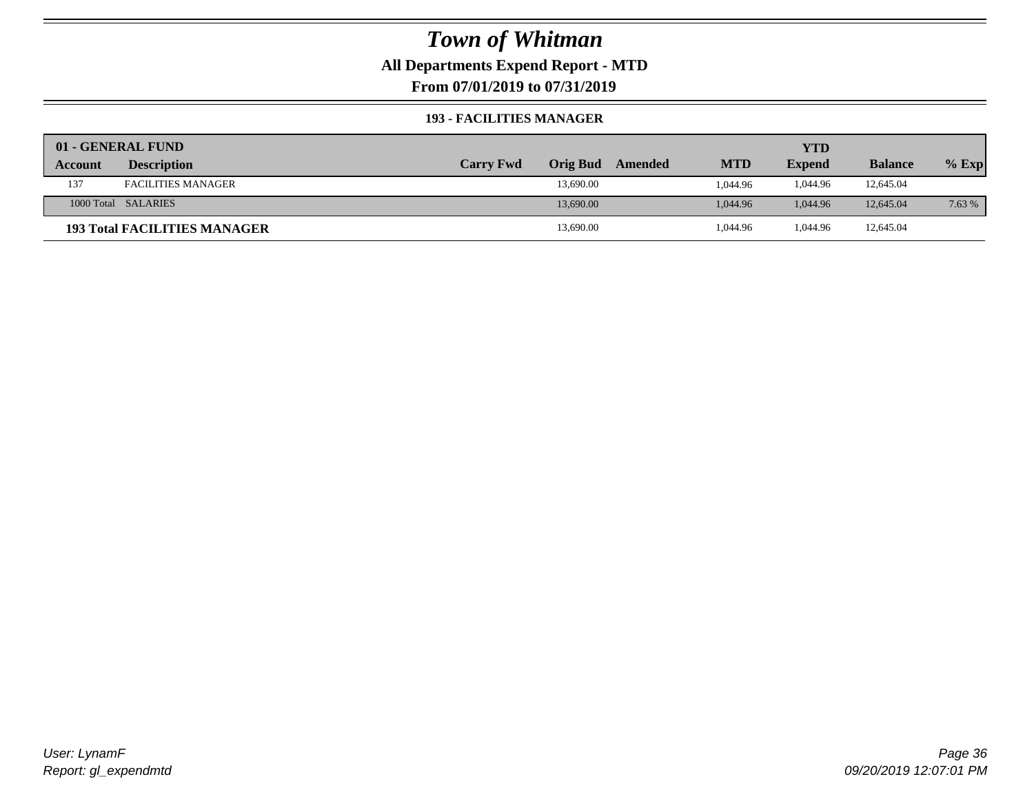### **All Departments Expend Report - MTD**

**From 07/01/2019 to 07/31/2019**

#### **193 - FACILITIES MANAGER**

|         | 01 - GENERAL FUND                   |                  |                 |         |            | YTD           |                |         |
|---------|-------------------------------------|------------------|-----------------|---------|------------|---------------|----------------|---------|
| Account | <b>Description</b>                  | <b>Carry Fwd</b> | <b>Orig Bud</b> | Amended | <b>MTD</b> | <b>Expend</b> | <b>Balance</b> | $%$ Exp |
| 137     | <b>FACILITIES MANAGER</b>           |                  | 13,690.00       |         | 1.044.96   | 1.044.96      | 12,645.04      |         |
|         | 1000 Total SALARIES                 |                  | 13,690.00       |         | 1.044.96   | 1.044.96      | 12,645.04      | 7.63 %  |
|         | <b>193 Total FACILITIES MANAGER</b> |                  | 13,690.00       |         | 1,044.96   | 1.044.96      | 12,645.04      |         |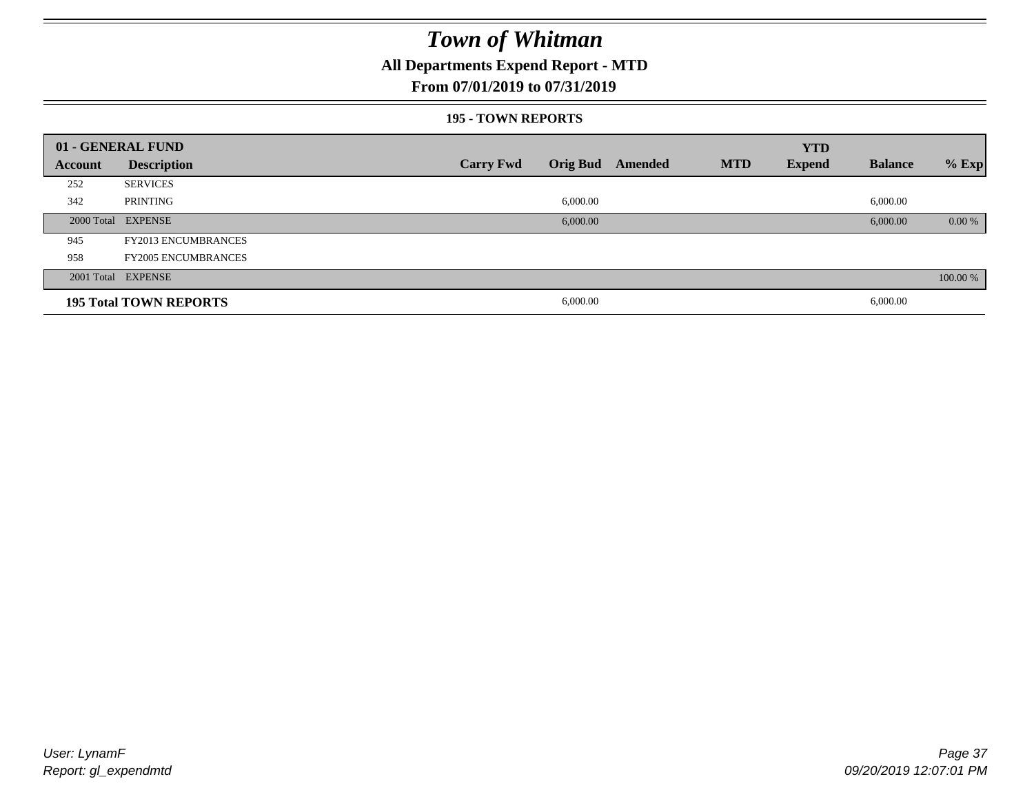### **All Departments Expend Report - MTD**

### **From 07/01/2019 to 07/31/2019**

#### **195 - TOWN REPORTS**

|         | 01 - GENERAL FUND             |                  |          |                         |            | <b>YTD</b>    |                |          |
|---------|-------------------------------|------------------|----------|-------------------------|------------|---------------|----------------|----------|
| Account | <b>Description</b>            | <b>Carry Fwd</b> |          | <b>Orig Bud</b> Amended | <b>MTD</b> | <b>Expend</b> | <b>Balance</b> | $%$ Exp  |
| 252     | <b>SERVICES</b>               |                  |          |                         |            |               |                |          |
| 342     | PRINTING                      |                  | 6,000.00 |                         |            |               | 6,000.00       |          |
|         | 2000 Total EXPENSE            |                  | 6,000.00 |                         |            |               | 6,000.00       | $0.00\%$ |
| 945     | <b>FY2013 ENCUMBRANCES</b>    |                  |          |                         |            |               |                |          |
| 958     | <b>FY2005 ENCUMBRANCES</b>    |                  |          |                         |            |               |                |          |
|         | 2001 Total EXPENSE            |                  |          |                         |            |               |                | 100.00 % |
|         | <b>195 Total TOWN REPORTS</b> |                  | 6,000.00 |                         |            |               | 6,000.00       |          |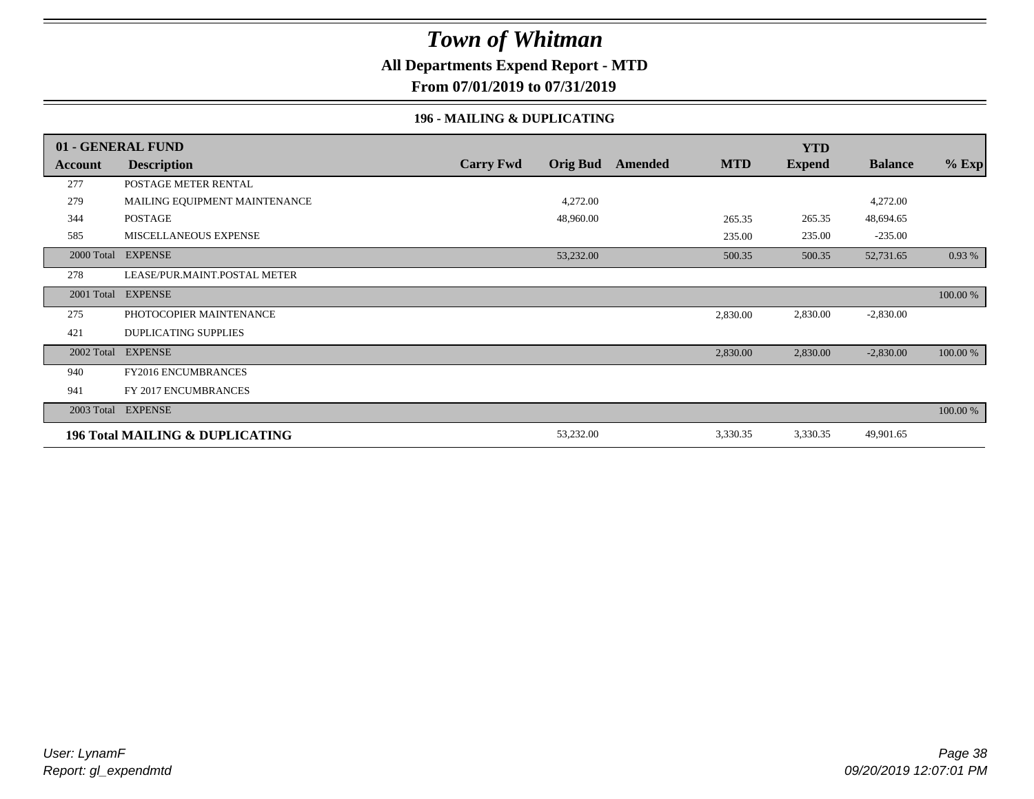### **All Departments Expend Report - MTD**

**From 07/01/2019 to 07/31/2019**

### **196 - MAILING & DUPLICATING**

|            | 01 - GENERAL FUND                          |                  |                 |         |            | <b>YTD</b>    |                |          |
|------------|--------------------------------------------|------------------|-----------------|---------|------------|---------------|----------------|----------|
| Account    | <b>Description</b>                         | <b>Carry Fwd</b> | <b>Orig Bud</b> | Amended | <b>MTD</b> | <b>Expend</b> | <b>Balance</b> | $%$ Exp  |
| 277        | POSTAGE METER RENTAL                       |                  |                 |         |            |               |                |          |
| 279        | MAILING EQUIPMENT MAINTENANCE              |                  | 4,272.00        |         |            |               | 4,272.00       |          |
| 344        | <b>POSTAGE</b>                             |                  | 48,960.00       |         | 265.35     | 265.35        | 48,694.65      |          |
| 585        | <b>MISCELLANEOUS EXPENSE</b>               |                  |                 |         | 235.00     | 235.00        | $-235.00$      |          |
| 2000 Total | <b>EXPENSE</b>                             |                  | 53,232.00       |         | 500.35     | 500.35        | 52,731.65      | 0.93 %   |
| 278        | LEASE/PUR.MAINT.POSTAL METER               |                  |                 |         |            |               |                |          |
| 2001 Total | <b>EXPENSE</b>                             |                  |                 |         |            |               |                | 100.00 % |
| 275        | PHOTOCOPIER MAINTENANCE                    |                  |                 |         | 2,830.00   | 2,830.00      | $-2,830.00$    |          |
| 421        | <b>DUPLICATING SUPPLIES</b>                |                  |                 |         |            |               |                |          |
| 2002 Total | <b>EXPENSE</b>                             |                  |                 |         | 2,830.00   | 2,830.00      | $-2,830.00$    | 100.00 % |
| 940        | <b>FY2016 ENCUMBRANCES</b>                 |                  |                 |         |            |               |                |          |
| 941        | FY 2017 ENCUMBRANCES                       |                  |                 |         |            |               |                |          |
|            | 2003 Total EXPENSE                         |                  |                 |         |            |               |                | 100.00 % |
|            | <b>196 Total MAILING &amp; DUPLICATING</b> |                  | 53,232.00       |         | 3,330.35   | 3,330.35      | 49,901.65      |          |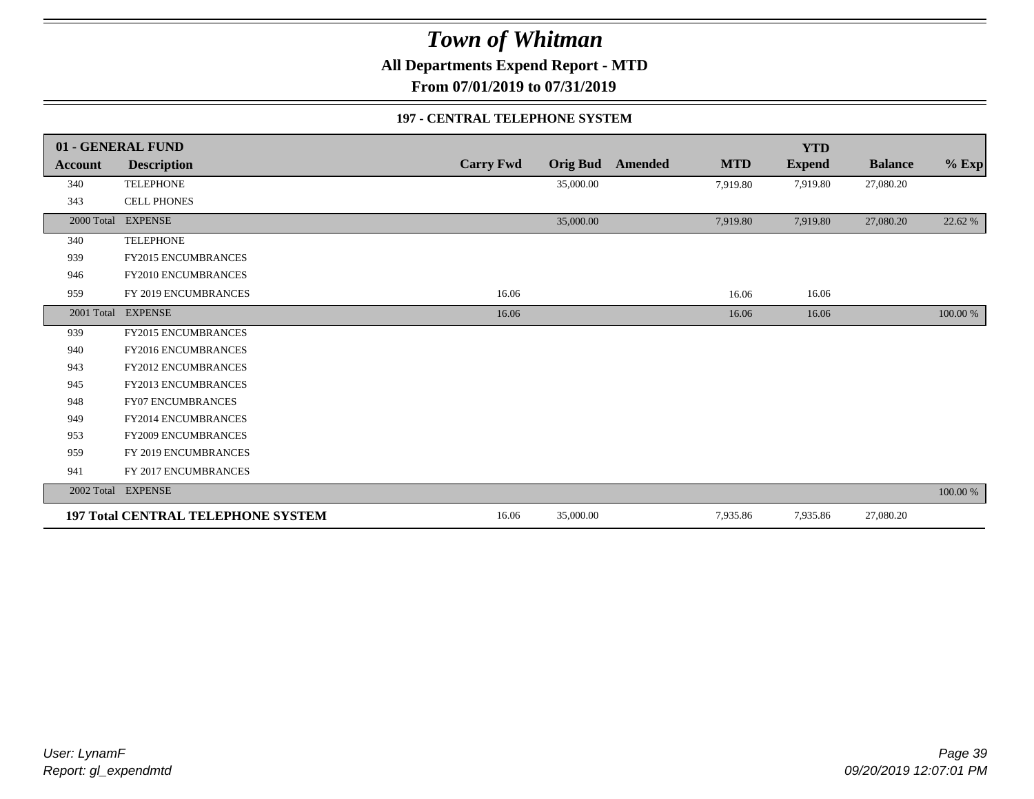**All Departments Expend Report - MTD**

**From 07/01/2019 to 07/31/2019**

#### **197 - CENTRAL TELEPHONE SYSTEM**

|            | 01 - GENERAL FUND                         |                  |                 |         |            | <b>YTD</b>    |                |          |
|------------|-------------------------------------------|------------------|-----------------|---------|------------|---------------|----------------|----------|
| Account    | <b>Description</b>                        | <b>Carry Fwd</b> | <b>Orig Bud</b> | Amended | <b>MTD</b> | <b>Expend</b> | <b>Balance</b> | $%$ Exp  |
| 340        | <b>TELEPHONE</b>                          |                  | 35,000.00       |         | 7,919.80   | 7,919.80      | 27,080.20      |          |
| 343        | <b>CELL PHONES</b>                        |                  |                 |         |            |               |                |          |
| 2000 Total | <b>EXPENSE</b>                            |                  | 35,000.00       |         | 7,919.80   | 7,919.80      | 27,080.20      | 22.62 %  |
| 340        | <b>TELEPHONE</b>                          |                  |                 |         |            |               |                |          |
| 939        | <b>FY2015 ENCUMBRANCES</b>                |                  |                 |         |            |               |                |          |
| 946        | FY2010 ENCUMBRANCES                       |                  |                 |         |            |               |                |          |
| 959        | FY 2019 ENCUMBRANCES                      | 16.06            |                 |         | 16.06      | 16.06         |                |          |
|            | 2001 Total EXPENSE                        | 16.06            |                 |         | 16.06      | 16.06         |                | 100.00 % |
| 939        | <b>FY2015 ENCUMBRANCES</b>                |                  |                 |         |            |               |                |          |
| 940        | <b>FY2016 ENCUMBRANCES</b>                |                  |                 |         |            |               |                |          |
| 943        | FY2012 ENCUMBRANCES                       |                  |                 |         |            |               |                |          |
| 945        | FY2013 ENCUMBRANCES                       |                  |                 |         |            |               |                |          |
| 948        | <b>FY07 ENCUMBRANCES</b>                  |                  |                 |         |            |               |                |          |
| 949        | FY2014 ENCUMBRANCES                       |                  |                 |         |            |               |                |          |
| 953        | <b>FY2009 ENCUMBRANCES</b>                |                  |                 |         |            |               |                |          |
| 959        | FY 2019 ENCUMBRANCES                      |                  |                 |         |            |               |                |          |
| 941        | FY 2017 ENCUMBRANCES                      |                  |                 |         |            |               |                |          |
|            | 2002 Total EXPENSE                        |                  |                 |         |            |               |                | 100.00 % |
|            | <b>197 Total CENTRAL TELEPHONE SYSTEM</b> | 16.06            | 35,000.00       |         | 7,935.86   | 7,935.86      | 27,080.20      |          |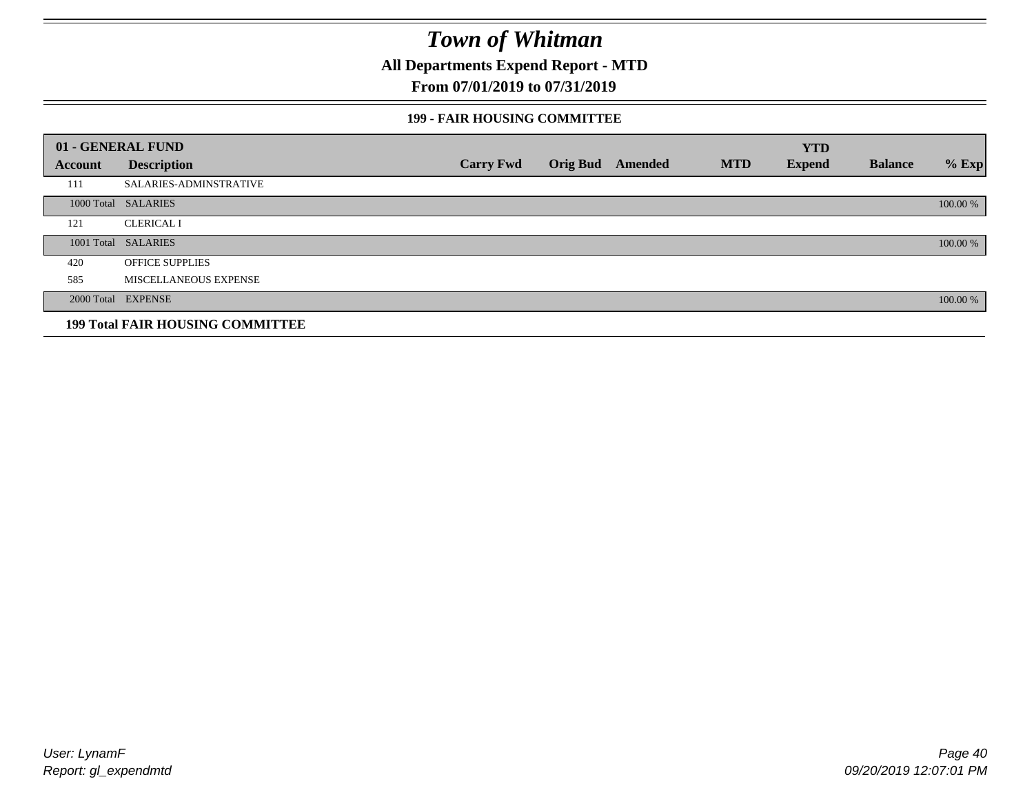**All Departments Expend Report - MTD**

### **From 07/01/2019 to 07/31/2019**

#### **199 - FAIR HOUSING COMMITTEE**

|         | 01 - GENERAL FUND                       |                  |                         |            | <b>YTD</b>    |                |          |
|---------|-----------------------------------------|------------------|-------------------------|------------|---------------|----------------|----------|
| Account | <b>Description</b>                      | <b>Carry Fwd</b> | <b>Orig Bud</b> Amended | <b>MTD</b> | <b>Expend</b> | <b>Balance</b> | $%$ Exp  |
| 111     | <b>SALARIES-ADMINSTRATIVE</b>           |                  |                         |            |               |                |          |
|         | 1000 Total SALARIES                     |                  |                         |            |               |                | 100.00 % |
| 121     | <b>CLERICAL I</b>                       |                  |                         |            |               |                |          |
|         | 1001 Total SALARIES                     |                  |                         |            |               |                | 100.00 % |
| 420     | <b>OFFICE SUPPLIES</b>                  |                  |                         |            |               |                |          |
| 585     | MISCELLANEOUS EXPENSE                   |                  |                         |            |               |                |          |
|         | 2000 Total EXPENSE                      |                  |                         |            |               |                | 100.00 % |
|         | <b>199 Total FAIR HOUSING COMMITTEE</b> |                  |                         |            |               |                |          |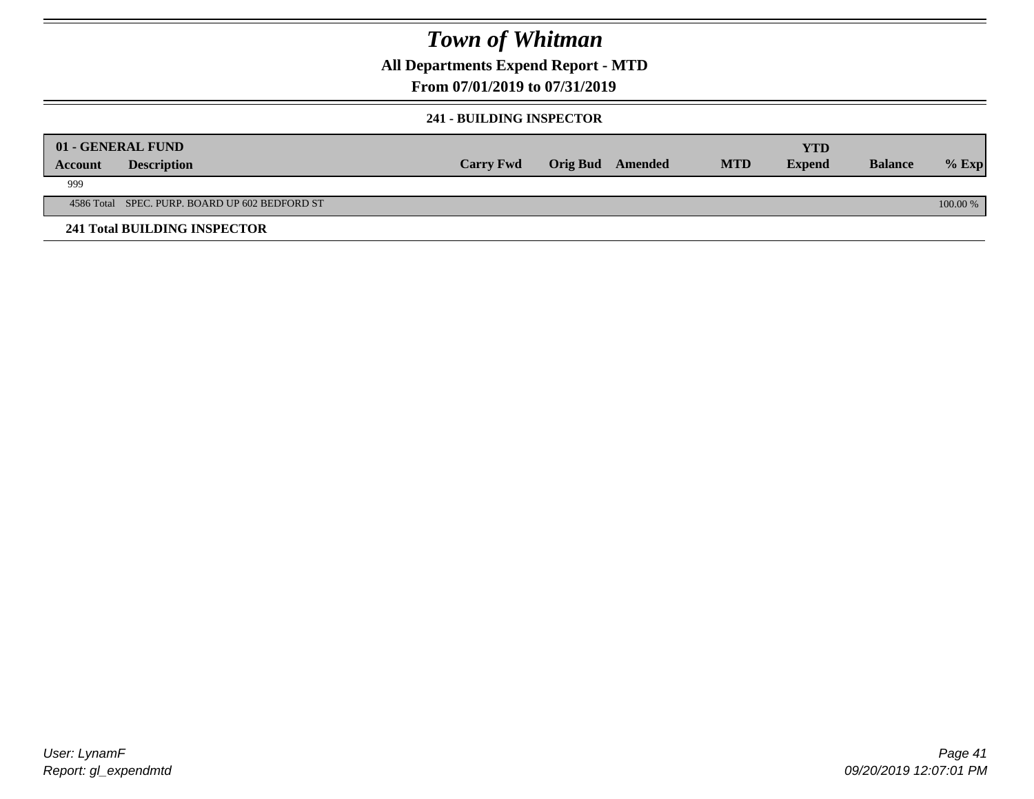### **All Departments Expend Report - MTD**

### **From 07/01/2019 to 07/31/2019**

### **241 - BUILDING INSPECTOR**

|         | 01 - GENERAL FUND                              |                  |                         |            | YTD           |                |          |
|---------|------------------------------------------------|------------------|-------------------------|------------|---------------|----------------|----------|
| Account | <b>Description</b>                             | <b>Carry Fwd</b> | <b>Orig Bud</b> Amended | <b>MTD</b> | <b>Expend</b> | <b>Balance</b> | $%$ Exp  |
| 999     |                                                |                  |                         |            |               |                |          |
|         | 4586 Total SPEC. PURP. BOARD UP 602 BEDFORD ST |                  |                         |            |               |                | 100.00 % |
|         | <b>241 Total BUILDING INSPECTOR</b>            |                  |                         |            |               |                |          |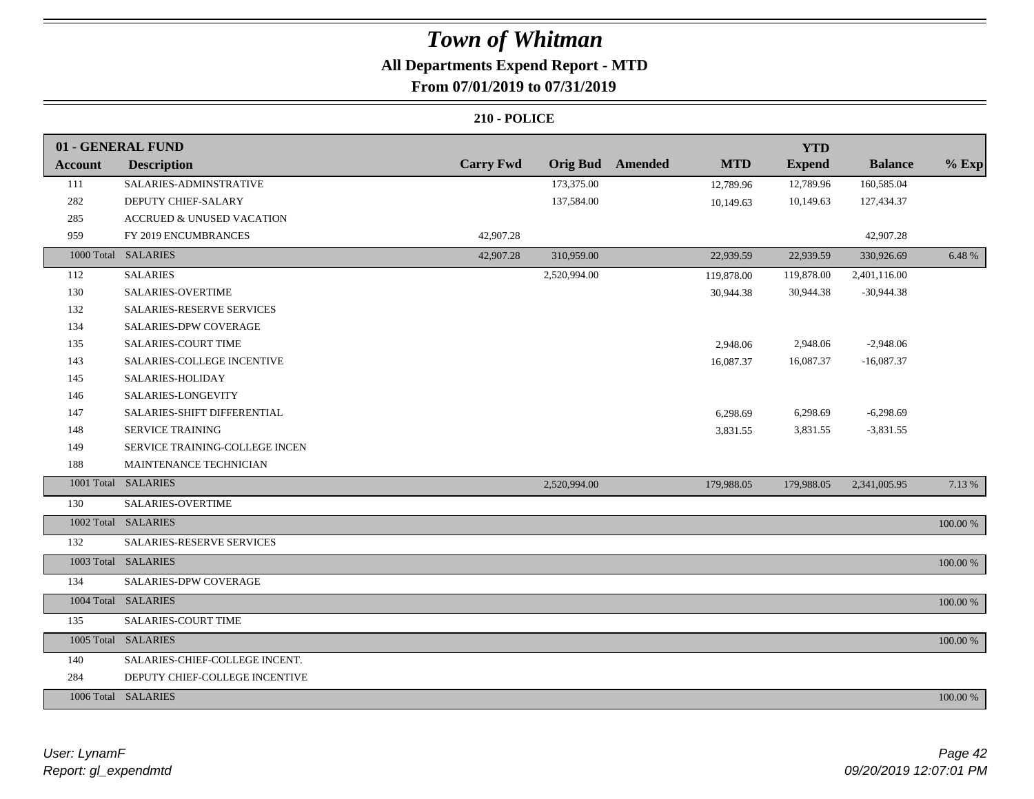### **All Departments Expend Report - MTD From 07/01/2019 to 07/31/2019**

|                | 01 - GENERAL FUND                    |                  |                 |                |            | <b>YTD</b>    |                |          |
|----------------|--------------------------------------|------------------|-----------------|----------------|------------|---------------|----------------|----------|
| <b>Account</b> | <b>Description</b>                   | <b>Carry Fwd</b> | <b>Orig Bud</b> | <b>Amended</b> | <b>MTD</b> | <b>Expend</b> | <b>Balance</b> | $%$ Exp  |
| 111            | SALARIES-ADMINSTRATIVE               |                  | 173,375.00      |                | 12,789.96  | 12,789.96     | 160,585.04     |          |
| 282            | DEPUTY CHIEF-SALARY                  |                  | 137,584.00      |                | 10,149.63  | 10,149.63     | 127,434.37     |          |
| 285            | <b>ACCRUED &amp; UNUSED VACATION</b> |                  |                 |                |            |               |                |          |
| 959            | FY 2019 ENCUMBRANCES                 | 42,907.28        |                 |                |            |               | 42,907.28      |          |
|                | 1000 Total SALARIES                  | 42,907.28        | 310,959.00      |                | 22,939.59  | 22,939.59     | 330,926.69     | 6.48 %   |
| 112            | <b>SALARIES</b>                      |                  | 2,520,994.00    |                | 119,878.00 | 119,878.00    | 2,401,116.00   |          |
| 130            | <b>SALARIES-OVERTIME</b>             |                  |                 |                | 30,944.38  | 30,944.38     | $-30,944.38$   |          |
| 132            | <b>SALARIES-RESERVE SERVICES</b>     |                  |                 |                |            |               |                |          |
| 134            | SALARIES-DPW COVERAGE                |                  |                 |                |            |               |                |          |
| 135            | <b>SALARIES-COURT TIME</b>           |                  |                 |                | 2,948.06   | 2,948.06      | $-2,948.06$    |          |
| 143            | SALARIES-COLLEGE INCENTIVE           |                  |                 |                | 16,087.37  | 16,087.37     | $-16,087.37$   |          |
| 145            | SALARIES-HOLIDAY                     |                  |                 |                |            |               |                |          |
| 146            | SALARIES-LONGEVITY                   |                  |                 |                |            |               |                |          |
| 147            | SALARIES-SHIFT DIFFERENTIAL          |                  |                 |                | 6,298.69   | 6,298.69      | $-6,298.69$    |          |
| 148            | <b>SERVICE TRAINING</b>              |                  |                 |                | 3,831.55   | 3,831.55      | $-3,831.55$    |          |
| 149            | SERVICE TRAINING-COLLEGE INCEN       |                  |                 |                |            |               |                |          |
| 188            | MAINTENANCE TECHNICIAN               |                  |                 |                |            |               |                |          |
|                | 1001 Total SALARIES                  |                  | 2,520,994.00    |                | 179,988.05 | 179,988.05    | 2,341,005.95   | 7.13 %   |
| 130            | <b>SALARIES-OVERTIME</b>             |                  |                 |                |            |               |                |          |
|                | 1002 Total SALARIES                  |                  |                 |                |            |               |                | 100.00 % |
| 132            | SALARIES-RESERVE SERVICES            |                  |                 |                |            |               |                |          |
|                | 1003 Total SALARIES                  |                  |                 |                |            |               |                | 100.00 % |
| 134            | SALARIES-DPW COVERAGE                |                  |                 |                |            |               |                |          |
|                | 1004 Total SALARIES                  |                  |                 |                |            |               |                | 100.00 % |
| 135            | SALARIES-COURT TIME                  |                  |                 |                |            |               |                |          |
|                | 1005 Total SALARIES                  |                  |                 |                |            |               |                | 100.00 % |
| 140            | SALARIES-CHIEF-COLLEGE INCENT.       |                  |                 |                |            |               |                |          |
| 284            | DEPUTY CHIEF-COLLEGE INCENTIVE       |                  |                 |                |            |               |                |          |
|                | 1006 Total SALARIES                  |                  |                 |                |            |               |                | 100.00 % |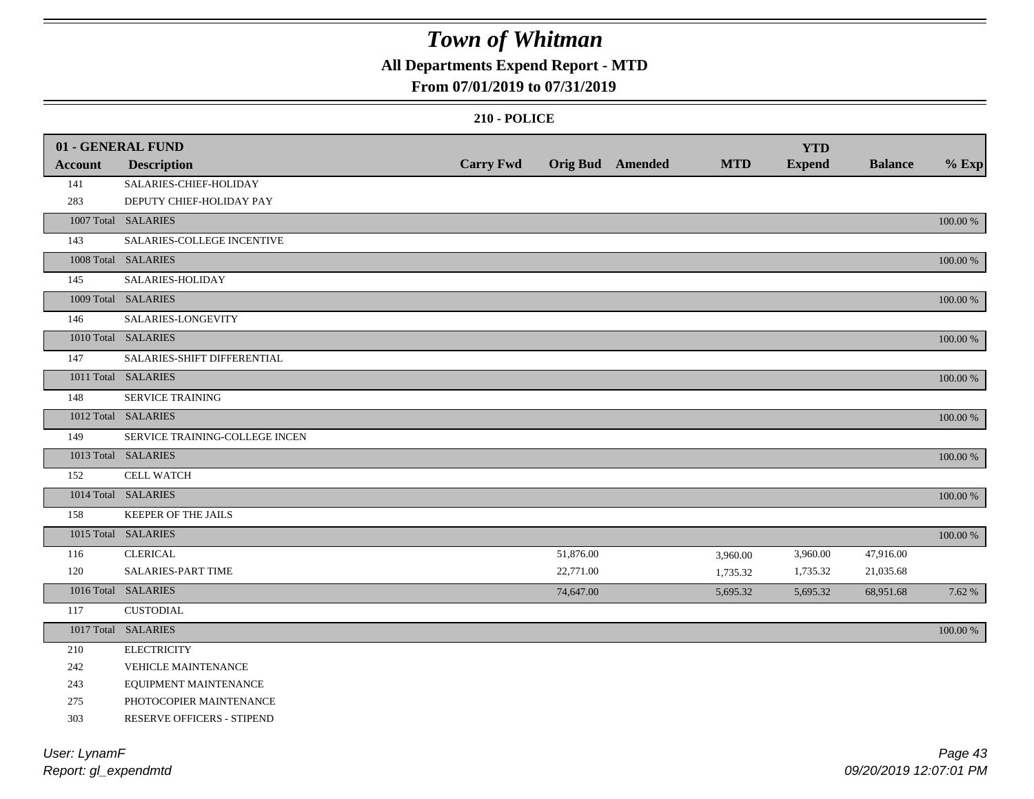### **All Departments Expend Report - MTD**

### **From 07/01/2019 to 07/31/2019**

#### **210 - POLICE**

|                | 01 - GENERAL FUND              |                  |           |                         |            | <b>YTD</b>    |                |             |
|----------------|--------------------------------|------------------|-----------|-------------------------|------------|---------------|----------------|-------------|
| <b>Account</b> | <b>Description</b>             | <b>Carry Fwd</b> |           | <b>Orig Bud</b> Amended | <b>MTD</b> | <b>Expend</b> | <b>Balance</b> | $%$ Exp     |
| 141            | SALARIES-CHIEF-HOLIDAY         |                  |           |                         |            |               |                |             |
| 283            | DEPUTY CHIEF-HOLIDAY PAY       |                  |           |                         |            |               |                |             |
|                | 1007 Total SALARIES            |                  |           |                         |            |               |                | 100.00 %    |
| 143            | SALARIES-COLLEGE INCENTIVE     |                  |           |                         |            |               |                |             |
|                | 1008 Total SALARIES            |                  |           |                         |            |               |                | 100.00 %    |
| 145            | SALARIES-HOLIDAY               |                  |           |                         |            |               |                |             |
|                | 1009 Total SALARIES            |                  |           |                         |            |               |                | 100.00 %    |
| 146            | SALARIES-LONGEVITY             |                  |           |                         |            |               |                |             |
|                | 1010 Total SALARIES            |                  |           |                         |            |               |                | $100.00~\%$ |
| 147            | SALARIES-SHIFT DIFFERENTIAL    |                  |           |                         |            |               |                |             |
|                | 1011 Total SALARIES            |                  |           |                         |            |               |                | $100.00~\%$ |
| 148            | <b>SERVICE TRAINING</b>        |                  |           |                         |            |               |                |             |
|                | 1012 Total SALARIES            |                  |           |                         |            |               |                | 100.00 %    |
| 149            | SERVICE TRAINING-COLLEGE INCEN |                  |           |                         |            |               |                |             |
|                | 1013 Total SALARIES            |                  |           |                         |            |               |                | 100.00 %    |
| 152            | CELL WATCH                     |                  |           |                         |            |               |                |             |
|                | 1014 Total SALARIES            |                  |           |                         |            |               |                | 100.00 %    |
| 158            | <b>KEEPER OF THE JAILS</b>     |                  |           |                         |            |               |                |             |
|                | 1015 Total SALARIES            |                  |           |                         |            |               |                | 100.00 %    |
| 116            | <b>CLERICAL</b>                |                  | 51,876.00 |                         | 3,960.00   | 3,960.00      | 47,916.00      |             |
| 120            | <b>SALARIES-PART TIME</b>      |                  | 22,771.00 |                         | 1,735.32   | 1,735.32      | 21,035.68      |             |
|                | 1016 Total SALARIES            |                  | 74,647.00 |                         | 5,695.32   | 5,695.32      | 68,951.68      | 7.62 %      |
| 117            | <b>CUSTODIAL</b>               |                  |           |                         |            |               |                |             |
|                | 1017 Total SALARIES            |                  |           |                         |            |               |                | $100.00~\%$ |
| 210            | <b>ELECTRICITY</b>             |                  |           |                         |            |               |                |             |
| 242            | <b>VEHICLE MAINTENANCE</b>     |                  |           |                         |            |               |                |             |
| 243            | EQUIPMENT MAINTENANCE          |                  |           |                         |            |               |                |             |
| 275            | PHOTOCOPIER MAINTENANCE        |                  |           |                         |            |               |                |             |
| 303            | RESERVE OFFICERS - STIPEND     |                  |           |                         |            |               |                |             |
|                |                                |                  |           |                         |            |               |                |             |

*Report: gl\_expendmtd User: LynamF*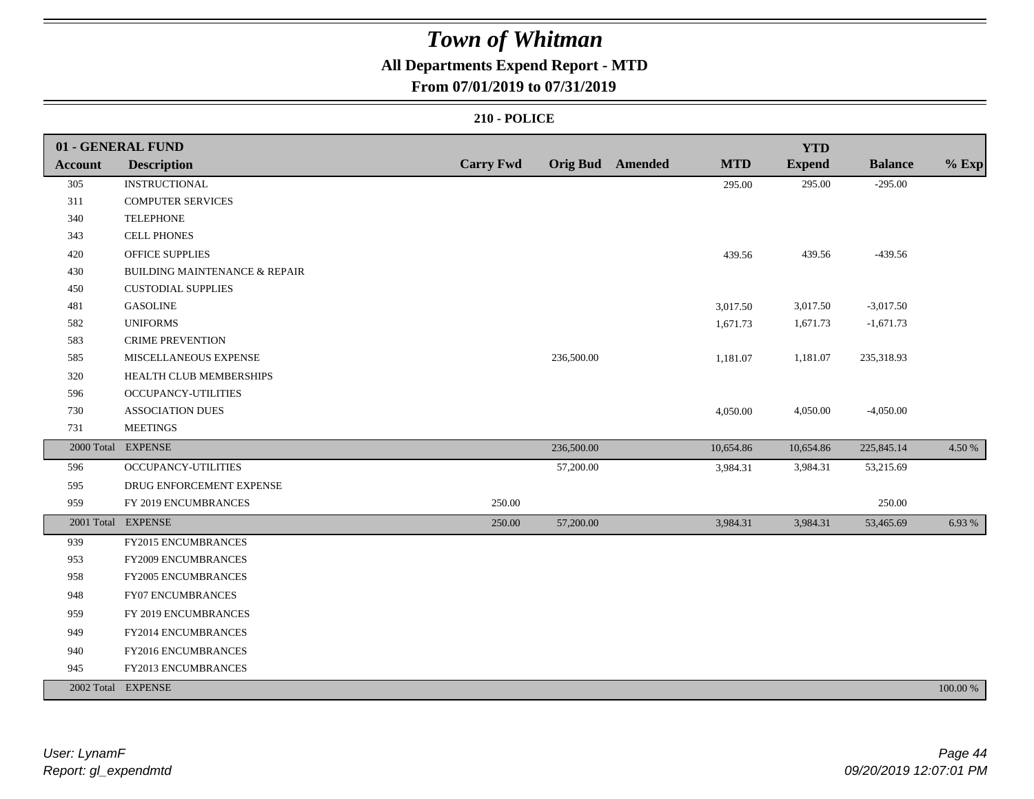### **All Departments Expend Report - MTD**

### **From 07/01/2019 to 07/31/2019**

|                | 01 - GENERAL FUND                        |                  |            |                         |            | <b>YTD</b>    |                |          |
|----------------|------------------------------------------|------------------|------------|-------------------------|------------|---------------|----------------|----------|
| <b>Account</b> | <b>Description</b>                       | <b>Carry Fwd</b> |            | <b>Orig Bud</b> Amended | <b>MTD</b> | <b>Expend</b> | <b>Balance</b> | $%$ Exp  |
| 305            | <b>INSTRUCTIONAL</b>                     |                  |            |                         | 295.00     | 295.00        | $-295.00$      |          |
| 311            | <b>COMPUTER SERVICES</b>                 |                  |            |                         |            |               |                |          |
| 340            | <b>TELEPHONE</b>                         |                  |            |                         |            |               |                |          |
| 343            | <b>CELL PHONES</b>                       |                  |            |                         |            |               |                |          |
| 420            | OFFICE SUPPLIES                          |                  |            |                         | 439.56     | 439.56        | $-439.56$      |          |
| 430            | <b>BUILDING MAINTENANCE &amp; REPAIR</b> |                  |            |                         |            |               |                |          |
| 450            | <b>CUSTODIAL SUPPLIES</b>                |                  |            |                         |            |               |                |          |
| 481            | <b>GASOLINE</b>                          |                  |            |                         | 3,017.50   | 3,017.50      | $-3,017.50$    |          |
| 582            | <b>UNIFORMS</b>                          |                  |            |                         | 1,671.73   | 1,671.73      | $-1,671.73$    |          |
| 583            | <b>CRIME PREVENTION</b>                  |                  |            |                         |            |               |                |          |
| 585            | MISCELLANEOUS EXPENSE                    |                  | 236,500.00 |                         | 1,181.07   | 1,181.07      | 235,318.93     |          |
| 320            | HEALTH CLUB MEMBERSHIPS                  |                  |            |                         |            |               |                |          |
| 596            | <b>OCCUPANCY-UTILITIES</b>               |                  |            |                         |            |               |                |          |
| 730            | <b>ASSOCIATION DUES</b>                  |                  |            |                         | 4,050.00   | 4,050.00      | $-4,050.00$    |          |
| 731            | <b>MEETINGS</b>                          |                  |            |                         |            |               |                |          |
|                | 2000 Total EXPENSE                       |                  | 236,500.00 |                         | 10,654.86  | 10,654.86     | 225,845.14     | 4.50 %   |
| 596            | <b>OCCUPANCY-UTILITIES</b>               |                  | 57,200.00  |                         | 3,984.31   | 3,984.31      | 53,215.69      |          |
| 595            | DRUG ENFORCEMENT EXPENSE                 |                  |            |                         |            |               |                |          |
| 959            | FY 2019 ENCUMBRANCES                     | 250.00           |            |                         |            |               | 250.00         |          |
|                | 2001 Total EXPENSE                       | 250.00           | 57,200.00  |                         | 3,984.31   | 3,984.31      | 53,465.69      | 6.93 %   |
| 939            | <b>FY2015 ENCUMBRANCES</b>               |                  |            |                         |            |               |                |          |
| 953            | <b>FY2009 ENCUMBRANCES</b>               |                  |            |                         |            |               |                |          |
| 958            | FY2005 ENCUMBRANCES                      |                  |            |                         |            |               |                |          |
| 948            | <b>FY07 ENCUMBRANCES</b>                 |                  |            |                         |            |               |                |          |
| 959            | FY 2019 ENCUMBRANCES                     |                  |            |                         |            |               |                |          |
| 949            | FY2014 ENCUMBRANCES                      |                  |            |                         |            |               |                |          |
| 940            | FY2016 ENCUMBRANCES                      |                  |            |                         |            |               |                |          |
| 945            | FY2013 ENCUMBRANCES                      |                  |            |                         |            |               |                |          |
|                | 2002 Total EXPENSE                       |                  |            |                         |            |               |                | 100.00 % |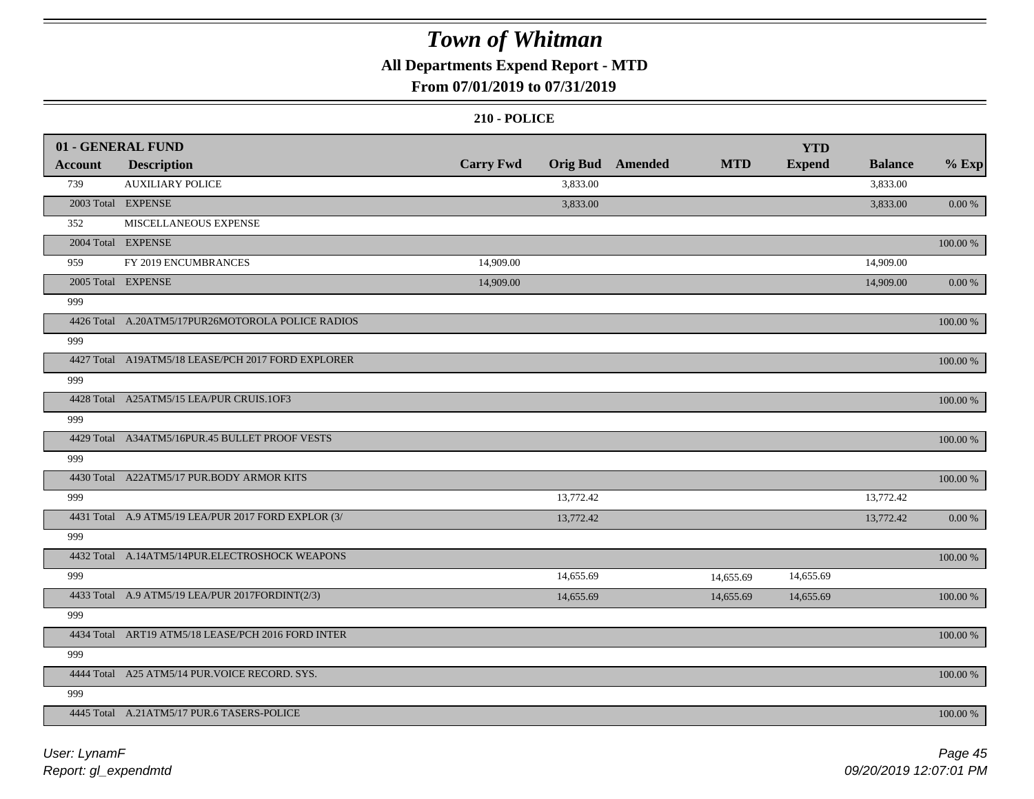### **All Departments Expend Report - MTD**

### **From 07/01/2019 to 07/31/2019**

|                | 01 - GENERAL FUND                                   |                  |           |                         |            | <b>YTD</b>    |                |             |
|----------------|-----------------------------------------------------|------------------|-----------|-------------------------|------------|---------------|----------------|-------------|
| <b>Account</b> | <b>Description</b>                                  | <b>Carry Fwd</b> |           | <b>Orig Bud</b> Amended | <b>MTD</b> | <b>Expend</b> | <b>Balance</b> | $%$ Exp     |
| 739            | <b>AUXILIARY POLICE</b>                             |                  | 3,833.00  |                         |            |               | 3,833.00       |             |
|                | 2003 Total EXPENSE                                  |                  | 3,833.00  |                         |            |               | 3,833.00       | 0.00 %      |
| 352            | MISCELLANEOUS EXPENSE                               |                  |           |                         |            |               |                |             |
|                | 2004 Total EXPENSE                                  |                  |           |                         |            |               |                | 100.00 %    |
| 959            | FY 2019 ENCUMBRANCES                                | 14,909.00        |           |                         |            |               | 14,909.00      |             |
|                | 2005 Total EXPENSE                                  | 14,909.00        |           |                         |            |               | 14,909.00      | 0.00 %      |
| 999            |                                                     |                  |           |                         |            |               |                |             |
|                | 4426 Total A.20ATM5/17PUR26MOTOROLA POLICE RADIOS   |                  |           |                         |            |               |                | 100.00 %    |
| 999            |                                                     |                  |           |                         |            |               |                |             |
|                | 4427 Total A19ATM5/18 LEASE/PCH 2017 FORD EXPLORER  |                  |           |                         |            |               |                | 100.00 %    |
| 999            |                                                     |                  |           |                         |            |               |                |             |
|                | 4428 Total A25ATM5/15 LEA/PUR CRUIS.1OF3            |                  |           |                         |            |               |                | 100.00 %    |
| 999            |                                                     |                  |           |                         |            |               |                |             |
|                | 4429 Total A34ATM5/16PUR.45 BULLET PROOF VESTS      |                  |           |                         |            |               |                | 100.00 %    |
| 999            |                                                     |                  |           |                         |            |               |                |             |
|                | 4430 Total A22ATM5/17 PUR.BODY ARMOR KITS           |                  |           |                         |            |               |                | 100.00 %    |
| 999            |                                                     |                  | 13,772.42 |                         |            |               | 13,772.42      |             |
|                | 4431 Total A.9 ATM5/19 LEA/PUR 2017 FORD EXPLOR (3/ |                  | 13,772.42 |                         |            |               | 13,772.42      | $0.00\,\%$  |
| 999            |                                                     |                  |           |                         |            |               |                |             |
|                | 4432 Total A.14ATM5/14PUR.ELECTROSHOCK WEAPONS      |                  |           |                         |            |               |                | $100.00~\%$ |
| 999            |                                                     |                  | 14,655.69 |                         | 14,655.69  | 14,655.69     |                |             |
|                | 4433 Total A.9 ATM5/19 LEA/PUR 2017FORDINT(2/3)     |                  | 14,655.69 |                         | 14,655.69  | 14,655.69     |                | $100.00~\%$ |
| 999            |                                                     |                  |           |                         |            |               |                |             |
|                | 4434 Total ART19 ATM5/18 LEASE/PCH 2016 FORD INTER  |                  |           |                         |            |               |                | 100.00 %    |
| 999            |                                                     |                  |           |                         |            |               |                |             |
|                | 4444 Total A25 ATM5/14 PUR. VOICE RECORD. SYS.      |                  |           |                         |            |               |                | 100.00 %    |
| 999            |                                                     |                  |           |                         |            |               |                |             |
|                | 4445 Total A.21ATM5/17 PUR.6 TASERS-POLICE          |                  |           |                         |            |               |                | 100.00 %    |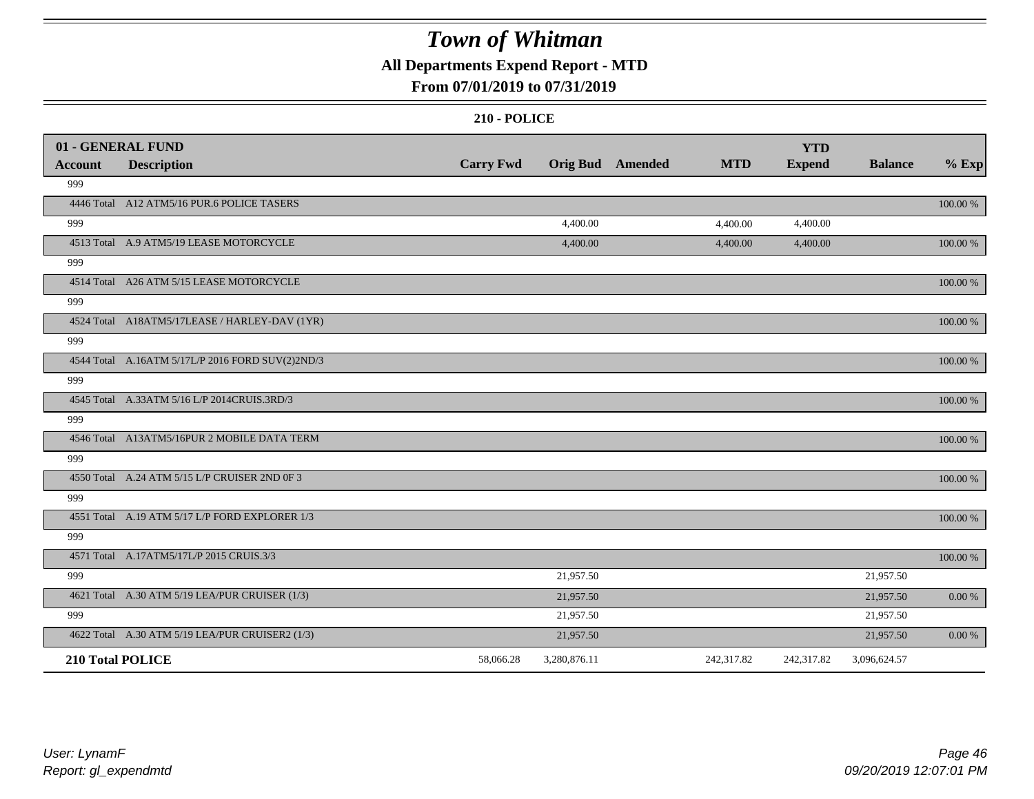### **All Departments Expend Report - MTD**

### **From 07/01/2019 to 07/31/2019**

|         | 01 - GENERAL FUND                                |                  |                         |            | <b>YTD</b>    |                |             |
|---------|--------------------------------------------------|------------------|-------------------------|------------|---------------|----------------|-------------|
| Account | <b>Description</b>                               | <b>Carry Fwd</b> | <b>Orig Bud</b> Amended | <b>MTD</b> | <b>Expend</b> | <b>Balance</b> | $%$ Exp     |
| 999     |                                                  |                  |                         |            |               |                |             |
|         | 4446 Total A12 ATM5/16 PUR.6 POLICE TASERS       |                  |                         |            |               |                | 100.00 %    |
| 999     |                                                  |                  | 4,400.00                | 4,400.00   | 4,400.00      |                |             |
|         | 4513 Total A.9 ATM5/19 LEASE MOTORCYCLE          |                  | 4,400.00                | 4,400.00   | 4,400.00      |                | $100.00~\%$ |
| 999     |                                                  |                  |                         |            |               |                |             |
|         | 4514 Total A26 ATM 5/15 LEASE MOTORCYCLE         |                  |                         |            |               |                | 100.00 %    |
| 999     |                                                  |                  |                         |            |               |                |             |
|         | 4524 Total A18ATM5/17LEASE / HARLEY-DAV (1YR)    |                  |                         |            |               |                | 100.00 %    |
| 999     |                                                  |                  |                         |            |               |                |             |
|         | 4544 Total A.16ATM 5/17L/P 2016 FORD SUV(2)2ND/3 |                  |                         |            |               |                | 100.00 %    |
| 999     |                                                  |                  |                         |            |               |                |             |
|         | 4545 Total A.33ATM 5/16 L/P 2014CRUIS.3RD/3      |                  |                         |            |               |                | 100.00 %    |
| 999     |                                                  |                  |                         |            |               |                |             |
|         | 4546 Total A13ATM5/16PUR 2 MOBILE DATA TERM      |                  |                         |            |               |                | 100.00 %    |
| 999     |                                                  |                  |                         |            |               |                |             |
|         | 4550 Total A.24 ATM 5/15 L/P CRUISER 2ND 0F 3    |                  |                         |            |               |                | 100.00 %    |
| 999     |                                                  |                  |                         |            |               |                |             |
|         | 4551 Total A.19 ATM 5/17 L/P FORD EXPLORER 1/3   |                  |                         |            |               |                | 100.00 %    |
| 999     |                                                  |                  |                         |            |               |                |             |
|         | 4571 Total A.17ATM5/17L/P 2015 CRUIS.3/3         |                  |                         |            |               |                | 100.00 %    |
| 999     |                                                  |                  | 21,957.50               |            |               | 21,957.50      |             |
|         | 4621 Total A.30 ATM 5/19 LEA/PUR CRUISER (1/3)   |                  | 21,957.50               |            |               | 21,957.50      | 0.00 %      |
| 999     |                                                  |                  | 21,957.50               |            |               | 21,957.50      |             |
|         | 4622 Total A.30 ATM 5/19 LEA/PUR CRUISER2 (1/3)  |                  | 21,957.50               |            |               | 21,957.50      | 0.00 %      |
|         | 210 Total POLICE                                 | 58,066.28        | 3,280,876.11            | 242,317.82 | 242,317.82    | 3,096,624.57   |             |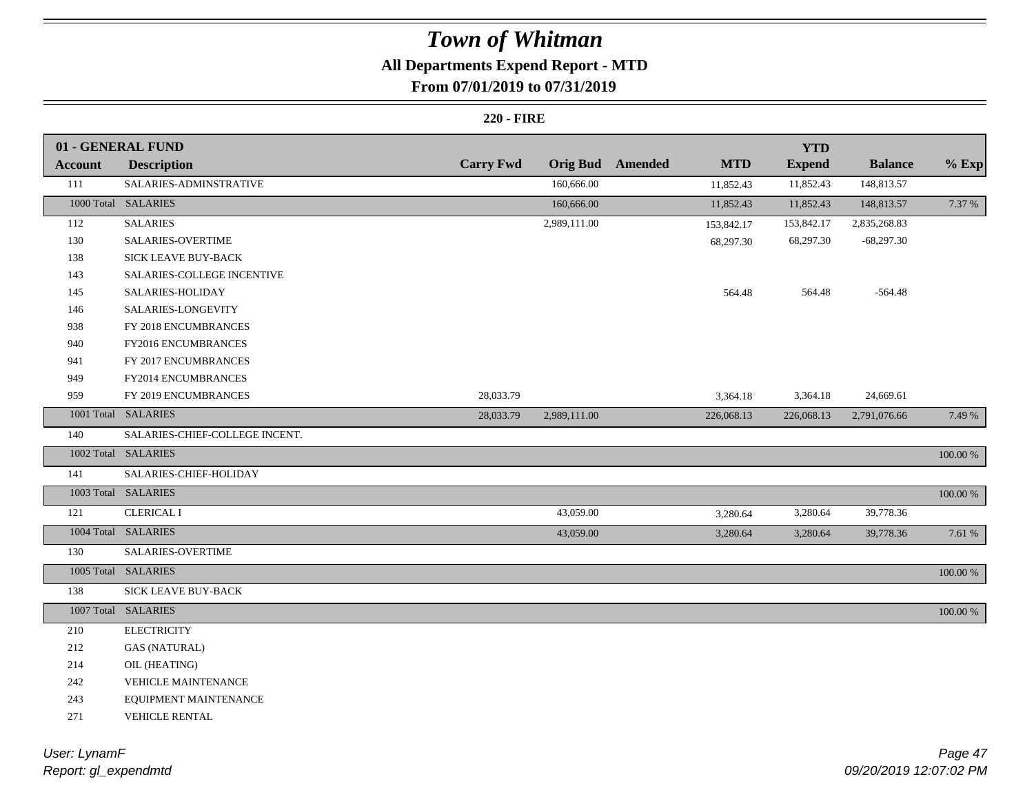# **All Departments Expend Report - MTD**

### **From 07/01/2019 to 07/31/2019**

#### **220 - FIRE**

|                | 01 - GENERAL FUND              |                  |              |                  |            | <b>YTD</b>    |                |             |
|----------------|--------------------------------|------------------|--------------|------------------|------------|---------------|----------------|-------------|
| <b>Account</b> | <b>Description</b>             | <b>Carry Fwd</b> |              | Orig Bud Amended | <b>MTD</b> | <b>Expend</b> | <b>Balance</b> | $%$ Exp     |
| 111            | SALARIES-ADMINSTRATIVE         |                  | 160,666.00   |                  | 11,852.43  | 11,852.43     | 148,813.57     |             |
|                | 1000 Total SALARIES            |                  | 160,666.00   |                  | 11,852.43  | 11,852.43     | 148,813.57     | 7.37 %      |
| 112            | <b>SALARIES</b>                |                  | 2,989,111.00 |                  | 153,842.17 | 153,842.17    | 2,835,268.83   |             |
| 130            | SALARIES-OVERTIME              |                  |              |                  | 68,297.30  | 68,297.30     | $-68,297.30$   |             |
| 138            | SICK LEAVE BUY-BACK            |                  |              |                  |            |               |                |             |
| 143            | SALARIES-COLLEGE INCENTIVE     |                  |              |                  |            |               |                |             |
| 145            | SALARIES-HOLIDAY               |                  |              |                  | 564.48     | 564.48        | $-564.48$      |             |
| 146            | SALARIES-LONGEVITY             |                  |              |                  |            |               |                |             |
| 938            | FY 2018 ENCUMBRANCES           |                  |              |                  |            |               |                |             |
| 940            | FY2016 ENCUMBRANCES            |                  |              |                  |            |               |                |             |
| 941            | FY 2017 ENCUMBRANCES           |                  |              |                  |            |               |                |             |
| 949            | FY2014 ENCUMBRANCES            |                  |              |                  |            |               |                |             |
| 959            | FY 2019 ENCUMBRANCES           | 28,033.79        |              |                  | 3,364.18   | 3,364.18      | 24,669.61      |             |
|                | 1001 Total SALARIES            | 28,033.79        | 2,989,111.00 |                  | 226,068.13 | 226,068.13    | 2,791,076.66   | 7.49 %      |
| 140            | SALARIES-CHIEF-COLLEGE INCENT. |                  |              |                  |            |               |                |             |
|                | 1002 Total SALARIES            |                  |              |                  |            |               |                | 100.00 %    |
| 141            | SALARIES-CHIEF-HOLIDAY         |                  |              |                  |            |               |                |             |
|                | 1003 Total SALARIES            |                  |              |                  |            |               |                | $100.00~\%$ |
| 121            | <b>CLERICAL I</b>              |                  | 43,059.00    |                  | 3,280.64   | 3,280.64      | 39,778.36      |             |
|                | 1004 Total SALARIES            |                  | 43,059.00    |                  | 3,280.64   | 3,280.64      | 39,778.36      | 7.61 %      |
| 130            | SALARIES-OVERTIME              |                  |              |                  |            |               |                |             |
|                | 1005 Total SALARIES            |                  |              |                  |            |               |                | 100.00 %    |
| 138            | SICK LEAVE BUY-BACK            |                  |              |                  |            |               |                |             |
|                | 1007 Total SALARIES            |                  |              |                  |            |               |                | 100.00 %    |
| 210            | <b>ELECTRICITY</b>             |                  |              |                  |            |               |                |             |
| 212            | <b>GAS (NATURAL)</b>           |                  |              |                  |            |               |                |             |
| 214            | OIL (HEATING)                  |                  |              |                  |            |               |                |             |
| 242            | <b>VEHICLE MAINTENANCE</b>     |                  |              |                  |            |               |                |             |
| 243            | EQUIPMENT MAINTENANCE          |                  |              |                  |            |               |                |             |
| 271            | VEHICLE RENTAL                 |                  |              |                  |            |               |                |             |

*Report: gl\_expendmtd User: LynamF*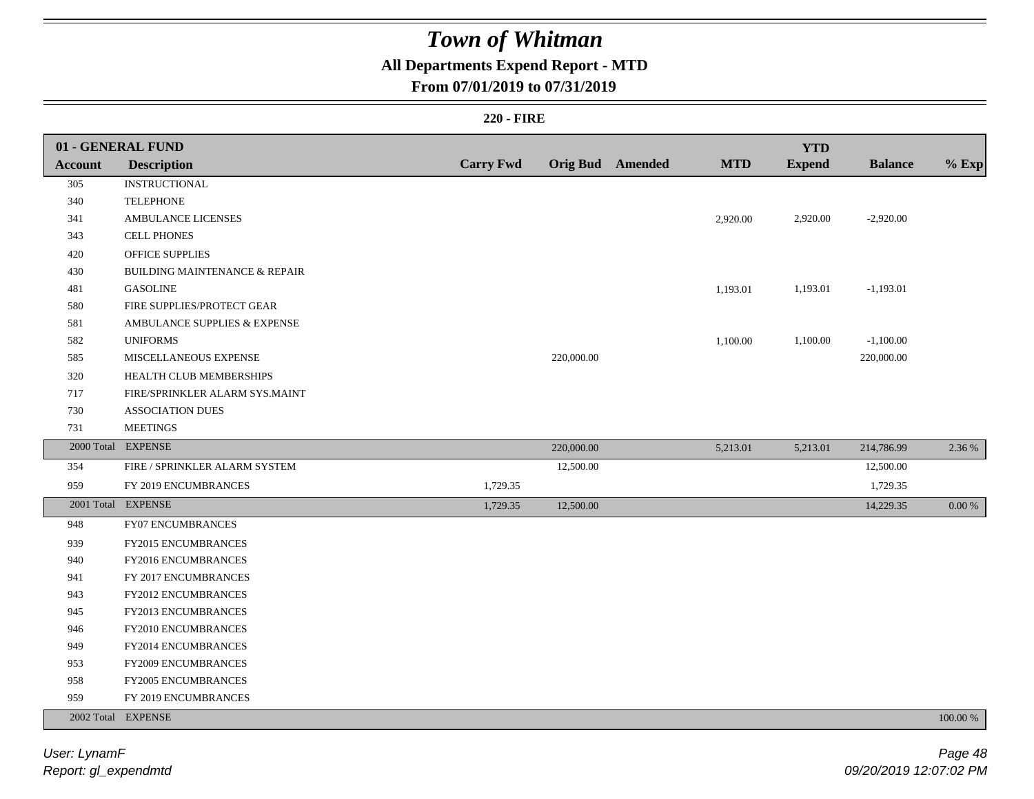### **All Departments Expend Report - MTD**

### **From 07/01/2019 to 07/31/2019**

#### **220 - FIRE**

|                | 01 - GENERAL FUND                        |                  |            |                         |            | <b>YTD</b>    |                |            |
|----------------|------------------------------------------|------------------|------------|-------------------------|------------|---------------|----------------|------------|
| <b>Account</b> | <b>Description</b>                       | <b>Carry Fwd</b> |            | <b>Orig Bud</b> Amended | <b>MTD</b> | <b>Expend</b> | <b>Balance</b> | $%$ Exp    |
| 305            | <b>INSTRUCTIONAL</b>                     |                  |            |                         |            |               |                |            |
| 340            | <b>TELEPHONE</b>                         |                  |            |                         |            |               |                |            |
| 341            | <b>AMBULANCE LICENSES</b>                |                  |            |                         | 2,920.00   | 2,920.00      | $-2,920.00$    |            |
| 343            | <b>CELL PHONES</b>                       |                  |            |                         |            |               |                |            |
| 420            | <b>OFFICE SUPPLIES</b>                   |                  |            |                         |            |               |                |            |
| 430            | <b>BUILDING MAINTENANCE &amp; REPAIR</b> |                  |            |                         |            |               |                |            |
| 481            | <b>GASOLINE</b>                          |                  |            |                         | 1,193.01   | 1,193.01      | $-1,193.01$    |            |
| 580            | FIRE SUPPLIES/PROTECT GEAR               |                  |            |                         |            |               |                |            |
| 581            | AMBULANCE SUPPLIES & EXPENSE             |                  |            |                         |            |               |                |            |
| 582            | <b>UNIFORMS</b>                          |                  |            |                         | 1,100.00   | 1,100.00      | $-1,100.00$    |            |
| 585            | MISCELLANEOUS EXPENSE                    |                  | 220,000.00 |                         |            |               | 220,000.00     |            |
| 320            | HEALTH CLUB MEMBERSHIPS                  |                  |            |                         |            |               |                |            |
| 717            | FIRE/SPRINKLER ALARM SYS.MAINT           |                  |            |                         |            |               |                |            |
| 730            | <b>ASSOCIATION DUES</b>                  |                  |            |                         |            |               |                |            |
| 731            | <b>MEETINGS</b>                          |                  |            |                         |            |               |                |            |
|                | 2000 Total EXPENSE                       |                  | 220,000.00 |                         | 5,213.01   | 5,213.01      | 214,786.99     | 2.36 %     |
| 354            | FIRE / SPRINKLER ALARM SYSTEM            |                  | 12,500.00  |                         |            |               | 12,500.00      |            |
| 959            | FY 2019 ENCUMBRANCES                     | 1,729.35         |            |                         |            |               | 1,729.35       |            |
|                | 2001 Total EXPENSE                       | 1,729.35         | 12,500.00  |                         |            |               | 14,229.35      | $0.00\ \%$ |
| 948            | FY07 ENCUMBRANCES                        |                  |            |                         |            |               |                |            |
| 939            | FY2015 ENCUMBRANCES                      |                  |            |                         |            |               |                |            |
| 940            | FY2016 ENCUMBRANCES                      |                  |            |                         |            |               |                |            |
| 941            | FY 2017 ENCUMBRANCES                     |                  |            |                         |            |               |                |            |
| 943            | FY2012 ENCUMBRANCES                      |                  |            |                         |            |               |                |            |
| 945            | FY2013 ENCUMBRANCES                      |                  |            |                         |            |               |                |            |
| 946            | FY2010 ENCUMBRANCES                      |                  |            |                         |            |               |                |            |
| 949            | FY2014 ENCUMBRANCES                      |                  |            |                         |            |               |                |            |
| 953            | FY2009 ENCUMBRANCES                      |                  |            |                         |            |               |                |            |
| 958            | FY2005 ENCUMBRANCES                      |                  |            |                         |            |               |                |            |
| 959            | FY 2019 ENCUMBRANCES                     |                  |            |                         |            |               |                |            |
|                | 2002 Total EXPENSE                       |                  |            |                         |            |               |                | 100.00 %   |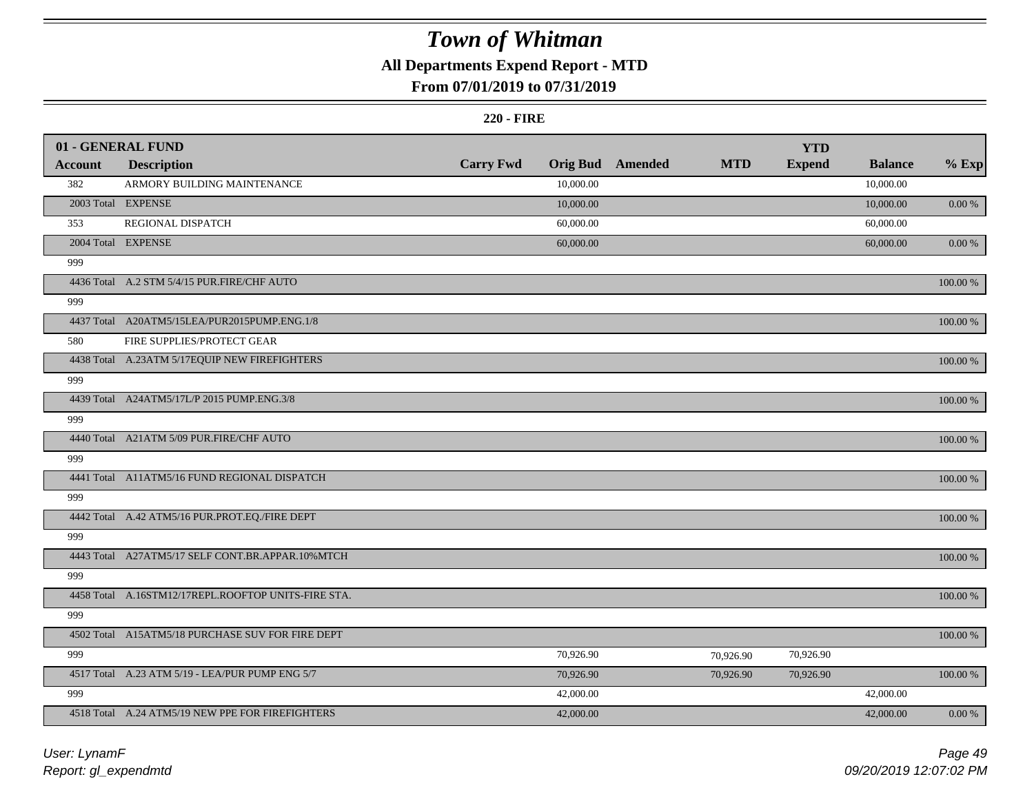### **All Departments Expend Report - MTD**

### **From 07/01/2019 to 07/31/2019**

#### **220 - FIRE**

|                | 01 - GENERAL FUND                                   |                  |           |                         |            | <b>YTD</b>    |                |             |
|----------------|-----------------------------------------------------|------------------|-----------|-------------------------|------------|---------------|----------------|-------------|
| <b>Account</b> | <b>Description</b>                                  | <b>Carry Fwd</b> |           | <b>Orig Bud</b> Amended | <b>MTD</b> | <b>Expend</b> | <b>Balance</b> | $%$ Exp     |
| 382            | ARMORY BUILDING MAINTENANCE                         |                  | 10,000.00 |                         |            |               | 10,000.00      |             |
|                | 2003 Total EXPENSE                                  |                  | 10,000.00 |                         |            |               | 10,000.00      | 0.00 %      |
| 353            | REGIONAL DISPATCH                                   |                  | 60,000.00 |                         |            |               | 60,000.00      |             |
|                | 2004 Total EXPENSE                                  |                  | 60,000.00 |                         |            |               | 60,000.00      | 0.00 %      |
| 999            |                                                     |                  |           |                         |            |               |                |             |
|                | 4436 Total A.2 STM 5/4/15 PUR.FIRE/CHF AUTO         |                  |           |                         |            |               |                | 100.00 %    |
| 999            |                                                     |                  |           |                         |            |               |                |             |
|                | 4437 Total A20ATM5/15LEA/PUR2015PUMP.ENG.1/8        |                  |           |                         |            |               |                | $100.00\%$  |
| 580            | FIRE SUPPLIES/PROTECT GEAR                          |                  |           |                         |            |               |                |             |
|                | 4438 Total A.23ATM 5/17EQUIP NEW FIREFIGHTERS       |                  |           |                         |            |               |                | $100.00~\%$ |
| 999            |                                                     |                  |           |                         |            |               |                |             |
|                | 4439 Total A24ATM5/17L/P 2015 PUMP.ENG.3/8          |                  |           |                         |            |               |                | 100.00 %    |
| 999            |                                                     |                  |           |                         |            |               |                |             |
|                | 4440 Total A21ATM 5/09 PUR.FIRE/CHF AUTO            |                  |           |                         |            |               |                | 100.00 %    |
| 999            |                                                     |                  |           |                         |            |               |                |             |
|                | 4441 Total A11ATM5/16 FUND REGIONAL DISPATCH        |                  |           |                         |            |               |                | $100.00\%$  |
| 999            |                                                     |                  |           |                         |            |               |                |             |
|                | 4442 Total A.42 ATM5/16 PUR.PROT.EQ./FIRE DEPT      |                  |           |                         |            |               |                | 100.00 %    |
| 999            |                                                     |                  |           |                         |            |               |                |             |
|                | 4443 Total A27ATM5/17 SELF CONT.BR.APPAR.10%MTCH    |                  |           |                         |            |               |                | $100.00~\%$ |
| 999            |                                                     |                  |           |                         |            |               |                |             |
|                | 4458 Total A.16STM12/17REPL.ROOFTOP UNITS-FIRE STA. |                  |           |                         |            |               |                | $100.00~\%$ |
| 999            |                                                     |                  |           |                         |            |               |                |             |
|                | 4502 Total A15ATM5/18 PURCHASE SUV FOR FIRE DEPT    |                  |           |                         |            |               |                | $100.00~\%$ |
| 999            |                                                     |                  | 70,926.90 |                         | 70,926.90  | 70,926.90     |                |             |
|                | 4517 Total A.23 ATM 5/19 - LEA/PUR PUMP ENG 5/7     |                  | 70,926.90 |                         | 70,926.90  | 70,926.90     |                | 100.00 %    |
| 999            |                                                     |                  | 42,000.00 |                         |            |               | 42,000.00      |             |
|                | 4518 Total A.24 ATM5/19 NEW PPE FOR FIREFIGHTERS    |                  | 42,000.00 |                         |            |               | 42,000.00      | $0.00\,\%$  |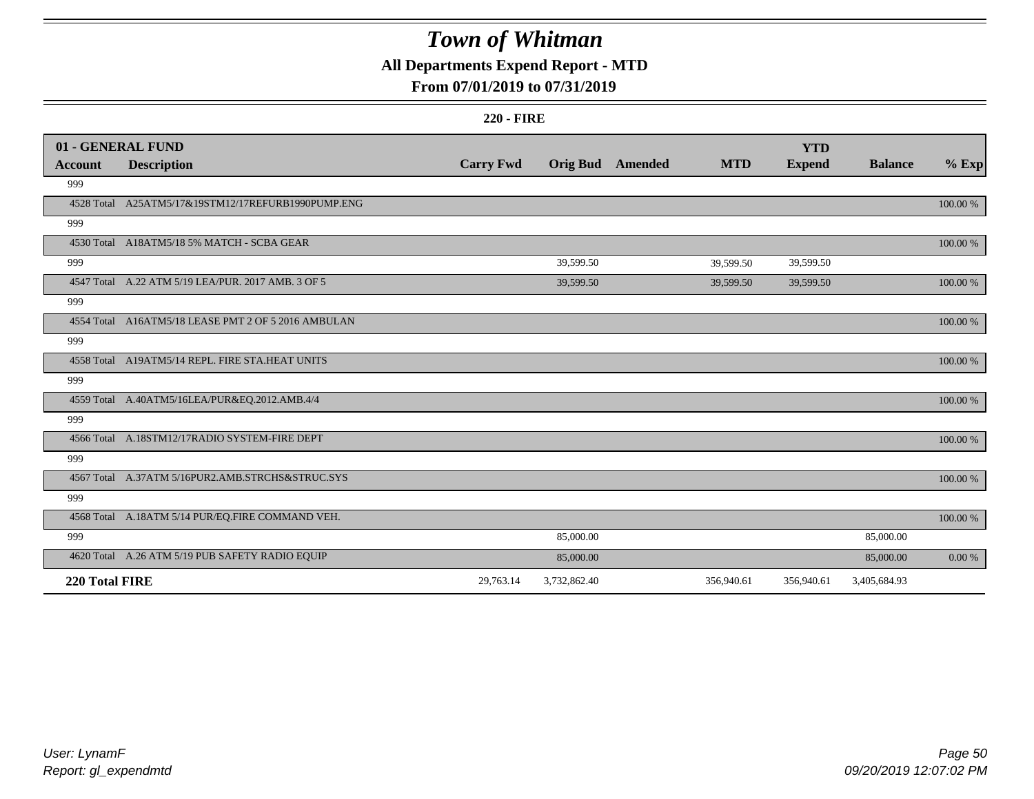### **All Departments Expend Report - MTD**

### **From 07/01/2019 to 07/31/2019**

#### **220 - FIRE**

|                | 01 - GENERAL FUND                                   |                  |                 |         |            | <b>YTD</b>    |                |          |
|----------------|-----------------------------------------------------|------------------|-----------------|---------|------------|---------------|----------------|----------|
| Account        | <b>Description</b>                                  | <b>Carry Fwd</b> | <b>Orig Bud</b> | Amended | <b>MTD</b> | <b>Expend</b> | <b>Balance</b> | $%$ Exp  |
| 999            |                                                     |                  |                 |         |            |               |                |          |
|                | 4528 Total A25ATM5/17&19STM12/17REFURB1990PUMP.ENG  |                  |                 |         |            |               |                | 100.00 % |
| 999            |                                                     |                  |                 |         |            |               |                |          |
|                | 4530 Total A18ATM5/18 5% MATCH - SCBA GEAR          |                  |                 |         |            |               |                | 100.00 % |
| 999            |                                                     |                  | 39,599.50       |         | 39,599.50  | 39,599.50     |                |          |
|                | 4547 Total A.22 ATM 5/19 LEA/PUR. 2017 AMB. 3 OF 5  |                  | 39,599.50       |         | 39,599.50  | 39,599.50     |                | 100.00 % |
| 999            |                                                     |                  |                 |         |            |               |                |          |
|                | 4554 Total A16ATM5/18 LEASE PMT 2 OF 5 2016 AMBULAN |                  |                 |         |            |               |                | 100.00 % |
| 999            |                                                     |                  |                 |         |            |               |                |          |
|                | 4558 Total A19ATM5/14 REPL. FIRE STA.HEAT UNITS     |                  |                 |         |            |               |                | 100.00 % |
| 999            |                                                     |                  |                 |         |            |               |                |          |
|                | 4559 Total A.40ATM5/16LEA/PUR&EQ.2012.AMB.4/4       |                  |                 |         |            |               |                | 100.00 % |
| 999            |                                                     |                  |                 |         |            |               |                |          |
|                | 4566 Total A.18STM12/17RADIO SYSTEM-FIRE DEPT       |                  |                 |         |            |               |                | 100.00 % |
| 999            |                                                     |                  |                 |         |            |               |                |          |
|                | 4567 Total A.37ATM 5/16PUR2.AMB.STRCHS&STRUC.SYS    |                  |                 |         |            |               |                | 100.00 % |
| 999            |                                                     |                  |                 |         |            |               |                |          |
|                | 4568 Total A.18ATM 5/14 PUR/EQ.FIRE COMMAND VEH.    |                  |                 |         |            |               |                | 100.00 % |
| 999            |                                                     |                  | 85,000.00       |         |            |               | 85,000.00      |          |
|                | 4620 Total A.26 ATM 5/19 PUB SAFETY RADIO EQUIP     |                  | 85,000.00       |         |            |               | 85,000.00      | 0.00 %   |
| 220 Total FIRE |                                                     | 29,763.14        | 3,732,862.40    |         | 356,940.61 | 356,940.61    | 3,405,684.93   |          |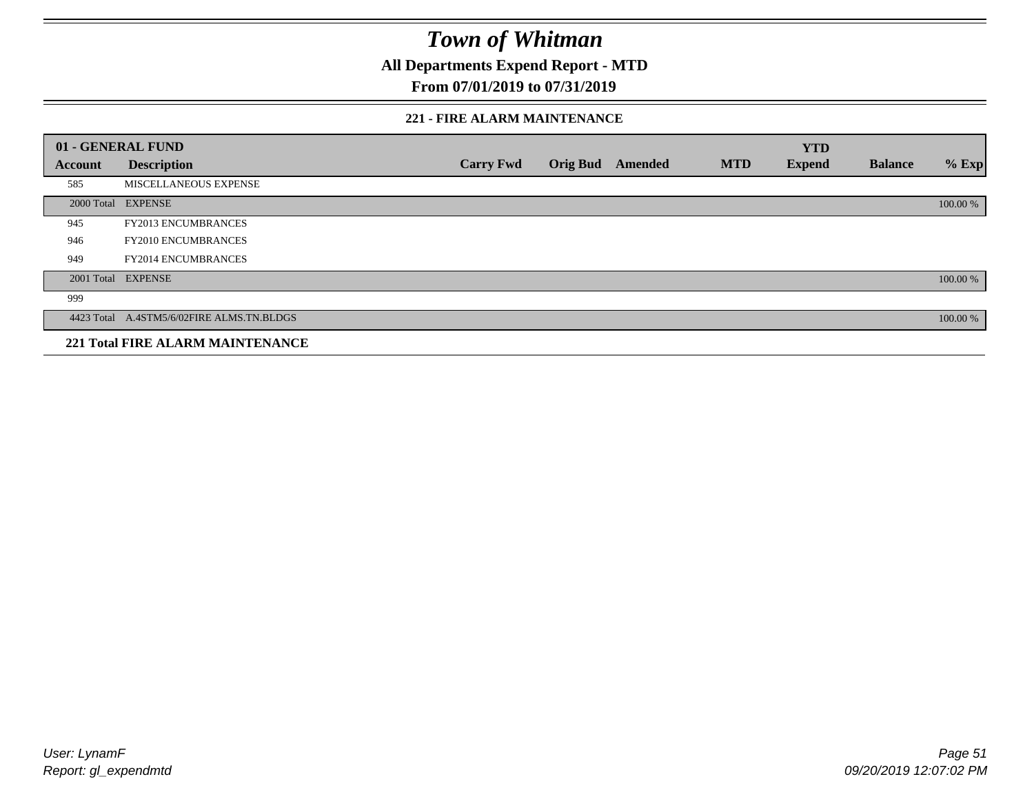**All Departments Expend Report - MTD**

### **From 07/01/2019 to 07/31/2019**

#### **221 - FIRE ALARM MAINTENANCE**

|         | 01 - GENERAL FUND                         |                  |                 |         |            | <b>YTD</b>    |                |          |
|---------|-------------------------------------------|------------------|-----------------|---------|------------|---------------|----------------|----------|
| Account | <b>Description</b>                        | <b>Carry Fwd</b> | <b>Orig Bud</b> | Amended | <b>MTD</b> | <b>Expend</b> | <b>Balance</b> | $%$ Exp  |
| 585     | MISCELLANEOUS EXPENSE                     |                  |                 |         |            |               |                |          |
|         | 2000 Total EXPENSE                        |                  |                 |         |            |               |                | 100.00 % |
| 945     | <b>FY2013 ENCUMBRANCES</b>                |                  |                 |         |            |               |                |          |
| 946     | <b>FY2010 ENCUMBRANCES</b>                |                  |                 |         |            |               |                |          |
| 949     | <b>FY2014 ENCUMBRANCES</b>                |                  |                 |         |            |               |                |          |
|         | 2001 Total EXPENSE                        |                  |                 |         |            |               |                | 100.00 % |
| 999     |                                           |                  |                 |         |            |               |                |          |
|         | 4423 Total A.4STM5/6/02FIRE ALMS.TN.BLDGS |                  |                 |         |            |               |                | 100.00 % |
|         | <b>221 Total FIRE ALARM MAINTENANCE</b>   |                  |                 |         |            |               |                |          |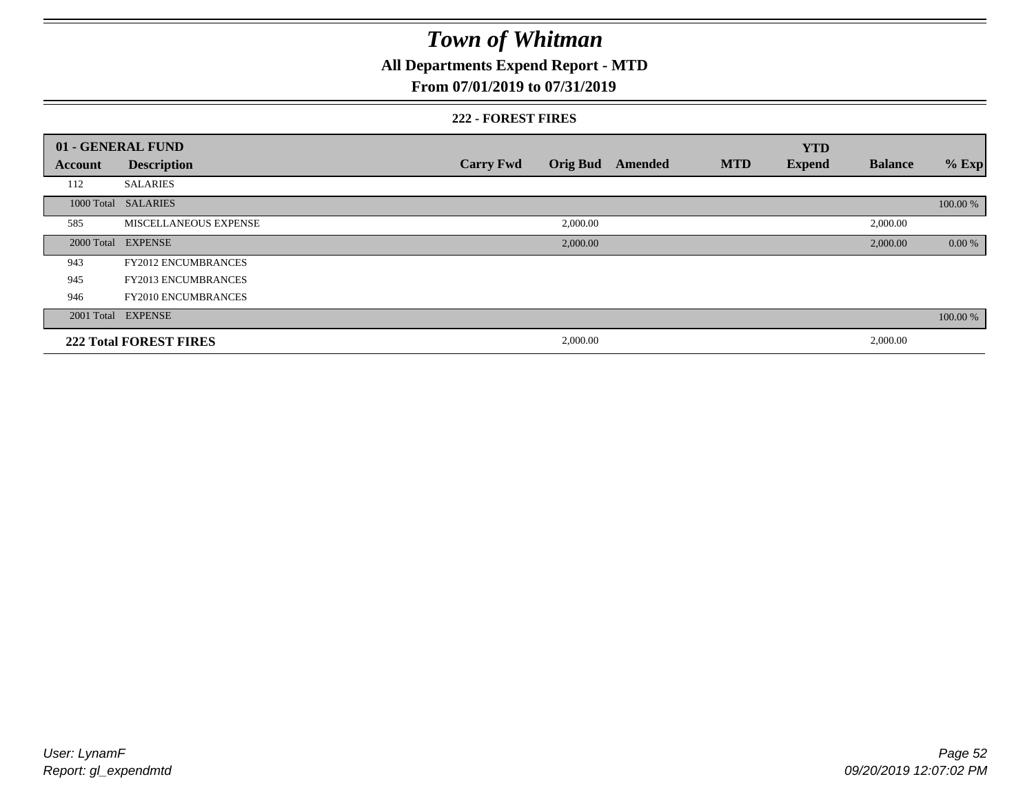### **All Departments Expend Report - MTD**

### **From 07/01/2019 to 07/31/2019**

#### **222 - FOREST FIRES**

|         | 01 - GENERAL FUND             |                  |                 |         |            | <b>YTD</b>    |                |          |
|---------|-------------------------------|------------------|-----------------|---------|------------|---------------|----------------|----------|
| Account | <b>Description</b>            | <b>Carry Fwd</b> | <b>Orig Bud</b> | Amended | <b>MTD</b> | <b>Expend</b> | <b>Balance</b> | $%$ Exp  |
| 112     | <b>SALARIES</b>               |                  |                 |         |            |               |                |          |
|         | 1000 Total SALARIES           |                  |                 |         |            |               |                | 100.00 % |
| 585     | <b>MISCELLANEOUS EXPENSE</b>  |                  | 2,000.00        |         |            |               | 2,000.00       |          |
|         | 2000 Total EXPENSE            |                  | 2,000.00        |         |            |               | 2,000.00       | 0.00 %   |
| 943     | <b>FY2012 ENCUMBRANCES</b>    |                  |                 |         |            |               |                |          |
| 945     | <b>FY2013 ENCUMBRANCES</b>    |                  |                 |         |            |               |                |          |
| 946     | <b>FY2010 ENCUMBRANCES</b>    |                  |                 |         |            |               |                |          |
|         | 2001 Total EXPENSE            |                  |                 |         |            |               |                | 100.00 % |
|         | <b>222 Total FOREST FIRES</b> |                  | 2,000.00        |         |            |               | 2,000.00       |          |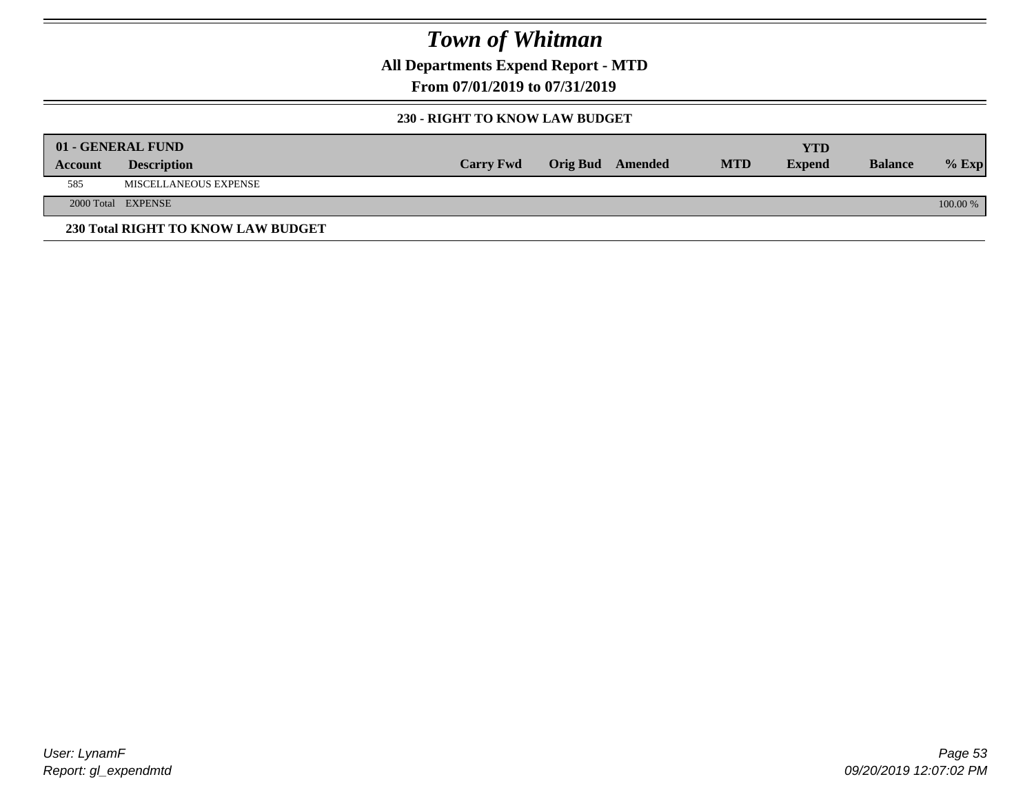**All Departments Expend Report - MTD**

**From 07/01/2019 to 07/31/2019**

### **230 - RIGHT TO KNOW LAW BUDGET**

|         | 01 - GENERAL FUND                  |                  |                         |            | YTD           |                |          |
|---------|------------------------------------|------------------|-------------------------|------------|---------------|----------------|----------|
| Account | <b>Description</b>                 | <b>Carry Fwd</b> | <b>Orig Bud</b> Amended | <b>MTD</b> | <b>Expend</b> | <b>Balance</b> | $%$ Exp  |
| 585     | <b>MISCELLANEOUS EXPENSE</b>       |                  |                         |            |               |                |          |
|         | 2000 Total EXPENSE                 |                  |                         |            |               |                | 100.00 % |
|         | 230 Total RIGHT TO KNOW LAW BUDGET |                  |                         |            |               |                |          |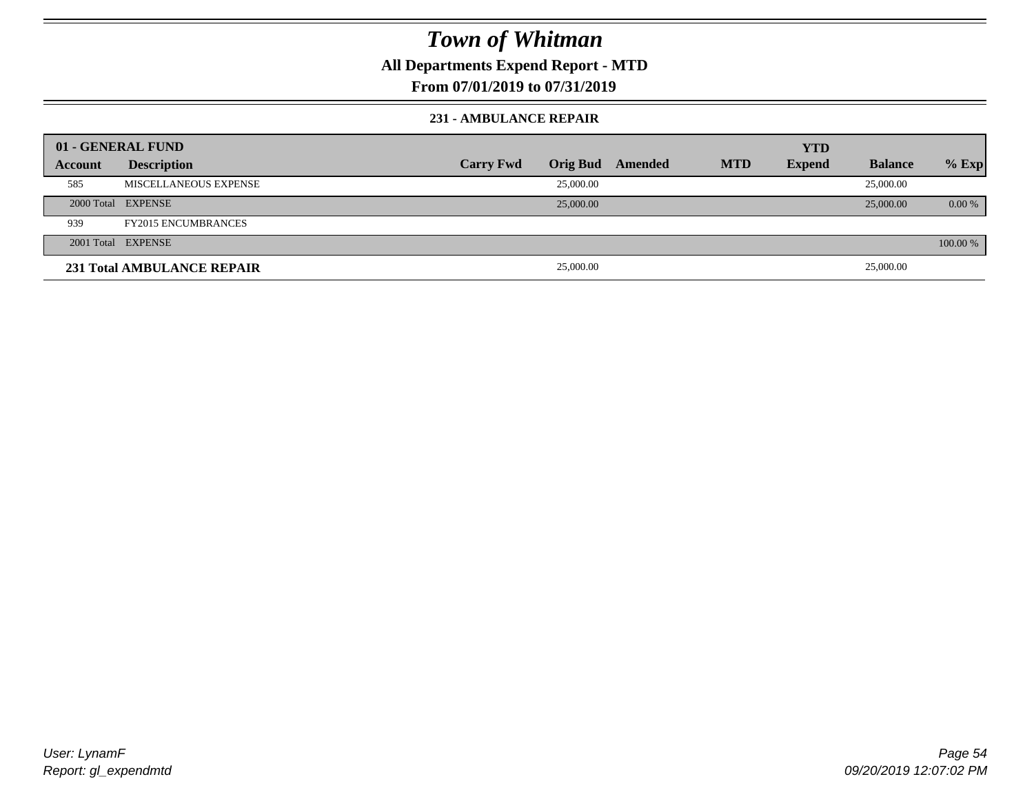**All Departments Expend Report - MTD**

### **From 07/01/2019 to 07/31/2019**

#### **231 - AMBULANCE REPAIR**

|         | 01 - GENERAL FUND                 |                  |           |                  |            | <b>YTD</b>    |                |          |
|---------|-----------------------------------|------------------|-----------|------------------|------------|---------------|----------------|----------|
| Account | <b>Description</b>                | <b>Carry Fwd</b> |           | Orig Bud Amended | <b>MTD</b> | <b>Expend</b> | <b>Balance</b> | $%$ Exp  |
| 585     | MISCELLANEOUS EXPENSE             |                  | 25,000.00 |                  |            |               | 25,000.00      |          |
|         | 2000 Total EXPENSE                |                  | 25,000.00 |                  |            |               | 25,000.00      | $0.00\%$ |
| 939     | <b>FY2015 ENCUMBRANCES</b>        |                  |           |                  |            |               |                |          |
|         | 2001 Total EXPENSE                |                  |           |                  |            |               |                | 100.00 % |
|         | <b>231 Total AMBULANCE REPAIR</b> |                  | 25,000.00 |                  |            |               | 25,000.00      |          |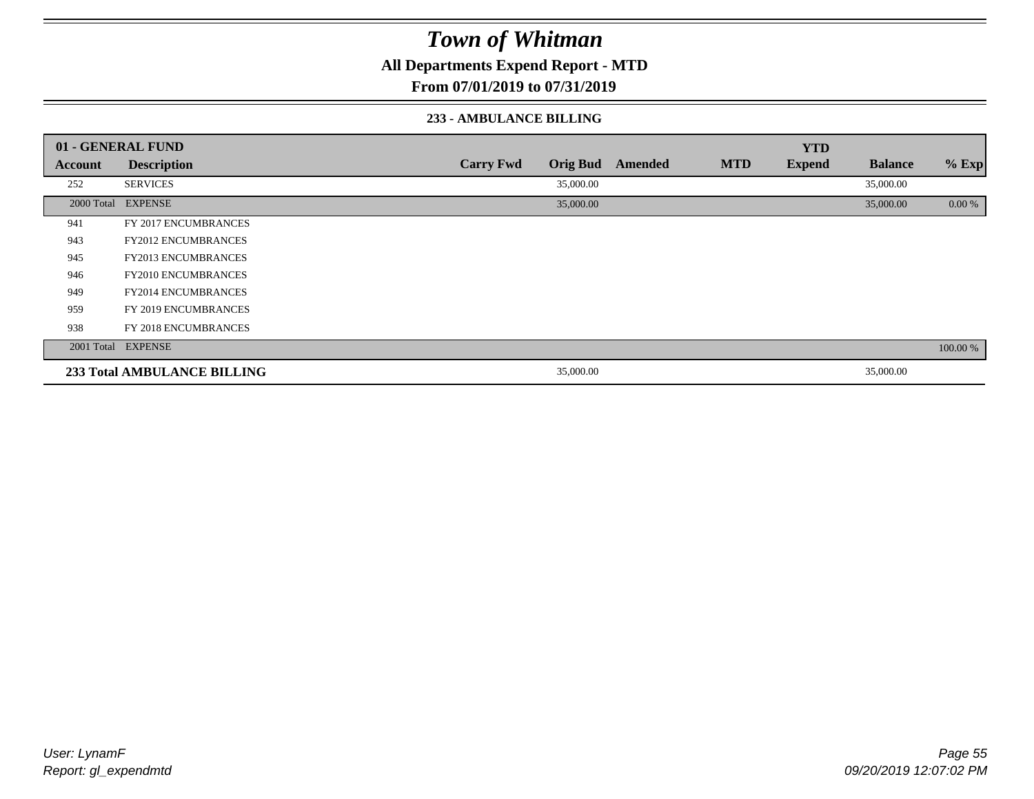**All Departments Expend Report - MTD**

### **From 07/01/2019 to 07/31/2019**

#### **233 - AMBULANCE BILLING**

|         | 01 - GENERAL FUND                  |                  |                 |         |            | <b>YTD</b>    |                |          |
|---------|------------------------------------|------------------|-----------------|---------|------------|---------------|----------------|----------|
| Account | <b>Description</b>                 | <b>Carry Fwd</b> | <b>Orig Bud</b> | Amended | <b>MTD</b> | <b>Expend</b> | <b>Balance</b> | $%$ Exp  |
| 252     | <b>SERVICES</b>                    |                  | 35,000.00       |         |            |               | 35,000.00      |          |
|         | 2000 Total EXPENSE                 |                  | 35,000.00       |         |            |               | 35,000.00      | 0.00 %   |
| 941     | FY 2017 ENCUMBRANCES               |                  |                 |         |            |               |                |          |
| 943     | <b>FY2012 ENCUMBRANCES</b>         |                  |                 |         |            |               |                |          |
| 945     | <b>FY2013 ENCUMBRANCES</b>         |                  |                 |         |            |               |                |          |
| 946     | <b>FY2010 ENCUMBRANCES</b>         |                  |                 |         |            |               |                |          |
| 949     | <b>FY2014 ENCUMBRANCES</b>         |                  |                 |         |            |               |                |          |
| 959     | FY 2019 ENCUMBRANCES               |                  |                 |         |            |               |                |          |
| 938     | FY 2018 ENCUMBRANCES               |                  |                 |         |            |               |                |          |
|         | 2001 Total EXPENSE                 |                  |                 |         |            |               |                | 100.00 % |
|         | <b>233 Total AMBULANCE BILLING</b> |                  | 35,000.00       |         |            |               | 35,000.00      |          |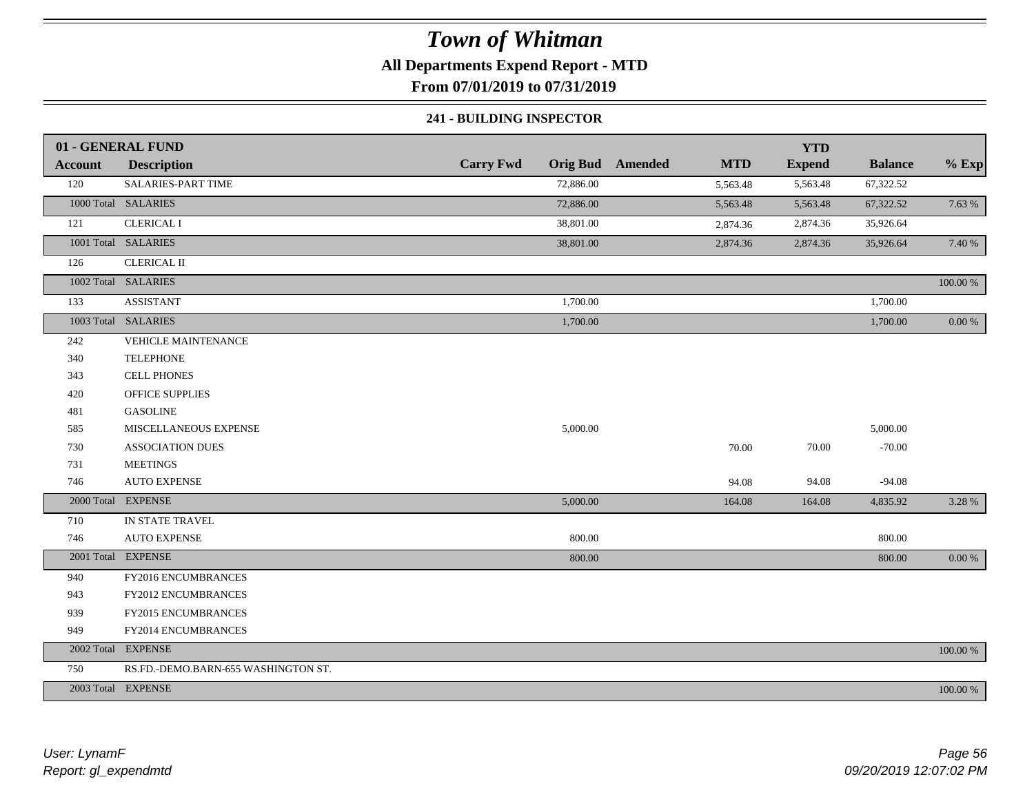**All Departments Expend Report - MTD**

**From 07/01/2019 to 07/31/2019**

#### **241 - BUILDING INSPECTOR**

|                | 01 - GENERAL FUND                   |                  |           |                         |            | <b>YTD</b>    |                |            |
|----------------|-------------------------------------|------------------|-----------|-------------------------|------------|---------------|----------------|------------|
| <b>Account</b> | <b>Description</b>                  | <b>Carry Fwd</b> |           | <b>Orig Bud</b> Amended | <b>MTD</b> | <b>Expend</b> | <b>Balance</b> | $%$ Exp    |
| 120            | SALARIES-PART TIME                  |                  | 72,886.00 |                         | 5,563.48   | 5,563.48      | 67,322.52      |            |
|                | 1000 Total SALARIES                 |                  | 72,886.00 |                         | 5,563.48   | 5,563.48      | 67,322.52      | 7.63 %     |
| 121            | <b>CLERICAL I</b>                   |                  | 38,801.00 |                         | 2,874.36   | 2,874.36      | 35,926.64      |            |
|                | 1001 Total SALARIES                 |                  | 38,801.00 |                         | 2,874.36   | 2,874.36      | 35,926.64      | 7.40 %     |
| 126            | <b>CLERICAL II</b>                  |                  |           |                         |            |               |                |            |
|                | 1002 Total SALARIES                 |                  |           |                         |            |               |                | $100.00\%$ |
| 133            | <b>ASSISTANT</b>                    |                  | 1,700.00  |                         |            |               | 1,700.00       |            |
|                | 1003 Total SALARIES                 |                  | 1,700.00  |                         |            |               | 1,700.00       | $0.00~\%$  |
| 242            | VEHICLE MAINTENANCE                 |                  |           |                         |            |               |                |            |
| 340            | <b>TELEPHONE</b>                    |                  |           |                         |            |               |                |            |
| 343            | <b>CELL PHONES</b>                  |                  |           |                         |            |               |                |            |
| 420            | <b>OFFICE SUPPLIES</b>              |                  |           |                         |            |               |                |            |
| 481            | <b>GASOLINE</b>                     |                  |           |                         |            |               |                |            |
| 585            | MISCELLANEOUS EXPENSE               |                  | 5,000.00  |                         |            |               | 5,000.00       |            |
| 730            | <b>ASSOCIATION DUES</b>             |                  |           |                         | 70.00      | 70.00         | $-70.00$       |            |
| 731            | <b>MEETINGS</b>                     |                  |           |                         |            |               |                |            |
| 746            | <b>AUTO EXPENSE</b>                 |                  |           |                         | 94.08      | 94.08         | $-94.08$       |            |
|                | 2000 Total EXPENSE                  |                  | 5,000.00  |                         | 164.08     | 164.08        | 4,835.92       | 3.28 %     |
| 710            | IN STATE TRAVEL                     |                  |           |                         |            |               |                |            |
| 746            | <b>AUTO EXPENSE</b>                 |                  | 800.00    |                         |            |               | 800.00         |            |
|                | 2001 Total EXPENSE                  |                  | 800.00    |                         |            |               | 800.00         | $0.00\%$   |
| 940            | FY2016 ENCUMBRANCES                 |                  |           |                         |            |               |                |            |
| 943            | FY2012 ENCUMBRANCES                 |                  |           |                         |            |               |                |            |
| 939            | FY2015 ENCUMBRANCES                 |                  |           |                         |            |               |                |            |
| 949            | FY2014 ENCUMBRANCES                 |                  |           |                         |            |               |                |            |
|                | 2002 Total EXPENSE                  |                  |           |                         |            |               |                | 100.00 %   |
| 750            | RS.FD.-DEMO.BARN-655 WASHINGTON ST. |                  |           |                         |            |               |                |            |
|                | 2003 Total EXPENSE                  |                  |           |                         |            |               |                | 100.00 %   |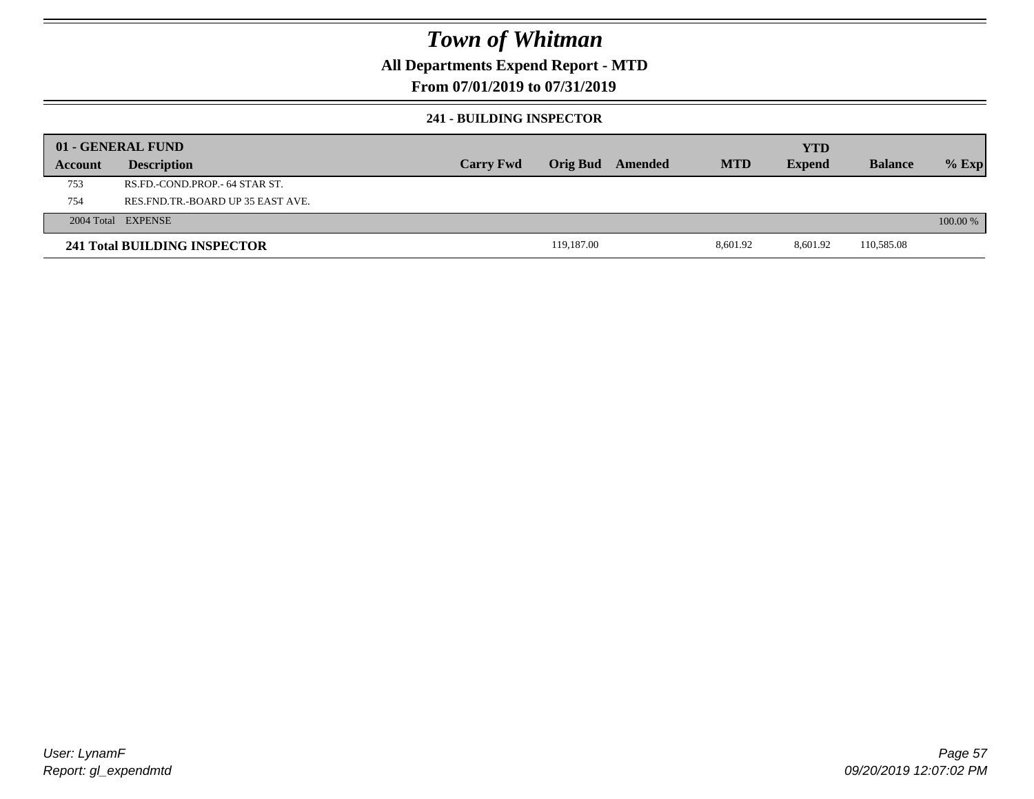### **All Departments Expend Report - MTD**

### **From 07/01/2019 to 07/31/2019**

#### **241 - BUILDING INSPECTOR**

|         | 01 - GENERAL FUND                 |                  |                 |         |            | <b>YTD</b>    |                |          |
|---------|-----------------------------------|------------------|-----------------|---------|------------|---------------|----------------|----------|
| Account | <b>Description</b>                | <b>Carry Fwd</b> | <b>Orig Bud</b> | Amended | <b>MTD</b> | <b>Expend</b> | <b>Balance</b> | $%$ Exp  |
| 753     | RS.FD.-COND.PROP.- 64 STAR ST.    |                  |                 |         |            |               |                |          |
| 754     | RES.FND.TR.-BOARD UP 35 EAST AVE. |                  |                 |         |            |               |                |          |
|         | 2004 Total EXPENSE                |                  |                 |         |            |               |                | 100.00 % |
|         | 241 Total BUILDING INSPECTOR      |                  | 119,187.00      |         | 8,601.92   | 8,601.92      | 110,585.08     |          |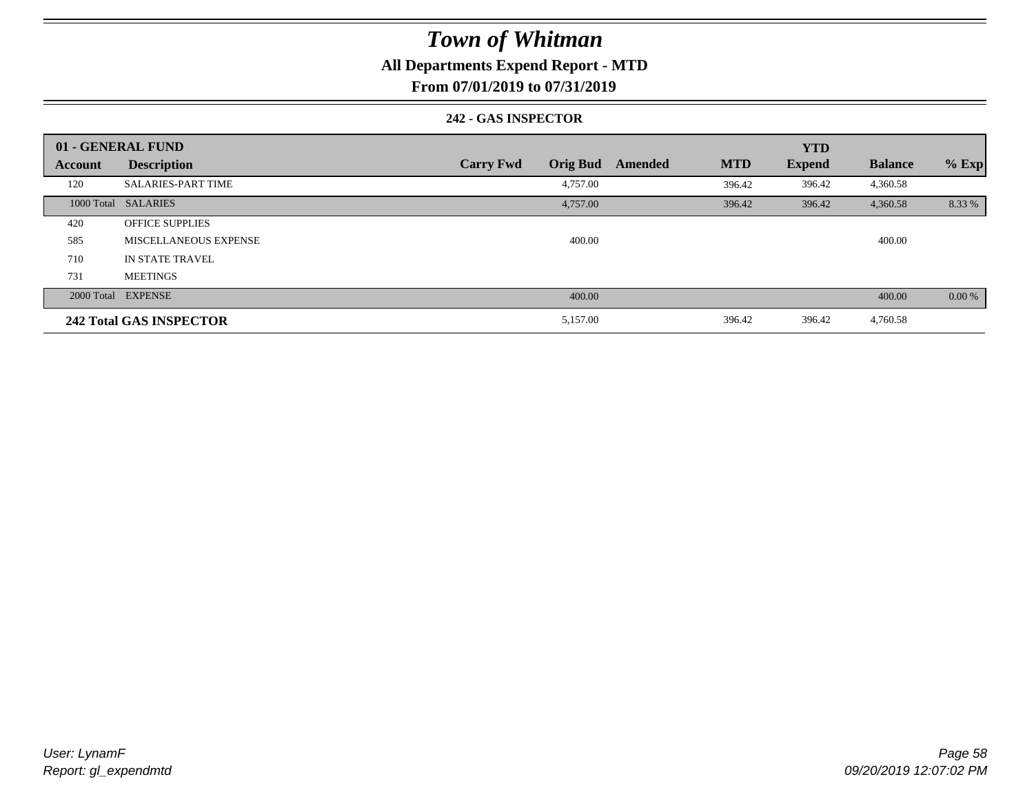### **All Departments Expend Report - MTD**

**From 07/01/2019 to 07/31/2019**

#### **242 - GAS INSPECTOR**

|                | 01 - GENERAL FUND              |                                     |                       | <b>YTD</b>    |                |          |
|----------------|--------------------------------|-------------------------------------|-----------------------|---------------|----------------|----------|
| <b>Account</b> | <b>Description</b>             | <b>Orig Bud</b><br><b>Carry Fwd</b> | <b>MTD</b><br>Amended | <b>Expend</b> | <b>Balance</b> | $%$ Exp  |
| 120            | <b>SALARIES-PART TIME</b>      | 4,757.00                            | 396.42                | 396.42        | 4,360.58       |          |
|                | 1000 Total SALARIES            | 4,757.00                            | 396.42                | 396.42        | 4,360.58       | 8.33 %   |
| 420            | <b>OFFICE SUPPLIES</b>         |                                     |                       |               |                |          |
| 585            | MISCELLANEOUS EXPENSE          | 400.00                              |                       |               | 400.00         |          |
| 710            | IN STATE TRAVEL                |                                     |                       |               |                |          |
| 731            | <b>MEETINGS</b>                |                                     |                       |               |                |          |
|                | 2000 Total EXPENSE             | 400.00                              |                       |               | 400.00         | $0.00\%$ |
|                | <b>242 Total GAS INSPECTOR</b> | 5,157.00                            | 396.42                | 396.42        | 4,760.58       |          |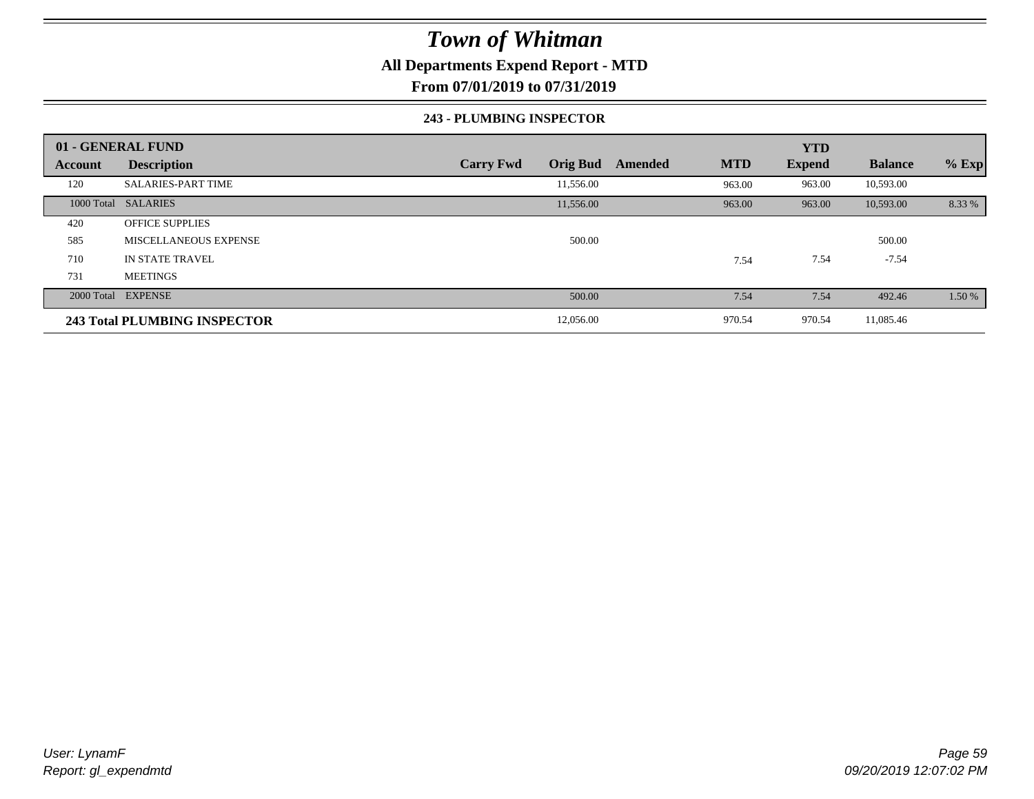### **All Departments Expend Report - MTD**

**From 07/01/2019 to 07/31/2019**

#### **243 - PLUMBING INSPECTOR**

|                | 01 - GENERAL FUND                   |                                     |                       | <b>YTD</b>    |                |         |
|----------------|-------------------------------------|-------------------------------------|-----------------------|---------------|----------------|---------|
| <b>Account</b> | <b>Description</b>                  | <b>Orig Bud</b><br><b>Carry Fwd</b> | <b>MTD</b><br>Amended | <b>Expend</b> | <b>Balance</b> | $%$ Exp |
| 120            | <b>SALARIES-PART TIME</b>           | 11,556.00                           | 963.00                | 963.00        | 10,593.00      |         |
|                | 1000 Total SALARIES                 | 11,556.00                           | 963.00                | 963.00        | 10,593.00      | 8.33 %  |
| 420            | <b>OFFICE SUPPLIES</b>              |                                     |                       |               |                |         |
| 585            | MISCELLANEOUS EXPENSE               | 500.00                              |                       |               | 500.00         |         |
| 710            | <b>IN STATE TRAVEL</b>              |                                     | 7.54                  | 7.54          | $-7.54$        |         |
| 731            | <b>MEETINGS</b>                     |                                     |                       |               |                |         |
|                | 2000 Total EXPENSE                  | 500.00                              | 7.54                  | 7.54          | 492.46         | 1.50 %  |
|                | <b>243 Total PLUMBING INSPECTOR</b> | 12,056.00                           | 970.54                | 970.54        | 11,085.46      |         |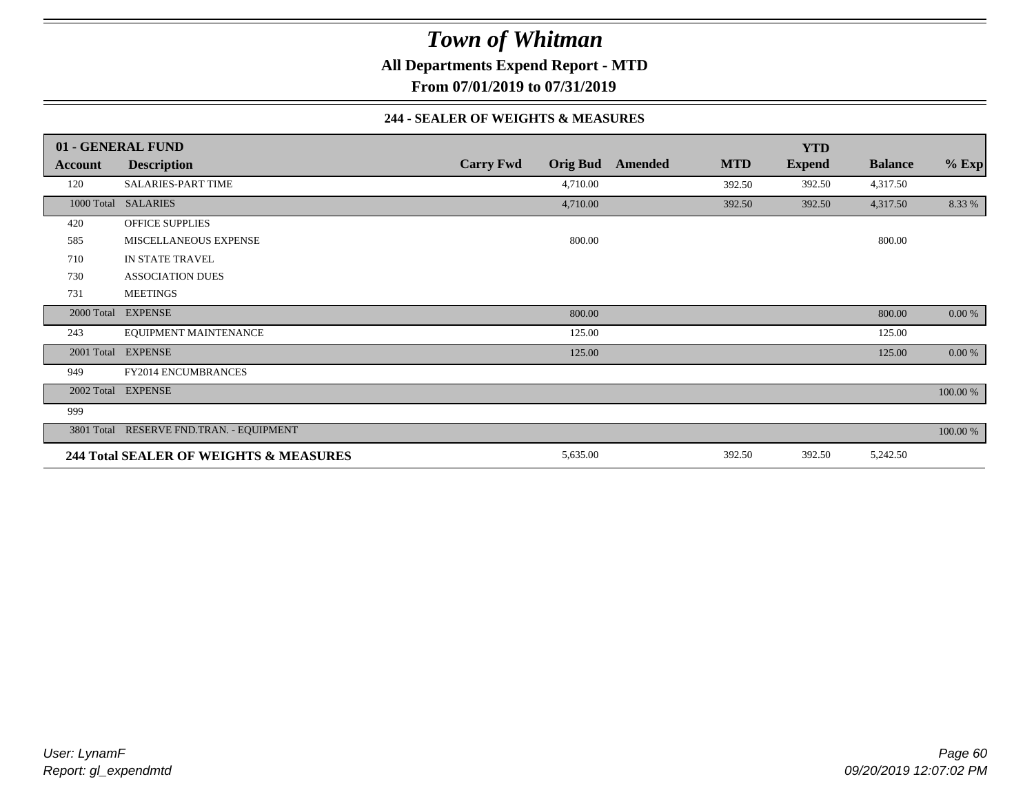**All Departments Expend Report - MTD**

**From 07/01/2019 to 07/31/2019**

#### **244 - SEALER OF WEIGHTS & MEASURES**

|            | 01 - GENERAL FUND                        |                  |                 |         |            | <b>YTD</b>    |                |          |
|------------|------------------------------------------|------------------|-----------------|---------|------------|---------------|----------------|----------|
| Account    | <b>Description</b>                       | <b>Carry Fwd</b> | <b>Orig Bud</b> | Amended | <b>MTD</b> | <b>Expend</b> | <b>Balance</b> | $%$ Exp  |
| 120        | SALARIES-PART TIME                       |                  | 4,710.00        |         | 392.50     | 392.50        | 4,317.50       |          |
|            | 1000 Total SALARIES                      |                  | 4,710.00        |         | 392.50     | 392.50        | 4,317.50       | 8.33 %   |
| 420        | <b>OFFICE SUPPLIES</b>                   |                  |                 |         |            |               |                |          |
| 585        | MISCELLANEOUS EXPENSE                    |                  | 800.00          |         |            |               | 800.00         |          |
| 710        | IN STATE TRAVEL                          |                  |                 |         |            |               |                |          |
| 730        | <b>ASSOCIATION DUES</b>                  |                  |                 |         |            |               |                |          |
| 731        | <b>MEETINGS</b>                          |                  |                 |         |            |               |                |          |
| 2000 Total | <b>EXPENSE</b>                           |                  | 800.00          |         |            |               | 800.00         | 0.00 %   |
| 243        | EQUIPMENT MAINTENANCE                    |                  | 125.00          |         |            |               | 125.00         |          |
| 2001 Total | <b>EXPENSE</b>                           |                  | 125.00          |         |            |               | 125.00         | 0.00 %   |
| 949        | <b>FY2014 ENCUMBRANCES</b>               |                  |                 |         |            |               |                |          |
|            | 2002 Total EXPENSE                       |                  |                 |         |            |               |                | 100.00 % |
| 999        |                                          |                  |                 |         |            |               |                |          |
|            | 3801 Total RESERVE FND.TRAN. - EQUIPMENT |                  |                 |         |            |               |                | 100.00 % |
|            | 244 Total SEALER OF WEIGHTS & MEASURES   |                  | 5,635.00        |         | 392.50     | 392.50        | 5,242.50       |          |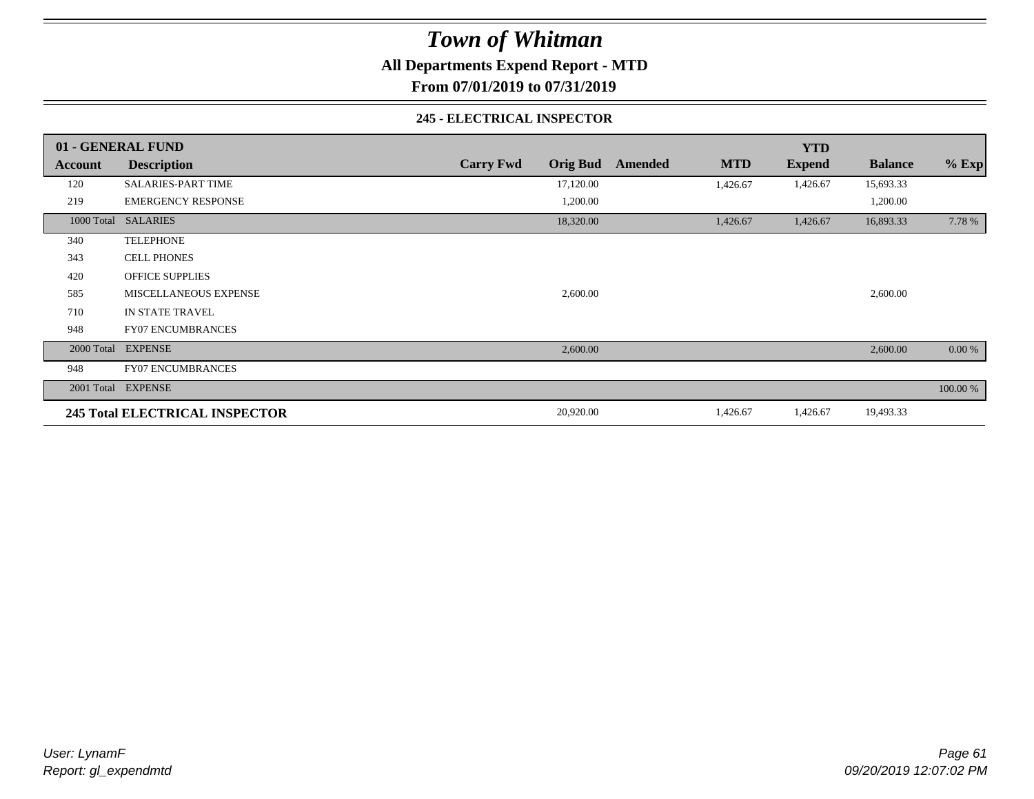**All Departments Expend Report - MTD**

**From 07/01/2019 to 07/31/2019**

#### **245 - ELECTRICAL INSPECTOR**

|         | 01 - GENERAL FUND                     |                                     |                |            | <b>YTD</b>    |                |          |
|---------|---------------------------------------|-------------------------------------|----------------|------------|---------------|----------------|----------|
| Account | <b>Description</b>                    | <b>Orig Bud</b><br><b>Carry Fwd</b> | <b>Amended</b> | <b>MTD</b> | <b>Expend</b> | <b>Balance</b> | $%$ Exp  |
| 120     | SALARIES-PART TIME                    | 17,120.00                           |                | 1,426.67   | 1,426.67      | 15,693.33      |          |
| 219     | <b>EMERGENCY RESPONSE</b>             | 1,200.00                            |                |            |               | 1,200.00       |          |
|         | 1000 Total SALARIES                   | 18,320.00                           |                | 1,426.67   | 1,426.67      | 16,893.33      | 7.78 %   |
| 340     | <b>TELEPHONE</b>                      |                                     |                |            |               |                |          |
| 343     | <b>CELL PHONES</b>                    |                                     |                |            |               |                |          |
| 420     | <b>OFFICE SUPPLIES</b>                |                                     |                |            |               |                |          |
| 585     | MISCELLANEOUS EXPENSE                 | 2,600.00                            |                |            |               | 2,600.00       |          |
| 710     | IN STATE TRAVEL                       |                                     |                |            |               |                |          |
| 948     | <b>FY07 ENCUMBRANCES</b>              |                                     |                |            |               |                |          |
|         | 2000 Total EXPENSE                    | 2,600.00                            |                |            |               | 2,600.00       | 0.00 %   |
| 948     | <b>FY07 ENCUMBRANCES</b>              |                                     |                |            |               |                |          |
|         | 2001 Total EXPENSE                    |                                     |                |            |               |                | 100.00 % |
|         | <b>245 Total ELECTRICAL INSPECTOR</b> | 20,920.00                           |                | 1,426.67   | 1,426.67      | 19,493.33      |          |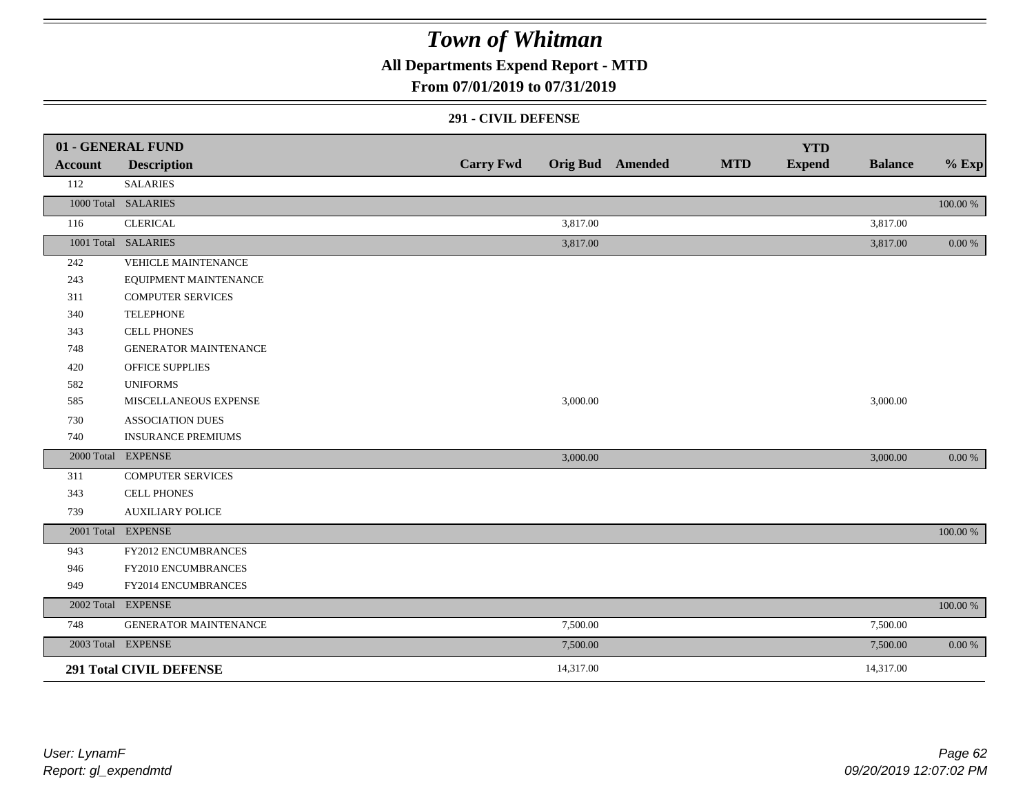**All Departments Expend Report - MTD**

### **From 07/01/2019 to 07/31/2019**

#### **291 - CIVIL DEFENSE**

|            | 01 - GENERAL FUND              |                  |           |                         |            | <b>YTD</b>    |                |             |
|------------|--------------------------------|------------------|-----------|-------------------------|------------|---------------|----------------|-------------|
| Account    | <b>Description</b>             | <b>Carry Fwd</b> |           | <b>Orig Bud</b> Amended | <b>MTD</b> | <b>Expend</b> | <b>Balance</b> | $%$ Exp     |
| 112        | <b>SALARIES</b>                |                  |           |                         |            |               |                |             |
|            | 1000 Total SALARIES            |                  |           |                         |            |               |                | $100.00~\%$ |
| 116        | <b>CLERICAL</b>                |                  | 3,817.00  |                         |            |               | 3,817.00       |             |
|            | 1001 Total SALARIES            |                  | 3,817.00  |                         |            |               | 3,817.00       | 0.00 %      |
| 242        | VEHICLE MAINTENANCE            |                  |           |                         |            |               |                |             |
| 243        | EQUIPMENT MAINTENANCE          |                  |           |                         |            |               |                |             |
| 311        | <b>COMPUTER SERVICES</b>       |                  |           |                         |            |               |                |             |
| 340        | <b>TELEPHONE</b>               |                  |           |                         |            |               |                |             |
| 343        | <b>CELL PHONES</b>             |                  |           |                         |            |               |                |             |
| 748        | <b>GENERATOR MAINTENANCE</b>   |                  |           |                         |            |               |                |             |
| 420        | <b>OFFICE SUPPLIES</b>         |                  |           |                         |            |               |                |             |
| 582        | <b>UNIFORMS</b>                |                  |           |                         |            |               |                |             |
| 585        | MISCELLANEOUS EXPENSE          |                  | 3,000.00  |                         |            |               | 3,000.00       |             |
| 730        | <b>ASSOCIATION DUES</b>        |                  |           |                         |            |               |                |             |
| 740        | <b>INSURANCE PREMIUMS</b>      |                  |           |                         |            |               |                |             |
|            | 2000 Total EXPENSE             |                  | 3,000.00  |                         |            |               | 3,000.00       | 0.00 %      |
| 311        | <b>COMPUTER SERVICES</b>       |                  |           |                         |            |               |                |             |
| 343        | CELL PHONES                    |                  |           |                         |            |               |                |             |
| 739        | <b>AUXILIARY POLICE</b>        |                  |           |                         |            |               |                |             |
|            | 2001 Total EXPENSE             |                  |           |                         |            |               |                | $100.00~\%$ |
| 943        | FY2012 ENCUMBRANCES            |                  |           |                         |            |               |                |             |
| 946        | FY2010 ENCUMBRANCES            |                  |           |                         |            |               |                |             |
| 949        | FY2014 ENCUMBRANCES            |                  |           |                         |            |               |                |             |
| 2002 Total | <b>EXPENSE</b>                 |                  |           |                         |            |               |                | 100.00 %    |
| 748        | <b>GENERATOR MAINTENANCE</b>   |                  | 7,500.00  |                         |            |               | 7,500.00       |             |
|            | 2003 Total EXPENSE             |                  | 7,500.00  |                         |            |               | 7,500.00       | $0.00\,\%$  |
|            | <b>291 Total CIVIL DEFENSE</b> |                  | 14,317.00 |                         |            |               | 14,317.00      |             |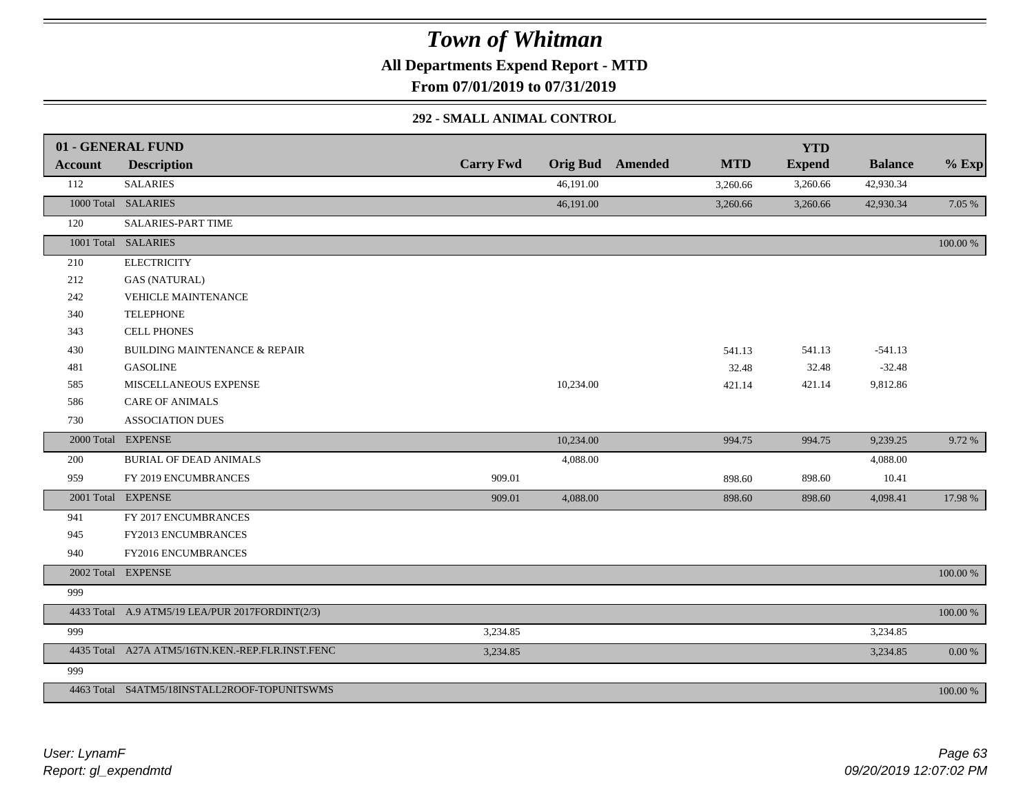**All Departments Expend Report - MTD**

**From 07/01/2019 to 07/31/2019**

### **292 - SMALL ANIMAL CONTROL**

|         | 01 - GENERAL FUND                                |                  |           |                         |            | <b>YTD</b>    |                |             |
|---------|--------------------------------------------------|------------------|-----------|-------------------------|------------|---------------|----------------|-------------|
| Account | <b>Description</b>                               | <b>Carry Fwd</b> |           | <b>Orig Bud</b> Amended | <b>MTD</b> | <b>Expend</b> | <b>Balance</b> | $%$ Exp     |
| 112     | <b>SALARIES</b>                                  |                  | 46,191.00 |                         | 3,260.66   | 3,260.66      | 42,930.34      |             |
|         | 1000 Total SALARIES                              |                  | 46,191.00 |                         | 3,260.66   | 3,260.66      | 42,930.34      | 7.05 %      |
| 120     | SALARIES-PART TIME                               |                  |           |                         |            |               |                |             |
|         | 1001 Total SALARIES                              |                  |           |                         |            |               |                | 100.00 %    |
| 210     | <b>ELECTRICITY</b>                               |                  |           |                         |            |               |                |             |
| 212     | <b>GAS (NATURAL)</b>                             |                  |           |                         |            |               |                |             |
| 242     | <b>VEHICLE MAINTENANCE</b>                       |                  |           |                         |            |               |                |             |
| 340     | <b>TELEPHONE</b>                                 |                  |           |                         |            |               |                |             |
| 343     | <b>CELL PHONES</b>                               |                  |           |                         |            |               |                |             |
| 430     | <b>BUILDING MAINTENANCE &amp; REPAIR</b>         |                  |           |                         | 541.13     | 541.13        | $-541.13$      |             |
| 481     | <b>GASOLINE</b>                                  |                  |           |                         | 32.48      | 32.48         | $-32.48$       |             |
| 585     | MISCELLANEOUS EXPENSE                            |                  | 10,234.00 |                         | 421.14     | 421.14        | 9,812.86       |             |
| 586     | <b>CARE OF ANIMALS</b>                           |                  |           |                         |            |               |                |             |
| 730     | <b>ASSOCIATION DUES</b>                          |                  |           |                         |            |               |                |             |
|         | 2000 Total EXPENSE                               |                  | 10,234.00 |                         | 994.75     | 994.75        | 9,239.25       | 9.72 %      |
| 200     | <b>BURIAL OF DEAD ANIMALS</b>                    |                  | 4,088.00  |                         |            |               | 4,088.00       |             |
| 959     | FY 2019 ENCUMBRANCES                             | 909.01           |           |                         | 898.60     | 898.60        | 10.41          |             |
|         | 2001 Total EXPENSE                               | 909.01           | 4,088.00  |                         | 898.60     | 898.60        | 4,098.41       | 17.98 %     |
| 941     | FY 2017 ENCUMBRANCES                             |                  |           |                         |            |               |                |             |
| 945     | FY2013 ENCUMBRANCES                              |                  |           |                         |            |               |                |             |
| 940     | FY2016 ENCUMBRANCES                              |                  |           |                         |            |               |                |             |
|         | 2002 Total EXPENSE                               |                  |           |                         |            |               |                | 100.00 %    |
| 999     |                                                  |                  |           |                         |            |               |                |             |
|         | 4433 Total A.9 ATM5/19 LEA/PUR 2017FORDINT(2/3)  |                  |           |                         |            |               |                | $100.00~\%$ |
| 999     |                                                  | 3,234.85         |           |                         |            |               | 3,234.85       |             |
|         | 4435 Total A27A ATM5/16TN.KEN.-REP.FLR.INST.FENC | 3,234.85         |           |                         |            |               | 3,234.85       | 0.00 %      |
| 999     |                                                  |                  |           |                         |            |               |                |             |
|         | 4463 Total S4ATM5/18INSTALL2ROOF-TOPUNITSWMS     |                  |           |                         |            |               |                | $100.00~\%$ |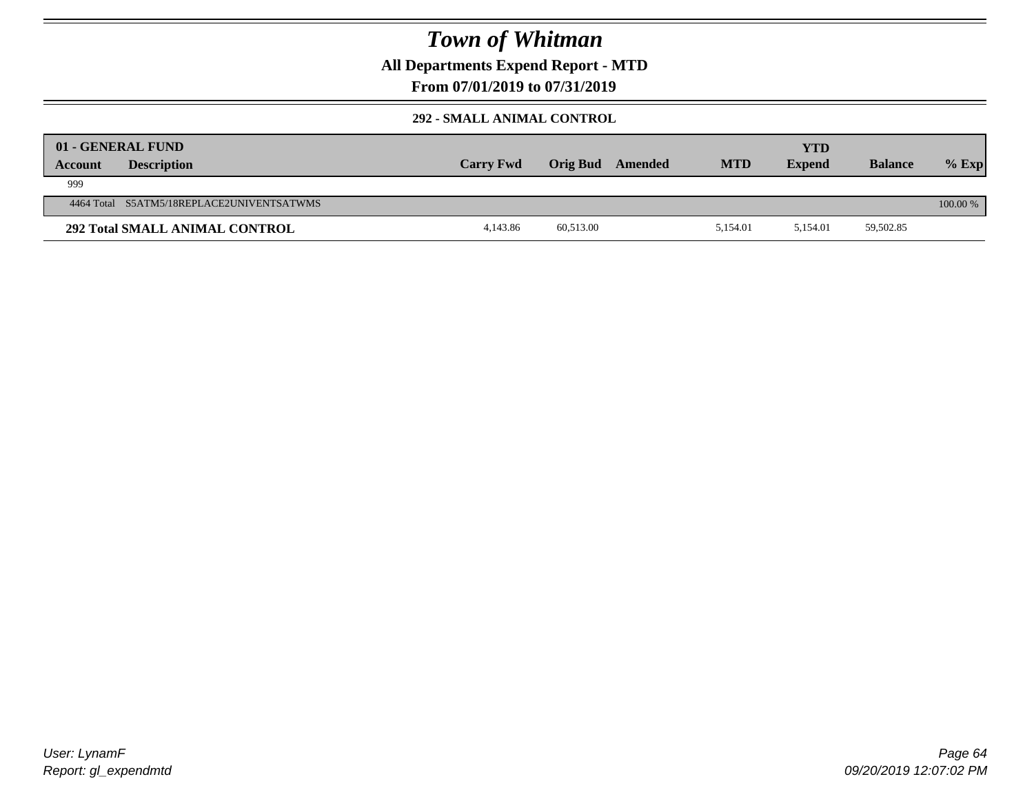**All Departments Expend Report - MTD**

### **From 07/01/2019 to 07/31/2019**

### **292 - SMALL ANIMAL CONTROL**

| <b>Account</b> | 01 - GENERAL FUND<br><b>Description</b>   | <b>Carry Fwd</b> | Orig Bud  | Amended | <b>MTD</b> | YTD<br><b>Expend</b> | <b>Balance</b> | $%$ Exp    |
|----------------|-------------------------------------------|------------------|-----------|---------|------------|----------------------|----------------|------------|
| 999            |                                           |                  |           |         |            |                      |                |            |
|                | 4464 Total S5ATM5/18REPLACE2UNIVENTSATWMS |                  |           |         |            |                      |                | $100.00\%$ |
|                | <b>292 Total SMALL ANIMAL CONTROL</b>     | 4.143.86         | 60,513.00 |         | 5.154.01   | 5.154.01             | 59,502.85      |            |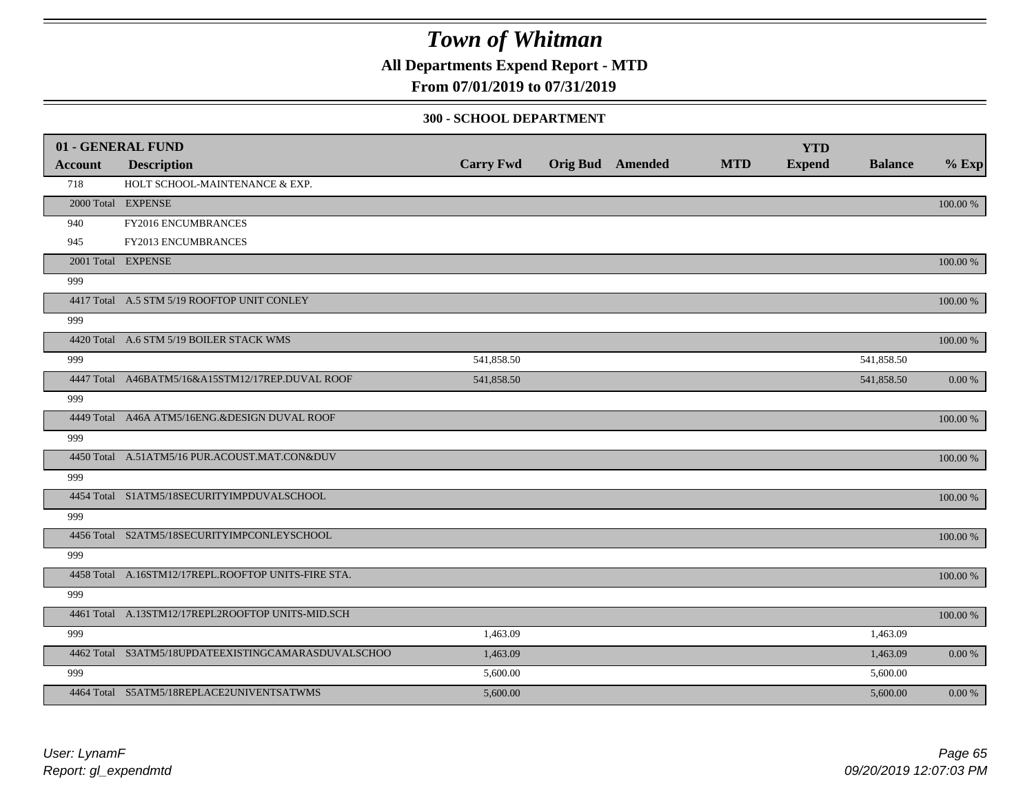**All Departments Expend Report - MTD**

### **From 07/01/2019 to 07/31/2019**

#### **300 - SCHOOL DEPARTMENT**

|                | 01 - GENERAL FUND                                   |                  |                         |            | <b>YTD</b>    |                |             |
|----------------|-----------------------------------------------------|------------------|-------------------------|------------|---------------|----------------|-------------|
| <b>Account</b> | <b>Description</b>                                  | <b>Carry Fwd</b> | <b>Orig Bud</b> Amended | <b>MTD</b> | <b>Expend</b> | <b>Balance</b> | $%$ Exp     |
| 718            | HOLT SCHOOL-MAINTENANCE & EXP.                      |                  |                         |            |               |                |             |
|                | 2000 Total EXPENSE                                  |                  |                         |            |               |                | 100.00 %    |
| 940            | FY2016 ENCUMBRANCES                                 |                  |                         |            |               |                |             |
| 945            | FY2013 ENCUMBRANCES                                 |                  |                         |            |               |                |             |
|                | 2001 Total EXPENSE                                  |                  |                         |            |               |                | 100.00 %    |
| 999            |                                                     |                  |                         |            |               |                |             |
|                | 4417 Total A.5 STM 5/19 ROOFTOP UNIT CONLEY         |                  |                         |            |               |                | 100.00 %    |
| 999            |                                                     |                  |                         |            |               |                |             |
|                | 4420 Total A.6 STM 5/19 BOILER STACK WMS            |                  |                         |            |               |                | 100.00 %    |
| 999            |                                                     | 541,858.50       |                         |            |               | 541,858.50     |             |
|                | 4447 Total A46BATM5/16&A15STM12/17REP.DUVAL ROOF    | 541,858.50       |                         |            |               | 541,858.50     | 0.00 %      |
| 999            |                                                     |                  |                         |            |               |                |             |
|                | 4449 Total A46A ATM5/16ENG.&DESIGN DUVAL ROOF       |                  |                         |            |               |                | 100.00 %    |
| 999            |                                                     |                  |                         |            |               |                |             |
|                | 4450 Total A.51ATM5/16 PUR.ACOUST.MAT.CON&DUV       |                  |                         |            |               |                | 100.00 %    |
| 999            |                                                     |                  |                         |            |               |                |             |
|                | 4454 Total S1ATM5/18SECURITYIMPDUVALSCHOOL          |                  |                         |            |               |                | 100.00 %    |
| 999            |                                                     |                  |                         |            |               |                |             |
|                | 4456 Total S2ATM5/18SECURITYIMPCONLEYSCHOOL         |                  |                         |            |               |                | 100.00 %    |
| 999            |                                                     |                  |                         |            |               |                |             |
|                | 4458 Total A.16STM12/17REPL.ROOFTOP UNITS-FIRE STA. |                  |                         |            |               |                | $100.00~\%$ |
| 999            |                                                     |                  |                         |            |               |                |             |
|                | 4461 Total A.13STM12/17REPL2ROOFTOP UNITS-MID.SCH   |                  |                         |            |               |                | 100.00 %    |
| 999            |                                                     | 1,463.09         |                         |            |               | 1,463.09       |             |
|                | 4462 Total S3ATM5/18UPDATEEXISTINGCAMARASDUVALSCHOO | 1,463.09         |                         |            |               | 1,463.09       | 0.00 %      |
| 999            |                                                     | 5,600.00         |                         |            |               | 5,600.00       |             |
|                | 4464 Total S5ATM5/18REPLACE2UNIVENTSATWMS           | 5,600.00         |                         |            |               | 5,600.00       | $0.00\,\%$  |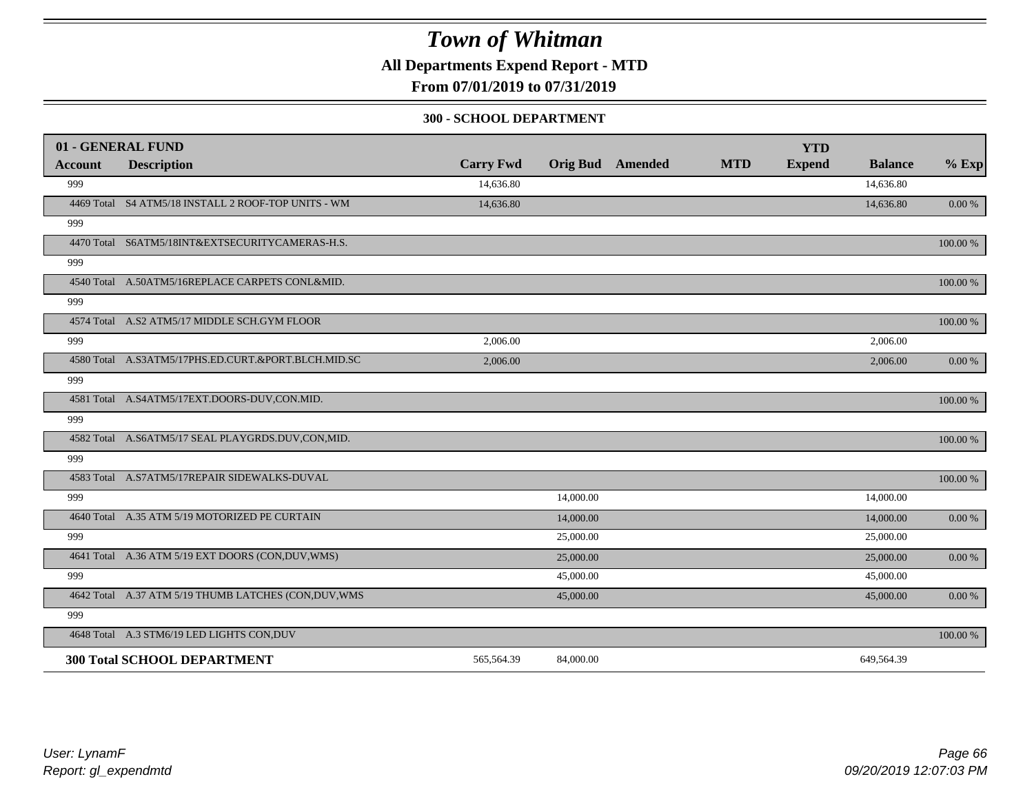**All Departments Expend Report - MTD**

**From 07/01/2019 to 07/31/2019**

#### **300 - SCHOOL DEPARTMENT**

|                | 01 - GENERAL FUND                                     |                  |           |                         |            | <b>YTD</b>    |                |           |
|----------------|-------------------------------------------------------|------------------|-----------|-------------------------|------------|---------------|----------------|-----------|
| <b>Account</b> | <b>Description</b>                                    | <b>Carry Fwd</b> |           | <b>Orig Bud</b> Amended | <b>MTD</b> | <b>Expend</b> | <b>Balance</b> | $%$ Exp   |
| 999            |                                                       | 14,636.80        |           |                         |            |               | 14,636.80      |           |
|                | 4469 Total S4 ATM5/18 INSTALL 2 ROOF-TOP UNITS - WM   | 14,636.80        |           |                         |            |               | 14,636.80      | $0.00 \%$ |
| 999            |                                                       |                  |           |                         |            |               |                |           |
|                | 4470 Total S6ATM5/18INT&EXTSECURITYCAMERAS-H.S.       |                  |           |                         |            |               |                | 100.00 %  |
| 999            |                                                       |                  |           |                         |            |               |                |           |
|                | 4540 Total A.50ATM5/16REPLACE CARPETS CONL&MID.       |                  |           |                         |            |               |                | 100.00 %  |
| 999            |                                                       |                  |           |                         |            |               |                |           |
|                | 4574 Total A.S2 ATM5/17 MIDDLE SCH.GYM FLOOR          |                  |           |                         |            |               |                | 100.00 %  |
| 999            |                                                       | 2,006.00         |           |                         |            |               | 2,006.00       |           |
|                | 4580 Total A.S3ATM5/17PHS.ED.CURT.&PORT.BLCH.MID.SC   | 2,006.00         |           |                         |            |               | 2,006.00       | 0.00 %    |
| 999            |                                                       |                  |           |                         |            |               |                |           |
|                | 4581 Total A.S4ATM5/17EXT.DOORS-DUV,CON.MID.          |                  |           |                         |            |               |                | 100.00 %  |
| 999            |                                                       |                  |           |                         |            |               |                |           |
|                | 4582 Total A.S6ATM5/17 SEAL PLAYGRDS.DUV,CON,MID.     |                  |           |                         |            |               |                | 100.00 %  |
| 999            |                                                       |                  |           |                         |            |               |                |           |
|                | 4583 Total A.S7ATM5/17REPAIR SIDEWALKS-DUVAL          |                  |           |                         |            |               |                | 100.00 %  |
| 999            |                                                       |                  | 14,000.00 |                         |            |               | 14,000.00      |           |
|                | 4640 Total A.35 ATM 5/19 MOTORIZED PE CURTAIN         |                  | 14,000.00 |                         |            |               | 14,000.00      | 0.00 %    |
| 999            |                                                       |                  | 25,000.00 |                         |            |               | 25,000.00      |           |
|                | 4641 Total A.36 ATM 5/19 EXT DOORS (CON, DUV, WMS)    |                  | 25,000.00 |                         |            |               | 25,000.00      | 0.00 %    |
| 999            |                                                       |                  | 45,000.00 |                         |            |               | 45,000.00      |           |
|                | 4642 Total A.37 ATM 5/19 THUMB LATCHES (CON, DUV, WMS |                  | 45,000.00 |                         |            |               | 45,000.00      | $0.00 \%$ |
| 999            |                                                       |                  |           |                         |            |               |                |           |
|                | 4648 Total A.3 STM6/19 LED LIGHTS CON, DUV            |                  |           |                         |            |               |                | 100.00 %  |
|                | <b>300 Total SCHOOL DEPARTMENT</b>                    | 565,564.39       | 84,000.00 |                         |            |               | 649,564.39     |           |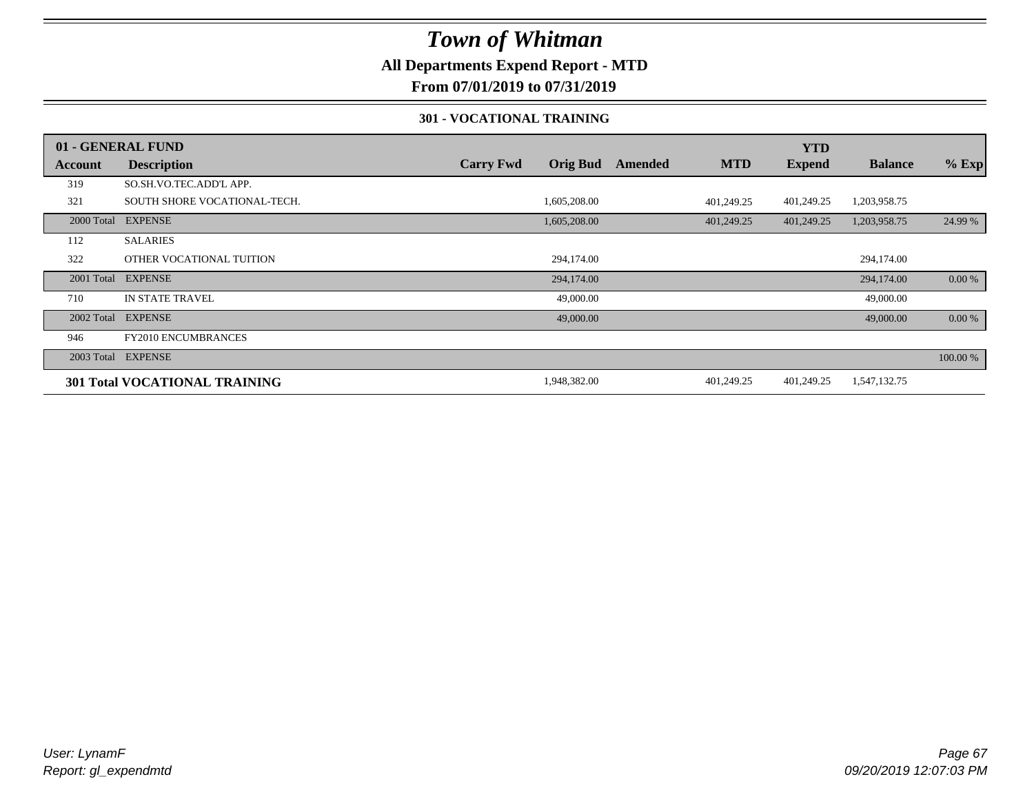### **All Departments Expend Report - MTD**

**From 07/01/2019 to 07/31/2019**

#### **301 - VOCATIONAL TRAINING**

|         | 01 - GENERAL FUND                    |                  |                 |         |            | <b>YTD</b>    |                |          |
|---------|--------------------------------------|------------------|-----------------|---------|------------|---------------|----------------|----------|
| Account | <b>Description</b>                   | <b>Carry Fwd</b> | <b>Orig Bud</b> | Amended | <b>MTD</b> | <b>Expend</b> | <b>Balance</b> | $%$ Exp  |
| 319     | SO.SH.VO.TEC.ADD'L APP.              |                  |                 |         |            |               |                |          |
| 321     | SOUTH SHORE VOCATIONAL-TECH.         |                  | 1,605,208.00    |         | 401.249.25 | 401,249.25    | 1,203,958.75   |          |
|         | 2000 Total EXPENSE                   |                  | 1,605,208.00    |         | 401,249.25 | 401,249.25    | 1,203,958.75   | 24.99 %  |
| 112     | <b>SALARIES</b>                      |                  |                 |         |            |               |                |          |
| 322     | OTHER VOCATIONAL TUITION             |                  | 294,174.00      |         |            |               | 294,174.00     |          |
|         | 2001 Total EXPENSE                   |                  | 294,174.00      |         |            |               | 294,174.00     | 0.00 %   |
| 710     | IN STATE TRAVEL                      |                  | 49,000.00       |         |            |               | 49,000.00      |          |
|         | 2002 Total EXPENSE                   |                  | 49,000.00       |         |            |               | 49,000.00      | $0.00\%$ |
| 946     | <b>FY2010 ENCUMBRANCES</b>           |                  |                 |         |            |               |                |          |
|         | 2003 Total EXPENSE                   |                  |                 |         |            |               |                | 100.00 % |
|         | <b>301 Total VOCATIONAL TRAINING</b> |                  | 1,948,382.00    |         | 401,249.25 | 401,249.25    | 1,547,132.75   |          |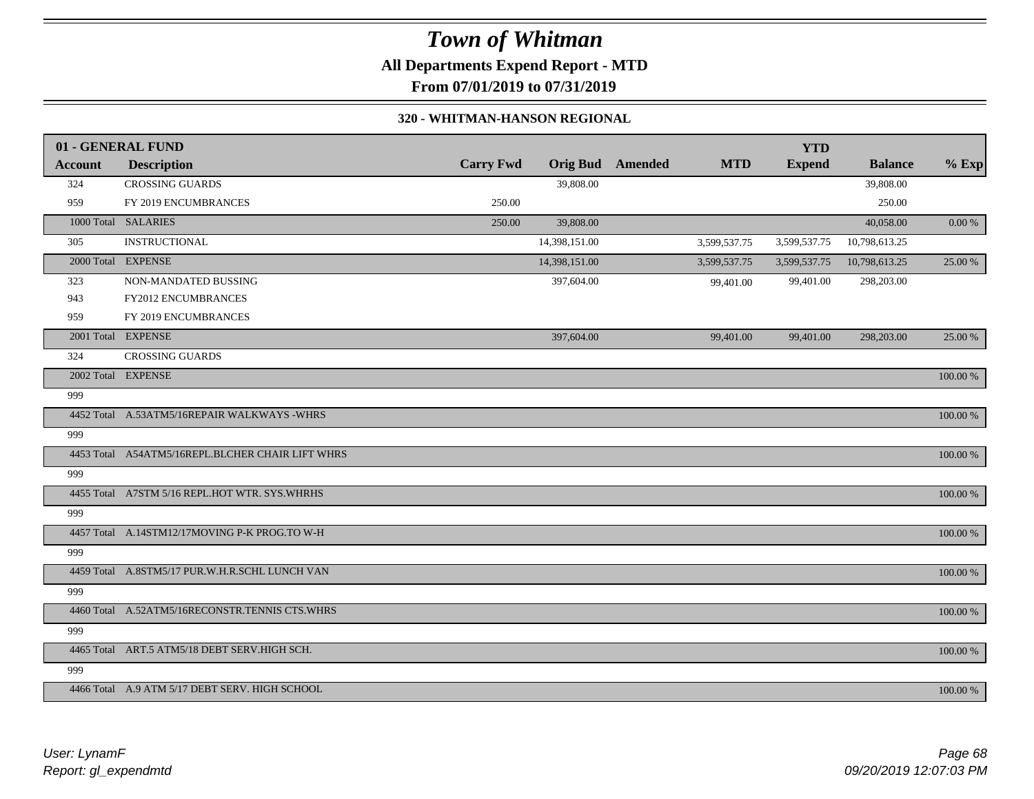**All Departments Expend Report - MTD**

**From 07/01/2019 to 07/31/2019**

#### **320 - WHITMAN-HANSON REGIONAL**

|         | 01 - GENERAL FUND                                |                  |                 |         |              | <b>YTD</b>    |                |          |
|---------|--------------------------------------------------|------------------|-----------------|---------|--------------|---------------|----------------|----------|
| Account | <b>Description</b>                               | <b>Carry Fwd</b> | <b>Orig Bud</b> | Amended | <b>MTD</b>   | <b>Expend</b> | <b>Balance</b> | $%$ Exp  |
| 324     | <b>CROSSING GUARDS</b>                           |                  | 39,808.00       |         |              |               | 39,808.00      |          |
| 959     | FY 2019 ENCUMBRANCES                             | 250.00           |                 |         |              |               | 250.00         |          |
|         | 1000 Total SALARIES                              | 250.00           | 39,808.00       |         |              |               | 40,058.00      | 0.00 %   |
| 305     | <b>INSTRUCTIONAL</b>                             |                  | 14,398,151.00   |         | 3,599,537.75 | 3,599,537.75  | 10,798,613.25  |          |
|         | 2000 Total EXPENSE                               |                  | 14,398,151.00   |         | 3,599,537.75 | 3,599,537.75  | 10,798,613.25  | 25.00 %  |
| 323     | NON-MANDATED BUSSING                             |                  | 397,604.00      |         | 99,401.00    | 99,401.00     | 298,203.00     |          |
| 943     | FY2012 ENCUMBRANCES                              |                  |                 |         |              |               |                |          |
| 959     | FY 2019 ENCUMBRANCES                             |                  |                 |         |              |               |                |          |
|         | 2001 Total EXPENSE                               |                  | 397,604.00      |         | 99,401.00    | 99,401.00     | 298,203.00     | 25.00 %  |
| 324     | <b>CROSSING GUARDS</b>                           |                  |                 |         |              |               |                |          |
|         | 2002 Total EXPENSE                               |                  |                 |         |              |               |                | 100.00 % |
| 999     |                                                  |                  |                 |         |              |               |                |          |
|         | 4452 Total A.53ATM5/16REPAIR WALKWAYS -WHRS      |                  |                 |         |              |               |                | 100.00 % |
| 999     |                                                  |                  |                 |         |              |               |                |          |
|         | 4453 Total A54ATM5/16REPL.BLCHER CHAIR LIFT WHRS |                  |                 |         |              |               |                | 100.00 % |
| 999     |                                                  |                  |                 |         |              |               |                |          |
|         | 4455 Total A7STM 5/16 REPL.HOT WTR. SYS.WHRHS    |                  |                 |         |              |               |                | 100.00 % |
| 999     |                                                  |                  |                 |         |              |               |                |          |
|         | 4457 Total A.14STM12/17MOVING P-K PROG.TO W-H    |                  |                 |         |              |               |                | 100.00 % |
| 999     |                                                  |                  |                 |         |              |               |                |          |
|         | 4459 Total A.8STM5/17 PUR.W.H.R.SCHL LUNCH VAN   |                  |                 |         |              |               |                | 100.00 % |
| 999     |                                                  |                  |                 |         |              |               |                |          |
|         | 4460 Total A.52ATM5/16RECONSTR.TENNIS CTS.WHRS   |                  |                 |         |              |               |                | 100.00 % |
| 999     |                                                  |                  |                 |         |              |               |                |          |
|         | 4465 Total ART.5 ATM5/18 DEBT SERV.HIGH SCH.     |                  |                 |         |              |               |                | 100.00 % |
| 999     |                                                  |                  |                 |         |              |               |                |          |
|         | 4466 Total A.9 ATM 5/17 DEBT SERV. HIGH SCHOOL   |                  |                 |         |              |               |                | 100.00 % |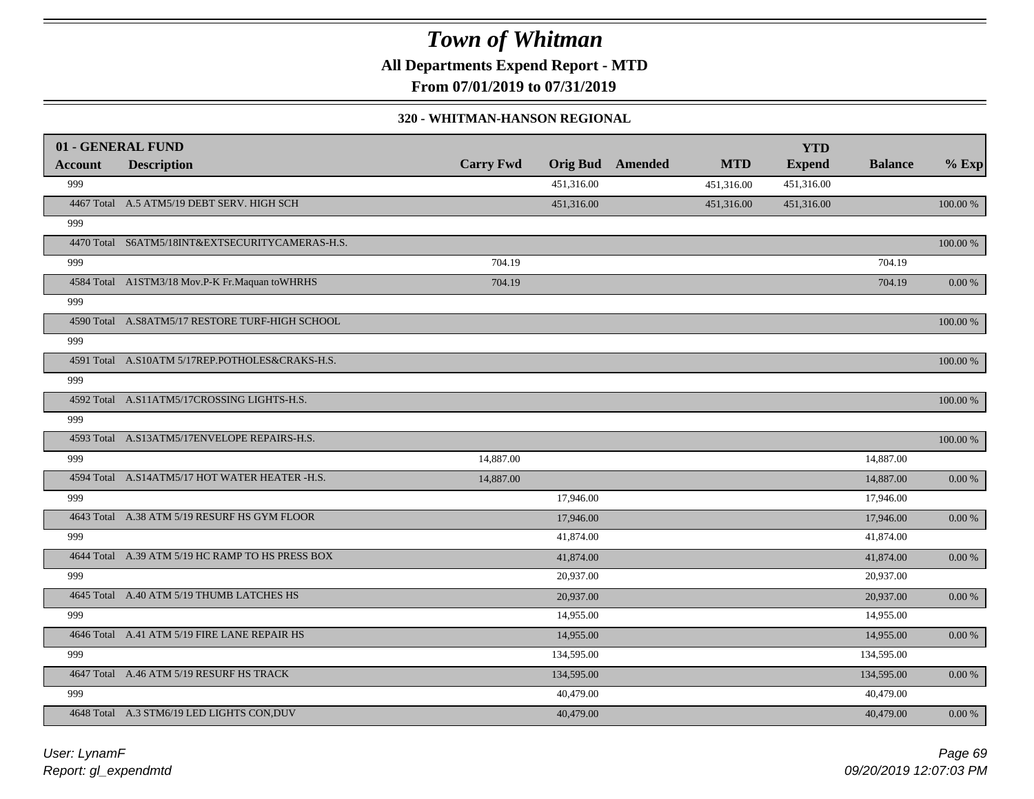**All Departments Expend Report - MTD**

**From 07/01/2019 to 07/31/2019**

#### **320 - WHITMAN-HANSON REGIONAL**

|                | 01 - GENERAL FUND                                |                  |                 |         |            | <b>YTD</b>    |                |            |
|----------------|--------------------------------------------------|------------------|-----------------|---------|------------|---------------|----------------|------------|
| <b>Account</b> | <b>Description</b>                               | <b>Carry Fwd</b> | <b>Orig Bud</b> | Amended | <b>MTD</b> | <b>Expend</b> | <b>Balance</b> | $%$ Exp    |
| 999            |                                                  |                  | 451,316.00      |         | 451,316.00 | 451,316.00    |                |            |
|                | 4467 Total A.5 ATM5/19 DEBT SERV. HIGH SCH       |                  | 451,316.00      |         | 451,316.00 | 451,316.00    |                | 100.00 %   |
| 999            |                                                  |                  |                 |         |            |               |                |            |
|                | 4470 Total S6ATM5/18INT&EXTSECURITYCAMERAS-H.S.  |                  |                 |         |            |               |                | 100.00 %   |
| 999            |                                                  | 704.19           |                 |         |            |               | 704.19         |            |
|                | 4584 Total A1STM3/18 Mov.P-K Fr.Maquan to WHRHS  | 704.19           |                 |         |            |               | 704.19         | 0.00 %     |
| 999            |                                                  |                  |                 |         |            |               |                |            |
|                | 4590 Total A.S8ATM5/17 RESTORE TURF-HIGH SCHOOL  |                  |                 |         |            |               |                | 100.00 %   |
| 999            |                                                  |                  |                 |         |            |               |                |            |
|                | 4591 Total A.S10ATM 5/17REP.POTHOLES&CRAKS-H.S.  |                  |                 |         |            |               |                | 100.00 %   |
| 999            |                                                  |                  |                 |         |            |               |                |            |
|                | 4592 Total A.S11ATM5/17CROSSING LIGHTS-H.S.      |                  |                 |         |            |               |                | 100.00 %   |
| 999            |                                                  |                  |                 |         |            |               |                |            |
|                | 4593 Total A.S13ATM5/17ENVELOPE REPAIRS-H.S.     |                  |                 |         |            |               |                | 100.00 %   |
| 999            |                                                  | 14,887.00        |                 |         |            |               | 14,887.00      |            |
|                | 4594 Total A.S14ATM5/17 HOT WATER HEATER -H.S.   | 14,887.00        |                 |         |            |               | 14,887.00      | $0.00\ \%$ |
| 999            |                                                  |                  | 17,946.00       |         |            |               | 17,946.00      |            |
|                | 4643 Total A.38 ATM 5/19 RESURF HS GYM FLOOR     |                  | 17,946.00       |         |            |               | 17,946.00      | $0.00\ \%$ |
| 999            |                                                  |                  | 41,874.00       |         |            |               | 41,874.00      |            |
|                | 4644 Total A.39 ATM 5/19 HC RAMP TO HS PRESS BOX |                  | 41,874.00       |         |            |               | 41,874.00      | 0.00 %     |
| 999            |                                                  |                  | 20,937.00       |         |            |               | 20,937.00      |            |
|                | 4645 Total A.40 ATM 5/19 THUMB LATCHES HS        |                  | 20,937.00       |         |            |               | 20,937.00      | 0.00 %     |
| 999            |                                                  |                  | 14,955.00       |         |            |               | 14,955.00      |            |
|                | 4646 Total A.41 ATM 5/19 FIRE LANE REPAIR HS     |                  | 14,955.00       |         |            |               | 14,955.00      | 0.00 %     |
| 999            |                                                  |                  | 134,595.00      |         |            |               | 134,595.00     |            |
|                | 4647 Total A.46 ATM 5/19 RESURF HS TRACK         |                  | 134,595.00      |         |            |               | 134,595.00     | 0.00 %     |
| 999            |                                                  |                  | 40,479.00       |         |            |               | 40,479.00      |            |
|                | 4648 Total A.3 STM6/19 LED LIGHTS CON, DUV       |                  | 40,479.00       |         |            |               | 40,479.00      | $0.00 \%$  |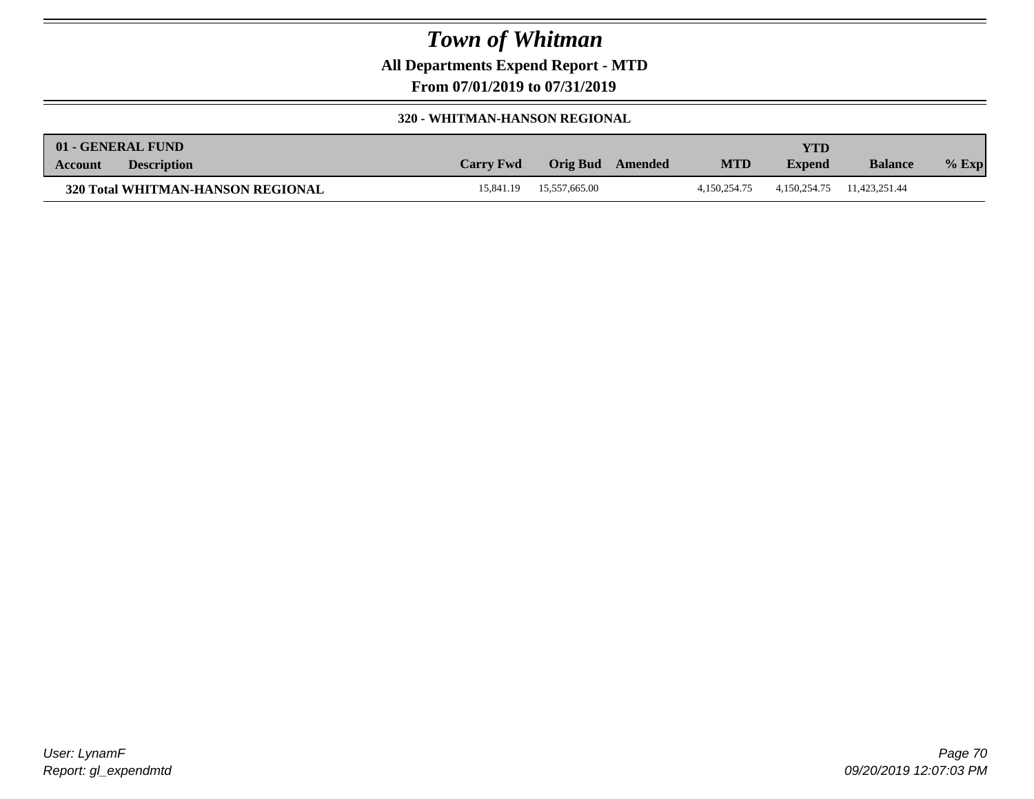**All Departments Expend Report - MTD**

**From 07/01/2019 to 07/31/2019**

#### **320 - WHITMAN-HANSON REGIONAL**

|         | 01 - GENERAL FUND                 |                  |               |                |              | YTD.          |                |         |
|---------|-----------------------------------|------------------|---------------|----------------|--------------|---------------|----------------|---------|
| Account | <b>Description</b>                | <b>Carry Fwd</b> | Orig Bud      | <b>Amended</b> | <b>MTD</b>   | <b>Expend</b> | <b>Balance</b> | $%$ Exp |
|         | 320 Total WHITMAN-HANSON REGIONAL | 15.841.19        | 15.557.665.00 |                | 4.150.254.75 | 4,150,254.75  | 11.423.251.44  |         |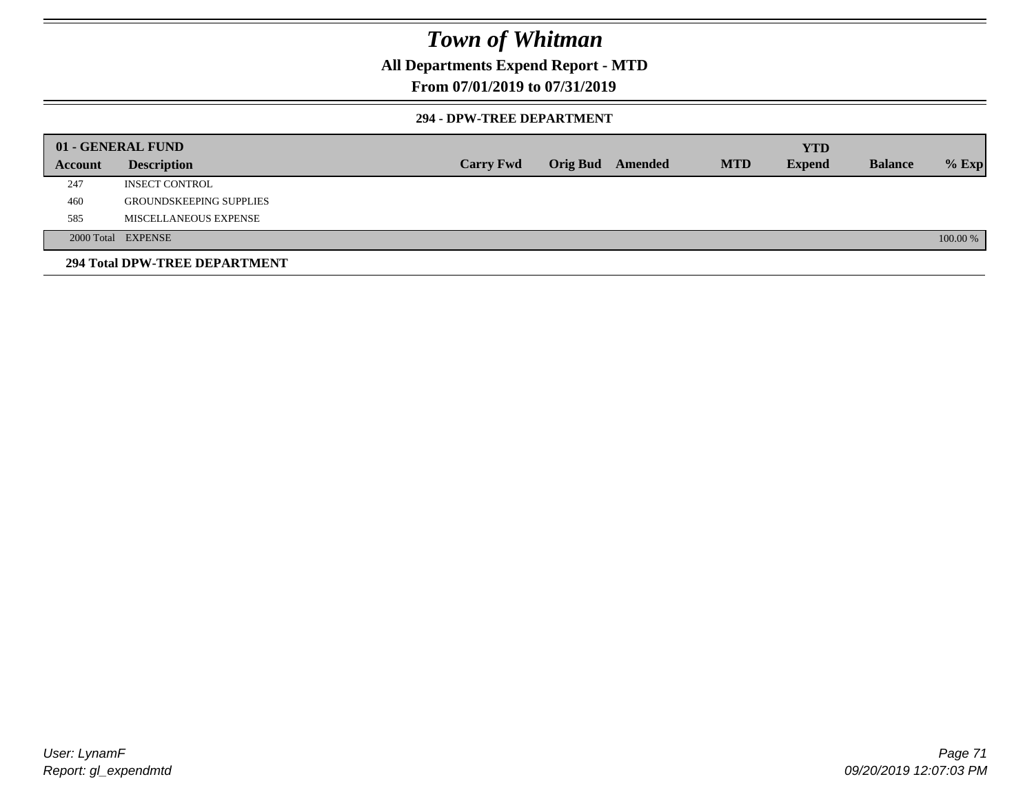### **All Departments Expend Report - MTD**

### **From 07/01/2019 to 07/31/2019**

#### **294 - DPW-TREE DEPARTMENT**

|         | 01 - GENERAL FUND              |                  |                  |            | <b>YTD</b>    |                |          |
|---------|--------------------------------|------------------|------------------|------------|---------------|----------------|----------|
| Account | <b>Description</b>             | <b>Carry Fwd</b> | Orig Bud Amended | <b>MTD</b> | <b>Expend</b> | <b>Balance</b> | $%$ Exp  |
| 247     | <b>INSECT CONTROL</b>          |                  |                  |            |               |                |          |
| 460     | <b>GROUNDSKEEPING SUPPLIES</b> |                  |                  |            |               |                |          |
| 585     | MISCELLANEOUS EXPENSE          |                  |                  |            |               |                |          |
|         | 2000 Total EXPENSE             |                  |                  |            |               |                | 100.00 % |
|         | 294 Total DPW-TREE DEPARTMENT  |                  |                  |            |               |                |          |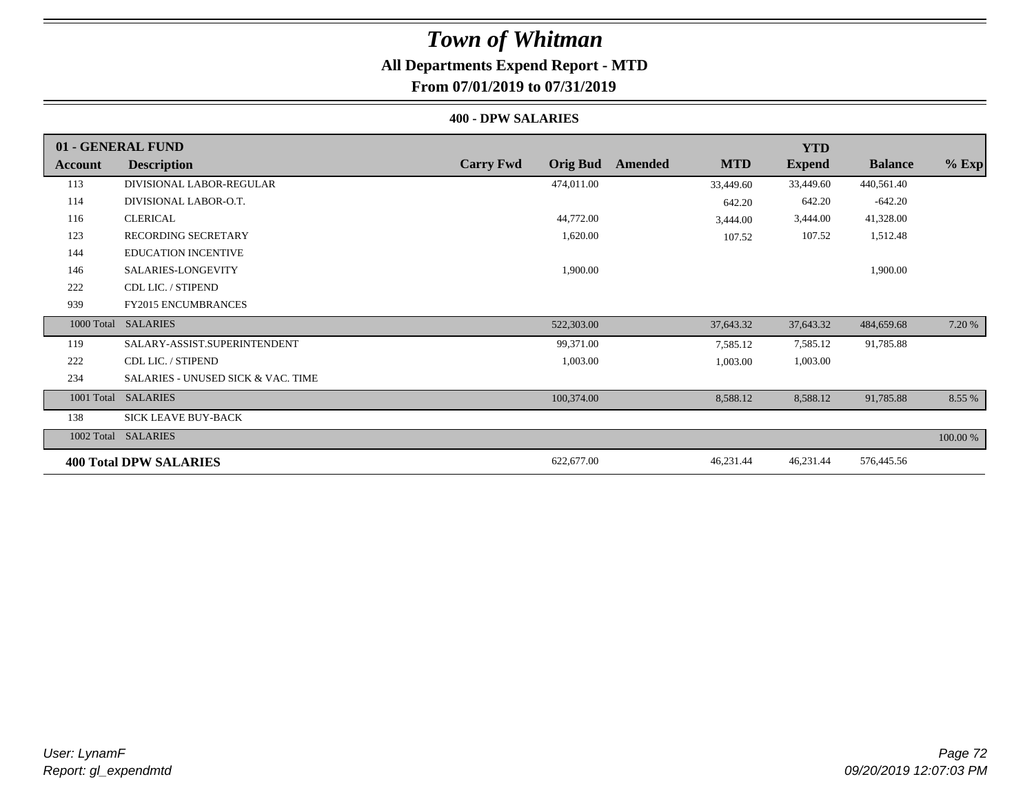### **All Departments Expend Report - MTD From 07/01/2019 to 07/31/2019**

#### **400 - DPW SALARIES**

|            | 01 - GENERAL FUND                             |                                     |                       | <b>YTD</b>    |                |          |
|------------|-----------------------------------------------|-------------------------------------|-----------------------|---------------|----------------|----------|
| Account    | <b>Description</b>                            | <b>Carry Fwd</b><br><b>Orig Bud</b> | <b>MTD</b><br>Amended | <b>Expend</b> | <b>Balance</b> | $%$ Exp  |
| 113        | DIVISIONAL LABOR-REGULAR                      | 474,011.00                          | 33,449.60             | 33,449.60     | 440,561.40     |          |
| 114        | DIVISIONAL LABOR-O.T.                         |                                     | 642.20                | 642.20        | $-642.20$      |          |
| 116        | <b>CLERICAL</b>                               | 44,772.00                           | 3,444.00              | 3,444.00      | 41,328.00      |          |
| 123        | <b>RECORDING SECRETARY</b>                    | 1,620.00                            | 107.52                | 107.52        | 1,512.48       |          |
| 144        | <b>EDUCATION INCENTIVE</b>                    |                                     |                       |               |                |          |
| 146        | SALARIES-LONGEVITY                            | 1,900.00                            |                       |               | 1,900.00       |          |
| 222        | CDL LIC. / STIPEND                            |                                     |                       |               |                |          |
| 939        | <b>FY2015 ENCUMBRANCES</b>                    |                                     |                       |               |                |          |
| 1000 Total | <b>SALARIES</b>                               | 522,303.00                          | 37,643.32             | 37,643.32     | 484,659.68     | 7.20 %   |
| 119        | SALARY-ASSIST.SUPERINTENDENT                  | 99,371.00                           | 7,585.12              | 7,585.12      | 91,785.88      |          |
| 222        | CDL LIC. / STIPEND                            | 1,003.00                            | 1,003.00              | 1,003.00      |                |          |
| 234        | <b>SALARIES - UNUSED SICK &amp; VAC. TIME</b> |                                     |                       |               |                |          |
| 1001 Total | <b>SALARIES</b>                               | 100,374.00                          | 8,588.12              | 8,588.12      | 91,785.88      | 8.55 %   |
| 138        | <b>SICK LEAVE BUY-BACK</b>                    |                                     |                       |               |                |          |
|            | 1002 Total SALARIES                           |                                     |                       |               |                | 100.00 % |
|            | <b>400 Total DPW SALARIES</b>                 | 622,677.00                          | 46,231.44             | 46,231.44     | 576,445.56     |          |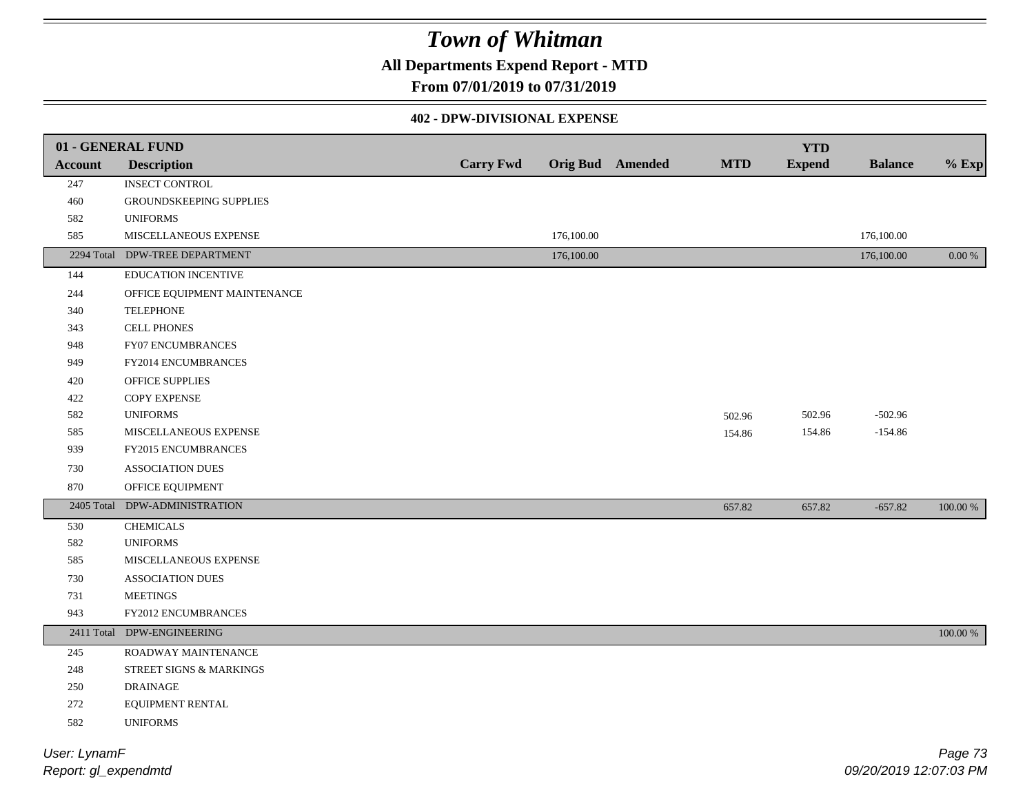### **All Departments Expend Report - MTD**

### **From 07/01/2019 to 07/31/2019**

#### **402 - DPW-DIVISIONAL EXPENSE**

| 01 - GENERAL FUND |                                |                  |            |                         |            | <b>YTD</b>    |                |             |
|-------------------|--------------------------------|------------------|------------|-------------------------|------------|---------------|----------------|-------------|
| <b>Account</b>    | <b>Description</b>             | <b>Carry Fwd</b> |            | <b>Orig Bud</b> Amended | <b>MTD</b> | <b>Expend</b> | <b>Balance</b> | $%$ Exp     |
| 247               | <b>INSECT CONTROL</b>          |                  |            |                         |            |               |                |             |
| 460               | GROUNDSKEEPING SUPPLIES        |                  |            |                         |            |               |                |             |
| 582               | <b>UNIFORMS</b>                |                  |            |                         |            |               |                |             |
| 585               | MISCELLANEOUS EXPENSE          |                  | 176,100.00 |                         |            |               | 176,100.00     |             |
|                   | 2294 Total DPW-TREE DEPARTMENT |                  | 176,100.00 |                         |            |               | 176,100.00     | $0.00\,\%$  |
| 144               | EDUCATION INCENTIVE            |                  |            |                         |            |               |                |             |
| 244               | OFFICE EQUIPMENT MAINTENANCE   |                  |            |                         |            |               |                |             |
| 340               | <b>TELEPHONE</b>               |                  |            |                         |            |               |                |             |
| 343               | <b>CELL PHONES</b>             |                  |            |                         |            |               |                |             |
| 948               | FY07 ENCUMBRANCES              |                  |            |                         |            |               |                |             |
| 949               | FY2014 ENCUMBRANCES            |                  |            |                         |            |               |                |             |
| 420               | OFFICE SUPPLIES                |                  |            |                         |            |               |                |             |
| 422               | COPY EXPENSE                   |                  |            |                         |            |               |                |             |
| 582               | <b>UNIFORMS</b>                |                  |            |                         | 502.96     | 502.96        | $-502.96$      |             |
| 585               | MISCELLANEOUS EXPENSE          |                  |            |                         | 154.86     | 154.86        | $-154.86$      |             |
| 939               | FY2015 ENCUMBRANCES            |                  |            |                         |            |               |                |             |
| 730               | ASSOCIATION DUES               |                  |            |                         |            |               |                |             |
| 870               | OFFICE EQUIPMENT               |                  |            |                         |            |               |                |             |
| 2405 Total        | DPW-ADMINISTRATION             |                  |            |                         | 657.82     | 657.82        | $-657.82$      | $100.00~\%$ |
| 530               | <b>CHEMICALS</b>               |                  |            |                         |            |               |                |             |
| 582               | <b>UNIFORMS</b>                |                  |            |                         |            |               |                |             |
| 585               | MISCELLANEOUS EXPENSE          |                  |            |                         |            |               |                |             |
| 730               | <b>ASSOCIATION DUES</b>        |                  |            |                         |            |               |                |             |
| 731               | <b>MEETINGS</b>                |                  |            |                         |            |               |                |             |
| 943               | FY2012 ENCUMBRANCES            |                  |            |                         |            |               |                |             |
| 2411 Total        | DPW-ENGINEERING                |                  |            |                         |            |               |                | 100.00 %    |
| 245               | ROADWAY MAINTENANCE            |                  |            |                         |            |               |                |             |
| 248               | STREET SIGNS & MARKINGS        |                  |            |                         |            |               |                |             |
| 250               | <b>DRAINAGE</b>                |                  |            |                         |            |               |                |             |
| 272               | EQUIPMENT RENTAL               |                  |            |                         |            |               |                |             |
| 582               | <b>UNIFORMS</b>                |                  |            |                         |            |               |                |             |
| User: LynamF      |                                |                  |            |                         |            |               |                | Page 73     |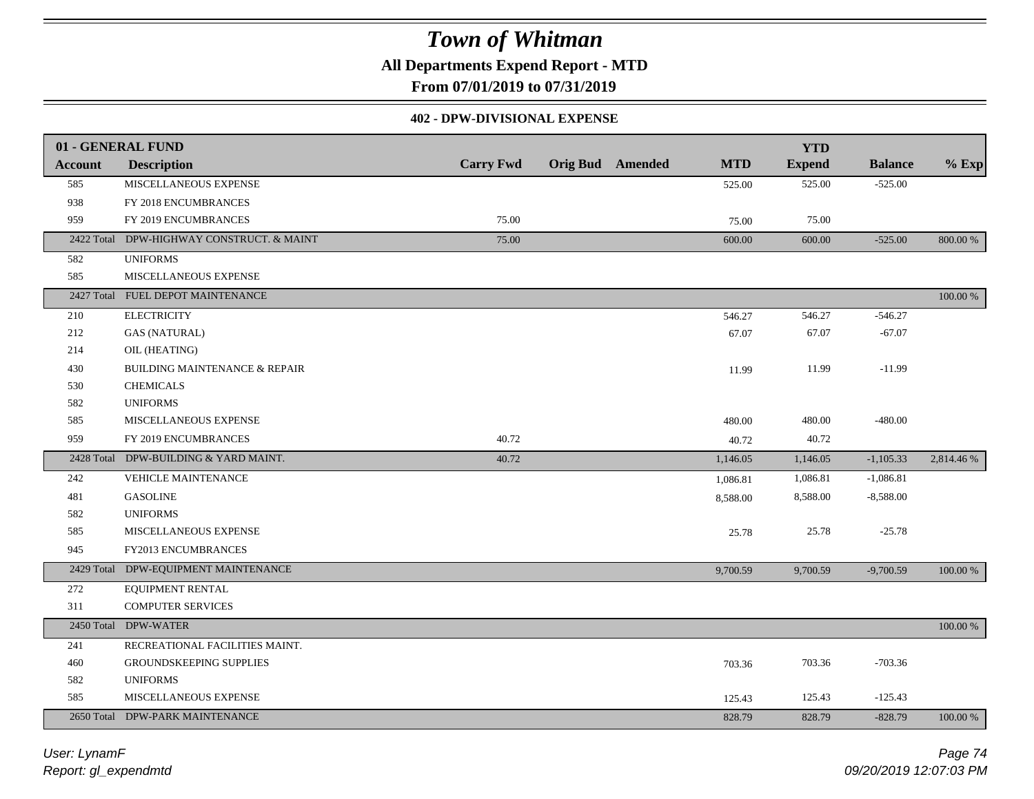**All Departments Expend Report - MTD**

**From 07/01/2019 to 07/31/2019**

#### **402 - DPW-DIVISIONAL EXPENSE**

|                | 01 - GENERAL FUND                         |                  |                         |            | <b>YTD</b>    |                |            |
|----------------|-------------------------------------------|------------------|-------------------------|------------|---------------|----------------|------------|
| <b>Account</b> | <b>Description</b>                        | <b>Carry Fwd</b> | <b>Orig Bud</b> Amended | <b>MTD</b> | <b>Expend</b> | <b>Balance</b> | $%$ Exp    |
| 585            | MISCELLANEOUS EXPENSE                     |                  |                         | 525.00     | 525.00        | $-525.00$      |            |
| 938            | FY 2018 ENCUMBRANCES                      |                  |                         |            |               |                |            |
| 959            | FY 2019 ENCUMBRANCES                      | 75.00            |                         | 75.00      | 75.00         |                |            |
|                | 2422 Total DPW-HIGHWAY CONSTRUCT. & MAINT | 75.00            |                         | 600.00     | 600.00        | $-525.00$      | 800.00 %   |
| 582            | <b>UNIFORMS</b>                           |                  |                         |            |               |                |            |
| 585            | MISCELLANEOUS EXPENSE                     |                  |                         |            |               |                |            |
|                | 2427 Total FUEL DEPOT MAINTENANCE         |                  |                         |            |               |                | 100.00 %   |
| 210            | <b>ELECTRICITY</b>                        |                  |                         | 546.27     | 546.27        | $-546.27$      |            |
| 212            | <b>GAS (NATURAL)</b>                      |                  |                         | 67.07      | 67.07         | $-67.07$       |            |
| 214            | OIL (HEATING)                             |                  |                         |            |               |                |            |
| 430            | <b>BUILDING MAINTENANCE &amp; REPAIR</b>  |                  |                         | 11.99      | 11.99         | $-11.99$       |            |
| 530            | <b>CHEMICALS</b>                          |                  |                         |            |               |                |            |
| 582            | <b>UNIFORMS</b>                           |                  |                         |            |               |                |            |
| 585            | MISCELLANEOUS EXPENSE                     |                  |                         | 480.00     | 480.00        | $-480.00$      |            |
| 959            | FY 2019 ENCUMBRANCES                      | 40.72            |                         | 40.72      | 40.72         |                |            |
|                | 2428 Total DPW-BUILDING & YARD MAINT.     | 40.72            |                         | 1,146.05   | 1,146.05      | $-1,105.33$    | 2,814.46 % |
| 242            | VEHICLE MAINTENANCE                       |                  |                         | 1,086.81   | 1,086.81      | $-1,086.81$    |            |
| 481            | <b>GASOLINE</b>                           |                  |                         | 8,588.00   | 8,588.00      | $-8,588.00$    |            |
| 582            | <b>UNIFORMS</b>                           |                  |                         |            |               |                |            |
| 585            | MISCELLANEOUS EXPENSE                     |                  |                         | 25.78      | 25.78         | $-25.78$       |            |
| 945            | FY2013 ENCUMBRANCES                       |                  |                         |            |               |                |            |
|                | 2429 Total DPW-EQUIPMENT MAINTENANCE      |                  |                         | 9,700.59   | 9,700.59      | $-9,700.59$    | 100.00 %   |
| 272            | EQUIPMENT RENTAL                          |                  |                         |            |               |                |            |
| 311            | <b>COMPUTER SERVICES</b>                  |                  |                         |            |               |                |            |
|                | 2450 Total DPW-WATER                      |                  |                         |            |               |                | 100.00 %   |
| 241            | RECREATIONAL FACILITIES MAINT.            |                  |                         |            |               |                |            |
| 460            | GROUNDSKEEPING SUPPLIES                   |                  |                         | 703.36     | 703.36        | $-703.36$      |            |
| 582            | <b>UNIFORMS</b>                           |                  |                         |            |               |                |            |
| 585            | MISCELLANEOUS EXPENSE                     |                  |                         | 125.43     | 125.43        | $-125.43$      |            |
|                | 2650 Total DPW-PARK MAINTENANCE           |                  |                         | 828.79     | 828.79        | $-828.79$      | 100.00 %   |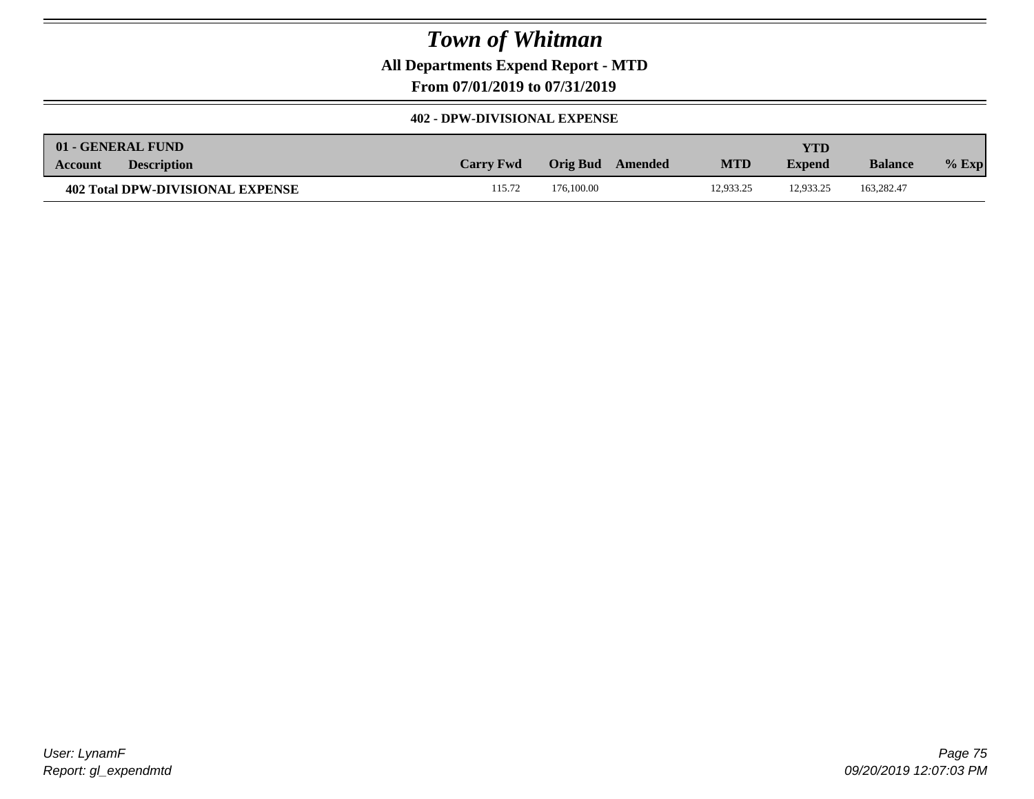**All Departments Expend Report - MTD**

**From 07/01/2019 to 07/31/2019**

#### **402 - DPW-DIVISIONAL EXPENSE**

| 01 - GENERAL FUND                |                  |                     |            | <b>YTD</b>    |                |         |
|----------------------------------|------------------|---------------------|------------|---------------|----------------|---------|
| <b>Description</b><br>Account    | <b>Carry Fwd</b> | Orig Bud<br>Amended | <b>MTD</b> | <b>Expend</b> | <b>Balance</b> | $%$ Exp |
| 402 Total DPW-DIVISIONAL EXPENSE | 115.72           | 176,100.00          | 12.933.25  | 12.933.25     | 163.282.47     |         |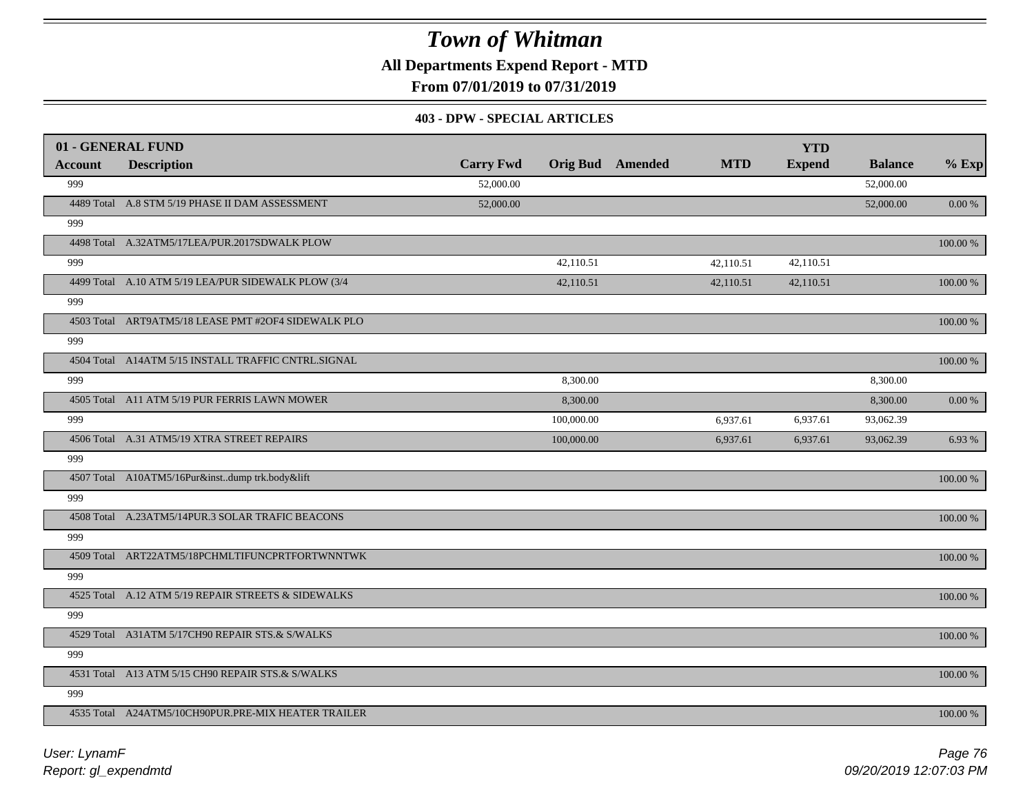**All Departments Expend Report - MTD**

**From 07/01/2019 to 07/31/2019**

#### **403 - DPW - SPECIAL ARTICLES**

| 01 - GENERAL FUND |                                                     |                  |                         |            | <b>YTD</b>    |                |             |
|-------------------|-----------------------------------------------------|------------------|-------------------------|------------|---------------|----------------|-------------|
| <b>Account</b>    | <b>Description</b>                                  | <b>Carry Fwd</b> | <b>Orig Bud</b> Amended | <b>MTD</b> | <b>Expend</b> | <b>Balance</b> | $%$ Exp     |
| 999               |                                                     | 52,000.00        |                         |            |               | 52,000.00      |             |
|                   | 4489 Total A.8 STM 5/19 PHASE II DAM ASSESSMENT     | 52,000.00        |                         |            |               | 52,000.00      | 0.00 %      |
| 999               |                                                     |                  |                         |            |               |                |             |
|                   | 4498 Total A.32ATM5/17LEA/PUR.2017SDWALK PLOW       |                  |                         |            |               |                | 100.00 %    |
| 999               |                                                     |                  | 42,110.51               | 42,110.51  | 42.110.51     |                |             |
|                   | 4499 Total A.10 ATM 5/19 LEA/PUR SIDEWALK PLOW (3/4 |                  | 42,110.51               | 42,110.51  | 42,110.51     |                | 100.00 %    |
| 999               |                                                     |                  |                         |            |               |                |             |
|                   | 4503 Total ART9ATM5/18 LEASE PMT #2OF4 SIDEWALK PLO |                  |                         |            |               |                | 100.00 %    |
| 999               |                                                     |                  |                         |            |               |                |             |
|                   | 4504 Total A14ATM 5/15 INSTALL TRAFFIC CNTRL.SIGNAL |                  |                         |            |               |                | $100.00~\%$ |
| 999               |                                                     |                  | 8,300.00                |            |               | 8,300.00       |             |
|                   | 4505 Total A11 ATM 5/19 PUR FERRIS LAWN MOWER       |                  | 8,300.00                |            |               | 8,300.00       | 0.00 %      |
| 999               |                                                     |                  | 100,000.00              | 6,937.61   | 6,937.61      | 93,062.39      |             |
|                   | 4506 Total A.31 ATM5/19 XTRA STREET REPAIRS         |                  | 100,000.00              | 6,937.61   | 6,937.61      | 93,062.39      | 6.93 %      |
| 999               |                                                     |                  |                         |            |               |                |             |
|                   | 4507 Total A10ATM5/16Pur&instdump trk.body&lift     |                  |                         |            |               |                | 100.00 %    |
| 999               |                                                     |                  |                         |            |               |                |             |
|                   | 4508 Total A.23ATM5/14PUR.3 SOLAR TRAFIC BEACONS    |                  |                         |            |               |                | 100.00 %    |
| 999               |                                                     |                  |                         |            |               |                |             |
|                   | 4509 Total ART22ATM5/18PCHMLTIFUNCPRTFORTWNNTWK     |                  |                         |            |               |                | 100.00 %    |
| 999               |                                                     |                  |                         |            |               |                |             |
|                   | 4525 Total A.12 ATM 5/19 REPAIR STREETS & SIDEWALKS |                  |                         |            |               |                | 100.00 %    |
| 999               |                                                     |                  |                         |            |               |                |             |
|                   | 4529 Total A31ATM 5/17CH90 REPAIR STS.& S/WALKS     |                  |                         |            |               |                | 100.00 %    |
| 999               |                                                     |                  |                         |            |               |                |             |
|                   | 4531 Total A13 ATM 5/15 CH90 REPAIR STS.& S/WALKS   |                  |                         |            |               |                | $100.00~\%$ |
| 999               |                                                     |                  |                         |            |               |                |             |
|                   | 4535 Total A24ATM5/10CH90PUR.PRE-MIX HEATER TRAILER |                  |                         |            |               |                | 100.00 %    |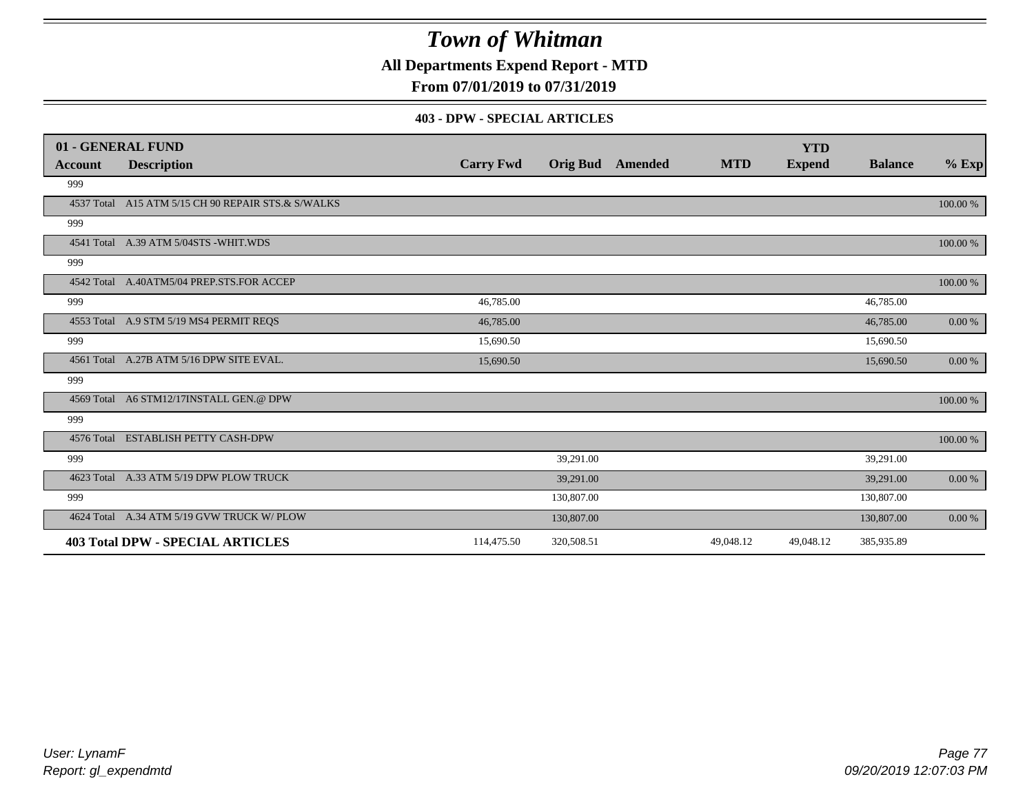**All Departments Expend Report - MTD**

**From 07/01/2019 to 07/31/2019**

#### **403 - DPW - SPECIAL ARTICLES**

|         | 01 - GENERAL FUND                                  |                  |                 |         |            | <b>YTD</b>    |                |           |
|---------|----------------------------------------------------|------------------|-----------------|---------|------------|---------------|----------------|-----------|
| Account | <b>Description</b>                                 | <b>Carry Fwd</b> | <b>Orig Bud</b> | Amended | <b>MTD</b> | <b>Expend</b> | <b>Balance</b> | $%$ Exp   |
| 999     |                                                    |                  |                 |         |            |               |                |           |
|         | 4537 Total A15 ATM 5/15 CH 90 REPAIR STS.& S/WALKS |                  |                 |         |            |               |                | 100.00 %  |
| 999     |                                                    |                  |                 |         |            |               |                |           |
|         | 4541 Total A.39 ATM 5/04STS - WHIT. WDS            |                  |                 |         |            |               |                | 100.00 %  |
| 999     |                                                    |                  |                 |         |            |               |                |           |
|         | 4542 Total A.40ATM5/04 PREP.STS.FOR ACCEP          |                  |                 |         |            |               |                | 100.00 %  |
| 999     |                                                    | 46,785.00        |                 |         |            |               | 46,785.00      |           |
|         | 4553 Total A.9 STM 5/19 MS4 PERMIT REQS            | 46,785.00        |                 |         |            |               | 46,785.00      | 0.00 %    |
| 999     |                                                    | 15,690.50        |                 |         |            |               | 15,690.50      |           |
|         | 4561 Total A.27B ATM 5/16 DPW SITE EVAL.           | 15,690.50        |                 |         |            |               | 15,690.50      | 0.00 %    |
| 999     |                                                    |                  |                 |         |            |               |                |           |
|         | 4569 Total A6 STM12/17INSTALL GEN.@ DPW            |                  |                 |         |            |               |                | 100.00 %  |
| 999     |                                                    |                  |                 |         |            |               |                |           |
|         | 4576 Total ESTABLISH PETTY CASH-DPW                |                  |                 |         |            |               |                | 100.00 %  |
| 999     |                                                    |                  | 39,291.00       |         |            |               | 39,291.00      |           |
|         | 4623 Total A.33 ATM 5/19 DPW PLOW TRUCK            |                  | 39,291.00       |         |            |               | 39,291.00      | 0.00 %    |
| 999     |                                                    |                  | 130,807.00      |         |            |               | 130,807.00     |           |
|         | 4624 Total A.34 ATM 5/19 GVW TRUCK W/ PLOW         |                  | 130,807.00      |         |            |               | 130,807.00     | $0.00 \%$ |
|         | <b>403 Total DPW - SPECIAL ARTICLES</b>            | 114,475.50       | 320,508.51      |         | 49,048.12  | 49,048.12     | 385,935.89     |           |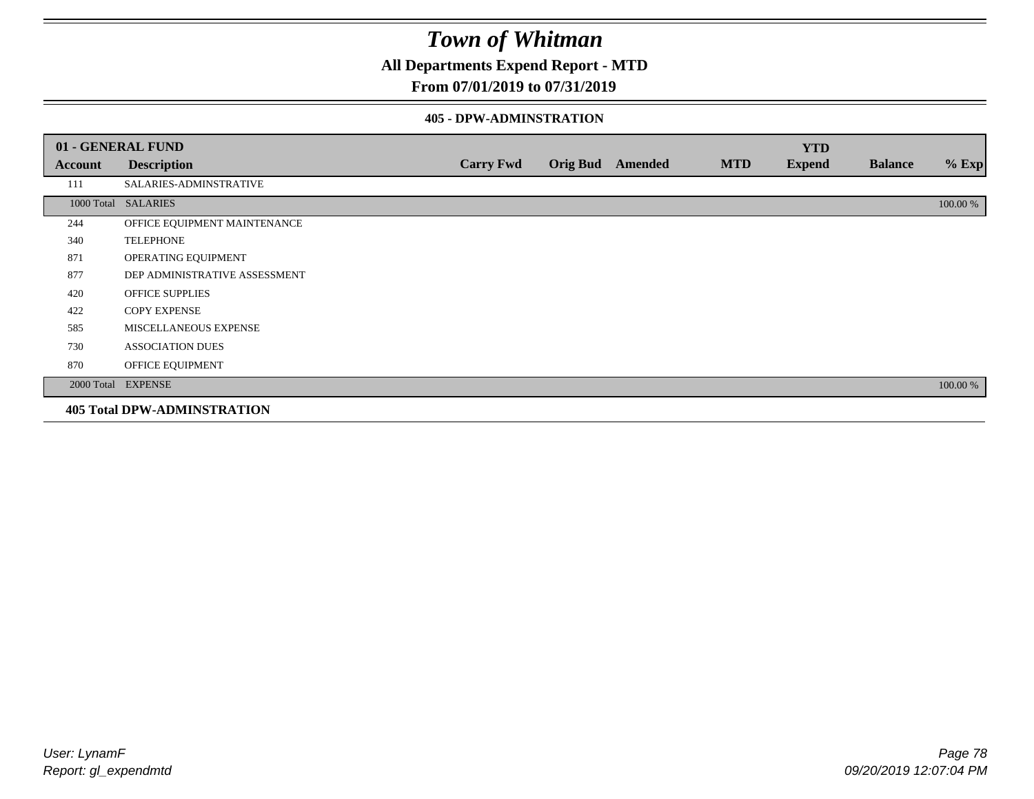**All Departments Expend Report - MTD**

### **From 07/01/2019 to 07/31/2019**

#### **405 - DPW-ADMINSTRATION**

|         | 01 - GENERAL FUND                  |                  |  |                  |            | <b>YTD</b>    |                |          |  |
|---------|------------------------------------|------------------|--|------------------|------------|---------------|----------------|----------|--|
| Account | <b>Description</b>                 | <b>Carry Fwd</b> |  | Orig Bud Amended | <b>MTD</b> | <b>Expend</b> | <b>Balance</b> | $%$ Exp  |  |
| 111     | SALARIES-ADMINSTRATIVE             |                  |  |                  |            |               |                |          |  |
|         | 1000 Total SALARIES                |                  |  |                  |            |               |                | 100.00 % |  |
| 244     | OFFICE EQUIPMENT MAINTENANCE       |                  |  |                  |            |               |                |          |  |
| 340     | <b>TELEPHONE</b>                   |                  |  |                  |            |               |                |          |  |
| 871     | OPERATING EQUIPMENT                |                  |  |                  |            |               |                |          |  |
| 877     | DEP ADMINISTRATIVE ASSESSMENT      |                  |  |                  |            |               |                |          |  |
| 420     | <b>OFFICE SUPPLIES</b>             |                  |  |                  |            |               |                |          |  |
| 422     | <b>COPY EXPENSE</b>                |                  |  |                  |            |               |                |          |  |
| 585     | MISCELLANEOUS EXPENSE              |                  |  |                  |            |               |                |          |  |
| 730     | <b>ASSOCIATION DUES</b>            |                  |  |                  |            |               |                |          |  |
| 870     | OFFICE EQUIPMENT                   |                  |  |                  |            |               |                |          |  |
|         | 2000 Total EXPENSE                 |                  |  |                  |            |               |                | 100.00 % |  |
|         | <b>405 Total DPW-ADMINSTRATION</b> |                  |  |                  |            |               |                |          |  |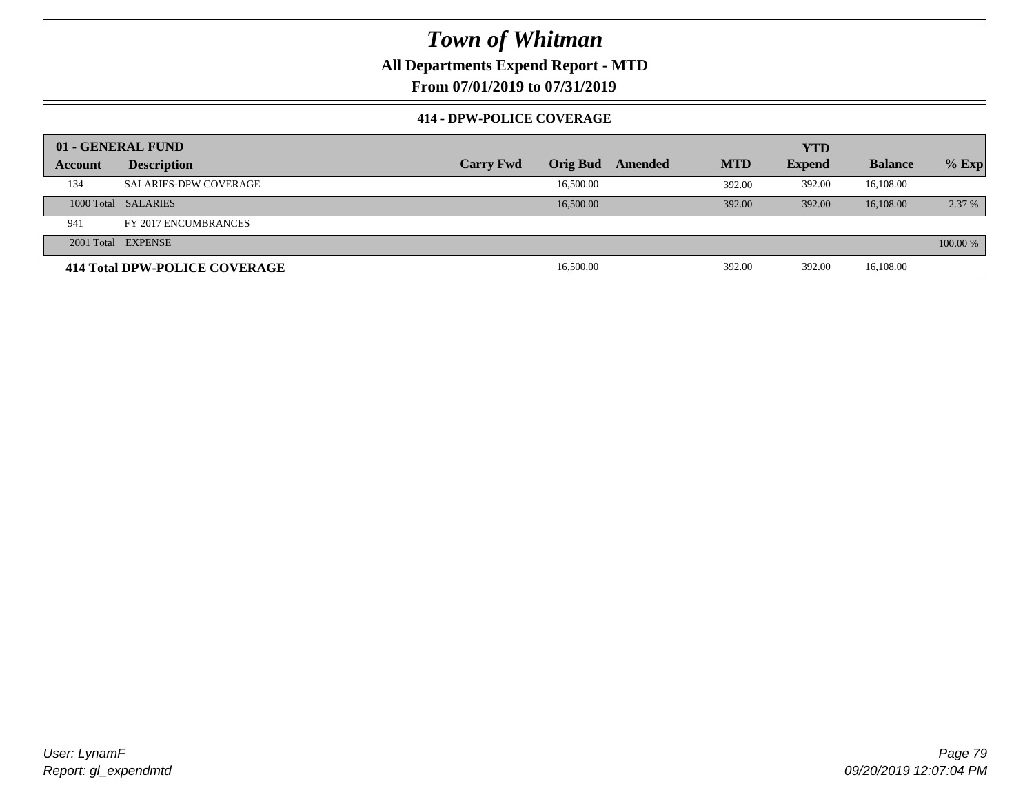### **All Departments Expend Report - MTD**

**From 07/01/2019 to 07/31/2019**

#### **414 - DPW-POLICE COVERAGE**

|         | 01 - GENERAL FUND             |                  |                 |         |            | <b>YTD</b>    |                |          |
|---------|-------------------------------|------------------|-----------------|---------|------------|---------------|----------------|----------|
| Account | <b>Description</b>            | <b>Carry Fwd</b> | <b>Orig Bud</b> | Amended | <b>MTD</b> | <b>Expend</b> | <b>Balance</b> | $%$ Exp  |
| 134     | <b>SALARIES-DPW COVERAGE</b>  |                  | 16,500.00       |         | 392.00     | 392.00        | 16,108.00      |          |
|         | 1000 Total SALARIES           |                  | 16,500.00       |         | 392.00     | 392.00        | 16,108,00      | 2.37 %   |
| 941     | FY 2017 ENCUMBRANCES          |                  |                 |         |            |               |                |          |
|         | 2001 Total EXPENSE            |                  |                 |         |            |               |                | 100.00 % |
|         | 414 Total DPW-POLICE COVERAGE |                  | 16,500.00       |         | 392.00     | 392.00        | 16,108.00      |          |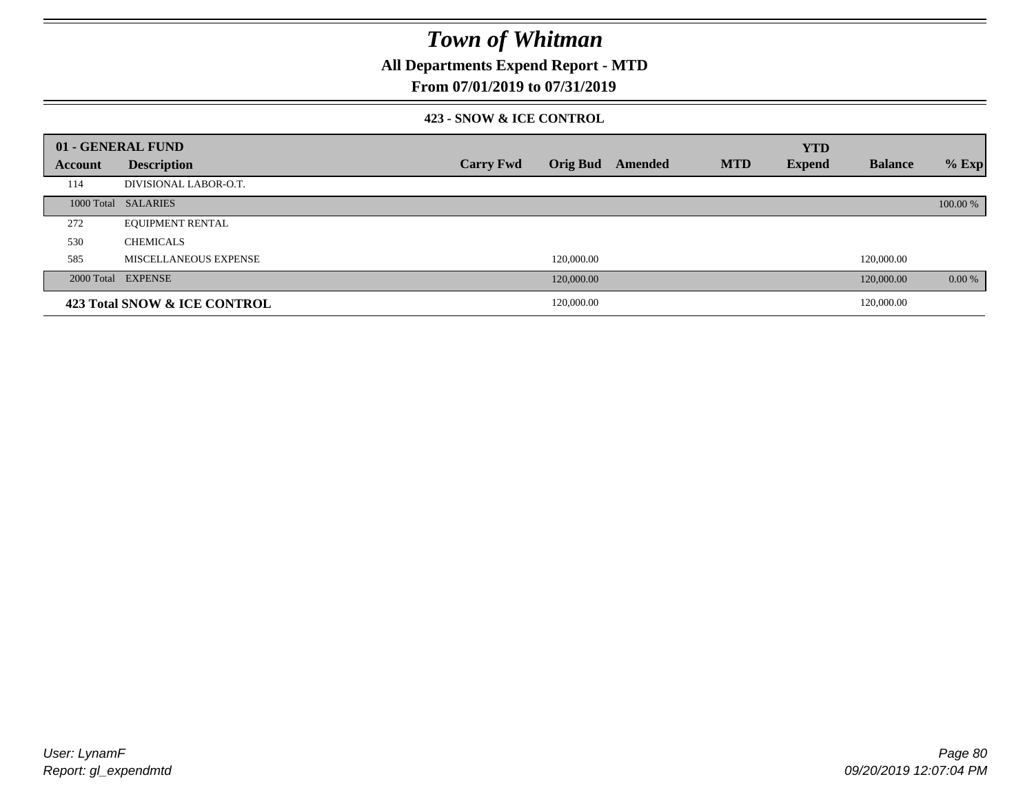**All Departments Expend Report - MTD**

### **From 07/01/2019 to 07/31/2019**

#### **423 - SNOW & ICE CONTROL**

|         | 01 - GENERAL FUND            |                  |                 |         |            | <b>YTD</b>    |                |          |
|---------|------------------------------|------------------|-----------------|---------|------------|---------------|----------------|----------|
| Account | <b>Description</b>           | <b>Carry Fwd</b> | <b>Orig Bud</b> | Amended | <b>MTD</b> | <b>Expend</b> | <b>Balance</b> | $%$ Exp  |
| 114     | DIVISIONAL LABOR-O.T.        |                  |                 |         |            |               |                |          |
|         | 1000 Total SALARIES          |                  |                 |         |            |               |                | 100.00 % |
| 272     | <b>EQUIPMENT RENTAL</b>      |                  |                 |         |            |               |                |          |
| 530     | <b>CHEMICALS</b>             |                  |                 |         |            |               |                |          |
| 585     | MISCELLANEOUS EXPENSE        |                  | 120,000.00      |         |            |               | 120,000.00     |          |
|         | 2000 Total EXPENSE           |                  | 120,000.00      |         |            |               | 120,000.00     | 0.00 %   |
|         | 423 Total SNOW & ICE CONTROL |                  | 120,000.00      |         |            |               | 120,000.00     |          |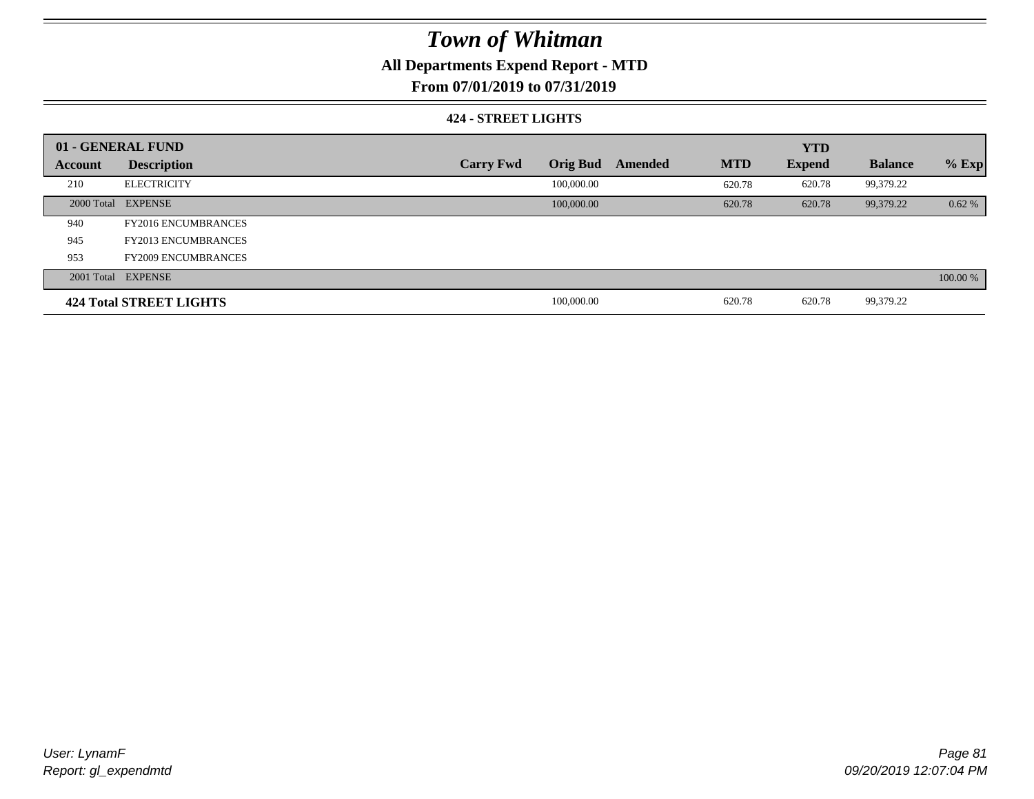### **All Departments Expend Report - MTD**

**From 07/01/2019 to 07/31/2019**

#### **424 - STREET LIGHTS**

|         | 01 - GENERAL FUND          |                  |                 |         |            | <b>YTD</b>    |                |          |
|---------|----------------------------|------------------|-----------------|---------|------------|---------------|----------------|----------|
| Account | <b>Description</b>         | <b>Carry Fwd</b> | <b>Orig Bud</b> | Amended | <b>MTD</b> | <b>Expend</b> | <b>Balance</b> | $%$ Exp  |
| 210     | <b>ELECTRICITY</b>         |                  | 100,000.00      |         | 620.78     | 620.78        | 99,379.22      |          |
|         | 2000 Total EXPENSE         |                  | 100,000.00      |         | 620.78     | 620.78        | 99,379.22      | 0.62%    |
| 940     | <b>FY2016 ENCUMBRANCES</b> |                  |                 |         |            |               |                |          |
| 945     | <b>FY2013 ENCUMBRANCES</b> |                  |                 |         |            |               |                |          |
| 953     | <b>FY2009 ENCUMBRANCES</b> |                  |                 |         |            |               |                |          |
|         | 2001 Total EXPENSE         |                  |                 |         |            |               |                | 100.00 % |
|         | 424 Total STREET LIGHTS    |                  | 100,000.00      |         | 620.78     | 620.78        | 99,379.22      |          |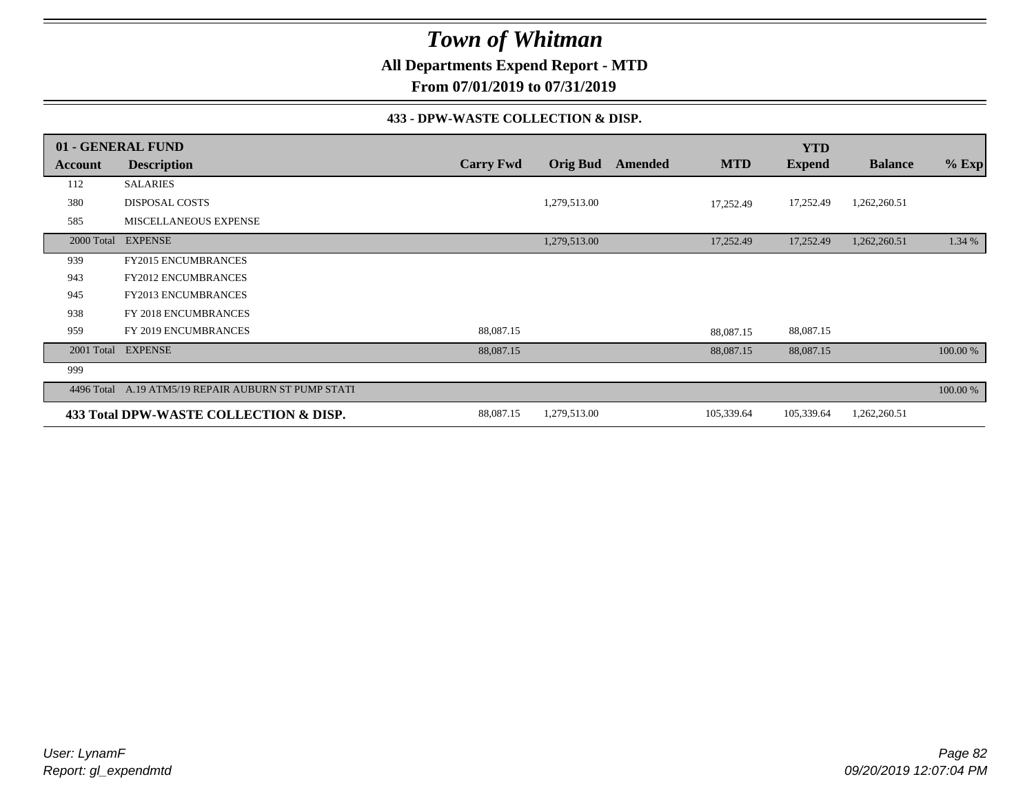**All Departments Expend Report - MTD**

**From 07/01/2019 to 07/31/2019**

#### **433 - DPW-WASTE COLLECTION & DISP.**

|            | 01 - GENERAL FUND                                   |                  |                 |         |            | <b>YTD</b>    |                |          |
|------------|-----------------------------------------------------|------------------|-----------------|---------|------------|---------------|----------------|----------|
| Account    | <b>Description</b>                                  | <b>Carry Fwd</b> | <b>Orig Bud</b> | Amended | <b>MTD</b> | <b>Expend</b> | <b>Balance</b> | $%$ Exp  |
| 112        | <b>SALARIES</b>                                     |                  |                 |         |            |               |                |          |
| 380        | <b>DISPOSAL COSTS</b>                               |                  | 1,279,513.00    |         | 17,252.49  | 17,252.49     | 1,262,260.51   |          |
| 585        | <b>MISCELLANEOUS EXPENSE</b>                        |                  |                 |         |            |               |                |          |
| 2000 Total | <b>EXPENSE</b>                                      |                  | 1,279,513.00    |         | 17,252.49  | 17,252.49     | 1,262,260.51   | 1.34 %   |
| 939        | <b>FY2015 ENCUMBRANCES</b>                          |                  |                 |         |            |               |                |          |
| 943        | <b>FY2012 ENCUMBRANCES</b>                          |                  |                 |         |            |               |                |          |
| 945        | <b>FY2013 ENCUMBRANCES</b>                          |                  |                 |         |            |               |                |          |
| 938        | FY 2018 ENCUMBRANCES                                |                  |                 |         |            |               |                |          |
| 959        | FY 2019 ENCUMBRANCES                                | 88,087.15        |                 |         | 88,087.15  | 88,087.15     |                |          |
|            | 2001 Total EXPENSE                                  | 88,087.15        |                 |         | 88,087.15  | 88,087.15     |                | 100.00 % |
| 999        |                                                     |                  |                 |         |            |               |                |          |
|            | 4496 Total A.19 ATM5/19 REPAIR AUBURN ST PUMP STATI |                  |                 |         |            |               |                | 100.00 % |
|            | 433 Total DPW-WASTE COLLECTION & DISP.              | 88,087.15        | 1,279,513.00    |         | 105,339.64 | 105,339.64    | 1,262,260.51   |          |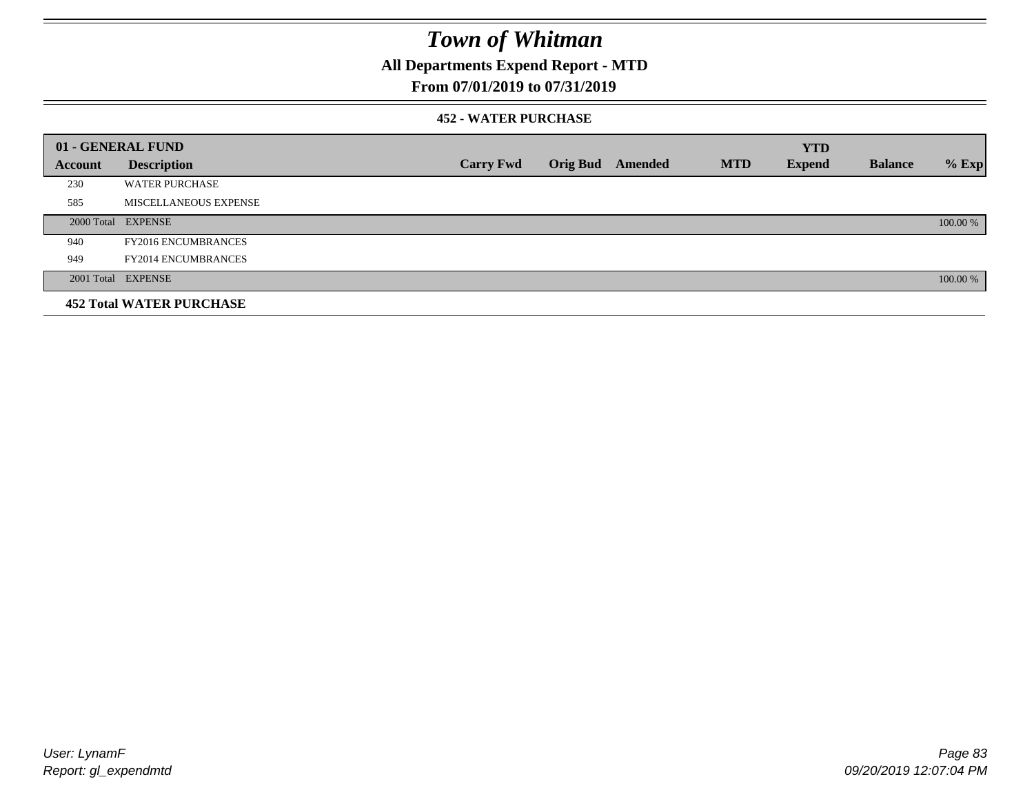**All Departments Expend Report - MTD**

### **From 07/01/2019 to 07/31/2019**

#### **452 - WATER PURCHASE**

|         | 01 - GENERAL FUND               |                  |                 |         |            | <b>YTD</b>    |                |          |
|---------|---------------------------------|------------------|-----------------|---------|------------|---------------|----------------|----------|
| Account | <b>Description</b>              | <b>Carry Fwd</b> | <b>Orig Bud</b> | Amended | <b>MTD</b> | <b>Expend</b> | <b>Balance</b> | $%$ Exp  |
| 230     | <b>WATER PURCHASE</b>           |                  |                 |         |            |               |                |          |
| 585     | MISCELLANEOUS EXPENSE           |                  |                 |         |            |               |                |          |
|         | 2000 Total EXPENSE              |                  |                 |         |            |               |                | 100.00 % |
| 940     | <b>FY2016 ENCUMBRANCES</b>      |                  |                 |         |            |               |                |          |
| 949     | <b>FY2014 ENCUMBRANCES</b>      |                  |                 |         |            |               |                |          |
|         | 2001 Total EXPENSE              |                  |                 |         |            |               |                | 100.00 % |
|         | <b>452 Total WATER PURCHASE</b> |                  |                 |         |            |               |                |          |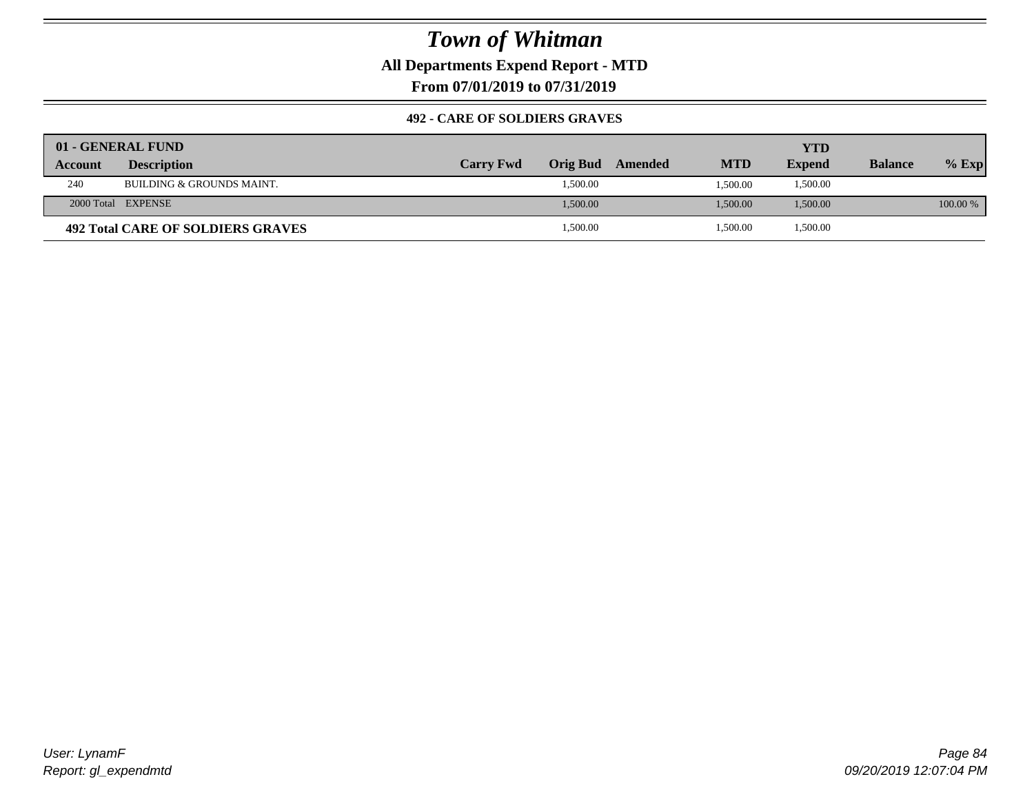**All Departments Expend Report - MTD**

**From 07/01/2019 to 07/31/2019**

#### **492 - CARE OF SOLDIERS GRAVES**

|                | 01 - GENERAL FUND                        |                  |                 |         |            | YTD           |                |            |
|----------------|------------------------------------------|------------------|-----------------|---------|------------|---------------|----------------|------------|
| <b>Account</b> | <b>Description</b>                       | <b>Carry Fwd</b> | <b>Orig Bud</b> | Amended | <b>MTD</b> | <b>Expend</b> | <b>Balance</b> | $%$ Exp    |
| 240            | BUILDING & GROUNDS MAINT.                |                  | 1,500.00        |         | 1.500.00   | 1,500.00      |                |            |
|                | 2000 Total EXPENSE                       |                  | 1,500.00        |         | 1,500.00   | 1,500.00      |                | $100.00\%$ |
|                | <b>492 Total CARE OF SOLDIERS GRAVES</b> |                  | 1,500.00        |         | 1,500.00   | 1,500.00      |                |            |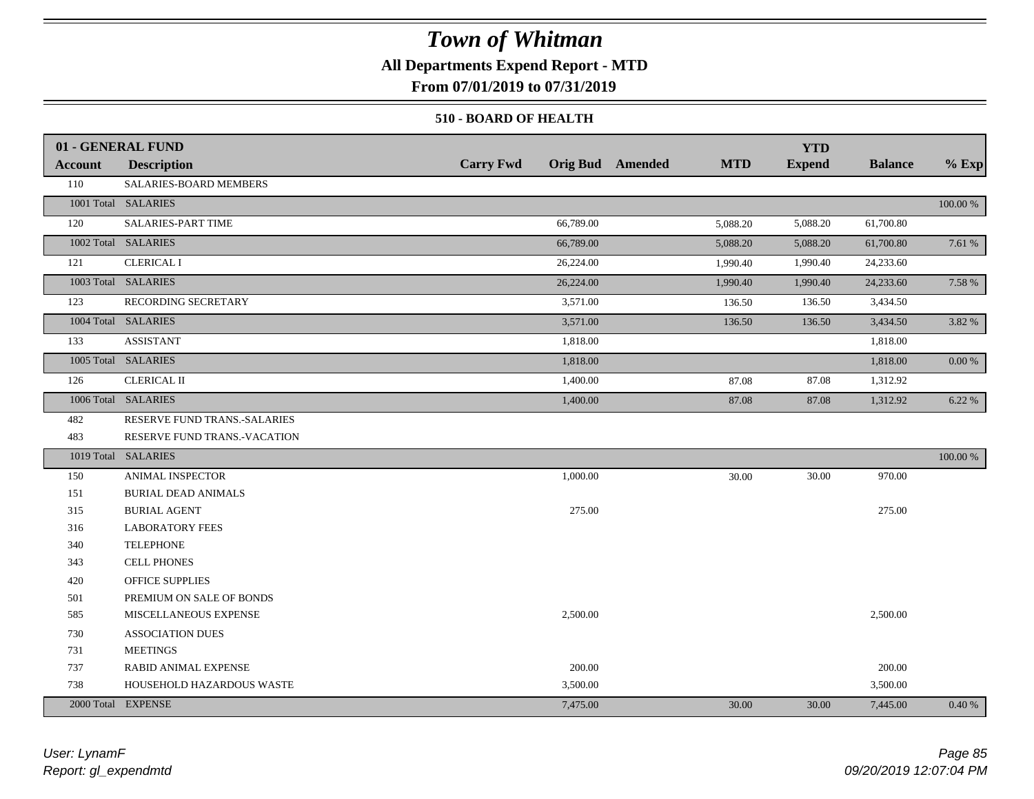### **All Departments Expend Report - MTD**

**From 07/01/2019 to 07/31/2019**

#### **510 - BOARD OF HEALTH**

|                | 01 - GENERAL FUND            |                  |                                       | <b>YTD</b>    |                |            |
|----------------|------------------------------|------------------|---------------------------------------|---------------|----------------|------------|
| <b>Account</b> | <b>Description</b>           | <b>Carry Fwd</b> | <b>MTD</b><br><b>Orig Bud</b> Amended | <b>Expend</b> | <b>Balance</b> | $%$ Exp    |
| 110            | SALARIES-BOARD MEMBERS       |                  |                                       |               |                |            |
|                | 1001 Total SALARIES          |                  |                                       |               |                | 100.00 %   |
| 120            | <b>SALARIES-PART TIME</b>    | 66,789.00        | 5,088.20                              | 5,088.20      | 61,700.80      |            |
|                | 1002 Total SALARIES          | 66,789.00        | 5,088.20                              | 5,088.20      | 61,700.80      | 7.61 %     |
| 121            | <b>CLERICAL I</b>            | 26,224.00        | 1,990.40                              | 1,990.40      | 24,233.60      |            |
|                | 1003 Total SALARIES          | 26,224.00        | 1,990.40                              | 1,990.40      | 24,233.60      | 7.58 %     |
| 123            | RECORDING SECRETARY          | 3,571.00         | 136.50                                | 136.50        | 3,434.50       |            |
|                | 1004 Total SALARIES          | 3,571.00         | 136.50                                | 136.50        | 3,434.50       | 3.82 %     |
| 133            | <b>ASSISTANT</b>             | 1,818.00         |                                       |               | 1,818.00       |            |
|                | 1005 Total SALARIES          | 1,818.00         |                                       |               | 1,818.00       | $0.00\,\%$ |
| 126            | <b>CLERICAL II</b>           | 1,400.00         | 87.08                                 | 87.08         | 1,312.92       |            |
|                | 1006 Total SALARIES          | 1,400.00         | 87.08                                 | 87.08         | 1,312.92       | 6.22%      |
| 482            | RESERVE FUND TRANS.-SALARIES |                  |                                       |               |                |            |
| 483            | RESERVE FUND TRANS.-VACATION |                  |                                       |               |                |            |
|                | 1019 Total SALARIES          |                  |                                       |               |                | 100.00 %   |
| 150            | <b>ANIMAL INSPECTOR</b>      | 1,000.00         | 30.00                                 | 30.00         | 970.00         |            |
| 151            | <b>BURIAL DEAD ANIMALS</b>   |                  |                                       |               |                |            |
| 315            | <b>BURIAL AGENT</b>          | 275.00           |                                       |               | 275.00         |            |
| 316            | <b>LABORATORY FEES</b>       |                  |                                       |               |                |            |
| 340            | <b>TELEPHONE</b>             |                  |                                       |               |                |            |
| 343            | <b>CELL PHONES</b>           |                  |                                       |               |                |            |
| 420            | <b>OFFICE SUPPLIES</b>       |                  |                                       |               |                |            |
| 501            | PREMIUM ON SALE OF BONDS     |                  |                                       |               |                |            |
| 585            | MISCELLANEOUS EXPENSE        | 2,500.00         |                                       |               | 2,500.00       |            |
| 730            | <b>ASSOCIATION DUES</b>      |                  |                                       |               |                |            |
| 731            | <b>MEETINGS</b>              |                  |                                       |               |                |            |
| 737            | RABID ANIMAL EXPENSE         | 200.00           |                                       |               | 200.00         |            |
| 738            | HOUSEHOLD HAZARDOUS WASTE    | 3,500.00         |                                       |               | 3,500.00       |            |
|                | 2000 Total EXPENSE           | 7,475.00         | 30.00                                 | 30.00         | 7,445.00       | 0.40%      |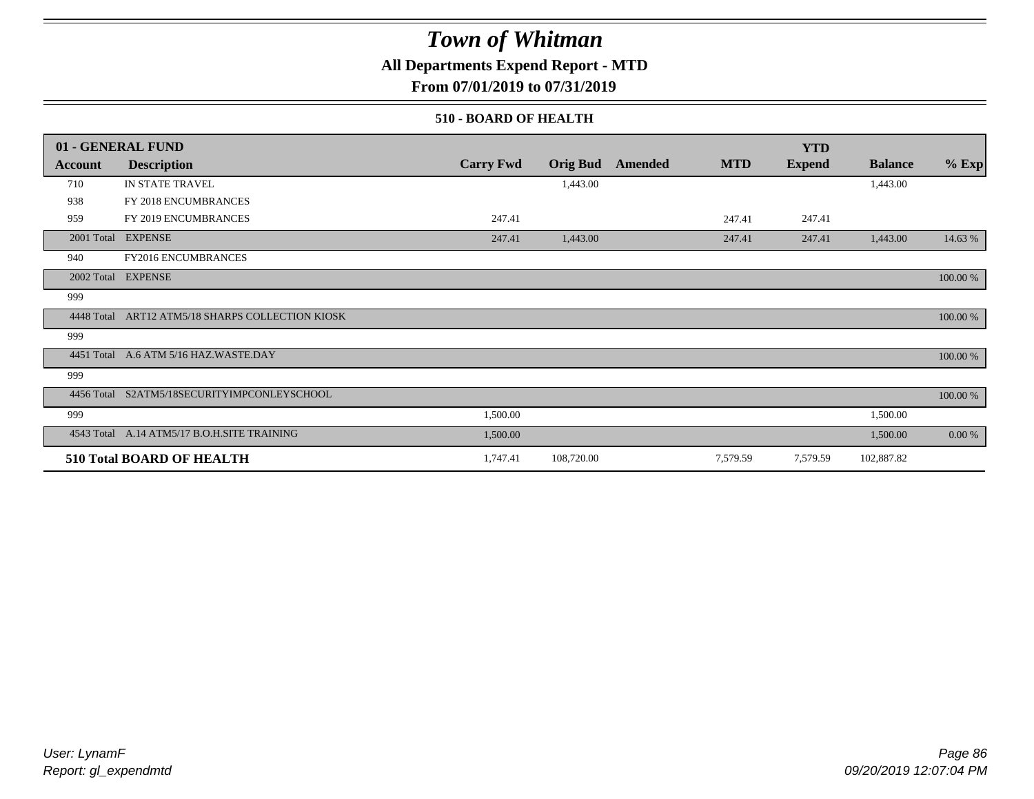### **All Departments Expend Report - MTD**

**From 07/01/2019 to 07/31/2019**

#### **510 - BOARD OF HEALTH**

|            | 01 - GENERAL FUND                           |                  |                 |         |            | <b>YTD</b>    |                |          |
|------------|---------------------------------------------|------------------|-----------------|---------|------------|---------------|----------------|----------|
| Account    | <b>Description</b>                          | <b>Carry Fwd</b> | <b>Orig Bud</b> | Amended | <b>MTD</b> | <b>Expend</b> | <b>Balance</b> | $%$ Exp  |
| 710        | IN STATE TRAVEL                             |                  | 1,443.00        |         |            |               | 1,443.00       |          |
| 938        | FY 2018 ENCUMBRANCES                        |                  |                 |         |            |               |                |          |
| 959        | FY 2019 ENCUMBRANCES                        | 247.41           |                 |         | 247.41     | 247.41        |                |          |
|            | 2001 Total EXPENSE                          | 247.41           | 1,443.00        |         | 247.41     | 247.41        | 1,443.00       | 14.63 %  |
| 940        | FY2016 ENCUMBRANCES                         |                  |                 |         |            |               |                |          |
|            | 2002 Total EXPENSE                          |                  |                 |         |            |               |                | 100.00 % |
| 999        |                                             |                  |                 |         |            |               |                |          |
| 4448 Total | ART12 ATM5/18 SHARPS COLLECTION KIOSK       |                  |                 |         |            |               |                | 100.00 % |
| 999        |                                             |                  |                 |         |            |               |                |          |
|            | 4451 Total A.6 ATM 5/16 HAZ.WASTE.DAY       |                  |                 |         |            |               |                | 100.00 % |
| 999        |                                             |                  |                 |         |            |               |                |          |
|            | 4456 Total S2ATM5/18SECURITYIMPCONLEYSCHOOL |                  |                 |         |            |               |                | 100.00 % |
| 999        |                                             | 1,500.00         |                 |         |            |               | 1,500.00       |          |
|            | 4543 Total A.14 ATM5/17 B.O.H.SITE TRAINING | 1,500.00         |                 |         |            |               | 1,500.00       | 0.00 %   |
|            | 510 Total BOARD OF HEALTH                   | 1,747.41         | 108,720.00      |         | 7,579.59   | 7,579.59      | 102,887.82     |          |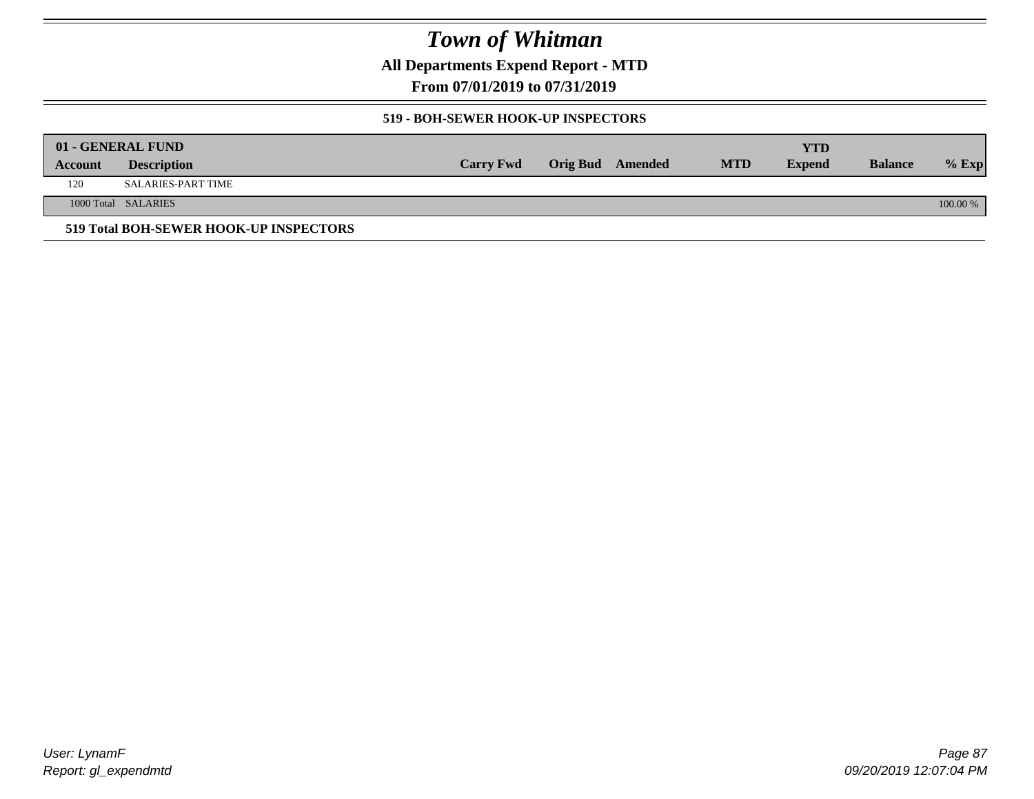**All Departments Expend Report - MTD**

**From 07/01/2019 to 07/31/2019**

#### **519 - BOH-SEWER HOOK-UP INSPECTORS**

|         | 01 - GENERAL FUND                      |                  |                  |            | YTD           |                |          |
|---------|----------------------------------------|------------------|------------------|------------|---------------|----------------|----------|
| Account | <b>Description</b>                     | <b>Carry Fwd</b> | Orig Bud Amended | <b>MTD</b> | <b>Expend</b> | <b>Balance</b> | $%$ Exp  |
| 120     | SALARIES-PART TIME                     |                  |                  |            |               |                |          |
|         | 1000 Total SALARIES                    |                  |                  |            |               |                | 100.00 % |
|         | 519 Total BOH-SEWER HOOK-UP INSPECTORS |                  |                  |            |               |                |          |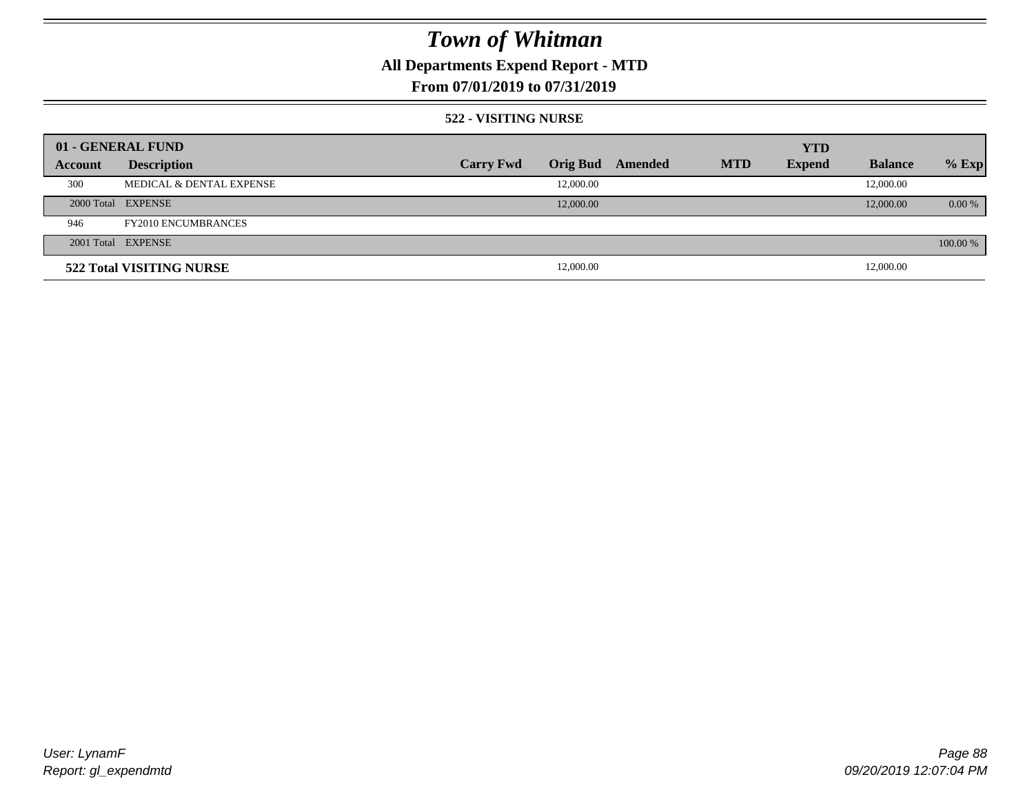## **All Departments Expend Report - MTD**

### **From 07/01/2019 to 07/31/2019**

#### **522 - VISITING NURSE**

| 01 - GENERAL FUND |                            |                  |                 |         |            | <b>YTD</b>    |                |          |
|-------------------|----------------------------|------------------|-----------------|---------|------------|---------------|----------------|----------|
| Account           | <b>Description</b>         | <b>Carry Fwd</b> | <b>Orig Bud</b> | Amended | <b>MTD</b> | <b>Expend</b> | <b>Balance</b> | $%$ Exp  |
| 300               | MEDICAL & DENTAL EXPENSE   |                  | 12,000.00       |         |            |               | 12,000.00      |          |
|                   | 2000 Total EXPENSE         |                  | 12,000.00       |         |            |               | 12,000.00      | $0.00\%$ |
| 946               | <b>FY2010 ENCUMBRANCES</b> |                  |                 |         |            |               |                |          |
|                   | 2001 Total EXPENSE         |                  |                 |         |            |               |                | 100.00 % |
|                   | 522 Total VISITING NURSE   |                  | 12,000.00       |         |            |               | 12,000.00      |          |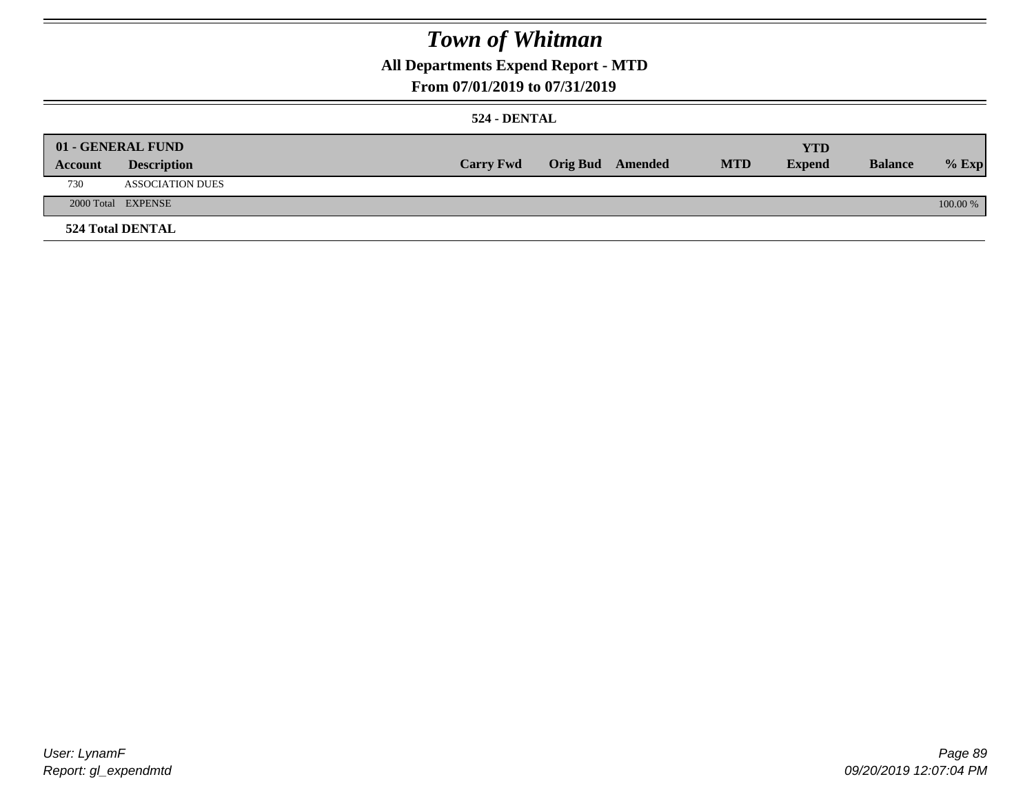### **All Departments Expend Report - MTD**

### **From 07/01/2019 to 07/31/2019**

#### **524 - DENTAL**

|         | 01 - GENERAL FUND       |                  |                  |            | <b>YTD</b>    |                |          |
|---------|-------------------------|------------------|------------------|------------|---------------|----------------|----------|
| Account | <b>Description</b>      | <b>Carry Fwd</b> | Orig Bud Amended | <b>MTD</b> | <b>Expend</b> | <b>Balance</b> | $%$ Exp  |
| 730     | <b>ASSOCIATION DUES</b> |                  |                  |            |               |                |          |
|         | 2000 Total EXPENSE      |                  |                  |            |               |                | 100.00 % |
|         | <b>524 Total DENTAL</b> |                  |                  |            |               |                |          |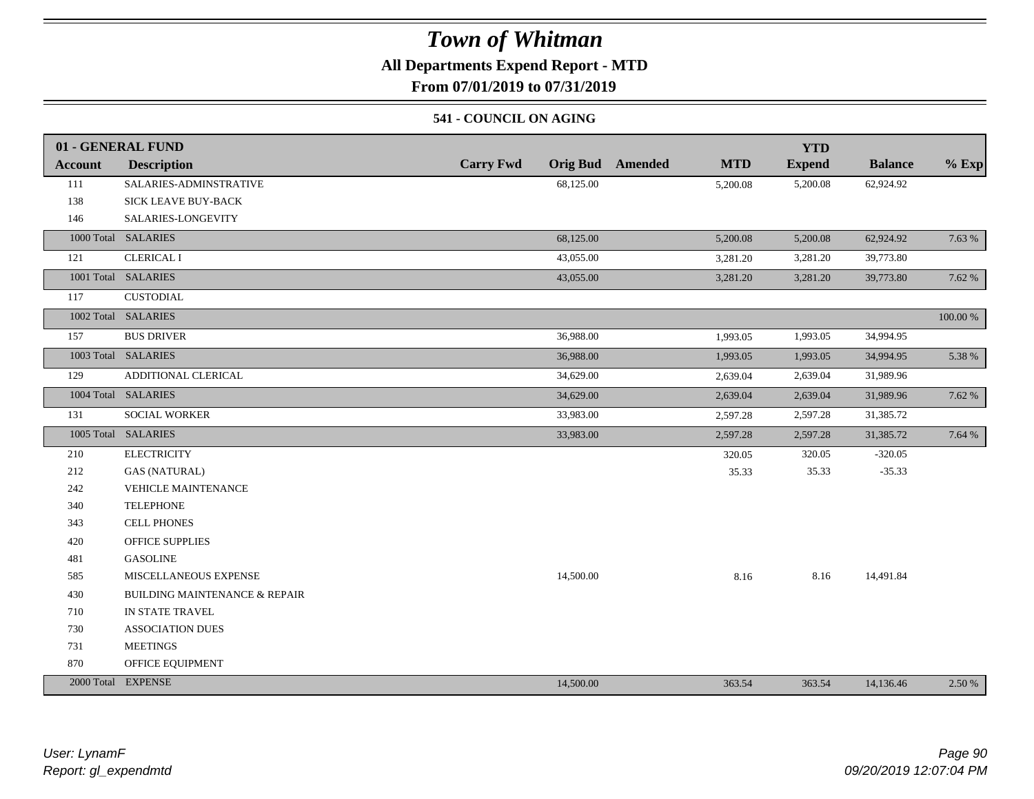### **All Departments Expend Report - MTD**

**From 07/01/2019 to 07/31/2019**

#### **541 - COUNCIL ON AGING**

|         | 01 - GENERAL FUND                        |                                     |                       | <b>YTD</b>    |                |          |
|---------|------------------------------------------|-------------------------------------|-----------------------|---------------|----------------|----------|
| Account | <b>Description</b>                       | <b>Carry Fwd</b><br><b>Orig Bud</b> | <b>MTD</b><br>Amended | <b>Expend</b> | <b>Balance</b> | $%$ Exp  |
| 111     | SALARIES-ADMINSTRATIVE                   | 68,125.00                           | 5,200.08              | 5,200.08      | 62,924.92      |          |
| 138     | <b>SICK LEAVE BUY-BACK</b>               |                                     |                       |               |                |          |
| 146     | SALARIES-LONGEVITY                       |                                     |                       |               |                |          |
|         | 1000 Total SALARIES                      | 68,125.00                           | 5,200.08              | 5,200.08      | 62,924.92      | 7.63 %   |
| 121     | <b>CLERICAL I</b>                        | 43,055.00                           | 3,281.20              | 3,281.20      | 39,773.80      |          |
|         | 1001 Total SALARIES                      | 43,055.00                           | 3,281.20              | 3,281.20      | 39,773.80      | 7.62 %   |
| 117     | <b>CUSTODIAL</b>                         |                                     |                       |               |                |          |
|         | 1002 Total SALARIES                      |                                     |                       |               |                | 100.00 % |
| 157     | <b>BUS DRIVER</b>                        | 36,988.00                           | 1,993.05              | 1,993.05      | 34,994.95      |          |
|         | 1003 Total SALARIES                      | 36,988.00                           | 1,993.05              | 1,993.05      | 34,994.95      | 5.38 %   |
| 129     | ADDITIONAL CLERICAL                      | 34,629.00                           | 2,639.04              | 2,639.04      | 31,989.96      |          |
|         | 1004 Total SALARIES                      | 34,629.00                           | 2,639.04              | 2,639.04      | 31,989.96      | 7.62 %   |
| 131     | SOCIAL WORKER                            | 33,983.00                           | 2,597.28              | 2,597.28      | 31,385.72      |          |
|         | 1005 Total SALARIES                      | 33,983.00                           | 2,597.28              | 2,597.28      | 31,385.72      | 7.64 %   |
| 210     | <b>ELECTRICITY</b>                       |                                     | 320.05                | 320.05        | $-320.05$      |          |
| 212     | <b>GAS (NATURAL)</b>                     |                                     | 35.33                 | 35.33         | $-35.33$       |          |
| 242     | VEHICLE MAINTENANCE                      |                                     |                       |               |                |          |
| 340     | <b>TELEPHONE</b>                         |                                     |                       |               |                |          |
| 343     | <b>CELL PHONES</b>                       |                                     |                       |               |                |          |
| 420     | <b>OFFICE SUPPLIES</b>                   |                                     |                       |               |                |          |
| 481     | <b>GASOLINE</b>                          |                                     |                       |               |                |          |
| 585     | MISCELLANEOUS EXPENSE                    | 14,500.00                           | 8.16                  | 8.16          | 14,491.84      |          |
| 430     | <b>BUILDING MAINTENANCE &amp; REPAIR</b> |                                     |                       |               |                |          |
| 710     | IN STATE TRAVEL                          |                                     |                       |               |                |          |
| 730     | <b>ASSOCIATION DUES</b>                  |                                     |                       |               |                |          |
| 731     | <b>MEETINGS</b>                          |                                     |                       |               |                |          |
| 870     | OFFICE EQUIPMENT                         |                                     |                       |               |                |          |
|         | 2000 Total EXPENSE                       | 14,500.00                           | 363.54                | 363.54        | 14,136.46      | 2.50 %   |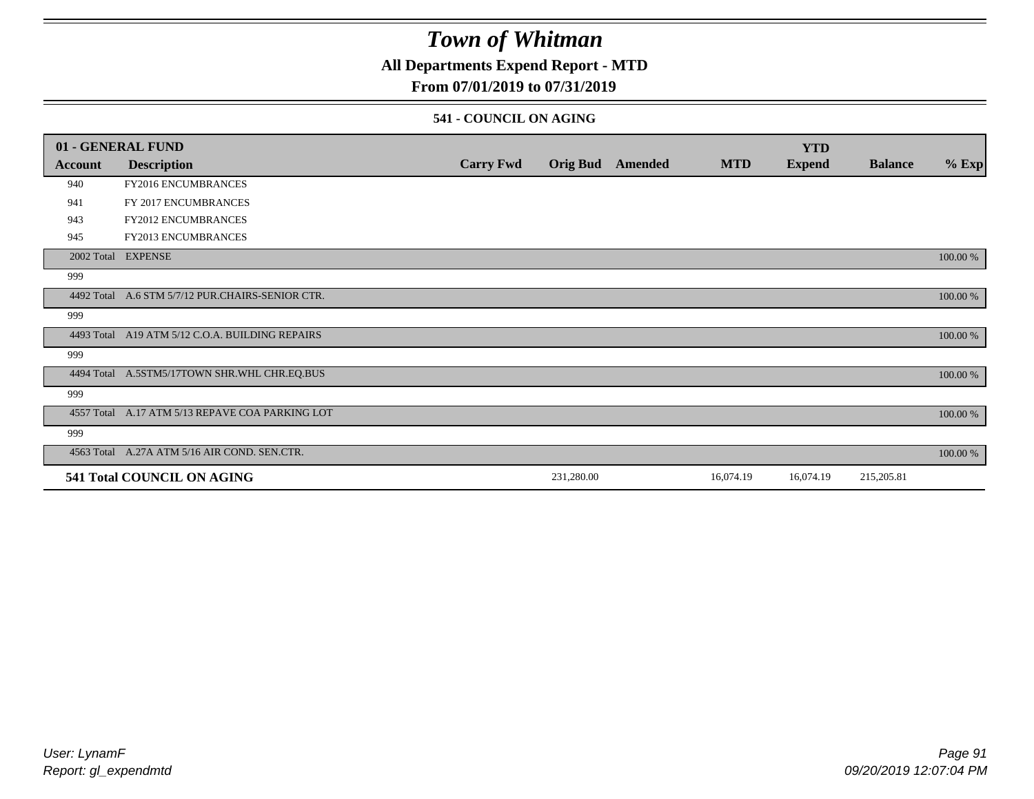### **All Departments Expend Report - MTD**

### **From 07/01/2019 to 07/31/2019**

#### **541 - COUNCIL ON AGING**

|         | 01 - GENERAL FUND                                |                  |                 |         |            | <b>YTD</b>    |                |          |
|---------|--------------------------------------------------|------------------|-----------------|---------|------------|---------------|----------------|----------|
| Account | <b>Description</b>                               | <b>Carry Fwd</b> | <b>Orig Bud</b> | Amended | <b>MTD</b> | <b>Expend</b> | <b>Balance</b> | $%$ Exp  |
| 940     | FY2016 ENCUMBRANCES                              |                  |                 |         |            |               |                |          |
| 941     | FY 2017 ENCUMBRANCES                             |                  |                 |         |            |               |                |          |
| 943     | FY2012 ENCUMBRANCES                              |                  |                 |         |            |               |                |          |
| 945     | <b>FY2013 ENCUMBRANCES</b>                       |                  |                 |         |            |               |                |          |
|         | 2002 Total EXPENSE                               |                  |                 |         |            |               |                | 100.00 % |
| 999     |                                                  |                  |                 |         |            |               |                |          |
|         | 4492 Total A.6 STM 5/7/12 PUR.CHAIRS-SENIOR CTR. |                  |                 |         |            |               |                | 100.00 % |
| 999     |                                                  |                  |                 |         |            |               |                |          |
|         | 4493 Total A19 ATM 5/12 C.O.A. BUILDING REPAIRS  |                  |                 |         |            |               |                | 100.00 % |
| 999     |                                                  |                  |                 |         |            |               |                |          |
|         | 4494 Total A.5STM5/17TOWN SHR.WHL CHR.EQ.BUS     |                  |                 |         |            |               |                | 100.00 % |
| 999     |                                                  |                  |                 |         |            |               |                |          |
|         | 4557 Total A.17 ATM 5/13 REPAVE COA PARKING LOT  |                  |                 |         |            |               |                | 100.00 % |
| 999     |                                                  |                  |                 |         |            |               |                |          |
|         | 4563 Total A.27A ATM 5/16 AIR COND. SEN.CTR.     |                  |                 |         |            |               |                | 100.00 % |
|         | 541 Total COUNCIL ON AGING                       |                  | 231,280.00      |         | 16,074.19  | 16,074.19     | 215,205.81     |          |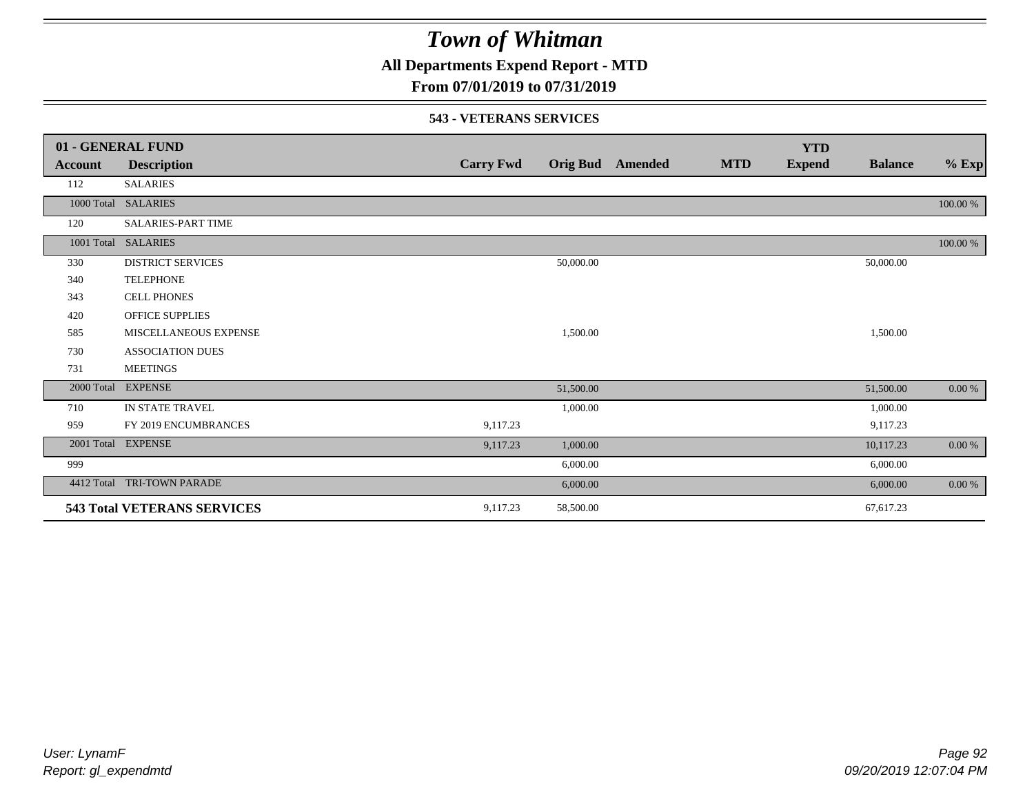**All Departments Expend Report - MTD**

### **From 07/01/2019 to 07/31/2019**

#### **543 - VETERANS SERVICES**

|            | 01 - GENERAL FUND                  |                  |                 |         |            | <b>YTD</b>    |                |           |
|------------|------------------------------------|------------------|-----------------|---------|------------|---------------|----------------|-----------|
| Account    | <b>Description</b>                 | <b>Carry Fwd</b> | <b>Orig Bud</b> | Amended | <b>MTD</b> | <b>Expend</b> | <b>Balance</b> | $%$ Exp   |
| 112        | <b>SALARIES</b>                    |                  |                 |         |            |               |                |           |
|            | 1000 Total SALARIES                |                  |                 |         |            |               |                | 100.00 %  |
| 120        | SALARIES-PART TIME                 |                  |                 |         |            |               |                |           |
|            | 1001 Total SALARIES                |                  |                 |         |            |               |                | 100.00 %  |
| 330        | <b>DISTRICT SERVICES</b>           |                  | 50,000.00       |         |            |               | 50,000.00      |           |
| 340        | <b>TELEPHONE</b>                   |                  |                 |         |            |               |                |           |
| 343        | <b>CELL PHONES</b>                 |                  |                 |         |            |               |                |           |
| 420        | <b>OFFICE SUPPLIES</b>             |                  |                 |         |            |               |                |           |
| 585        | MISCELLANEOUS EXPENSE              |                  | 1,500.00        |         |            |               | 1,500.00       |           |
| 730        | <b>ASSOCIATION DUES</b>            |                  |                 |         |            |               |                |           |
| 731        | <b>MEETINGS</b>                    |                  |                 |         |            |               |                |           |
|            | 2000 Total EXPENSE                 |                  | 51,500.00       |         |            |               | 51,500.00      | $0.00 \%$ |
| 710        | IN STATE TRAVEL                    |                  | 1,000.00        |         |            |               | 1,000.00       |           |
| 959        | FY 2019 ENCUMBRANCES               | 9,117.23         |                 |         |            |               | 9,117.23       |           |
|            | 2001 Total EXPENSE                 | 9,117.23         | 1,000.00        |         |            |               | 10,117.23      | $0.00~\%$ |
| 999        |                                    |                  | 6,000.00        |         |            |               | 6,000.00       |           |
| 4412 Total | TRI-TOWN PARADE                    |                  | 6,000.00        |         |            |               | 6,000.00       | $0.00 \%$ |
|            | <b>543 Total VETERANS SERVICES</b> | 9,117.23         | 58,500.00       |         |            |               | 67,617.23      |           |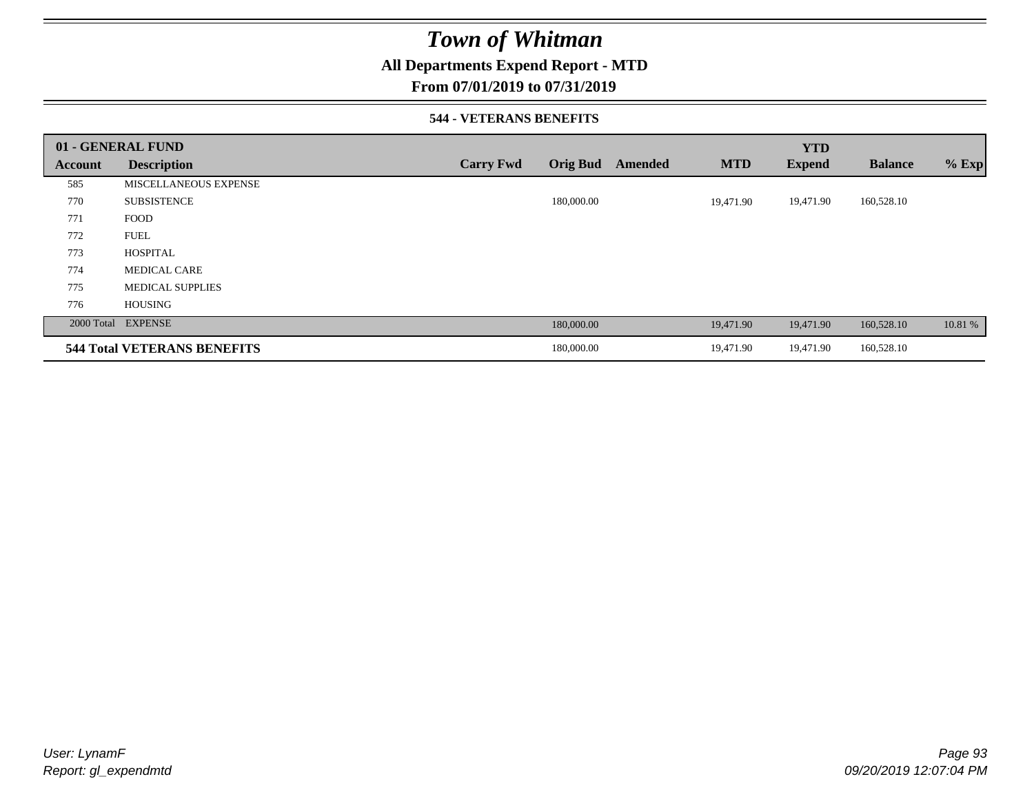### **All Departments Expend Report - MTD**

### **From 07/01/2019 to 07/31/2019**

#### **544 - VETERANS BENEFITS**

|         | 01 - GENERAL FUND                  |                  |                 |         |            | <b>YTD</b>    |                |         |
|---------|------------------------------------|------------------|-----------------|---------|------------|---------------|----------------|---------|
| Account | <b>Description</b>                 | <b>Carry Fwd</b> | <b>Orig Bud</b> | Amended | <b>MTD</b> | <b>Expend</b> | <b>Balance</b> | $%$ Exp |
| 585     | MISCELLANEOUS EXPENSE              |                  |                 |         |            |               |                |         |
| 770     | <b>SUBSISTENCE</b>                 |                  | 180,000.00      |         | 19,471.90  | 19,471.90     | 160,528.10     |         |
| 771     | <b>FOOD</b>                        |                  |                 |         |            |               |                |         |
| 772     | <b>FUEL</b>                        |                  |                 |         |            |               |                |         |
| 773     | <b>HOSPITAL</b>                    |                  |                 |         |            |               |                |         |
| 774     | <b>MEDICAL CARE</b>                |                  |                 |         |            |               |                |         |
| 775     | <b>MEDICAL SUPPLIES</b>            |                  |                 |         |            |               |                |         |
| 776     | <b>HOUSING</b>                     |                  |                 |         |            |               |                |         |
|         | 2000 Total EXPENSE                 |                  | 180,000.00      |         | 19,471.90  | 19,471.90     | 160,528.10     | 10.81 % |
|         | <b>544 Total VETERANS BENEFITS</b> |                  | 180,000.00      |         | 19,471.90  | 19,471.90     | 160,528.10     |         |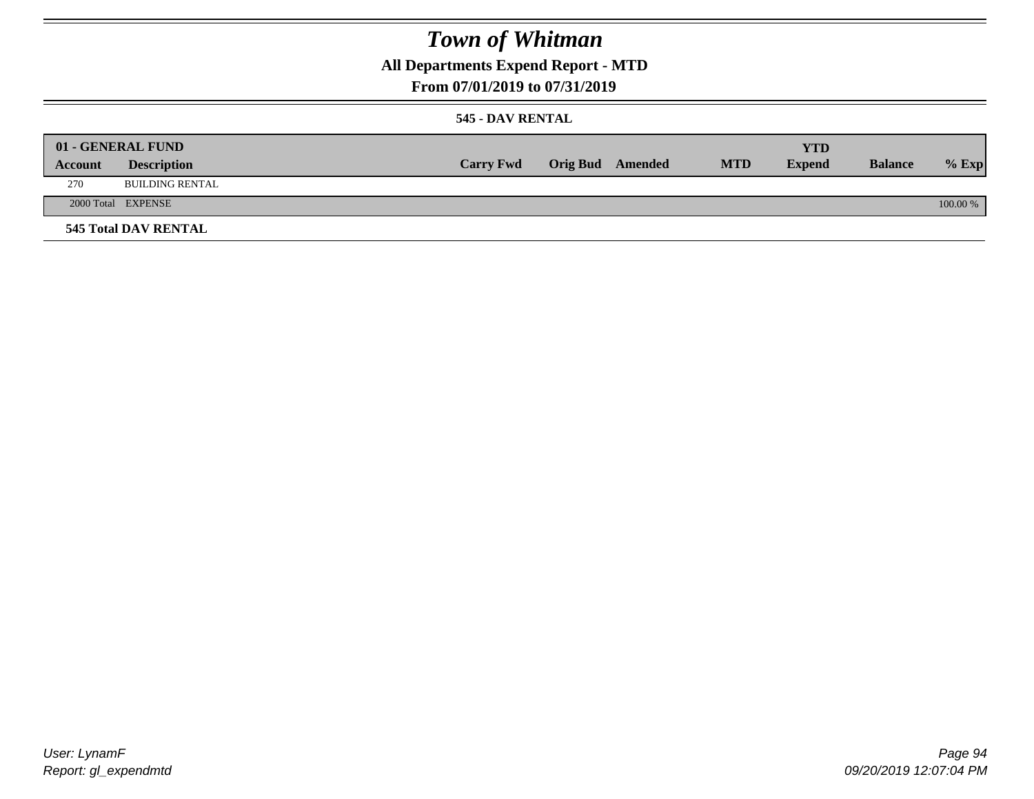**All Departments Expend Report - MTD**

### **From 07/01/2019 to 07/31/2019**

#### **545 - DAV RENTAL**

|         | 01 - GENERAL FUND           |                  |                         |            | YTD           |                |            |
|---------|-----------------------------|------------------|-------------------------|------------|---------------|----------------|------------|
| Account | <b>Description</b>          | <b>Carry Fwd</b> | <b>Orig Bud</b> Amended | <b>MTD</b> | <b>Expend</b> | <b>Balance</b> | $%$ Exp    |
| 270     | <b>BUILDING RENTAL</b>      |                  |                         |            |               |                |            |
|         | 2000 Total EXPENSE          |                  |                         |            |               |                | $100.00\%$ |
|         | <b>545 Total DAV RENTAL</b> |                  |                         |            |               |                |            |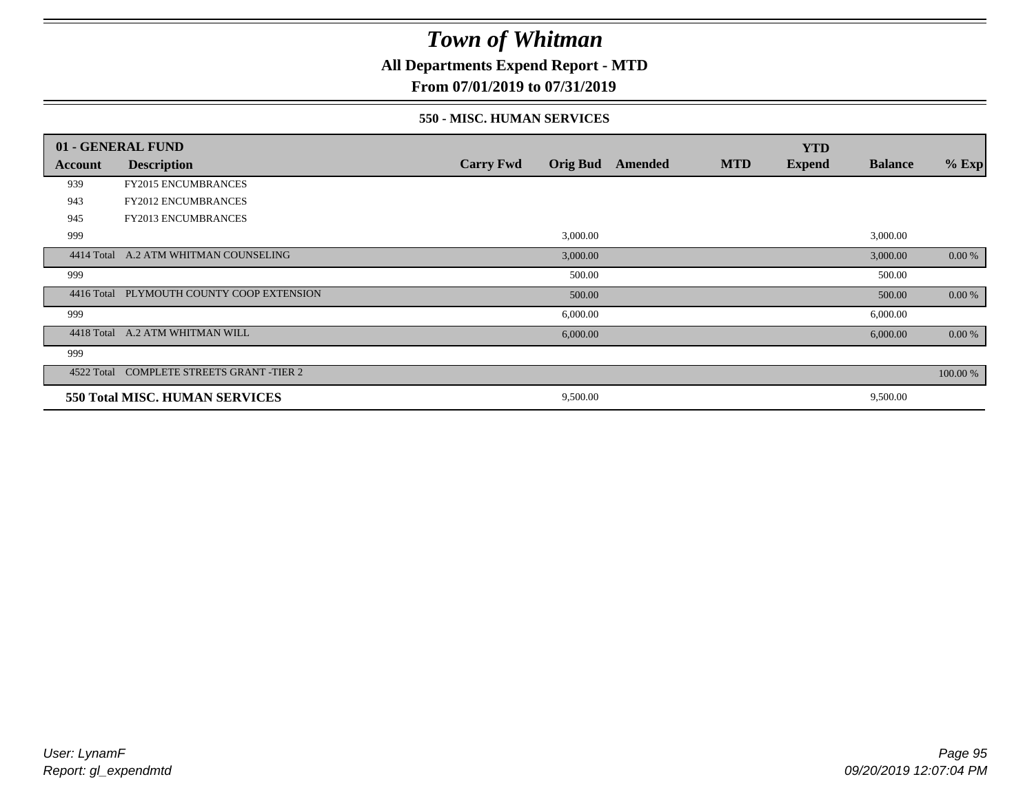### **All Departments Expend Report - MTD**

### **From 07/01/2019 to 07/31/2019**

#### **550 - MISC. HUMAN SERVICES**

|            | 01 - GENERAL FUND                         |                  |                 |         |            | <b>YTD</b>    |                |          |
|------------|-------------------------------------------|------------------|-----------------|---------|------------|---------------|----------------|----------|
| Account    | <b>Description</b>                        | <b>Carry Fwd</b> | <b>Orig Bud</b> | Amended | <b>MTD</b> | <b>Expend</b> | <b>Balance</b> | $%$ Exp  |
| 939        | <b>FY2015 ENCUMBRANCES</b>                |                  |                 |         |            |               |                |          |
| 943        | <b>FY2012 ENCUMBRANCES</b>                |                  |                 |         |            |               |                |          |
| 945        | <b>FY2013 ENCUMBRANCES</b>                |                  |                 |         |            |               |                |          |
| 999        |                                           |                  | 3,000.00        |         |            |               | 3,000.00       |          |
| 4414 Total | A.2 ATM WHITMAN COUNSELING                |                  | 3,000.00        |         |            |               | 3,000.00       | $0.00\%$ |
| 999        |                                           |                  | 500.00          |         |            |               | 500.00         |          |
|            | 4416 Total PLYMOUTH COUNTY COOP EXTENSION |                  | 500.00          |         |            |               | 500.00         | 0.00 %   |
| 999        |                                           |                  | 6,000.00        |         |            |               | 6,000.00       |          |
| 4418 Total | A.2 ATM WHITMAN WILL                      |                  | 6,000.00        |         |            |               | 6,000.00       | 0.00 %   |
| 999        |                                           |                  |                 |         |            |               |                |          |
| 4522 Total | <b>COMPLETE STREETS GRANT -TIER 2</b>     |                  |                 |         |            |               |                | 100.00 % |
|            | 550 Total MISC. HUMAN SERVICES            |                  | 9,500.00        |         |            |               | 9,500.00       |          |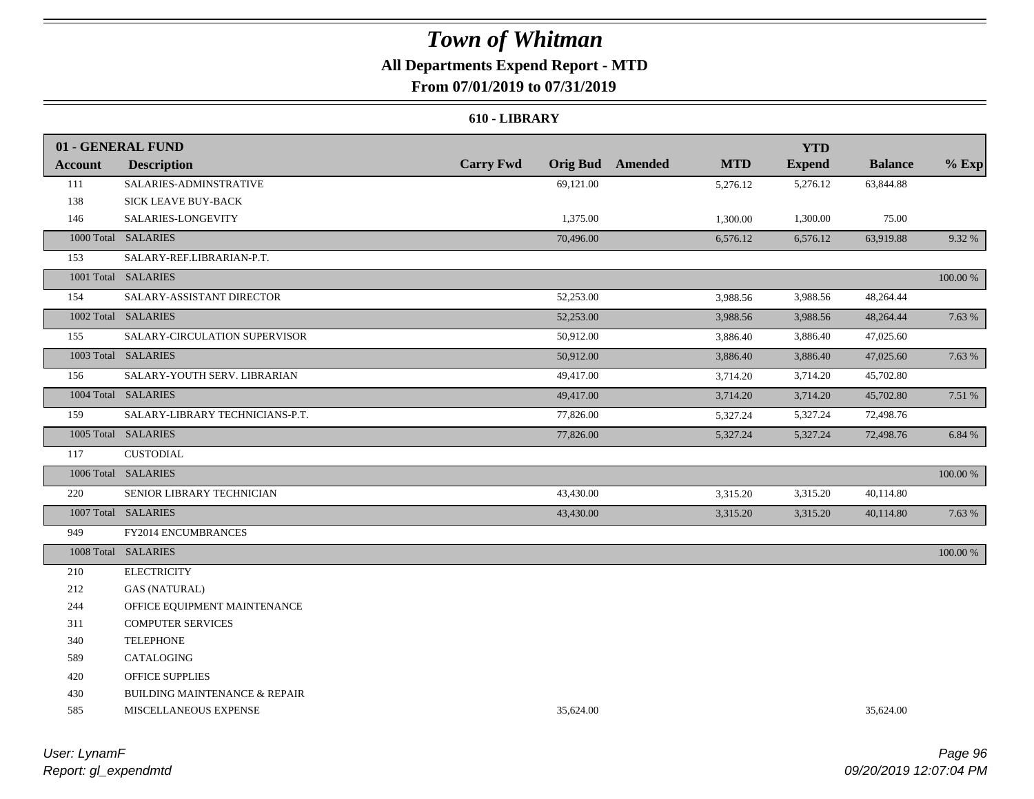### **All Departments Expend Report - MTD From 07/01/2019 to 07/31/2019**

#### **610 - LIBRARY**

|                | 01 - GENERAL FUND                        |                  |           |                         |            | <b>YTD</b>    |                |          |
|----------------|------------------------------------------|------------------|-----------|-------------------------|------------|---------------|----------------|----------|
| <b>Account</b> | <b>Description</b>                       | <b>Carry Fwd</b> |           | <b>Orig Bud</b> Amended | <b>MTD</b> | <b>Expend</b> | <b>Balance</b> | $%$ Exp  |
| 111            | SALARIES-ADMINSTRATIVE                   |                  | 69,121.00 |                         | 5,276.12   | 5,276.12      | 63,844.88      |          |
| 138            | SICK LEAVE BUY-BACK                      |                  |           |                         |            |               |                |          |
| 146            | SALARIES-LONGEVITY                       |                  | 1,375.00  |                         | 1,300.00   | 1,300.00      | 75.00          |          |
|                | 1000 Total SALARIES                      |                  | 70,496.00 |                         | 6,576.12   | 6,576.12      | 63,919.88      | 9.32 %   |
| 153            | SALARY-REF.LIBRARIAN-P.T.                |                  |           |                         |            |               |                |          |
|                | 1001 Total SALARIES                      |                  |           |                         |            |               |                | 100.00 % |
| 154            | SALARY-ASSISTANT DIRECTOR                |                  | 52,253.00 |                         | 3,988.56   | 3,988.56      | 48,264.44      |          |
|                | 1002 Total SALARIES                      |                  | 52,253.00 |                         | 3,988.56   | 3,988.56      | 48,264.44      | 7.63 %   |
| 155            | SALARY-CIRCULATION SUPERVISOR            |                  | 50,912.00 |                         | 3,886.40   | 3,886.40      | 47,025.60      |          |
|                | 1003 Total SALARIES                      |                  | 50,912.00 |                         | 3,886.40   | 3,886.40      | 47,025.60      | 7.63 %   |
| 156            | SALARY-YOUTH SERV. LIBRARIAN             |                  | 49,417.00 |                         | 3,714.20   | 3,714.20      | 45,702.80      |          |
|                | 1004 Total SALARIES                      |                  | 49,417.00 |                         | 3,714.20   | 3,714.20      | 45,702.80      | 7.51 %   |
| 159            | SALARY-LIBRARY TECHNICIANS-P.T.          |                  | 77,826.00 |                         | 5,327.24   | 5,327.24      | 72,498.76      |          |
|                | 1005 Total SALARIES                      |                  | 77,826.00 |                         | 5,327.24   | 5,327.24      | 72,498.76      | 6.84 %   |
| 117            | <b>CUSTODIAL</b>                         |                  |           |                         |            |               |                |          |
|                | 1006 Total SALARIES                      |                  |           |                         |            |               |                | 100.00 % |
| 220            | SENIOR LIBRARY TECHNICIAN                |                  | 43,430.00 |                         | 3,315.20   | 3,315.20      | 40,114.80      |          |
|                | 1007 Total SALARIES                      |                  | 43,430.00 |                         | 3,315.20   | 3,315.20      | 40,114.80      | 7.63 %   |
| 949            | FY2014 ENCUMBRANCES                      |                  |           |                         |            |               |                |          |
|                | 1008 Total SALARIES                      |                  |           |                         |            |               |                | 100.00 % |
| 210            | <b>ELECTRICITY</b>                       |                  |           |                         |            |               |                |          |
| 212            | <b>GAS (NATURAL)</b>                     |                  |           |                         |            |               |                |          |
| 244            | OFFICE EQUIPMENT MAINTENANCE             |                  |           |                         |            |               |                |          |
| 311            | <b>COMPUTER SERVICES</b>                 |                  |           |                         |            |               |                |          |
| 340            | <b>TELEPHONE</b>                         |                  |           |                         |            |               |                |          |
| 589            | CATALOGING                               |                  |           |                         |            |               |                |          |
| 420            | <b>OFFICE SUPPLIES</b>                   |                  |           |                         |            |               |                |          |
| 430            | <b>BUILDING MAINTENANCE &amp; REPAIR</b> |                  |           |                         |            |               |                |          |
| 585            | MISCELLANEOUS EXPENSE                    |                  | 35,624.00 |                         |            |               | 35,624.00      |          |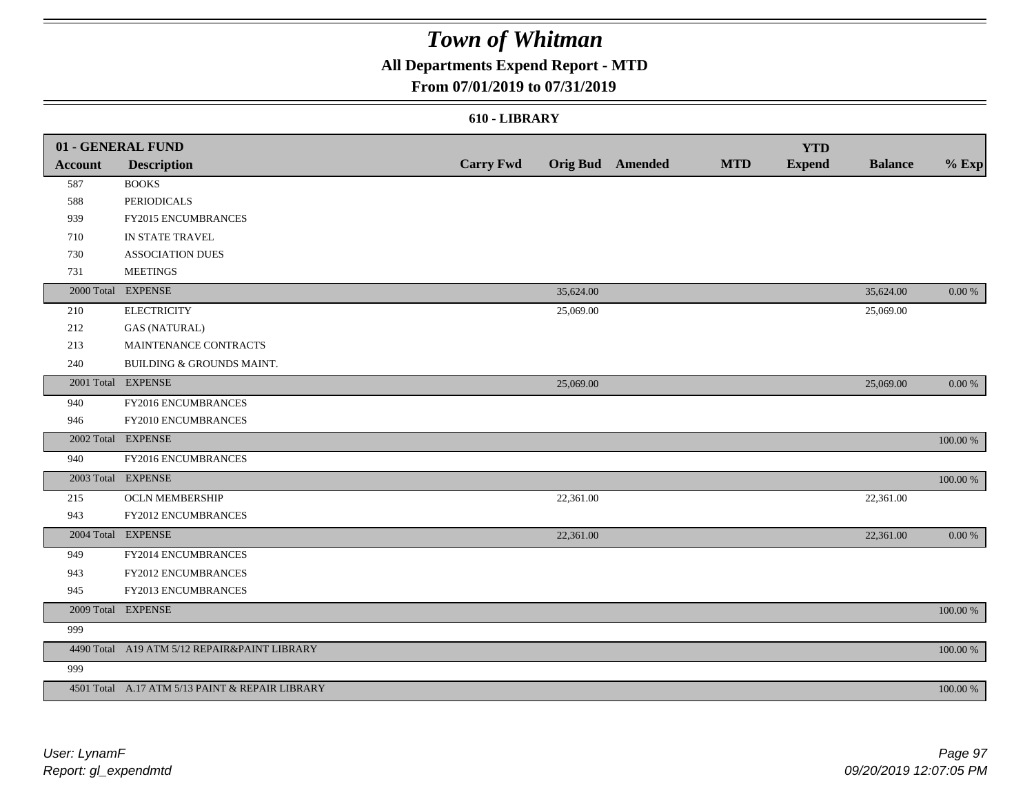### **All Departments Expend Report - MTD**

### **From 07/01/2019 to 07/31/2019**

#### **610 - LIBRARY**

|                | 01 - GENERAL FUND                               |                  |           |                  |            | <b>YTD</b>    |                |            |
|----------------|-------------------------------------------------|------------------|-----------|------------------|------------|---------------|----------------|------------|
| <b>Account</b> | <b>Description</b>                              | <b>Carry Fwd</b> |           | Orig Bud Amended | <b>MTD</b> | <b>Expend</b> | <b>Balance</b> | $%$ Exp    |
| 587            | <b>BOOKS</b>                                    |                  |           |                  |            |               |                |            |
| 588            | <b>PERIODICALS</b>                              |                  |           |                  |            |               |                |            |
| 939            | FY2015 ENCUMBRANCES                             |                  |           |                  |            |               |                |            |
| 710            | IN STATE TRAVEL                                 |                  |           |                  |            |               |                |            |
| 730            | <b>ASSOCIATION DUES</b>                         |                  |           |                  |            |               |                |            |
| 731            | <b>MEETINGS</b>                                 |                  |           |                  |            |               |                |            |
|                | 2000 Total EXPENSE                              |                  | 35,624.00 |                  |            |               | 35,624.00      | 0.00 %     |
| 210            | <b>ELECTRICITY</b>                              |                  | 25,069.00 |                  |            |               | 25,069.00      |            |
| 212            | <b>GAS (NATURAL)</b>                            |                  |           |                  |            |               |                |            |
| 213            | MAINTENANCE CONTRACTS                           |                  |           |                  |            |               |                |            |
| 240            | BUILDING & GROUNDS MAINT.                       |                  |           |                  |            |               |                |            |
|                | 2001 Total EXPENSE                              |                  | 25,069.00 |                  |            |               | 25,069.00      | $0.00\,\%$ |
| 940            | FY2016 ENCUMBRANCES                             |                  |           |                  |            |               |                |            |
| 946            | FY2010 ENCUMBRANCES                             |                  |           |                  |            |               |                |            |
| 2002 Total     | <b>EXPENSE</b>                                  |                  |           |                  |            |               |                | 100.00 %   |
| 940            | FY2016 ENCUMBRANCES                             |                  |           |                  |            |               |                |            |
|                | 2003 Total EXPENSE                              |                  |           |                  |            |               |                | 100.00 %   |
| 215            | <b>OCLN MEMBERSHIP</b>                          |                  | 22,361.00 |                  |            |               | 22,361.00      |            |
| 943            | FY2012 ENCUMBRANCES                             |                  |           |                  |            |               |                |            |
|                | 2004 Total EXPENSE                              |                  | 22,361.00 |                  |            |               | 22,361.00      | 0.00 %     |
| 949            | FY2014 ENCUMBRANCES                             |                  |           |                  |            |               |                |            |
| 943            | FY2012 ENCUMBRANCES                             |                  |           |                  |            |               |                |            |
| 945            | FY2013 ENCUMBRANCES                             |                  |           |                  |            |               |                |            |
|                | 2009 Total EXPENSE                              |                  |           |                  |            |               |                | 100.00 %   |
| 999            |                                                 |                  |           |                  |            |               |                |            |
|                | 4490 Total A19 ATM 5/12 REPAIR&PAINT LIBRARY    |                  |           |                  |            |               |                | 100.00 %   |
| 999            |                                                 |                  |           |                  |            |               |                |            |
|                | 4501 Total A.17 ATM 5/13 PAINT & REPAIR LIBRARY |                  |           |                  |            |               |                | 100.00 %   |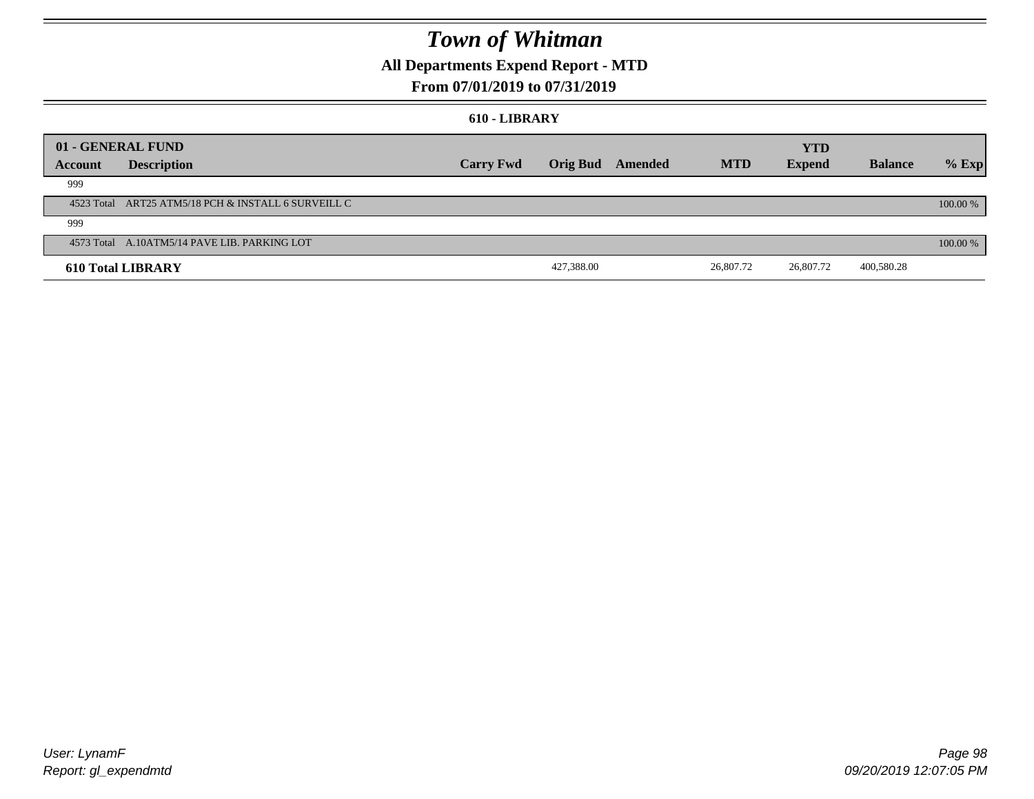### **All Departments Expend Report - MTD**

### **From 07/01/2019 to 07/31/2019**

#### **610 - LIBRARY**

|         | 01 - GENERAL FUND                                   |                  |                  |  |            |               |                |          |
|---------|-----------------------------------------------------|------------------|------------------|--|------------|---------------|----------------|----------|
|         |                                                     |                  |                  |  |            | <b>YTD</b>    |                |          |
| Account | <b>Description</b>                                  | <b>Carry Fwd</b> | Orig Bud Amended |  | <b>MTD</b> | <b>Expend</b> | <b>Balance</b> | $%$ Exp  |
| 999     |                                                     |                  |                  |  |            |               |                |          |
|         | 4523 Total ART25 ATM5/18 PCH & INSTALL 6 SURVEILL C |                  |                  |  |            |               |                | 100.00 % |
| 999     |                                                     |                  |                  |  |            |               |                |          |
|         | 4573 Total A.10ATM5/14 PAVE LIB. PARKING LOT        |                  |                  |  |            |               |                | 100.00 % |
|         | <b>610 Total LIBRARY</b>                            |                  | 427,388.00       |  | 26,807.72  | 26,807.72     | 400,580.28     |          |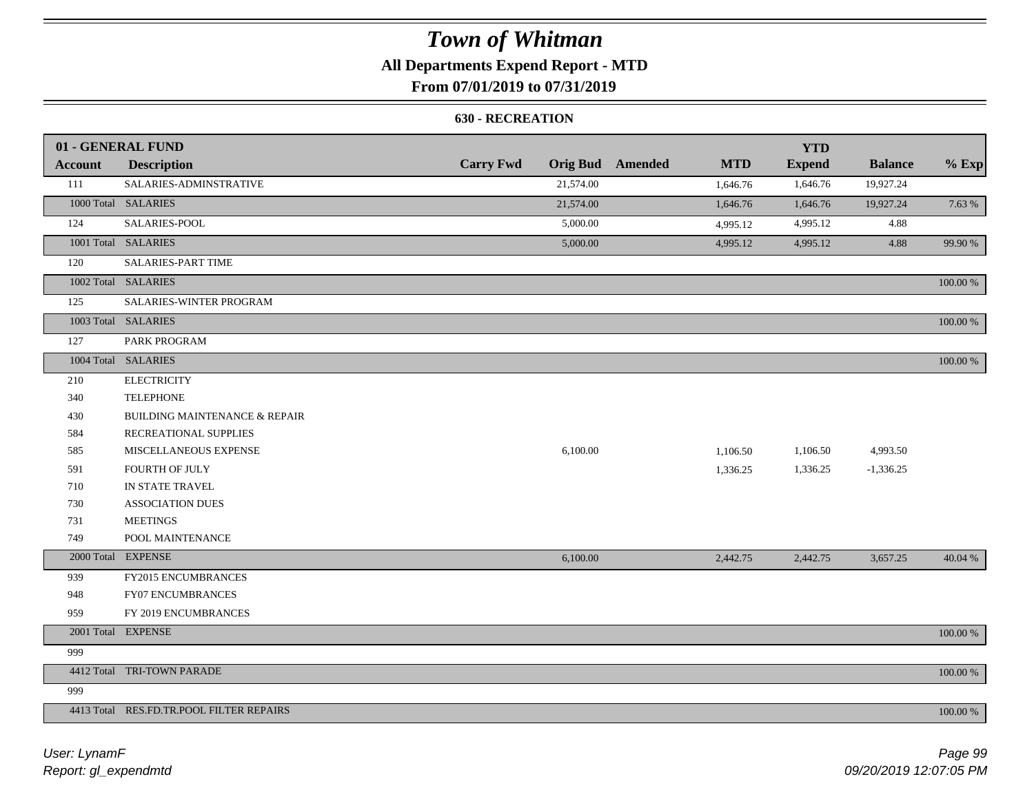### **All Departments Expend Report - MTD**

### **From 07/01/2019 to 07/31/2019**

#### **630 - RECREATION**

|                | 01 - GENERAL FUND                        |                  |           |                  |            | <b>YTD</b>    |                |          |
|----------------|------------------------------------------|------------------|-----------|------------------|------------|---------------|----------------|----------|
| <b>Account</b> | <b>Description</b>                       | <b>Carry Fwd</b> |           | Orig Bud Amended | <b>MTD</b> | <b>Expend</b> | <b>Balance</b> | $%$ Exp  |
| 111            | SALARIES-ADMINSTRATIVE                   |                  | 21,574.00 |                  | 1,646.76   | 1,646.76      | 19,927.24      |          |
|                | 1000 Total SALARIES                      |                  | 21,574.00 |                  | 1,646.76   | 1,646.76      | 19,927.24      | 7.63 %   |
| 124            | SALARIES-POOL                            |                  | 5,000.00  |                  | 4,995.12   | 4,995.12      | 4.88           |          |
|                | 1001 Total SALARIES                      |                  | 5,000.00  |                  | 4,995.12   | 4,995.12      | 4.88           | 99.90 %  |
| 120            | <b>SALARIES-PART TIME</b>                |                  |           |                  |            |               |                |          |
|                | 1002 Total SALARIES                      |                  |           |                  |            |               |                | 100.00 % |
| 125            | SALARIES-WINTER PROGRAM                  |                  |           |                  |            |               |                |          |
|                | 1003 Total SALARIES                      |                  |           |                  |            |               |                | 100.00 % |
| 127            | PARK PROGRAM                             |                  |           |                  |            |               |                |          |
|                | 1004 Total SALARIES                      |                  |           |                  |            |               |                | 100.00 % |
| 210            | <b>ELECTRICITY</b>                       |                  |           |                  |            |               |                |          |
| 340            | <b>TELEPHONE</b>                         |                  |           |                  |            |               |                |          |
| 430            | <b>BUILDING MAINTENANCE &amp; REPAIR</b> |                  |           |                  |            |               |                |          |
| 584            | RECREATIONAL SUPPLIES                    |                  |           |                  |            |               |                |          |
| 585            | MISCELLANEOUS EXPENSE                    |                  | 6,100.00  |                  | 1,106.50   | 1,106.50      | 4,993.50       |          |
| 591            | <b>FOURTH OF JULY</b>                    |                  |           |                  | 1,336.25   | 1,336.25      | $-1,336.25$    |          |
| 710            | IN STATE TRAVEL                          |                  |           |                  |            |               |                |          |
| 730            | <b>ASSOCIATION DUES</b>                  |                  |           |                  |            |               |                |          |
| 731            | <b>MEETINGS</b>                          |                  |           |                  |            |               |                |          |
| 749            | POOL MAINTENANCE                         |                  |           |                  |            |               |                |          |
|                | 2000 Total EXPENSE                       |                  | 6,100.00  |                  | 2,442.75   | 2,442.75      | 3,657.25       | 40.04 %  |
| 939            | FY2015 ENCUMBRANCES                      |                  |           |                  |            |               |                |          |
| 948            | <b>FY07 ENCUMBRANCES</b>                 |                  |           |                  |            |               |                |          |
| 959            | FY 2019 ENCUMBRANCES                     |                  |           |                  |            |               |                |          |
|                | 2001 Total EXPENSE                       |                  |           |                  |            |               |                | 100.00 % |
| 999            |                                          |                  |           |                  |            |               |                |          |
|                | 4412 Total TRI-TOWN PARADE               |                  |           |                  |            |               |                | 100.00 % |
| 999            |                                          |                  |           |                  |            |               |                |          |
|                | 4413 Total RES.FD.TR.POOL FILTER REPAIRS |                  |           |                  |            |               |                | 100.00 % |

*Report: gl\_expendmtd User: LynamF*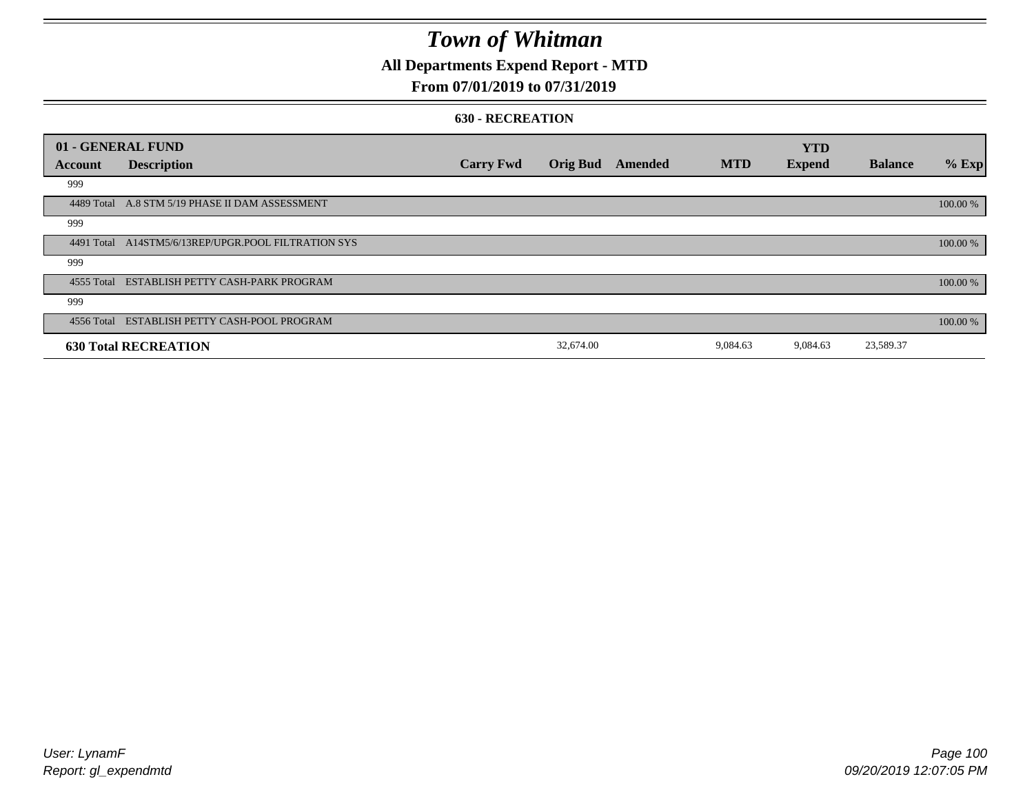### **All Departments Expend Report - MTD**

### **From 07/01/2019 to 07/31/2019**

#### **630 - RECREATION**

|         | 01 - GENERAL FUND                                   |                  |                 |         |            | <b>YTD</b>    |                |          |
|---------|-----------------------------------------------------|------------------|-----------------|---------|------------|---------------|----------------|----------|
| Account | <b>Description</b>                                  | <b>Carry Fwd</b> | <b>Orig Bud</b> | Amended | <b>MTD</b> | <b>Expend</b> | <b>Balance</b> | $%$ Exp  |
| 999     |                                                     |                  |                 |         |            |               |                |          |
|         | 4489 Total A.8 STM 5/19 PHASE II DAM ASSESSMENT     |                  |                 |         |            |               |                | 100.00 % |
| 999     |                                                     |                  |                 |         |            |               |                |          |
|         | 4491 Total A14STM5/6/13REP/UPGR.POOL FILTRATION SYS |                  |                 |         |            |               |                | 100.00 % |
| 999     |                                                     |                  |                 |         |            |               |                |          |
|         | 4555 Total ESTABLISH PETTY CASH-PARK PROGRAM        |                  |                 |         |            |               |                | 100.00 % |
| 999     |                                                     |                  |                 |         |            |               |                |          |
|         | 4556 Total ESTABLISH PETTY CASH-POOL PROGRAM        |                  |                 |         |            |               |                | 100.00 % |
|         | <b>630 Total RECREATION</b>                         |                  | 32,674.00       |         | 9,084.63   | 9,084.63      | 23,589.37      |          |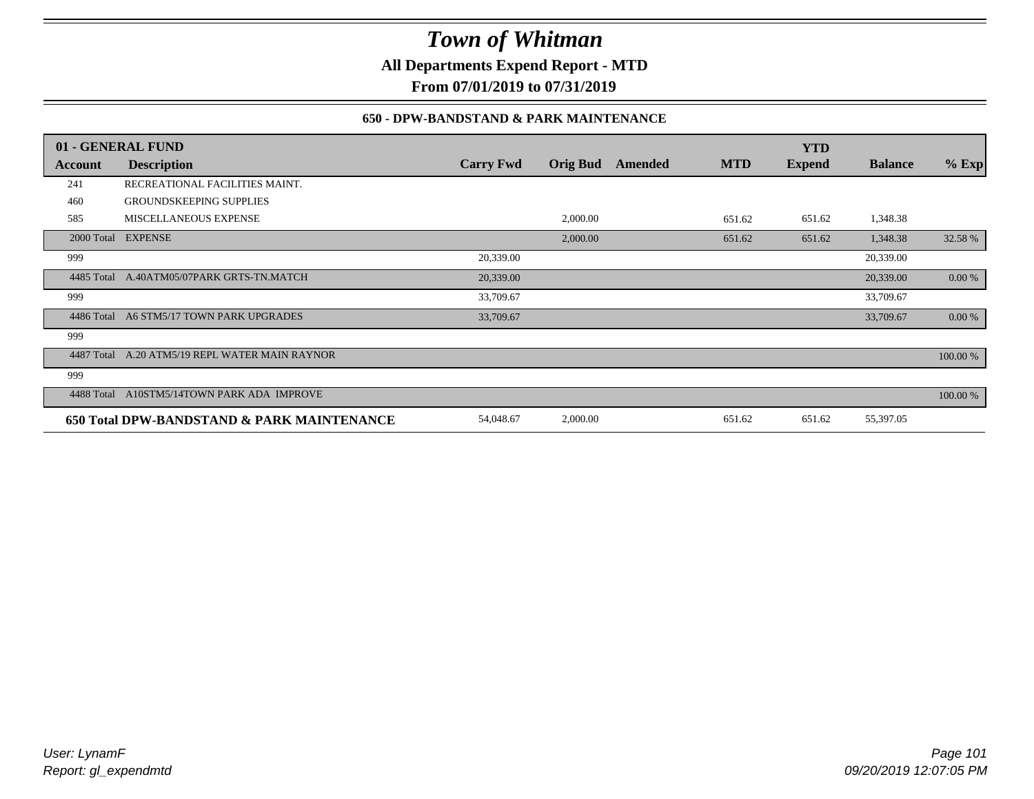**All Departments Expend Report - MTD**

**From 07/01/2019 to 07/31/2019**

#### **650 - DPW-BANDSTAND & PARK MAINTENANCE**

|            | 01 - GENERAL FUND                          |                  |                 |         |            | <b>YTD</b>    |                |          |
|------------|--------------------------------------------|------------------|-----------------|---------|------------|---------------|----------------|----------|
| Account    | <b>Description</b>                         | <b>Carry Fwd</b> | <b>Orig Bud</b> | Amended | <b>MTD</b> | <b>Expend</b> | <b>Balance</b> | $%$ Exp  |
| 241        | RECREATIONAL FACILITIES MAINT.             |                  |                 |         |            |               |                |          |
| 460        | <b>GROUNDSKEEPING SUPPLIES</b>             |                  |                 |         |            |               |                |          |
| 585        | <b>MISCELLANEOUS EXPENSE</b>               |                  | 2,000.00        |         | 651.62     | 651.62        | 1,348.38       |          |
|            | 2000 Total EXPENSE                         |                  | 2,000.00        |         | 651.62     | 651.62        | 1,348.38       | 32.58 %  |
| 999        |                                            | 20,339.00        |                 |         |            |               | 20,339.00      |          |
| 4485 Total | A.40ATM05/07PARK GRTS-TN.MATCH             | 20,339.00        |                 |         |            |               | 20,339.00      | 0.00 %   |
| 999        |                                            | 33,709.67        |                 |         |            |               | 33,709.67      |          |
| 4486 Total | A6 STM5/17 TOWN PARK UPGRADES              | 33,709.67        |                 |         |            |               | 33,709.67      | 0.00 %   |
| 999        |                                            |                  |                 |         |            |               |                |          |
| 4487 Total | A.20 ATM5/19 REPL WATER MAIN RAYNOR        |                  |                 |         |            |               |                | 100.00 % |
| 999        |                                            |                  |                 |         |            |               |                |          |
| 4488 Total | A10STM5/14TOWN PARK ADA IMPROVE            |                  |                 |         |            |               |                | 100.00 % |
|            | 650 Total DPW-BANDSTAND & PARK MAINTENANCE | 54,048.67        | 2,000.00        |         | 651.62     | 651.62        | 55,397.05      |          |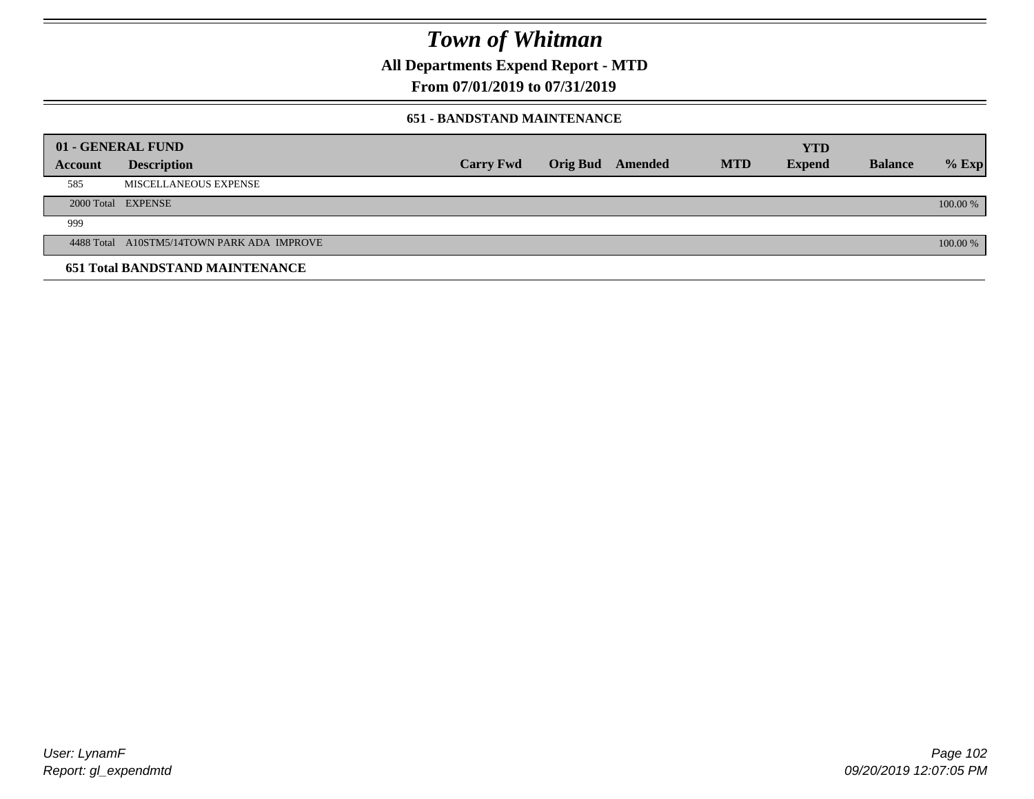**All Departments Expend Report - MTD**

**From 07/01/2019 to 07/31/2019**

#### **651 - BANDSTAND MAINTENANCE**

|                | 01 - GENERAL FUND                          |                  |                 |         |            | <b>YTD</b>    |                |          |
|----------------|--------------------------------------------|------------------|-----------------|---------|------------|---------------|----------------|----------|
| <b>Account</b> | <b>Description</b>                         | <b>Carry Fwd</b> | <b>Orig Bud</b> | Amended | <b>MTD</b> | <b>Expend</b> | <b>Balance</b> | $%$ Exp  |
| 585            | MISCELLANEOUS EXPENSE                      |                  |                 |         |            |               |                |          |
|                | 2000 Total EXPENSE                         |                  |                 |         |            |               |                | 100.00 % |
| 999            |                                            |                  |                 |         |            |               |                |          |
|                | 4488 Total A10STM5/14TOWN PARK ADA IMPROVE |                  |                 |         |            |               |                | 100.00 % |
|                | <b>651 Total BANDSTAND MAINTENANCE</b>     |                  |                 |         |            |               |                |          |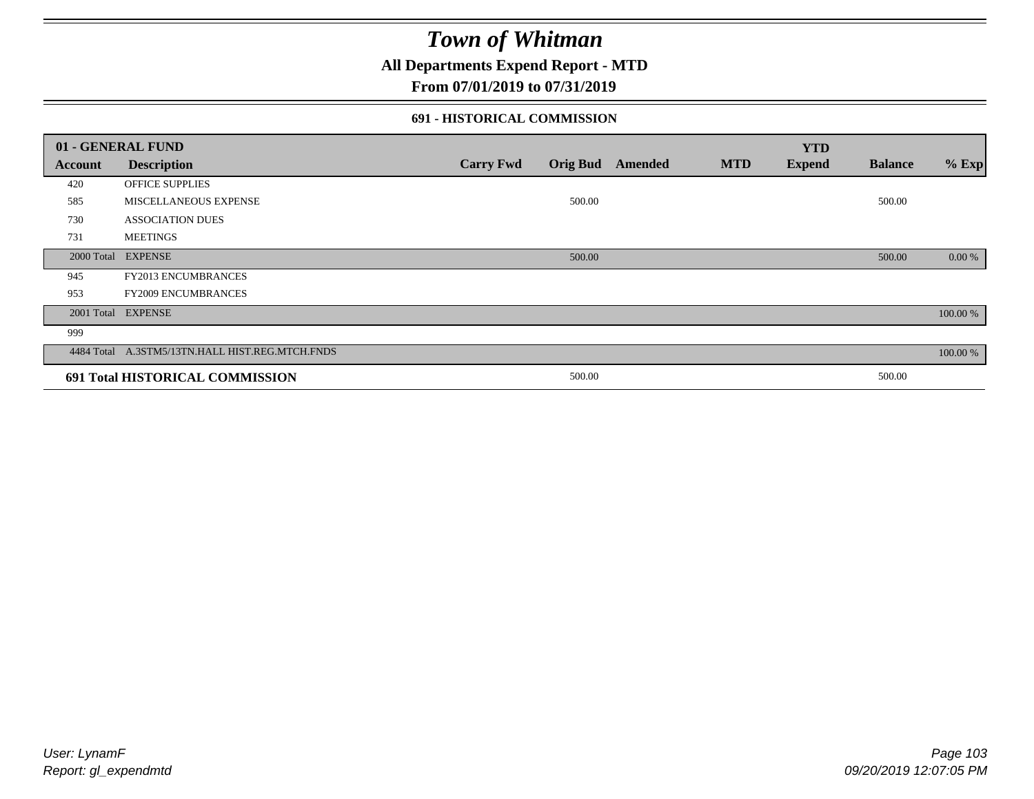### **All Departments Expend Report - MTD**

### **From 07/01/2019 to 07/31/2019**

#### **691 - HISTORICAL COMMISSION**

|         | 01 - GENERAL FUND                               |                  |        |                  |            | <b>YTD</b>    |                |          |
|---------|-------------------------------------------------|------------------|--------|------------------|------------|---------------|----------------|----------|
| Account | <b>Description</b>                              | <b>Carry Fwd</b> |        | Orig Bud Amended | <b>MTD</b> | <b>Expend</b> | <b>Balance</b> | $%$ Exp  |
| 420     | <b>OFFICE SUPPLIES</b>                          |                  |        |                  |            |               |                |          |
| 585     | MISCELLANEOUS EXPENSE                           |                  | 500.00 |                  |            |               | 500.00         |          |
| 730     | <b>ASSOCIATION DUES</b>                         |                  |        |                  |            |               |                |          |
| 731     | <b>MEETINGS</b>                                 |                  |        |                  |            |               |                |          |
|         | 2000 Total EXPENSE                              |                  | 500.00 |                  |            |               | 500.00         | 0.00 %   |
| 945     | FY2013 ENCUMBRANCES                             |                  |        |                  |            |               |                |          |
| 953     | <b>FY2009 ENCUMBRANCES</b>                      |                  |        |                  |            |               |                |          |
|         | 2001 Total EXPENSE                              |                  |        |                  |            |               |                | 100.00 % |
| 999     |                                                 |                  |        |                  |            |               |                |          |
|         | 4484 Total A.3STM5/13TN.HALL HIST.REG.MTCH.FNDS |                  |        |                  |            |               |                | 100.00 % |
|         | 691 Total HISTORICAL COMMISSION                 |                  | 500.00 |                  |            |               | 500.00         |          |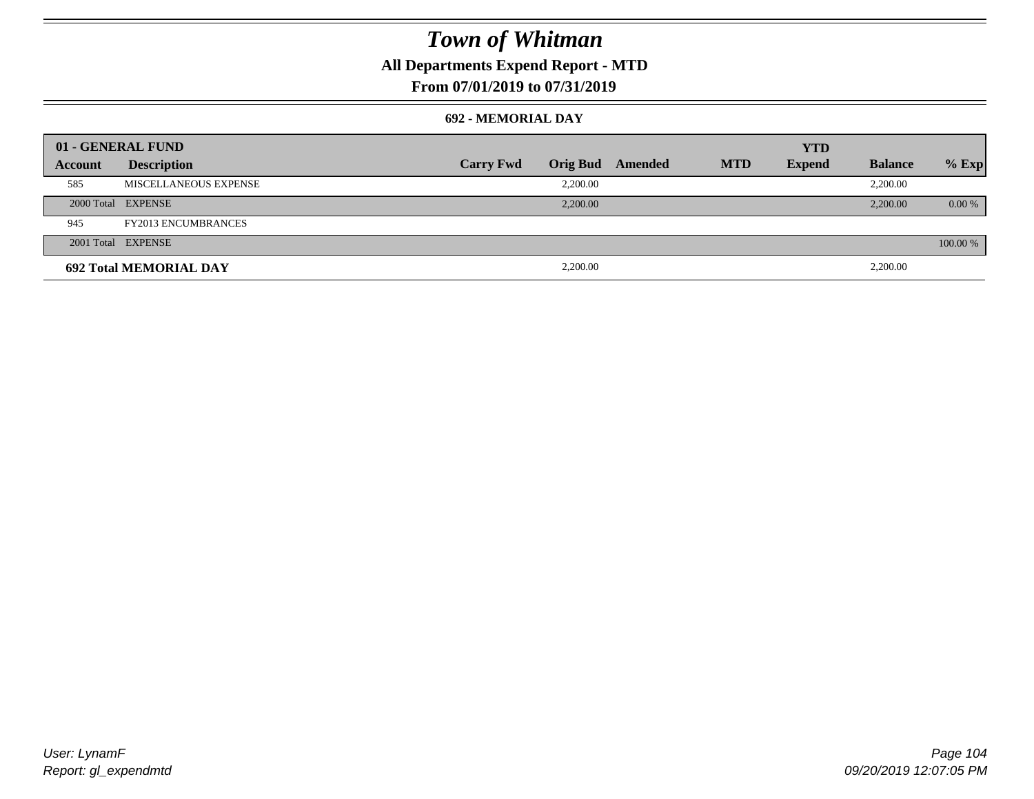### **All Departments Expend Report - MTD**

### **From 07/01/2019 to 07/31/2019**

#### **692 - MEMORIAL DAY**

| 01 - GENERAL FUND |                               |                  |                 |         |            | <b>YTD</b>    |                |           |
|-------------------|-------------------------------|------------------|-----------------|---------|------------|---------------|----------------|-----------|
| Account           | <b>Description</b>            | <b>Carry Fwd</b> | <b>Orig Bud</b> | Amended | <b>MTD</b> | <b>Expend</b> | <b>Balance</b> | $%$ Exp   |
| 585               | MISCELLANEOUS EXPENSE         |                  | 2,200.00        |         |            |               | 2,200.00       |           |
|                   | 2000 Total EXPENSE            |                  | 2,200.00        |         |            |               | 2,200.00       | $0.00 \%$ |
| 945               | <b>FY2013 ENCUMBRANCES</b>    |                  |                 |         |            |               |                |           |
|                   | 2001 Total EXPENSE            |                  |                 |         |            |               |                | 100.00 %  |
|                   | <b>692 Total MEMORIAL DAY</b> |                  | 2,200.00        |         |            |               | 2,200.00       |           |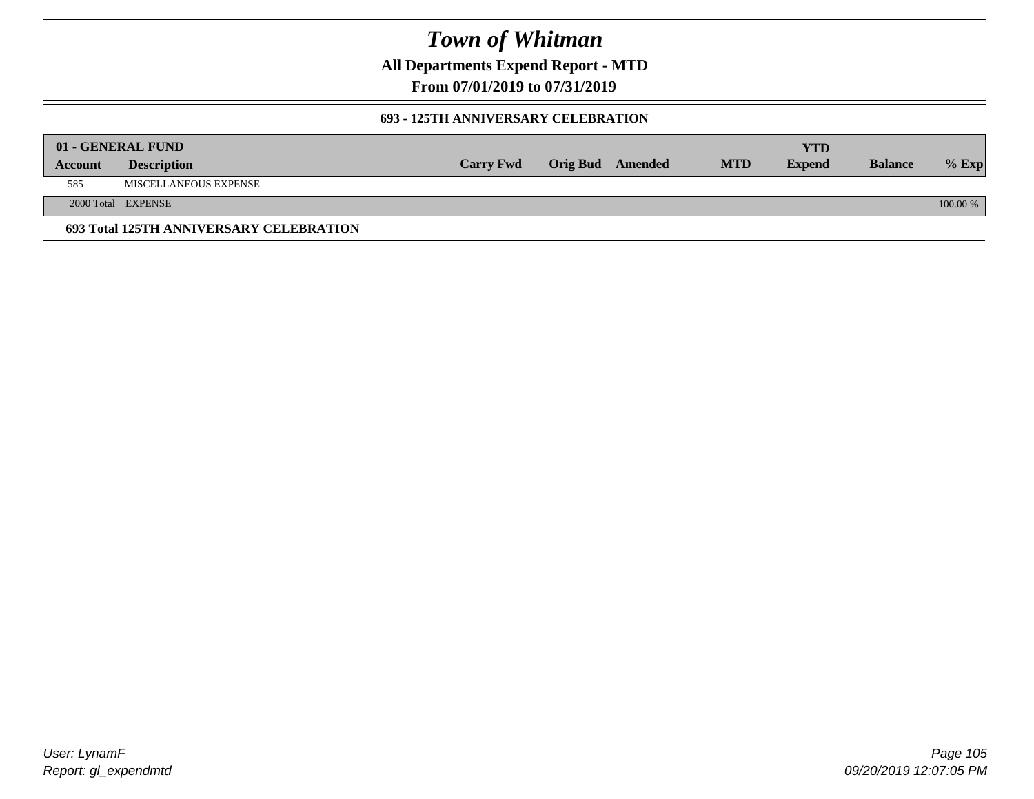**All Departments Expend Report - MTD**

**From 07/01/2019 to 07/31/2019**

#### **693 - 125TH ANNIVERSARY CELEBRATION**

|         | 01 - GENERAL FUND                       |                  |                         |            | YTD           |                |          |
|---------|-----------------------------------------|------------------|-------------------------|------------|---------------|----------------|----------|
| Account | <b>Description</b>                      | <b>Carry Fwd</b> | <b>Orig Bud</b> Amended | <b>MTD</b> | <b>Expend</b> | <b>Balance</b> | $%$ Exp  |
| 585     | MISCELLANEOUS EXPENSE                   |                  |                         |            |               |                |          |
|         | 2000 Total EXPENSE                      |                  |                         |            |               |                | 100.00 % |
|         | 693 Total 125TH ANNIVERSARY CELEBRATION |                  |                         |            |               |                |          |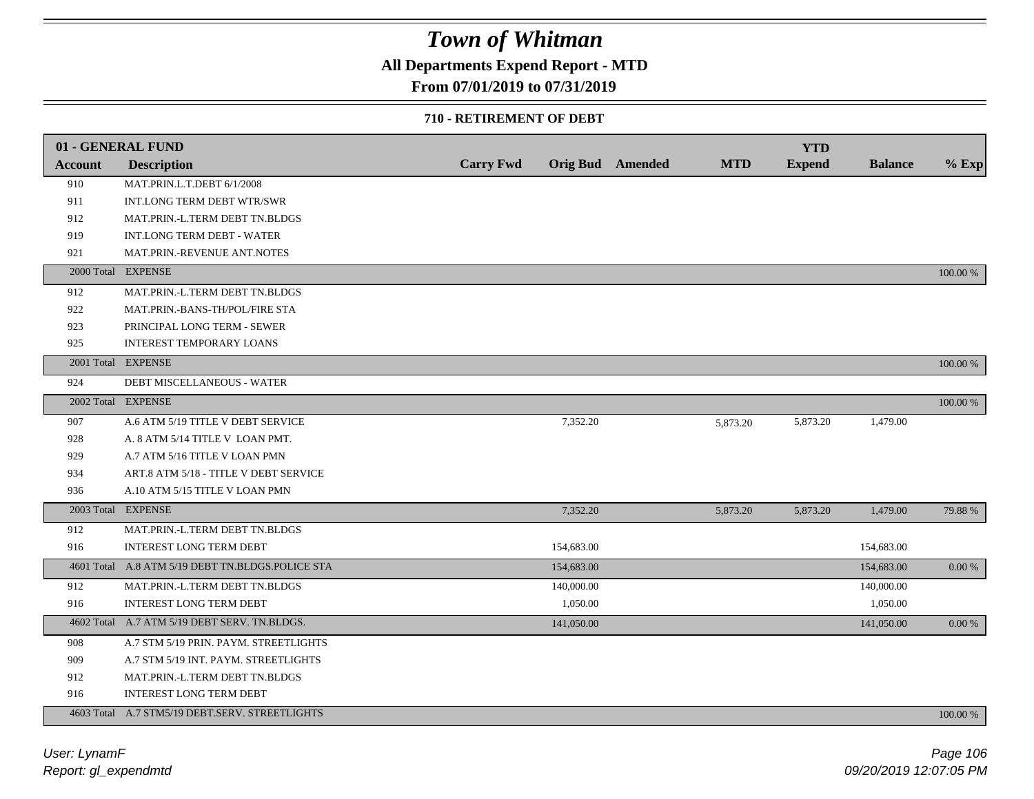### **All Departments Expend Report - MTD**

### **From 07/01/2019 to 07/31/2019**

#### **710 - RETIREMENT OF DEBT**

|                | 01 - GENERAL FUND                                |                  |                         |            | <b>YTD</b>    |                |          |
|----------------|--------------------------------------------------|------------------|-------------------------|------------|---------------|----------------|----------|
| <b>Account</b> | <b>Description</b>                               | <b>Carry Fwd</b> | <b>Orig Bud</b> Amended | <b>MTD</b> | <b>Expend</b> | <b>Balance</b> | $%$ Exp  |
| 910            | MAT.PRIN.L.T.DEBT 6/1/2008                       |                  |                         |            |               |                |          |
| 911            | INT.LONG TERM DEBT WTR/SWR                       |                  |                         |            |               |                |          |
| 912            | MAT.PRIN.-L.TERM DEBT TN.BLDGS                   |                  |                         |            |               |                |          |
| 919            | <b>INT.LONG TERM DEBT - WATER</b>                |                  |                         |            |               |                |          |
| 921            | MAT.PRIN.-REVENUE ANT.NOTES                      |                  |                         |            |               |                |          |
|                | 2000 Total EXPENSE                               |                  |                         |            |               |                | 100.00 % |
| 912            | MAT.PRIN.-L.TERM DEBT TN.BLDGS                   |                  |                         |            |               |                |          |
| 922            | MAT.PRIN.-BANS-TH/POL/FIRE STA                   |                  |                         |            |               |                |          |
| 923            | PRINCIPAL LONG TERM - SEWER                      |                  |                         |            |               |                |          |
| 925            | <b>INTEREST TEMPORARY LOANS</b>                  |                  |                         |            |               |                |          |
|                | 2001 Total EXPENSE                               |                  |                         |            |               |                | 100.00 % |
| 924            | DEBT MISCELLANEOUS - WATER                       |                  |                         |            |               |                |          |
|                | 2002 Total EXPENSE                               |                  |                         |            |               |                | 100.00 % |
| 907            | A.6 ATM 5/19 TITLE V DEBT SERVICE                |                  | 7,352.20                | 5,873.20   | 5,873.20      | 1,479.00       |          |
| 928            | A. 8 ATM 5/14 TITLE V LOAN PMT.                  |                  |                         |            |               |                |          |
| 929            | A.7 ATM 5/16 TITLE V LOAN PMN                    |                  |                         |            |               |                |          |
| 934            | ART.8 ATM 5/18 - TITLE V DEBT SERVICE            |                  |                         |            |               |                |          |
| 936            | A.10 ATM 5/15 TITLE V LOAN PMN                   |                  |                         |            |               |                |          |
|                | 2003 Total EXPENSE                               |                  | 7,352.20                | 5,873.20   | 5,873.20      | 1,479.00       | 79.88%   |
| 912            | MAT.PRIN.-L.TERM DEBT TN.BLDGS                   |                  |                         |            |               |                |          |
| 916            | INTEREST LONG TERM DEBT                          |                  | 154,683.00              |            |               | 154,683.00     |          |
|                | 4601 Total A.8 ATM 5/19 DEBT TN.BLDGS.POLICE STA |                  | 154,683.00              |            |               | 154,683.00     | 0.00 %   |
| 912            | MAT.PRIN.-L.TERM DEBT TN.BLDGS                   |                  | 140,000.00              |            |               | 140,000.00     |          |
| 916            | <b>INTEREST LONG TERM DEBT</b>                   |                  | 1,050.00                |            |               | 1,050.00       |          |
|                | 4602 Total A.7 ATM 5/19 DEBT SERV. TN.BLDGS.     |                  | 141,050.00              |            |               | 141,050.00     | 0.00 %   |
| 908            | A.7 STM 5/19 PRIN. PAYM. STREETLIGHTS            |                  |                         |            |               |                |          |
| 909            | A.7 STM 5/19 INT. PAYM. STREETLIGHTS             |                  |                         |            |               |                |          |
| 912            | MAT.PRIN.-L.TERM DEBT TN.BLDGS                   |                  |                         |            |               |                |          |
| 916            | <b>INTEREST LONG TERM DEBT</b>                   |                  |                         |            |               |                |          |
|                | 4603 Total A.7 STM5/19 DEBT.SERV. STREETLIGHTS   |                  |                         |            |               |                | 100.00 % |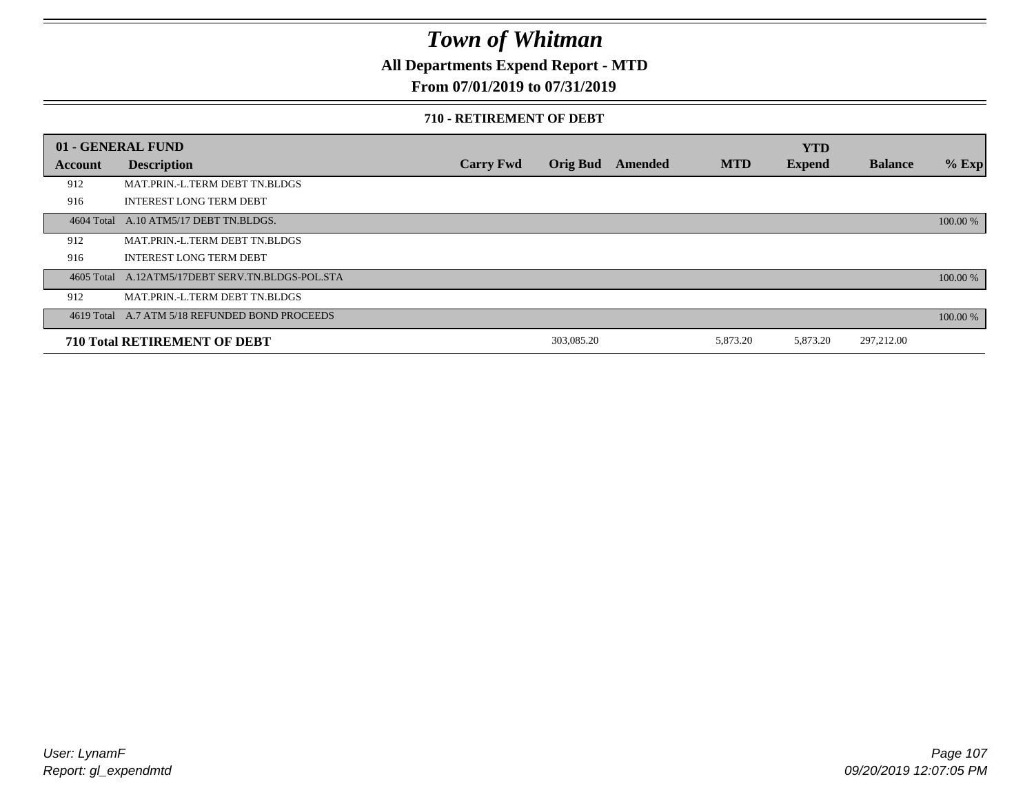**All Departments Expend Report - MTD**

### **From 07/01/2019 to 07/31/2019**

#### **710 - RETIREMENT OF DEBT**

|            | 01 - GENERAL FUND                                |                  |                 |         |            | <b>YTD</b>    |                |          |
|------------|--------------------------------------------------|------------------|-----------------|---------|------------|---------------|----------------|----------|
| Account    | <b>Description</b>                               | <b>Carry Fwd</b> | <b>Orig Bud</b> | Amended | <b>MTD</b> | <b>Expend</b> | <b>Balance</b> | $%$ Exp  |
| 912        | MAT.PRIN.-L.TERM DEBT TN.BLDGS                   |                  |                 |         |            |               |                |          |
| 916        | <b>INTEREST LONG TERM DEBT</b>                   |                  |                 |         |            |               |                |          |
| 4604 Total | A.10 ATM5/17 DEBT TN.BLDGS.                      |                  |                 |         |            |               |                | 100.00 % |
| 912        | MAT.PRIN.-L.TERM DEBT TN.BLDGS                   |                  |                 |         |            |               |                |          |
| 916        | <b>INTEREST LONG TERM DEBT</b>                   |                  |                 |         |            |               |                |          |
|            | 4605 Total A.12ATM5/17DEBT SERV.TN.BLDGS-POL.STA |                  |                 |         |            |               |                | 100.00 % |
| 912        | MAT.PRIN.-L.TERM DEBT TN.BLDGS                   |                  |                 |         |            |               |                |          |
|            | 4619 Total A.7 ATM 5/18 REFUNDED BOND PROCEEDS   |                  |                 |         |            |               |                | 100.00 % |
|            | <b>710 Total RETIREMENT OF DEBT</b>              |                  | 303,085.20      |         | 5,873.20   | 5,873.20      | 297,212.00     |          |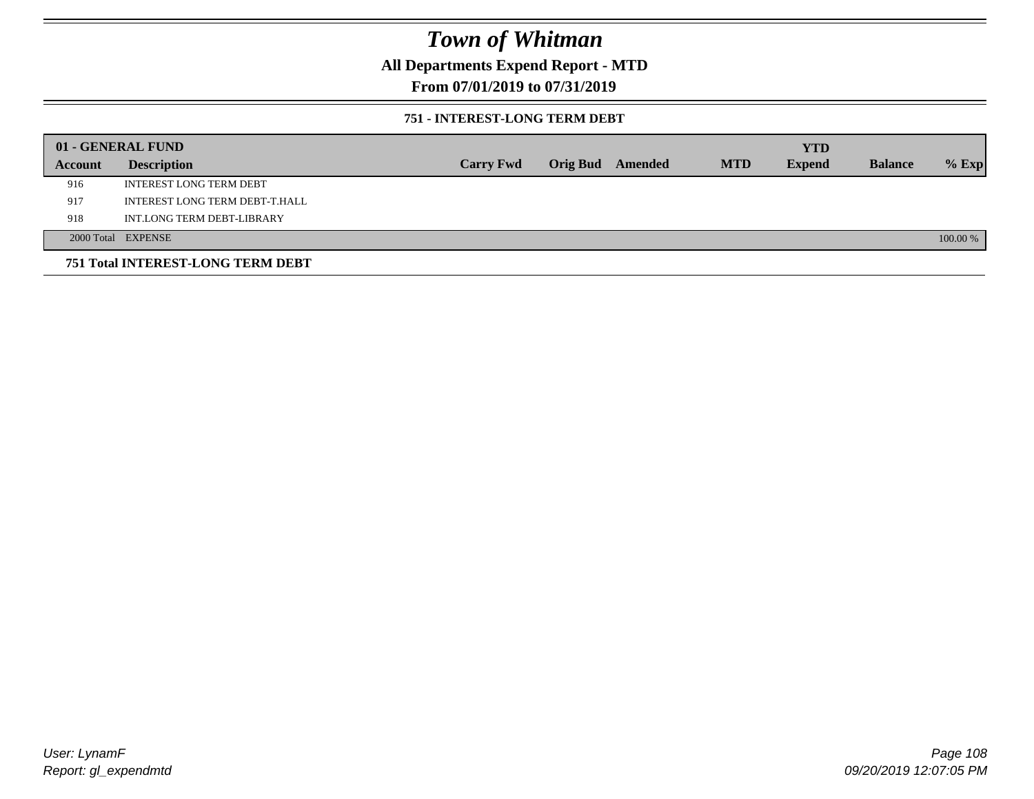### **All Departments Expend Report - MTD**

### **From 07/01/2019 to 07/31/2019**

#### **751 - INTEREST-LONG TERM DEBT**

|         | 01 - GENERAL FUND                 |                  |  |                  |            | <b>YTD</b>    |                |          |
|---------|-----------------------------------|------------------|--|------------------|------------|---------------|----------------|----------|
| Account | <b>Description</b>                | <b>Carry Fwd</b> |  | Orig Bud Amended | <b>MTD</b> | <b>Expend</b> | <b>Balance</b> | $%$ Exp  |
| 916     | <b>INTEREST LONG TERM DEBT</b>    |                  |  |                  |            |               |                |          |
| 917     | INTEREST LONG TERM DEBT-T.HALL    |                  |  |                  |            |               |                |          |
| 918     | INT.LONG TERM DEBT-LIBRARY        |                  |  |                  |            |               |                |          |
|         | 2000 Total EXPENSE                |                  |  |                  |            |               |                | 100.00 % |
|         | 751 Total INTEREST-LONG TERM DEBT |                  |  |                  |            |               |                |          |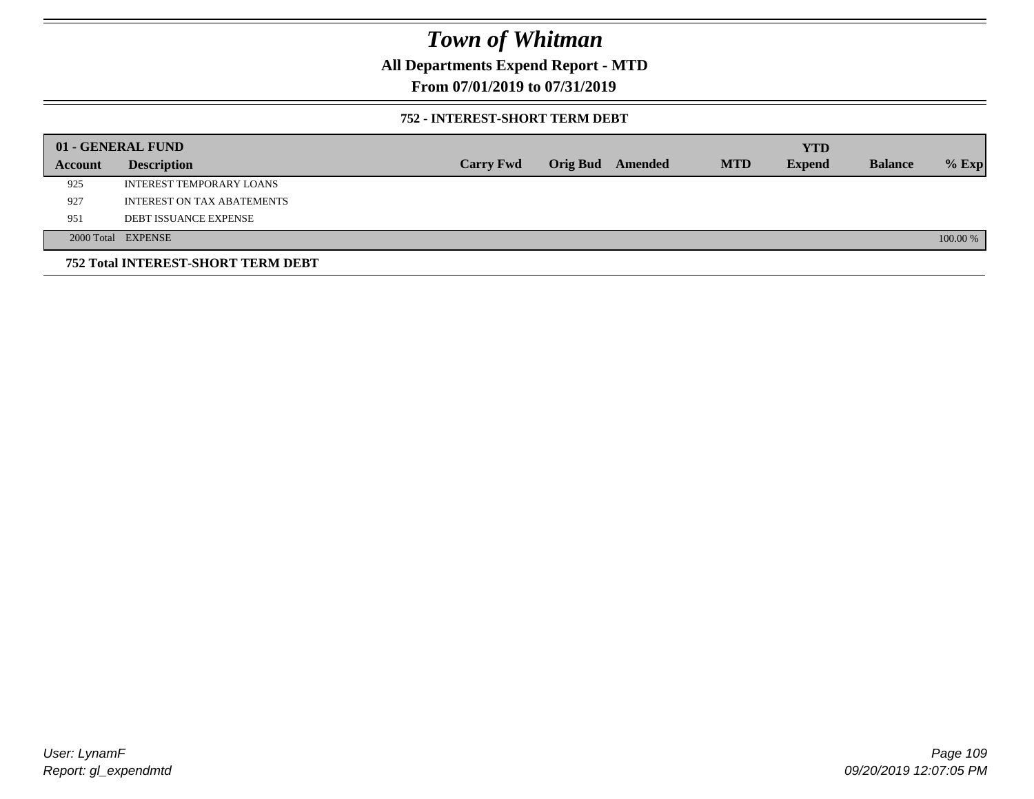### **All Departments Expend Report - MTD**

### **From 07/01/2019 to 07/31/2019**

#### **752 - INTEREST-SHORT TERM DEBT**

|         | 01 - GENERAL FUND                  |                  |                 |         |            | <b>YTD</b>    |                |          |
|---------|------------------------------------|------------------|-----------------|---------|------------|---------------|----------------|----------|
| Account | <b>Description</b>                 | <b>Carry Fwd</b> | <b>Orig Bud</b> | Amended | <b>MTD</b> | <b>Expend</b> | <b>Balance</b> | $%$ Exp  |
| 925     | <b>INTEREST TEMPORARY LOANS</b>    |                  |                 |         |            |               |                |          |
| 927     | <b>INTEREST ON TAX ABATEMENTS</b>  |                  |                 |         |            |               |                |          |
| 951     | <b>DEBT ISSUANCE EXPENSE</b>       |                  |                 |         |            |               |                |          |
|         | 2000 Total EXPENSE                 |                  |                 |         |            |               |                | 100.00 % |
|         | 752 Total INTEREST-SHORT TERM DEBT |                  |                 |         |            |               |                |          |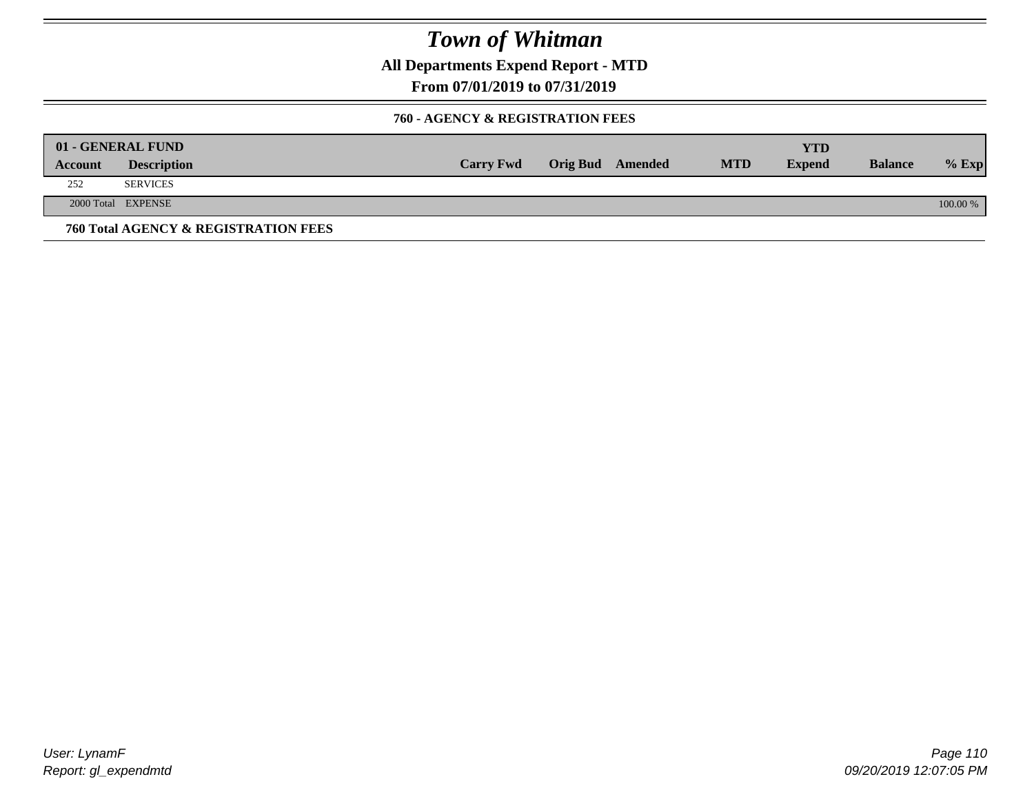**All Departments Expend Report - MTD**

**From 07/01/2019 to 07/31/2019**

#### **760 - AGENCY & REGISTRATION FEES**

|         | 01 - GENERAL FUND                    |                  |                         |            | YTD           |                |          |
|---------|--------------------------------------|------------------|-------------------------|------------|---------------|----------------|----------|
| Account | <b>Description</b>                   | <b>Carry Fwd</b> | <b>Orig Bud</b> Amended | <b>MTD</b> | <b>Expend</b> | <b>Balance</b> | $%$ Exp  |
| 252     | <b>SERVICES</b>                      |                  |                         |            |               |                |          |
|         | 2000 Total EXPENSE                   |                  |                         |            |               |                | 100.00 % |
|         | 760 Total AGENCY & REGISTRATION FEES |                  |                         |            |               |                |          |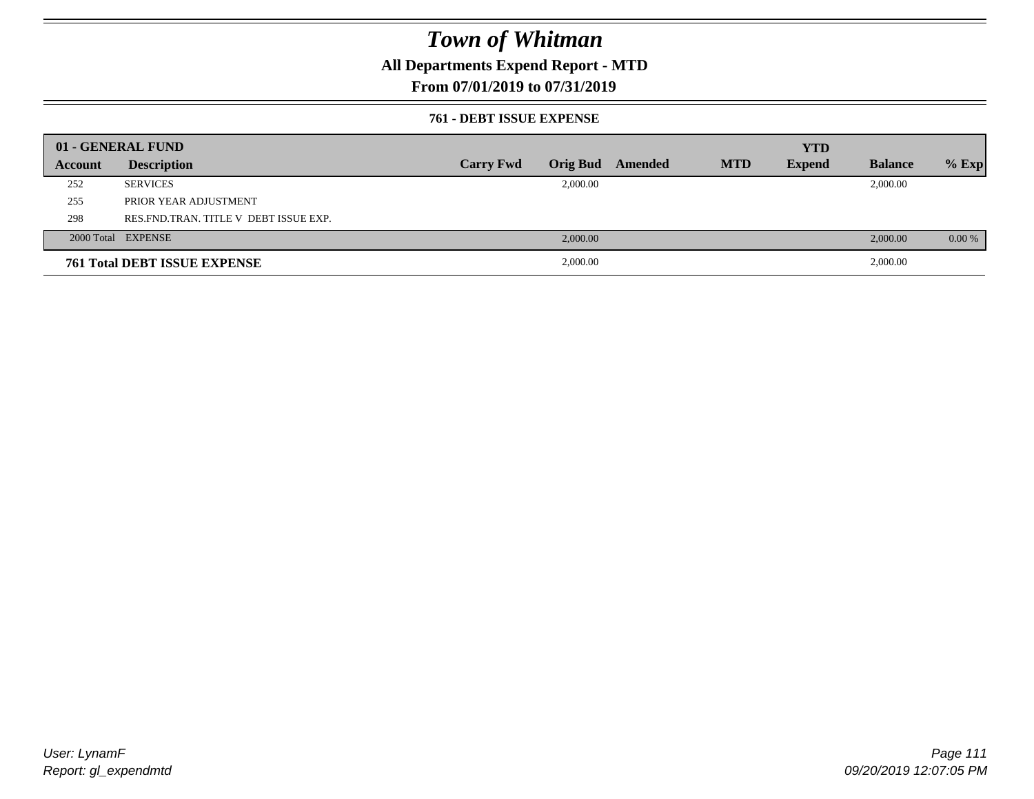### **All Departments Expend Report - MTD**

### **From 07/01/2019 to 07/31/2019**

#### **761 - DEBT ISSUE EXPENSE**

|         | 01 - GENERAL FUND                       |                  |          |                  |            | <b>YTD</b>    |                |          |
|---------|-----------------------------------------|------------------|----------|------------------|------------|---------------|----------------|----------|
| Account | <b>Description</b>                      | <b>Carry Fwd</b> |          | Orig Bud Amended | <b>MTD</b> | <b>Expend</b> | <b>Balance</b> | $%$ Exp  |
| 252     | <b>SERVICES</b>                         |                  | 2,000.00 |                  |            |               | 2,000.00       |          |
| 255     | PRIOR YEAR ADJUSTMENT                   |                  |          |                  |            |               |                |          |
| 298     | RES. FND. TRAN. TITLE V DEBT ISSUE EXP. |                  |          |                  |            |               |                |          |
|         | 2000 Total EXPENSE                      |                  | 2,000.00 |                  |            |               | 2,000.00       | $0.00\%$ |
|         | <b>761 Total DEBT ISSUE EXPENSE</b>     |                  | 2,000.00 |                  |            |               | 2,000.00       |          |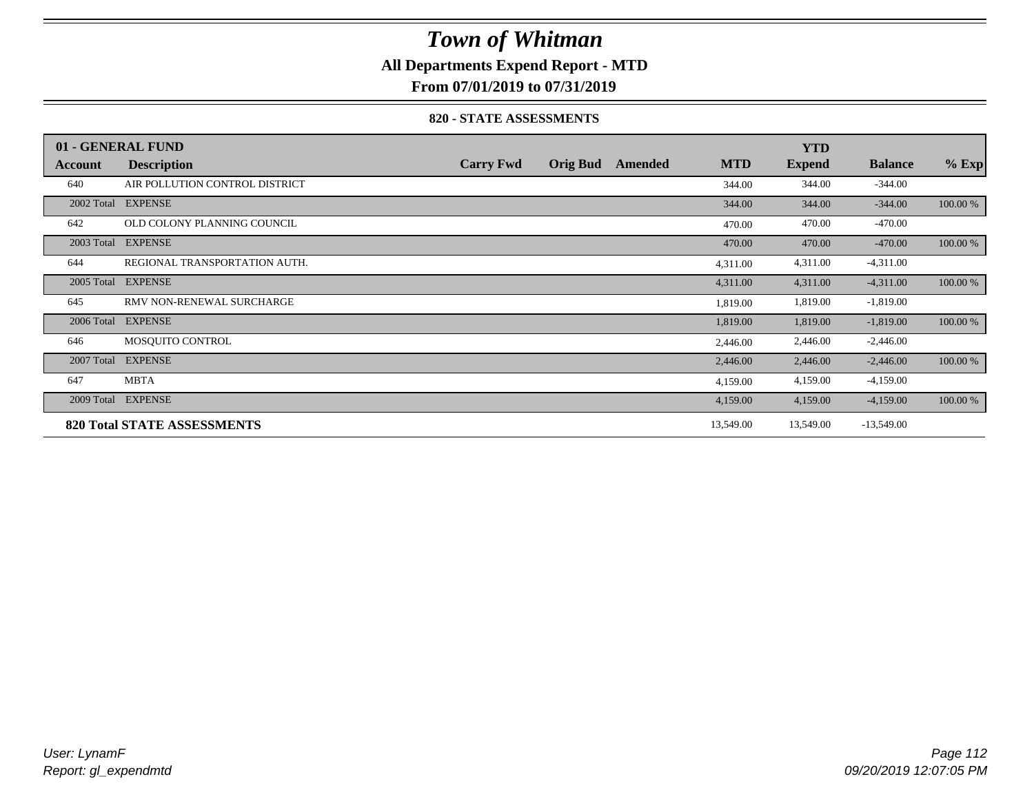### **All Departments Expend Report - MTD**

**From 07/01/2019 to 07/31/2019**

#### **820 - STATE ASSESSMENTS**

|            | 01 - GENERAL FUND                  |                  |                 |         |            | <b>YTD</b>    |                |          |
|------------|------------------------------------|------------------|-----------------|---------|------------|---------------|----------------|----------|
| Account    | <b>Description</b>                 | <b>Carry Fwd</b> | <b>Orig Bud</b> | Amended | <b>MTD</b> | <b>Expend</b> | <b>Balance</b> | $%$ Exp  |
| 640        | AIR POLLUTION CONTROL DISTRICT     |                  |                 |         | 344.00     | 344.00        | $-344.00$      |          |
| 2002 Total | <b>EXPENSE</b>                     |                  |                 |         | 344.00     | 344.00        | $-344.00$      | 100.00 % |
| 642        | OLD COLONY PLANNING COUNCIL        |                  |                 |         | 470.00     | 470.00        | $-470.00$      |          |
| 2003 Total | <b>EXPENSE</b>                     |                  |                 |         | 470.00     | 470.00        | $-470.00$      | 100.00 % |
| 644        | REGIONAL TRANSPORTATION AUTH.      |                  |                 |         | 4,311.00   | 4,311.00      | $-4,311.00$    |          |
| 2005 Total | <b>EXPENSE</b>                     |                  |                 |         | 4,311.00   | 4,311.00      | $-4,311.00$    | 100.00 % |
| 645        | RMV NON-RENEWAL SURCHARGE          |                  |                 |         | 1,819.00   | 1,819.00      | $-1,819.00$    |          |
| 2006 Total | <b>EXPENSE</b>                     |                  |                 |         | 1,819.00   | 1,819.00      | $-1,819.00$    | 100.00 % |
| 646        | MOSOUITO CONTROL                   |                  |                 |         | 2,446.00   | 2,446.00      | $-2,446.00$    |          |
| 2007 Total | <b>EXPENSE</b>                     |                  |                 |         | 2,446.00   | 2,446.00      | $-2,446.00$    | 100.00 % |
| 647        | <b>MBTA</b>                        |                  |                 |         | 4,159.00   | 4,159.00      | $-4,159.00$    |          |
| 2009 Total | <b>EXPENSE</b>                     |                  |                 |         | 4,159.00   | 4,159.00      | $-4,159.00$    | 100.00 % |
|            | <b>820 Total STATE ASSESSMENTS</b> |                  |                 |         | 13,549.00  | 13,549.00     | $-13,549.00$   |          |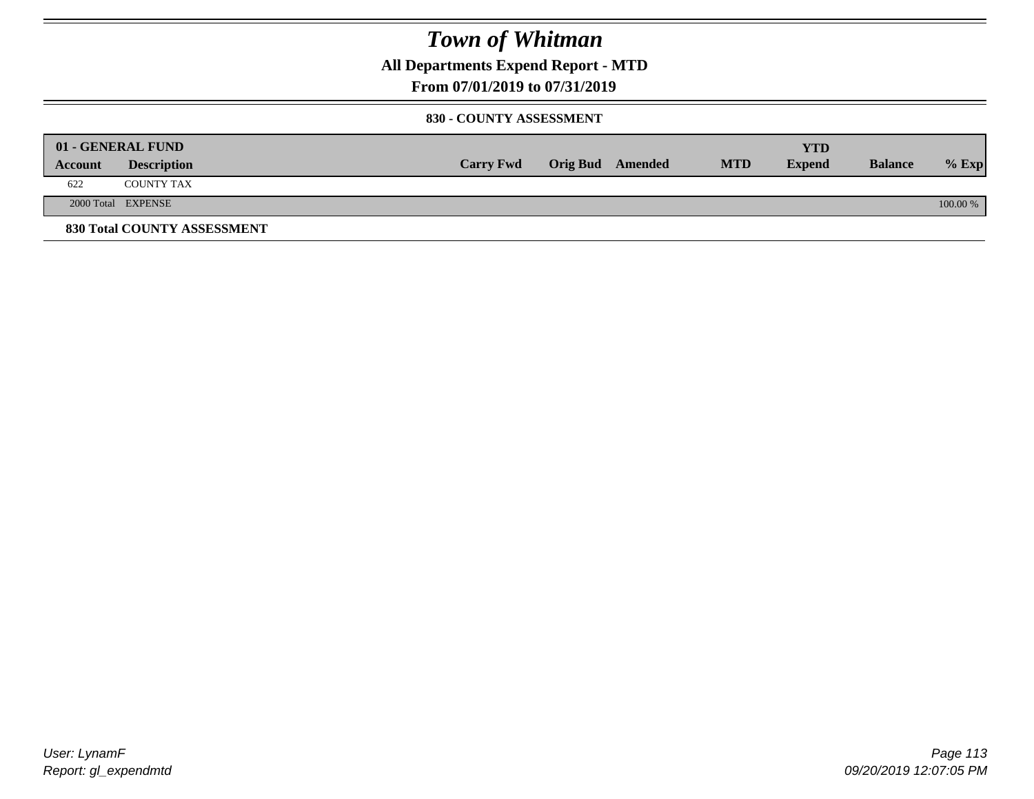**All Departments Expend Report - MTD**

### **From 07/01/2019 to 07/31/2019**

#### **830 - COUNTY ASSESSMENT**

|         | 01 - GENERAL FUND           |                  |                         |            | YTD           |                |            |
|---------|-----------------------------|------------------|-------------------------|------------|---------------|----------------|------------|
| Account | <b>Description</b>          | <b>Carry Fwd</b> | <b>Orig Bud</b> Amended | <b>MTD</b> | <b>Expend</b> | <b>Balance</b> | $%$ Exp    |
| 622     | <b>COUNTY TAX</b>           |                  |                         |            |               |                |            |
|         | 2000 Total EXPENSE          |                  |                         |            |               |                | $100.00\%$ |
|         | 830 Total COUNTY ASSESSMENT |                  |                         |            |               |                |            |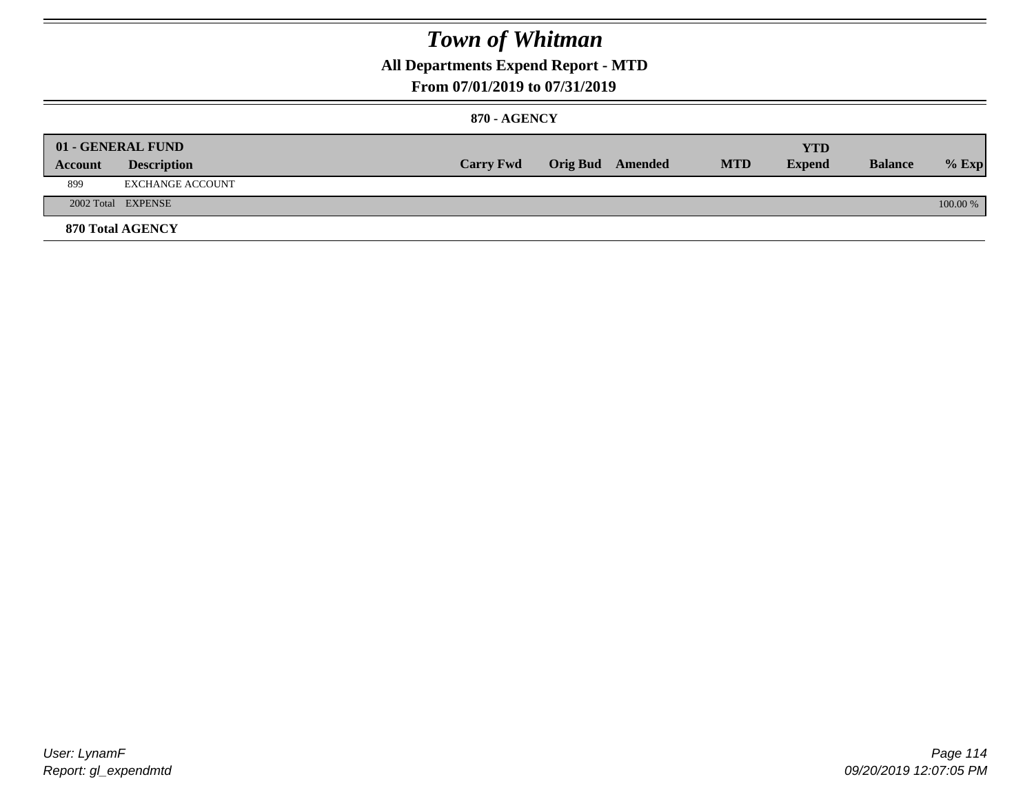### **All Departments Expend Report - MTD**

### **From 07/01/2019 to 07/31/2019**

#### **870 - AGENCY**

| Account | 01 - GENERAL FUND<br><b>Description</b> | <b>Carry Fwd</b> | <b>Orig Bud</b> Amended | <b>MTD</b> | <b>YTD</b><br><b>Expend</b> | <b>Balance</b> | $%$ Exp  |
|---------|-----------------------------------------|------------------|-------------------------|------------|-----------------------------|----------------|----------|
| 899     | EXCHANGE ACCOUNT                        |                  |                         |            |                             |                |          |
|         | 2002 Total EXPENSE                      |                  |                         |            |                             |                | 100.00 % |
|         | 870 Total AGENCY                        |                  |                         |            |                             |                |          |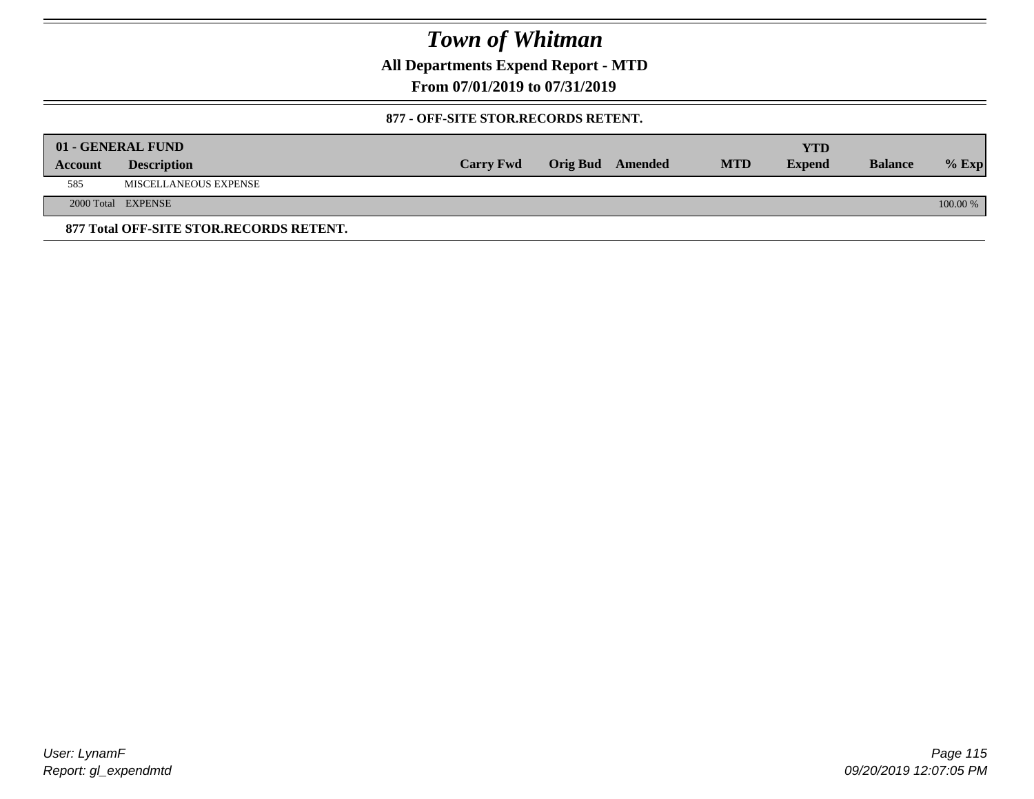**All Departments Expend Report - MTD**

**From 07/01/2019 to 07/31/2019**

#### **877 - OFF-SITE STOR.RECORDS RETENT.**

|         | 01 - GENERAL FUND                       |                  |                         |            | YTD           |                |          |
|---------|-----------------------------------------|------------------|-------------------------|------------|---------------|----------------|----------|
| Account | <b>Description</b>                      | <b>Carry Fwd</b> | <b>Orig Bud</b> Amended | <b>MTD</b> | <b>Expend</b> | <b>Balance</b> | $%$ Exp  |
| 585     | MISCELLANEOUS EXPENSE                   |                  |                         |            |               |                |          |
|         | 2000 Total EXPENSE                      |                  |                         |            |               |                | 100.00 % |
|         | 877 Total OFF-SITE STOR.RECORDS RETENT. |                  |                         |            |               |                |          |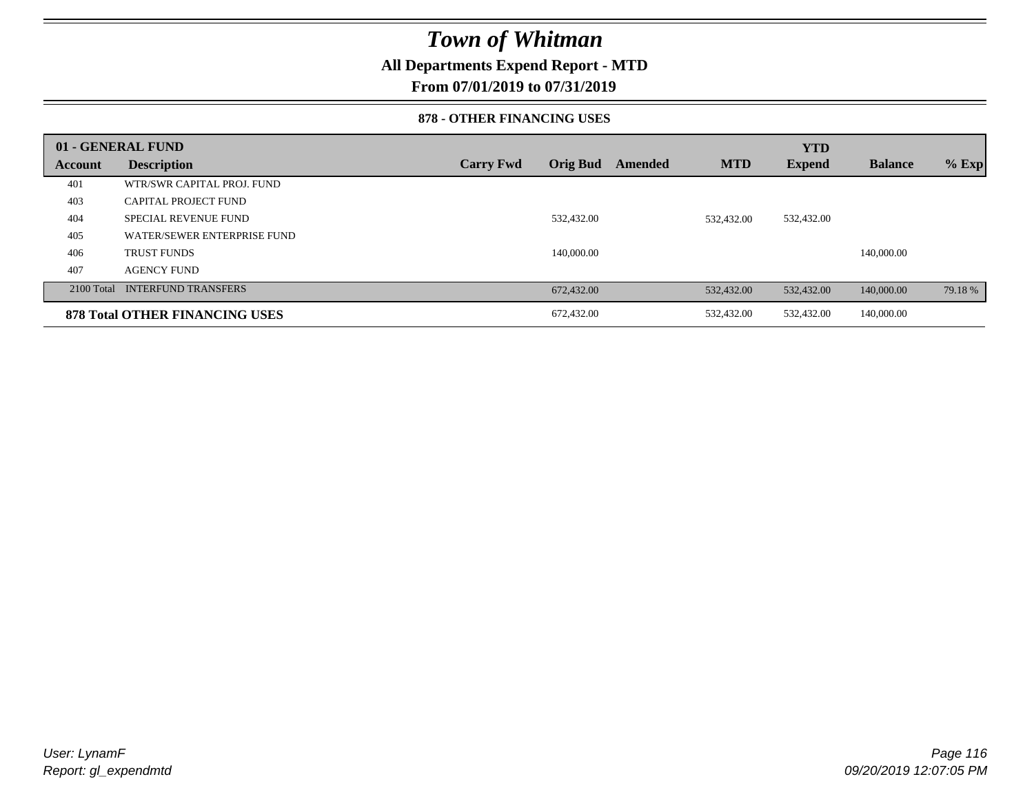### **All Departments Expend Report - MTD**

**From 07/01/2019 to 07/31/2019**

#### **878 - OTHER FINANCING USES**

|         | 01 - GENERAL FUND                     |                  |                 |         |            | <b>YTD</b> |                |         |
|---------|---------------------------------------|------------------|-----------------|---------|------------|------------|----------------|---------|
| Account | <b>Description</b>                    | <b>Carry Fwd</b> | <b>Orig Bud</b> | Amended | <b>MTD</b> | Expend     | <b>Balance</b> | $%$ Exp |
| 401     | WTR/SWR CAPITAL PROJ. FUND            |                  |                 |         |            |            |                |         |
| 403     | <b>CAPITAL PROJECT FUND</b>           |                  |                 |         |            |            |                |         |
| 404     | SPECIAL REVENUE FUND                  |                  | 532,432.00      |         | 532,432.00 | 532,432.00 |                |         |
| 405     | WATER/SEWER ENTERPRISE FUND           |                  |                 |         |            |            |                |         |
| 406     | <b>TRUST FUNDS</b>                    |                  | 140,000.00      |         |            |            | 140,000.00     |         |
| 407     | <b>AGENCY FUND</b>                    |                  |                 |         |            |            |                |         |
|         | 2100 Total INTERFUND TRANSFERS        |                  | 672,432.00      |         | 532,432.00 | 532,432.00 | 140,000.00     | 79.18 % |
|         | <b>878 Total OTHER FINANCING USES</b> |                  | 672,432.00      |         | 532,432.00 | 532,432.00 | 140,000.00     |         |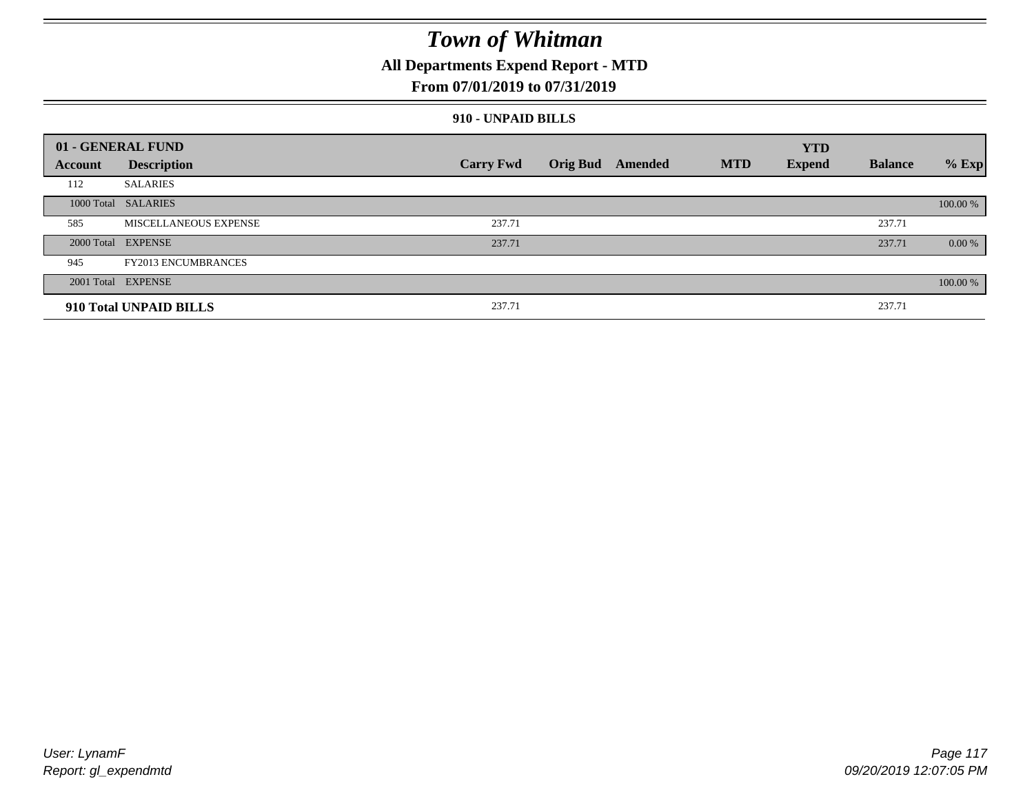### **All Departments Expend Report - MTD**

### **From 07/01/2019 to 07/31/2019**

#### **910 - UNPAID BILLS**

|                | 01 - GENERAL FUND          |                  |                  |            | <b>YTD</b>    |                |           |
|----------------|----------------------------|------------------|------------------|------------|---------------|----------------|-----------|
| <b>Account</b> | <b>Description</b>         | <b>Carry Fwd</b> | Orig Bud Amended | <b>MTD</b> | <b>Expend</b> | <b>Balance</b> | $%$ Exp   |
| 112            | <b>SALARIES</b>            |                  |                  |            |               |                |           |
|                | 1000 Total SALARIES        |                  |                  |            |               |                | 100.00 %  |
| 585            | MISCELLANEOUS EXPENSE      | 237.71           |                  |            |               | 237.71         |           |
|                | 2000 Total EXPENSE         | 237.71           |                  |            |               | 237.71         | $0.00 \%$ |
| 945            | <b>FY2013 ENCUMBRANCES</b> |                  |                  |            |               |                |           |
|                | 2001 Total EXPENSE         |                  |                  |            |               |                | 100.00 %  |
|                | 910 Total UNPAID BILLS     | 237.71           |                  |            |               | 237.71         |           |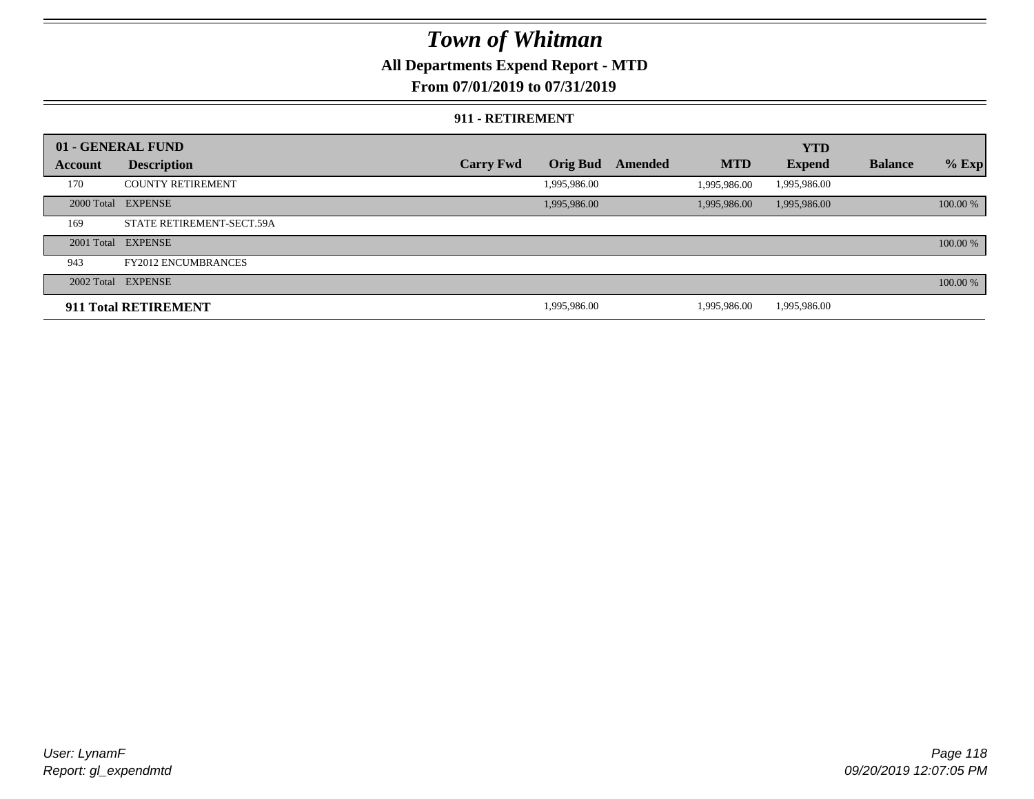### **All Departments Expend Report - MTD**

### **From 07/01/2019 to 07/31/2019**

#### **911 - RETIREMENT**

|         | 01 - GENERAL FUND          |                  |                 |         |              | <b>YTD</b>    |                |          |
|---------|----------------------------|------------------|-----------------|---------|--------------|---------------|----------------|----------|
| Account | <b>Description</b>         | <b>Carry Fwd</b> | <b>Orig Bud</b> | Amended | <b>MTD</b>   | <b>Expend</b> | <b>Balance</b> | $%$ Exp  |
| 170     | <b>COUNTY RETIREMENT</b>   |                  | 1,995,986.00    |         | 1.995.986.00 | 1,995,986.00  |                |          |
|         | 2000 Total EXPENSE         |                  | 1,995,986.00    |         | 1,995,986.00 | 1,995,986.00  |                | 100.00 % |
| 169     | STATE RETIREMENT-SECT.59A  |                  |                 |         |              |               |                |          |
|         | 2001 Total EXPENSE         |                  |                 |         |              |               |                | 100.00 % |
| 943     | <b>FY2012 ENCUMBRANCES</b> |                  |                 |         |              |               |                |          |
|         | 2002 Total EXPENSE         |                  |                 |         |              |               |                | 100.00 % |
|         | 911 Total RETIREMENT       |                  | 1,995,986.00    |         | 1.995.986.00 | 1,995,986.00  |                |          |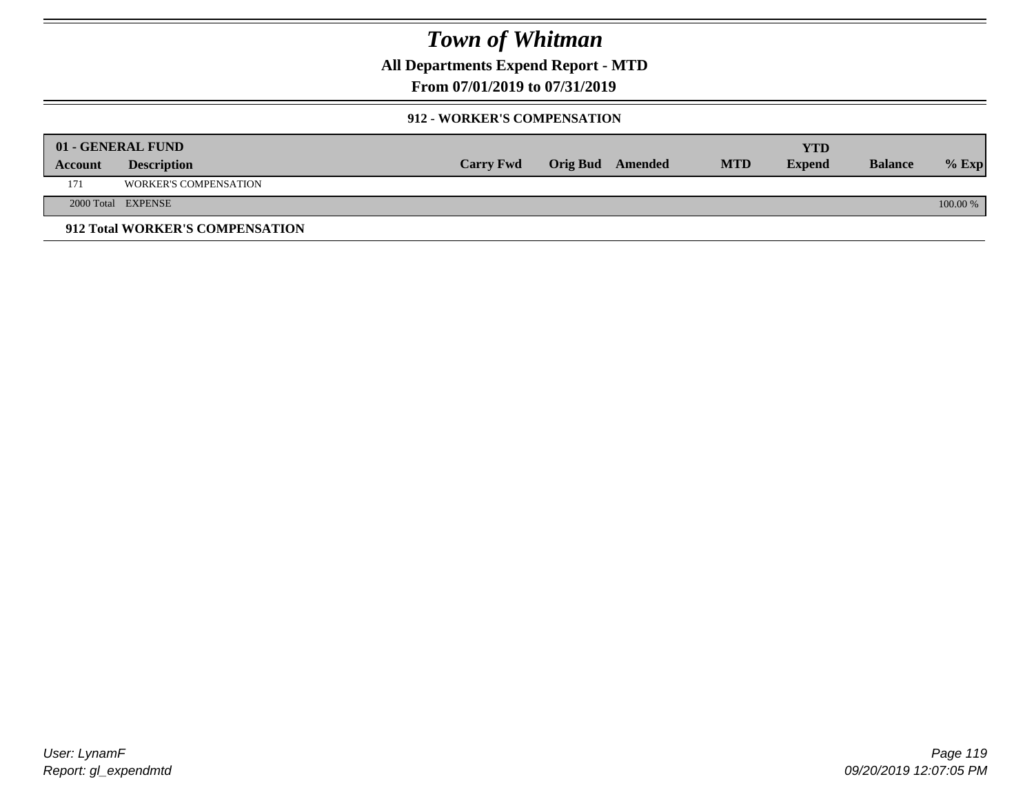**All Departments Expend Report - MTD**

**From 07/01/2019 to 07/31/2019**

#### **912 - WORKER'S COMPENSATION**

|         | 01 - GENERAL FUND               |                  |                         |            | <b>YTD</b>    |                |          |
|---------|---------------------------------|------------------|-------------------------|------------|---------------|----------------|----------|
| Account | <b>Description</b>              | <b>Carry Fwd</b> | <b>Orig Bud</b> Amended | <b>MTD</b> | <b>Expend</b> | <b>Balance</b> | $%$ Exp  |
| 171     | <b>WORKER'S COMPENSATION</b>    |                  |                         |            |               |                |          |
|         | 2000 Total EXPENSE              |                  |                         |            |               |                | 100.00 % |
|         | 912 Total WORKER'S COMPENSATION |                  |                         |            |               |                |          |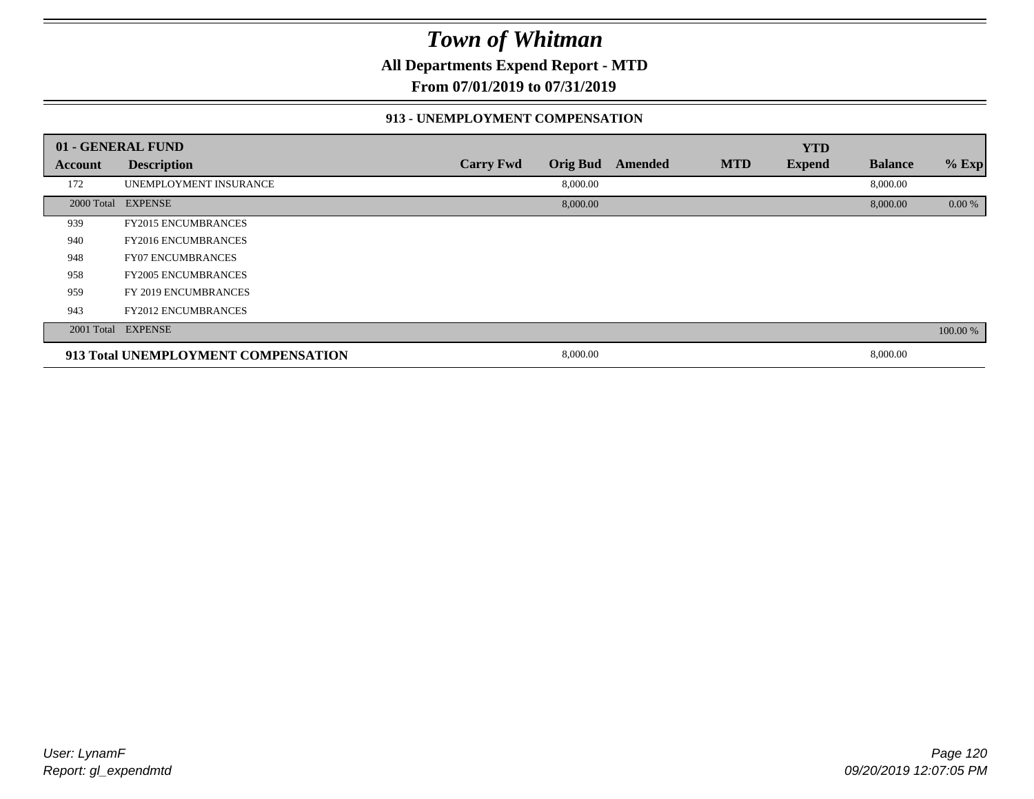**All Departments Expend Report - MTD**

**From 07/01/2019 to 07/31/2019**

#### **913 - UNEMPLOYMENT COMPENSATION**

|         | 01 - GENERAL FUND                   |                  |                 |         |            | <b>YTD</b>    |                |          |
|---------|-------------------------------------|------------------|-----------------|---------|------------|---------------|----------------|----------|
| Account | <b>Description</b>                  | <b>Carry Fwd</b> | <b>Orig Bud</b> | Amended | <b>MTD</b> | <b>Expend</b> | <b>Balance</b> | % Exp    |
| 172     | UNEMPLOYMENT INSURANCE              |                  | 8,000.00        |         |            |               | 8,000.00       |          |
|         | 2000 Total EXPENSE                  |                  | 8,000.00        |         |            |               | 8,000.00       | 0.00 %   |
| 939     | <b>FY2015 ENCUMBRANCES</b>          |                  |                 |         |            |               |                |          |
| 940     | <b>FY2016 ENCUMBRANCES</b>          |                  |                 |         |            |               |                |          |
| 948     | <b>FY07 ENCUMBRANCES</b>            |                  |                 |         |            |               |                |          |
| 958     | <b>FY2005 ENCUMBRANCES</b>          |                  |                 |         |            |               |                |          |
| 959     | FY 2019 ENCUMBRANCES                |                  |                 |         |            |               |                |          |
| 943     | <b>FY2012 ENCUMBRANCES</b>          |                  |                 |         |            |               |                |          |
|         | 2001 Total EXPENSE                  |                  |                 |         |            |               |                | 100.00 % |
|         | 913 Total UNEMPLOYMENT COMPENSATION |                  | 8,000.00        |         |            |               | 8,000.00       |          |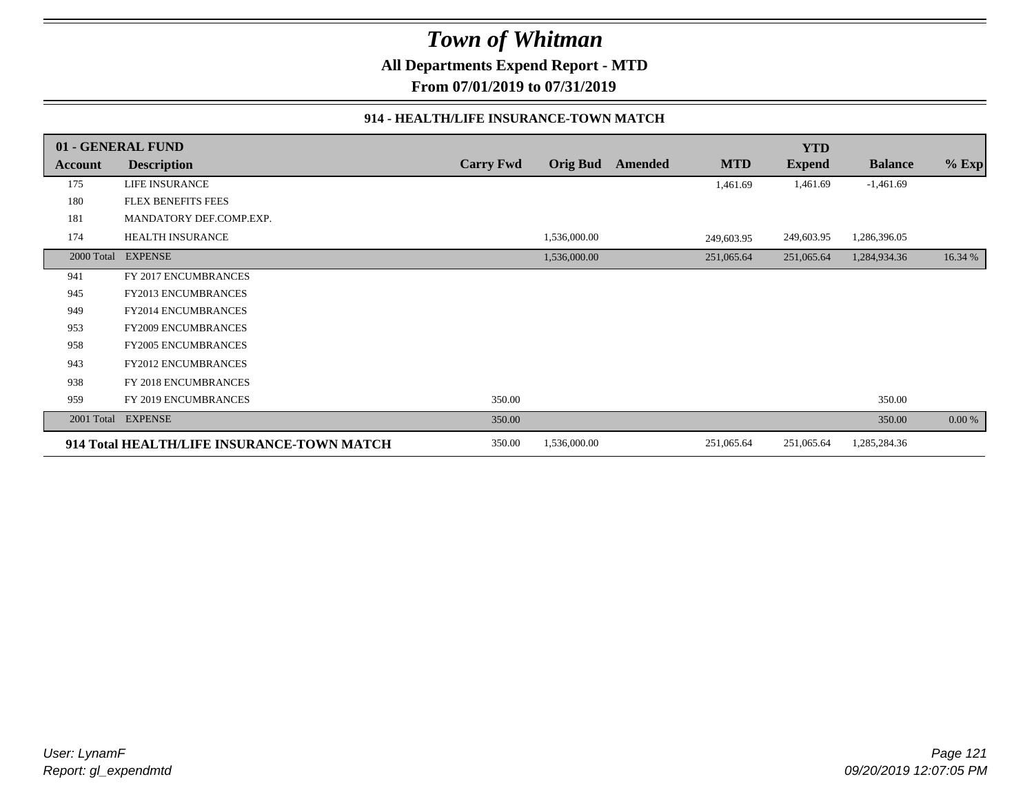**All Departments Expend Report - MTD**

**From 07/01/2019 to 07/31/2019**

#### **914 - HEALTH/LIFE INSURANCE-TOWN MATCH**

|            | 01 - GENERAL FUND                          |                  |                 |         |            | <b>YTD</b>    |                |          |
|------------|--------------------------------------------|------------------|-----------------|---------|------------|---------------|----------------|----------|
| Account    | <b>Description</b>                         | <b>Carry Fwd</b> | <b>Orig Bud</b> | Amended | <b>MTD</b> | <b>Expend</b> | <b>Balance</b> | $%$ Exp  |
| 175        | LIFE INSURANCE                             |                  |                 |         | 1,461.69   | 1,461.69      | $-1,461.69$    |          |
| 180        | <b>FLEX BENEFITS FEES</b>                  |                  |                 |         |            |               |                |          |
| 181        | MANDATORY DEF.COMP.EXP.                    |                  |                 |         |            |               |                |          |
| 174        | HEALTH INSURANCE                           |                  | 1,536,000.00    |         | 249,603.95 | 249,603.95    | 1,286,396.05   |          |
| 2000 Total | <b>EXPENSE</b>                             |                  | 1,536,000.00    |         | 251,065.64 | 251,065.64    | 1,284,934.36   | 16.34 %  |
| 941        | FY 2017 ENCUMBRANCES                       |                  |                 |         |            |               |                |          |
| 945        | FY2013 ENCUMBRANCES                        |                  |                 |         |            |               |                |          |
| 949        | <b>FY2014 ENCUMBRANCES</b>                 |                  |                 |         |            |               |                |          |
| 953        | <b>FY2009 ENCUMBRANCES</b>                 |                  |                 |         |            |               |                |          |
| 958        | <b>FY2005 ENCUMBRANCES</b>                 |                  |                 |         |            |               |                |          |
| 943        | FY2012 ENCUMBRANCES                        |                  |                 |         |            |               |                |          |
| 938        | FY 2018 ENCUMBRANCES                       |                  |                 |         |            |               |                |          |
| 959        | FY 2019 ENCUMBRANCES                       | 350.00           |                 |         |            |               | 350.00         |          |
| 2001 Total | <b>EXPENSE</b>                             | 350.00           |                 |         |            |               | 350.00         | $0.00\%$ |
|            | 914 Total HEALTH/LIFE INSURANCE-TOWN MATCH | 350.00           | 1,536,000.00    |         | 251,065.64 | 251,065.64    | 1,285,284.36   |          |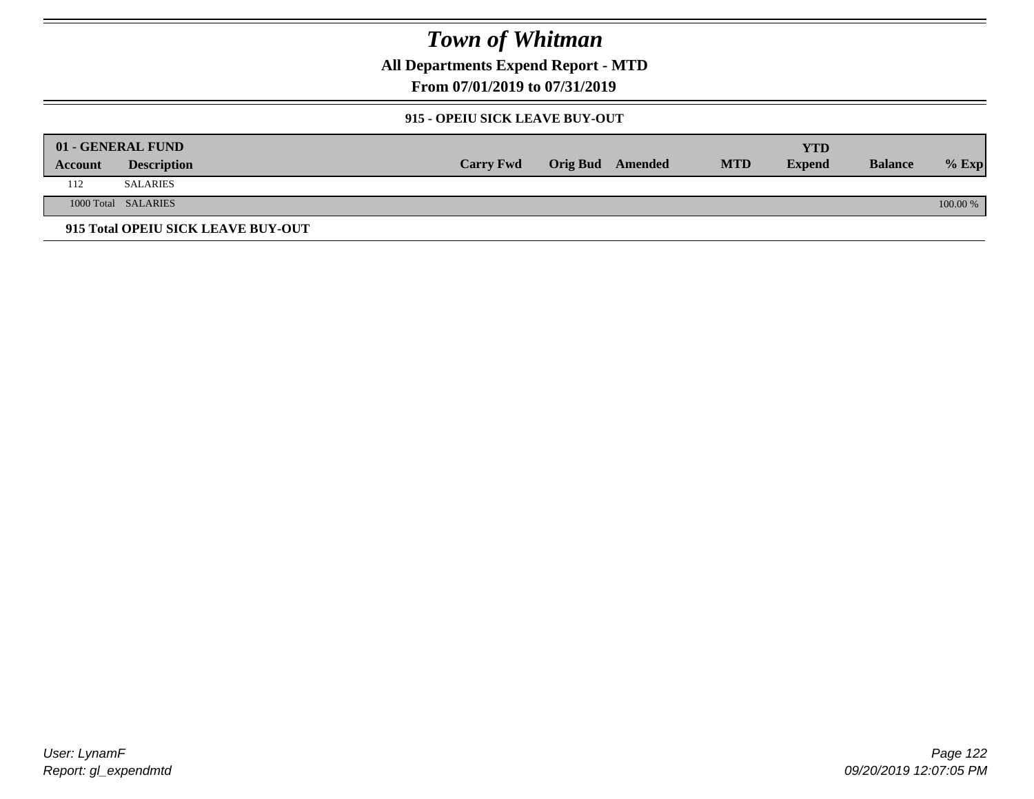**All Departments Expend Report - MTD**

**From 07/01/2019 to 07/31/2019**

#### **915 - OPEIU SICK LEAVE BUY-OUT**

|         | 01 - GENERAL FUND                  |                  |                         |            | YTD           |                |          |
|---------|------------------------------------|------------------|-------------------------|------------|---------------|----------------|----------|
| Account | <b>Description</b>                 | <b>Carry Fwd</b> | <b>Orig Bud</b> Amended | <b>MTD</b> | <b>Expend</b> | <b>Balance</b> | $%$ Exp  |
| 112     | SALARIES                           |                  |                         |            |               |                |          |
|         | 1000 Total SALARIES                |                  |                         |            |               |                | 100.00 % |
|         | 915 Total OPEIU SICK LEAVE BUY-OUT |                  |                         |            |               |                |          |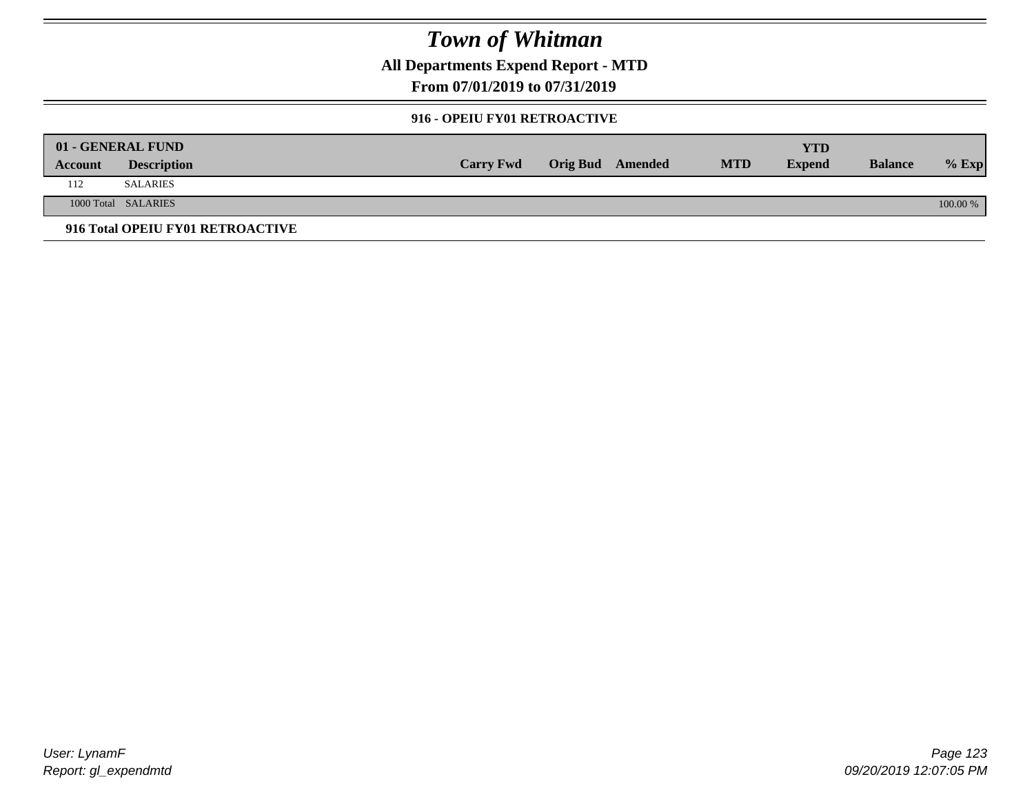**All Departments Expend Report - MTD**

**From 07/01/2019 to 07/31/2019**

#### **916 - OPEIU FY01 RETROACTIVE**

|         | 01 - GENERAL FUND                |                  |                         |            | YTD           |                |          |
|---------|----------------------------------|------------------|-------------------------|------------|---------------|----------------|----------|
| Account | <b>Description</b>               | <b>Carry Fwd</b> | <b>Orig Bud</b> Amended | <b>MTD</b> | <b>Expend</b> | <b>Balance</b> | $%$ Exp  |
| 112     | <b>SALARIES</b>                  |                  |                         |            |               |                |          |
|         | 1000 Total SALARIES              |                  |                         |            |               |                | 100.00 % |
|         | 916 Total OPEIU FY01 RETROACTIVE |                  |                         |            |               |                |          |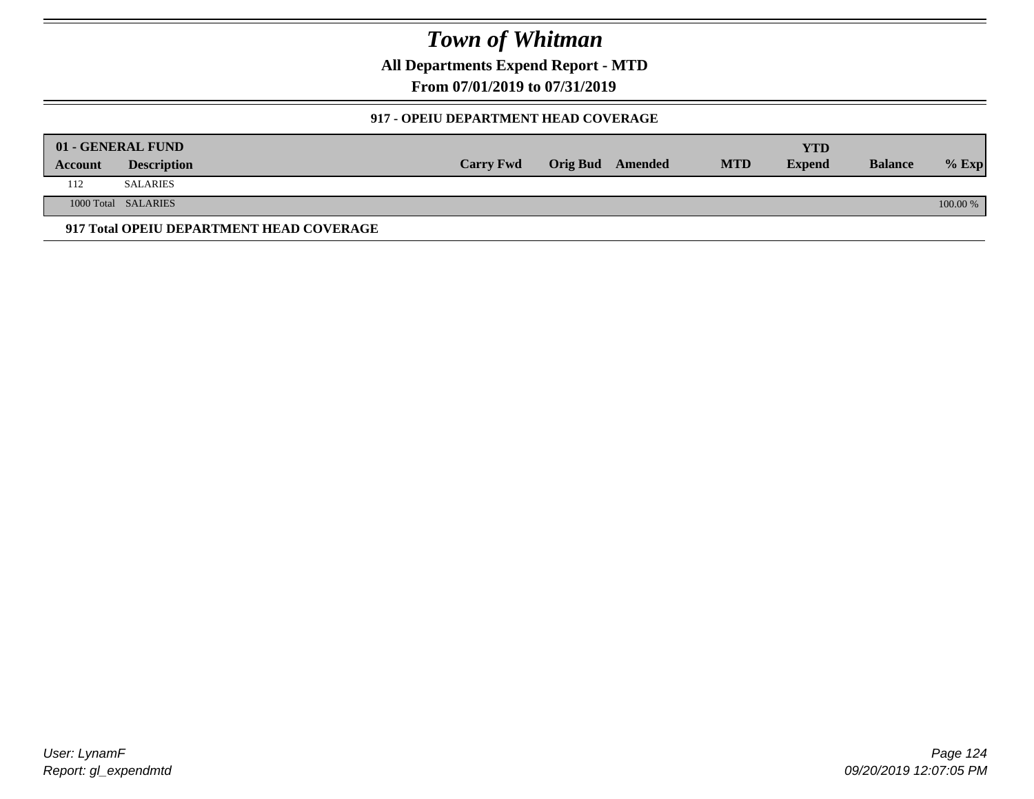**All Departments Expend Report - MTD**

**From 07/01/2019 to 07/31/2019**

#### **917 - OPEIU DEPARTMENT HEAD COVERAGE**

|         | 01 - GENERAL FUND                        |                  |                  |            | YTD           |                |            |
|---------|------------------------------------------|------------------|------------------|------------|---------------|----------------|------------|
| Account | <b>Description</b>                       | <b>Carry Fwd</b> | Orig Bud Amended | <b>MTD</b> | <b>Expend</b> | <b>Balance</b> | $%$ Exp    |
| 112     | <b>SALARIES</b>                          |                  |                  |            |               |                |            |
|         | 1000 Total SALARIES                      |                  |                  |            |               |                | $100.00\%$ |
|         | 917 Total OPEIU DEPARTMENT HEAD COVERAGE |                  |                  |            |               |                |            |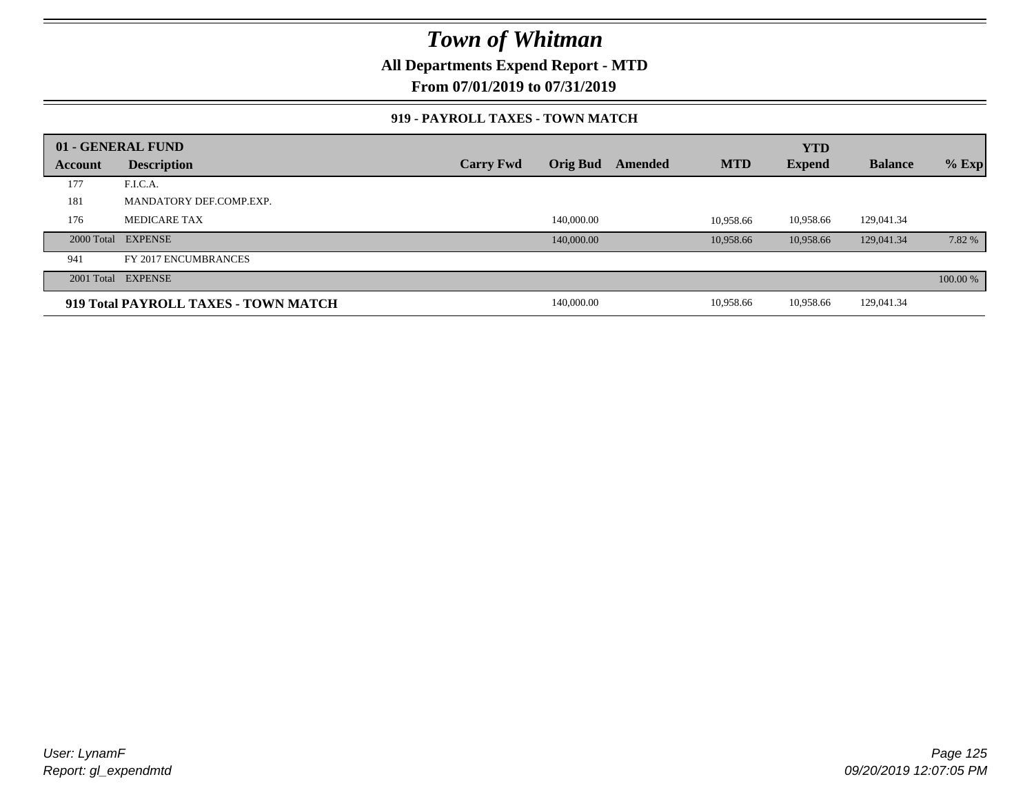**All Departments Expend Report - MTD**

**From 07/01/2019 to 07/31/2019**

#### **919 - PAYROLL TAXES - TOWN MATCH**

|         | 01 - GENERAL FUND                    |                  |                 |         |            | <b>YTD</b>    |                |          |
|---------|--------------------------------------|------------------|-----------------|---------|------------|---------------|----------------|----------|
| Account | <b>Description</b>                   | <b>Carry Fwd</b> | <b>Orig Bud</b> | Amended | <b>MTD</b> | <b>Expend</b> | <b>Balance</b> | $%$ Exp  |
| 177     | F.I.C.A.                             |                  |                 |         |            |               |                |          |
| 181     | MANDATORY DEF.COMP.EXP.              |                  |                 |         |            |               |                |          |
| 176     | <b>MEDICARE TAX</b>                  |                  | 140,000.00      |         | 10.958.66  | 10,958.66     | 129,041.34     |          |
|         | 2000 Total EXPENSE                   |                  | 140,000.00      |         | 10.958.66  | 10.958.66     | 129,041.34     | 7.82 %   |
| 941     | FY 2017 ENCUMBRANCES                 |                  |                 |         |            |               |                |          |
|         | 2001 Total EXPENSE                   |                  |                 |         |            |               |                | 100.00 % |
|         | 919 Total PAYROLL TAXES - TOWN MATCH |                  | 140,000.00      |         | 10,958.66  | 10,958.66     | 129,041.34     |          |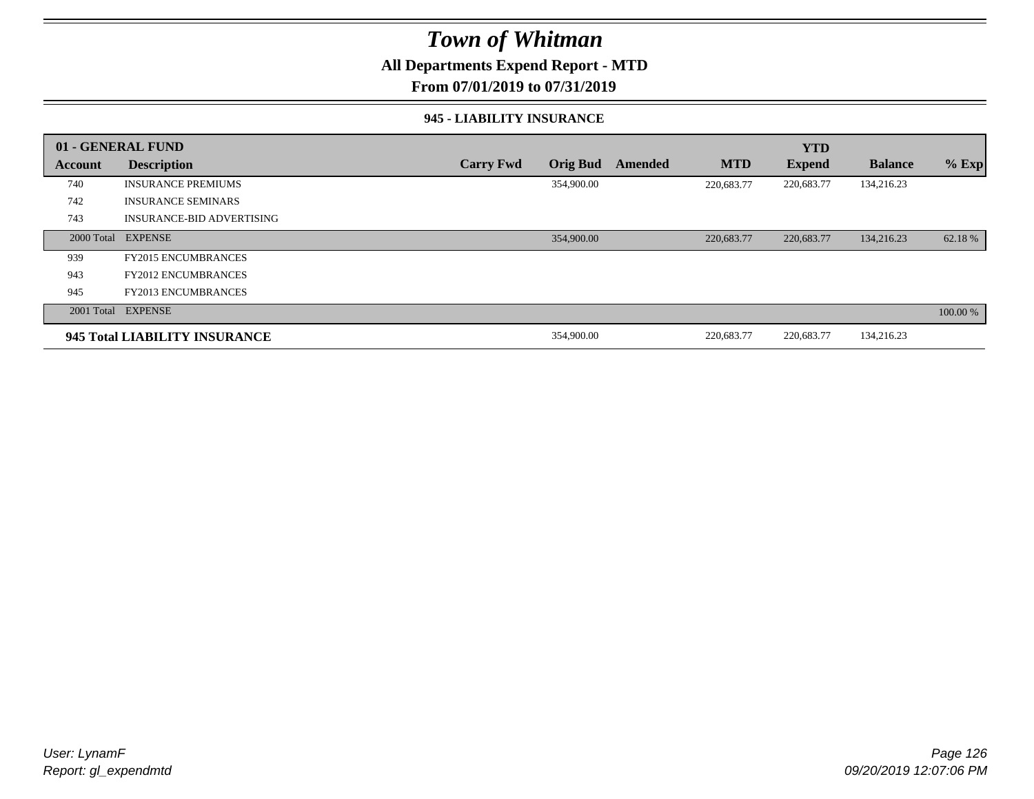### **All Departments Expend Report - MTD**

**From 07/01/2019 to 07/31/2019**

#### **945 - LIABILITY INSURANCE**

|         | 01 - GENERAL FUND                |                  |                 |         |            | <b>YTD</b>    |                |          |
|---------|----------------------------------|------------------|-----------------|---------|------------|---------------|----------------|----------|
| Account | <b>Description</b>               | <b>Carry Fwd</b> | <b>Orig Bud</b> | Amended | <b>MTD</b> | <b>Expend</b> | <b>Balance</b> | $%$ Exp  |
| 740     | <b>INSURANCE PREMIUMS</b>        |                  | 354,900.00      |         | 220,683.77 | 220,683.77    | 134,216.23     |          |
| 742     | <b>INSURANCE SEMINARS</b>        |                  |                 |         |            |               |                |          |
| 743     | <b>INSURANCE-BID ADVERTISING</b> |                  |                 |         |            |               |                |          |
|         | 2000 Total EXPENSE               |                  | 354,900.00      |         | 220,683.77 | 220,683.77    | 134,216.23     | 62.18 %  |
| 939     | <b>FY2015 ENCUMBRANCES</b>       |                  |                 |         |            |               |                |          |
| 943     | <b>FY2012 ENCUMBRANCES</b>       |                  |                 |         |            |               |                |          |
| 945     | <b>FY2013 ENCUMBRANCES</b>       |                  |                 |         |            |               |                |          |
|         | 2001 Total EXPENSE               |                  |                 |         |            |               |                | 100.00 % |
|         | 945 Total LIABILITY INSURANCE    |                  | 354,900.00      |         | 220,683.77 | 220,683.77    | 134,216.23     |          |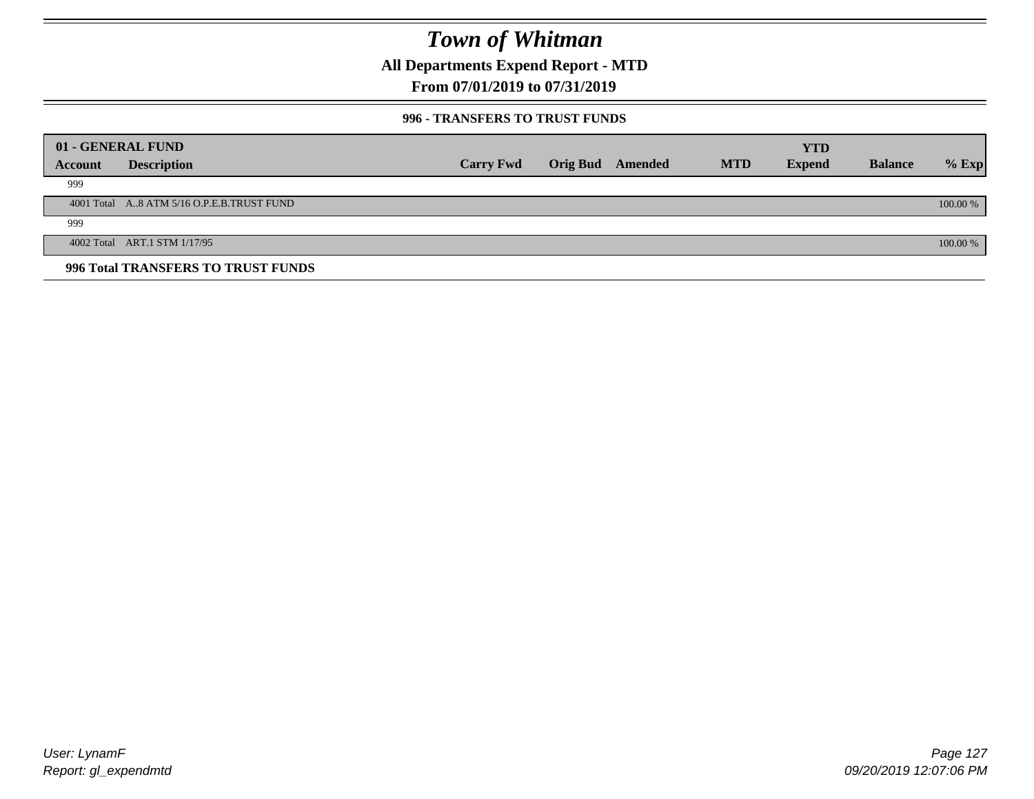**All Departments Expend Report - MTD**

### **From 07/01/2019 to 07/31/2019**

#### **996 - TRANSFERS TO TRUST FUNDS**

|         | 01 - GENERAL FUND                         |                  |                 |         |            | <b>YTD</b>    |                |            |
|---------|-------------------------------------------|------------------|-----------------|---------|------------|---------------|----------------|------------|
| Account | <b>Description</b>                        | <b>Carry Fwd</b> | <b>Orig Bud</b> | Amended | <b>MTD</b> | <b>Expend</b> | <b>Balance</b> | $%$ Exp    |
| 999     |                                           |                  |                 |         |            |               |                |            |
|         | 4001 Total A8 ATM 5/16 O.P.E.B.TRUST FUND |                  |                 |         |            |               |                | $100.00\%$ |
| 999     |                                           |                  |                 |         |            |               |                |            |
|         | 4002 Total ART.1 STM 1/17/95              |                  |                 |         |            |               |                | 100.00 %   |
|         | 996 Total TRANSFERS TO TRUST FUNDS        |                  |                 |         |            |               |                |            |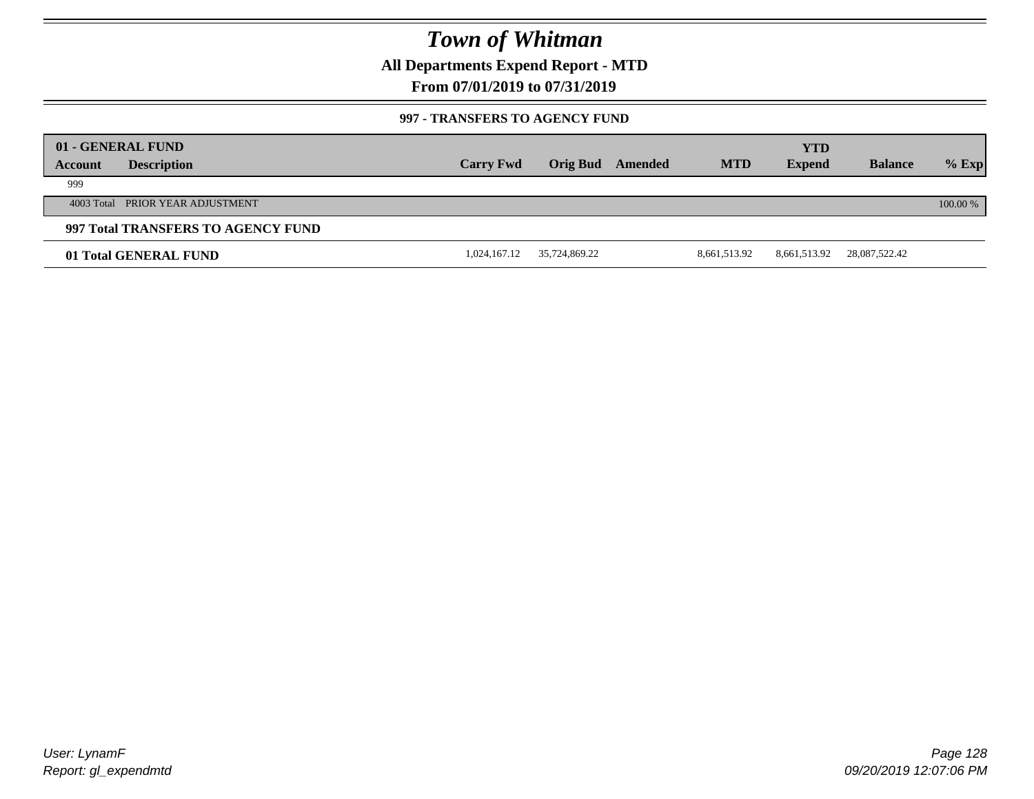**All Departments Expend Report - MTD**

### **From 07/01/2019 to 07/31/2019**

#### **997 - TRANSFERS TO AGENCY FUND**

|         | 01 - GENERAL FUND                  |                  |               |         |              | <b>YTD</b>    |                |            |
|---------|------------------------------------|------------------|---------------|---------|--------------|---------------|----------------|------------|
| Account | <b>Description</b>                 | <b>Carry Fwd</b> | Orig Bud      | Amended | <b>MTD</b>   | <b>Expend</b> | <b>Balance</b> | $%$ Exp    |
| 999     |                                    |                  |               |         |              |               |                |            |
|         | 4003 Total PRIOR YEAR ADJUSTMENT   |                  |               |         |              |               |                | $100.00\%$ |
|         | 997 Total TRANSFERS TO AGENCY FUND |                  |               |         |              |               |                |            |
|         | 01 Total GENERAL FUND              | 1,024,167.12     | 35,724,869.22 |         | 8,661,513.92 | 8,661,513.92  | 28,087,522.42  |            |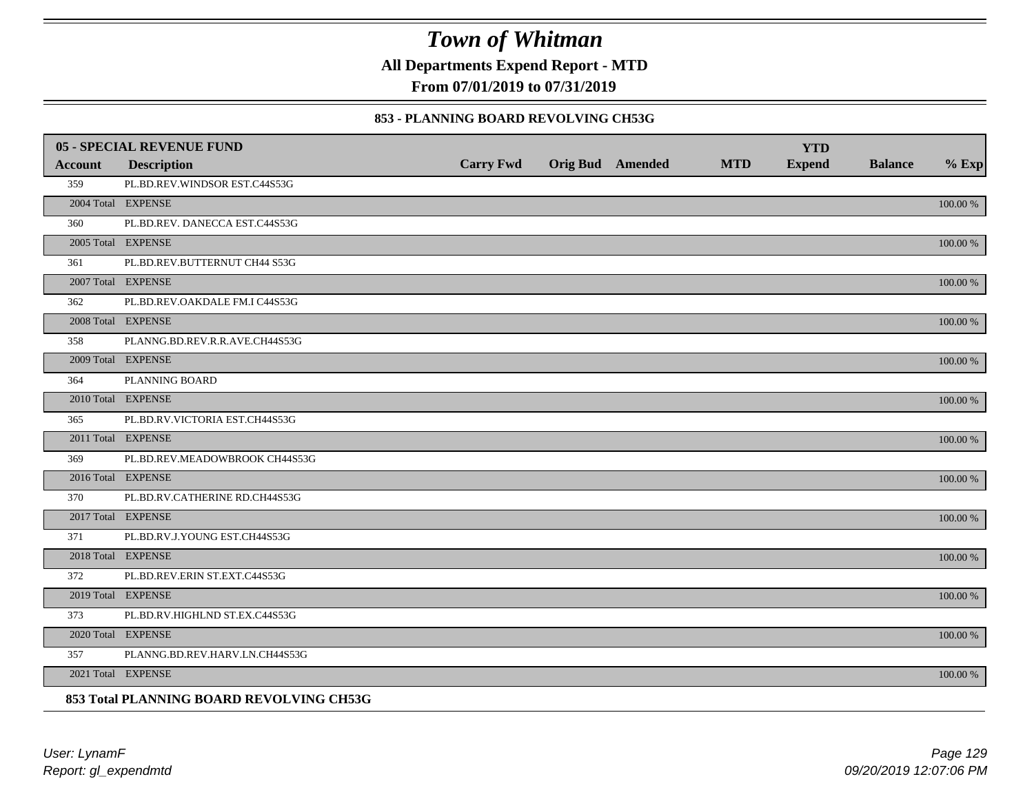**All Departments Expend Report - MTD**

**From 07/01/2019 to 07/31/2019**

#### **853 - PLANNING BOARD REVOLVING CH53G**

|         | 05 - SPECIAL REVENUE FUND                |                  |                         |            | <b>YTD</b>    |                |             |
|---------|------------------------------------------|------------------|-------------------------|------------|---------------|----------------|-------------|
| Account | <b>Description</b>                       | <b>Carry Fwd</b> | <b>Orig Bud</b> Amended | <b>MTD</b> | <b>Expend</b> | <b>Balance</b> | $%$ Exp     |
| 359     | PL.BD.REV.WINDSOR EST.C44S53G            |                  |                         |            |               |                |             |
|         | 2004 Total EXPENSE                       |                  |                         |            |               |                | 100.00 %    |
| 360     | PL.BD.REV. DANECCA EST.C44S53G           |                  |                         |            |               |                |             |
|         | 2005 Total EXPENSE                       |                  |                         |            |               |                | 100.00 %    |
| 361     | PL.BD.REV.BUTTERNUT CH44 S53G            |                  |                         |            |               |                |             |
|         | 2007 Total EXPENSE                       |                  |                         |            |               |                | $100.00~\%$ |
| 362     | PL.BD.REV.OAKDALE FM.I C44S53G           |                  |                         |            |               |                |             |
|         | 2008 Total EXPENSE                       |                  |                         |            |               |                | $100.00~\%$ |
| 358     | PLANNG.BD.REV.R.R.AVE.CH44S53G           |                  |                         |            |               |                |             |
|         | 2009 Total EXPENSE                       |                  |                         |            |               |                | 100.00 %    |
| 364     | PLANNING BOARD                           |                  |                         |            |               |                |             |
|         | 2010 Total EXPENSE                       |                  |                         |            |               |                | 100.00 %    |
| 365     | PL.BD.RV.VICTORIA EST.CH44S53G           |                  |                         |            |               |                |             |
|         | 2011 Total EXPENSE                       |                  |                         |            |               |                | 100.00 %    |
| 369     | PL.BD.REV.MEADOWBROOK CH44S53G           |                  |                         |            |               |                |             |
|         | 2016 Total EXPENSE                       |                  |                         |            |               |                | 100.00 %    |
| 370     | PL.BD.RV.CATHERINE RD.CH44S53G           |                  |                         |            |               |                |             |
|         | 2017 Total EXPENSE                       |                  |                         |            |               |                | 100.00 %    |
| 371     | PL.BD.RV.J.YOUNG EST.CH44S53G            |                  |                         |            |               |                |             |
|         | 2018 Total EXPENSE                       |                  |                         |            |               |                | $100.00~\%$ |
| 372     | PL.BD.REV.ERIN ST.EXT.C44S53G            |                  |                         |            |               |                |             |
|         | 2019 Total EXPENSE                       |                  |                         |            |               |                | 100.00 %    |
| 373     | PL.BD.RV.HIGHLND ST.EX.C44S53G           |                  |                         |            |               |                |             |
|         | 2020 Total EXPENSE                       |                  |                         |            |               |                | 100.00 %    |
| 357     | PLANNG.BD.REV.HARV.LN.CH44S53G           |                  |                         |            |               |                |             |
|         | 2021 Total EXPENSE                       |                  |                         |            |               |                | 100.00 %    |
|         | 853 Total PLANNING BOARD REVOLVING CH53G |                  |                         |            |               |                |             |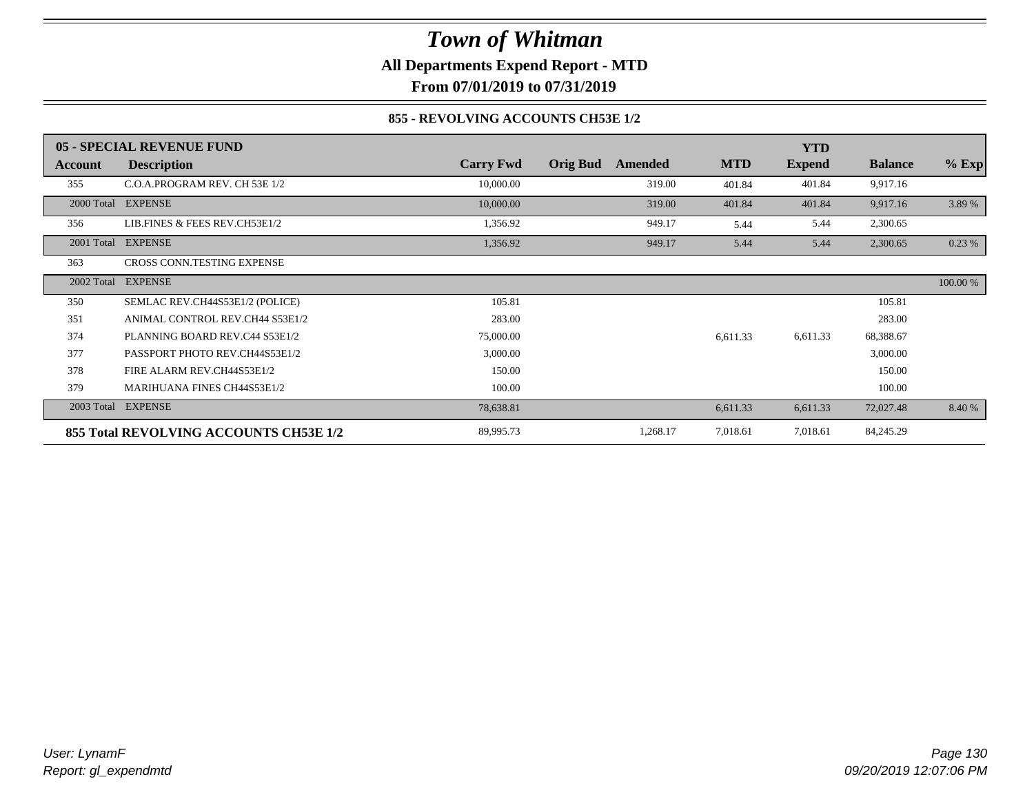### *Town of Whitman* **All Departments Expend Report - MTD**

**From 07/01/2019 to 07/31/2019**

### **855 - REVOLVING ACCOUNTS CH53E 1/2**

|            | 05 - SPECIAL REVENUE FUND              |                  |                            |            | <b>YTD</b>    |                |          |
|------------|----------------------------------------|------------------|----------------------------|------------|---------------|----------------|----------|
| Account    | <b>Description</b>                     | <b>Carry Fwd</b> | <b>Orig Bud</b><br>Amended | <b>MTD</b> | <b>Expend</b> | <b>Balance</b> | $%$ Exp  |
| 355        | C.O.A.PROGRAM REV. CH 53E 1/2          | 10,000.00        | 319.00                     | 401.84     | 401.84        | 9,917.16       |          |
|            | 2000 Total EXPENSE                     | 10,000.00        | 319.00                     | 401.84     | 401.84        | 9,917.16       | 3.89 %   |
| 356        | LIB.FINES & FEES REV.CH53E1/2          | 1,356.92         | 949.17                     | 5.44       | 5.44          | 2,300.65       |          |
|            | 2001 Total EXPENSE                     | 1,356.92         | 949.17                     | 5.44       | 5.44          | 2,300.65       | 0.23%    |
| 363        | CROSS CONN.TESTING EXPENSE             |                  |                            |            |               |                |          |
| 2002 Total | <b>EXPENSE</b>                         |                  |                            |            |               |                | 100.00 % |
| 350        | SEMLAC REV.CH44S53E1/2 (POLICE)        | 105.81           |                            |            |               | 105.81         |          |
| 351        | ANIMAL CONTROL REV.CH44 S53E1/2        | 283.00           |                            |            |               | 283.00         |          |
| 374        | PLANNING BOARD REV.C44 S53E1/2         | 75,000.00        |                            | 6,611.33   | 6,611.33      | 68,388.67      |          |
| 377        | PASSPORT PHOTO REV.CH44S53E1/2         | 3,000.00         |                            |            |               | 3,000.00       |          |
| 378        | FIRE ALARM REV.CH44S53E1/2             | 150.00           |                            |            |               | 150.00         |          |
| 379        | <b>MARIHUANA FINES CH44S53E1/2</b>     | 100.00           |                            |            |               | 100.00         |          |
| 2003 Total | <b>EXPENSE</b>                         | 78,638.81        |                            | 6,611.33   | 6,611.33      | 72,027.48      | 8.40 %   |
|            | 855 Total REVOLVING ACCOUNTS CH53E 1/2 | 89,995.73        | 1,268.17                   | 7,018.61   | 7,018.61      | 84,245.29      |          |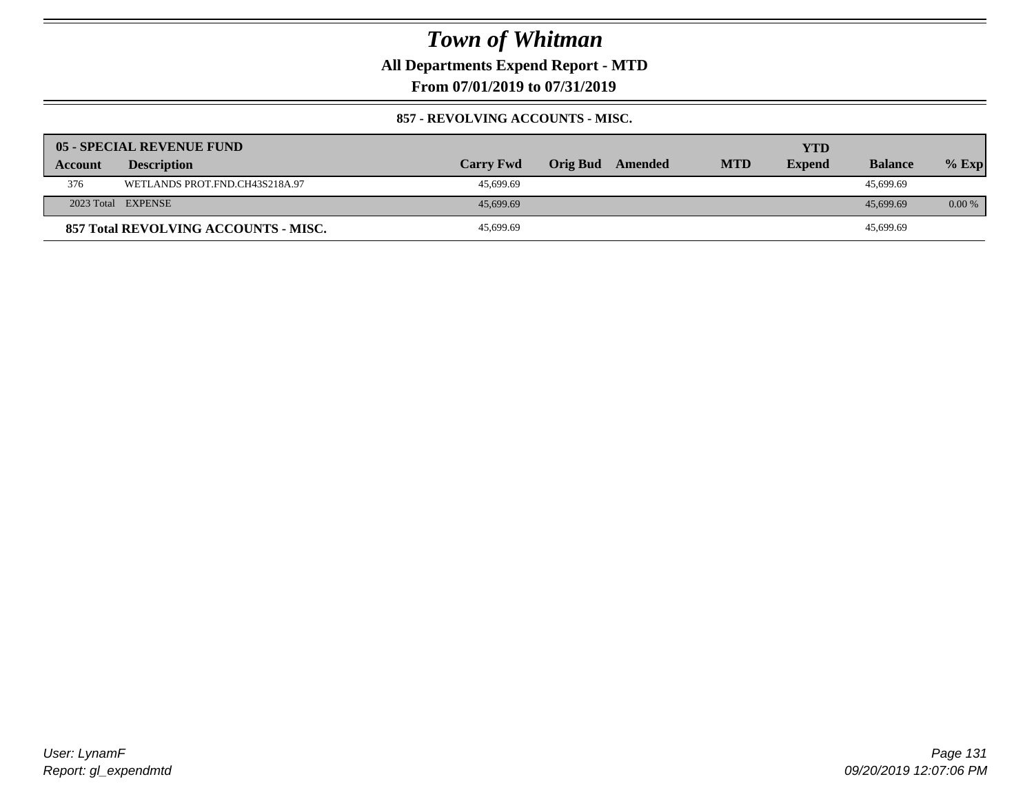**All Departments Expend Report - MTD**

**From 07/01/2019 to 07/31/2019**

#### **857 - REVOLVING ACCOUNTS - MISC.**

|                | <b>05 - SPECIAL REVENUE FUND</b>     |                  |          |         |            | YTD           |                |          |
|----------------|--------------------------------------|------------------|----------|---------|------------|---------------|----------------|----------|
| <b>Account</b> | <b>Description</b>                   | <b>Carry Fwd</b> | Orig Bud | Amended | <b>MTD</b> | <b>Expend</b> | <b>Balance</b> | $%$ Exp  |
| 376            | WETLANDS PROT.FND.CH43S218A.97       | 45.699.69        |          |         |            |               | 45.699.69      |          |
|                | 2023 Total EXPENSE                   | 45,699.69        |          |         |            |               | 45,699.69      | $0.00\%$ |
|                | 857 Total REVOLVING ACCOUNTS - MISC. | 45,699.69        |          |         |            |               | 45,699.69      |          |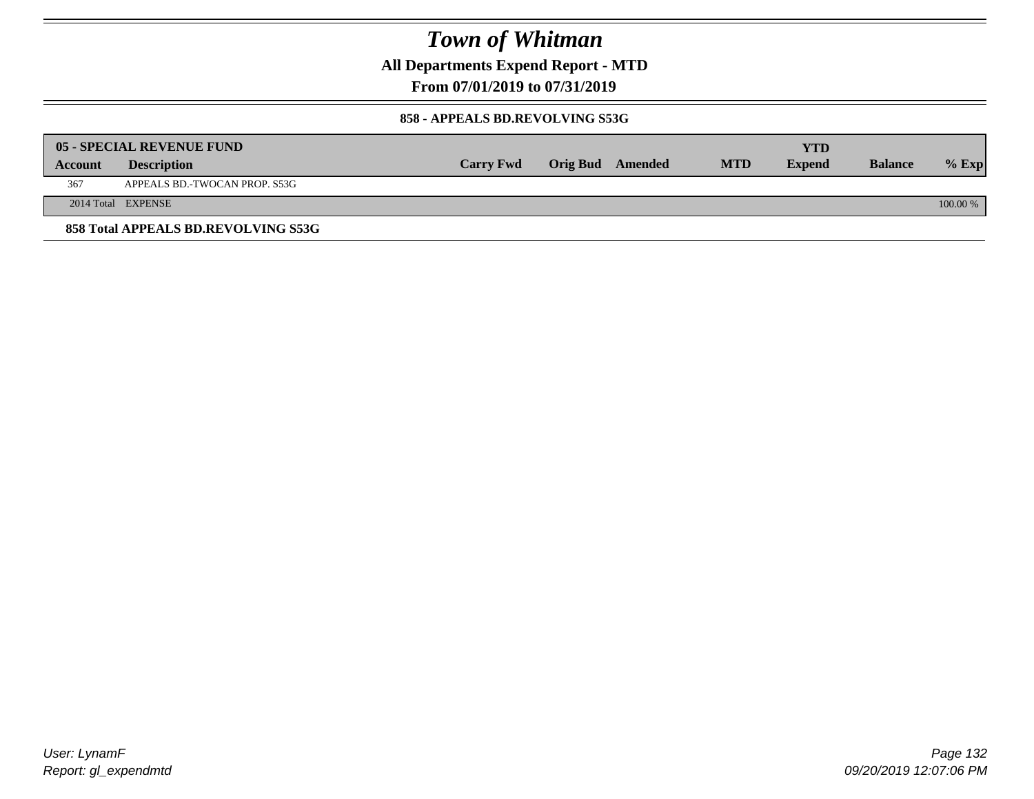**All Departments Expend Report - MTD**

**From 07/01/2019 to 07/31/2019**

#### **858 - APPEALS BD.REVOLVING S53G**

|         | 05 - SPECIAL REVENUE FUND           |                  |                  |            | YTD           |                |            |
|---------|-------------------------------------|------------------|------------------|------------|---------------|----------------|------------|
| Account | <b>Description</b>                  | <b>Carry Fwd</b> | Orig Bud Amended | <b>MTD</b> | <b>Expend</b> | <b>Balance</b> | $%$ Exp    |
| 367     | APPEALS BD.-TWOCAN PROP. S53G       |                  |                  |            |               |                |            |
|         | 2014 Total EXPENSE                  |                  |                  |            |               |                | $100.00\%$ |
|         | 858 Total APPEALS BD.REVOLVING S53G |                  |                  |            |               |                |            |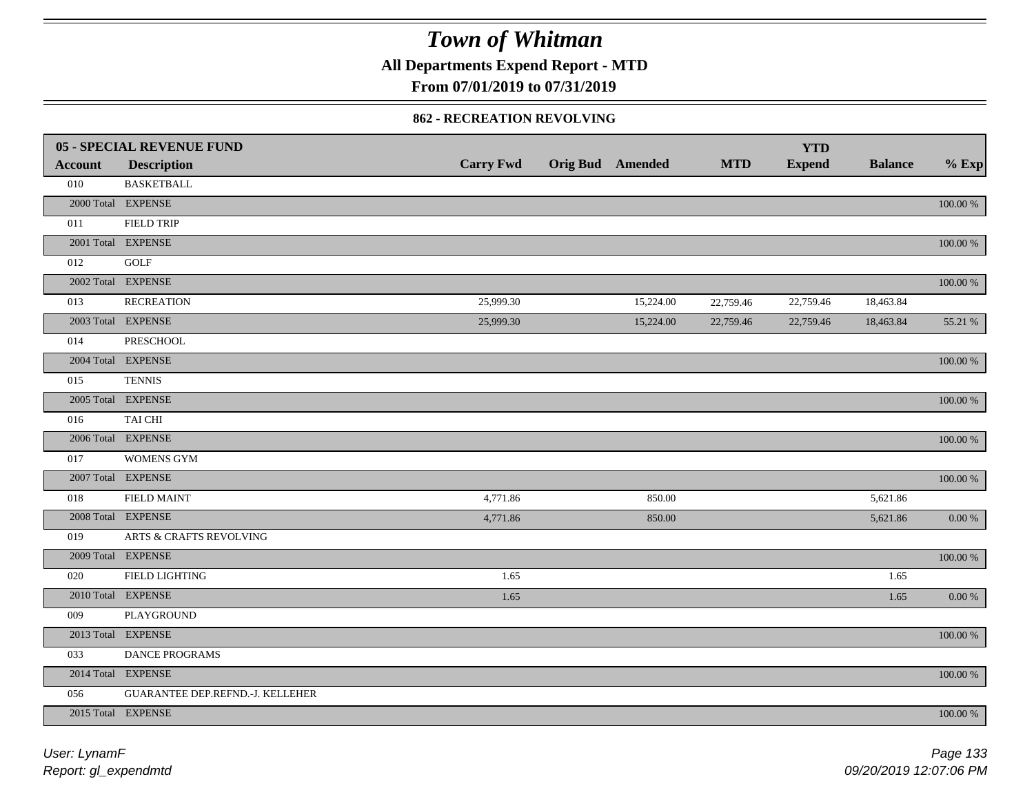**All Departments Expend Report - MTD**

### **From 07/01/2019 to 07/31/2019**

#### **862 - RECREATION REVOLVING**

|                | <b>05 - SPECIAL REVENUE FUND</b> |                  |                         |            | <b>YTD</b>    |                |             |
|----------------|----------------------------------|------------------|-------------------------|------------|---------------|----------------|-------------|
| <b>Account</b> | <b>Description</b>               | <b>Carry Fwd</b> | <b>Orig Bud Amended</b> | <b>MTD</b> | <b>Expend</b> | <b>Balance</b> | $%$ Exp     |
| 010            | <b>BASKETBALL</b>                |                  |                         |            |               |                |             |
|                | 2000 Total EXPENSE               |                  |                         |            |               |                | $100.00~\%$ |
| 011            | <b>FIELD TRIP</b>                |                  |                         |            |               |                |             |
|                | 2001 Total EXPENSE               |                  |                         |            |               |                | $100.00~\%$ |
| 012            | GOLF                             |                  |                         |            |               |                |             |
|                | 2002 Total EXPENSE               |                  |                         |            |               |                | $100.00~\%$ |
| 013            | <b>RECREATION</b>                | 25,999.30        | 15,224.00               | 22,759.46  | 22,759.46     | 18,463.84      |             |
|                | 2003 Total EXPENSE               | 25,999.30        | 15,224.00               | 22,759.46  | 22,759.46     | 18,463.84      | 55.21 %     |
| 014            | <b>PRESCHOOL</b>                 |                  |                         |            |               |                |             |
|                | 2004 Total EXPENSE               |                  |                         |            |               |                | $100.00~\%$ |
| 015            | <b>TENNIS</b>                    |                  |                         |            |               |                |             |
|                | 2005 Total EXPENSE               |                  |                         |            |               |                | $100.00~\%$ |
| 016            | <b>TAI CHI</b>                   |                  |                         |            |               |                |             |
|                | 2006 Total EXPENSE               |                  |                         |            |               |                | 100.00 %    |
| 017            | <b>WOMENS GYM</b>                |                  |                         |            |               |                |             |
|                | 2007 Total EXPENSE               |                  |                         |            |               |                | $100.00~\%$ |
| 018            | <b>FIELD MAINT</b>               | 4,771.86         | 850.00                  |            |               | 5,621.86       |             |
|                | 2008 Total EXPENSE               | 4,771.86         | 850.00                  |            |               | 5,621.86       | $0.00~\%$   |
| 019            | ARTS & CRAFTS REVOLVING          |                  |                         |            |               |                |             |
|                | 2009 Total EXPENSE               |                  |                         |            |               |                | $100.00~\%$ |
| 020            | <b>FIELD LIGHTING</b>            | 1.65             |                         |            |               | 1.65           |             |
|                | 2010 Total EXPENSE               | 1.65             |                         |            |               | 1.65           | $0.00~\%$   |
| 009            | PLAYGROUND                       |                  |                         |            |               |                |             |
|                | 2013 Total EXPENSE               |                  |                         |            |               |                | $100.00~\%$ |
| 033            | DANCE PROGRAMS                   |                  |                         |            |               |                |             |
|                | 2014 Total EXPENSE               |                  |                         |            |               |                | $100.00~\%$ |
| 056            | GUARANTEE DEP.REFND.-J. KELLEHER |                  |                         |            |               |                |             |
|                | 2015 Total EXPENSE               |                  |                         |            |               |                | 100.00 %    |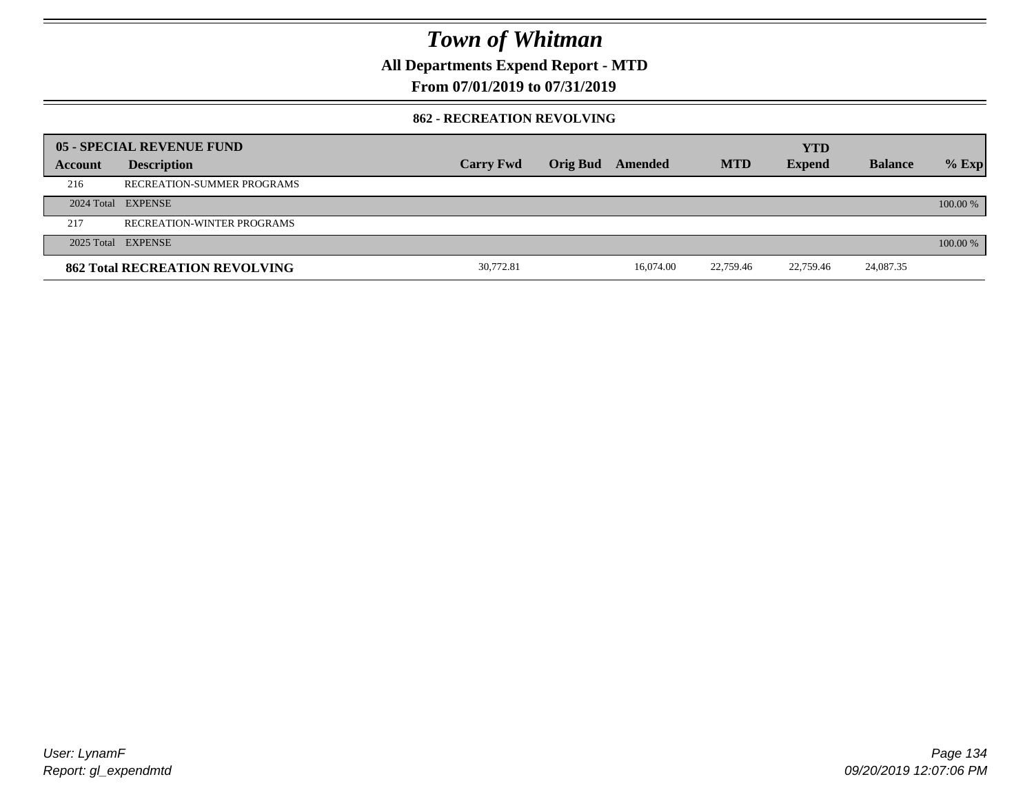**All Departments Expend Report - MTD**

### **From 07/01/2019 to 07/31/2019**

#### **862 - RECREATION REVOLVING**

|         | 05 - SPECIAL REVENUE FUND             |                  |                         |            | <b>YTD</b>    |                |          |
|---------|---------------------------------------|------------------|-------------------------|------------|---------------|----------------|----------|
| Account | <b>Description</b>                    | <b>Carry Fwd</b> | <b>Orig Bud</b> Amended | <b>MTD</b> | <b>Expend</b> | <b>Balance</b> | $%$ Exp  |
| 216     | RECREATION-SUMMER PROGRAMS            |                  |                         |            |               |                |          |
|         | 2024 Total EXPENSE                    |                  |                         |            |               |                | 100.00 % |
| 217     | <b>RECREATION-WINTER PROGRAMS</b>     |                  |                         |            |               |                |          |
|         | 2025 Total EXPENSE                    |                  |                         |            |               |                | 100.00 % |
|         | <b>862 Total RECREATION REVOLVING</b> | 30,772.81        | 16.074.00               | 22,759.46  | 22,759.46     | 24,087.35      |          |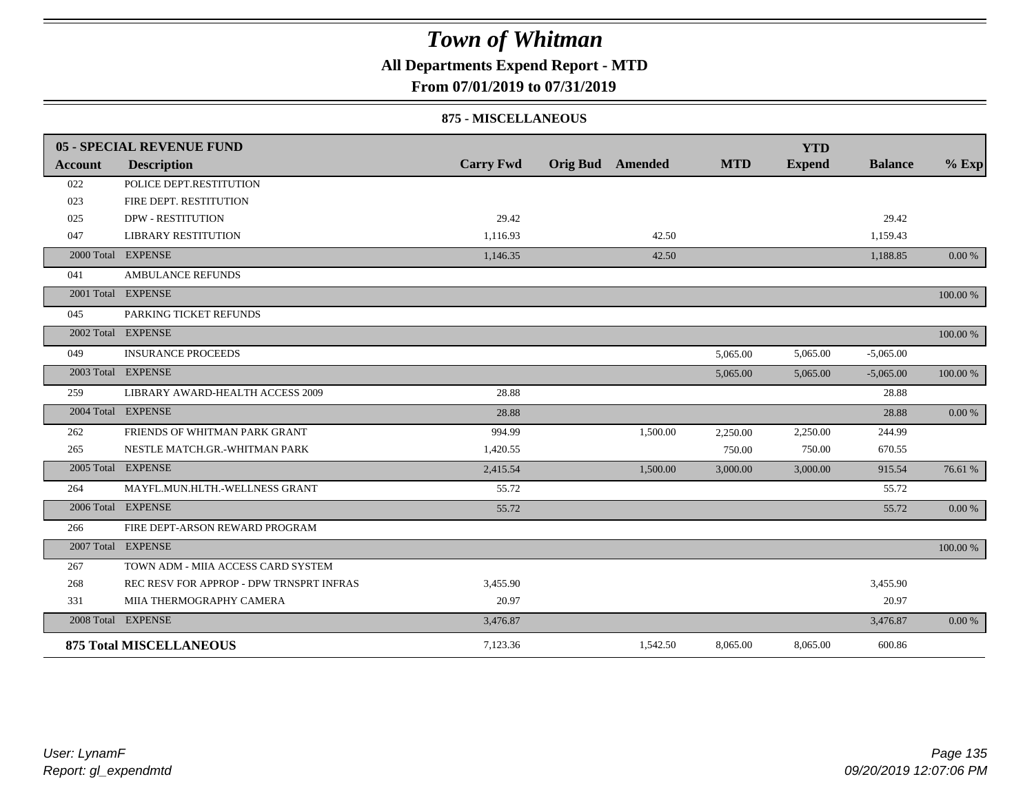### **All Departments Expend Report - MTD**

### **From 07/01/2019 to 07/31/2019**

#### **875 - MISCELLANEOUS**

|                | 05 - SPECIAL REVENUE FUND                |                  |                         |            | <b>YTD</b>    |                |          |
|----------------|------------------------------------------|------------------|-------------------------|------------|---------------|----------------|----------|
| <b>Account</b> | <b>Description</b>                       | <b>Carry Fwd</b> | <b>Orig Bud</b> Amended | <b>MTD</b> | <b>Expend</b> | <b>Balance</b> | $%$ Exp  |
| 022            | POLICE DEPT.RESTITUTION                  |                  |                         |            |               |                |          |
| 023            | FIRE DEPT. RESTITUTION                   |                  |                         |            |               |                |          |
| 025            | <b>DPW - RESTITUTION</b>                 | 29.42            |                         |            |               | 29.42          |          |
| 047            | <b>LIBRARY RESTITUTION</b>               | 1.116.93         | 42.50                   |            |               | 1,159.43       |          |
|                | 2000 Total EXPENSE                       | 1,146.35         | 42.50                   |            |               | 1,188.85       | 0.00 %   |
| 041            | <b>AMBULANCE REFUNDS</b>                 |                  |                         |            |               |                |          |
|                | 2001 Total EXPENSE                       |                  |                         |            |               |                | 100.00 % |
| 045            | PARKING TICKET REFUNDS                   |                  |                         |            |               |                |          |
|                | 2002 Total EXPENSE                       |                  |                         |            |               |                | 100.00 % |
| 049            | <b>INSURANCE PROCEEDS</b>                |                  |                         | 5,065.00   | 5,065.00      | $-5,065.00$    |          |
|                | 2003 Total EXPENSE                       |                  |                         | 5,065,00   | 5,065.00      | $-5,065.00$    | 100.00 % |
| 259            | LIBRARY AWARD-HEALTH ACCESS 2009         | 28.88            |                         |            |               | 28.88          |          |
|                | 2004 Total EXPENSE                       | 28.88            |                         |            |               | 28.88          | 0.00 %   |
| 262            | FRIENDS OF WHITMAN PARK GRANT            | 994.99           | 1,500.00                | 2,250.00   | 2,250.00      | 244.99         |          |
| 265            | NESTLE MATCH.GR.-WHITMAN PARK            | 1,420.55         |                         | 750.00     | 750.00        | 670.55         |          |
|                | 2005 Total EXPENSE                       | 2,415.54         | 1,500.00                | 3,000.00   | 3,000.00      | 915.54         | 76.61 %  |
| 264            | MAYFL.MUN.HLTH.-WELLNESS GRANT           | 55.72            |                         |            |               | 55.72          |          |
|                | 2006 Total EXPENSE                       | 55.72            |                         |            |               | 55.72          | 0.00 %   |
| 266            | FIRE DEPT-ARSON REWARD PROGRAM           |                  |                         |            |               |                |          |
|                | 2007 Total EXPENSE                       |                  |                         |            |               |                | 100.00 % |
| 267            | TOWN ADM - MIIA ACCESS CARD SYSTEM       |                  |                         |            |               |                |          |
| 268            | REC RESV FOR APPROP - DPW TRNSPRT INFRAS | 3,455.90         |                         |            |               | 3,455.90       |          |
| 331            | MIIA THERMOGRAPHY CAMERA                 | 20.97            |                         |            |               | 20.97          |          |
|                | 2008 Total EXPENSE                       | 3,476.87         |                         |            |               | 3,476.87       | 0.00 %   |
|                | <b>875 Total MISCELLANEOUS</b>           | 7,123.36         | 1,542.50                | 8,065.00   | 8,065.00      | 600.86         |          |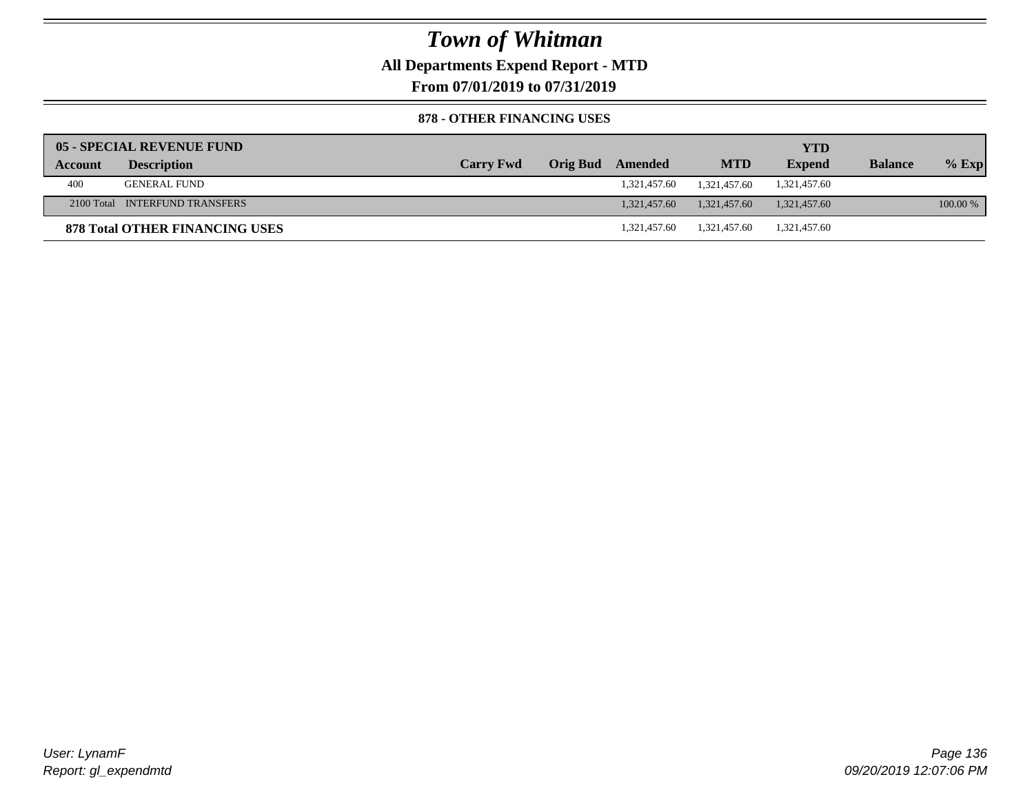**All Departments Expend Report - MTD**

**From 07/01/2019 to 07/31/2019**

#### **878 - OTHER FINANCING USES**

|         | 05 - SPECIAL REVENUE FUND             |                  |                         |              | <b>YTD</b>    |                |          |
|---------|---------------------------------------|------------------|-------------------------|--------------|---------------|----------------|----------|
| Account | <b>Description</b>                    | <b>Carry Fwd</b> | <b>Orig Bud</b> Amended | <b>MTD</b>   | <b>Expend</b> | <b>Balance</b> | $%$ Exp  |
| 400     | <b>GENERAL FUND</b>                   |                  | 1,321,457.60            | 1.321.457.60 | 1,321,457.60  |                |          |
|         | 2100 Total INTERFUND TRANSFERS        |                  | 1.321.457.60            | 1.321.457.60 | 1,321,457.60  |                | 100.00 % |
|         | <b>878 Total OTHER FINANCING USES</b> |                  | 1.321.457.60            | 1.321.457.60 | 1,321,457.60  |                |          |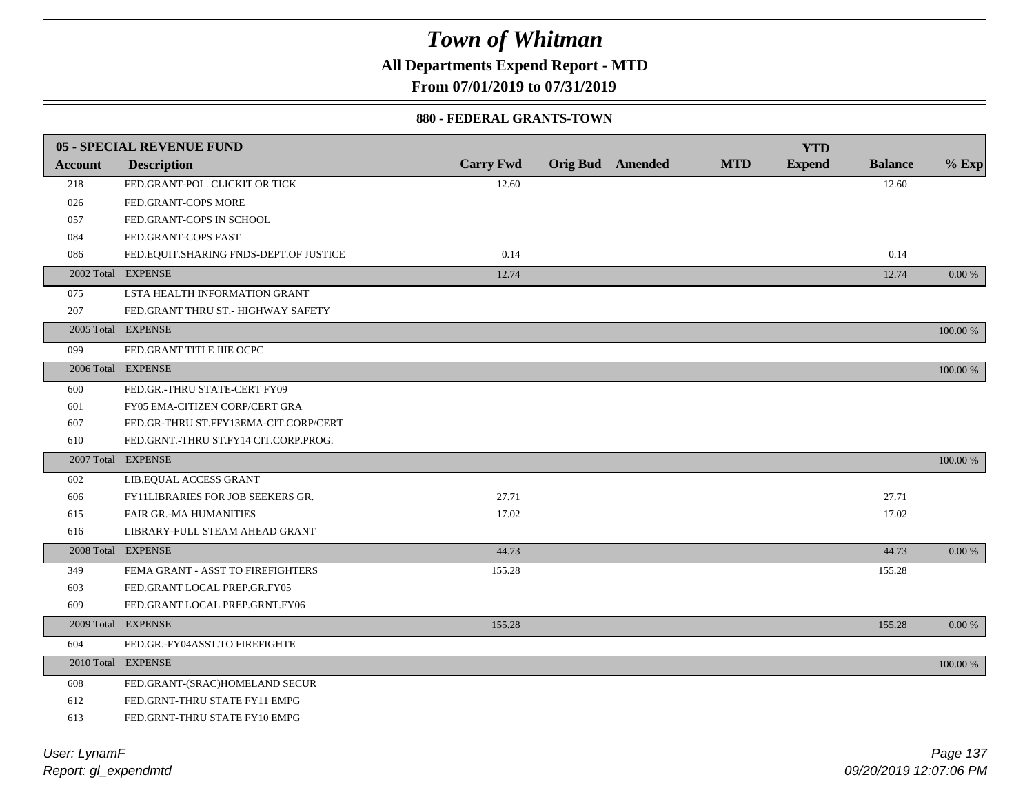**All Departments Expend Report - MTD**

**From 07/01/2019 to 07/31/2019**

#### **880 - FEDERAL GRANTS-TOWN**

|         | <b>05 - SPECIAL REVENUE FUND</b>       |                  |                         |            | <b>YTD</b>    |                |            |
|---------|----------------------------------------|------------------|-------------------------|------------|---------------|----------------|------------|
| Account | <b>Description</b>                     | <b>Carry Fwd</b> | <b>Orig Bud</b> Amended | <b>MTD</b> | <b>Expend</b> | <b>Balance</b> | $%$ Exp    |
| 218     | FED.GRANT-POL. CLICKIT OR TICK         | 12.60            |                         |            |               | 12.60          |            |
| 026     | FED.GRANT-COPS MORE                    |                  |                         |            |               |                |            |
| 057     | FED.GRANT-COPS IN SCHOOL               |                  |                         |            |               |                |            |
| 084     | FED.GRANT-COPS FAST                    |                  |                         |            |               |                |            |
| 086     | FED.EQUIT.SHARING FNDS-DEPT.OF JUSTICE | 0.14             |                         |            |               | 0.14           |            |
|         | 2002 Total EXPENSE                     | 12.74            |                         |            |               | 12.74          | 0.00 %     |
| 075     | LSTA HEALTH INFORMATION GRANT          |                  |                         |            |               |                |            |
| 207     | FED.GRANT THRU ST.- HIGHWAY SAFETY     |                  |                         |            |               |                |            |
|         | 2005 Total EXPENSE                     |                  |                         |            |               |                | 100.00 %   |
| 099     | FED.GRANT TITLE IIIE OCPC              |                  |                         |            |               |                |            |
|         | 2006 Total EXPENSE                     |                  |                         |            |               |                | 100.00 %   |
| 600     | FED.GR.-THRU STATE-CERT FY09           |                  |                         |            |               |                |            |
| 601     | FY05 EMA-CITIZEN CORP/CERT GRA         |                  |                         |            |               |                |            |
| 607     | FED.GR-THRU ST.FFY13EMA-CIT.CORP/CERT  |                  |                         |            |               |                |            |
| 610     | FED.GRNT.-THRU ST.FY14 CIT.CORP.PROG.  |                  |                         |            |               |                |            |
|         | 2007 Total EXPENSE                     |                  |                         |            |               |                | 100.00 %   |
| 602     | LIB.EQUAL ACCESS GRANT                 |                  |                         |            |               |                |            |
| 606     | FY11LIBRARIES FOR JOB SEEKERS GR.      | 27.71            |                         |            |               | 27.71          |            |
| 615     | FAIR GR.-MA HUMANITIES                 | 17.02            |                         |            |               | 17.02          |            |
| 616     | LIBRARY-FULL STEAM AHEAD GRANT         |                  |                         |            |               |                |            |
|         | 2008 Total EXPENSE                     | 44.73            |                         |            |               | 44.73          | $0.00\ \%$ |
| 349     | FEMA GRANT - ASST TO FIREFIGHTERS      | 155.28           |                         |            |               | 155.28         |            |
| 603     | FED.GRANT LOCAL PREP.GR.FY05           |                  |                         |            |               |                |            |
| 609     | FED.GRANT LOCAL PREP.GRNT.FY06         |                  |                         |            |               |                |            |
|         | 2009 Total EXPENSE                     | 155.28           |                         |            |               | 155.28         | 0.00 %     |
| 604     | FED.GR.-FY04ASST.TO FIREFIGHTE         |                  |                         |            |               |                |            |
|         | 2010 Total EXPENSE                     |                  |                         |            |               |                | 100.00 %   |
| 608     | FED.GRANT-(SRAC)HOMELAND SECUR         |                  |                         |            |               |                |            |
| 612     | FED.GRNT-THRU STATE FY11 EMPG          |                  |                         |            |               |                |            |
| 613     | FED.GRNT-THRU STATE FY10 EMPG          |                  |                         |            |               |                |            |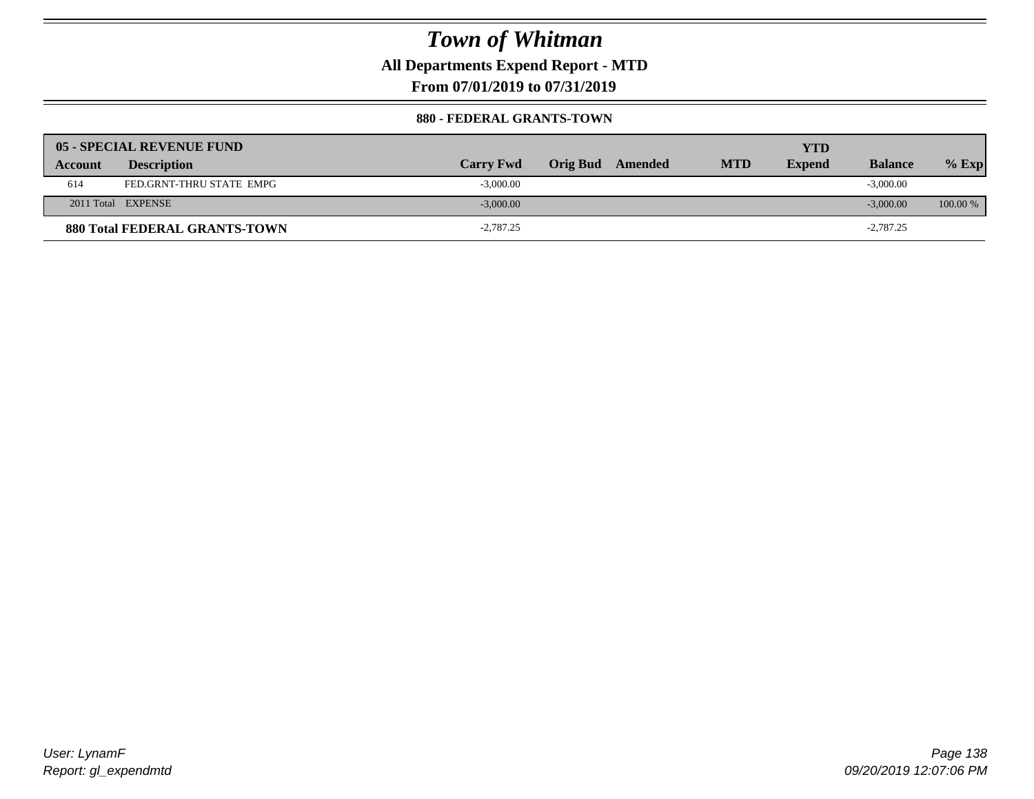**All Departments Expend Report - MTD**

**From 07/01/2019 to 07/31/2019**

#### **880 - FEDERAL GRANTS-TOWN**

|         | 05 - SPECIAL REVENUE FUND            |                  |                  |            | YTD           |                |            |
|---------|--------------------------------------|------------------|------------------|------------|---------------|----------------|------------|
| Account | <b>Description</b>                   | <b>Carry Fwd</b> | Orig Bud Amended | <b>MTD</b> | <b>Expend</b> | <b>Balance</b> | $%$ Exp    |
| 614     | FED.GRNT-THRU STATE EMPG             | $-3,000.00$      |                  |            |               | $-3,000.00$    |            |
|         | 2011 Total EXPENSE                   | $-3,000.00$      |                  |            |               | $-3,000,00$    | $100.00\%$ |
|         | <b>880 Total FEDERAL GRANTS-TOWN</b> | $-2,787.25$      |                  |            |               | $-2,787.25$    |            |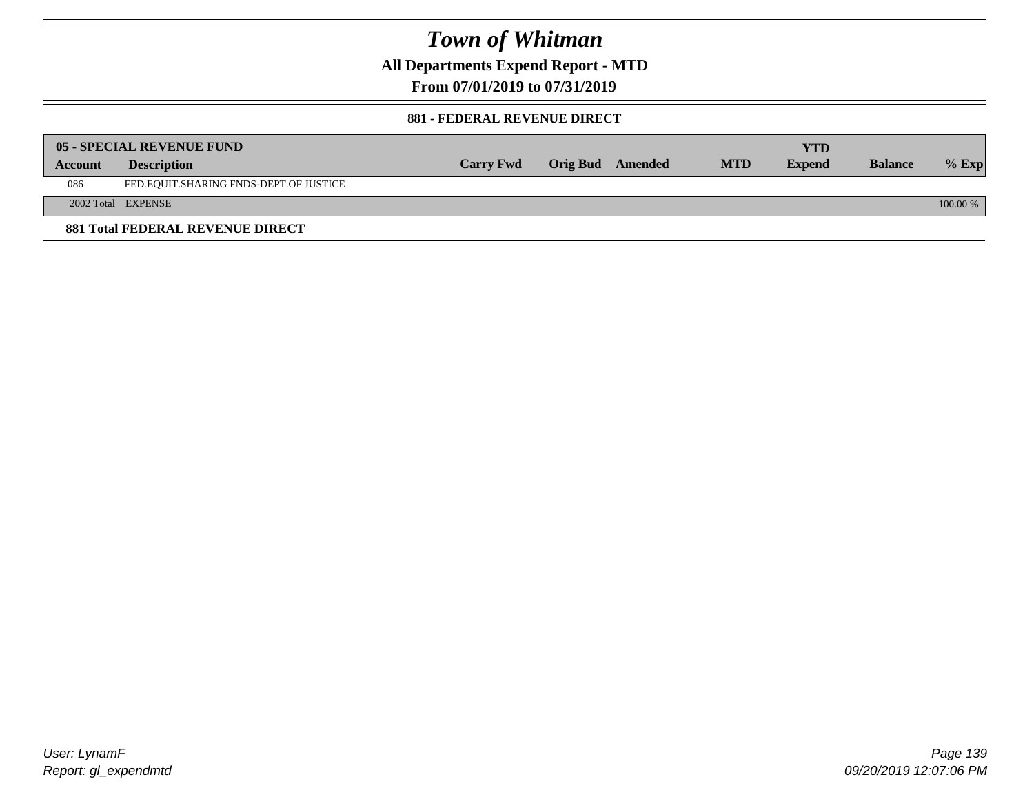**All Departments Expend Report - MTD**

**From 07/01/2019 to 07/31/2019**

#### **881 - FEDERAL REVENUE DIRECT**

|                | <b>05 - SPECIAL REVENUE FUND</b>        |                  |                  |            | YTD           |                |          |
|----------------|-----------------------------------------|------------------|------------------|------------|---------------|----------------|----------|
| <b>Account</b> | <b>Description</b>                      | <b>Carry Fwd</b> | Orig Bud Amended | <b>MTD</b> | <b>Expend</b> | <b>Balance</b> | $%$ Exp  |
| 086            | FED.EQUIT.SHARING FNDS-DEPT.OF JUSTICE  |                  |                  |            |               |                |          |
|                | 2002 Total EXPENSE                      |                  |                  |            |               |                | 100.00 % |
|                | <b>881 Total FEDERAL REVENUE DIRECT</b> |                  |                  |            |               |                |          |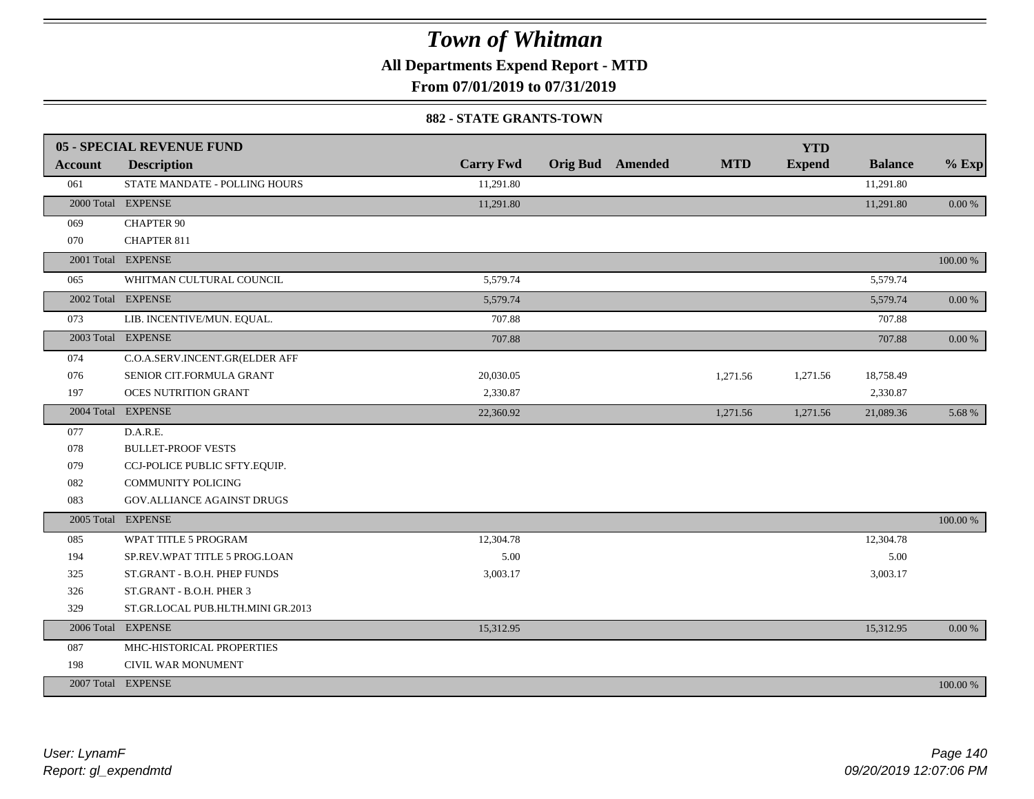**All Departments Expend Report - MTD**

**From 07/01/2019 to 07/31/2019**

#### **882 - STATE GRANTS-TOWN**

|                | 05 - SPECIAL REVENUE FUND         |                  |                         |            | <b>YTD</b>    |                |           |
|----------------|-----------------------------------|------------------|-------------------------|------------|---------------|----------------|-----------|
| <b>Account</b> | <b>Description</b>                | <b>Carry Fwd</b> | <b>Orig Bud</b> Amended | <b>MTD</b> | <b>Expend</b> | <b>Balance</b> | $%$ Exp   |
| 061            | STATE MANDATE - POLLING HOURS     | 11,291.80        |                         |            |               | 11,291.80      |           |
|                | 2000 Total EXPENSE                | 11,291.80        |                         |            |               | 11,291.80      | $0.00\%$  |
| 069            | <b>CHAPTER 90</b>                 |                  |                         |            |               |                |           |
| 070            | <b>CHAPTER 811</b>                |                  |                         |            |               |                |           |
|                | 2001 Total EXPENSE                |                  |                         |            |               |                | 100.00 %  |
| 065            | WHITMAN CULTURAL COUNCIL          | 5,579.74         |                         |            |               | 5,579.74       |           |
|                | 2002 Total EXPENSE                | 5,579.74         |                         |            |               | 5,579.74       | $0.00 \%$ |
| 073            | LIB. INCENTIVE/MUN. EQUAL.        | 707.88           |                         |            |               | 707.88         |           |
|                | 2003 Total EXPENSE                | 707.88           |                         |            |               | 707.88         | $0.00\%$  |
| 074            | C.O.A.SERV.INCENT.GR(ELDER AFF    |                  |                         |            |               |                |           |
| 076            | SENIOR CIT.FORMULA GRANT          | 20,030.05        |                         | 1,271.56   | 1,271.56      | 18,758.49      |           |
| 197            | <b>OCES NUTRITION GRANT</b>       | 2,330.87         |                         |            |               | 2,330.87       |           |
|                | 2004 Total EXPENSE                | 22,360.92        |                         | 1,271.56   | 1,271.56      | 21,089.36      | 5.68 %    |
| 077            | D.A.R.E.                          |                  |                         |            |               |                |           |
| 078            | <b>BULLET-PROOF VESTS</b>         |                  |                         |            |               |                |           |
| 079            | CCJ-POLICE PUBLIC SFTY.EQUIP.     |                  |                         |            |               |                |           |
| 082            | <b>COMMUNITY POLICING</b>         |                  |                         |            |               |                |           |
| 083            | GOV.ALLIANCE AGAINST DRUGS        |                  |                         |            |               |                |           |
|                | 2005 Total EXPENSE                |                  |                         |            |               |                | 100.00 %  |
| 085            | WPAT TITLE 5 PROGRAM              | 12,304.78        |                         |            |               | 12,304.78      |           |
| 194            | SP.REV.WPAT TITLE 5 PROG.LOAN     | 5.00             |                         |            |               | 5.00           |           |
| 325            | ST.GRANT - B.O.H. PHEP FUNDS      | 3,003.17         |                         |            |               | 3,003.17       |           |
| 326            | ST.GRANT - B.O.H. PHER 3          |                  |                         |            |               |                |           |
| 329            | ST.GR.LOCAL PUB.HLTH.MINI GR.2013 |                  |                         |            |               |                |           |
|                | 2006 Total EXPENSE                | 15,312.95        |                         |            |               | 15,312.95      | 0.00 %    |
| 087            | MHC-HISTORICAL PROPERTIES         |                  |                         |            |               |                |           |
| 198            | CIVIL WAR MONUMENT                |                  |                         |            |               |                |           |
|                | 2007 Total EXPENSE                |                  |                         |            |               |                | 100.00 %  |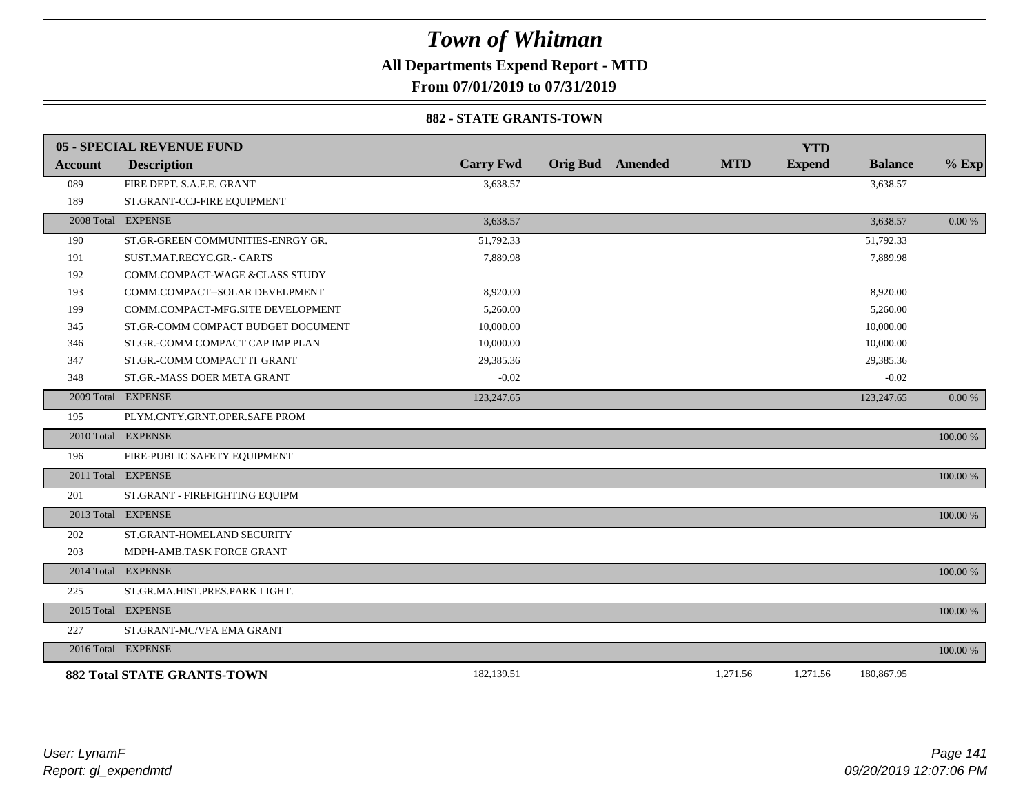**All Departments Expend Report - MTD**

**From 07/01/2019 to 07/31/2019**

#### **882 - STATE GRANTS-TOWN**

|         | <b>05 - SPECIAL REVENUE FUND</b>   |                  |                         |            | <b>YTD</b>    |                |          |
|---------|------------------------------------|------------------|-------------------------|------------|---------------|----------------|----------|
| Account | <b>Description</b>                 | <b>Carry Fwd</b> | <b>Orig Bud Amended</b> | <b>MTD</b> | <b>Expend</b> | <b>Balance</b> | $%$ Exp  |
| 089     | FIRE DEPT. S.A.F.E. GRANT          | 3,638.57         |                         |            |               | 3,638.57       |          |
| 189     | ST.GRANT-CCJ-FIRE EQUIPMENT        |                  |                         |            |               |                |          |
|         | 2008 Total EXPENSE                 | 3,638.57         |                         |            |               | 3,638.57       | 0.00 %   |
| 190     | ST.GR-GREEN COMMUNITIES-ENRGY GR.  | 51,792.33        |                         |            |               | 51,792.33      |          |
| 191     | SUST.MAT.RECYC.GR.- CARTS          | 7,889.98         |                         |            |               | 7,889.98       |          |
| 192     | COMM.COMPACT-WAGE &CLASS STUDY     |                  |                         |            |               |                |          |
| 193     | COMM.COMPACT--SOLAR DEVELPMENT     | 8,920.00         |                         |            |               | 8,920.00       |          |
| 199     | COMM.COMPACT-MFG.SITE DEVELOPMENT  | 5,260.00         |                         |            |               | 5,260.00       |          |
| 345     | ST.GR-COMM COMPACT BUDGET DOCUMENT | 10,000.00        |                         |            |               | 10,000.00      |          |
| 346     | ST.GR.-COMM COMPACT CAP IMP PLAN   | 10,000.00        |                         |            |               | 10,000.00      |          |
| 347     | ST.GR.-COMM COMPACT IT GRANT       | 29,385.36        |                         |            |               | 29,385.36      |          |
| 348     | ST.GR.-MASS DOER META GRANT        | $-0.02$          |                         |            |               | $-0.02$        |          |
|         | 2009 Total EXPENSE                 | 123,247.65       |                         |            |               | 123,247.65     | 0.00 %   |
| 195     | PLYM.CNTY.GRNT.OPER.SAFE PROM      |                  |                         |            |               |                |          |
|         | 2010 Total EXPENSE                 |                  |                         |            |               |                | 100.00 % |
| 196     | FIRE-PUBLIC SAFETY EQUIPMENT       |                  |                         |            |               |                |          |
|         | 2011 Total EXPENSE                 |                  |                         |            |               |                | 100.00 % |
| 201     | ST.GRANT - FIREFIGHTING EQUIPM     |                  |                         |            |               |                |          |
|         | 2013 Total EXPENSE                 |                  |                         |            |               |                | 100.00 % |
| 202     | ST.GRANT-HOMELAND SECURITY         |                  |                         |            |               |                |          |
| 203     | MDPH-AMB.TASK FORCE GRANT          |                  |                         |            |               |                |          |
|         | 2014 Total EXPENSE                 |                  |                         |            |               |                | 100.00 % |
| 225     | ST.GR.MA.HIST.PRES.PARK LIGHT.     |                  |                         |            |               |                |          |
|         | 2015 Total EXPENSE                 |                  |                         |            |               |                | 100.00 % |
| 227     | ST.GRANT-MC/VFA EMA GRANT          |                  |                         |            |               |                |          |
|         | 2016 Total EXPENSE                 |                  |                         |            |               |                | 100.00 % |
|         | 882 Total STATE GRANTS-TOWN        | 182,139.51       |                         | 1,271.56   | 1,271.56      | 180,867.95     |          |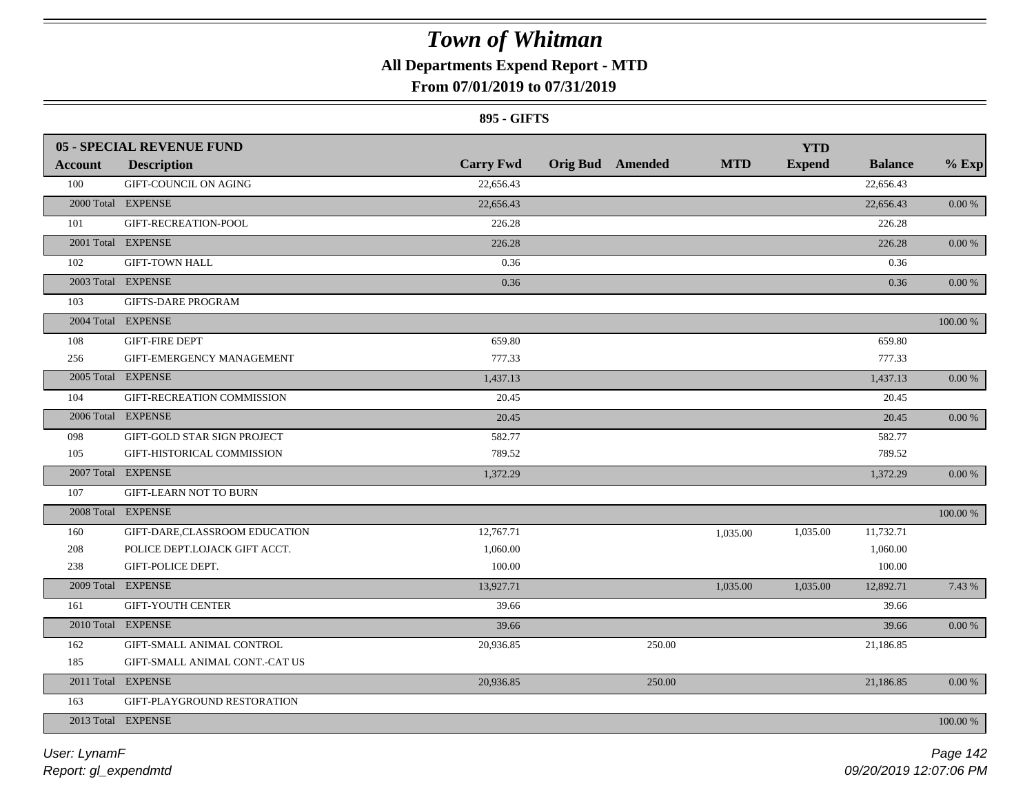### **All Departments Expend Report - MTD**

### **From 07/01/2019 to 07/31/2019**

#### **895 - GIFTS**

| Account | <b>05 - SPECIAL REVENUE FUND</b><br><b>Description</b> | <b>Carry Fwd</b> | <b>Orig Bud</b> Amended | <b>MTD</b> | <b>YTD</b><br><b>Expend</b> | <b>Balance</b> | $%$ Exp    |
|---------|--------------------------------------------------------|------------------|-------------------------|------------|-----------------------------|----------------|------------|
| 100     | <b>GIFT-COUNCIL ON AGING</b>                           | 22,656.43        |                         |            |                             | 22,656.43      |            |
|         | 2000 Total EXPENSE                                     | 22,656.43        |                         |            |                             | 22,656.43      | 0.00 %     |
| 101     | GIFT-RECREATION-POOL                                   | 226.28           |                         |            |                             | 226.28         |            |
|         | 2001 Total EXPENSE                                     |                  |                         |            |                             |                |            |
|         |                                                        | 226.28           |                         |            |                             | 226.28         | $0.00\,\%$ |
| 102     | <b>GIFT-TOWN HALL</b>                                  | 0.36             |                         |            |                             | 0.36           |            |
|         | 2003 Total EXPENSE                                     | 0.36             |                         |            |                             | 0.36           | 0.00 %     |
| 103     | <b>GIFTS-DARE PROGRAM</b>                              |                  |                         |            |                             |                |            |
|         | 2004 Total EXPENSE                                     |                  |                         |            |                             |                | 100.00 %   |
| 108     | <b>GIFT-FIRE DEPT</b>                                  | 659.80           |                         |            |                             | 659.80         |            |
| 256     | GIFT-EMERGENCY MANAGEMENT                              | 777.33           |                         |            |                             | 777.33         |            |
|         | 2005 Total EXPENSE                                     | 1,437.13         |                         |            |                             | 1,437.13       | 0.00 %     |
| 104     | GIFT-RECREATION COMMISSION                             | 20.45            |                         |            |                             | 20.45          |            |
|         | 2006 Total EXPENSE                                     | 20.45            |                         |            |                             | 20.45          | $0.00 \%$  |
| 098     | GIFT-GOLD STAR SIGN PROJECT                            | 582.77           |                         |            |                             | 582.77         |            |
| 105     | GIFT-HISTORICAL COMMISSION                             | 789.52           |                         |            |                             | 789.52         |            |
|         | 2007 Total EXPENSE                                     | 1,372.29         |                         |            |                             | 1,372.29       | 0.00 %     |
| 107     | <b>GIFT-LEARN NOT TO BURN</b>                          |                  |                         |            |                             |                |            |
|         | 2008 Total EXPENSE                                     |                  |                         |            |                             |                | 100.00 %   |
| 160     | GIFT-DARE, CLASSROOM EDUCATION                         | 12,767.71        |                         | 1,035.00   | 1,035.00                    | 11,732.71      |            |
| 208     | POLICE DEPT.LOJACK GIFT ACCT.                          | 1,060.00         |                         |            |                             | 1,060.00       |            |
| 238     | GIFT-POLICE DEPT.                                      | 100.00           |                         |            |                             | 100.00         |            |
|         | 2009 Total EXPENSE                                     | 13,927.71        |                         | 1,035.00   | 1,035.00                    | 12,892.71      | 7.43 %     |
| 161     | <b>GIFT-YOUTH CENTER</b>                               | 39.66            |                         |            |                             | 39.66          |            |
|         | 2010 Total EXPENSE                                     | 39.66            |                         |            |                             | 39.66          | $0.00\,\%$ |
| 162     | GIFT-SMALL ANIMAL CONTROL                              | 20,936.85        | 250.00                  |            |                             | 21,186.85      |            |
| 185     | GIFT-SMALL ANIMAL CONT.-CAT US                         |                  |                         |            |                             |                |            |
|         | 2011 Total EXPENSE                                     | 20,936.85        | 250.00                  |            |                             | 21,186.85      | 0.00 %     |
| 163     | GIFT-PLAYGROUND RESTORATION                            |                  |                         |            |                             |                |            |
|         | 2013 Total EXPENSE                                     |                  |                         |            |                             |                | 100.00 %   |
|         |                                                        |                  |                         |            |                             |                |            |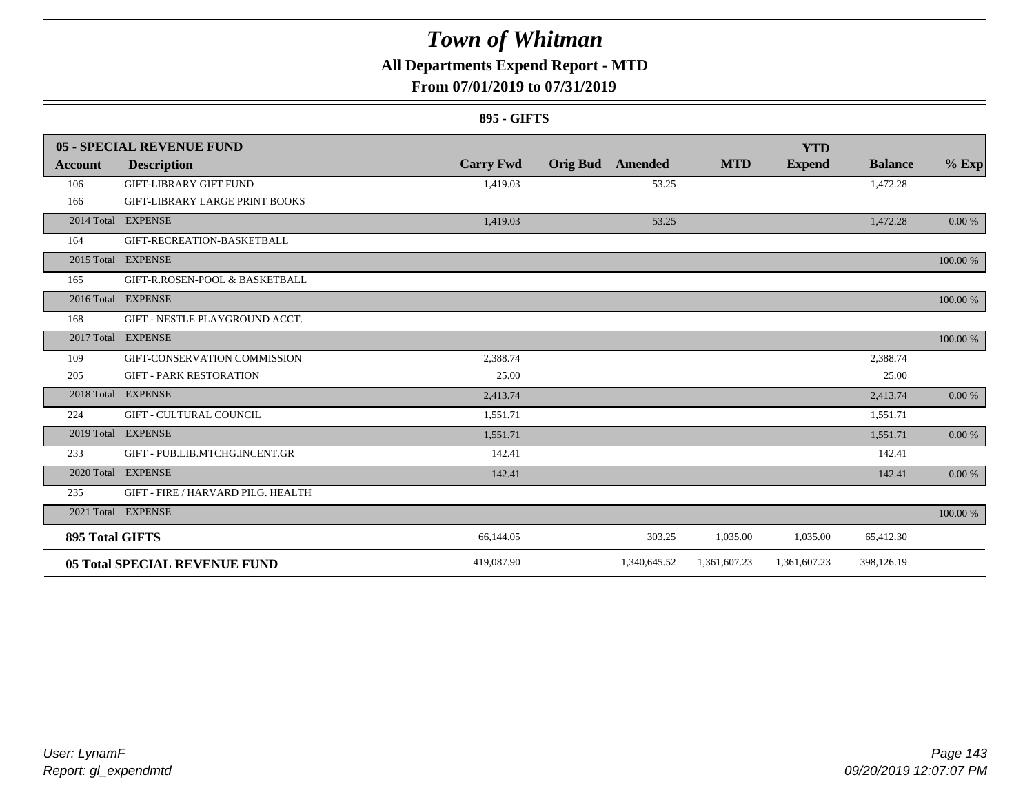### **All Departments Expend Report - MTD**

### **From 07/01/2019 to 07/31/2019**

#### **895 - GIFTS**

|                        | 05 - SPECIAL REVENUE FUND             |                  |                 |              |              | <b>YTD</b>    |                |          |
|------------------------|---------------------------------------|------------------|-----------------|--------------|--------------|---------------|----------------|----------|
| Account                | <b>Description</b>                    | <b>Carry Fwd</b> | <b>Orig Bud</b> | Amended      | <b>MTD</b>   | <b>Expend</b> | <b>Balance</b> | $%$ Exp  |
| 106                    | <b>GIFT-LIBRARY GIFT FUND</b>         | 1,419.03         |                 | 53.25        |              |               | 1,472.28       |          |
| 166                    | <b>GIFT-LIBRARY LARGE PRINT BOOKS</b> |                  |                 |              |              |               |                |          |
|                        | 2014 Total EXPENSE                    | 1,419.03         |                 | 53.25        |              |               | 1,472.28       | 0.00 %   |
| 164                    | GIFT-RECREATION-BASKETBALL            |                  |                 |              |              |               |                |          |
|                        | 2015 Total EXPENSE                    |                  |                 |              |              |               |                | 100.00 % |
| 165                    | GIFT-R.ROSEN-POOL & BASKETBALL        |                  |                 |              |              |               |                |          |
|                        | 2016 Total EXPENSE                    |                  |                 |              |              |               |                | 100.00 % |
| 168                    | GIFT - NESTLE PLAYGROUND ACCT.        |                  |                 |              |              |               |                |          |
|                        | 2017 Total EXPENSE                    |                  |                 |              |              |               |                | 100.00 % |
| 109                    | GIFT-CONSERVATION COMMISSION          | 2,388.74         |                 |              |              |               | 2,388.74       |          |
| 205                    | <b>GIFT - PARK RESTORATION</b>        | 25.00            |                 |              |              |               | 25.00          |          |
| 2018 Total             | <b>EXPENSE</b>                        | 2,413.74         |                 |              |              |               | 2,413.74       | 0.00 %   |
| 224                    | <b>GIFT - CULTURAL COUNCIL</b>        | 1,551.71         |                 |              |              |               | 1,551.71       |          |
|                        | 2019 Total EXPENSE                    | 1,551.71         |                 |              |              |               | 1,551.71       | 0.00 %   |
| 233                    | GIFT - PUB.LIB.MTCHG.INCENT.GR        | 142.41           |                 |              |              |               | 142.41         |          |
|                        | 2020 Total EXPENSE                    | 142.41           |                 |              |              |               | 142.41         | 0.00 %   |
| 235                    | GIFT - FIRE / HARVARD PILG. HEALTH    |                  |                 |              |              |               |                |          |
|                        | 2021 Total EXPENSE                    |                  |                 |              |              |               |                | 100.00 % |
| <b>895 Total GIFTS</b> |                                       | 66,144.05        |                 | 303.25       | 1,035.00     | 1,035.00      | 65,412.30      |          |
|                        | <b>05 Total SPECIAL REVENUE FUND</b>  | 419,087.90       |                 | 1,340,645.52 | 1,361,607.23 | 1,361,607.23  | 398,126.19     |          |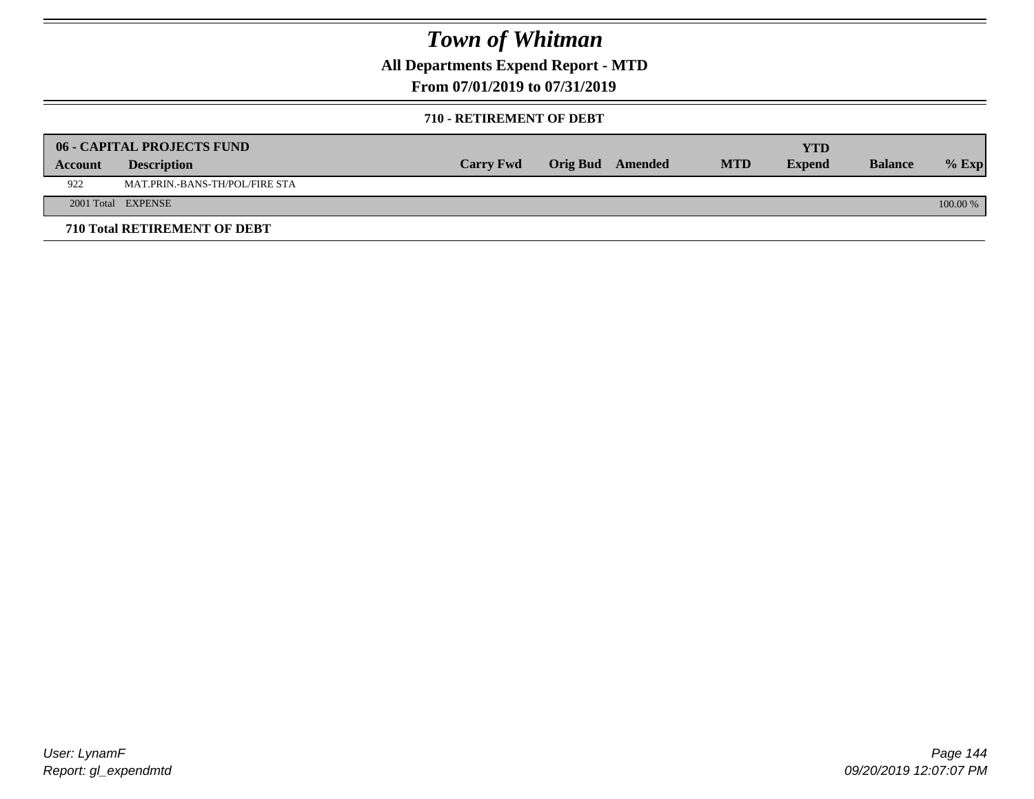**All Departments Expend Report - MTD**

**From 07/01/2019 to 07/31/2019**

#### **710 - RETIREMENT OF DEBT**

|         | <b>06 - CAPITAL PROJECTS FUND</b>   | <b>Carry Fwd</b> | Orig Bud Amended | <b>MTD</b> | <b>YTD</b><br><b>Expend</b> | <b>Balance</b> |            |
|---------|-------------------------------------|------------------|------------------|------------|-----------------------------|----------------|------------|
| Account | <b>Description</b>                  |                  |                  |            |                             |                | $%$ Exp    |
| 922     | MAT.PRIN.-BANS-TH/POL/FIRE STA      |                  |                  |            |                             |                |            |
|         | 2001 Total EXPENSE                  |                  |                  |            |                             |                | $100.00\%$ |
|         | <b>710 Total RETIREMENT OF DEBT</b> |                  |                  |            |                             |                |            |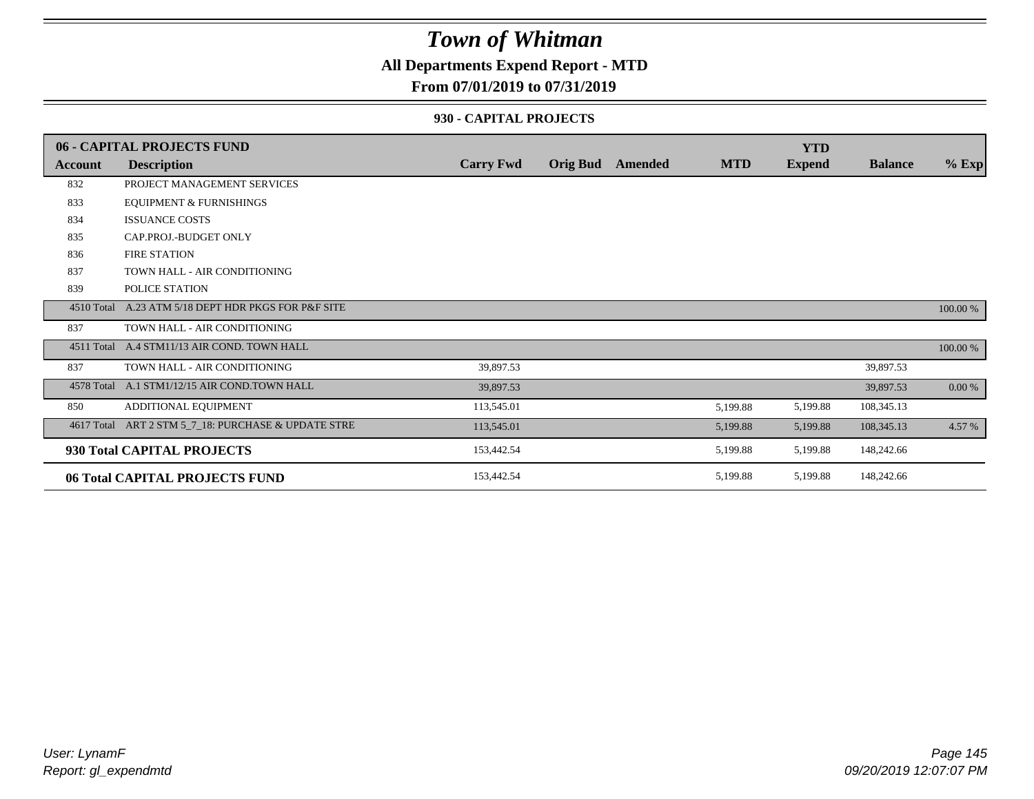### **All Departments Expend Report - MTD**

### **From 07/01/2019 to 07/31/2019**

#### **930 - CAPITAL PROJECTS**

|                | 06 - CAPITAL PROJECTS FUND                   |                  |                 |         |            | <b>YTD</b>    |                |          |
|----------------|----------------------------------------------|------------------|-----------------|---------|------------|---------------|----------------|----------|
| <b>Account</b> | <b>Description</b>                           | <b>Carry Fwd</b> | <b>Orig Bud</b> | Amended | <b>MTD</b> | <b>Expend</b> | <b>Balance</b> | $%$ Exp  |
| 832            | PROJECT MANAGEMENT SERVICES                  |                  |                 |         |            |               |                |          |
| 833            | <b>EQUIPMENT &amp; FURNISHINGS</b>           |                  |                 |         |            |               |                |          |
| 834            | <b>ISSUANCE COSTS</b>                        |                  |                 |         |            |               |                |          |
| 835            | CAP.PROJ.-BUDGET ONLY                        |                  |                 |         |            |               |                |          |
| 836            | <b>FIRE STATION</b>                          |                  |                 |         |            |               |                |          |
| 837            | TOWN HALL - AIR CONDITIONING                 |                  |                 |         |            |               |                |          |
| 839            | POLICE STATION                               |                  |                 |         |            |               |                |          |
| 4510 Total     | A.23 ATM 5/18 DEPT HDR PKGS FOR P&F SITE     |                  |                 |         |            |               |                | 100.00 % |
| 837            | TOWN HALL - AIR CONDITIONING                 |                  |                 |         |            |               |                |          |
|                | 4511 Total A.4 STM11/13 AIR COND. TOWN HALL  |                  |                 |         |            |               |                | 100.00 % |
| 837            | TOWN HALL - AIR CONDITIONING                 | 39,897.53        |                 |         |            |               | 39,897.53      |          |
|                | 4578 Total A.1 STM1/12/15 AIR COND.TOWN HALL | 39,897.53        |                 |         |            |               | 39,897.53      | 0.00 %   |
| 850            | ADDITIONAL EQUIPMENT                         | 113,545.01       |                 |         | 5,199.88   | 5,199.88      | 108,345.13     |          |
| 4617 Total     | ART 2 STM 5_7_18: PURCHASE & UPDATE STRE     | 113,545.01       |                 |         | 5,199.88   | 5,199.88      | 108,345.13     | 4.57 %   |
|                | 930 Total CAPITAL PROJECTS                   | 153,442.54       |                 |         | 5,199.88   | 5,199.88      | 148,242.66     |          |
|                | 06 Total CAPITAL PROJECTS FUND               | 153,442.54       |                 |         | 5,199.88   | 5,199.88      | 148,242.66     |          |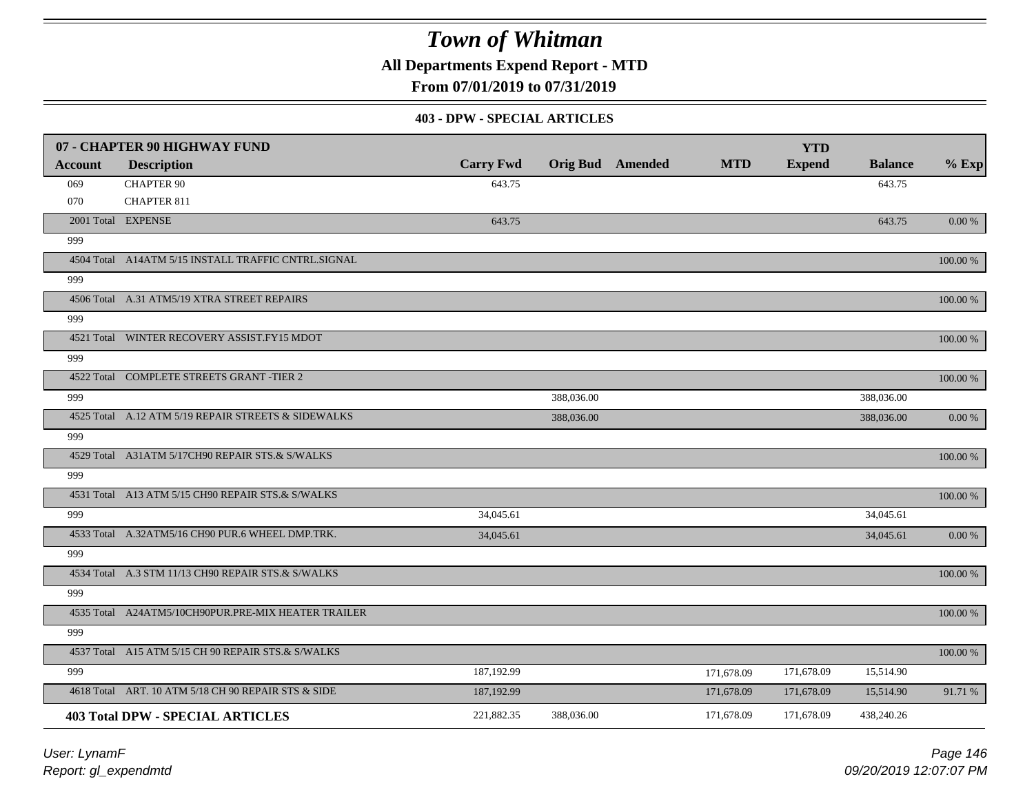**All Departments Expend Report - MTD**

**From 07/01/2019 to 07/31/2019**

#### **403 - DPW - SPECIAL ARTICLES**

|                | 07 - CHAPTER 90 HIGHWAY FUND                        |                  |            |                         |            | <b>YTD</b>    |                |             |
|----------------|-----------------------------------------------------|------------------|------------|-------------------------|------------|---------------|----------------|-------------|
| <b>Account</b> | <b>Description</b>                                  | <b>Carry Fwd</b> |            | <b>Orig Bud</b> Amended | <b>MTD</b> | <b>Expend</b> | <b>Balance</b> | $%$ Exp     |
| 069            | <b>CHAPTER 90</b>                                   | 643.75           |            |                         |            |               | 643.75         |             |
| 070            | <b>CHAPTER 811</b>                                  |                  |            |                         |            |               |                |             |
|                | 2001 Total EXPENSE                                  | 643.75           |            |                         |            |               | 643.75         | $0.00\,\%$  |
| 999            |                                                     |                  |            |                         |            |               |                |             |
|                | 4504 Total A14ATM 5/15 INSTALL TRAFFIC CNTRL.SIGNAL |                  |            |                         |            |               |                | $100.00~\%$ |
| 999            |                                                     |                  |            |                         |            |               |                |             |
|                | 4506 Total A.31 ATM5/19 XTRA STREET REPAIRS         |                  |            |                         |            |               |                | 100.00 %    |
| 999            |                                                     |                  |            |                         |            |               |                |             |
|                | 4521 Total WINTER RECOVERY ASSIST.FY15 MDOT         |                  |            |                         |            |               |                | 100.00 %    |
| 999            |                                                     |                  |            |                         |            |               |                |             |
|                | 4522 Total COMPLETE STREETS GRANT -TIER 2           |                  |            |                         |            |               |                | 100.00 %    |
| 999            |                                                     |                  | 388,036.00 |                         |            |               | 388,036.00     |             |
|                | 4525 Total A.12 ATM 5/19 REPAIR STREETS & SIDEWALKS |                  | 388,036.00 |                         |            |               | 388,036.00     | 0.00 %      |
| 999            |                                                     |                  |            |                         |            |               |                |             |
|                | 4529 Total A31ATM 5/17CH90 REPAIR STS.& S/WALKS     |                  |            |                         |            |               |                | 100.00 %    |
| 999            |                                                     |                  |            |                         |            |               |                |             |
|                | 4531 Total A13 ATM 5/15 CH90 REPAIR STS.& S/WALKS   |                  |            |                         |            |               |                | 100.00 %    |
| 999            |                                                     | 34,045.61        |            |                         |            |               | 34,045.61      |             |
|                | 4533 Total A.32ATM5/16 CH90 PUR.6 WHEEL DMP.TRK.    | 34,045.61        |            |                         |            |               | 34,045.61      | 0.00%       |
| 999            |                                                     |                  |            |                         |            |               |                |             |
|                | 4534 Total A.3 STM 11/13 CH90 REPAIR STS.& S/WALKS  |                  |            |                         |            |               |                | $100.00~\%$ |
| 999            |                                                     |                  |            |                         |            |               |                |             |
|                | 4535 Total A24ATM5/10CH90PUR.PRE-MIX HEATER TRAILER |                  |            |                         |            |               |                | 100.00 %    |
| 999            |                                                     |                  |            |                         |            |               |                |             |
|                | 4537 Total A15 ATM 5/15 CH 90 REPAIR STS.& S/WALKS  |                  |            |                         |            |               |                | 100.00 %    |
| 999            |                                                     | 187,192.99       |            |                         | 171,678.09 | 171,678.09    | 15,514.90      |             |
|                | 4618 Total ART. 10 ATM 5/18 CH 90 REPAIR STS & SIDE | 187,192.99       |            |                         | 171,678.09 | 171,678.09    | 15,514.90      | 91.71 %     |
|                | <b>403 Total DPW - SPECIAL ARTICLES</b>             | 221,882.35       | 388,036.00 |                         | 171,678.09 | 171,678.09    | 438,240.26     |             |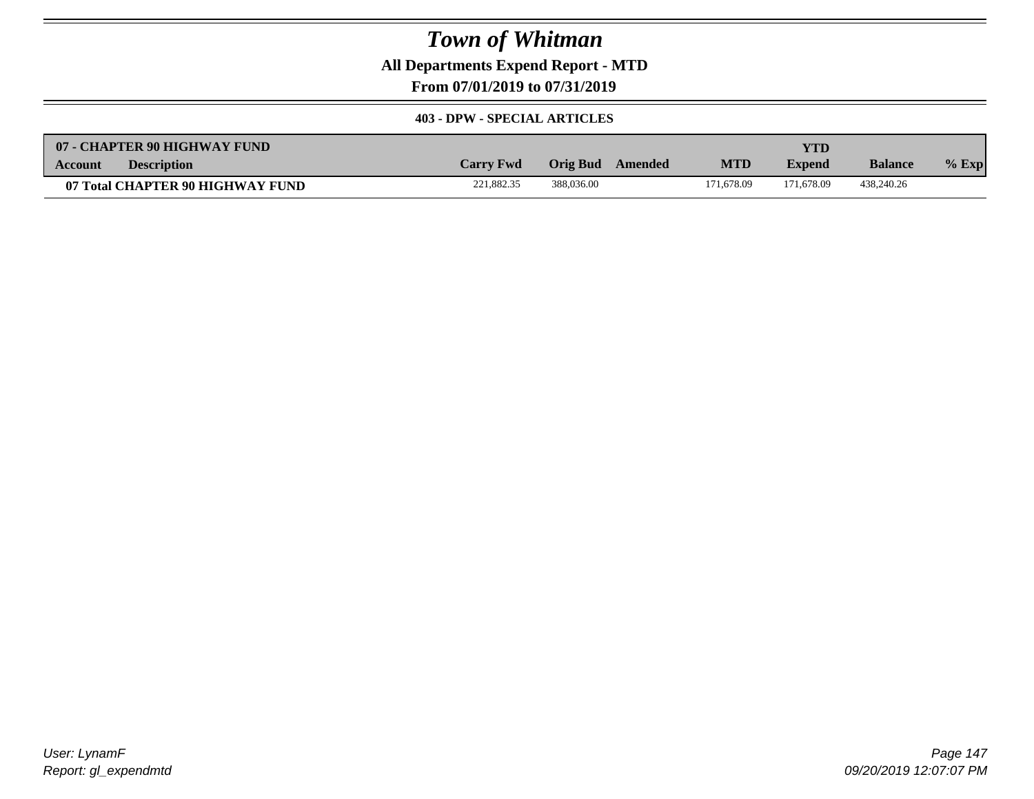**All Departments Expend Report - MTD**

**From 07/01/2019 to 07/31/2019**

#### **403 - DPW - SPECIAL ARTICLES**

| 07 - CHAPTER 90 HIGHWAY FUND     |                  |                     |            | YTD           |                |         |
|----------------------------------|------------------|---------------------|------------|---------------|----------------|---------|
| <b>Description</b><br>Account    | <b>Carry Fwd</b> | Orig Bud<br>Amended | <b>MTD</b> | <b>Expend</b> | <b>Balance</b> | $%$ Exp |
| 07 Total CHAPTER 90 HIGHWAY FUND | 221.882.35       | 388,036.00          | 171.678.09 | 171.678.09    | 438,240.26     |         |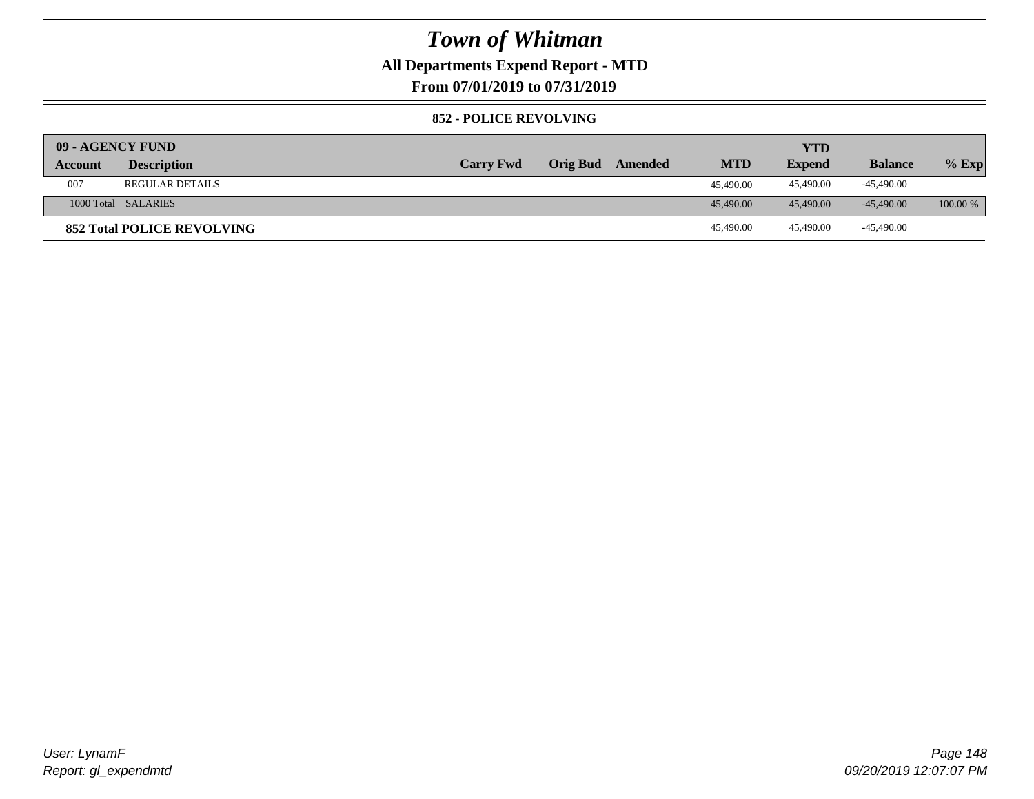### **All Departments Expend Report - MTD**

**From 07/01/2019 to 07/31/2019**

#### **852 - POLICE REVOLVING**

| <b>09 - AGENCY FUND</b> |                                   |                  |                 |         |            | <b>YTD</b>    |                |            |
|-------------------------|-----------------------------------|------------------|-----------------|---------|------------|---------------|----------------|------------|
| Account                 | <b>Description</b>                | <b>Carry Fwd</b> | <b>Orig Bud</b> | Amended | <b>MTD</b> | <b>Expend</b> | <b>Balance</b> | $%$ Exp    |
| 007                     | <b>REGULAR DETAILS</b>            |                  |                 |         | 45,490.00  | 45.490.00     | -45.490.00     |            |
|                         | 1000 Total SALARIES               |                  |                 |         | 45,490.00  | 45,490.00     | $-45.490.00$   | $100.00\%$ |
|                         | <b>852 Total POLICE REVOLVING</b> |                  |                 |         | 45,490.00  | 45.490.00     | -45,490.00     |            |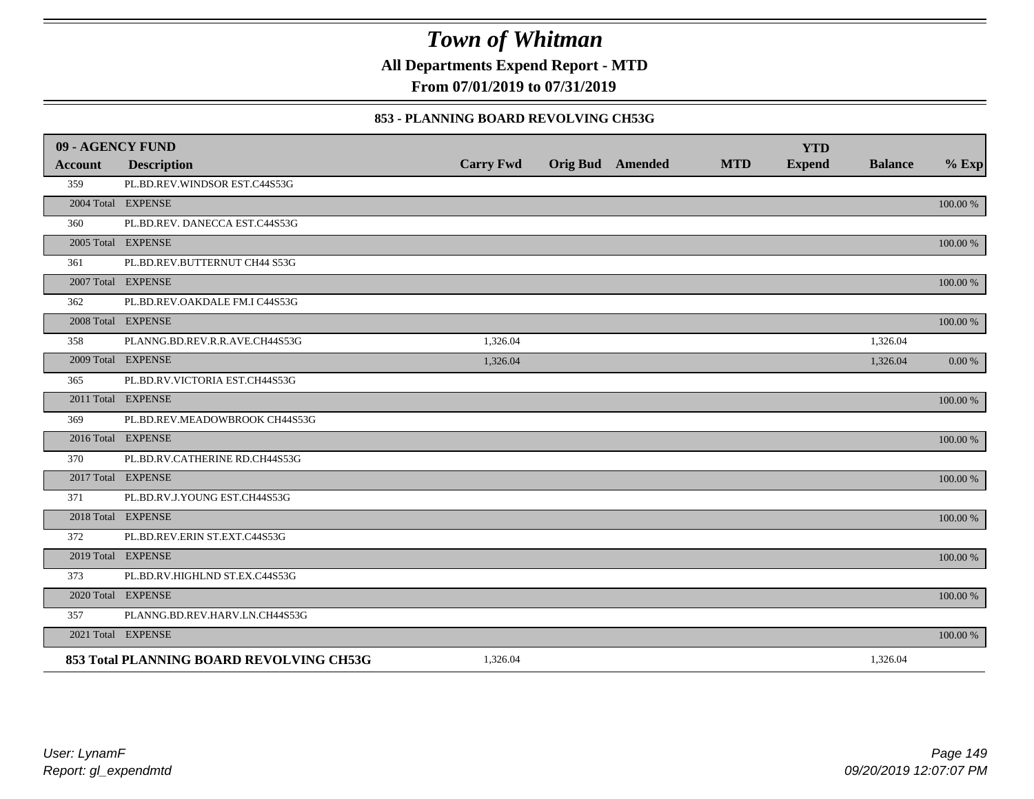**All Departments Expend Report - MTD**

**From 07/01/2019 to 07/31/2019**

#### **853 - PLANNING BOARD REVOLVING CH53G**

| 09 - AGENCY FUND |                                          |                  |                         |            | <b>YTD</b>    |                |          |
|------------------|------------------------------------------|------------------|-------------------------|------------|---------------|----------------|----------|
| Account          | <b>Description</b>                       | <b>Carry Fwd</b> | <b>Orig Bud</b> Amended | <b>MTD</b> | <b>Expend</b> | <b>Balance</b> | $%$ Exp  |
| 359              | PL.BD.REV.WINDSOR EST.C44S53G            |                  |                         |            |               |                |          |
|                  | 2004 Total EXPENSE                       |                  |                         |            |               |                | 100.00 % |
| 360              | PL.BD.REV. DANECCA EST.C44S53G           |                  |                         |            |               |                |          |
|                  | 2005 Total EXPENSE                       |                  |                         |            |               |                | 100.00 % |
| 361              | PL.BD.REV.BUTTERNUT CH44 S53G            |                  |                         |            |               |                |          |
|                  | 2007 Total EXPENSE                       |                  |                         |            |               |                | 100.00 % |
| 362              | PL.BD.REV.OAKDALE FM.I C44S53G           |                  |                         |            |               |                |          |
|                  | 2008 Total EXPENSE                       |                  |                         |            |               |                | 100.00 % |
| 358              | PLANNG.BD.REV.R.R.AVE.CH44S53G           | 1,326.04         |                         |            |               | 1,326.04       |          |
|                  | 2009 Total EXPENSE                       | 1,326.04         |                         |            |               | 1,326.04       | 0.00 %   |
| 365              | PL.BD.RV.VICTORIA EST.CH44S53G           |                  |                         |            |               |                |          |
|                  | 2011 Total EXPENSE                       |                  |                         |            |               |                | 100.00 % |
| 369              | PL.BD.REV.MEADOWBROOK CH44S53G           |                  |                         |            |               |                |          |
|                  | 2016 Total EXPENSE                       |                  |                         |            |               |                | 100.00 % |
| 370              | PL.BD.RV.CATHERINE RD.CH44S53G           |                  |                         |            |               |                |          |
|                  | 2017 Total EXPENSE                       |                  |                         |            |               |                | 100.00 % |
| 371              | PL.BD.RV.J.YOUNG EST.CH44S53G            |                  |                         |            |               |                |          |
|                  | 2018 Total EXPENSE                       |                  |                         |            |               |                | 100.00 % |
| 372              | PL.BD.REV.ERIN ST.EXT.C44S53G            |                  |                         |            |               |                |          |
|                  | 2019 Total EXPENSE                       |                  |                         |            |               |                | 100.00 % |
| 373              | PL.BD.RV.HIGHLND ST.EX.C44S53G           |                  |                         |            |               |                |          |
|                  | 2020 Total EXPENSE                       |                  |                         |            |               |                | 100.00 % |
| 357              | PLANNG.BD.REV.HARV.LN.CH44S53G           |                  |                         |            |               |                |          |
|                  | 2021 Total EXPENSE                       |                  |                         |            |               |                | 100.00 % |
|                  | 853 Total PLANNING BOARD REVOLVING CH53G | 1,326.04         |                         |            |               | 1,326.04       |          |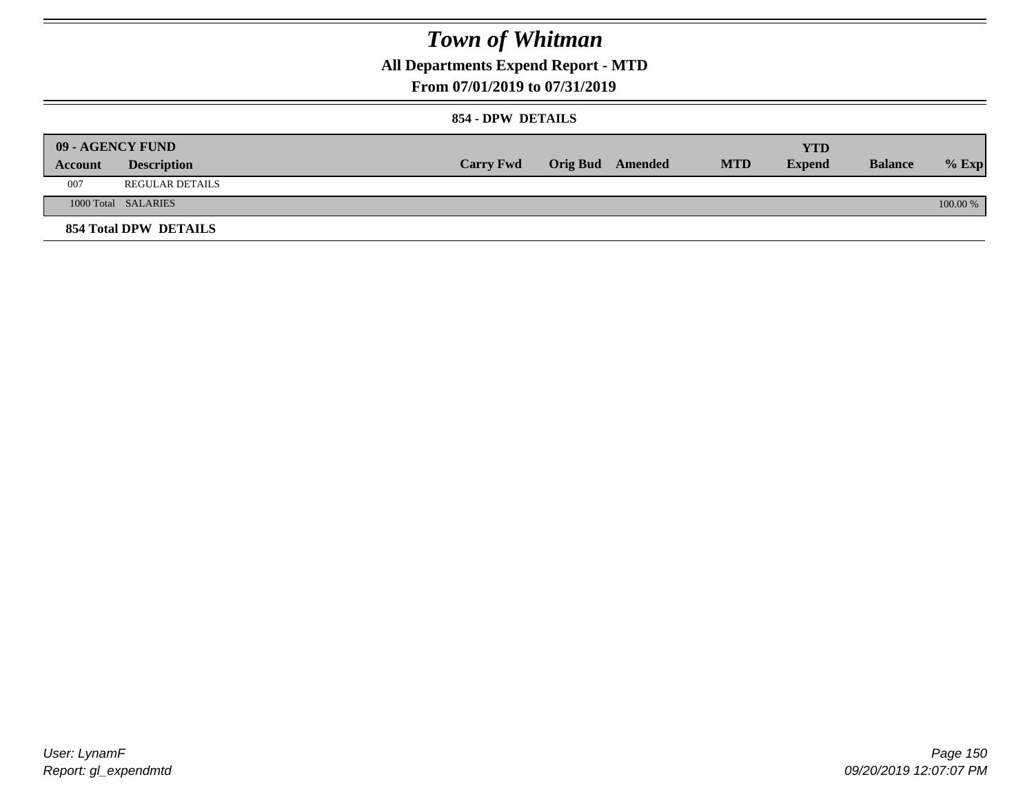**All Departments Expend Report - MTD**

### **From 07/01/2019 to 07/31/2019**

### **854 - DPW DETAILS**

|         | 09 - AGENCY FUND             |                  |                         |            | <b>YTD</b>    |                |          |
|---------|------------------------------|------------------|-------------------------|------------|---------------|----------------|----------|
| Account | <b>Description</b>           | <b>Carry Fwd</b> | <b>Orig Bud</b> Amended | <b>MTD</b> | <b>Expend</b> | <b>Balance</b> | $%$ Exp  |
| 007     | <b>REGULAR DETAILS</b>       |                  |                         |            |               |                |          |
|         | 1000 Total SALARIES          |                  |                         |            |               |                | 100.00 % |
|         | <b>854 Total DPW DETAILS</b> |                  |                         |            |               |                |          |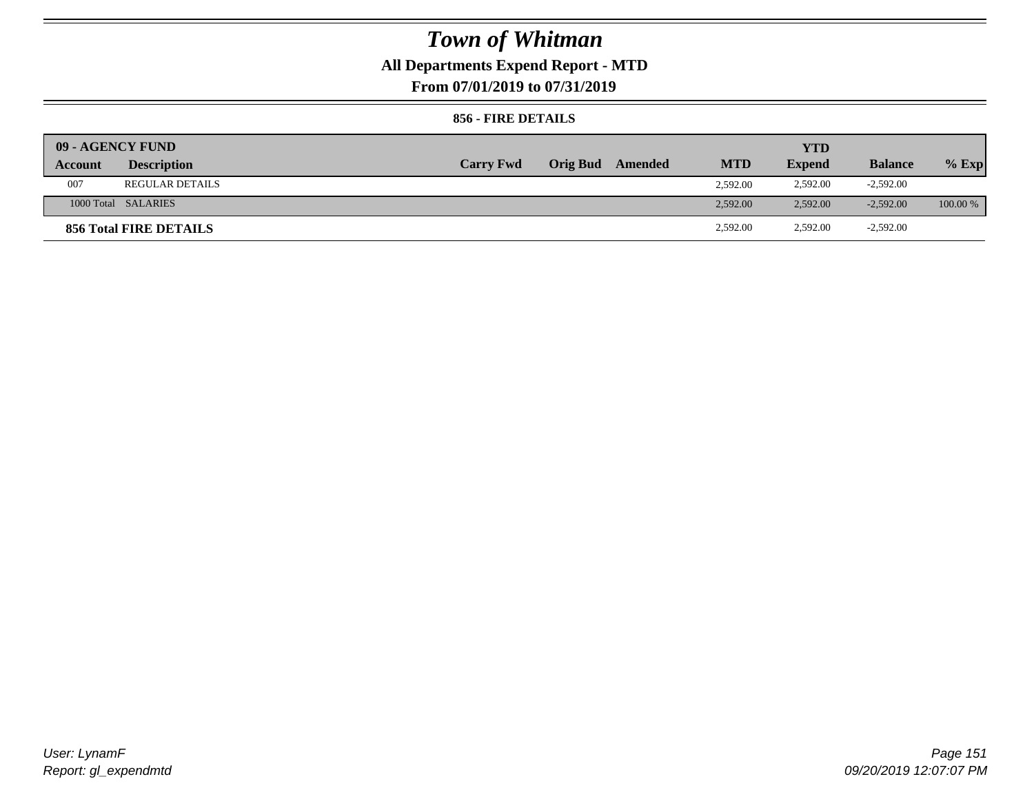## **All Departments Expend Report - MTD**

**From 07/01/2019 to 07/31/2019**

### **856 - FIRE DETAILS**

|         | 09 - AGENCY FUND       |                  |                 |         |            | YTD           |                |            |
|---------|------------------------|------------------|-----------------|---------|------------|---------------|----------------|------------|
| Account | <b>Description</b>     | <b>Carry Fwd</b> | <b>Orig Bud</b> | Amended | <b>MTD</b> | <b>Expend</b> | <b>Balance</b> | $%$ Exp    |
| 007     | <b>REGULAR DETAILS</b> |                  |                 |         | 2.592.00   | 2,592.00      | $-2,592.00$    |            |
|         | 1000 Total SALARIES    |                  |                 |         | 2.592.00   | 2,592.00      | $-2,592.00$    | $100.00\%$ |
|         | 856 Total FIRE DETAILS |                  |                 |         | 2,592.00   | 2,592.00      | $-2,592.00$    |            |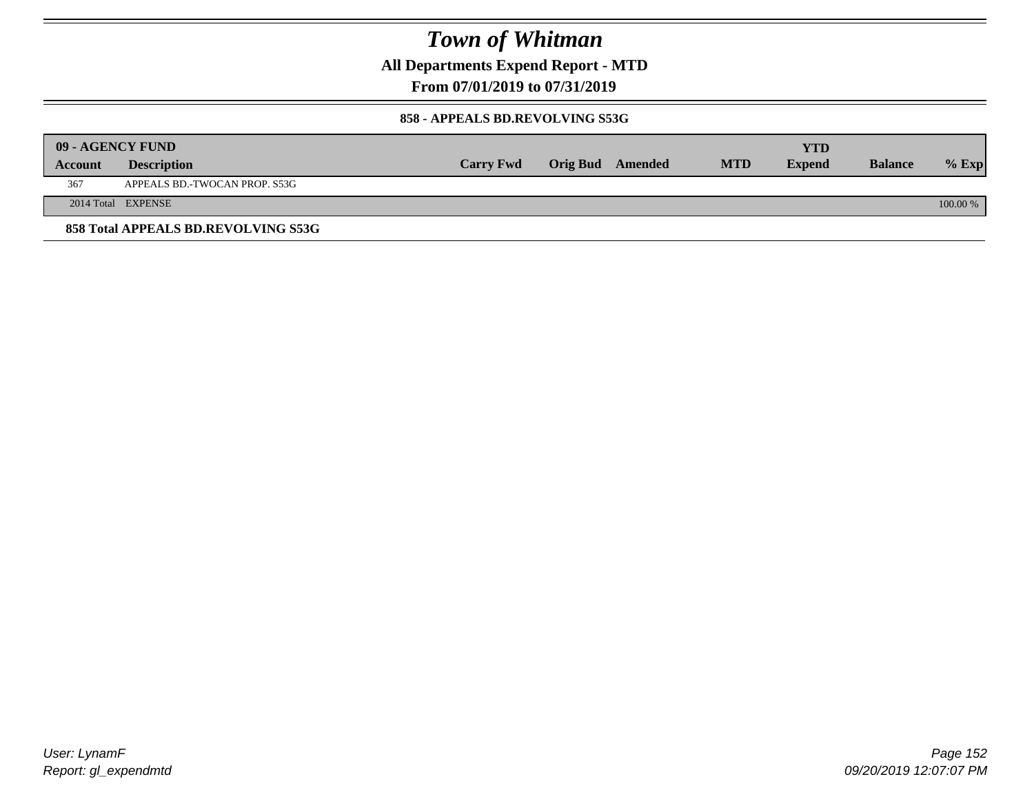**All Departments Expend Report - MTD**

**From 07/01/2019 to 07/31/2019**

#### **858 - APPEALS BD.REVOLVING S53G**

|         | 09 - AGENCY FUND                    |                  |                         |            | YTD           |                |            |
|---------|-------------------------------------|------------------|-------------------------|------------|---------------|----------------|------------|
| Account | <b>Description</b>                  | <b>Carry Fwd</b> | <b>Orig Bud</b> Amended | <b>MTD</b> | <b>Expend</b> | <b>Balance</b> | $%$ Exp    |
| 367     | APPEALS BD.-TWOCAN PROP. S53G       |                  |                         |            |               |                |            |
|         | 2014 Total EXPENSE                  |                  |                         |            |               |                | $100.00\%$ |
|         | 858 Total APPEALS BD.REVOLVING S53G |                  |                         |            |               |                |            |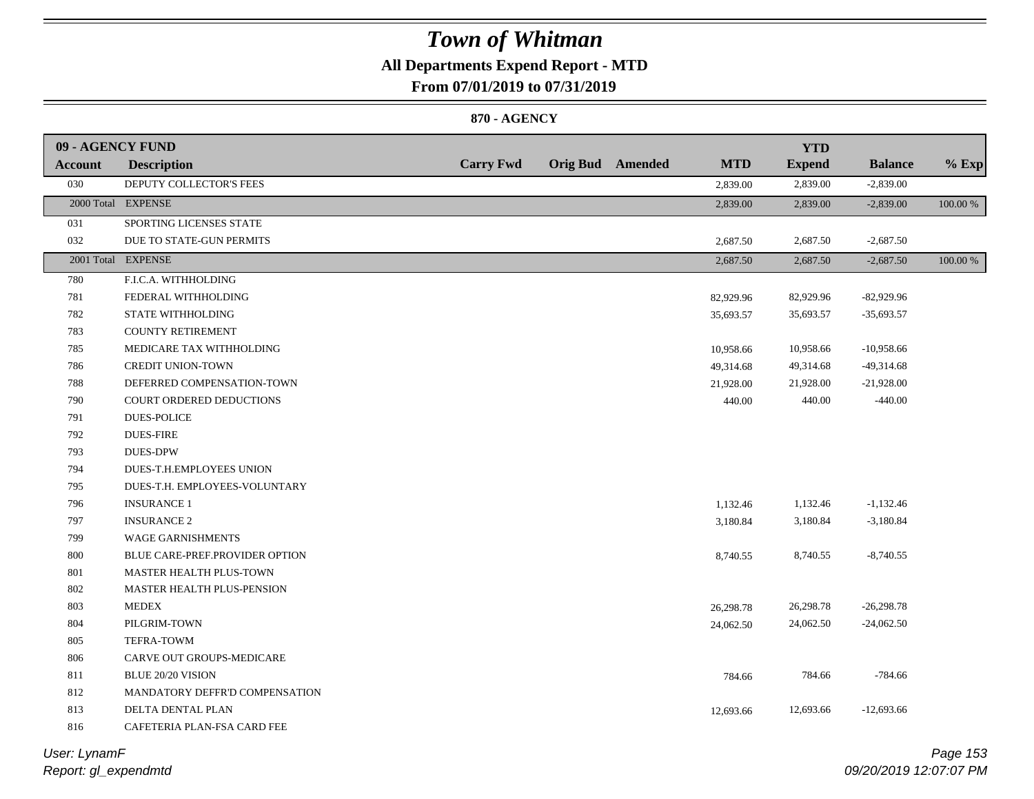## **All Departments Expend Report - MTD**

**From 07/01/2019 to 07/31/2019**

### **870 - AGENCY**

| 09 - AGENCY FUND |                                |                  |                  |            | <b>YTD</b>    |                |          |
|------------------|--------------------------------|------------------|------------------|------------|---------------|----------------|----------|
| <b>Account</b>   | <b>Description</b>             | <b>Carry Fwd</b> | Orig Bud Amended | <b>MTD</b> | <b>Expend</b> | <b>Balance</b> | $%$ Exp  |
| 030              | DEPUTY COLLECTOR'S FEES        |                  |                  | 2,839.00   | 2,839.00      | $-2,839.00$    |          |
|                  | 2000 Total EXPENSE             |                  |                  | 2,839.00   | 2,839.00      | $-2,839.00$    | 100.00 % |
| 031              | SPORTING LICENSES STATE        |                  |                  |            |               |                |          |
| 032              | DUE TO STATE-GUN PERMITS       |                  |                  | 2,687.50   | 2,687.50      | $-2,687.50$    |          |
|                  | 2001 Total EXPENSE             |                  |                  | 2,687.50   | 2,687.50      | $-2,687.50$    | 100.00 % |
| 780              | F.I.C.A. WITHHOLDING           |                  |                  |            |               |                |          |
| 781              | FEDERAL WITHHOLDING            |                  |                  | 82,929.96  | 82,929.96     | $-82,929.96$   |          |
| 782              | STATE WITHHOLDING              |                  |                  | 35,693.57  | 35,693.57     | $-35,693.57$   |          |
| 783              | <b>COUNTY RETIREMENT</b>       |                  |                  |            |               |                |          |
| 785              | MEDICARE TAX WITHHOLDING       |                  |                  | 10,958.66  | 10,958.66     | $-10,958.66$   |          |
| 786              | <b>CREDIT UNION-TOWN</b>       |                  |                  | 49,314.68  | 49,314.68     | $-49,314.68$   |          |
| 788              | DEFERRED COMPENSATION-TOWN     |                  |                  | 21,928.00  | 21,928.00     | $-21,928.00$   |          |
| 790              | COURT ORDERED DEDUCTIONS       |                  |                  | 440.00     | 440.00        | $-440.00$      |          |
| 791              | <b>DUES-POLICE</b>             |                  |                  |            |               |                |          |
| 792              | <b>DUES-FIRE</b>               |                  |                  |            |               |                |          |
| 793              | <b>DUES-DPW</b>                |                  |                  |            |               |                |          |
| 794              | DUES-T.H.EMPLOYEES UNION       |                  |                  |            |               |                |          |
| 795              | DUES-T.H. EMPLOYEES-VOLUNTARY  |                  |                  |            |               |                |          |
| 796              | <b>INSURANCE 1</b>             |                  |                  | 1,132.46   | 1,132.46      | $-1,132.46$    |          |
| 797              | <b>INSURANCE 2</b>             |                  |                  | 3,180.84   | 3,180.84      | $-3,180.84$    |          |
| 799              | <b>WAGE GARNISHMENTS</b>       |                  |                  |            |               |                |          |
| 800              | BLUE CARE-PREF.PROVIDER OPTION |                  |                  | 8,740.55   | 8,740.55      | $-8,740.55$    |          |
| 801              | MASTER HEALTH PLUS-TOWN        |                  |                  |            |               |                |          |
| 802              | MASTER HEALTH PLUS-PENSION     |                  |                  |            |               |                |          |
| 803              | <b>MEDEX</b>                   |                  |                  | 26,298.78  | 26,298.78     | $-26,298.78$   |          |
| 804              | PILGRIM-TOWN                   |                  |                  | 24,062.50  | 24,062.50     | $-24,062.50$   |          |
| 805              | TEFRA-TOWM                     |                  |                  |            |               |                |          |
| 806              | CARVE OUT GROUPS-MEDICARE      |                  |                  |            |               |                |          |
| 811              | <b>BLUE 20/20 VISION</b>       |                  |                  | 784.66     | 784.66        | $-784.66$      |          |
| 812              | MANDATORY DEFFR'D COMPENSATION |                  |                  |            |               |                |          |
| 813              | DELTA DENTAL PLAN              |                  |                  | 12,693.66  | 12,693.66     | $-12,693.66$   |          |
| 816              | CAFETERIA PLAN-FSA CARD FEE    |                  |                  |            |               |                |          |

*Report: gl\_expendmtd User: LynamF*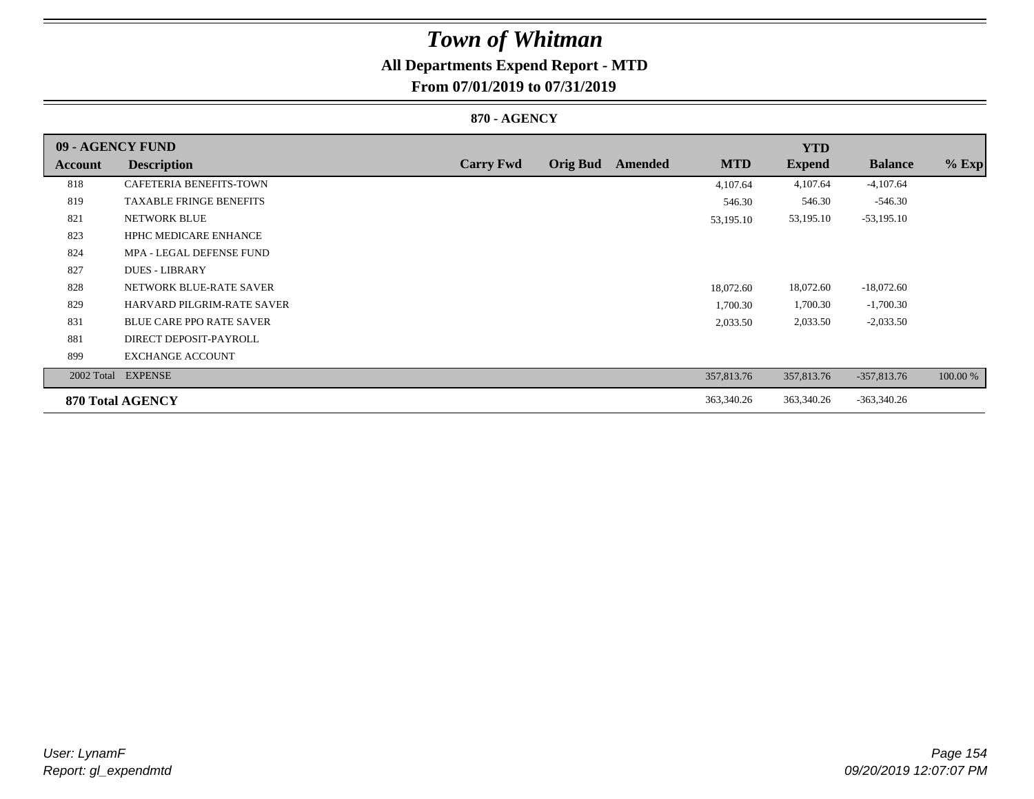## **All Departments Expend Report - MTD**

## **From 07/01/2019 to 07/31/2019**

### **870 - AGENCY**

| 09 - AGENCY FUND |                                   |                  |                 |         |            | <b>YTD</b>    |                |          |
|------------------|-----------------------------------|------------------|-----------------|---------|------------|---------------|----------------|----------|
| <b>Account</b>   | <b>Description</b>                | <b>Carry Fwd</b> | <b>Orig Bud</b> | Amended | <b>MTD</b> | <b>Expend</b> | <b>Balance</b> | $%$ Exp  |
| 818              | CAFETERIA BENEFITS-TOWN           |                  |                 |         | 4,107.64   | 4,107.64      | $-4,107.64$    |          |
| 819              | <b>TAXABLE FRINGE BENEFITS</b>    |                  |                 |         | 546.30     | 546.30        | $-546.30$      |          |
| 821              | <b>NETWORK BLUE</b>               |                  |                 |         | 53,195.10  | 53,195.10     | $-53,195.10$   |          |
| 823              | <b>HPHC MEDICARE ENHANCE</b>      |                  |                 |         |            |               |                |          |
| 824              | MPA - LEGAL DEFENSE FUND          |                  |                 |         |            |               |                |          |
| 827              | <b>DUES - LIBRARY</b>             |                  |                 |         |            |               |                |          |
| 828              | NETWORK BLUE-RATE SAVER           |                  |                 |         | 18,072.60  | 18,072.60     | $-18,072.60$   |          |
| 829              | <b>HARVARD PILGRIM-RATE SAVER</b> |                  |                 |         | 1,700.30   | 1,700.30      | $-1,700.30$    |          |
| 831              | <b>BLUE CARE PPO RATE SAVER</b>   |                  |                 |         | 2,033.50   | 2,033.50      | $-2,033.50$    |          |
| 881              | DIRECT DEPOSIT-PAYROLL            |                  |                 |         |            |               |                |          |
| 899              | <b>EXCHANGE ACCOUNT</b>           |                  |                 |         |            |               |                |          |
|                  | 2002 Total EXPENSE                |                  |                 |         | 357,813.76 | 357,813.76    | $-357,813.76$  | 100.00 % |
|                  | 870 Total AGENCY                  |                  |                 |         | 363,340.26 | 363,340.26    | $-363,340.26$  |          |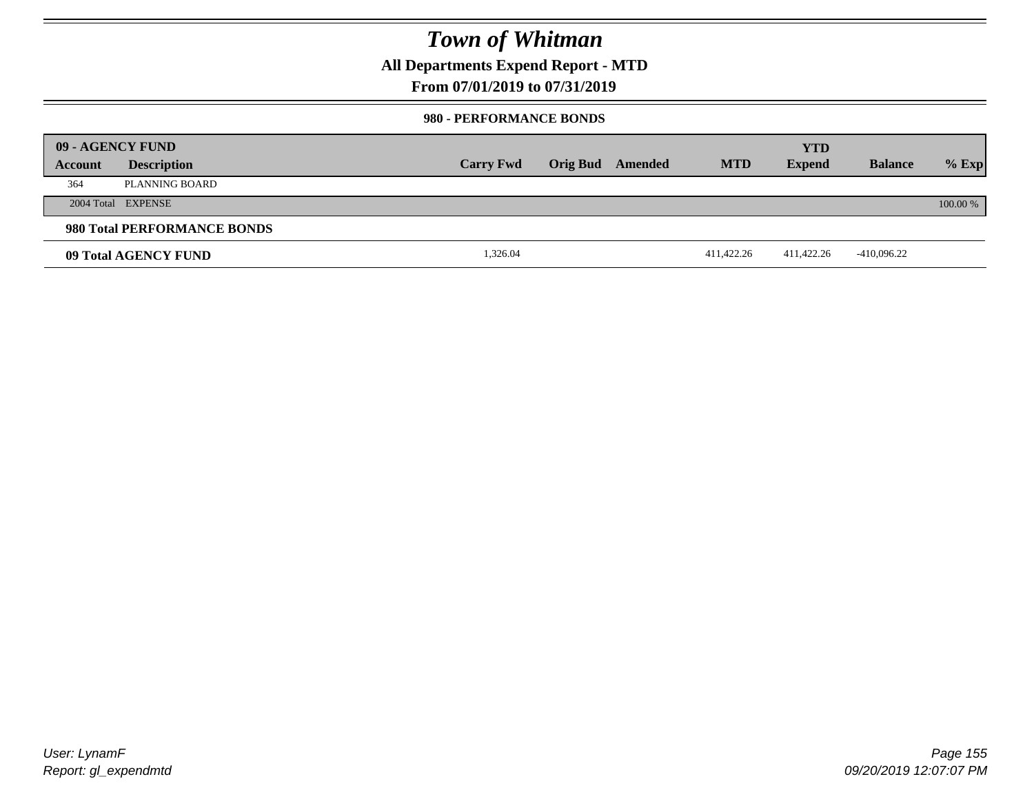**All Departments Expend Report - MTD**

### **From 07/01/2019 to 07/31/2019**

#### **980 - PERFORMANCE BONDS**

|         | 09 - AGENCY FUND            |                  |                 |         |            | <b>YTD</b>    |                |          |
|---------|-----------------------------|------------------|-----------------|---------|------------|---------------|----------------|----------|
| Account | <b>Description</b>          | <b>Carry Fwd</b> | <b>Orig Bud</b> | Amended | <b>MTD</b> | <b>Expend</b> | <b>Balance</b> | $%$ Exp  |
| 364     | PLANNING BOARD              |                  |                 |         |            |               |                |          |
|         | 2004 Total EXPENSE          |                  |                 |         |            |               |                | 100.00 % |
|         | 980 Total PERFORMANCE BONDS |                  |                 |         |            |               |                |          |
|         | 09 Total AGENCY FUND        | 1,326.04         |                 |         | 411,422.26 | 411,422.26    | -410,096.22    |          |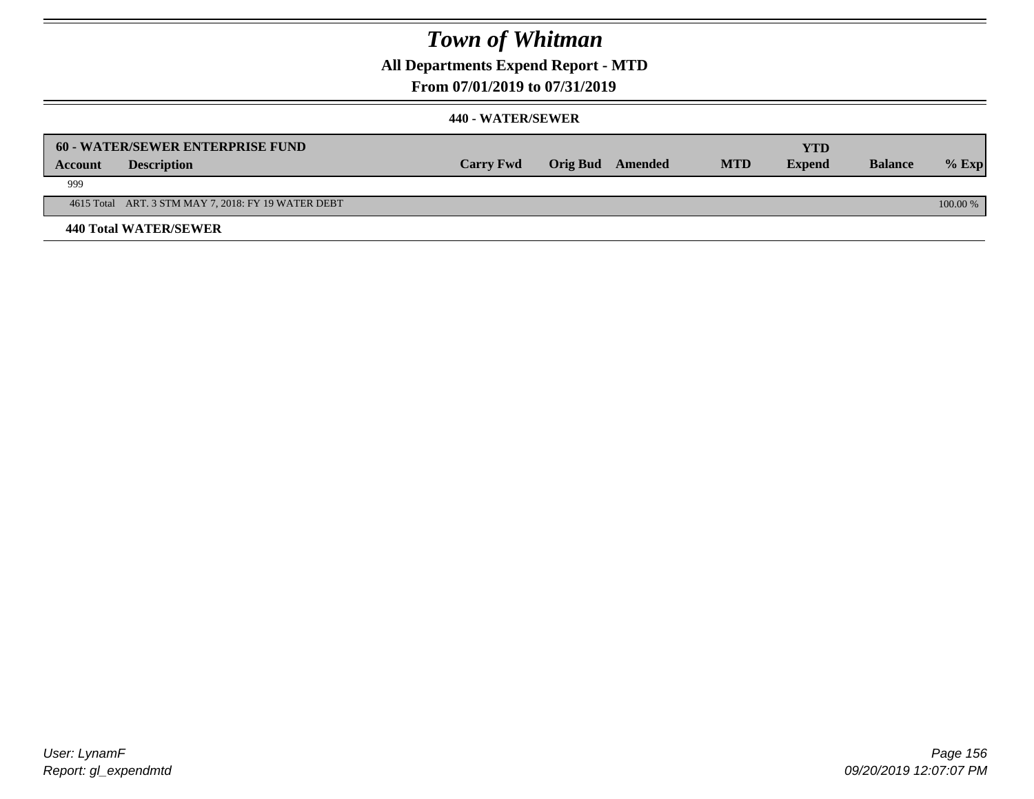**All Departments Expend Report - MTD**

### **From 07/01/2019 to 07/31/2019**

|                | 60 - WATER/SEWER ENTERPRISE FUND                    |                  |                  |            | YTD           |                |            |
|----------------|-----------------------------------------------------|------------------|------------------|------------|---------------|----------------|------------|
| <b>Account</b> | <b>Description</b>                                  | <b>Carry Fwd</b> | Orig Bud Amended | <b>MTD</b> | <b>Expend</b> | <b>Balance</b> | $\%$ Exp   |
| 999            |                                                     |                  |                  |            |               |                |            |
|                | 4615 Total ART. 3 STM MAY 7, 2018: FY 19 WATER DEBT |                  |                  |            |               |                | $100.00\%$ |
|                | <b>440 Total WATER/SEWER</b>                        |                  |                  |            |               |                |            |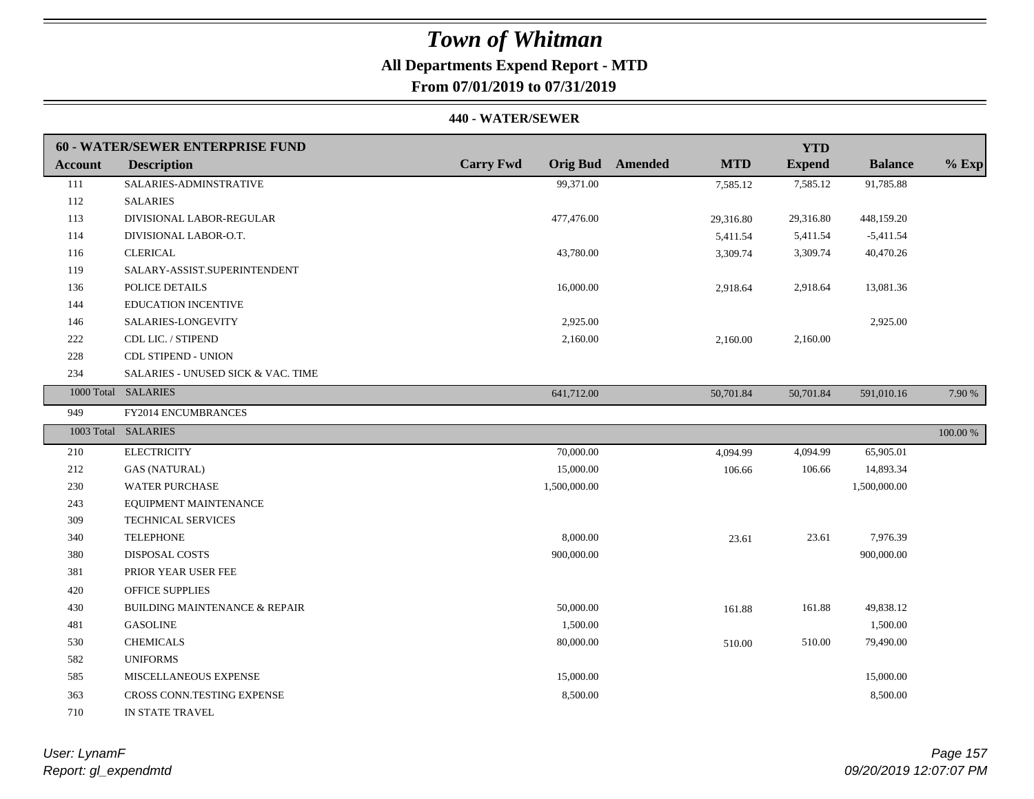## **All Departments Expend Report - MTD**

## **From 07/01/2019 to 07/31/2019**

|                | 60 - WATER/SEWER ENTERPRISE FUND         |                  |                                       | <b>YTD</b>    |                |          |
|----------------|------------------------------------------|------------------|---------------------------------------|---------------|----------------|----------|
| <b>Account</b> | <b>Description</b>                       | <b>Carry Fwd</b> | <b>Orig Bud</b> Amended<br><b>MTD</b> | <b>Expend</b> | <b>Balance</b> | $%$ Exp  |
| 111            | SALARIES-ADMINSTRATIVE                   | 99,371.00        | 7,585.12                              | 7,585.12      | 91,785.88      |          |
| 112            | <b>SALARIES</b>                          |                  |                                       |               |                |          |
| 113            | DIVISIONAL LABOR-REGULAR                 | 477,476.00       | 29,316.80                             | 29,316.80     | 448,159.20     |          |
| 114            | DIVISIONAL LABOR-O.T.                    |                  | 5,411.54                              | 5,411.54      | $-5,411.54$    |          |
| 116            | <b>CLERICAL</b>                          | 43,780.00        | 3,309.74                              | 3,309.74      | 40,470.26      |          |
| 119            | SALARY-ASSIST.SUPERINTENDENT             |                  |                                       |               |                |          |
| 136            | POLICE DETAILS                           | 16,000.00        | 2,918.64                              | 2,918.64      | 13,081.36      |          |
| 144            | <b>EDUCATION INCENTIVE</b>               |                  |                                       |               |                |          |
| 146            | SALARIES-LONGEVITY                       | 2,925.00         |                                       |               | 2,925.00       |          |
| 222            | CDL LIC. / STIPEND                       | 2,160.00         | 2,160.00                              | 2,160.00      |                |          |
| 228            | <b>CDL STIPEND - UNION</b>               |                  |                                       |               |                |          |
| 234            | SALARIES - UNUSED SICK & VAC. TIME       |                  |                                       |               |                |          |
|                | 1000 Total SALARIES                      | 641,712.00       | 50,701.84                             | 50,701.84     | 591,010.16     | 7.90 %   |
| 949            | FY2014 ENCUMBRANCES                      |                  |                                       |               |                |          |
|                | 1003 Total SALARIES                      |                  |                                       |               |                | 100.00 % |
| 210            | <b>ELECTRICITY</b>                       | 70,000.00        | 4,094.99                              | 4,094.99      | 65,905.01      |          |
| 212            | <b>GAS (NATURAL)</b>                     | 15,000.00        | 106.66                                | 106.66        | 14,893.34      |          |
| 230            | <b>WATER PURCHASE</b>                    | 1,500,000.00     |                                       |               | 1,500,000.00   |          |
| 243            | EQUIPMENT MAINTENANCE                    |                  |                                       |               |                |          |
| 309            | <b>TECHNICAL SERVICES</b>                |                  |                                       |               |                |          |
| 340            | <b>TELEPHONE</b>                         | 8,000.00         | 23.61                                 | 23.61         | 7,976.39       |          |
| 380            | DISPOSAL COSTS                           | 900,000.00       |                                       |               | 900,000.00     |          |
| 381            | PRIOR YEAR USER FEE                      |                  |                                       |               |                |          |
| 420            | <b>OFFICE SUPPLIES</b>                   |                  |                                       |               |                |          |
| 430            | <b>BUILDING MAINTENANCE &amp; REPAIR</b> | 50,000.00        | 161.88                                | 161.88        | 49,838.12      |          |
| 481            | <b>GASOLINE</b>                          | 1,500.00         |                                       |               | 1,500.00       |          |
|                |                                          |                  |                                       |               |                |          |
| 530            | <b>CHEMICALS</b>                         | 80,000.00        | 510.00                                | 510.00        | 79,490.00      |          |
| 582            | <b>UNIFORMS</b>                          |                  |                                       |               |                |          |
| 585            | MISCELLANEOUS EXPENSE                    | 15,000.00        |                                       |               | 15,000.00      |          |
| 363            | CROSS CONN.TESTING EXPENSE               | 8,500.00         |                                       |               | 8,500.00       |          |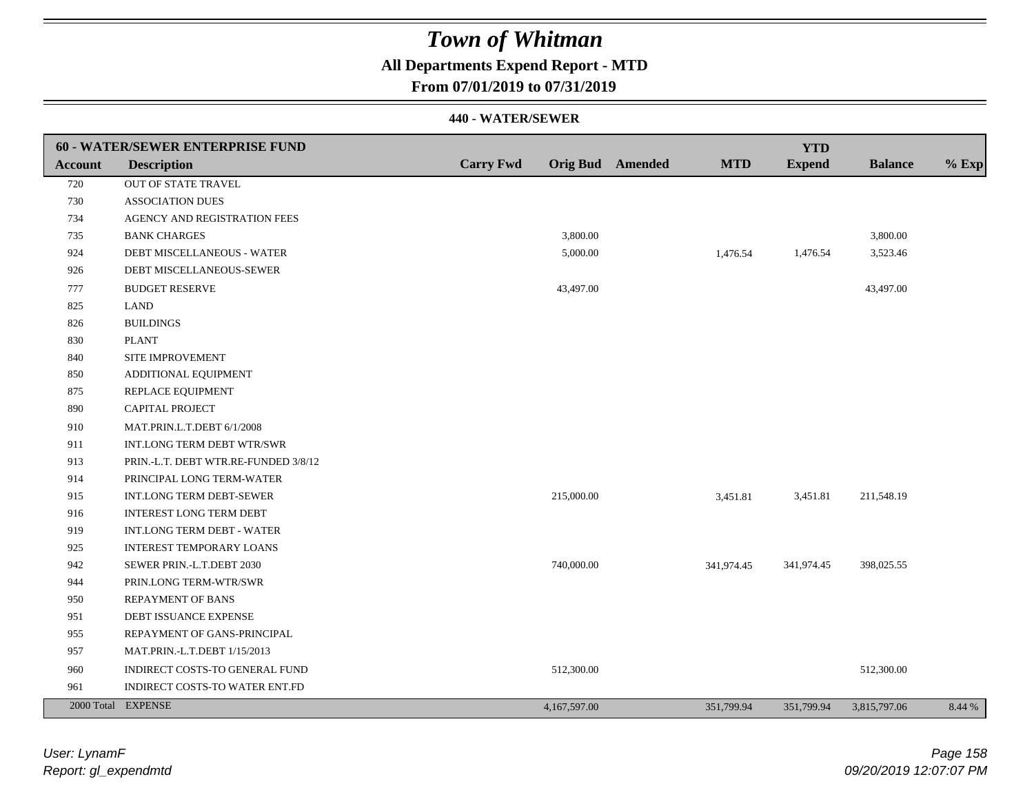## **All Departments Expend Report - MTD**

### **From 07/01/2019 to 07/31/2019**

|                | 60 - WATER/SEWER ENTERPRISE FUND     |                  |              |                         |            | <b>YTD</b>    |                |         |
|----------------|--------------------------------------|------------------|--------------|-------------------------|------------|---------------|----------------|---------|
| <b>Account</b> | <b>Description</b>                   | <b>Carry Fwd</b> |              | <b>Orig Bud</b> Amended | <b>MTD</b> | <b>Expend</b> | <b>Balance</b> | $%$ Exp |
| 720            | OUT OF STATE TRAVEL                  |                  |              |                         |            |               |                |         |
| 730            | <b>ASSOCIATION DUES</b>              |                  |              |                         |            |               |                |         |
| 734            | AGENCY AND REGISTRATION FEES         |                  |              |                         |            |               |                |         |
| 735            | <b>BANK CHARGES</b>                  |                  | 3,800.00     |                         |            |               | 3,800.00       |         |
| 924            | DEBT MISCELLANEOUS - WATER           |                  | 5,000.00     |                         | 1,476.54   | 1,476.54      | 3,523.46       |         |
| 926            | DEBT MISCELLANEOUS-SEWER             |                  |              |                         |            |               |                |         |
| 777            | <b>BUDGET RESERVE</b>                |                  | 43,497.00    |                         |            |               | 43,497.00      |         |
| 825            | <b>LAND</b>                          |                  |              |                         |            |               |                |         |
| 826            | <b>BUILDINGS</b>                     |                  |              |                         |            |               |                |         |
| 830            | <b>PLANT</b>                         |                  |              |                         |            |               |                |         |
| 840            | SITE IMPROVEMENT                     |                  |              |                         |            |               |                |         |
| 850            | ADDITIONAL EQUIPMENT                 |                  |              |                         |            |               |                |         |
| 875            | REPLACE EQUIPMENT                    |                  |              |                         |            |               |                |         |
| 890            | <b>CAPITAL PROJECT</b>               |                  |              |                         |            |               |                |         |
| 910            | MAT.PRIN.L.T.DEBT 6/1/2008           |                  |              |                         |            |               |                |         |
| 911            | <b>INT.LONG TERM DEBT WTR/SWR</b>    |                  |              |                         |            |               |                |         |
| 913            | PRIN.-L.T. DEBT WTR.RE-FUNDED 3/8/12 |                  |              |                         |            |               |                |         |
| 914            | PRINCIPAL LONG TERM-WATER            |                  |              |                         |            |               |                |         |
| 915            | <b>INT.LONG TERM DEBT-SEWER</b>      |                  | 215,000.00   |                         | 3,451.81   | 3,451.81      | 211,548.19     |         |
| 916            | <b>INTEREST LONG TERM DEBT</b>       |                  |              |                         |            |               |                |         |
| 919            | INT.LONG TERM DEBT - WATER           |                  |              |                         |            |               |                |         |
| 925            | <b>INTEREST TEMPORARY LOANS</b>      |                  |              |                         |            |               |                |         |
| 942            | SEWER PRIN.-L.T.DEBT 2030            |                  | 740,000.00   |                         | 341,974.45 | 341,974.45    | 398,025.55     |         |
| 944            | PRIN.LONG TERM-WTR/SWR               |                  |              |                         |            |               |                |         |
| 950            | <b>REPAYMENT OF BANS</b>             |                  |              |                         |            |               |                |         |
| 951            | DEBT ISSUANCE EXPENSE                |                  |              |                         |            |               |                |         |
| 955            | REPAYMENT OF GANS-PRINCIPAL          |                  |              |                         |            |               |                |         |
| 957            | MAT.PRIN.-L.T.DEBT 1/15/2013         |                  |              |                         |            |               |                |         |
| 960            | INDIRECT COSTS-TO GENERAL FUND       |                  | 512,300.00   |                         |            |               | 512,300.00     |         |
| 961            | INDIRECT COSTS-TO WATER ENT.FD       |                  |              |                         |            |               |                |         |
|                | 2000 Total EXPENSE                   |                  | 4,167,597.00 |                         | 351,799.94 | 351,799.94    | 3,815,797.06   | 8.44 %  |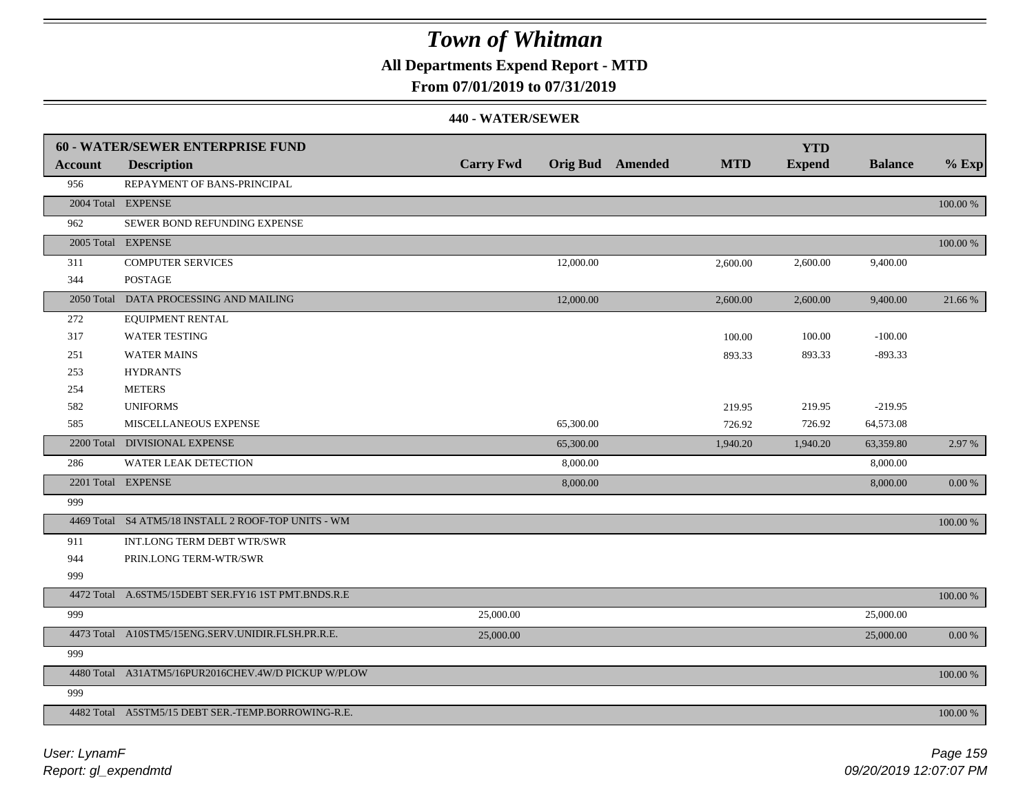**All Departments Expend Report - MTD**

### **From 07/01/2019 to 07/31/2019**

|                | <b>60 - WATER/SEWER ENTERPRISE FUND</b>             |                  |                         |            | <b>YTD</b>    |                |            |
|----------------|-----------------------------------------------------|------------------|-------------------------|------------|---------------|----------------|------------|
| <b>Account</b> | <b>Description</b>                                  | <b>Carry Fwd</b> | <b>Orig Bud</b> Amended | <b>MTD</b> | <b>Expend</b> | <b>Balance</b> | $%$ Exp    |
| 956            | REPAYMENT OF BANS-PRINCIPAL                         |                  |                         |            |               |                |            |
|                | 2004 Total EXPENSE                                  |                  |                         |            |               |                | 100.00 %   |
| 962            | SEWER BOND REFUNDING EXPENSE                        |                  |                         |            |               |                |            |
|                | 2005 Total EXPENSE                                  |                  |                         |            |               |                | 100.00 %   |
| 311            | <b>COMPUTER SERVICES</b>                            |                  | 12,000.00               | 2,600.00   | 2,600.00      | 9,400.00       |            |
| 344            | <b>POSTAGE</b>                                      |                  |                         |            |               |                |            |
|                | 2050 Total DATA PROCESSING AND MAILING              |                  | 12,000.00               | 2,600.00   | 2,600.00      | 9,400.00       | 21.66 %    |
| 272            | <b>EQUIPMENT RENTAL</b>                             |                  |                         |            |               |                |            |
| 317            | <b>WATER TESTING</b>                                |                  |                         | 100.00     | 100.00        | $-100.00$      |            |
| 251            | <b>WATER MAINS</b>                                  |                  |                         | 893.33     | 893.33        | $-893.33$      |            |
| 253            | <b>HYDRANTS</b>                                     |                  |                         |            |               |                |            |
| 254            | <b>METERS</b>                                       |                  |                         |            |               |                |            |
| 582            | <b>UNIFORMS</b>                                     |                  |                         | 219.95     | 219.95        | $-219.95$      |            |
| 585            | MISCELLANEOUS EXPENSE                               |                  | 65,300.00               | 726.92     | 726.92        | 64,573.08      |            |
|                | 2200 Total DIVISIONAL EXPENSE                       |                  | 65,300.00               | 1,940.20   | 1,940.20      | 63,359.80      | 2.97 %     |
| 286            | WATER LEAK DETECTION                                |                  | 8,000.00                |            |               | 8,000.00       |            |
|                | 2201 Total EXPENSE                                  |                  | 8,000.00                |            |               | 8,000.00       | 0.00 %     |
| 999            |                                                     |                  |                         |            |               |                |            |
|                | 4469 Total S4 ATM5/18 INSTALL 2 ROOF-TOP UNITS - WM |                  |                         |            |               |                | 100.00 %   |
| 911            | INT.LONG TERM DEBT WTR/SWR                          |                  |                         |            |               |                |            |
| 944            | PRIN.LONG TERM-WTR/SWR                              |                  |                         |            |               |                |            |
| 999            |                                                     |                  |                         |            |               |                |            |
|                | 4472 Total A.6STM5/15DEBT SER.FY16 1ST PMT.BNDS.R.E |                  |                         |            |               |                | 100.00 %   |
| 999            |                                                     | 25,000.00        |                         |            |               | 25,000.00      |            |
|                | 4473 Total A10STM5/15ENG.SERV.UNIDIR.FLSH.PR.R.E.   | 25,000.00        |                         |            |               | 25,000.00      | $0.00\ \%$ |
| 999            |                                                     |                  |                         |            |               |                |            |
|                | 4480 Total A31ATM5/16PUR2016CHEV.4W/D PICKUP W/PLOW |                  |                         |            |               |                | 100.00 %   |
| 999            |                                                     |                  |                         |            |               |                |            |
|                | 4482 Total A5STM5/15 DEBT SER.-TEMP.BORROWING-R.E.  |                  |                         |            |               |                | 100.00 %   |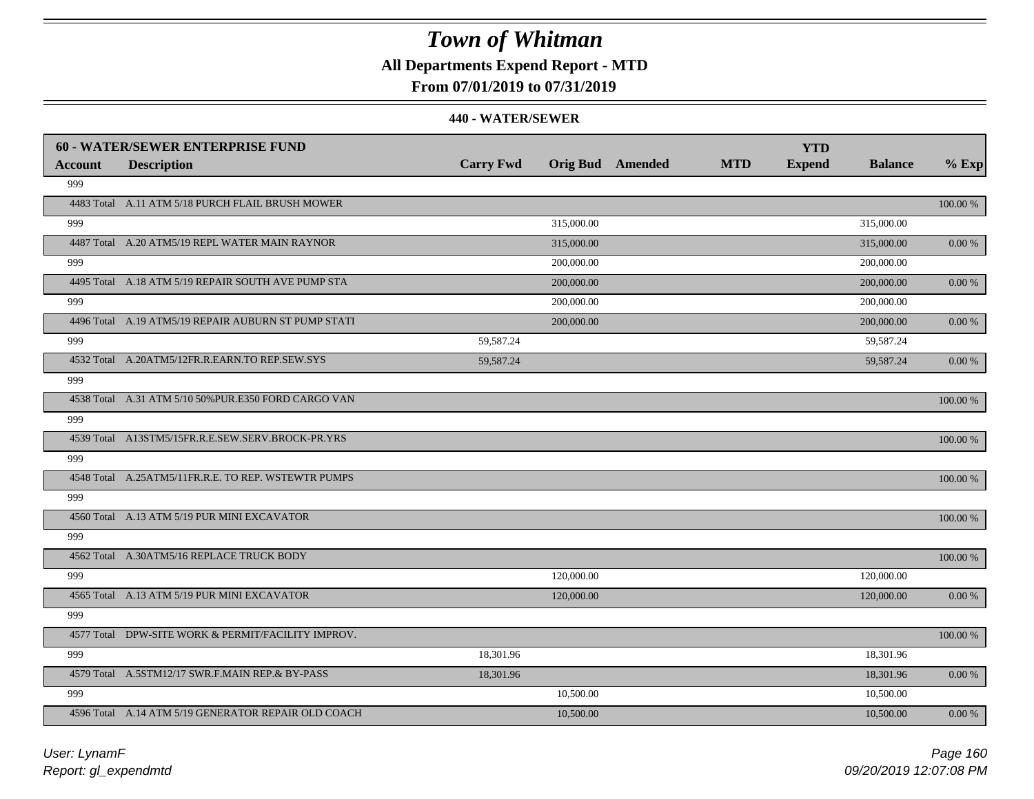**All Departments Expend Report - MTD**

### **From 07/01/2019 to 07/31/2019**

#### **440 - WATER/SEWER**

|         | 60 - WATER/SEWER ENTERPRISE FUND                     |                  |            |                         |            | <b>YTD</b>    |                |           |
|---------|------------------------------------------------------|------------------|------------|-------------------------|------------|---------------|----------------|-----------|
| Account | <b>Description</b>                                   | <b>Carry Fwd</b> |            | <b>Orig Bud</b> Amended | <b>MTD</b> | <b>Expend</b> | <b>Balance</b> | $%$ Exp   |
| 999     |                                                      |                  |            |                         |            |               |                |           |
|         | 4483 Total A.11 ATM 5/18 PURCH FLAIL BRUSH MOWER     |                  |            |                         |            |               |                | 100.00 %  |
| 999     |                                                      |                  | 315,000.00 |                         |            |               | 315,000.00     |           |
|         | 4487 Total A.20 ATM5/19 REPL WATER MAIN RAYNOR       |                  | 315,000.00 |                         |            |               | 315,000.00     | 0.00 %    |
| 999     |                                                      |                  | 200,000.00 |                         |            |               | 200,000.00     |           |
|         | 4495 Total A.18 ATM 5/19 REPAIR SOUTH AVE PUMP STA   |                  | 200,000.00 |                         |            |               | 200,000.00     | $0.00 \%$ |
| 999     |                                                      |                  | 200,000.00 |                         |            |               | 200,000.00     |           |
|         | 4496 Total A.19 ATM5/19 REPAIR AUBURN ST PUMP STATI  |                  | 200,000.00 |                         |            |               | 200,000.00     | 0.00 %    |
| 999     |                                                      | 59,587.24        |            |                         |            |               | 59,587.24      |           |
|         | 4532 Total A.20ATM5/12FR.R.EARN.TO REP.SEW.SYS       | 59,587.24        |            |                         |            |               | 59,587.24      | 0.00 %    |
| 999     |                                                      |                  |            |                         |            |               |                |           |
|         | 4538 Total A.31 ATM 5/10 50% PUR.E350 FORD CARGO VAN |                  |            |                         |            |               |                | 100.00 %  |
| 999     |                                                      |                  |            |                         |            |               |                |           |
|         | 4539 Total A13STM5/15FR.R.E.SEW.SERV.BROCK-PR.YRS    |                  |            |                         |            |               |                | 100.00 %  |
| 999     |                                                      |                  |            |                         |            |               |                |           |
|         | 4548 Total A.25ATM5/11FR.R.E. TO REP. WSTEWTR PUMPS  |                  |            |                         |            |               |                | 100.00 %  |
| 999     |                                                      |                  |            |                         |            |               |                |           |
|         | 4560 Total A.13 ATM 5/19 PUR MINI EXCAVATOR          |                  |            |                         |            |               |                | 100.00 %  |
| 999     |                                                      |                  |            |                         |            |               |                |           |
|         | 4562 Total A.30ATM5/16 REPLACE TRUCK BODY            |                  |            |                         |            |               |                | 100.00 %  |
| 999     |                                                      |                  | 120,000.00 |                         |            |               | 120,000.00     |           |
|         | 4565 Total A.13 ATM 5/19 PUR MINI EXCAVATOR          |                  | 120,000.00 |                         |            |               | 120,000.00     | 0.00 %    |
| 999     |                                                      |                  |            |                         |            |               |                |           |
|         | 4577 Total DPW-SITE WORK & PERMIT/FACILITY IMPROV.   |                  |            |                         |            |               |                | 100.00 %  |
| 999     |                                                      | 18,301.96        |            |                         |            |               | 18,301.96      |           |
|         | 4579 Total A.5STM12/17 SWR.F.MAIN REP.& BY-PASS      | 18,301.96        |            |                         |            |               | 18,301.96      | 0.00 %    |
| 999     |                                                      |                  | 10,500.00  |                         |            |               | 10,500.00      |           |
|         | 4596 Total A.14 ATM 5/19 GENERATOR REPAIR OLD COACH  |                  | 10,500.00  |                         |            |               | 10,500.00      | 0.00 %    |

*Report: gl\_expendmtd User: LynamF*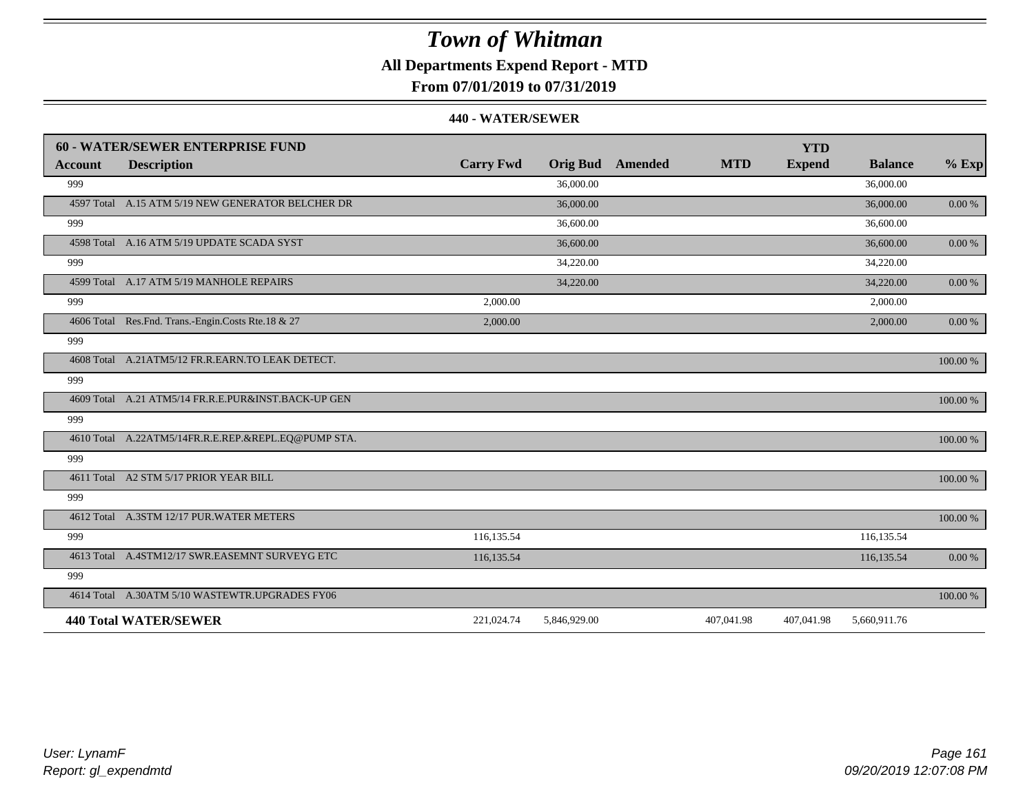## **All Departments Expend Report - MTD**

**From 07/01/2019 to 07/31/2019**

|                | <b>60 - WATER/SEWER ENTERPRISE FUND</b>             |                  |                 |         |            | <b>YTD</b>    |                |            |
|----------------|-----------------------------------------------------|------------------|-----------------|---------|------------|---------------|----------------|------------|
| <b>Account</b> | <b>Description</b>                                  | <b>Carry Fwd</b> | <b>Orig Bud</b> | Amended | <b>MTD</b> | <b>Expend</b> | <b>Balance</b> | $%$ Exp    |
| 999            |                                                     |                  | 36,000.00       |         |            |               | 36,000.00      |            |
|                | 4597 Total A.15 ATM 5/19 NEW GENERATOR BELCHER DR   |                  | 36,000.00       |         |            |               | 36,000.00      | $0.00\ \%$ |
| 999            |                                                     |                  | 36,600.00       |         |            |               | 36,600.00      |            |
|                | 4598 Total A.16 ATM 5/19 UPDATE SCADA SYST          |                  | 36,600.00       |         |            |               | 36,600.00      | $0.00~\%$  |
| 999            |                                                     |                  | 34,220.00       |         |            |               | 34,220.00      |            |
|                | 4599 Total A.17 ATM 5/19 MANHOLE REPAIRS            |                  | 34,220.00       |         |            |               | 34,220.00      | $0.00\ \%$ |
| 999            |                                                     | 2,000.00         |                 |         |            |               | 2,000.00       |            |
|                | 4606 Total Res.Fnd. Trans.-Engin.Costs Rte.18 & 27  | 2,000.00         |                 |         |            |               | 2,000.00       | $0.00\ \%$ |
| 999            |                                                     |                  |                 |         |            |               |                |            |
|                | 4608 Total A.21ATM5/12 FR.R.EARN.TO LEAK DETECT.    |                  |                 |         |            |               |                | 100.00 %   |
| 999            |                                                     |                  |                 |         |            |               |                |            |
|                | 4609 Total A.21 ATM5/14 FR.R.E.PUR&INST.BACK-UP GEN |                  |                 |         |            |               |                | 100.00 %   |
| 999            |                                                     |                  |                 |         |            |               |                |            |
|                | 4610 Total A.22ATM5/14FR.R.E.REP.&REPL.EQ@PUMP STA. |                  |                 |         |            |               |                | 100.00 %   |
| 999            |                                                     |                  |                 |         |            |               |                |            |
|                | 4611 Total A2 STM 5/17 PRIOR YEAR BILL              |                  |                 |         |            |               |                | 100.00 %   |
| 999            |                                                     |                  |                 |         |            |               |                |            |
|                | 4612 Total A.3STM 12/17 PUR.WATER METERS            |                  |                 |         |            |               |                | 100.00 %   |
| 999            |                                                     | 116,135.54       |                 |         |            |               | 116,135.54     |            |
|                | 4613 Total A.4STM12/17 SWR.EASEMNT SURVEYG ETC      | 116,135.54       |                 |         |            |               | 116,135.54     | $0.00\ \%$ |
| 999            |                                                     |                  |                 |         |            |               |                |            |
|                | 4614 Total A.30ATM 5/10 WASTEWTR.UPGRADES FY06      |                  |                 |         |            |               |                | 100.00 %   |
|                | <b>440 Total WATER/SEWER</b>                        | 221,024.74       | 5,846,929.00    |         | 407,041.98 | 407,041.98    | 5,660,911.76   |            |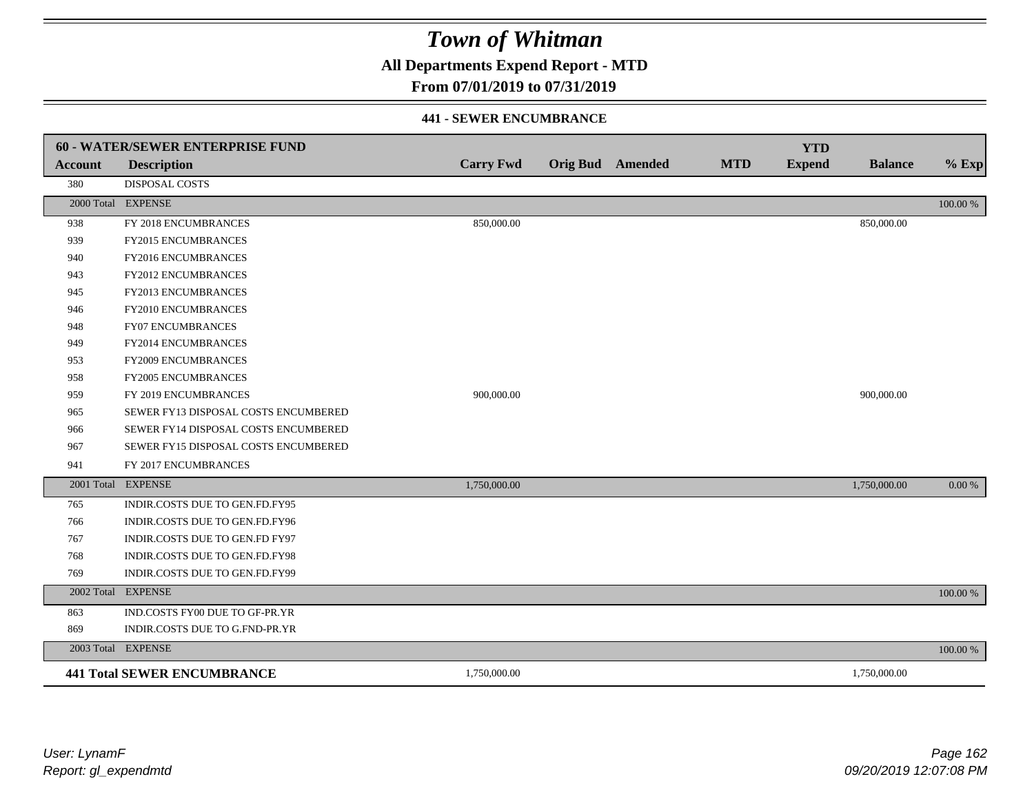**All Departments Expend Report - MTD**

### **From 07/01/2019 to 07/31/2019**

#### **441 - SEWER ENCUMBRANCE**

|                | 60 - WATER/SEWER ENTERPRISE FUND     |                  |                         |            | <b>YTD</b>    |                |          |
|----------------|--------------------------------------|------------------|-------------------------|------------|---------------|----------------|----------|
| <b>Account</b> | <b>Description</b>                   | <b>Carry Fwd</b> | <b>Orig Bud</b> Amended | <b>MTD</b> | <b>Expend</b> | <b>Balance</b> | $%$ Exp  |
| 380            | <b>DISPOSAL COSTS</b>                |                  |                         |            |               |                |          |
|                | 2000 Total EXPENSE                   |                  |                         |            |               |                | 100.00 % |
| 938            | FY 2018 ENCUMBRANCES                 | 850,000.00       |                         |            |               | 850,000.00     |          |
| 939            | <b>FY2015 ENCUMBRANCES</b>           |                  |                         |            |               |                |          |
| 940            | FY2016 ENCUMBRANCES                  |                  |                         |            |               |                |          |
| 943            | FY2012 ENCUMBRANCES                  |                  |                         |            |               |                |          |
| 945            | FY2013 ENCUMBRANCES                  |                  |                         |            |               |                |          |
| 946            | <b>FY2010 ENCUMBRANCES</b>           |                  |                         |            |               |                |          |
| 948            | <b>FY07 ENCUMBRANCES</b>             |                  |                         |            |               |                |          |
| 949            | FY2014 ENCUMBRANCES                  |                  |                         |            |               |                |          |
| 953            | FY2009 ENCUMBRANCES                  |                  |                         |            |               |                |          |
| 958            | FY2005 ENCUMBRANCES                  |                  |                         |            |               |                |          |
| 959            | FY 2019 ENCUMBRANCES                 | 900,000.00       |                         |            |               | 900,000.00     |          |
| 965            | SEWER FY13 DISPOSAL COSTS ENCUMBERED |                  |                         |            |               |                |          |
| 966            | SEWER FY14 DISPOSAL COSTS ENCUMBERED |                  |                         |            |               |                |          |
| 967            | SEWER FY15 DISPOSAL COSTS ENCUMBERED |                  |                         |            |               |                |          |
| 941            | FY 2017 ENCUMBRANCES                 |                  |                         |            |               |                |          |
|                | 2001 Total EXPENSE                   | 1,750,000.00     |                         |            |               | 1,750,000.00   | 0.00 %   |
| 765            | INDIR.COSTS DUE TO GEN.FD.FY95       |                  |                         |            |               |                |          |
| 766            | INDIR.COSTS DUE TO GEN.FD.FY96       |                  |                         |            |               |                |          |
| 767            | INDIR.COSTS DUE TO GEN.FD FY97       |                  |                         |            |               |                |          |
| 768            | INDIR.COSTS DUE TO GEN.FD.FY98       |                  |                         |            |               |                |          |
| 769            | INDIR.COSTS DUE TO GEN.FD.FY99       |                  |                         |            |               |                |          |
|                | 2002 Total EXPENSE                   |                  |                         |            |               |                | 100.00 % |
| 863            | IND.COSTS FY00 DUE TO GF-PR.YR       |                  |                         |            |               |                |          |
| 869            | INDIR.COSTS DUE TO G.FND-PR.YR       |                  |                         |            |               |                |          |
|                | 2003 Total EXPENSE                   |                  |                         |            |               |                | 100.00 % |
|                | <b>441 Total SEWER ENCUMBRANCE</b>   | 1,750,000.00     |                         |            |               | 1,750,000.00   |          |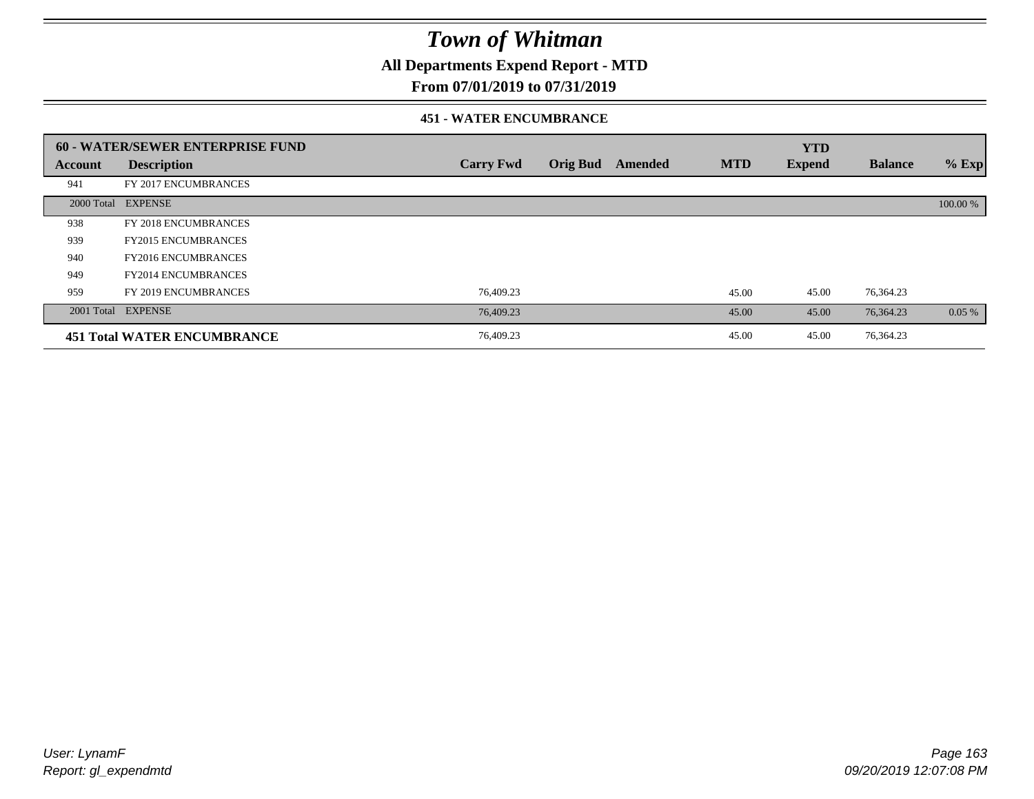**All Departments Expend Report - MTD**

### **From 07/01/2019 to 07/31/2019**

#### **451 - WATER ENCUMBRANCE**

|         | 60 - WATER/SEWER ENTERPRISE FUND   |                  |                 |         |            | <b>YTD</b>    |                |          |
|---------|------------------------------------|------------------|-----------------|---------|------------|---------------|----------------|----------|
| Account | <b>Description</b>                 | <b>Carry Fwd</b> | <b>Orig Bud</b> | Amended | <b>MTD</b> | <b>Expend</b> | <b>Balance</b> | $%$ Exp  |
| 941     | FY 2017 ENCUMBRANCES               |                  |                 |         |            |               |                |          |
|         | 2000 Total EXPENSE                 |                  |                 |         |            |               |                | 100.00 % |
| 938     | FY 2018 ENCUMBRANCES               |                  |                 |         |            |               |                |          |
| 939     | <b>FY2015 ENCUMBRANCES</b>         |                  |                 |         |            |               |                |          |
| 940     | <b>FY2016 ENCUMBRANCES</b>         |                  |                 |         |            |               |                |          |
| 949     | <b>FY2014 ENCUMBRANCES</b>         |                  |                 |         |            |               |                |          |
| 959     | FY 2019 ENCUMBRANCES               | 76,409.23        |                 |         | 45.00      | 45.00         | 76,364.23      |          |
|         | 2001 Total EXPENSE                 | 76,409.23        |                 |         | 45.00      | 45.00         | 76,364.23      | $0.05\%$ |
|         | <b>451 Total WATER ENCUMBRANCE</b> | 76,409.23        |                 |         | 45.00      | 45.00         | 76,364.23      |          |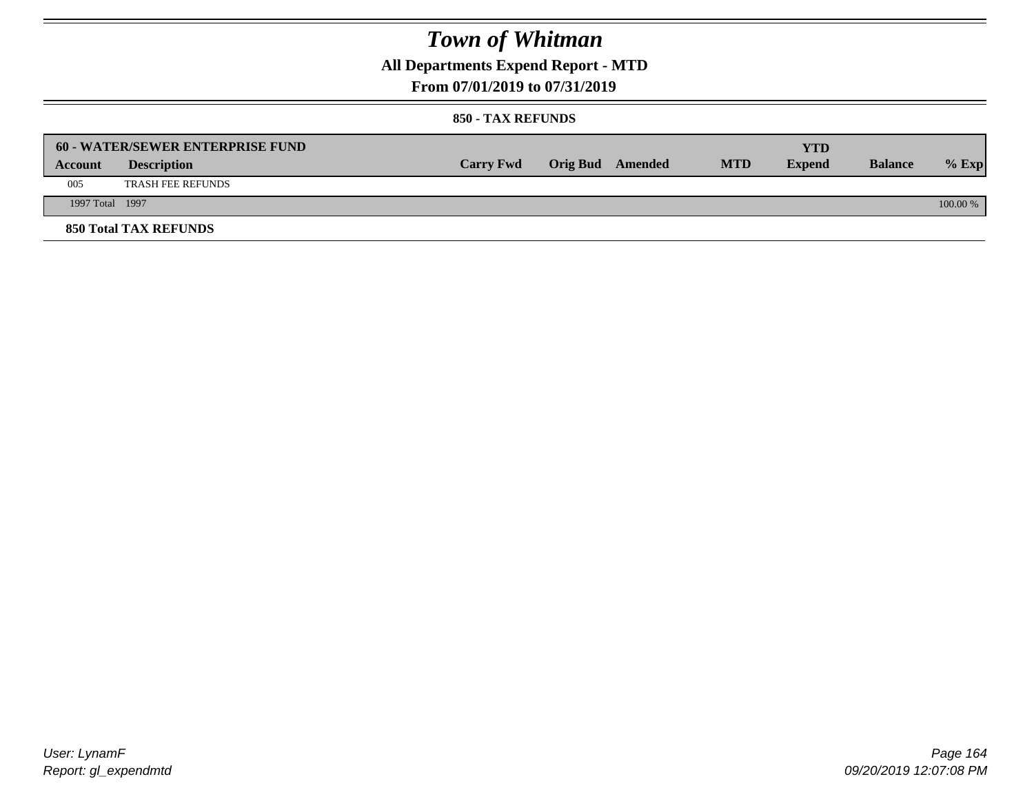**All Departments Expend Report - MTD**

### **From 07/01/2019 to 07/31/2019**

#### **850 - TAX REFUNDS**

|                 | <b>60 - WATER/SEWER ENTERPRISE FUND</b> |                  |                         |            | YTD           |                |            |
|-----------------|-----------------------------------------|------------------|-------------------------|------------|---------------|----------------|------------|
| Account         | <b>Description</b>                      | <b>Carry Fwd</b> | <b>Orig Bud</b> Amended | <b>MTD</b> | <b>Expend</b> | <b>Balance</b> | $%$ Exp    |
| 005             | <b>TRASH FEE REFUNDS</b>                |                  |                         |            |               |                |            |
| 1997 Total 1997 |                                         |                  |                         |            |               |                | $100.00\%$ |
|                 | <b>850 Total TAX REFUNDS</b>            |                  |                         |            |               |                |            |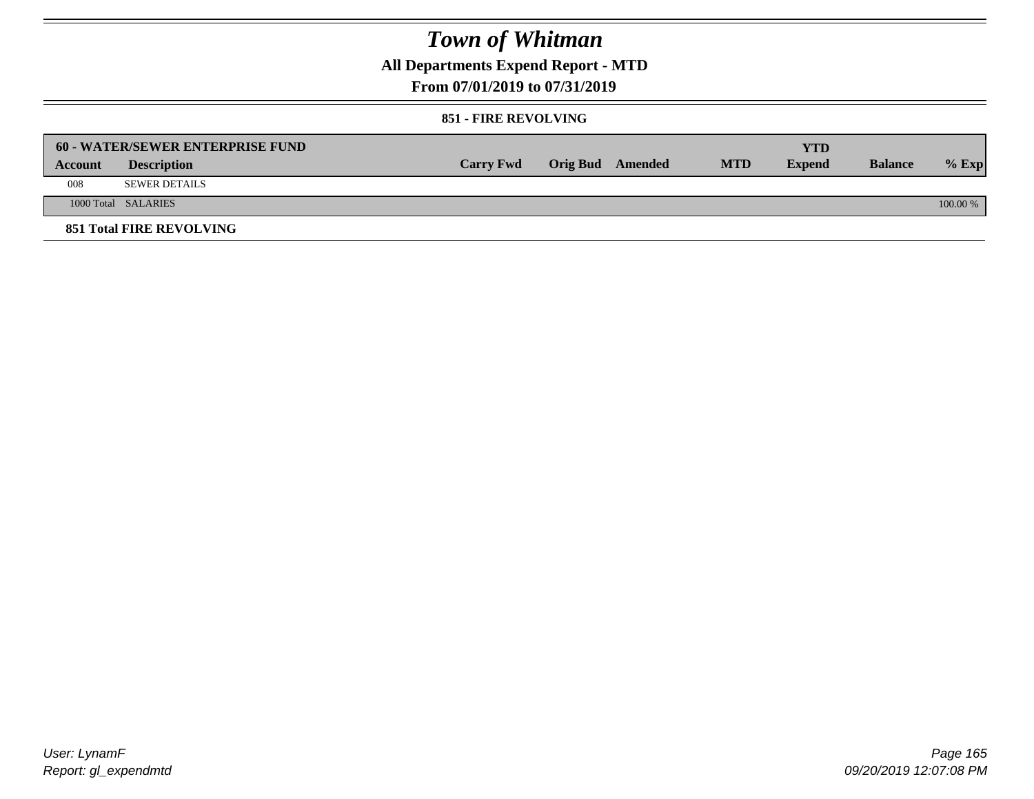**All Departments Expend Report - MTD**

### **From 07/01/2019 to 07/31/2019**

#### **851 - FIRE REVOLVING**

|         | <b>60 - WATER/SEWER ENTERPRISE FUND</b> |                  |                  |            | YTD           |                |            |
|---------|-----------------------------------------|------------------|------------------|------------|---------------|----------------|------------|
| Account | <b>Description</b>                      | <b>Carry Fwd</b> | Orig Bud Amended | <b>MTD</b> | <b>Expend</b> | <b>Balance</b> | $%$ Exp    |
| 008     | SEWER DETAILS                           |                  |                  |            |               |                |            |
|         | 1000 Total SALARIES                     |                  |                  |            |               |                | $100.00\%$ |
|         | <b>851 Total FIRE REVOLVING</b>         |                  |                  |            |               |                |            |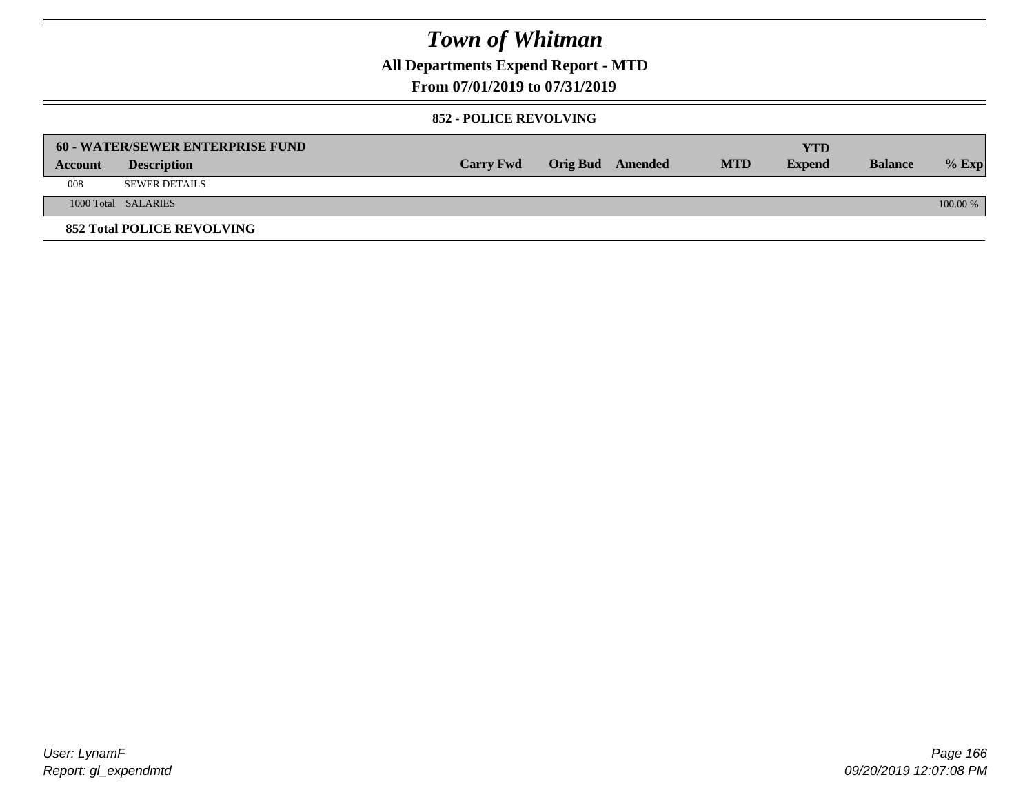**All Departments Expend Report - MTD**

### **From 07/01/2019 to 07/31/2019**

#### **852 - POLICE REVOLVING**

|         | <b>60 - WATER/SEWER ENTERPRISE FUND</b> |                  |                  |            | YTD           |                |            |
|---------|-----------------------------------------|------------------|------------------|------------|---------------|----------------|------------|
| Account | <b>Description</b>                      | <b>Carry Fwd</b> | Orig Bud Amended | <b>MTD</b> | <b>Expend</b> | <b>Balance</b> | $%$ Exp    |
| 008     | SEWER DETAILS                           |                  |                  |            |               |                |            |
|         | 1000 Total SALARIES                     |                  |                  |            |               |                | $100.00\%$ |
|         | <b>852 Total POLICE REVOLVING</b>       |                  |                  |            |               |                |            |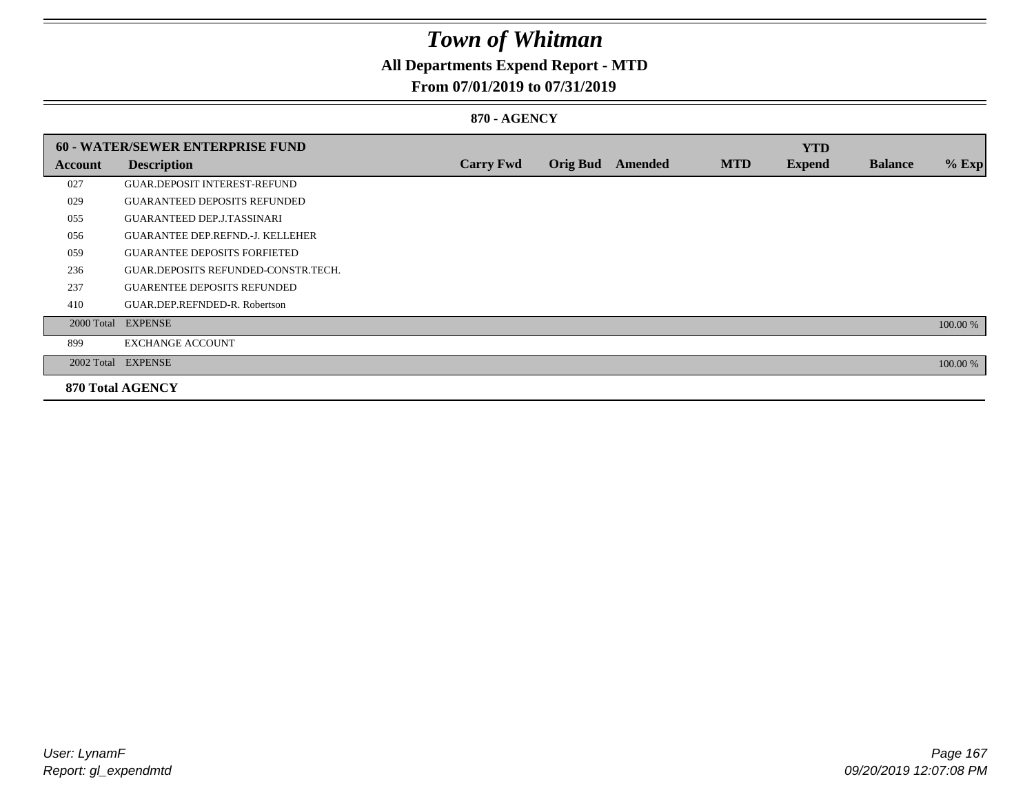## **All Departments Expend Report - MTD**

### **From 07/01/2019 to 07/31/2019**

### **870 - AGENCY**

|         | <b>60 - WATER/SEWER ENTERPRISE FUND</b> |                  |                 |                |            | <b>YTD</b>    |                |          |
|---------|-----------------------------------------|------------------|-----------------|----------------|------------|---------------|----------------|----------|
| Account | <b>Description</b>                      | <b>Carry Fwd</b> | <b>Orig Bud</b> | <b>Amended</b> | <b>MTD</b> | <b>Expend</b> | <b>Balance</b> | $%$ Exp  |
| 027     | <b>GUAR.DEPOSIT INTEREST-REFUND</b>     |                  |                 |                |            |               |                |          |
| 029     | <b>GUARANTEED DEPOSITS REFUNDED</b>     |                  |                 |                |            |               |                |          |
| 055     | <b>GUARANTEED DEP.J.TASSINARI</b>       |                  |                 |                |            |               |                |          |
| 056     | <b>GUARANTEE DEP.REFND.-J. KELLEHER</b> |                  |                 |                |            |               |                |          |
| 059     | <b>GUARANTEE DEPOSITS FORFIETED</b>     |                  |                 |                |            |               |                |          |
| 236     | GUAR.DEPOSITS REFUNDED-CONSTR.TECH.     |                  |                 |                |            |               |                |          |
| 237     | <b>GUARENTEE DEPOSITS REFUNDED</b>      |                  |                 |                |            |               |                |          |
| 410     | GUAR.DEP.REFNDED-R. Robertson           |                  |                 |                |            |               |                |          |
|         | 2000 Total EXPENSE                      |                  |                 |                |            |               |                | 100.00 % |
| 899     | <b>EXCHANGE ACCOUNT</b>                 |                  |                 |                |            |               |                |          |
|         | 2002 Total EXPENSE                      |                  |                 |                |            |               |                | 100.00 % |
|         | <b>870 Total AGENCY</b>                 |                  |                 |                |            |               |                |          |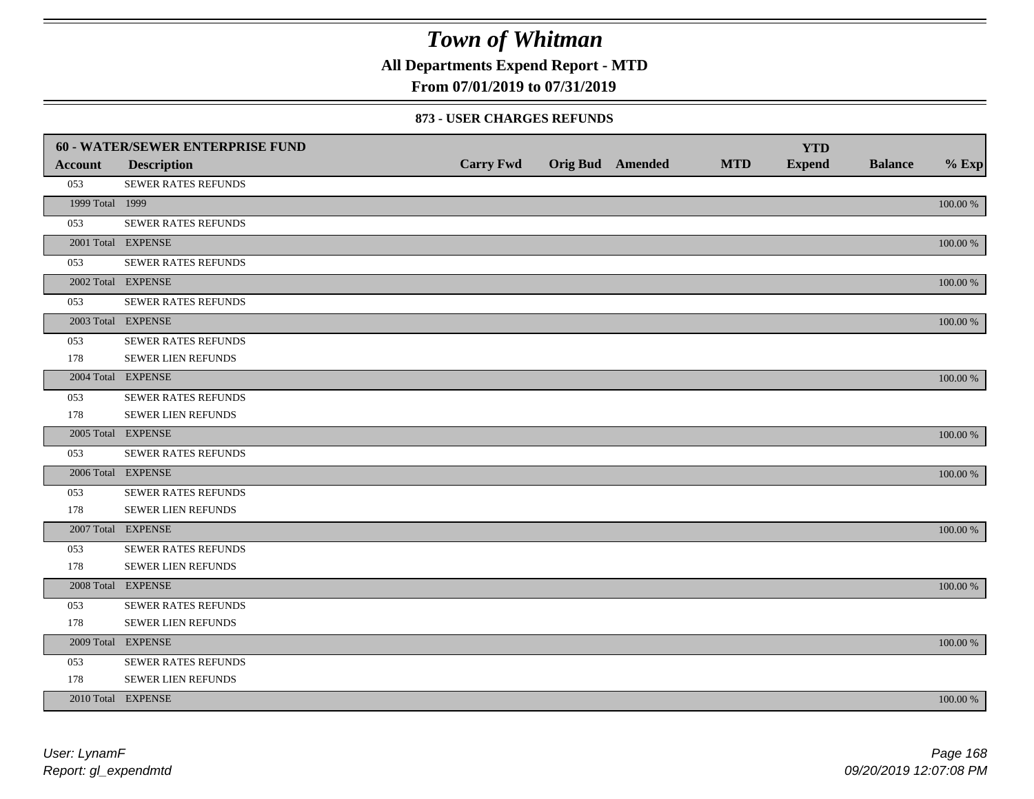**All Departments Expend Report - MTD**

### **From 07/01/2019 to 07/31/2019**

#### **873 - USER CHARGES REFUNDS**

|                 | 60 - WATER/SEWER ENTERPRISE FUND |                  |                         |            | <b>YTD</b>    |                |             |
|-----------------|----------------------------------|------------------|-------------------------|------------|---------------|----------------|-------------|
| <b>Account</b>  | <b>Description</b>               | <b>Carry Fwd</b> | <b>Orig Bud</b> Amended | <b>MTD</b> | <b>Expend</b> | <b>Balance</b> | $%$ Exp     |
| 053             | SEWER RATES REFUNDS              |                  |                         |            |               |                |             |
| 1999 Total 1999 |                                  |                  |                         |            |               |                | 100.00 %    |
| 053             | SEWER RATES REFUNDS              |                  |                         |            |               |                |             |
|                 | 2001 Total EXPENSE               |                  |                         |            |               |                | 100.00 %    |
| 053             | SEWER RATES REFUNDS              |                  |                         |            |               |                |             |
|                 | 2002 Total EXPENSE               |                  |                         |            |               |                | $100.00~\%$ |
| 053             | SEWER RATES REFUNDS              |                  |                         |            |               |                |             |
|                 | 2003 Total EXPENSE               |                  |                         |            |               |                | 100.00 %    |
| 053             | SEWER RATES REFUNDS              |                  |                         |            |               |                |             |
| 178             | <b>SEWER LIEN REFUNDS</b>        |                  |                         |            |               |                |             |
|                 | 2004 Total EXPENSE               |                  |                         |            |               |                | 100.00 %    |
| 053             | SEWER RATES REFUNDS              |                  |                         |            |               |                |             |
| 178             | SEWER LIEN REFUNDS               |                  |                         |            |               |                |             |
|                 | 2005 Total EXPENSE               |                  |                         |            |               |                | 100.00 %    |
| 053             | <b>SEWER RATES REFUNDS</b>       |                  |                         |            |               |                |             |
|                 | 2006 Total EXPENSE               |                  |                         |            |               |                | 100.00 %    |
| 053             | <b>SEWER RATES REFUNDS</b>       |                  |                         |            |               |                |             |
| 178             | SEWER LIEN REFUNDS               |                  |                         |            |               |                |             |
|                 | 2007 Total EXPENSE               |                  |                         |            |               |                | 100.00 %    |
| 053             | SEWER RATES REFUNDS              |                  |                         |            |               |                |             |
| 178             | <b>SEWER LIEN REFUNDS</b>        |                  |                         |            |               |                |             |
|                 | 2008 Total EXPENSE               |                  |                         |            |               |                | 100.00 %    |
| 053             | <b>SEWER RATES REFUNDS</b>       |                  |                         |            |               |                |             |
| 178             | SEWER LIEN REFUNDS               |                  |                         |            |               |                |             |
|                 | 2009 Total EXPENSE               |                  |                         |            |               |                | 100.00 %    |
| 053             | SEWER RATES REFUNDS              |                  |                         |            |               |                |             |
| 178             | <b>SEWER LIEN REFUNDS</b>        |                  |                         |            |               |                |             |
|                 | 2010 Total EXPENSE               |                  |                         |            |               |                | 100.00 %    |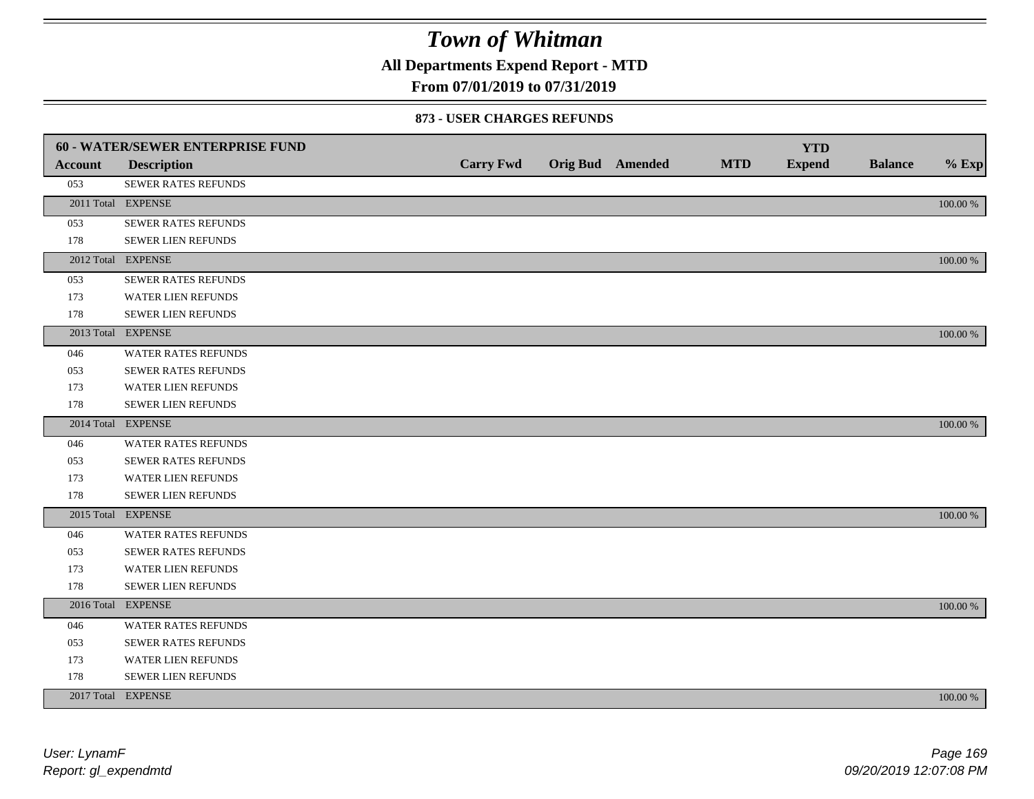**All Departments Expend Report - MTD**

### **From 07/01/2019 to 07/31/2019**

#### **873 - USER CHARGES REFUNDS**

|         | <b>60 - WATER/SEWER ENTERPRISE FUND</b> |                  |                         |            | <b>YTD</b>    |                |          |
|---------|-----------------------------------------|------------------|-------------------------|------------|---------------|----------------|----------|
| Account | <b>Description</b>                      | <b>Carry Fwd</b> | <b>Orig Bud</b> Amended | <b>MTD</b> | <b>Expend</b> | <b>Balance</b> | $%$ Exp  |
| 053     | SEWER RATES REFUNDS                     |                  |                         |            |               |                |          |
|         | 2011 Total EXPENSE                      |                  |                         |            |               |                | 100.00 % |
| 053     | SEWER RATES REFUNDS                     |                  |                         |            |               |                |          |
| 178     | SEWER LIEN REFUNDS                      |                  |                         |            |               |                |          |
|         | 2012 Total EXPENSE                      |                  |                         |            |               |                | 100.00 % |
| 053     | SEWER RATES REFUNDS                     |                  |                         |            |               |                |          |
| 173     | <b>WATER LIEN REFUNDS</b>               |                  |                         |            |               |                |          |
| 178     | SEWER LIEN REFUNDS                      |                  |                         |            |               |                |          |
|         | 2013 Total EXPENSE                      |                  |                         |            |               |                | 100.00 % |
| 046     | WATER RATES REFUNDS                     |                  |                         |            |               |                |          |
| 053     | <b>SEWER RATES REFUNDS</b>              |                  |                         |            |               |                |          |
| 173     | WATER LIEN REFUNDS                      |                  |                         |            |               |                |          |
| 178     | <b>SEWER LIEN REFUNDS</b>               |                  |                         |            |               |                |          |
|         | 2014 Total EXPENSE                      |                  |                         |            |               |                | 100.00 % |
| 046     | <b>WATER RATES REFUNDS</b>              |                  |                         |            |               |                |          |
| 053     | SEWER RATES REFUNDS                     |                  |                         |            |               |                |          |
| 173     | WATER LIEN REFUNDS                      |                  |                         |            |               |                |          |
| 178     | SEWER LIEN REFUNDS                      |                  |                         |            |               |                |          |
|         | 2015 Total EXPENSE                      |                  |                         |            |               |                | 100.00 % |
| 046     | WATER RATES REFUNDS                     |                  |                         |            |               |                |          |
| 053     | SEWER RATES REFUNDS                     |                  |                         |            |               |                |          |
| 173     | <b>WATER LIEN REFUNDS</b>               |                  |                         |            |               |                |          |
| 178     | SEWER LIEN REFUNDS                      |                  |                         |            |               |                |          |
|         | 2016 Total EXPENSE                      |                  |                         |            |               |                | 100.00 % |
| 046     | <b>WATER RATES REFUNDS</b>              |                  |                         |            |               |                |          |
| 053     | <b>SEWER RATES REFUNDS</b>              |                  |                         |            |               |                |          |
| 173     | WATER LIEN REFUNDS                      |                  |                         |            |               |                |          |
| 178     | SEWER LIEN REFUNDS                      |                  |                         |            |               |                |          |
|         | 2017 Total EXPENSE                      |                  |                         |            |               |                | 100.00 % |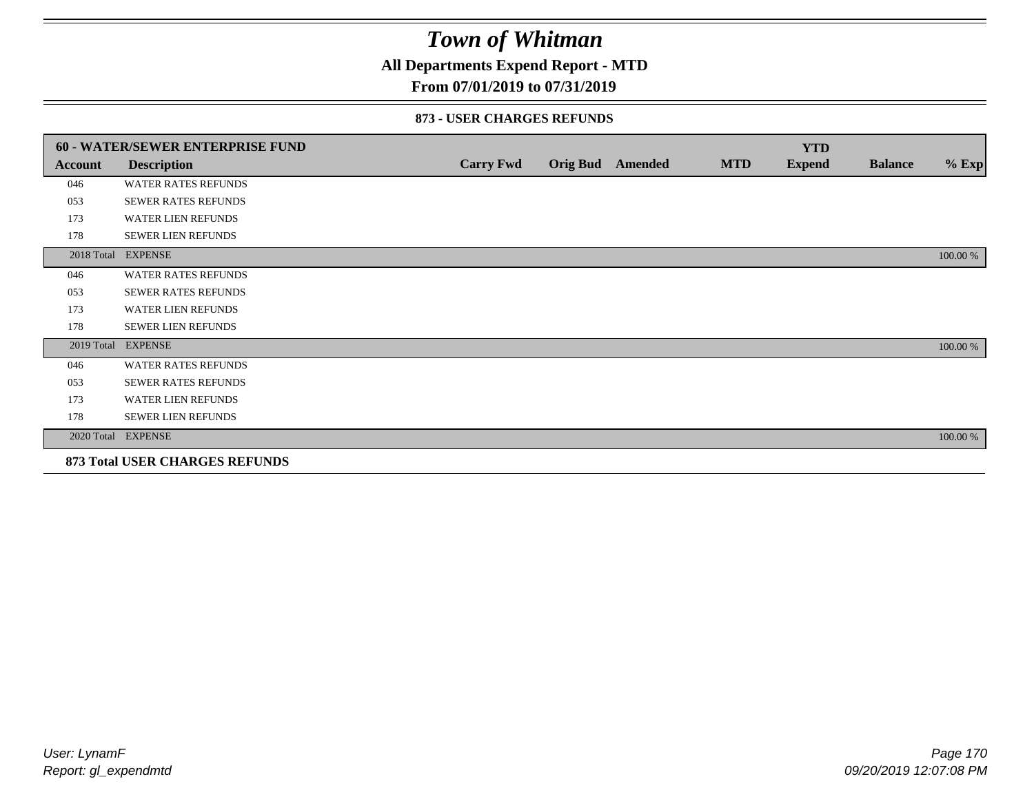### **All Departments Expend Report - MTD**

### **From 07/01/2019 to 07/31/2019**

#### **873 - USER CHARGES REFUNDS**

|            | <b>60 - WATER/SEWER ENTERPRISE FUND</b> |                  |                 |                |            | <b>YTD</b>    |                |          |
|------------|-----------------------------------------|------------------|-----------------|----------------|------------|---------------|----------------|----------|
| Account    | <b>Description</b>                      | <b>Carry Fwd</b> | <b>Orig Bud</b> | <b>Amended</b> | <b>MTD</b> | <b>Expend</b> | <b>Balance</b> | $%$ Exp  |
| 046        | <b>WATER RATES REFUNDS</b>              |                  |                 |                |            |               |                |          |
| 053        | SEWER RATES REFUNDS                     |                  |                 |                |            |               |                |          |
| 173        | <b>WATER LIEN REFUNDS</b>               |                  |                 |                |            |               |                |          |
| 178        | <b>SEWER LIEN REFUNDS</b>               |                  |                 |                |            |               |                |          |
| 2018 Total | <b>EXPENSE</b>                          |                  |                 |                |            |               |                | 100.00 % |
| 046        | <b>WATER RATES REFUNDS</b>              |                  |                 |                |            |               |                |          |
| 053        | <b>SEWER RATES REFUNDS</b>              |                  |                 |                |            |               |                |          |
| 173        | <b>WATER LIEN REFUNDS</b>               |                  |                 |                |            |               |                |          |
| 178        | <b>SEWER LIEN REFUNDS</b>               |                  |                 |                |            |               |                |          |
| 2019 Total | <b>EXPENSE</b>                          |                  |                 |                |            |               |                | 100.00 % |
| 046        | <b>WATER RATES REFUNDS</b>              |                  |                 |                |            |               |                |          |
| 053        | SEWER RATES REFUNDS                     |                  |                 |                |            |               |                |          |
| 173        | WATER LIEN REFUNDS                      |                  |                 |                |            |               |                |          |
| 178        | <b>SEWER LIEN REFUNDS</b>               |                  |                 |                |            |               |                |          |
|            | 2020 Total EXPENSE                      |                  |                 |                |            |               |                | 100.00 % |
|            | <b>873 Total USER CHARGES REFUNDS</b>   |                  |                 |                |            |               |                |          |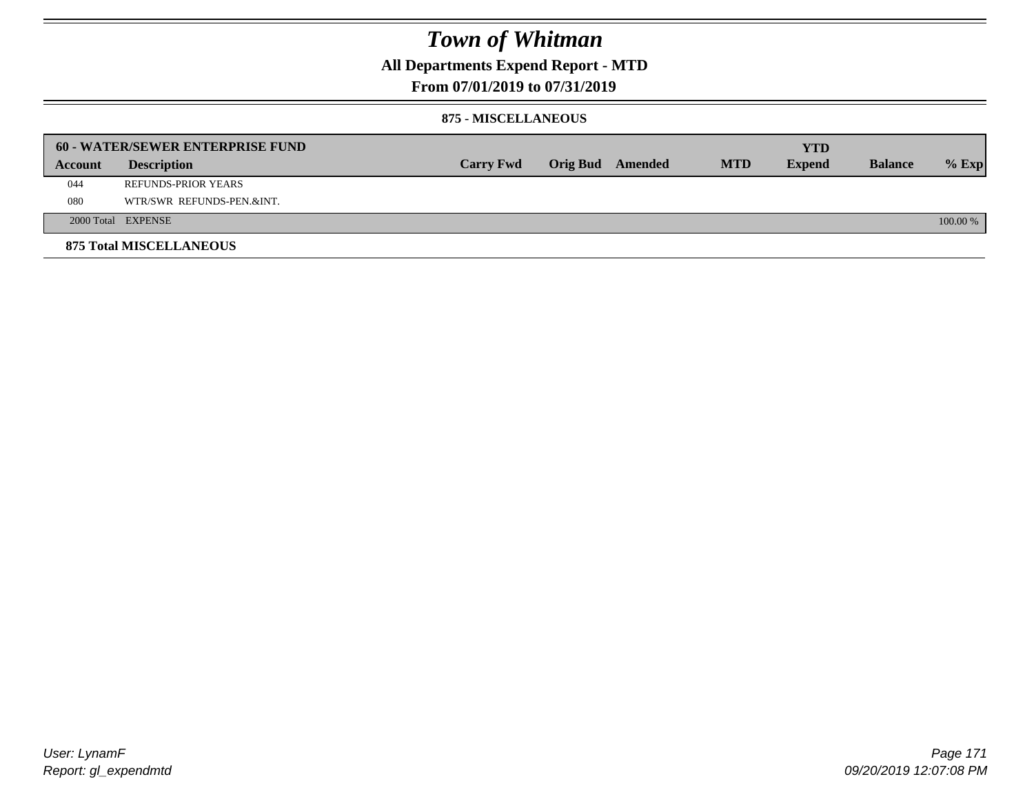## **All Departments Expend Report - MTD**

### **From 07/01/2019 to 07/31/2019**

#### **875 - MISCELLANEOUS**

|         | <b>60 - WATER/SEWER ENTERPRISE FUND</b> |                  |  |                  |            | <b>YTD</b>    |                |            |
|---------|-----------------------------------------|------------------|--|------------------|------------|---------------|----------------|------------|
| Account | <b>Description</b>                      | <b>Carry Fwd</b> |  | Orig Bud Amended | <b>MTD</b> | <b>Expend</b> | <b>Balance</b> | $%$ Exp    |
| 044     | REFUNDS-PRIOR YEARS                     |                  |  |                  |            |               |                |            |
| 080     | WTR/SWR REFUNDS-PEN.&INT.               |                  |  |                  |            |               |                |            |
|         | 2000 Total EXPENSE                      |                  |  |                  |            |               |                | $100.00\%$ |
|         | <b>875 Total MISCELLANEOUS</b>          |                  |  |                  |            |               |                |            |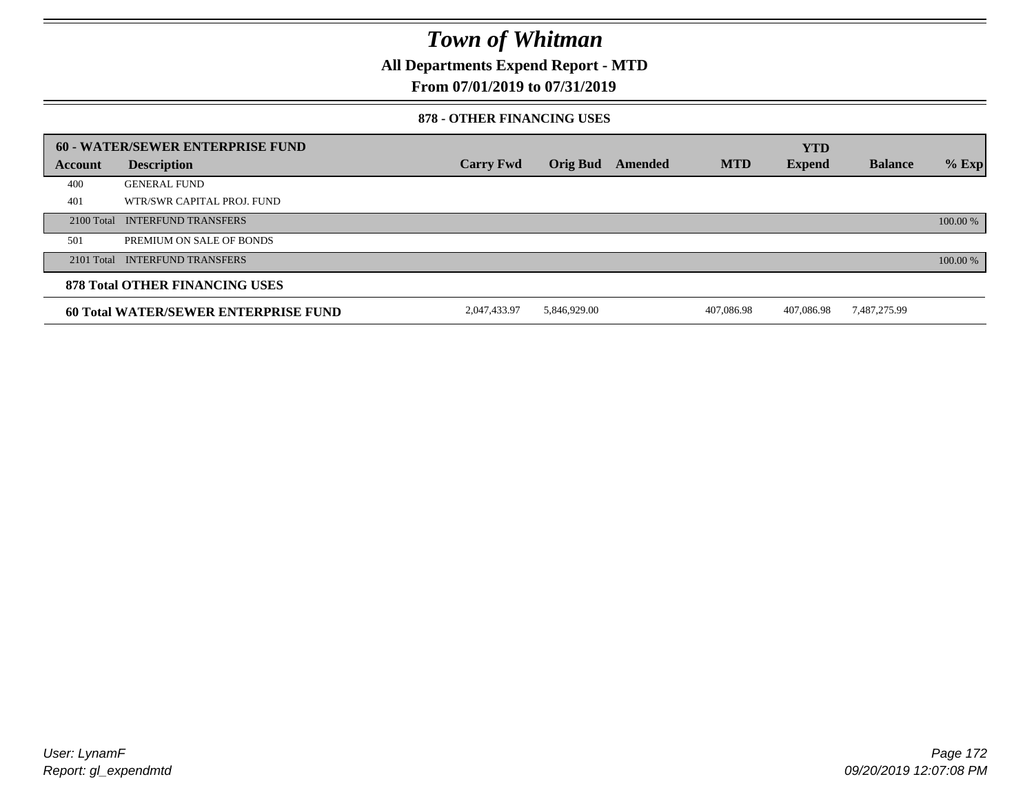**All Departments Expend Report - MTD**

### **From 07/01/2019 to 07/31/2019**

#### **878 - OTHER FINANCING USES**

|         | 60 - WATER/SEWER ENTERPRISE FUND            |                  |                 |         |            | <b>YTD</b>    |                |          |
|---------|---------------------------------------------|------------------|-----------------|---------|------------|---------------|----------------|----------|
| Account | <b>Description</b>                          | <b>Carry Fwd</b> | <b>Orig Bud</b> | Amended | <b>MTD</b> | <b>Expend</b> | <b>Balance</b> | $%$ Exp  |
| 400     | <b>GENERAL FUND</b>                         |                  |                 |         |            |               |                |          |
| 401     | WTR/SWR CAPITAL PROJ. FUND                  |                  |                 |         |            |               |                |          |
|         | 2100 Total INTERFUND TRANSFERS              |                  |                 |         |            |               |                | 100.00 % |
| 501     | PREMIUM ON SALE OF BONDS                    |                  |                 |         |            |               |                |          |
|         | 2101 Total INTERFUND TRANSFERS              |                  |                 |         |            |               |                | 100.00 % |
|         | <b>878 Total OTHER FINANCING USES</b>       |                  |                 |         |            |               |                |          |
|         | <b>60 Total WATER/SEWER ENTERPRISE FUND</b> | 2,047,433.97     | 5.846.929.00    |         | 407.086.98 | 407.086.98    | 7,487,275.99   |          |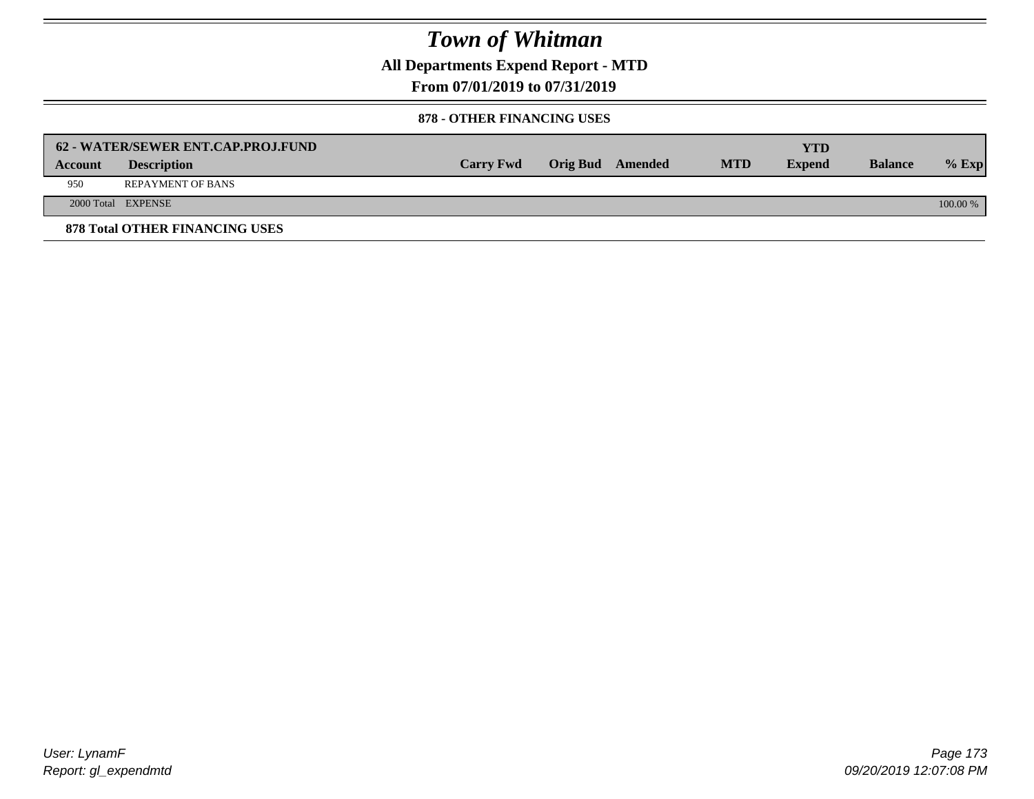**All Departments Expend Report - MTD**

**From 07/01/2019 to 07/31/2019**

#### **878 - OTHER FINANCING USES**

|         | 62 - WATER/SEWER ENT.CAP.PROJ.FUND    |                  |                  |            | <b>YTD</b>    |                |            |
|---------|---------------------------------------|------------------|------------------|------------|---------------|----------------|------------|
| Account | <b>Description</b>                    | <b>Carry Fwd</b> | Orig Bud Amended | <b>MTD</b> | <b>Expend</b> | <b>Balance</b> | $%$ Exp    |
| 950     | <b>REPAYMENT OF BANS</b>              |                  |                  |            |               |                |            |
|         | 2000 Total EXPENSE                    |                  |                  |            |               |                | $100.00\%$ |
|         | <b>878 Total OTHER FINANCING USES</b> |                  |                  |            |               |                |            |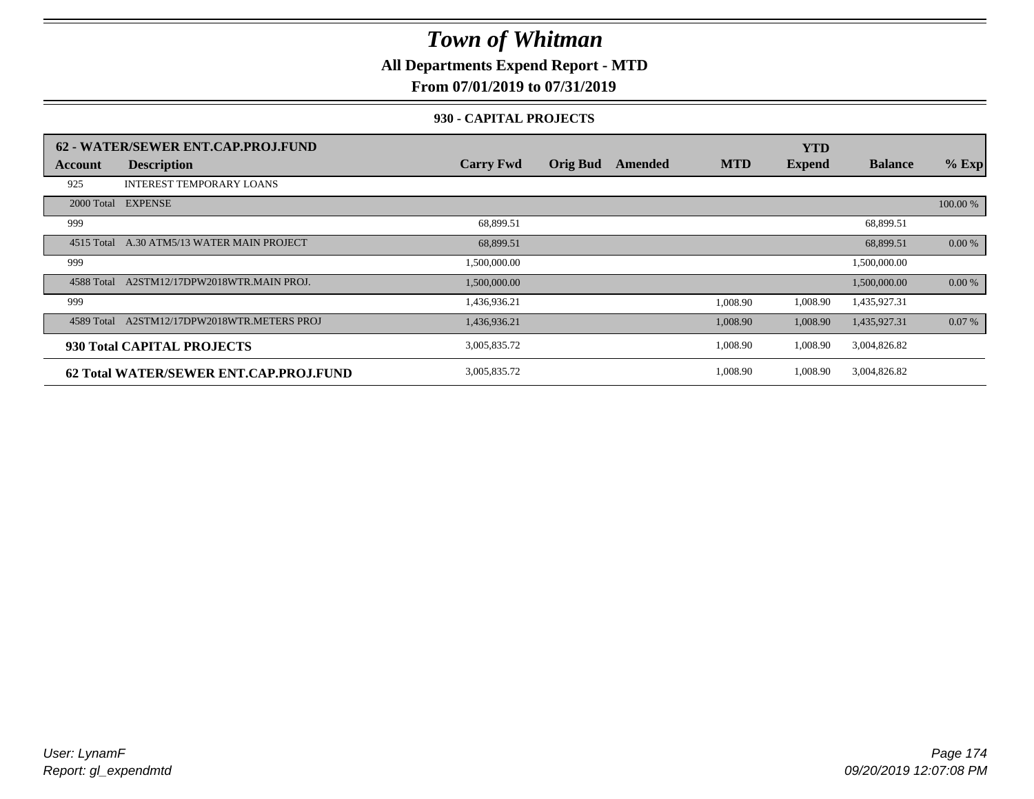**All Departments Expend Report - MTD**

### **From 07/01/2019 to 07/31/2019**

### **930 - CAPITAL PROJECTS**

|            | 62 - WATER/SEWER ENT.CAP.PROJ.FUND     |                  |                 |         |            | <b>YTD</b>    |                |          |
|------------|----------------------------------------|------------------|-----------------|---------|------------|---------------|----------------|----------|
| Account    | <b>Description</b>                     | <b>Carry Fwd</b> | <b>Orig Bud</b> | Amended | <b>MTD</b> | <b>Expend</b> | <b>Balance</b> | $%$ Exp  |
| 925        | <b>INTEREST TEMPORARY LOANS</b>        |                  |                 |         |            |               |                |          |
| 2000 Total | <b>EXPENSE</b>                         |                  |                 |         |            |               |                | 100.00 % |
| 999        |                                        | 68,899.51        |                 |         |            |               | 68,899.51      |          |
| 4515 Total | A.30 ATM5/13 WATER MAIN PROJECT        | 68,899.51        |                 |         |            |               | 68,899.51      | 0.00 %   |
| 999        |                                        | 1,500,000.00     |                 |         |            |               | 1,500,000.00   |          |
| 4588 Total | A2STM12/17DPW2018WTR.MAIN PROJ.        | 1,500,000.00     |                 |         |            |               | 1,500,000.00   | 0.00 %   |
| 999        |                                        | 1,436,936.21     |                 |         | 1,008.90   | 1,008.90      | 1,435,927.31   |          |
| 4589 Total | A2STM12/17DPW2018WTR.METERS PROJ       | 1,436,936.21     |                 |         | 1,008.90   | 1,008.90      | 1,435,927.31   | 0.07%    |
|            | 930 Total CAPITAL PROJECTS             | 3,005,835.72     |                 |         | 1,008.90   | 1,008.90      | 3,004,826.82   |          |
|            | 62 Total WATER/SEWER ENT.CAP.PROJ.FUND | 3,005,835.72     |                 |         | 1,008.90   | 1,008.90      | 3,004,826.82   |          |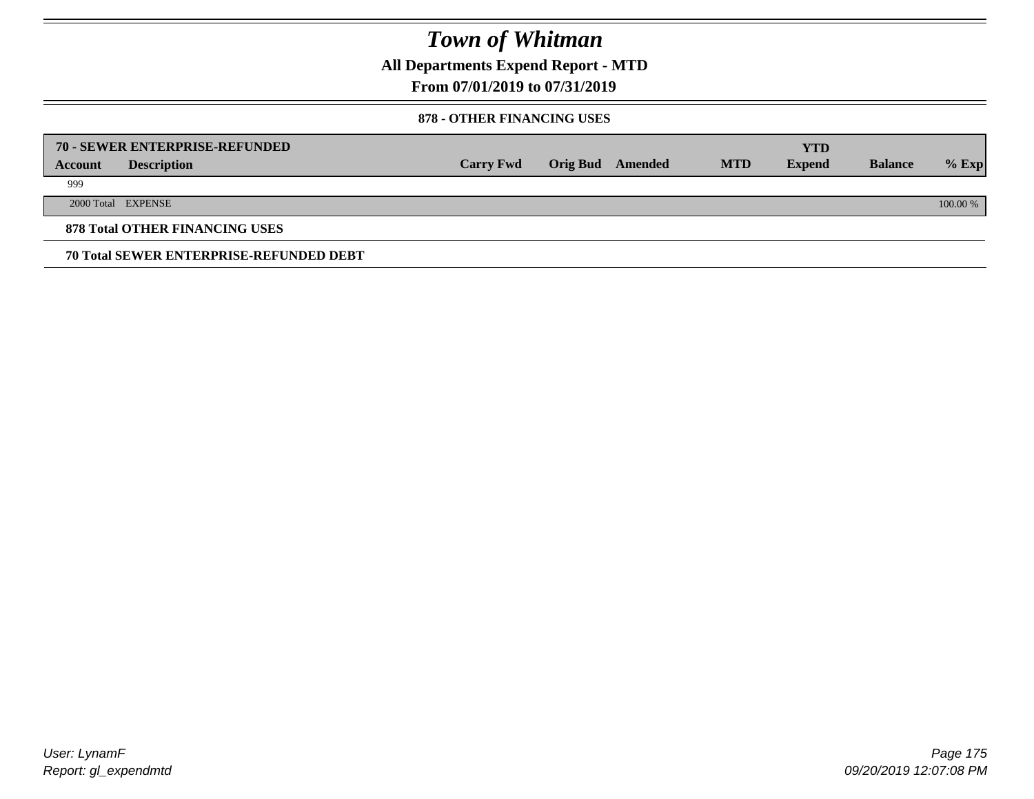**All Departments Expend Report - MTD**

### **From 07/01/2019 to 07/31/2019**

#### **878 - OTHER FINANCING USES**

|         | 70 - SEWER ENTERPRISE-REFUNDED                 |                  |                 |         |            | <b>YTD</b>    |                |          |
|---------|------------------------------------------------|------------------|-----------------|---------|------------|---------------|----------------|----------|
| Account | <b>Description</b>                             | <b>Carry Fwd</b> | <b>Orig Bud</b> | Amended | <b>MTD</b> | <b>Expend</b> | <b>Balance</b> | $%$ Exp  |
| 999     |                                                |                  |                 |         |            |               |                |          |
|         | 2000 Total EXPENSE                             |                  |                 |         |            |               |                | 100.00 % |
|         | <b>878 Total OTHER FINANCING USES</b>          |                  |                 |         |            |               |                |          |
|         | <b>70 Total SEWER ENTERPRISE-REFUNDED DEBT</b> |                  |                 |         |            |               |                |          |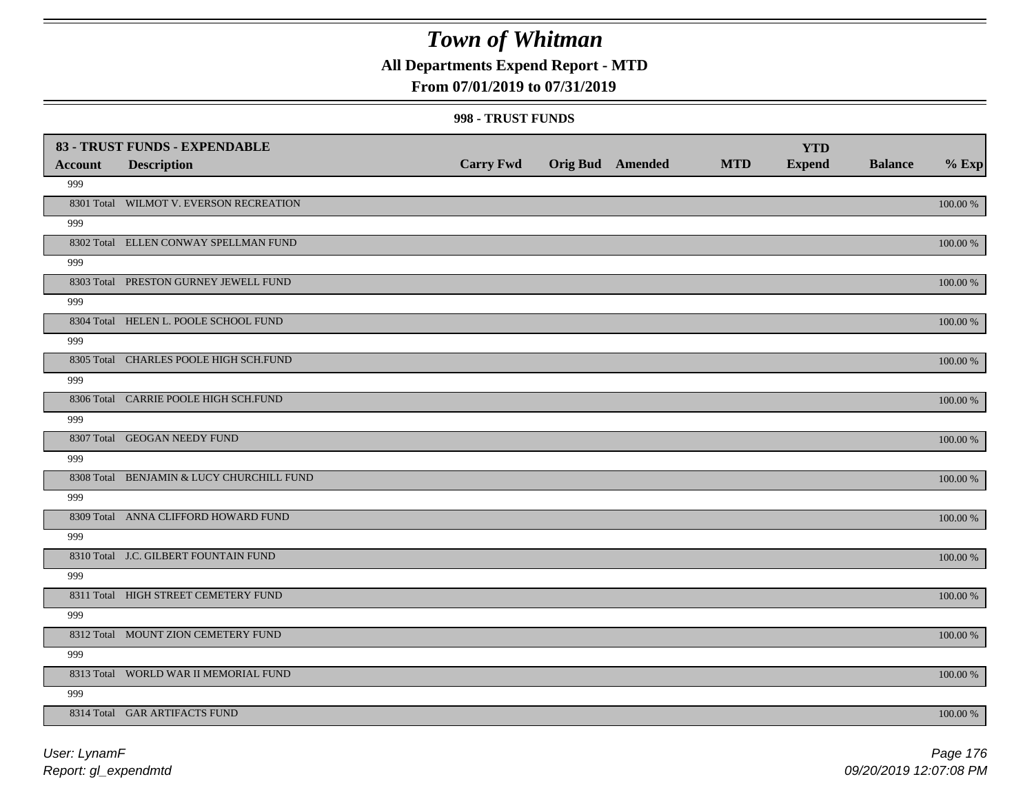### **All Departments Expend Report - MTD**

### **From 07/01/2019 to 07/31/2019**

#### **998 - TRUST FUNDS**

|                | 83 - TRUST FUNDS - EXPENDABLE             |                  |                  |            | <b>YTD</b>    |                |             |
|----------------|-------------------------------------------|------------------|------------------|------------|---------------|----------------|-------------|
| <b>Account</b> | <b>Description</b>                        | <b>Carry Fwd</b> | Orig Bud Amended | <b>MTD</b> | <b>Expend</b> | <b>Balance</b> | $%$ Exp     |
| 999            |                                           |                  |                  |            |               |                |             |
|                | 8301 Total WILMOT V. EVERSON RECREATION   |                  |                  |            |               |                | 100.00 %    |
| 999            |                                           |                  |                  |            |               |                |             |
|                | 8302 Total ELLEN CONWAY SPELLMAN FUND     |                  |                  |            |               |                | 100.00 %    |
| 999            |                                           |                  |                  |            |               |                |             |
|                | 8303 Total PRESTON GURNEY JEWELL FUND     |                  |                  |            |               |                | 100.00 %    |
| 999            |                                           |                  |                  |            |               |                |             |
|                | 8304 Total HELEN L. POOLE SCHOOL FUND     |                  |                  |            |               |                | 100.00 %    |
| 999            |                                           |                  |                  |            |               |                |             |
|                | 8305 Total CHARLES POOLE HIGH SCH.FUND    |                  |                  |            |               |                | 100.00 %    |
| 999            |                                           |                  |                  |            |               |                |             |
|                | 8306 Total CARRIE POOLE HIGH SCH.FUND     |                  |                  |            |               |                | 100.00 %    |
| 999            |                                           |                  |                  |            |               |                |             |
|                | 8307 Total GEOGAN NEEDY FUND              |                  |                  |            |               |                | 100.00 %    |
| 999            |                                           |                  |                  |            |               |                |             |
|                | 8308 Total BENJAMIN & LUCY CHURCHILL FUND |                  |                  |            |               |                | 100.00 %    |
| 999            |                                           |                  |                  |            |               |                |             |
|                | 8309 Total ANNA CLIFFORD HOWARD FUND      |                  |                  |            |               |                | $100.00~\%$ |
| 999            |                                           |                  |                  |            |               |                |             |
|                | 8310 Total J.C. GILBERT FOUNTAIN FUND     |                  |                  |            |               |                | $100.00~\%$ |
| 999            |                                           |                  |                  |            |               |                |             |
|                | 8311 Total HIGH STREET CEMETERY FUND      |                  |                  |            |               |                | $100.00~\%$ |
| 999            |                                           |                  |                  |            |               |                |             |
|                | 8312 Total MOUNT ZION CEMETERY FUND       |                  |                  |            |               |                | 100.00 %    |
| 999            |                                           |                  |                  |            |               |                |             |
|                | 8313 Total WORLD WAR II MEMORIAL FUND     |                  |                  |            |               |                | 100.00 %    |
| 999            |                                           |                  |                  |            |               |                |             |
|                | 8314 Total GAR ARTIFACTS FUND             |                  |                  |            |               |                | 100.00 %    |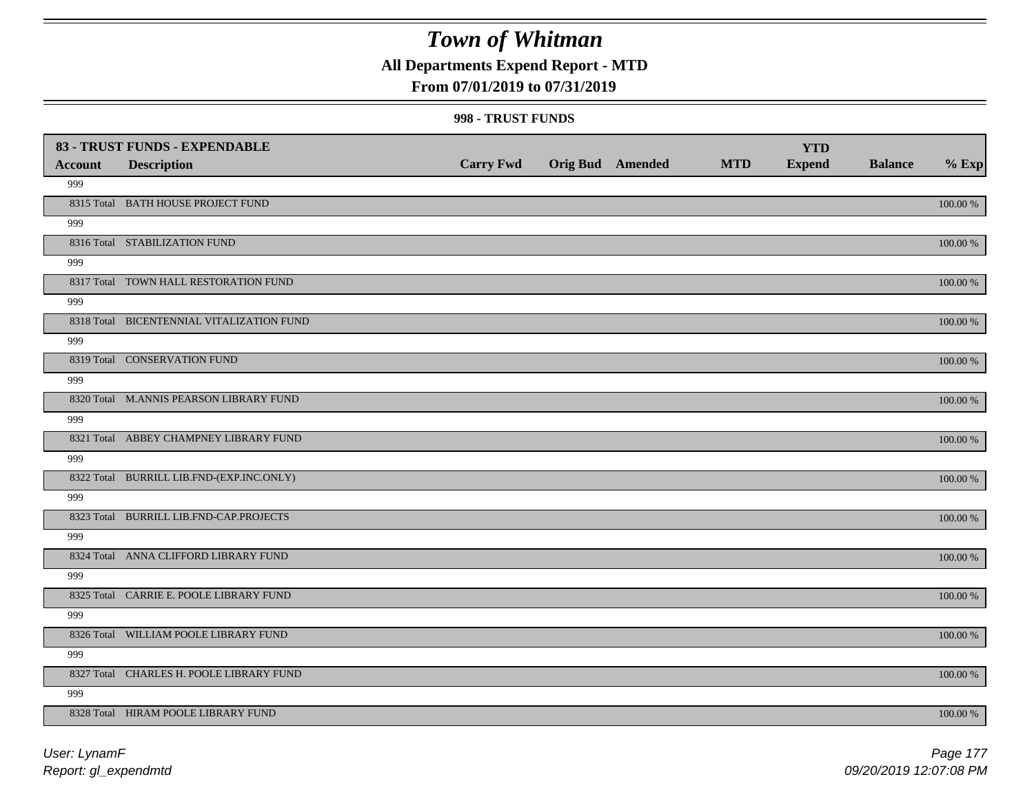**All Departments Expend Report - MTD**

### **From 07/01/2019 to 07/31/2019**

#### **998 - TRUST FUNDS**

|                | 83 - TRUST FUNDS - EXPENDABLE             |                  |                         |            | <b>YTD</b>    |                |             |
|----------------|-------------------------------------------|------------------|-------------------------|------------|---------------|----------------|-------------|
| <b>Account</b> | <b>Description</b>                        | <b>Carry Fwd</b> | <b>Orig Bud</b> Amended | <b>MTD</b> | <b>Expend</b> | <b>Balance</b> | $%$ Exp     |
| 999            |                                           |                  |                         |            |               |                |             |
|                | 8315 Total BATH HOUSE PROJECT FUND        |                  |                         |            |               |                | $100.00~\%$ |
| 999            |                                           |                  |                         |            |               |                |             |
|                | 8316 Total STABILIZATION FUND             |                  |                         |            |               |                | 100.00 %    |
| 999            |                                           |                  |                         |            |               |                |             |
|                | 8317 Total TOWN HALL RESTORATION FUND     |                  |                         |            |               |                | $100.00~\%$ |
| 999            |                                           |                  |                         |            |               |                |             |
|                | 8318 Total BICENTENNIAL VITALIZATION FUND |                  |                         |            |               |                | 100.00 %    |
| 999            |                                           |                  |                         |            |               |                |             |
|                | 8319 Total CONSERVATION FUND              |                  |                         |            |               |                | 100.00 %    |
| 999            |                                           |                  |                         |            |               |                |             |
|                | 8320 Total M.ANNIS PEARSON LIBRARY FUND   |                  |                         |            |               |                | 100.00 %    |
| 999            |                                           |                  |                         |            |               |                |             |
|                | 8321 Total ABBEY CHAMPNEY LIBRARY FUND    |                  |                         |            |               |                | 100.00 %    |
| 999            |                                           |                  |                         |            |               |                |             |
|                | 8322 Total BURRILL LIB.FND-(EXP.INC.ONLY) |                  |                         |            |               |                | 100.00 %    |
| 999            |                                           |                  |                         |            |               |                |             |
|                | 8323 Total BURRILL LIB.FND-CAP.PROJECTS   |                  |                         |            |               |                | 100.00 %    |
| 999            |                                           |                  |                         |            |               |                |             |
|                | 8324 Total ANNA CLIFFORD LIBRARY FUND     |                  |                         |            |               |                | $100.00~\%$ |
| 999            |                                           |                  |                         |            |               |                |             |
|                | 8325 Total CARRIE E. POOLE LIBRARY FUND   |                  |                         |            |               |                | $100.00~\%$ |
| 999            |                                           |                  |                         |            |               |                |             |
|                | 8326 Total WILLIAM POOLE LIBRARY FUND     |                  |                         |            |               |                | $100.00~\%$ |
| 999            |                                           |                  |                         |            |               |                |             |
|                | 8327 Total CHARLES H. POOLE LIBRARY FUND  |                  |                         |            |               |                | 100.00 %    |
| 999            |                                           |                  |                         |            |               |                |             |
|                | 8328 Total HIRAM POOLE LIBRARY FUND       |                  |                         |            |               |                | 100.00 %    |

*Report: gl\_expendmtd User: LynamF*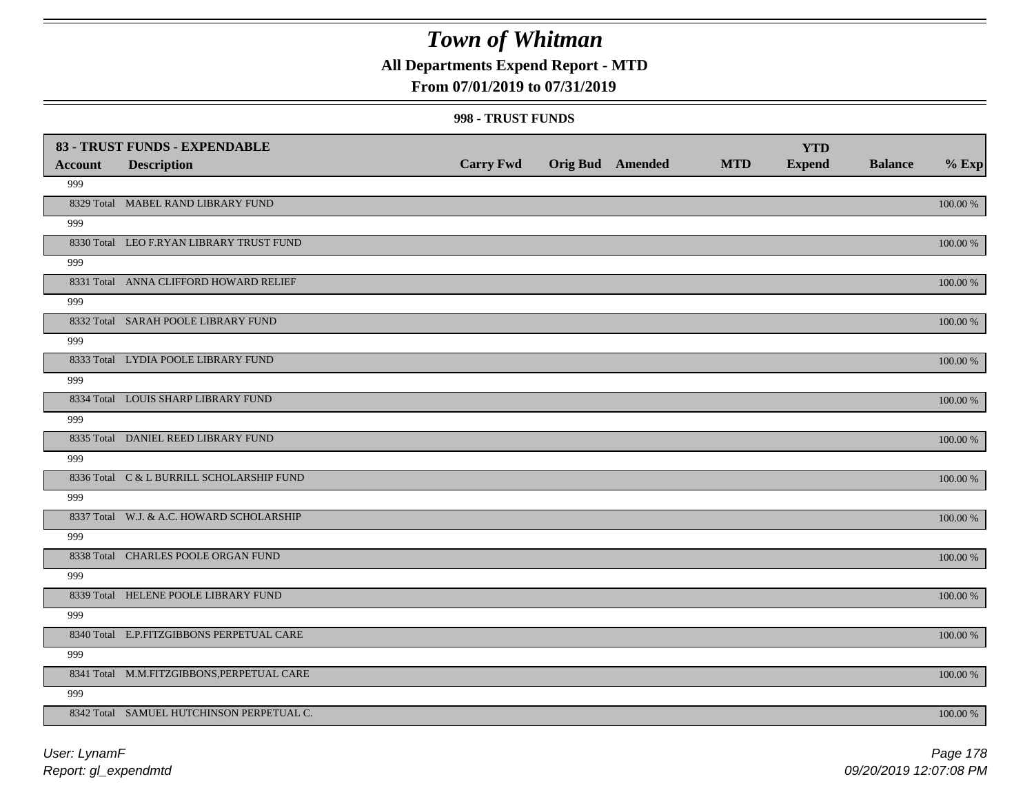**All Departments Expend Report - MTD**

### **From 07/01/2019 to 07/31/2019**

#### **998 - TRUST FUNDS**

|                | 83 - TRUST FUNDS - EXPENDABLE              |                  |                         |            | <b>YTD</b>    |                |             |
|----------------|--------------------------------------------|------------------|-------------------------|------------|---------------|----------------|-------------|
| <b>Account</b> | <b>Description</b>                         | <b>Carry Fwd</b> | <b>Orig Bud Amended</b> | <b>MTD</b> | <b>Expend</b> | <b>Balance</b> | $%$ Exp     |
| 999            |                                            |                  |                         |            |               |                |             |
|                | 8329 Total MABEL RAND LIBRARY FUND         |                  |                         |            |               |                | 100.00 %    |
| 999            |                                            |                  |                         |            |               |                |             |
|                | 8330 Total LEO F.RYAN LIBRARY TRUST FUND   |                  |                         |            |               |                | 100.00 %    |
| 999            |                                            |                  |                         |            |               |                |             |
|                | 8331 Total ANNA CLIFFORD HOWARD RELIEF     |                  |                         |            |               |                | $100.00~\%$ |
| 999            |                                            |                  |                         |            |               |                |             |
|                | 8332 Total SARAH POOLE LIBRARY FUND        |                  |                         |            |               |                | 100.00 %    |
| 999            |                                            |                  |                         |            |               |                |             |
|                | 8333 Total LYDIA POOLE LIBRARY FUND        |                  |                         |            |               |                | 100.00 %    |
| 999            |                                            |                  |                         |            |               |                |             |
|                | 8334 Total LOUIS SHARP LIBRARY FUND        |                  |                         |            |               |                | 100.00 %    |
| 999            |                                            |                  |                         |            |               |                |             |
|                | 8335 Total DANIEL REED LIBRARY FUND        |                  |                         |            |               |                | 100.00 %    |
| 999            |                                            |                  |                         |            |               |                |             |
|                | 8336 Total C & L BURRILL SCHOLARSHIP FUND  |                  |                         |            |               |                | 100.00 %    |
| 999            |                                            |                  |                         |            |               |                |             |
|                | 8337 Total W.J. & A.C. HOWARD SCHOLARSHIP  |                  |                         |            |               |                | 100.00 %    |
| 999            |                                            |                  |                         |            |               |                |             |
|                | 8338 Total CHARLES POOLE ORGAN FUND        |                  |                         |            |               |                | 100.00 %    |
| 999            |                                            |                  |                         |            |               |                |             |
|                | 8339 Total HELENE POOLE LIBRARY FUND       |                  |                         |            |               |                | 100.00 %    |
| 999            |                                            |                  |                         |            |               |                |             |
|                | 8340 Total E.P.FITZGIBBONS PERPETUAL CARE  |                  |                         |            |               |                | $100.00~\%$ |
| 999            |                                            |                  |                         |            |               |                |             |
|                | 8341 Total M.M.FITZGIBBONS, PERPETUAL CARE |                  |                         |            |               |                | $100.00~\%$ |
| 999            |                                            |                  |                         |            |               |                |             |
|                | 8342 Total SAMUEL HUTCHINSON PERPETUAL C.  |                  |                         |            |               |                | 100.00 %    |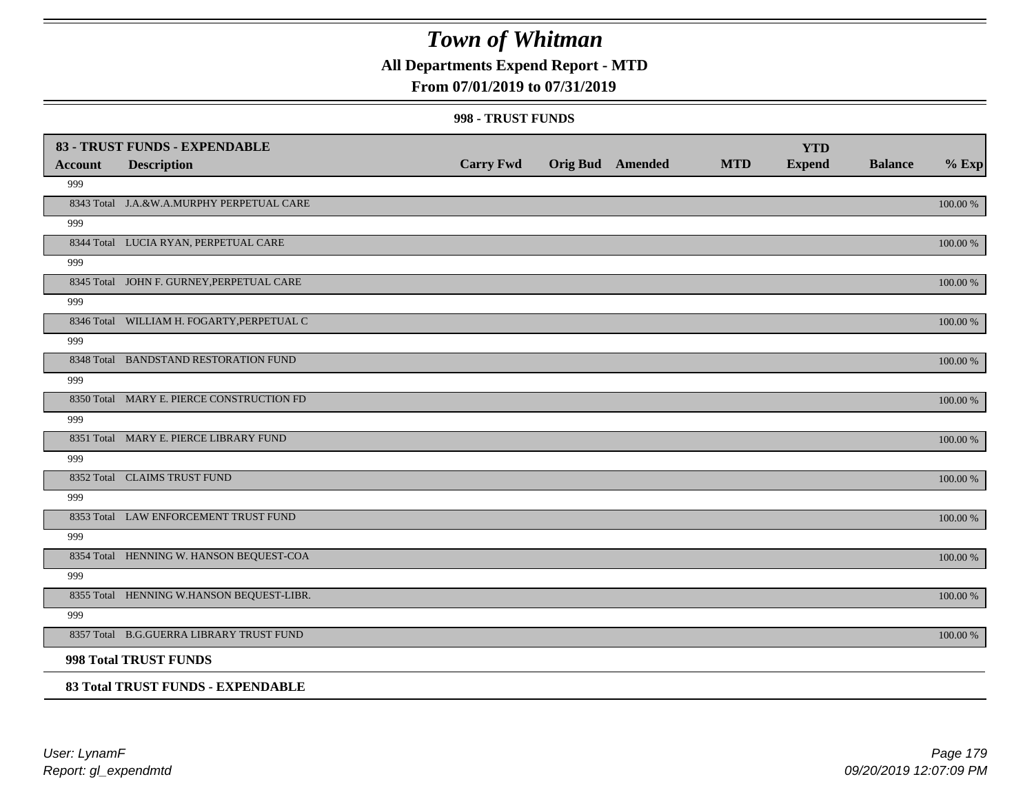### **All Departments Expend Report - MTD**

### **From 07/01/2019 to 07/31/2019**

#### **998 - TRUST FUNDS**

| Account | 83 - TRUST FUNDS - EXPENDABLE<br><b>Description</b> | <b>Carry Fwd</b> | <b>Orig Bud</b> Amended | <b>MTD</b> | <b>YTD</b><br><b>Expend</b> | <b>Balance</b> | $%$ Exp     |
|---------|-----------------------------------------------------|------------------|-------------------------|------------|-----------------------------|----------------|-------------|
| 999     |                                                     |                  |                         |            |                             |                |             |
|         | 8343 Total J.A.&W.A.MURPHY PERPETUAL CARE           |                  |                         |            |                             |                | 100.00 %    |
| 999     |                                                     |                  |                         |            |                             |                |             |
|         | 8344 Total LUCIA RYAN, PERPETUAL CARE               |                  |                         |            |                             |                | 100.00 %    |
| 999     |                                                     |                  |                         |            |                             |                |             |
|         | 8345 Total JOHN F. GURNEY, PERPETUAL CARE           |                  |                         |            |                             |                | 100.00 %    |
| 999     |                                                     |                  |                         |            |                             |                |             |
|         | 8346 Total WILLIAM H. FOGARTY, PERPETUAL C          |                  |                         |            |                             |                | 100.00 %    |
| 999     |                                                     |                  |                         |            |                             |                |             |
|         | 8348 Total BANDSTAND RESTORATION FUND               |                  |                         |            |                             |                | 100.00 %    |
| 999     |                                                     |                  |                         |            |                             |                |             |
|         | 8350 Total MARY E. PIERCE CONSTRUCTION FD           |                  |                         |            |                             |                | 100.00 %    |
| 999     |                                                     |                  |                         |            |                             |                |             |
|         | 8351 Total MARY E. PIERCE LIBRARY FUND              |                  |                         |            |                             |                | 100.00 %    |
| 999     |                                                     |                  |                         |            |                             |                |             |
|         | 8352 Total CLAIMS TRUST FUND                        |                  |                         |            |                             |                | 100.00 %    |
| 999     |                                                     |                  |                         |            |                             |                |             |
|         | 8353 Total LAW ENFORCEMENT TRUST FUND               |                  |                         |            |                             |                | $100.00~\%$ |
| 999     |                                                     |                  |                         |            |                             |                |             |
|         | 8354 Total HENNING W. HANSON BEQUEST-COA            |                  |                         |            |                             |                | 100.00 %    |
| 999     |                                                     |                  |                         |            |                             |                |             |
|         | 8355 Total HENNING W.HANSON BEQUEST-LIBR.           |                  |                         |            |                             |                | 100.00 %    |
| 999     |                                                     |                  |                         |            |                             |                |             |
|         | 8357 Total B.G.GUERRA LIBRARY TRUST FUND            |                  |                         |            |                             |                | 100.00 %    |
|         | 998 Total TRUST FUNDS                               |                  |                         |            |                             |                |             |
|         | 83 Total TRUST FUNDS - EXPENDABLE                   |                  |                         |            |                             |                |             |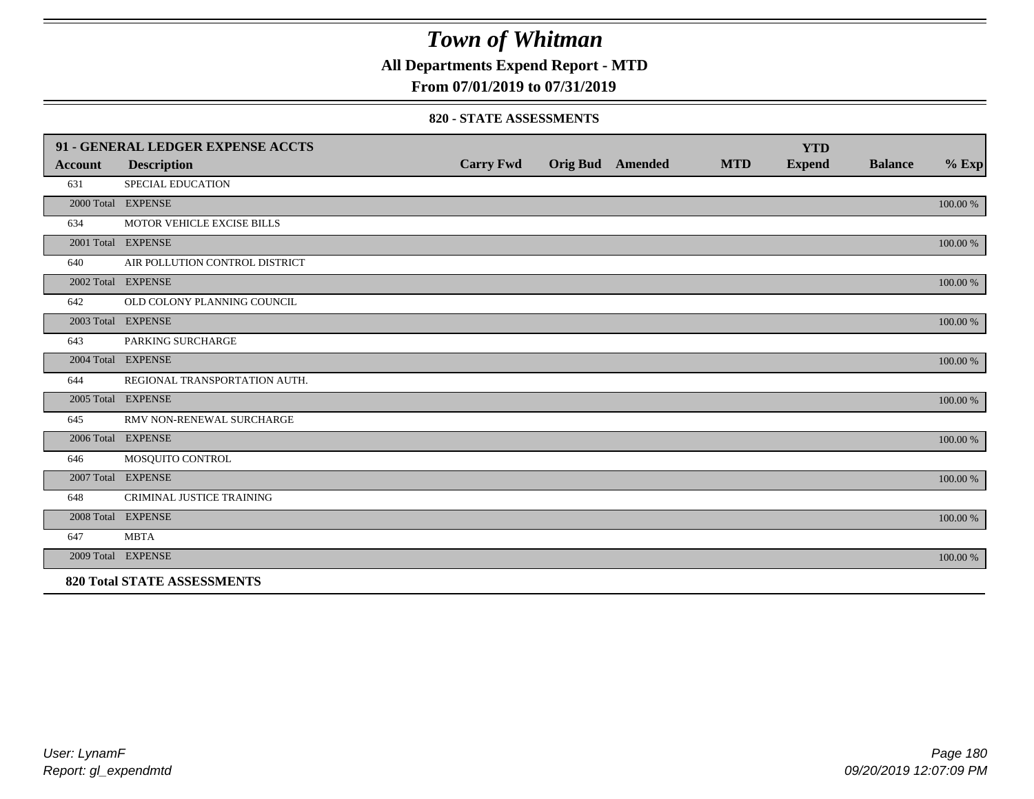**All Departments Expend Report - MTD**

### **From 07/01/2019 to 07/31/2019**

#### **820 - STATE ASSESSMENTS**

|                | 91 - GENERAL LEDGER EXPENSE ACCTS  |                  |                         |            | <b>YTD</b>    |                |          |
|----------------|------------------------------------|------------------|-------------------------|------------|---------------|----------------|----------|
| <b>Account</b> | <b>Description</b>                 | <b>Carry Fwd</b> | <b>Orig Bud</b> Amended | <b>MTD</b> | <b>Expend</b> | <b>Balance</b> | $%$ Exp  |
| 631            | SPECIAL EDUCATION                  |                  |                         |            |               |                |          |
|                | 2000 Total EXPENSE                 |                  |                         |            |               |                | 100.00 % |
| 634            | MOTOR VEHICLE EXCISE BILLS         |                  |                         |            |               |                |          |
|                | 2001 Total EXPENSE                 |                  |                         |            |               |                | 100.00 % |
| 640            | AIR POLLUTION CONTROL DISTRICT     |                  |                         |            |               |                |          |
|                | 2002 Total EXPENSE                 |                  |                         |            |               |                | 100.00 % |
| 642            | OLD COLONY PLANNING COUNCIL        |                  |                         |            |               |                |          |
|                | 2003 Total EXPENSE                 |                  |                         |            |               |                | 100.00 % |
| 643            | PARKING SURCHARGE                  |                  |                         |            |               |                |          |
|                | 2004 Total EXPENSE                 |                  |                         |            |               |                | 100.00 % |
| 644            | REGIONAL TRANSPORTATION AUTH.      |                  |                         |            |               |                |          |
|                | 2005 Total EXPENSE                 |                  |                         |            |               |                | 100.00 % |
| 645            | RMV NON-RENEWAL SURCHARGE          |                  |                         |            |               |                |          |
|                | 2006 Total EXPENSE                 |                  |                         |            |               |                | 100.00 % |
| 646            | MOSQUITO CONTROL                   |                  |                         |            |               |                |          |
|                | 2007 Total EXPENSE                 |                  |                         |            |               |                | 100.00 % |
| 648            | <b>CRIMINAL JUSTICE TRAINING</b>   |                  |                         |            |               |                |          |
|                | 2008 Total EXPENSE                 |                  |                         |            |               |                | 100.00 % |
| 647            | <b>MBTA</b>                        |                  |                         |            |               |                |          |
|                | 2009 Total EXPENSE                 |                  |                         |            |               |                | 100.00 % |
|                | <b>820 Total STATE ASSESSMENTS</b> |                  |                         |            |               |                |          |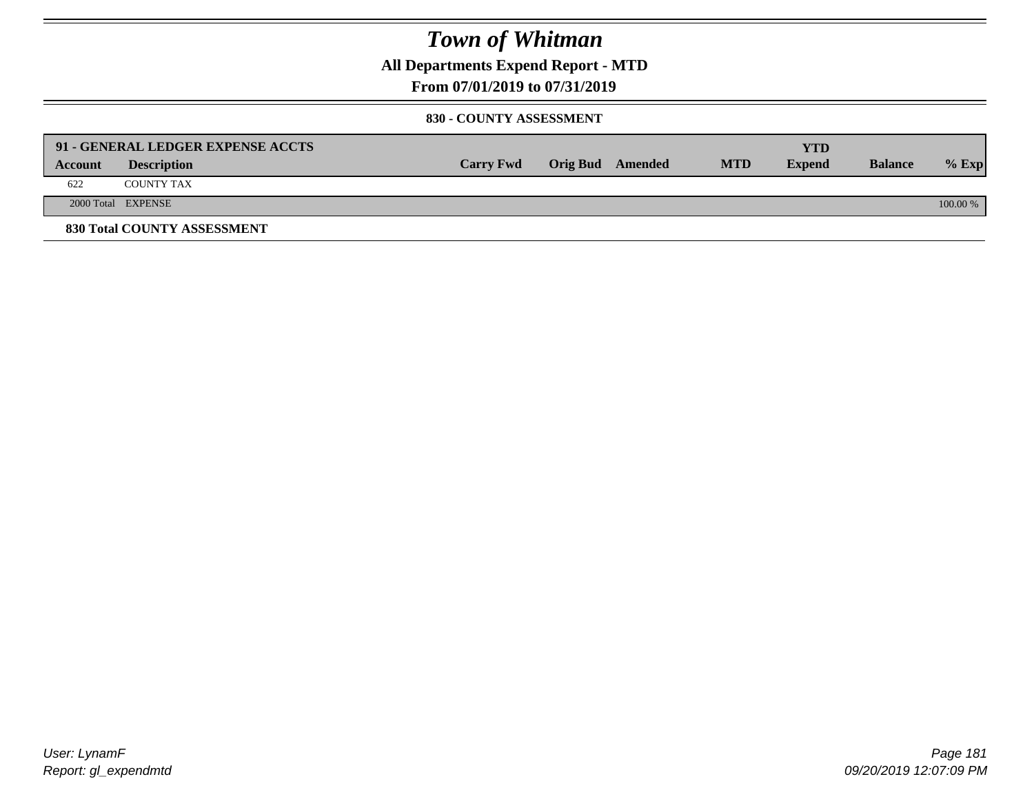**All Departments Expend Report - MTD**

**From 07/01/2019 to 07/31/2019**

#### **830 - COUNTY ASSESSMENT**

|         | 91 - GENERAL LEDGER EXPENSE ACCTS |                  |                  |            | <b>YTD</b>    |                |            |
|---------|-----------------------------------|------------------|------------------|------------|---------------|----------------|------------|
| Account | <b>Description</b>                | <b>Carry Fwd</b> | Orig Bud Amended | <b>MTD</b> | <b>Expend</b> | <b>Balance</b> | $%$ Exp    |
| 622     | <b>COUNTY TAX</b>                 |                  |                  |            |               |                |            |
|         | 2000 Total EXPENSE                |                  |                  |            |               |                | $100.00\%$ |
|         | 830 Total COUNTY ASSESSMENT       |                  |                  |            |               |                |            |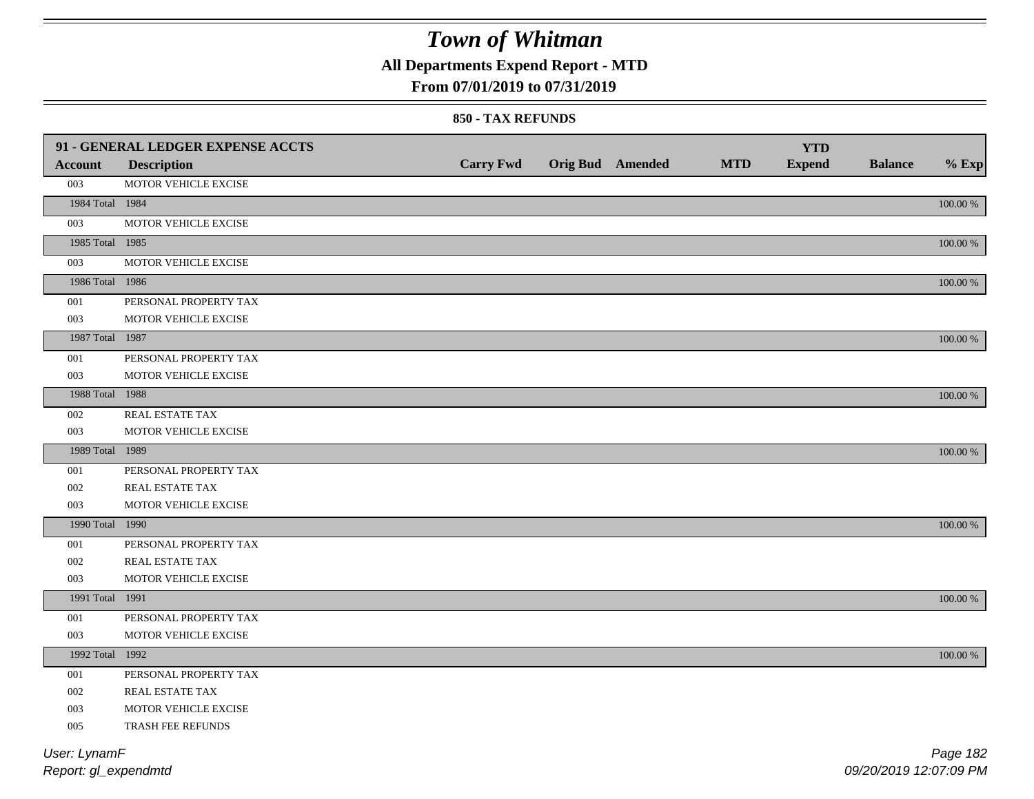**All Departments Expend Report - MTD**

### **From 07/01/2019 to 07/31/2019**

#### **850 - TAX REFUNDS**

|                 | 91 - GENERAL LEDGER EXPENSE ACCTS |                  |                         |            | <b>YTD</b>    |                |             |
|-----------------|-----------------------------------|------------------|-------------------------|------------|---------------|----------------|-------------|
| <b>Account</b>  | <b>Description</b>                | <b>Carry Fwd</b> | <b>Orig Bud Amended</b> | <b>MTD</b> | <b>Expend</b> | <b>Balance</b> | $%$ Exp     |
| 003             | MOTOR VEHICLE EXCISE              |                  |                         |            |               |                |             |
| 1984 Total 1984 |                                   |                  |                         |            |               |                | $100.00~\%$ |
| 003             | MOTOR VEHICLE EXCISE              |                  |                         |            |               |                |             |
| 1985 Total 1985 |                                   |                  |                         |            |               |                | 100.00 %    |
| 003             | MOTOR VEHICLE EXCISE              |                  |                         |            |               |                |             |
| 1986 Total 1986 |                                   |                  |                         |            |               |                | $100.00~\%$ |
| 001             | PERSONAL PROPERTY TAX             |                  |                         |            |               |                |             |
| 003             | MOTOR VEHICLE EXCISE              |                  |                         |            |               |                |             |
| 1987 Total 1987 |                                   |                  |                         |            |               |                | $100.00~\%$ |
| 001             | PERSONAL PROPERTY TAX             |                  |                         |            |               |                |             |
| 003             | MOTOR VEHICLE EXCISE              |                  |                         |            |               |                |             |
| 1988 Total 1988 |                                   |                  |                         |            |               |                | 100.00 %    |
| 002             | REAL ESTATE TAX                   |                  |                         |            |               |                |             |
| 003             | MOTOR VEHICLE EXCISE              |                  |                         |            |               |                |             |
| 1989 Total 1989 |                                   |                  |                         |            |               |                | 100.00 %    |
| 001             | PERSONAL PROPERTY TAX             |                  |                         |            |               |                |             |
| 002             | REAL ESTATE TAX                   |                  |                         |            |               |                |             |
| 003             | MOTOR VEHICLE EXCISE              |                  |                         |            |               |                |             |
| 1990 Total 1990 |                                   |                  |                         |            |               |                | 100.00 %    |
| 001             | PERSONAL PROPERTY TAX             |                  |                         |            |               |                |             |
| 002             | REAL ESTATE TAX                   |                  |                         |            |               |                |             |
| 003             | MOTOR VEHICLE EXCISE              |                  |                         |            |               |                |             |
| 1991 Total 1991 |                                   |                  |                         |            |               |                | 100.00 %    |
| 001             | PERSONAL PROPERTY TAX             |                  |                         |            |               |                |             |
| 003             | MOTOR VEHICLE EXCISE              |                  |                         |            |               |                |             |
| 1992 Total 1992 |                                   |                  |                         |            |               |                | 100.00 %    |
| 001             | PERSONAL PROPERTY TAX             |                  |                         |            |               |                |             |
| 002             | REAL ESTATE TAX                   |                  |                         |            |               |                |             |
| 003             | MOTOR VEHICLE EXCISE              |                  |                         |            |               |                |             |
| 005             | TRASH FEE REFUNDS                 |                  |                         |            |               |                |             |
| User: LynamF    |                                   |                  |                         |            |               |                | Page 182    |

*Report: gl\_expendmtd*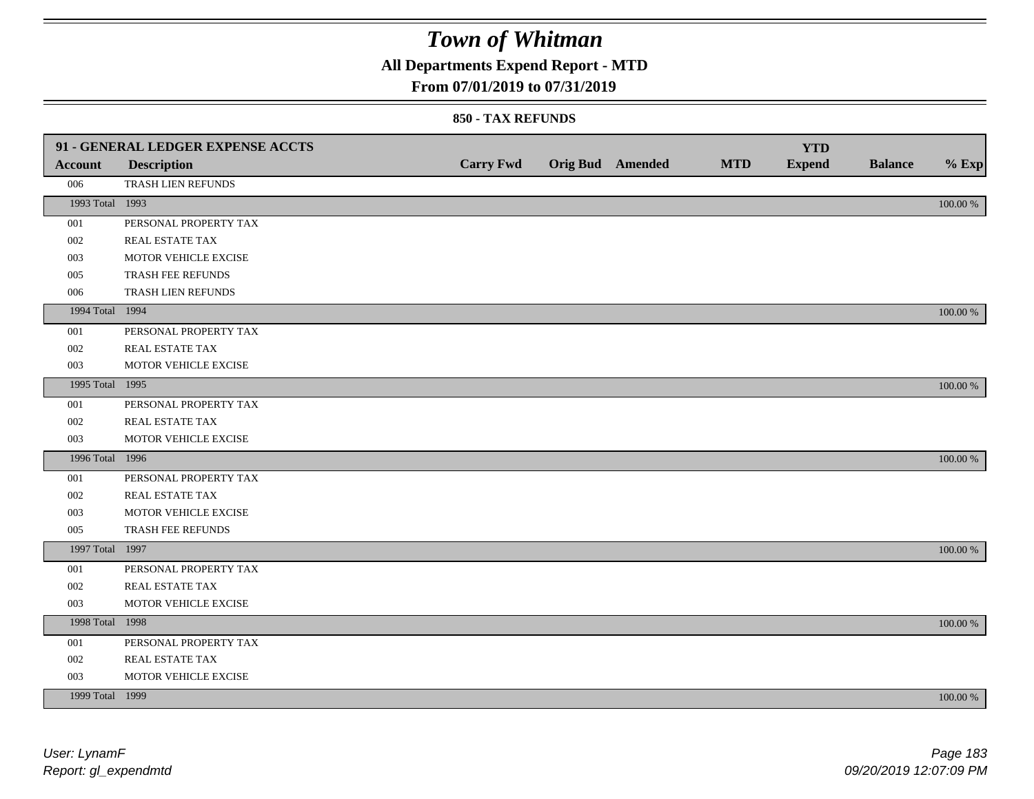**All Departments Expend Report - MTD**

### **From 07/01/2019 to 07/31/2019**

|                 | 91 - GENERAL LEDGER EXPENSE ACCTS |                  |                  |            | <b>YTD</b>    |                |             |
|-----------------|-----------------------------------|------------------|------------------|------------|---------------|----------------|-------------|
| <b>Account</b>  | <b>Description</b>                | <b>Carry Fwd</b> | Orig Bud Amended | <b>MTD</b> | <b>Expend</b> | <b>Balance</b> | $%$ Exp     |
| 006             | TRASH LIEN REFUNDS                |                  |                  |            |               |                |             |
| 1993 Total 1993 |                                   |                  |                  |            |               |                | $100.00~\%$ |
| 001             | PERSONAL PROPERTY TAX             |                  |                  |            |               |                |             |
| 002             | REAL ESTATE TAX                   |                  |                  |            |               |                |             |
| 003             | MOTOR VEHICLE EXCISE              |                  |                  |            |               |                |             |
| 005             | TRASH FEE REFUNDS                 |                  |                  |            |               |                |             |
| 006             | TRASH LIEN REFUNDS                |                  |                  |            |               |                |             |
| 1994 Total 1994 |                                   |                  |                  |            |               |                | 100.00 %    |
| 001             | PERSONAL PROPERTY TAX             |                  |                  |            |               |                |             |
| 002             | REAL ESTATE TAX                   |                  |                  |            |               |                |             |
| 003             | MOTOR VEHICLE EXCISE              |                  |                  |            |               |                |             |
| 1995 Total 1995 |                                   |                  |                  |            |               |                | 100.00 %    |
| 001             | PERSONAL PROPERTY TAX             |                  |                  |            |               |                |             |
| 002             | REAL ESTATE TAX                   |                  |                  |            |               |                |             |
| 003             | MOTOR VEHICLE EXCISE              |                  |                  |            |               |                |             |
| 1996 Total 1996 |                                   |                  |                  |            |               |                | 100.00 %    |
| 001             | PERSONAL PROPERTY TAX             |                  |                  |            |               |                |             |
| 002             | REAL ESTATE TAX                   |                  |                  |            |               |                |             |
| 003             | MOTOR VEHICLE EXCISE              |                  |                  |            |               |                |             |
| 005             | TRASH FEE REFUNDS                 |                  |                  |            |               |                |             |
| 1997 Total 1997 |                                   |                  |                  |            |               |                | 100.00 %    |
| 001             | PERSONAL PROPERTY TAX             |                  |                  |            |               |                |             |
| 002             | REAL ESTATE TAX                   |                  |                  |            |               |                |             |
| 003             | MOTOR VEHICLE EXCISE              |                  |                  |            |               |                |             |
| 1998 Total 1998 |                                   |                  |                  |            |               |                | 100.00 %    |
| 001             | PERSONAL PROPERTY TAX             |                  |                  |            |               |                |             |
| 002             | REAL ESTATE TAX                   |                  |                  |            |               |                |             |
| 003             | MOTOR VEHICLE EXCISE              |                  |                  |            |               |                |             |
| 1999 Total 1999 |                                   |                  |                  |            |               |                | 100.00 %    |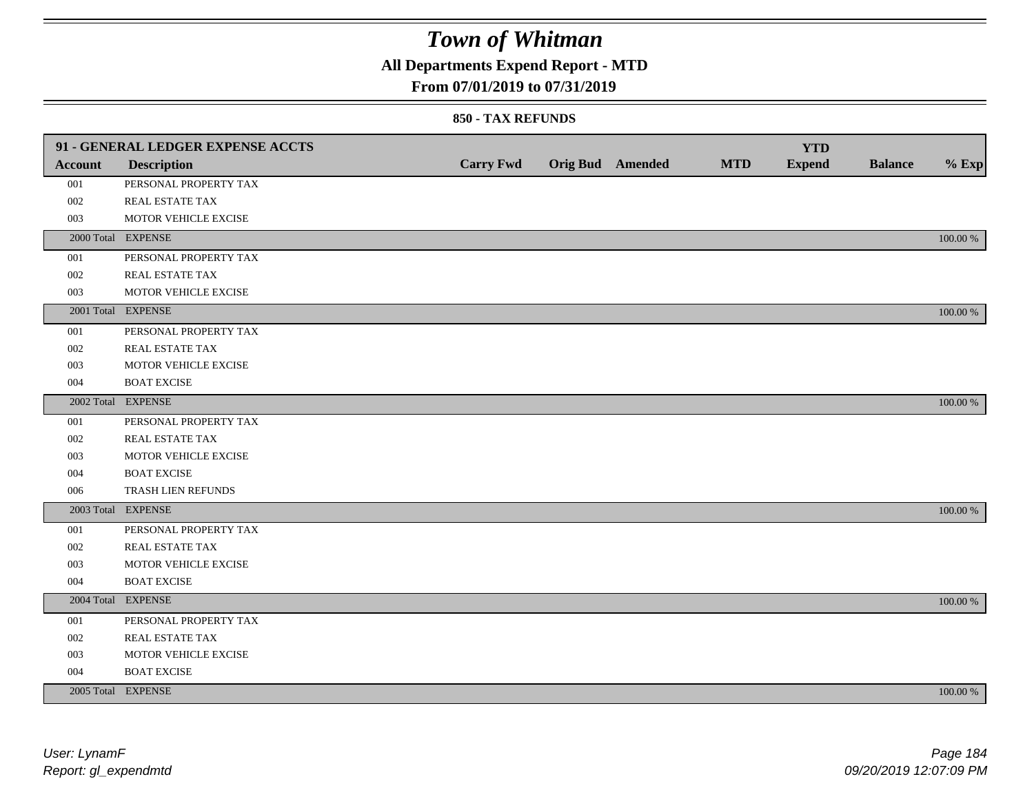## **All Departments Expend Report - MTD**

### **From 07/01/2019 to 07/31/2019**

|                | 91 - GENERAL LEDGER EXPENSE ACCTS |                  |                         |            | <b>YTD</b>    |                |             |
|----------------|-----------------------------------|------------------|-------------------------|------------|---------------|----------------|-------------|
| <b>Account</b> | <b>Description</b>                | <b>Carry Fwd</b> | <b>Orig Bud</b> Amended | <b>MTD</b> | <b>Expend</b> | <b>Balance</b> | $%$ Exp     |
| 001            | PERSONAL PROPERTY TAX             |                  |                         |            |               |                |             |
| 002            | REAL ESTATE TAX                   |                  |                         |            |               |                |             |
| 003            | MOTOR VEHICLE EXCISE              |                  |                         |            |               |                |             |
|                | 2000 Total EXPENSE                |                  |                         |            |               |                | 100.00 %    |
| 001            | PERSONAL PROPERTY TAX             |                  |                         |            |               |                |             |
| 002            | REAL ESTATE TAX                   |                  |                         |            |               |                |             |
| 003            | MOTOR VEHICLE EXCISE              |                  |                         |            |               |                |             |
|                | 2001 Total EXPENSE                |                  |                         |            |               |                | 100.00 %    |
| 001            | PERSONAL PROPERTY TAX             |                  |                         |            |               |                |             |
| 002            | REAL ESTATE TAX                   |                  |                         |            |               |                |             |
| 003            | MOTOR VEHICLE EXCISE              |                  |                         |            |               |                |             |
| 004            | <b>BOAT EXCISE</b>                |                  |                         |            |               |                |             |
|                | 2002 Total EXPENSE                |                  |                         |            |               |                | 100.00 %    |
| 001            | PERSONAL PROPERTY TAX             |                  |                         |            |               |                |             |
| 002            | REAL ESTATE TAX                   |                  |                         |            |               |                |             |
| 003            | MOTOR VEHICLE EXCISE              |                  |                         |            |               |                |             |
| 004            | <b>BOAT EXCISE</b>                |                  |                         |            |               |                |             |
| 006            | TRASH LIEN REFUNDS                |                  |                         |            |               |                |             |
|                | 2003 Total EXPENSE                |                  |                         |            |               |                | 100.00 %    |
| 001            | PERSONAL PROPERTY TAX             |                  |                         |            |               |                |             |
| 002            | REAL ESTATE TAX                   |                  |                         |            |               |                |             |
| 003            | MOTOR VEHICLE EXCISE              |                  |                         |            |               |                |             |
| 004            | <b>BOAT EXCISE</b>                |                  |                         |            |               |                |             |
|                | 2004 Total EXPENSE                |                  |                         |            |               |                | 100.00 %    |
| 001            | PERSONAL PROPERTY TAX             |                  |                         |            |               |                |             |
| 002            | REAL ESTATE TAX                   |                  |                         |            |               |                |             |
| 003            | MOTOR VEHICLE EXCISE              |                  |                         |            |               |                |             |
| 004            | <b>BOAT EXCISE</b>                |                  |                         |            |               |                |             |
|                | 2005 Total EXPENSE                |                  |                         |            |               |                | $100.00~\%$ |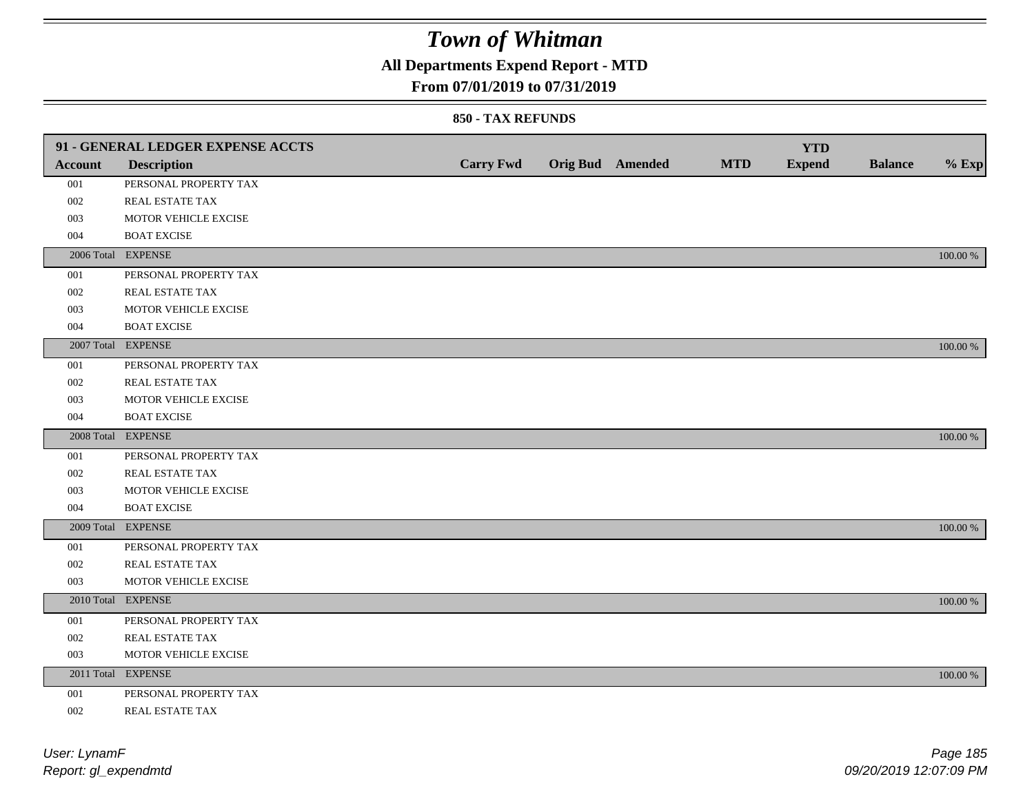## **All Departments Expend Report - MTD**

### **From 07/01/2019 to 07/31/2019**

|                | 91 - GENERAL LEDGER EXPENSE ACCTS |                  |                         |            | <b>YTD</b>    |                |             |
|----------------|-----------------------------------|------------------|-------------------------|------------|---------------|----------------|-------------|
| <b>Account</b> | <b>Description</b>                | <b>Carry Fwd</b> | <b>Orig Bud Amended</b> | <b>MTD</b> | <b>Expend</b> | <b>Balance</b> | $%$ Exp     |
| 001            | PERSONAL PROPERTY TAX             |                  |                         |            |               |                |             |
| 002            | REAL ESTATE TAX                   |                  |                         |            |               |                |             |
| 003            | MOTOR VEHICLE EXCISE              |                  |                         |            |               |                |             |
| 004            | <b>BOAT EXCISE</b>                |                  |                         |            |               |                |             |
|                | 2006 Total EXPENSE                |                  |                         |            |               |                | 100.00 %    |
| 001            | PERSONAL PROPERTY TAX             |                  |                         |            |               |                |             |
| 002            | REAL ESTATE TAX                   |                  |                         |            |               |                |             |
| 003            | MOTOR VEHICLE EXCISE              |                  |                         |            |               |                |             |
| 004            | <b>BOAT EXCISE</b>                |                  |                         |            |               |                |             |
|                | 2007 Total EXPENSE                |                  |                         |            |               |                | 100.00 %    |
| 001            | PERSONAL PROPERTY TAX             |                  |                         |            |               |                |             |
| 002            | REAL ESTATE TAX                   |                  |                         |            |               |                |             |
| 003            | MOTOR VEHICLE EXCISE              |                  |                         |            |               |                |             |
| 004            | <b>BOAT EXCISE</b>                |                  |                         |            |               |                |             |
|                | 2008 Total EXPENSE                |                  |                         |            |               |                | $100.00~\%$ |
| 001            | PERSONAL PROPERTY TAX             |                  |                         |            |               |                |             |
| 002            | REAL ESTATE TAX                   |                  |                         |            |               |                |             |
| 003            | MOTOR VEHICLE EXCISE              |                  |                         |            |               |                |             |
| 004            | <b>BOAT EXCISE</b>                |                  |                         |            |               |                |             |
|                | 2009 Total EXPENSE                |                  |                         |            |               |                | 100.00 %    |
| 001            | PERSONAL PROPERTY TAX             |                  |                         |            |               |                |             |
| 002            | REAL ESTATE TAX                   |                  |                         |            |               |                |             |
| 003            | MOTOR VEHICLE EXCISE              |                  |                         |            |               |                |             |
|                | 2010 Total EXPENSE                |                  |                         |            |               |                | $100.00~\%$ |
| 001            | PERSONAL PROPERTY TAX             |                  |                         |            |               |                |             |
| 002            | REAL ESTATE TAX                   |                  |                         |            |               |                |             |
| 003            | MOTOR VEHICLE EXCISE              |                  |                         |            |               |                |             |
|                | 2011 Total EXPENSE                |                  |                         |            |               |                | $100.00~\%$ |
| 001            | PERSONAL PROPERTY TAX             |                  |                         |            |               |                |             |
| 002            | REAL ESTATE TAX                   |                  |                         |            |               |                |             |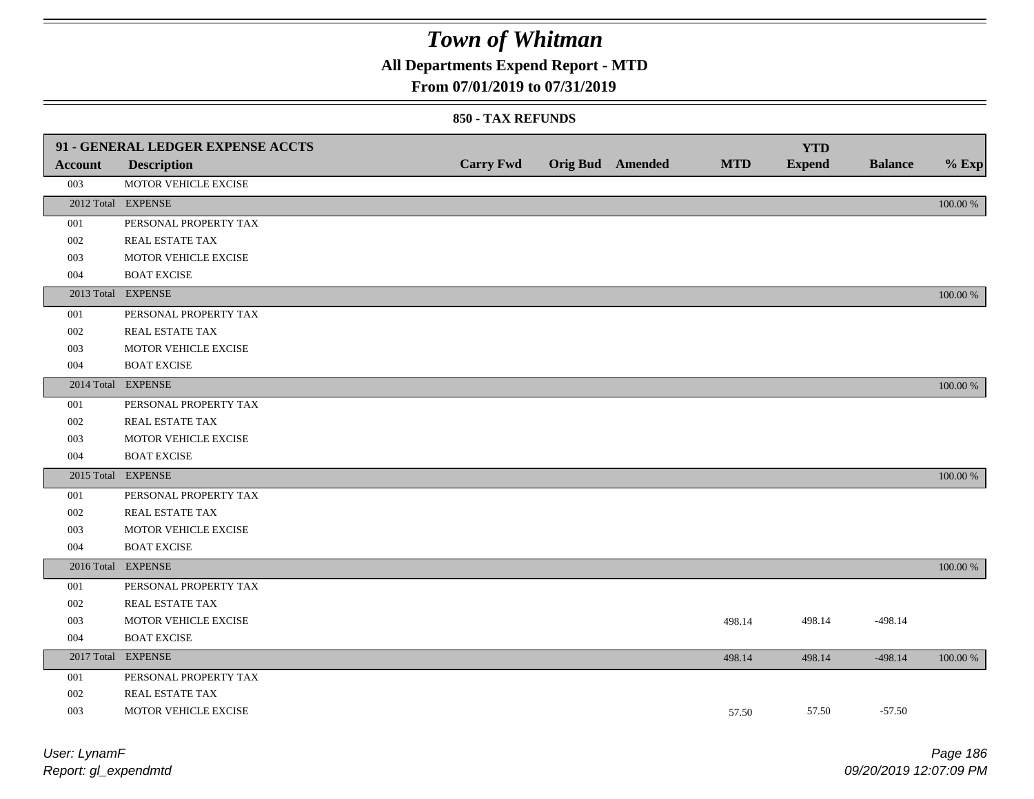## **All Departments Expend Report - MTD**

### **From 07/01/2019 to 07/31/2019**

|                | 91 - GENERAL LEDGER EXPENSE ACCTS |                  |                         |            | <b>YTD</b>    |                |          |
|----------------|-----------------------------------|------------------|-------------------------|------------|---------------|----------------|----------|
| <b>Account</b> | <b>Description</b>                | <b>Carry Fwd</b> | <b>Orig Bud</b> Amended | <b>MTD</b> | <b>Expend</b> | <b>Balance</b> | $%$ Exp  |
| 003            | MOTOR VEHICLE EXCISE              |                  |                         |            |               |                |          |
|                | 2012 Total EXPENSE                |                  |                         |            |               |                | 100.00 % |
| 001            | PERSONAL PROPERTY TAX             |                  |                         |            |               |                |          |
| 002            | REAL ESTATE TAX                   |                  |                         |            |               |                |          |
| 003            | MOTOR VEHICLE EXCISE              |                  |                         |            |               |                |          |
| 004            | <b>BOAT EXCISE</b>                |                  |                         |            |               |                |          |
|                | 2013 Total EXPENSE                |                  |                         |            |               |                | 100.00 % |
| 001            | PERSONAL PROPERTY TAX             |                  |                         |            |               |                |          |
| 002            | REAL ESTATE TAX                   |                  |                         |            |               |                |          |
| 003            | MOTOR VEHICLE EXCISE              |                  |                         |            |               |                |          |
| 004            | <b>BOAT EXCISE</b>                |                  |                         |            |               |                |          |
|                | 2014 Total EXPENSE                |                  |                         |            |               |                | 100.00 % |
| 001            | PERSONAL PROPERTY TAX             |                  |                         |            |               |                |          |
| 002            | REAL ESTATE TAX                   |                  |                         |            |               |                |          |
| 003            | MOTOR VEHICLE EXCISE              |                  |                         |            |               |                |          |
| 004            | <b>BOAT EXCISE</b>                |                  |                         |            |               |                |          |
|                | 2015 Total EXPENSE                |                  |                         |            |               |                | 100.00 % |
| 001            | PERSONAL PROPERTY TAX             |                  |                         |            |               |                |          |
| 002            | <b>REAL ESTATE TAX</b>            |                  |                         |            |               |                |          |
| 003            | MOTOR VEHICLE EXCISE              |                  |                         |            |               |                |          |
| 004            | <b>BOAT EXCISE</b>                |                  |                         |            |               |                |          |
|                | 2016 Total EXPENSE                |                  |                         |            |               |                | 100.00 % |
| 001            | PERSONAL PROPERTY TAX             |                  |                         |            |               |                |          |
| 002            | REAL ESTATE TAX                   |                  |                         |            |               |                |          |
| 003            | MOTOR VEHICLE EXCISE              |                  |                         | 498.14     | 498.14        | $-498.14$      |          |
| 004            | <b>BOAT EXCISE</b>                |                  |                         |            |               |                |          |
|                | 2017 Total EXPENSE                |                  |                         | 498.14     | 498.14        | $-498.14$      | 100.00 % |
| 001            | PERSONAL PROPERTY TAX             |                  |                         |            |               |                |          |
| 002            | REAL ESTATE TAX                   |                  |                         |            |               |                |          |
| 003            | MOTOR VEHICLE EXCISE              |                  |                         | 57.50      | 57.50         | $-57.50$       |          |
|                |                                   |                  |                         |            |               |                |          |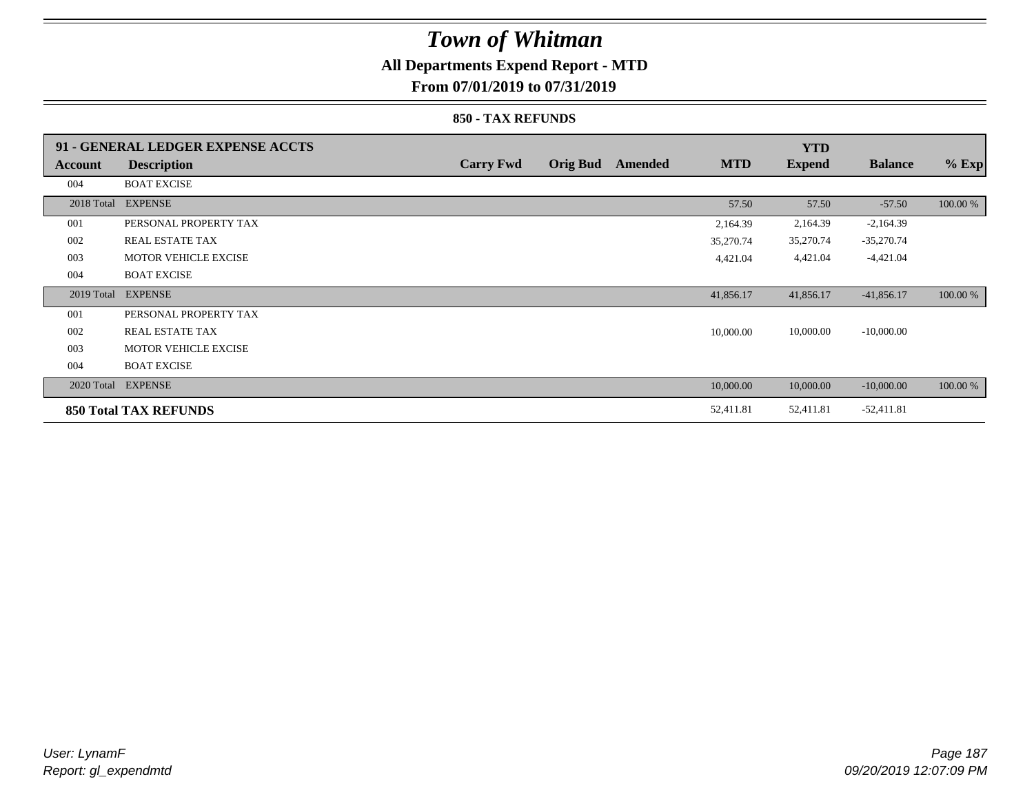### **All Departments Expend Report - MTD**

**From 07/01/2019 to 07/31/2019**

|            | 91 - GENERAL LEDGER EXPENSE ACCTS |                  |                 |                |            | <b>YTD</b>    |                |          |
|------------|-----------------------------------|------------------|-----------------|----------------|------------|---------------|----------------|----------|
| Account    | <b>Description</b>                | <b>Carry Fwd</b> | <b>Orig Bud</b> | <b>Amended</b> | <b>MTD</b> | <b>Expend</b> | <b>Balance</b> | $%$ Exp  |
| 004        | <b>BOAT EXCISE</b>                |                  |                 |                |            |               |                |          |
|            | 2018 Total EXPENSE                |                  |                 |                | 57.50      | 57.50         | $-57.50$       | 100.00 % |
| 001        | PERSONAL PROPERTY TAX             |                  |                 |                | 2,164.39   | 2,164.39      | $-2,164.39$    |          |
| 002        | <b>REAL ESTATE TAX</b>            |                  |                 |                | 35,270.74  | 35,270.74     | $-35,270.74$   |          |
| 003        | <b>MOTOR VEHICLE EXCISE</b>       |                  |                 |                | 4,421.04   | 4,421.04      | $-4,421.04$    |          |
| 004        | <b>BOAT EXCISE</b>                |                  |                 |                |            |               |                |          |
| 2019 Total | <b>EXPENSE</b>                    |                  |                 |                | 41,856.17  | 41,856.17     | $-41,856.17$   | 100.00 % |
| 001        | PERSONAL PROPERTY TAX             |                  |                 |                |            |               |                |          |
| 002        | REAL ESTATE TAX                   |                  |                 |                | 10,000.00  | 10,000.00     | $-10,000.00$   |          |
| 003        | <b>MOTOR VEHICLE EXCISE</b>       |                  |                 |                |            |               |                |          |
| 004        | <b>BOAT EXCISE</b>                |                  |                 |                |            |               |                |          |
|            | 2020 Total EXPENSE                |                  |                 |                | 10,000.00  | 10,000.00     | $-10,000.00$   | 100.00 % |
|            | <b>850 Total TAX REFUNDS</b>      |                  |                 |                | 52,411.81  | 52,411.81     | $-52,411.81$   |          |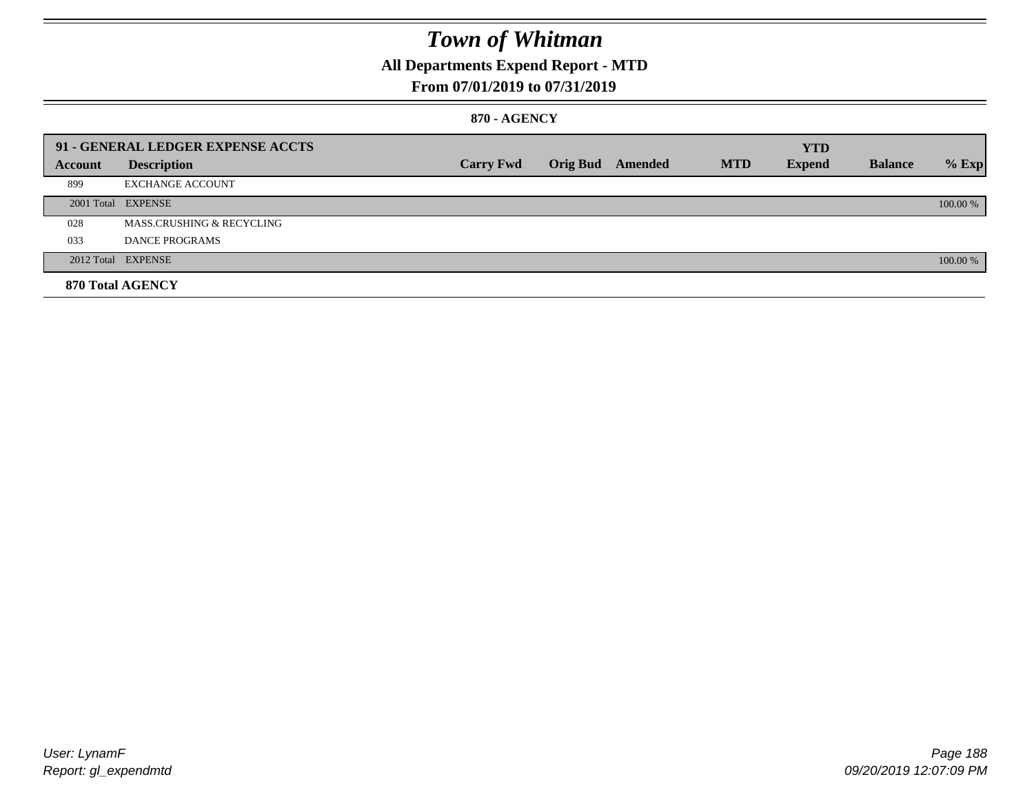## **All Departments Expend Report - MTD**

### **From 07/01/2019 to 07/31/2019**

### **870 - AGENCY**

|         | 91 - GENERAL LEDGER EXPENSE ACCTS    |                  |                         |            | <b>YTD</b>    |                |          |
|---------|--------------------------------------|------------------|-------------------------|------------|---------------|----------------|----------|
| Account | <b>Description</b>                   | <b>Carry Fwd</b> | <b>Orig Bud</b> Amended | <b>MTD</b> | <b>Expend</b> | <b>Balance</b> | $%$ Exp  |
| 899     | <b>EXCHANGE ACCOUNT</b>              |                  |                         |            |               |                |          |
|         | 2001 Total EXPENSE                   |                  |                         |            |               |                | 100.00 % |
| 028     | <b>MASS.CRUSHING &amp; RECYCLING</b> |                  |                         |            |               |                |          |
| 033     | DANCE PROGRAMS                       |                  |                         |            |               |                |          |
|         | 2012 Total EXPENSE                   |                  |                         |            |               |                | 100.00 % |
|         | 870 Total AGENCY                     |                  |                         |            |               |                |          |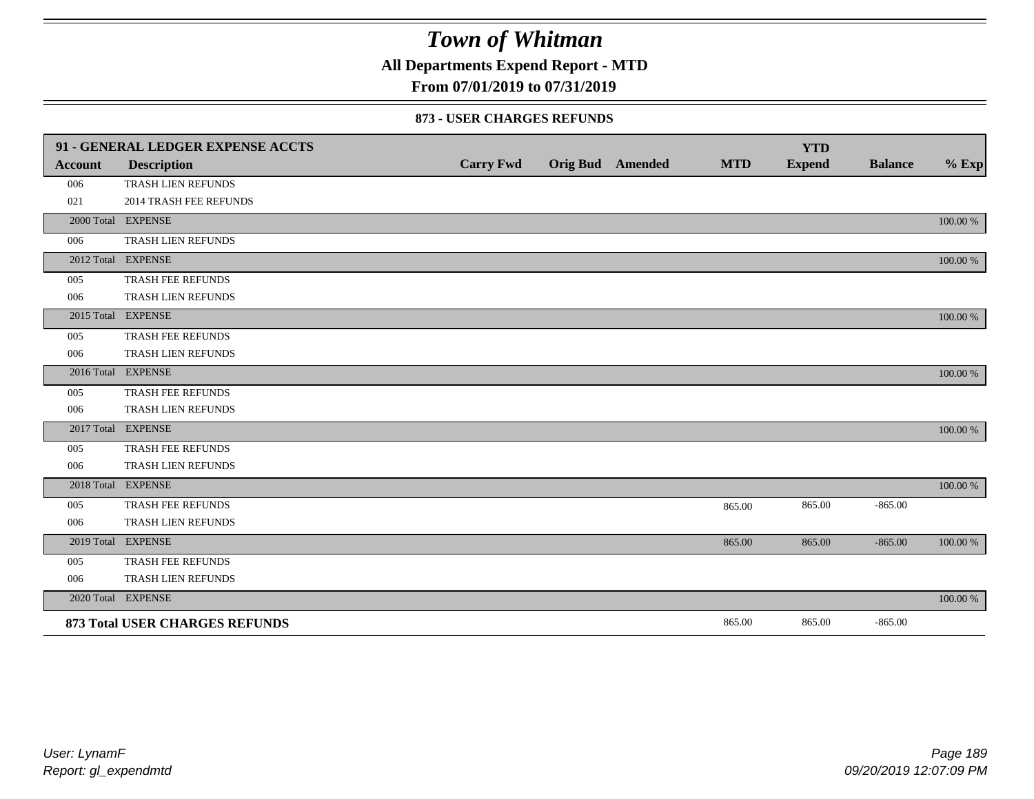**All Departments Expend Report - MTD**

### **From 07/01/2019 to 07/31/2019**

#### **873 - USER CHARGES REFUNDS**

|         | 91 - GENERAL LEDGER EXPENSE ACCTS |                  |                         |            | <b>YTD</b>    |                |          |
|---------|-----------------------------------|------------------|-------------------------|------------|---------------|----------------|----------|
| Account | <b>Description</b>                | <b>Carry Fwd</b> | <b>Orig Bud</b> Amended | <b>MTD</b> | <b>Expend</b> | <b>Balance</b> | $%$ Exp  |
| 006     | TRASH LIEN REFUNDS                |                  |                         |            |               |                |          |
| 021     | 2014 TRASH FEE REFUNDS            |                  |                         |            |               |                |          |
|         | 2000 Total EXPENSE                |                  |                         |            |               |                | 100.00 % |
| 006     | TRASH LIEN REFUNDS                |                  |                         |            |               |                |          |
|         | 2012 Total EXPENSE                |                  |                         |            |               |                | 100.00 % |
| 005     | TRASH FEE REFUNDS                 |                  |                         |            |               |                |          |
| 006     | TRASH LIEN REFUNDS                |                  |                         |            |               |                |          |
|         | 2015 Total EXPENSE                |                  |                         |            |               |                | 100.00 % |
| 005     | TRASH FEE REFUNDS                 |                  |                         |            |               |                |          |
| 006     | TRASH LIEN REFUNDS                |                  |                         |            |               |                |          |
|         | 2016 Total EXPENSE                |                  |                         |            |               |                | 100.00 % |
| 005     | TRASH FEE REFUNDS                 |                  |                         |            |               |                |          |
| 006     | TRASH LIEN REFUNDS                |                  |                         |            |               |                |          |
|         | 2017 Total EXPENSE                |                  |                         |            |               |                | 100.00 % |
| 005     | TRASH FEE REFUNDS                 |                  |                         |            |               |                |          |
| 006     | TRASH LIEN REFUNDS                |                  |                         |            |               |                |          |
|         | 2018 Total EXPENSE                |                  |                         |            |               |                | 100.00 % |
| 005     | TRASH FEE REFUNDS                 |                  |                         | 865.00     | 865.00        | $-865.00$      |          |
| 006     | TRASH LIEN REFUNDS                |                  |                         |            |               |                |          |
|         | 2019 Total EXPENSE                |                  |                         | 865.00     | 865.00        | $-865.00$      | 100.00 % |
| 005     | TRASH FEE REFUNDS                 |                  |                         |            |               |                |          |
| 006     | TRASH LIEN REFUNDS                |                  |                         |            |               |                |          |
|         | 2020 Total EXPENSE                |                  |                         |            |               |                | 100.00 % |
|         | 873 Total USER CHARGES REFUNDS    |                  |                         | 865.00     | 865.00        | $-865.00$      |          |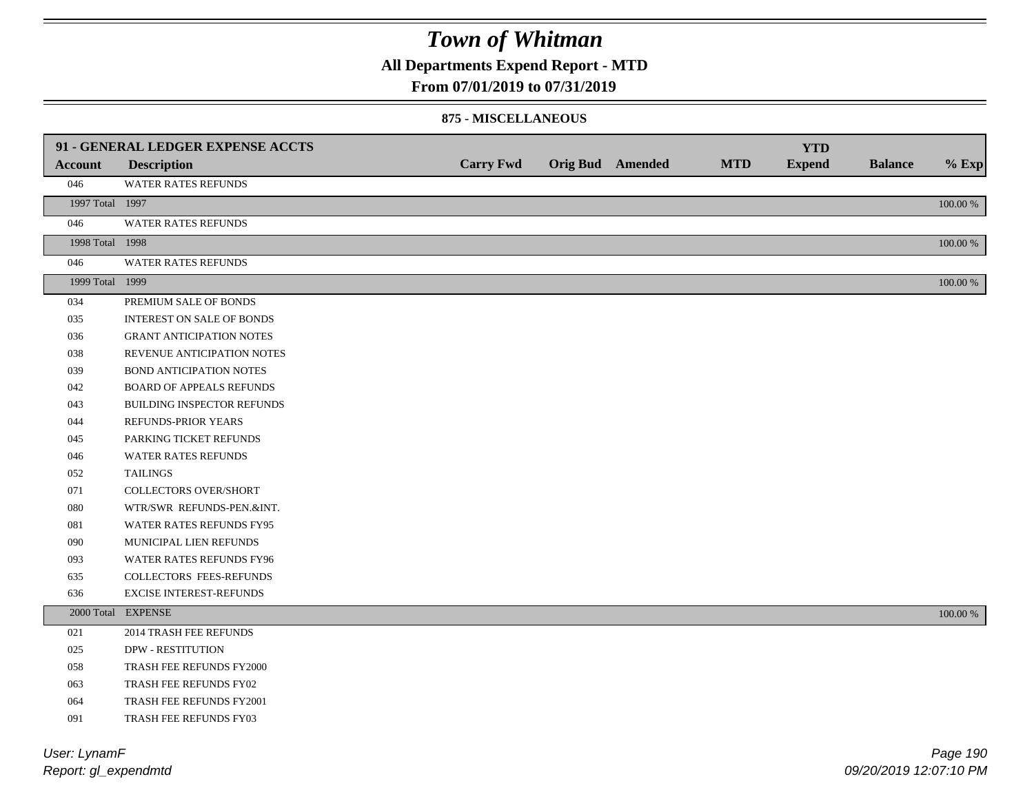**All Departments Expend Report - MTD**

### **From 07/01/2019 to 07/31/2019**

#### **875 - MISCELLANEOUS**

|                 | 91 - GENERAL LEDGER EXPENSE ACCTS |                  |                         |            | <b>YTD</b>    |                |             |
|-----------------|-----------------------------------|------------------|-------------------------|------------|---------------|----------------|-------------|
| <b>Account</b>  | <b>Description</b>                | <b>Carry Fwd</b> | <b>Orig Bud</b> Amended | <b>MTD</b> | <b>Expend</b> | <b>Balance</b> | $%$ Exp     |
| 046             | WATER RATES REFUNDS               |                  |                         |            |               |                |             |
| 1997 Total 1997 |                                   |                  |                         |            |               |                | $100.00~\%$ |
| 046             | <b>WATER RATES REFUNDS</b>        |                  |                         |            |               |                |             |
| 1998 Total 1998 |                                   |                  |                         |            |               |                | 100.00 %    |
| 046             | WATER RATES REFUNDS               |                  |                         |            |               |                |             |
| 1999 Total 1999 |                                   |                  |                         |            |               |                | $100.00~\%$ |
| 034             | PREMIUM SALE OF BONDS             |                  |                         |            |               |                |             |
| 035             | <b>INTEREST ON SALE OF BONDS</b>  |                  |                         |            |               |                |             |
| 036             | <b>GRANT ANTICIPATION NOTES</b>   |                  |                         |            |               |                |             |
| 038             | REVENUE ANTICIPATION NOTES        |                  |                         |            |               |                |             |
| 039             | <b>BOND ANTICIPATION NOTES</b>    |                  |                         |            |               |                |             |
| 042             | <b>BOARD OF APPEALS REFUNDS</b>   |                  |                         |            |               |                |             |
| 043             | BUILDING INSPECTOR REFUNDS        |                  |                         |            |               |                |             |
| 044             | REFUNDS-PRIOR YEARS               |                  |                         |            |               |                |             |
| 045             | PARKING TICKET REFUNDS            |                  |                         |            |               |                |             |
| 046             | WATER RATES REFUNDS               |                  |                         |            |               |                |             |
| 052             | <b>TAILINGS</b>                   |                  |                         |            |               |                |             |
| 071             | <b>COLLECTORS OVER/SHORT</b>      |                  |                         |            |               |                |             |
| 080             | WTR/SWR REFUNDS-PEN.&INT.         |                  |                         |            |               |                |             |
| 081             | WATER RATES REFUNDS FY95          |                  |                         |            |               |                |             |
| 090             | MUNICIPAL LIEN REFUNDS            |                  |                         |            |               |                |             |
| 093             | WATER RATES REFUNDS FY96          |                  |                         |            |               |                |             |
| 635             | COLLECTORS FEES-REFUNDS           |                  |                         |            |               |                |             |
| 636             | <b>EXCISE INTEREST-REFUNDS</b>    |                  |                         |            |               |                |             |
|                 | 2000 Total EXPENSE                |                  |                         |            |               |                | 100.00 %    |
| 021             | 2014 TRASH FEE REFUNDS            |                  |                         |            |               |                |             |
| 025             | <b>DPW - RESTITUTION</b>          |                  |                         |            |               |                |             |
| 058             | TRASH FEE REFUNDS FY2000          |                  |                         |            |               |                |             |
| 063             | TRASH FEE REFUNDS FY02            |                  |                         |            |               |                |             |
| 064             | TRASH FEE REFUNDS FY2001          |                  |                         |            |               |                |             |
| 091             | TRASH FEE REFUNDS FY03            |                  |                         |            |               |                |             |

*Report: gl\_expendmtd User: LynamF*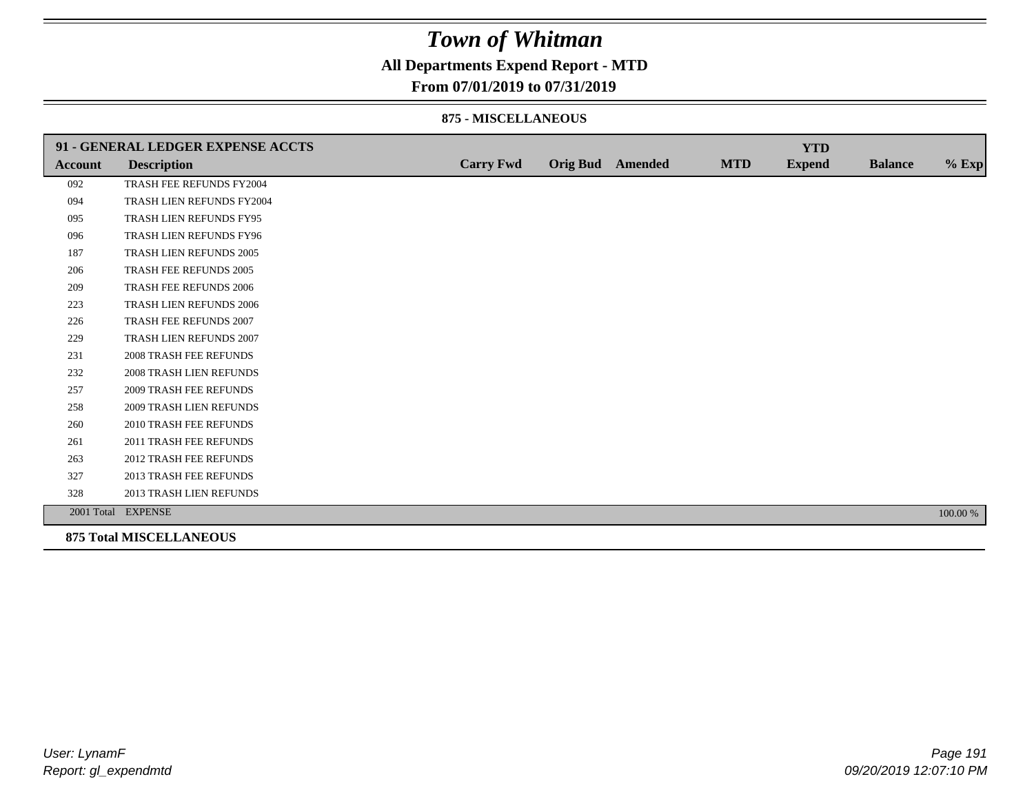### **All Departments Expend Report - MTD**

#### **From 07/01/2019 to 07/31/2019**

#### **875 - MISCELLANEOUS**

|                | 91 - GENERAL LEDGER EXPENSE ACCTS |                  |                  |            | <b>YTD</b>    |                |          |
|----------------|-----------------------------------|------------------|------------------|------------|---------------|----------------|----------|
| <b>Account</b> | <b>Description</b>                | <b>Carry Fwd</b> | Orig Bud Amended | <b>MTD</b> | <b>Expend</b> | <b>Balance</b> | $%$ Exp  |
| 092            | TRASH FEE REFUNDS FY2004          |                  |                  |            |               |                |          |
| 094            | TRASH LIEN REFUNDS FY2004         |                  |                  |            |               |                |          |
| 095            | TRASH LIEN REFUNDS FY95           |                  |                  |            |               |                |          |
| 096            | TRASH LIEN REFUNDS FY96           |                  |                  |            |               |                |          |
| 187            | TRASH LIEN REFUNDS 2005           |                  |                  |            |               |                |          |
| 206            | TRASH FEE REFUNDS 2005            |                  |                  |            |               |                |          |
| 209            | <b>TRASH FEE REFUNDS 2006</b>     |                  |                  |            |               |                |          |
| 223            | <b>TRASH LIEN REFUNDS 2006</b>    |                  |                  |            |               |                |          |
| 226            | TRASH FEE REFUNDS 2007            |                  |                  |            |               |                |          |
| 229            | TRASH LIEN REFUNDS 2007           |                  |                  |            |               |                |          |
| 231            | <b>2008 TRASH FEE REFUNDS</b>     |                  |                  |            |               |                |          |
| 232            | <b>2008 TRASH LIEN REFUNDS</b>    |                  |                  |            |               |                |          |
| 257            | <b>2009 TRASH FEE REFUNDS</b>     |                  |                  |            |               |                |          |
| 258            | 2009 TRASH LIEN REFUNDS           |                  |                  |            |               |                |          |
| 260            | 2010 TRASH FEE REFUNDS            |                  |                  |            |               |                |          |
| 261            | 2011 TRASH FEE REFUNDS            |                  |                  |            |               |                |          |
| 263            | <b>2012 TRASH FEE REFUNDS</b>     |                  |                  |            |               |                |          |
| 327            | <b>2013 TRASH FEE REFUNDS</b>     |                  |                  |            |               |                |          |
| 328            | 2013 TRASH LIEN REFUNDS           |                  |                  |            |               |                |          |
|                | 2001 Total EXPENSE                |                  |                  |            |               |                | 100.00 % |
|                | <b>875 Total MISCELLANEOUS</b>    |                  |                  |            |               |                |          |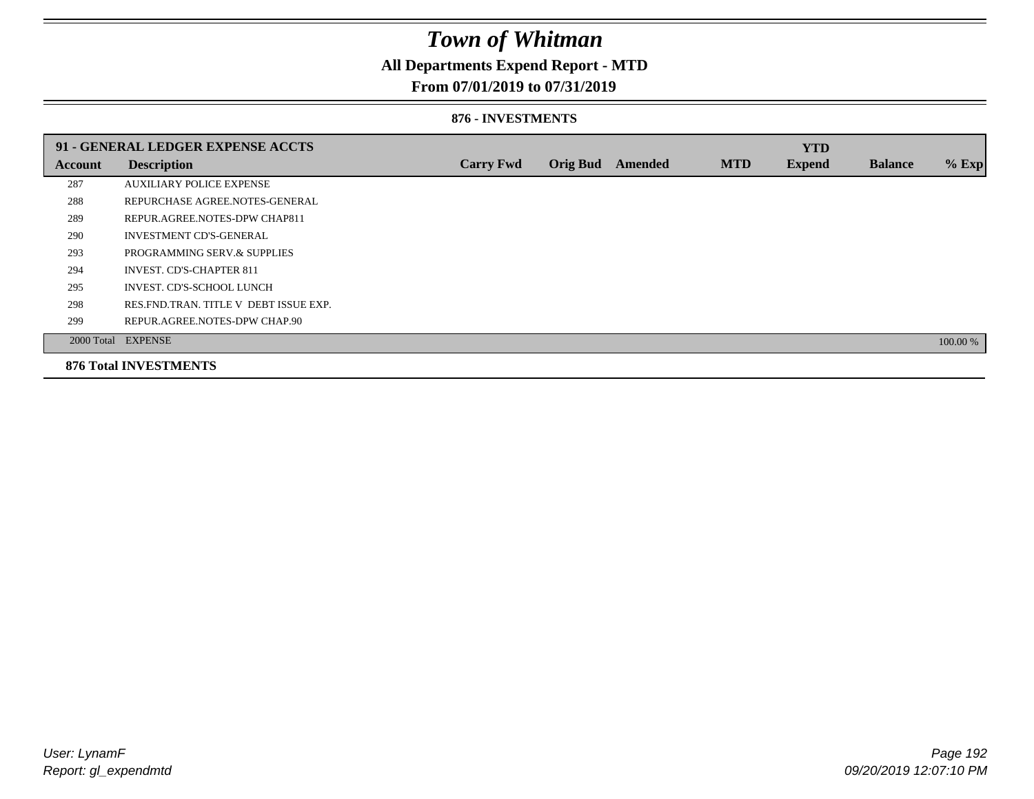### **All Departments Expend Report - MTD**

### **From 07/01/2019 to 07/31/2019**

#### **876 - INVESTMENTS**

|         | 91 - GENERAL LEDGER EXPENSE ACCTS       |                  |                 |         |            | <b>YTD</b>    |                |          |
|---------|-----------------------------------------|------------------|-----------------|---------|------------|---------------|----------------|----------|
| Account | <b>Description</b>                      | <b>Carry Fwd</b> | <b>Orig Bud</b> | Amended | <b>MTD</b> | <b>Expend</b> | <b>Balance</b> | $%$ Exp  |
| 287     | <b>AUXILIARY POLICE EXPENSE</b>         |                  |                 |         |            |               |                |          |
| 288     | REPURCHASE AGREE NOTES-GENERAL          |                  |                 |         |            |               |                |          |
| 289     | REPUR.AGREE.NOTES-DPW CHAP811           |                  |                 |         |            |               |                |          |
| 290     | <b>INVESTMENT CD'S-GENERAL</b>          |                  |                 |         |            |               |                |          |
| 293     | PROGRAMMING SERV.& SUPPLIES             |                  |                 |         |            |               |                |          |
| 294     | <b>INVEST. CD'S-CHAPTER 811</b>         |                  |                 |         |            |               |                |          |
| 295     | INVEST. CD'S-SCHOOL LUNCH               |                  |                 |         |            |               |                |          |
| 298     | RES. FND. TRAN. TITLE V DEBT ISSUE EXP. |                  |                 |         |            |               |                |          |
| 299     | REPUR.AGREE.NOTES-DPW CHAP.90           |                  |                 |         |            |               |                |          |
|         | 2000 Total EXPENSE                      |                  |                 |         |            |               |                | 100.00 % |
|         | <b>876 Total INVESTMENTS</b>            |                  |                 |         |            |               |                |          |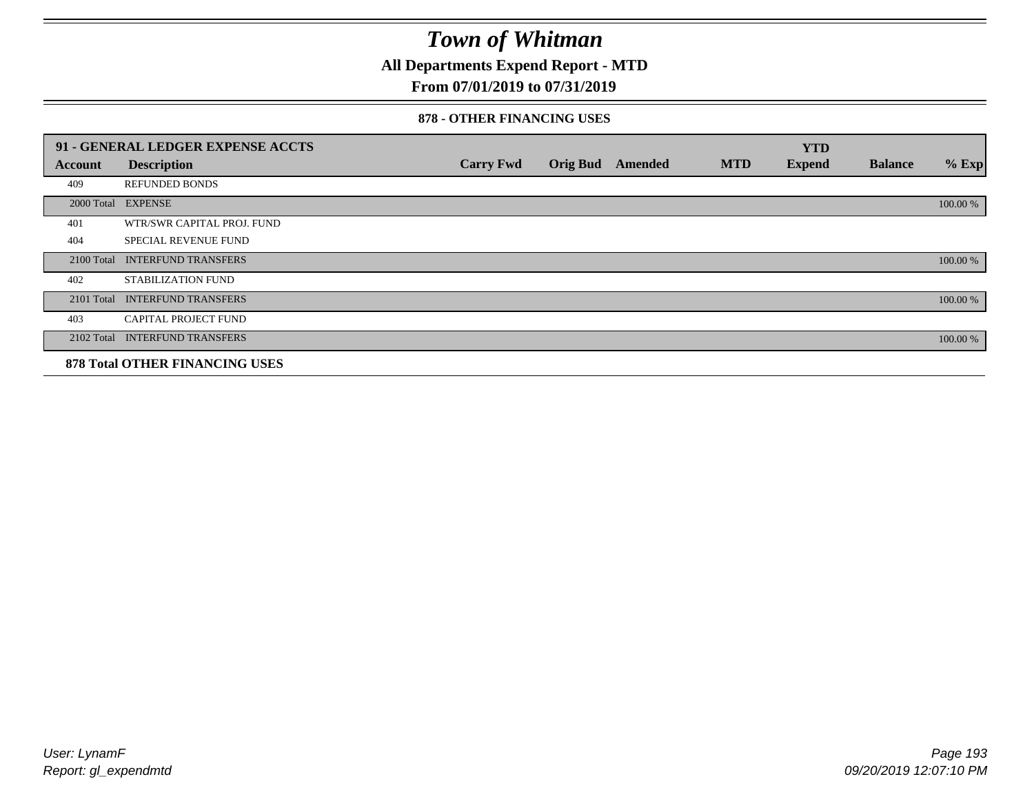**All Departments Expend Report - MTD**

### **From 07/01/2019 to 07/31/2019**

#### **878 - OTHER FINANCING USES**

|            | 91 - GENERAL LEDGER EXPENSE ACCTS     |                  |                         |            | <b>YTD</b>    |                |          |
|------------|---------------------------------------|------------------|-------------------------|------------|---------------|----------------|----------|
| Account    | <b>Description</b>                    | <b>Carry Fwd</b> | <b>Orig Bud</b> Amended | <b>MTD</b> | <b>Expend</b> | <b>Balance</b> | $%$ Exp  |
| 409        | <b>REFUNDED BONDS</b>                 |                  |                         |            |               |                |          |
| 2000 Total | <b>EXPENSE</b>                        |                  |                         |            |               |                | 100.00 % |
| 401        | WTR/SWR CAPITAL PROJ. FUND            |                  |                         |            |               |                |          |
| 404        | <b>SPECIAL REVENUE FUND</b>           |                  |                         |            |               |                |          |
| 2100 Total | <b>INTERFUND TRANSFERS</b>            |                  |                         |            |               |                | 100.00 % |
| 402        | <b>STABILIZATION FUND</b>             |                  |                         |            |               |                |          |
| 2101 Total | <b>INTERFUND TRANSFERS</b>            |                  |                         |            |               |                | 100.00 % |
| 403        | <b>CAPITAL PROJECT FUND</b>           |                  |                         |            |               |                |          |
| 2102 Total | <b>INTERFUND TRANSFERS</b>            |                  |                         |            |               |                | 100.00 % |
|            | <b>878 Total OTHER FINANCING USES</b> |                  |                         |            |               |                |          |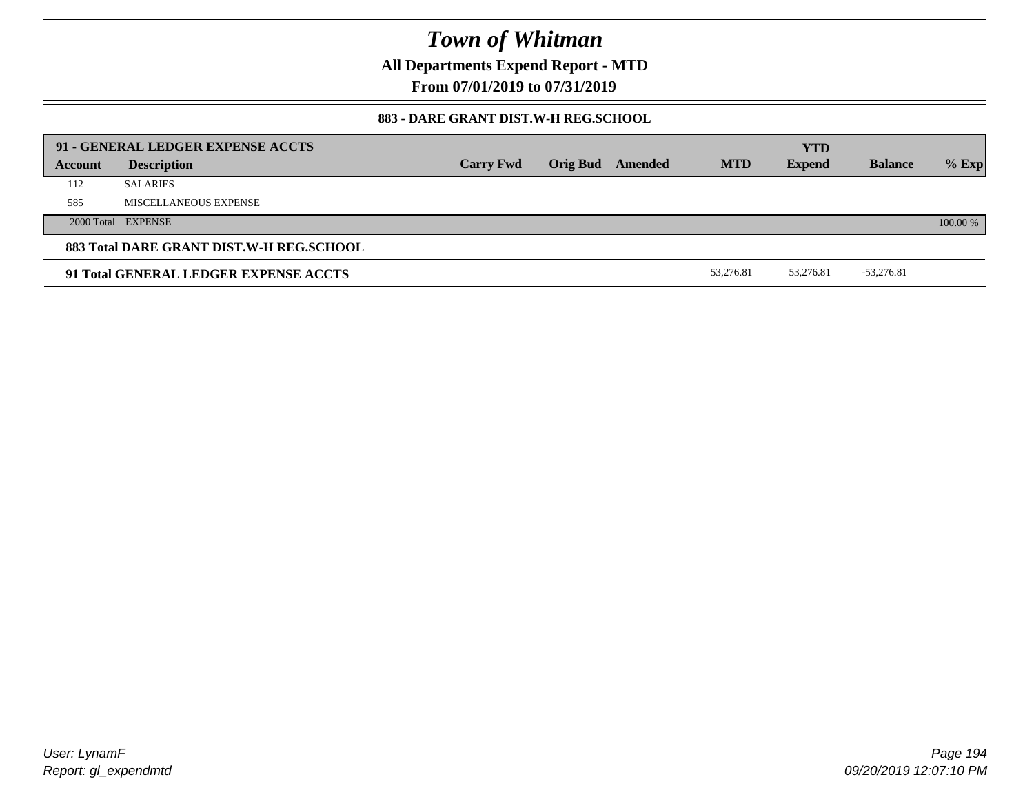**All Departments Expend Report - MTD**

**From 07/01/2019 to 07/31/2019**

### **883 - DARE GRANT DIST.W-H REG.SCHOOL**

| 91 - GENERAL LEDGER EXPENSE ACCTS<br><b>YTD</b> |                       |                  |  |                         |            |               |                |          |
|-------------------------------------------------|-----------------------|------------------|--|-------------------------|------------|---------------|----------------|----------|
| Account                                         | <b>Description</b>    | <b>Carry Fwd</b> |  | <b>Orig Bud</b> Amended | <b>MTD</b> | <b>Expend</b> | <b>Balance</b> | $%$ Exp  |
| 112                                             | <b>SALARIES</b>       |                  |  |                         |            |               |                |          |
| 585                                             | MISCELLANEOUS EXPENSE |                  |  |                         |            |               |                |          |
|                                                 | 2000 Total EXPENSE    |                  |  |                         |            |               |                | 100.00 % |
| 883 Total DARE GRANT DIST.W-H REG.SCHOOL        |                       |                  |  |                         |            |               |                |          |
| 91 Total GENERAL LEDGER EXPENSE ACCTS           |                       |                  |  |                         | 53.276.81  | 53.276.81     | $-53,276.81$   |          |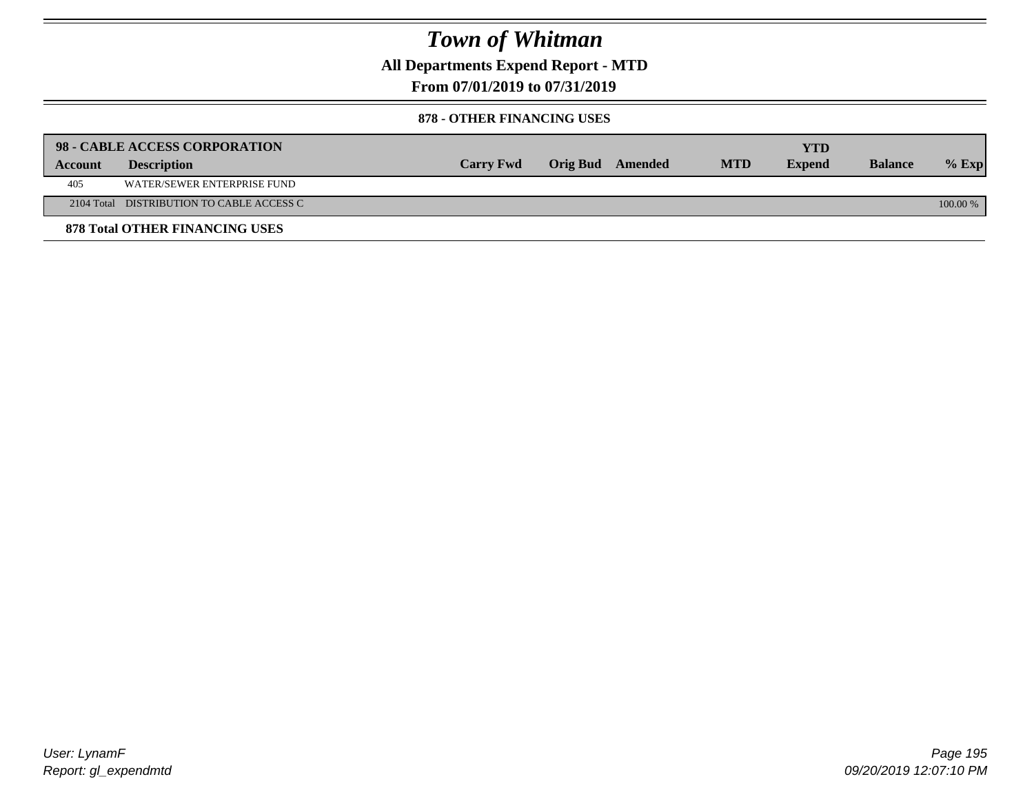**All Departments Expend Report - MTD**

**From 07/01/2019 to 07/31/2019**

#### **878 - OTHER FINANCING USES**

|         | 98 - CABLE ACCESS CORPORATION             |                  |                  |            | YTD           |                |            |
|---------|-------------------------------------------|------------------|------------------|------------|---------------|----------------|------------|
| Account | <b>Description</b>                        | <b>Carry Fwd</b> | Orig Bud Amended | <b>MTD</b> | <b>Expend</b> | <b>Balance</b> | $%$ Exp    |
| 405     | WATER/SEWER ENTERPRISE FUND               |                  |                  |            |               |                |            |
|         | 2104 Total DISTRIBUTION TO CABLE ACCESS C |                  |                  |            |               |                | $100.00\%$ |
|         | <b>878 Total OTHER FINANCING USES</b>     |                  |                  |            |               |                |            |